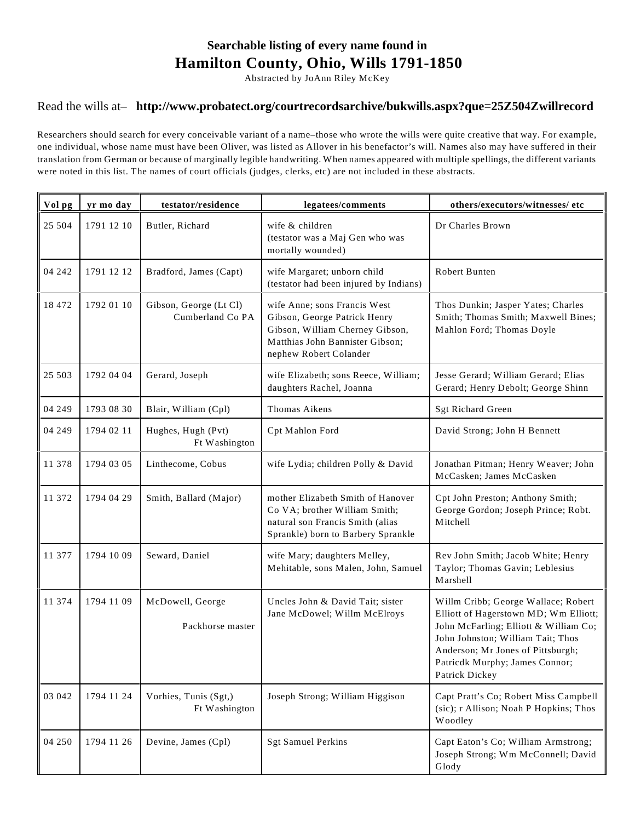## **Searchable listing of every name found in Hamilton County, Ohio, Wills 1791-1850**

Abstracted by JoAnn Riley McKey

## Read the wills at– **http://www.probatect.org/courtrecordsarchive/bukwills.aspx?que=25Z504Zwillrecord**

Researchers should search for every conceivable variant of a name–those who wrote the wills were quite creative that way. For example, one individual, whose name must have been Oliver, was listed as Allover in his benefactor's will. Names also may have suffered in their translation from German or because of marginally legible handwriting. When names appeared with multiple spellings, the different variants were noted in this list. The names of court officials (judges, clerks, etc) are not included in these abstracts.

| Vol pg | yr mo day  | testator/residence                         | legatees/comments                                                                                                                                            | others/executors/witnesses/etc                                                                                                                                                                                                                      |
|--------|------------|--------------------------------------------|--------------------------------------------------------------------------------------------------------------------------------------------------------------|-----------------------------------------------------------------------------------------------------------------------------------------------------------------------------------------------------------------------------------------------------|
| 25 504 | 1791 12 10 | Butler, Richard                            | wife & children<br>(testator was a Maj Gen who was<br>mortally wounded)                                                                                      | Dr Charles Brown                                                                                                                                                                                                                                    |
| 04 242 | 1791 12 12 | Bradford, James (Capt)                     | wife Margaret; unborn child<br>(testator had been injured by Indians)                                                                                        | Robert Bunten                                                                                                                                                                                                                                       |
| 18 472 | 1792 01 10 | Gibson, George (Lt Cl)<br>Cumberland Co PA | wife Anne; sons Francis West<br>Gibson, George Patrick Henry<br>Gibson, William Cherney Gibson,<br>Matthias John Bannister Gibson;<br>nephew Robert Colander | Thos Dunkin; Jasper Yates; Charles<br>Smith; Thomas Smith; Maxwell Bines;<br>Mahlon Ford; Thomas Doyle                                                                                                                                              |
| 25 503 | 1792 04 04 | Gerard, Joseph                             | wife Elizabeth; sons Reece, William;<br>daughters Rachel, Joanna                                                                                             | Jesse Gerard; William Gerard; Elias<br>Gerard; Henry Debolt; George Shinn                                                                                                                                                                           |
| 04 249 | 1793 08 30 | Blair, William (Cpl)                       | Thomas Aikens                                                                                                                                                | Sgt Richard Green                                                                                                                                                                                                                                   |
| 04 249 | 1794 02 11 | Hughes, Hugh (Pvt)<br>Ft Washington        | Cpt Mahlon Ford                                                                                                                                              | David Strong; John H Bennett                                                                                                                                                                                                                        |
| 11 378 | 1794 03 05 | Linthecome, Cobus                          | wife Lydia; children Polly & David                                                                                                                           | Jonathan Pitman; Henry Weaver; John<br>McCasken; James McCasken                                                                                                                                                                                     |
| 11 372 | 1794 04 29 | Smith, Ballard (Major)                     | mother Elizabeth Smith of Hanover<br>Co VA; brother William Smith;<br>natural son Francis Smith (alias<br>Sprankle) born to Barbery Sprankle                 | Cpt John Preston; Anthony Smith;<br>George Gordon; Joseph Prince; Robt.<br>Mitchell                                                                                                                                                                 |
| 11 377 | 1794 10 09 | Seward, Daniel                             | wife Mary; daughters Melley,<br>Mehitable, sons Malen, John, Samuel                                                                                          | Rev John Smith; Jacob White; Henry<br>Taylor; Thomas Gavin; Leblesius<br>Marshell                                                                                                                                                                   |
| 11 374 | 1794 11 09 | McDowell, George<br>Packhorse master       | Uncles John & David Tait; sister<br>Jane McDowel; Willm McElroys                                                                                             | Willm Cribb; George Wallace; Robert<br>Elliott of Hagerstown MD; Wm Elliott;<br>John McFarling; Elliott & William Co;<br>John Johnston; William Tait; Thos<br>Anderson; Mr Jones of Pittsburgh;<br>Patricdk Murphy; James Connor;<br>Patrick Dickey |
| 03 042 | 1794 11 24 | Vorhies, Tunis (Sgt,)<br>Ft Washington     | Joseph Strong; William Higgison                                                                                                                              | Capt Pratt's Co; Robert Miss Campbell<br>(sic); r Allison; Noah P Hopkins; Thos<br>Woodley                                                                                                                                                          |
| 04 250 | 1794 11 26 | Devine, James (Cpl)                        | <b>Sgt Samuel Perkins</b>                                                                                                                                    | Capt Eaton's Co; William Armstrong;<br>Joseph Strong; Wm McConnell; David<br>Glody                                                                                                                                                                  |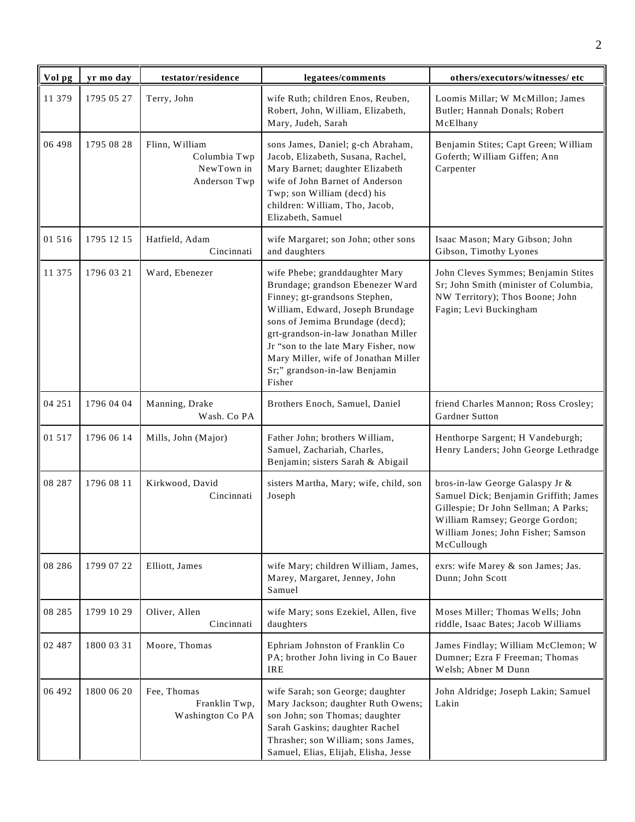| Vol pg   | yr mo day  | testator/residence                                           | legatees/comments                                                                                                                                                                                                                                                                                                                            | others/executors/witnesses/ etc                                                                                                                                                                        |
|----------|------------|--------------------------------------------------------------|----------------------------------------------------------------------------------------------------------------------------------------------------------------------------------------------------------------------------------------------------------------------------------------------------------------------------------------------|--------------------------------------------------------------------------------------------------------------------------------------------------------------------------------------------------------|
| 11 379   | 1795 05 27 | Terry, John                                                  | wife Ruth; children Enos, Reuben,<br>Robert, John, William, Elizabeth,<br>Mary, Judeh, Sarah                                                                                                                                                                                                                                                 | Loomis Millar; W McMillon; James<br>Butler; Hannah Donals; Robert<br>McElhany                                                                                                                          |
| 06 498   | 1795 08 28 | Flinn, William<br>Columbia Twp<br>NewTown in<br>Anderson Twp | sons James, Daniel; g-ch Abraham,<br>Jacob, Elizabeth, Susana, Rachel,<br>Mary Barnet; daughter Elizabeth<br>wife of John Barnet of Anderson<br>Twp; son William (decd) his<br>children: William, Tho, Jacob,<br>Elizabeth, Samuel                                                                                                           | Benjamin Stites; Capt Green; William<br>Goferth; William Giffen; Ann<br>Carpenter                                                                                                                      |
| 01 516   | 1795 12 15 | Hatfield, Adam<br>Cincinnati                                 | wife Margaret; son John; other sons<br>and daughters                                                                                                                                                                                                                                                                                         | Isaac Mason; Mary Gibson; John<br>Gibson, Timothy Lyones                                                                                                                                               |
| 11 375   | 1796 03 21 | Ward, Ebenezer                                               | wife Phebe; granddaughter Mary<br>Brundage; grandson Ebenezer Ward<br>Finney; gt-grandsons Stephen,<br>William, Edward, Joseph Brundage<br>sons of Jemima Brundage (decd);<br>grt-grandson-in-law Jonathan Miller<br>Jr "son to the late Mary Fisher, now<br>Mary Miller, wife of Jonathan Miller<br>Sr;" grandson-in-law Benjamin<br>Fisher | John Cleves Symmes; Benjamin Stites<br>Sr; John Smith (minister of Columbia,<br>NW Territory); Thos Boone; John<br>Fagin; Levi Buckingham                                                              |
| 04 251   | 1796 04 04 | Manning, Drake<br>Wash. Co PA                                | Brothers Enoch, Samuel, Daniel                                                                                                                                                                                                                                                                                                               | friend Charles Mannon; Ross Crosley;<br>Gardner Sutton                                                                                                                                                 |
| 01 5 1 7 | 1796 06 14 | Mills, John (Major)                                          | Father John; brothers William,<br>Samuel, Zachariah, Charles,<br>Benjamin; sisters Sarah & Abigail                                                                                                                                                                                                                                           | Henthorpe Sargent; H Vandeburgh;<br>Henry Landers; John George Lethradge                                                                                                                               |
| 08 287   | 1796 08 11 | Kirkwood, David<br>Cincinnati                                | sisters Martha, Mary; wife, child, son<br>Joseph                                                                                                                                                                                                                                                                                             | bros-in-law George Galaspy Jr &<br>Samuel Dick; Benjamin Griffith; James<br>Gillespie; Dr John Sellman; A Parks;<br>William Ramsey; George Gordon;<br>William Jones; John Fisher; Samson<br>McCullough |
| 08 28 6  | 1799 07 22 | Elliott, James                                               | wife Mary; children William, James,<br>Marey, Margaret, Jenney, John<br>Samuel                                                                                                                                                                                                                                                               | exrs: wife Marey & son James; Jas.<br>Dunn; John Scott                                                                                                                                                 |
| 08 28 5  | 1799 10 29 | Oliver, Allen<br>Cincinnati                                  | wife Mary; sons Ezekiel, Allen, five<br>daughters                                                                                                                                                                                                                                                                                            | Moses Miller; Thomas Wells; John<br>riddle, Isaac Bates; Jacob Williams                                                                                                                                |
| 02 487   | 1800 03 31 | Moore, Thomas                                                | Ephriam Johnston of Franklin Co<br>PA; brother John living in Co Bauer<br><b>IRE</b>                                                                                                                                                                                                                                                         | James Findlay; William McClemon; W<br>Dumner; Ezra F Freeman; Thomas<br>Welsh; Abner M Dunn                                                                                                            |
| 06 492   | 1800 06 20 | Fee, Thomas<br>Franklin Twp,<br>Washington Co PA             | wife Sarah; son George; daughter<br>Mary Jackson; daughter Ruth Owens;<br>son John; son Thomas; daughter<br>Sarah Gaskins; daughter Rachel<br>Thrasher; son William; sons James,<br>Samuel, Elias, Elijah, Elisha, Jesse                                                                                                                     | John Aldridge; Joseph Lakin; Samuel<br>Lakin                                                                                                                                                           |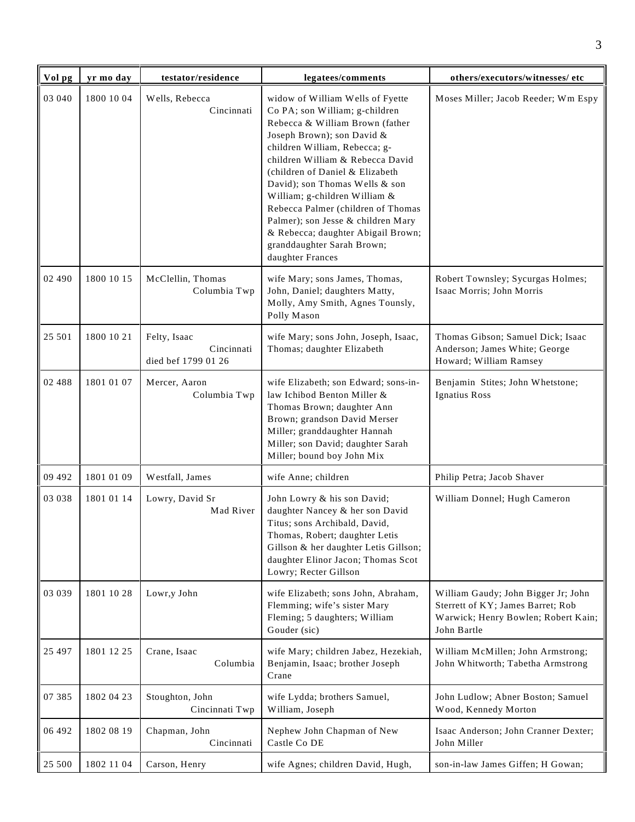| Vol pg   | yr mo day  | testator/residence                                | legatees/comments                                                                                                                                                                                                                                                                                                                                                                                                                                                                  | others/executors/witnesses/ etc                                                                                                |
|----------|------------|---------------------------------------------------|------------------------------------------------------------------------------------------------------------------------------------------------------------------------------------------------------------------------------------------------------------------------------------------------------------------------------------------------------------------------------------------------------------------------------------------------------------------------------------|--------------------------------------------------------------------------------------------------------------------------------|
| 03 040   | 1800 10 04 | Wells, Rebecca<br>Cincinnati                      | widow of William Wells of Fyette<br>Co PA; son William; g-children<br>Rebecca & William Brown (father<br>Joseph Brown); son David &<br>children William, Rebecca; g-<br>children William & Rebecca David<br>(children of Daniel & Elizabeth<br>David); son Thomas Wells & son<br>William; g-children William &<br>Rebecca Palmer (children of Thomas<br>Palmer); son Jesse & children Mary<br>& Rebecca; daughter Abigail Brown;<br>granddaughter Sarah Brown;<br>daughter Frances | Moses Miller; Jacob Reeder; Wm Espy                                                                                            |
| 02 490   | 1800 10 15 | McClellin, Thomas<br>Columbia Twp                 | wife Mary; sons James, Thomas,<br>John, Daniel; daughters Matty,<br>Molly, Amy Smith, Agnes Tounsly,<br>Polly Mason                                                                                                                                                                                                                                                                                                                                                                | Robert Townsley; Sycurgas Holmes;<br>Isaac Morris; John Morris                                                                 |
| 25 501   | 1800 10 21 | Felty, Isaac<br>Cincinnati<br>died bef 1799 01 26 | wife Mary; sons John, Joseph, Isaac,<br>Thomas; daughter Elizabeth                                                                                                                                                                                                                                                                                                                                                                                                                 | Thomas Gibson; Samuel Dick; Isaac<br>Anderson; James White; George<br>Howard; William Ramsey                                   |
| 02 488   | 1801 01 07 | Mercer, Aaron<br>Columbia Twp                     | wife Elizabeth; son Edward; sons-in-<br>law Ichibod Benton Miller &<br>Thomas Brown; daughter Ann<br>Brown; grandson David Merser<br>Miller; granddaughter Hannah<br>Miller; son David; daughter Sarah<br>Miller; bound boy John Mix                                                                                                                                                                                                                                               | Benjamin Stites; John Whetstone;<br>Ignatius Ross                                                                              |
| 09 492   | 1801 01 09 | Westfall, James                                   | wife Anne; children                                                                                                                                                                                                                                                                                                                                                                                                                                                                | Philip Petra; Jacob Shaver                                                                                                     |
| 03 038   | 1801 01 14 | Lowry, David Sr<br>Mad River                      | John Lowry & his son David;<br>daughter Nancey & her son David<br>Titus; sons Archibald, David,<br>Thomas, Robert; daughter Letis<br>Gillson & her daughter Letis Gillson;<br>daughter Elinor Jacon; Thomas Scot<br>Lowry; Recter Gillson                                                                                                                                                                                                                                          | William Donnel; Hugh Cameron                                                                                                   |
| 03 039   | 1801 10 28 | Lowr,y John                                       | wife Elizabeth; sons John, Abraham,<br>Flemming; wife's sister Mary<br>Fleming; 5 daughters; William<br>Gouder (sic)                                                                                                                                                                                                                                                                                                                                                               | William Gaudy; John Bigger Jr; John<br>Sterrett of KY; James Barret; Rob<br>Warwick; Henry Bowlen; Robert Kain;<br>John Bartle |
| 25 4 9 7 | 1801 12 25 | Crane, Isaac<br>Columbia                          | wife Mary; children Jabez, Hezekiah,<br>Benjamin, Isaac; brother Joseph<br>Crane                                                                                                                                                                                                                                                                                                                                                                                                   | William McMillen; John Armstrong;<br>John Whitworth; Tabetha Armstrong                                                         |
| 07 385   | 1802 04 23 | Stoughton, John<br>Cincinnati Twp                 | wife Lydda; brothers Samuel,<br>William, Joseph                                                                                                                                                                                                                                                                                                                                                                                                                                    | John Ludlow; Abner Boston; Samuel<br>Wood, Kennedy Morton                                                                      |
| 06 492   | 1802 08 19 | Chapman, John<br>Cincinnati                       | Nephew John Chapman of New<br>Castle Co DE                                                                                                                                                                                                                                                                                                                                                                                                                                         | Isaac Anderson; John Cranner Dexter;<br>John Miller                                                                            |
| 25 500   | 1802 11 04 | Carson, Henry                                     | wife Agnes; children David, Hugh,                                                                                                                                                                                                                                                                                                                                                                                                                                                  | son-in-law James Giffen; H Gowan;                                                                                              |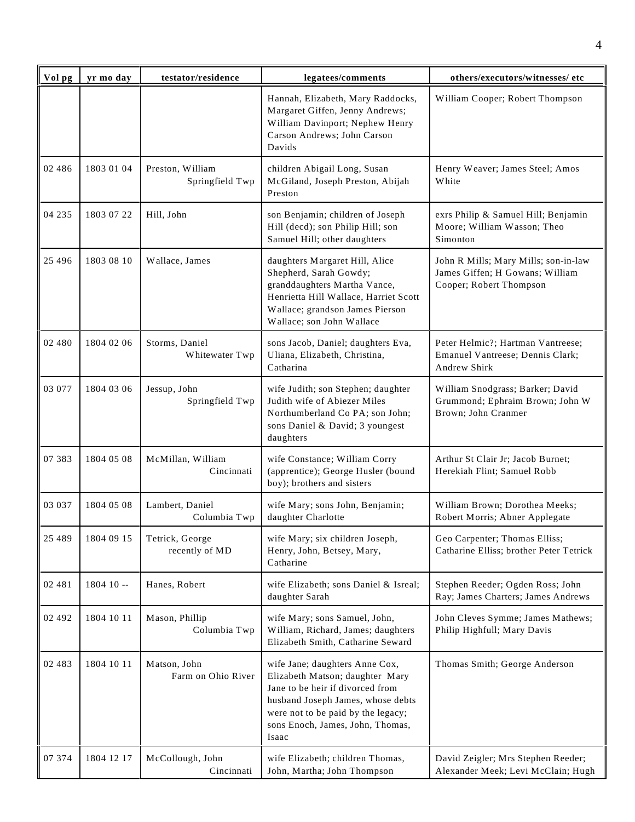| Vol pg   | yr mo day  | testator/residence                  | legatees/comments                                                                                                                                                                                                             | others/executors/witnesses/ etc                                                                    |
|----------|------------|-------------------------------------|-------------------------------------------------------------------------------------------------------------------------------------------------------------------------------------------------------------------------------|----------------------------------------------------------------------------------------------------|
|          |            |                                     | Hannah, Elizabeth, Mary Raddocks,<br>Margaret Giffen, Jenny Andrews;<br>William Davinport; Nephew Henry<br>Carson Andrews; John Carson<br>Davids                                                                              | William Cooper; Robert Thompson                                                                    |
| 02 486   | 1803 01 04 | Preston, William<br>Springfield Twp | children Abigail Long, Susan<br>McGiland, Joseph Preston, Abijah<br>Preston                                                                                                                                                   | Henry Weaver; James Steel; Amos<br>White                                                           |
| 04 235   | 1803 07 22 | Hill, John                          | son Benjamin; children of Joseph<br>Hill (decd); son Philip Hill; son<br>Samuel Hill; other daughters                                                                                                                         | exrs Philip & Samuel Hill; Benjamin<br>Moore; William Wasson; Theo<br>Simonton                     |
| 25 4 9 6 | 1803 08 10 | Wallace, James                      | daughters Margaret Hill, Alice<br>Shepherd, Sarah Gowdy;<br>granddaughters Martha Vance,<br>Henrietta Hill Wallace, Harriet Scott<br>Wallace; grandson James Pierson<br>Wallace; son John Wallace                             | John R Mills; Mary Mills; son-in-law<br>James Giffen; H Gowans; William<br>Cooper; Robert Thompson |
| 02 480   | 1804 02 06 | Storms, Daniel<br>Whitewater Twp    | sons Jacob, Daniel; daughters Eva,<br>Uliana, Elizabeth, Christina,<br>Catharina                                                                                                                                              | Peter Helmic?; Hartman Vantreese;<br>Emanuel Vantreese; Dennis Clark;<br>Andrew Shirk              |
| 03 077   | 1804 03 06 | Jessup, John<br>Springfield Twp     | wife Judith; son Stephen; daughter<br>Judith wife of Abiezer Miles<br>Northumberland Co PA; son John;<br>sons Daniel & David; 3 youngest<br>daughters                                                                         | William Snodgrass; Barker; David<br>Grummond; Ephraim Brown; John W<br>Brown; John Cranmer         |
| 07 383   | 1804 05 08 | McMillan, William<br>Cincinnati     | wife Constance; William Corry<br>(apprentice); George Husler (bound<br>boy); brothers and sisters                                                                                                                             | Arthur St Clair Jr; Jacob Burnet;<br>Herekiah Flint; Samuel Robb                                   |
| 03 037   | 1804 05 08 | Lambert, Daniel<br>Columbia Twp     | wife Mary; sons John, Benjamin;<br>daughter Charlotte                                                                                                                                                                         | William Brown; Dorothea Meeks;<br>Robert Morris; Abner Applegate                                   |
| 25 489   | 1804 09 15 | Tetrick, George<br>recently of MD   | wife Mary; six children Joseph,<br>Henry, John, Betsey, Mary,<br>Catharine                                                                                                                                                    | Geo Carpenter; Thomas Elliss;<br>Catharine Elliss; brother Peter Tetrick                           |
| 02 481   | $180410 -$ | Hanes, Robert                       | wife Elizabeth; sons Daniel & Isreal;<br>daughter Sarah                                                                                                                                                                       | Stephen Reeder; Ogden Ross; John<br>Ray; James Charters; James Andrews                             |
| 02 492   | 1804 10 11 | Mason, Phillip<br>Columbia Twp      | wife Mary; sons Samuel, John,<br>William, Richard, James; daughters<br>Elizabeth Smith, Catharine Seward                                                                                                                      | John Cleves Symme; James Mathews;<br>Philip Highfull; Mary Davis                                   |
| 02 483   | 1804 10 11 | Matson, John<br>Farm on Ohio River  | wife Jane; daughters Anne Cox,<br>Elizabeth Matson; daughter Mary<br>Jane to be heir if divorced from<br>husband Joseph James, whose debts<br>were not to be paid by the legacy;<br>sons Enoch, James, John, Thomas,<br>Isaac | Thomas Smith; George Anderson                                                                      |
| 07 374   | 1804 12 17 | McCollough, John<br>Cincinnati      | wife Elizabeth; children Thomas,<br>John, Martha; John Thompson                                                                                                                                                               | David Zeigler; Mrs Stephen Reeder;<br>Alexander Meek; Levi McClain; Hugh                           |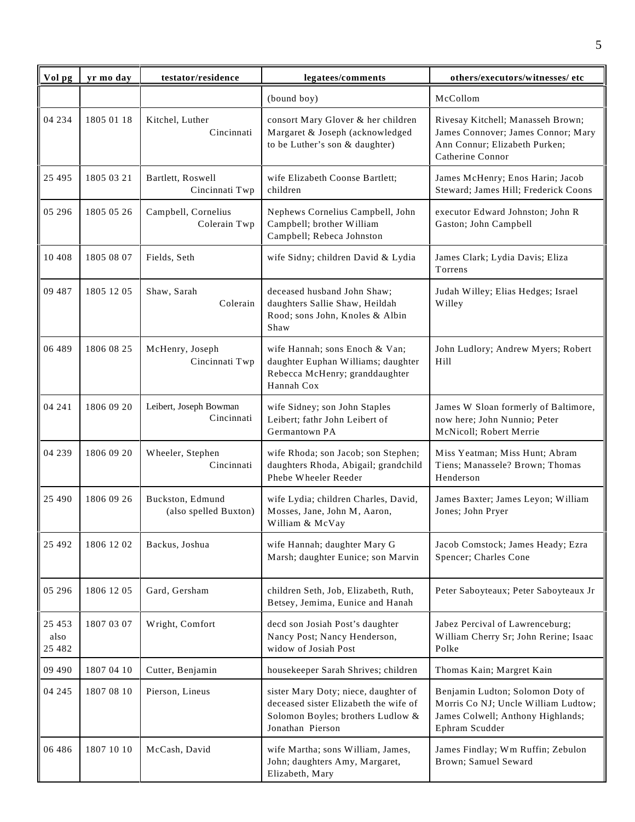| Vol pg                      | yr mo day  | testator/residence                        | legatees/comments                                                                                                                      | others/executors/witnesses/ etc                                                                                                |
|-----------------------------|------------|-------------------------------------------|----------------------------------------------------------------------------------------------------------------------------------------|--------------------------------------------------------------------------------------------------------------------------------|
|                             |            |                                           | (bound boy)                                                                                                                            | McCollom                                                                                                                       |
| 04 234                      | 1805 01 18 | Kitchel, Luther<br>Cincinnati             | consort Mary Glover & her children<br>Margaret & Joseph (acknowledged<br>to be Luther's son & daughter)                                | Rivesay Kitchell; Manasseh Brown;<br>James Connover; James Connor; Mary<br>Ann Connur; Elizabeth Purken;<br>Catherine Connor   |
| 25 4 95                     | 1805 03 21 | Bartlett, Roswell<br>Cincinnati Twp       | wife Elizabeth Coonse Bartlett;<br>children                                                                                            | James McHenry; Enos Harin; Jacob<br>Steward; James Hill; Frederick Coons                                                       |
| 05 29 6                     | 1805 05 26 | Campbell, Cornelius<br>Colerain Twp       | Nephews Cornelius Campbell, John<br>Campbell; brother William<br>Campbell; Rebeca Johnston                                             | executor Edward Johnston; John R<br>Gaston; John Campbell                                                                      |
| 10 408                      | 1805 08 07 | Fields, Seth                              | wife Sidny; children David & Lydia                                                                                                     | James Clark; Lydia Davis; Eliza<br>Torrens                                                                                     |
| 09 487                      | 1805 1205  | Shaw, Sarah<br>Colerain                   | deceased husband John Shaw;<br>daughters Sallie Shaw, Heildah<br>Rood; sons John, Knoles & Albin<br>Shaw                               | Judah Willey; Elias Hedges; Israel<br>Willey                                                                                   |
| 06 489                      | 1806 08 25 | McHenry, Joseph<br>Cincinnati Twp         | wife Hannah; sons Enoch & Van;<br>daughter Euphan Williams; daughter<br>Rebecca McHenry; granddaughter<br>Hannah Cox                   | John Ludlory; Andrew Myers; Robert<br>Hill                                                                                     |
| 04 241                      | 1806 09 20 | Leibert, Joseph Bowman<br>Cincinnati      | wife Sidney; son John Staples<br>Leibert; fathr John Leibert of<br>Germantown PA                                                       | James W Sloan formerly of Baltimore,<br>now here; John Nunnio; Peter<br>McNicoll; Robert Merrie                                |
| 04 239                      | 1806 09 20 | Wheeler, Stephen<br>Cincinnati            | wife Rhoda; son Jacob; son Stephen;<br>daughters Rhoda, Abigail; grandchild<br>Phebe Wheeler Reeder                                    | Miss Yeatman; Miss Hunt; Abram<br>Tiens; Manassele? Brown; Thomas<br>Henderson                                                 |
| 25 4 9 0                    | 1806 09 26 | Buckston, Edmund<br>(also spelled Buxton) | wife Lydia; children Charles, David,<br>Mosses, Jane, John M, Aaron,<br>William & McVay                                                | James Baxter; James Leyon; William<br>Jones; John Pryer                                                                        |
| 25 4 9 2                    | 1806 12 02 | Backus, Joshua                            | wife Hannah; daughter Mary G<br>Marsh; daughter Eunice; son Marvin                                                                     | Jacob Comstock; James Heady; Ezra<br>Spencer; Charles Cone                                                                     |
| 05 29 6                     | 1806 12 05 | Gard, Gersham                             | children Seth, Job, Elizabeth, Ruth,<br>Betsey, Jemima, Eunice and Hanah                                                               | Peter Saboyteaux; Peter Saboyteaux Jr                                                                                          |
| 25 4 53<br>also<br>25 4 8 2 | 1807 03 07 | Wright, Comfort                           | decd son Josiah Post's daughter<br>Nancy Post; Nancy Henderson,<br>widow of Josiah Post                                                | Jabez Percival of Lawrenceburg;<br>William Cherry Sr; John Rerine; Isaac<br>Polke                                              |
| 09 490                      | 1807 04 10 | Cutter, Benjamin                          | housekeeper Sarah Shrives; children                                                                                                    | Thomas Kain; Margret Kain                                                                                                      |
| 04 245                      | 1807 08 10 | Pierson, Lineus                           | sister Mary Doty; niece, daughter of<br>deceased sister Elizabeth the wife of<br>Solomon Boyles; brothers Ludlow &<br>Jonathan Pierson | Benjamin Ludton; Solomon Doty of<br>Morris Co NJ; Uncle William Ludtow;<br>James Colwell; Anthony Highlands;<br>Ephram Scudder |
| 06 48 6                     | 1807 10 10 | McCash, David                             | wife Martha; sons William, James,<br>John; daughters Amy, Margaret,<br>Elizabeth, Mary                                                 | James Findlay; Wm Ruffin; Zebulon<br>Brown; Samuel Seward                                                                      |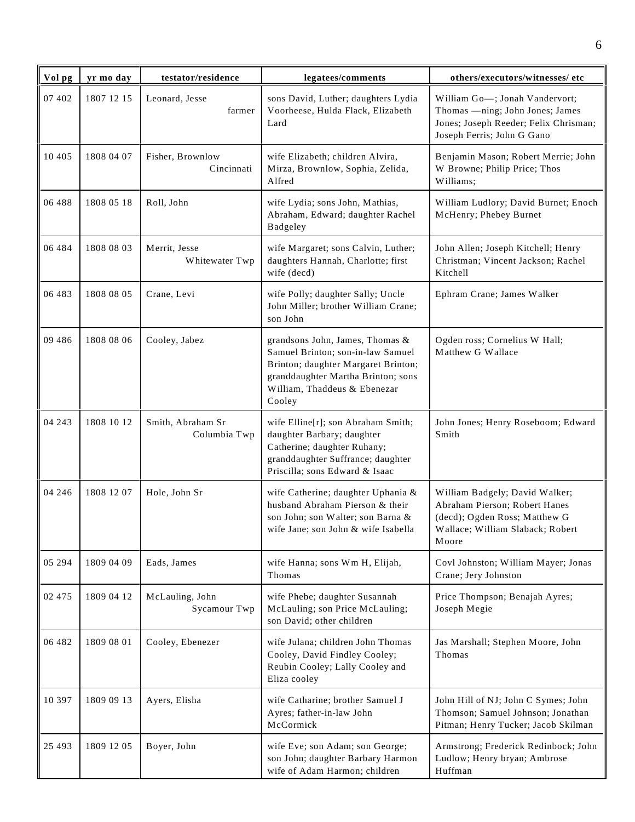| Vol pg  | yr mo day  | testator/residence                | legatees/comments                                                                                                                                                                           | others/executors/witnesses/ etc                                                                                                               |
|---------|------------|-----------------------------------|---------------------------------------------------------------------------------------------------------------------------------------------------------------------------------------------|-----------------------------------------------------------------------------------------------------------------------------------------------|
| 07 402  | 1807 12 15 | Leonard, Jesse<br>farmer          | sons David, Luther; daughters Lydia<br>Voorheese, Hulda Flack, Elizabeth<br>Lard                                                                                                            | William Go-; Jonah Vandervort;<br>Thomas - ning; John Jones; James<br>Jones; Joseph Reeder; Felix Chrisman;<br>Joseph Ferris; John G Gano     |
| 10 4 05 | 1808 04 07 | Fisher, Brownlow<br>Cincinnati    | wife Elizabeth; children Alvira,<br>Mirza, Brownlow, Sophia, Zelida,<br>Alfred                                                                                                              | Benjamin Mason; Robert Merrie; John<br>W Browne; Philip Price; Thos<br>Williams;                                                              |
| 06 488  | 1808 05 18 | Roll, John                        | wife Lydia; sons John, Mathias,<br>Abraham, Edward; daughter Rachel<br>Badgeley                                                                                                             | William Ludlory; David Burnet; Enoch<br>McHenry; Phebey Burnet                                                                                |
| 06 484  | 1808 08 03 | Merrit, Jesse<br>Whitewater Twp   | wife Margaret; sons Calvin, Luther;<br>daughters Hannah, Charlotte; first<br>wife (decd)                                                                                                    | John Allen; Joseph Kitchell; Henry<br>Christman; Vincent Jackson; Rachel<br>Kitchell                                                          |
| 06 483  | 1808 08 05 | Crane, Levi                       | wife Polly; daughter Sally; Uncle<br>John Miller; brother William Crane;<br>son John                                                                                                        | Ephram Crane; James Walker                                                                                                                    |
| 09 48 6 | 1808 08 06 | Cooley, Jabez                     | grandsons John, James, Thomas &<br>Samuel Brinton; son-in-law Samuel<br>Brinton; daughter Margaret Brinton;<br>granddaughter Martha Brinton; sons<br>William, Thaddeus & Ebenezar<br>Cooley | Ogden ross; Cornelius W Hall;<br>Matthew G Wallace                                                                                            |
| 04 243  | 1808 10 12 | Smith, Abraham Sr<br>Columbia Twp | wife Elline[r]; son Abraham Smith;<br>daughter Barbary; daughter<br>Catherine; daughter Ruhany;<br>granddaughter Suffrance; daughter<br>Priscilla; sons Edward & Isaac                      | John Jones; Henry Roseboom; Edward<br>Smith                                                                                                   |
| 04 24 6 | 1808 12 07 | Hole, John Sr                     | wife Catherine; daughter Uphania &<br>husband Abraham Pierson & their<br>son John; son Walter; son Barna &<br>wife Jane; son John & wife Isabella                                           | William Badgely; David Walker;<br>Abraham Pierson; Robert Hanes<br>(decd); Ogden Ross; Matthew G<br>Wallace; William Slaback; Robert<br>Moore |
| 05 294  | 1809 04 09 | Eads, James                       | wife Hanna; sons Wm H, Elijah,<br>Thomas                                                                                                                                                    | Covl Johnston; William Mayer; Jonas<br>Crane; Jery Johnston                                                                                   |
| 02 475  | 1809 04 12 | McLauling, John<br>Sycamour Twp   | wife Phebe; daughter Susannah<br>McLauling; son Price McLauling;<br>son David; other children                                                                                               | Price Thompson; Benajah Ayres;<br>Joseph Megie                                                                                                |
| 06 482  | 1809 08 01 | Cooley, Ebenezer                  | wife Julana; children John Thomas<br>Cooley, David Findley Cooley;<br>Reubin Cooley; Lally Cooley and<br>Eliza cooley                                                                       | Jas Marshall; Stephen Moore, John<br>Thomas                                                                                                   |
| 10 397  | 1809 09 13 | Ayers, Elisha                     | wife Catharine; brother Samuel J<br>Ayres; father-in-law John<br>McCormick                                                                                                                  | John Hill of NJ; John C Symes; John<br>Thomson; Samuel Johnson; Jonathan<br>Pitman; Henry Tucker; Jacob Skilman                               |
| 25 4 93 | 1809 12 05 | Boyer, John                       | wife Eve; son Adam; son George;<br>son John; daughter Barbary Harmon<br>wife of Adam Harmon; children                                                                                       | Armstrong; Frederick Redinbock; John<br>Ludlow; Henry bryan; Ambrose<br>Huffman                                                               |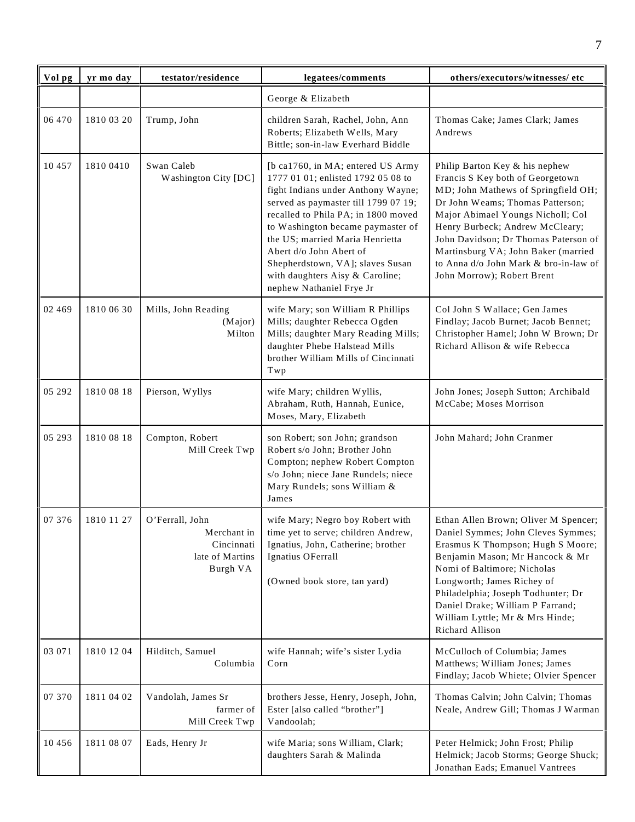| Vol pg   | yr mo day  | testator/residence                                                          | legatees/comments                                                                                                                                                                                                                                                                                                                                                                                   | others/executors/witnesses/ etc                                                                                                                                                                                                                                                                                                                                             |
|----------|------------|-----------------------------------------------------------------------------|-----------------------------------------------------------------------------------------------------------------------------------------------------------------------------------------------------------------------------------------------------------------------------------------------------------------------------------------------------------------------------------------------------|-----------------------------------------------------------------------------------------------------------------------------------------------------------------------------------------------------------------------------------------------------------------------------------------------------------------------------------------------------------------------------|
|          |            |                                                                             | George & Elizabeth                                                                                                                                                                                                                                                                                                                                                                                  |                                                                                                                                                                                                                                                                                                                                                                             |
| 06 470   | 1810 03 20 | Trump, John                                                                 | children Sarah, Rachel, John, Ann<br>Roberts; Elizabeth Wells, Mary<br>Bittle; son-in-law Everhard Biddle                                                                                                                                                                                                                                                                                           | Thomas Cake; James Clark; James<br>Andrews                                                                                                                                                                                                                                                                                                                                  |
| 10 457   | 1810 0410  | Swan Caleb<br>Washington City [DC]                                          | [b ca1760, in MA; entered US Army]<br>1777 01 01; enlisted 1792 05 08 to<br>fight Indians under Anthony Wayne;<br>served as paymaster till 1799 07 19;<br>recalled to Phila PA; in 1800 moved<br>to Washington became paymaster of<br>the US; married Maria Henrietta<br>Abert d/o John Abert of<br>Shepherdstown, VA]; slaves Susan<br>with daughters Aisy & Caroline;<br>nephew Nathaniel Frye Jr | Philip Barton Key & his nephew<br>Francis S Key both of Georgetown<br>MD; John Mathews of Springfield OH;<br>Dr John Weams; Thomas Patterson;<br>Major Abimael Youngs Nicholl; Col<br>Henry Burbeck; Andrew McCleary;<br>John Davidson; Dr Thomas Paterson of<br>Martinsburg VA; John Baker (married<br>to Anna d/o John Mark & bro-in-law of<br>John Morrow); Robert Brent |
| 02 4 6 9 | 1810 06 30 | Mills, John Reading<br>(Major)<br>Milton                                    | wife Mary; son William R Phillips<br>Mills; daughter Rebecca Ogden<br>Mills; daughter Mary Reading Mills;<br>daughter Phebe Halstead Mills<br>brother William Mills of Cincinnati<br>Twp                                                                                                                                                                                                            | Col John S Wallace; Gen James<br>Findlay; Jacob Burnet; Jacob Bennet;<br>Christopher Hamel; John W Brown; Dr<br>Richard Allison & wife Rebecca                                                                                                                                                                                                                              |
| 05 29 2  | 1810 08 18 | Pierson, Wyllys                                                             | wife Mary; children Wyllis,<br>Abraham, Ruth, Hannah, Eunice,<br>Moses, Mary, Elizabeth                                                                                                                                                                                                                                                                                                             | John Jones; Joseph Sutton; Archibald<br>McCabe; Moses Morrison                                                                                                                                                                                                                                                                                                              |
| 05 293   | 1810 08 18 | Compton, Robert<br>Mill Creek Twp                                           | son Robert; son John; grandson<br>Robert s/o John; Brother John<br>Compton; nephew Robert Compton<br>s/o John; niece Jane Rundels; niece<br>Mary Rundels; sons William &<br>James                                                                                                                                                                                                                   | John Mahard; John Cranmer                                                                                                                                                                                                                                                                                                                                                   |
| 07 376   | 1810 11 27 | O'Ferrall, John<br>Merchant in<br>Cincinnati<br>late of Martins<br>Burgh VA | wife Mary; Negro boy Robert with<br>time yet to serve; children Andrew,<br>Ignatius, John, Catherine; brother<br>Ignatius OFerrall<br>(Owned book store, tan yard)                                                                                                                                                                                                                                  | Ethan Allen Brown; Oliver M Spencer;<br>Daniel Symmes; John Cleves Symmes;<br>Erasmus K Thompson; Hugh S Moore;<br>Benjamin Mason; Mr Hancock & Mr<br>Nomi of Baltimore; Nicholas<br>Longworth; James Richey of<br>Philadelphia; Joseph Todhunter; Dr<br>Daniel Drake; William P Farrand;<br>William Lyttle; Mr & Mrs Hinde;<br>Richard Allison                             |
| 03 071   | 1810 12 04 | Hilditch, Samuel<br>Columbia                                                | wife Hannah; wife's sister Lydia<br>Corn                                                                                                                                                                                                                                                                                                                                                            | McCulloch of Columbia; James<br>Matthews; William Jones; James<br>Findlay; Jacob Whiete; Olvier Spencer                                                                                                                                                                                                                                                                     |
| 07 370   | 1811 04 02 | Vandolah, James Sr<br>farmer of<br>Mill Creek Twp                           | brothers Jesse, Henry, Joseph, John,<br>Ester [also called "brother"]<br>Vandoolah;                                                                                                                                                                                                                                                                                                                 | Thomas Calvin; John Calvin; Thomas<br>Neale, Andrew Gill; Thomas J Warman                                                                                                                                                                                                                                                                                                   |
| 10 4 5 6 | 1811 08 07 | Eads, Henry Jr                                                              | wife Maria; sons William, Clark;<br>daughters Sarah & Malinda                                                                                                                                                                                                                                                                                                                                       | Peter Helmick; John Frost; Philip<br>Helmick; Jacob Storms; George Shuck;<br>Jonathan Eads; Emanuel Vantrees                                                                                                                                                                                                                                                                |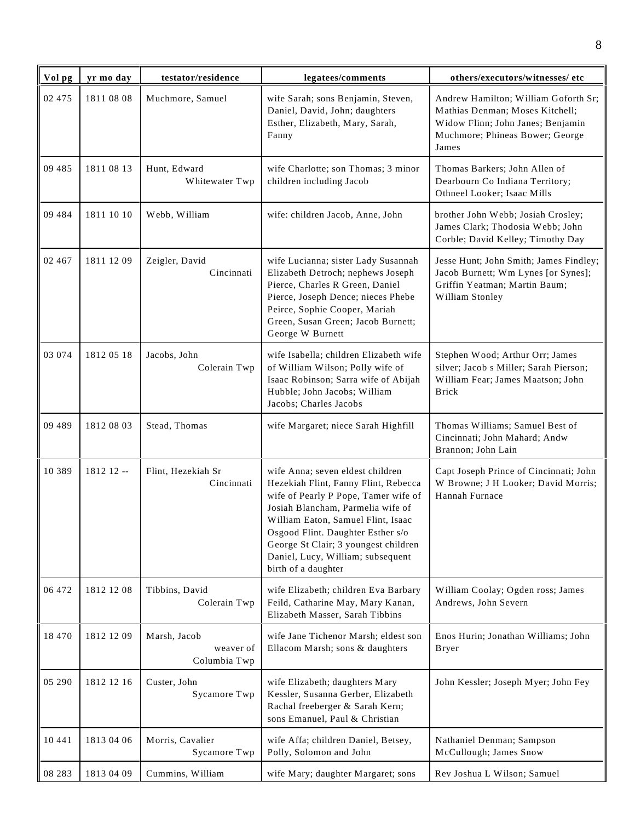| Vol pg  | yr mo day  | testator/residence                        | legatees/comments                                                                                                                                                                                                                                                                                                                    | others/executors/witnesses/ etc                                                                                                                          |
|---------|------------|-------------------------------------------|--------------------------------------------------------------------------------------------------------------------------------------------------------------------------------------------------------------------------------------------------------------------------------------------------------------------------------------|----------------------------------------------------------------------------------------------------------------------------------------------------------|
| 02 475  | 1811 08 08 | Muchmore, Samuel                          | wife Sarah; sons Benjamin, Steven,<br>Daniel, David, John; daughters<br>Esther, Elizabeth, Mary, Sarah,<br>Fanny                                                                                                                                                                                                                     | Andrew Hamilton; William Goforth Sr;<br>Mathias Denman; Moses Kitchell;<br>Widow Flinn; John Janes; Benjamin<br>Muchmore; Phineas Bower; George<br>James |
| 09 485  | 1811 08 13 | Hunt, Edward<br>Whitewater Twp            | wife Charlotte; son Thomas; 3 minor<br>children including Jacob                                                                                                                                                                                                                                                                      | Thomas Barkers; John Allen of<br>Dearbourn Co Indiana Territory;<br>Othneel Looker; Isaac Mills                                                          |
| 09 484  | 1811 10 10 | Webb, William                             | wife: children Jacob, Anne, John                                                                                                                                                                                                                                                                                                     | brother John Webb; Josiah Crosley;<br>James Clark; Thodosia Webb; John<br>Corble; David Kelley; Timothy Day                                              |
| 02 467  | 1811 12 09 | Zeigler, David<br>Cincinnati              | wife Lucianna; sister Lady Susannah<br>Elizabeth Detroch; nephews Joseph<br>Pierce, Charles R Green, Daniel<br>Pierce, Joseph Dence; nieces Phebe<br>Peirce, Sophie Cooper, Mariah<br>Green, Susan Green; Jacob Burnett;<br>George W Burnett                                                                                         | Jesse Hunt; John Smith; James Findley;<br>Jacob Burnett; Wm Lynes [or Synes];<br>Griffin Yeatman; Martin Baum;<br>William Stonley                        |
| 03 074  | 1812 05 18 | Jacobs, John<br>Colerain Twp              | wife Isabella; children Elizabeth wife<br>of William Wilson; Polly wife of<br>Isaac Robinson; Sarra wife of Abijah<br>Hubble; John Jacobs; William<br>Jacobs; Charles Jacobs                                                                                                                                                         | Stephen Wood; Arthur Orr; James<br>silver; Jacob s Miller; Sarah Pierson;<br>William Fear; James Maatson; John<br><b>Brick</b>                           |
| 09 489  | 1812 08 03 | Stead, Thomas                             | wife Margaret; niece Sarah Highfill                                                                                                                                                                                                                                                                                                  | Thomas Williams; Samuel Best of<br>Cincinnati; John Mahard; Andw<br>Brannon; John Lain                                                                   |
| 10 389  | 1812 12 -- | Flint, Hezekiah Sr<br>Cincinnati          | wife Anna; seven eldest children<br>Hezekiah Flint, Fanny Flint, Rebecca<br>wife of Pearly P Pope, Tamer wife of<br>Josiah Blancham, Parmelia wife of<br>William Eaton, Samuel Flint, Isaac<br>Osgood Flint. Daughter Esther s/o<br>George St Clair; 3 youngest children<br>Daniel, Lucy, William; subsequent<br>birth of a daughter | Capt Joseph Prince of Cincinnati; John<br>W Browne; J H Looker; David Morris;<br>Hannah Furnace                                                          |
| 06 472  | 1812 12 08 | Tibbins, David<br>Colerain Twp            | wife Elizabeth; children Eva Barbary<br>Feild, Catharine May, Mary Kanan,<br>Elizabeth Masser, Sarah Tibbins                                                                                                                                                                                                                         | William Coolay; Ogden ross; James<br>Andrews, John Severn                                                                                                |
| 18 470  | 1812 12 09 | Marsh, Jacob<br>weaver of<br>Columbia Twp | wife Jane Tichenor Marsh; eldest son<br>Ellacom Marsh; sons & daughters                                                                                                                                                                                                                                                              | Enos Hurin; Jonathan Williams; John<br><b>Bryer</b>                                                                                                      |
| 05 290  | 1812 12 16 | Custer, John<br>Sycamore Twp              | wife Elizabeth; daughters Mary<br>Kessler, Susanna Gerber, Elizabeth<br>Rachal freeberger & Sarah Kern;<br>sons Emanuel, Paul & Christian                                                                                                                                                                                            | John Kessler; Joseph Myer; John Fey                                                                                                                      |
| 10 441  | 1813 04 06 | Morris, Cavalier<br>Sycamore Twp          | wife Affa; children Daniel, Betsey,<br>Polly, Solomon and John                                                                                                                                                                                                                                                                       | Nathaniel Denman; Sampson<br>McCullough; James Snow                                                                                                      |
| 08 28 3 | 1813 04 09 | Cummins, William                          | wife Mary; daughter Margaret; sons                                                                                                                                                                                                                                                                                                   | Rev Joshua L Wilson; Samuel                                                                                                                              |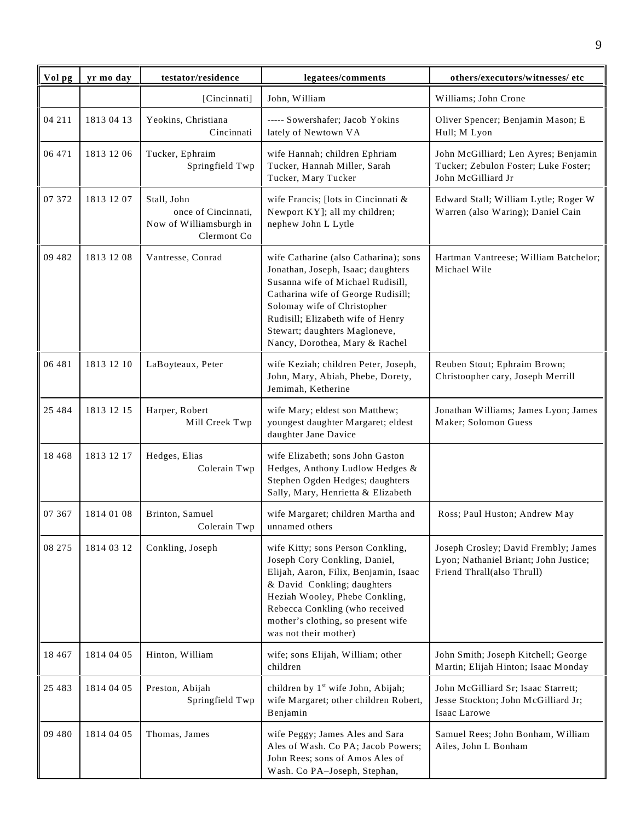| Vol pg   | yr mo day  | testator/residence                                                           | legatees/comments                                                                                                                                                                                                                                                                             | others/executors/witnesses/ etc                                                                             |
|----------|------------|------------------------------------------------------------------------------|-----------------------------------------------------------------------------------------------------------------------------------------------------------------------------------------------------------------------------------------------------------------------------------------------|-------------------------------------------------------------------------------------------------------------|
|          |            | [Cincinnati]                                                                 | John, William                                                                                                                                                                                                                                                                                 | Williams; John Crone                                                                                        |
| 04 211   | 1813 04 13 | Yeokins, Christiana<br>Cincinnati                                            | ----- Sowershafer; Jacob Yokins<br>lately of Newtown VA                                                                                                                                                                                                                                       | Oliver Spencer; Benjamin Mason; E<br>Hull; M Lyon                                                           |
| 06 471   | 1813 12 06 | Tucker, Ephraim<br>Springfield Twp                                           | wife Hannah; children Ephriam<br>Tucker, Hannah Miller, Sarah<br>Tucker, Mary Tucker                                                                                                                                                                                                          | John McGilliard; Len Ayres; Benjamin<br>Tucker; Zebulon Foster; Luke Foster;<br>John McGilliard Jr          |
| 07 372   | 1813 12 07 | Stall, John<br>once of Cincinnati,<br>Now of Williamsburgh in<br>Clermont Co | wife Francis; [lots in Cincinnati &<br>Newport KY]; all my children;<br>nephew John L Lytle                                                                                                                                                                                                   | Edward Stall; William Lytle; Roger W<br>Warren (also Waring); Daniel Cain                                   |
| 09 482   | 1813 12 08 | Vantresse, Conrad                                                            | wife Catharine (also Catharina); sons<br>Jonathan, Joseph, Isaac; daughters<br>Susanna wife of Michael Rudisill,<br>Catharina wife of George Rudisill;<br>Solomay wife of Christopher<br>Rudisill; Elizabeth wife of Henry<br>Stewart; daughters Magloneve,<br>Nancy, Dorothea, Mary & Rachel | Hartman Vantreese; William Batchelor;<br>Michael Wile                                                       |
| 06 481   | 1813 12 10 | LaBoyteaux, Peter                                                            | wife Keziah; children Peter, Joseph,<br>John, Mary, Abiah, Phebe, Dorety,<br>Jemimah, Ketherine                                                                                                                                                                                               | Reuben Stout; Ephraim Brown;<br>Christoopher cary, Joseph Merrill                                           |
| 25 4 8 4 | 1813 12 15 | Harper, Robert<br>Mill Creek Twp                                             | wife Mary; eldest son Matthew;<br>youngest daughter Margaret; eldest<br>daughter Jane Davice                                                                                                                                                                                                  | Jonathan Williams; James Lyon; James<br>Maker; Solomon Guess                                                |
| 18 4 68  | 1813 12 17 | Hedges, Elias<br>Colerain Twp                                                | wife Elizabeth; sons John Gaston<br>Hedges, Anthony Ludlow Hedges &<br>Stephen Ogden Hedges; daughters<br>Sally, Mary, Henrietta & Elizabeth                                                                                                                                                  |                                                                                                             |
| 07 367   | 1814 01 08 | Brinton, Samuel<br>Colerain Twp                                              | wife Margaret; children Martha and<br>unnamed others                                                                                                                                                                                                                                          | Ross; Paul Huston; Andrew May                                                                               |
| 08 275   | 1814 03 12 | Conkling, Joseph                                                             | wife Kitty; sons Person Conkling,<br>Joseph Cory Conkling, Daniel,<br>Elijah, Aaron, Filix, Benjamin, Isaac<br>& David Conkling; daughters<br>Heziah Wooley, Phebe Conkling,<br>Rebecca Conkling (who received<br>mother's clothing, so present wife<br>was not their mother)                 | Joseph Crosley; David Frembly; James<br>Lyon; Nathaniel Briant; John Justice;<br>Friend Thrall(also Thrull) |
| 18 4 6 7 | 1814 04 05 | Hinton, William                                                              | wife; sons Elijah, William; other<br>children                                                                                                                                                                                                                                                 | John Smith; Joseph Kitchell; George<br>Martin; Elijah Hinton; Isaac Monday                                  |
| 25 4 8 3 | 1814 04 05 | Preston, Abijah<br>Springfield Twp                                           | children by 1 <sup>st</sup> wife John, Abijah;<br>wife Margaret; other children Robert,<br>Benjamin                                                                                                                                                                                           | John McGilliard Sr; Isaac Starrett;<br>Jesse Stockton; John McGilliard Jr;<br>Isaac Larowe                  |
| 09 480   | 1814 04 05 | Thomas, James                                                                | wife Peggy; James Ales and Sara<br>Ales of Wash. Co PA; Jacob Powers;<br>John Rees; sons of Amos Ales of<br>Wash. Co PA-Joseph, Stephan,                                                                                                                                                      | Samuel Rees; John Bonham, William<br>Ailes, John L Bonham                                                   |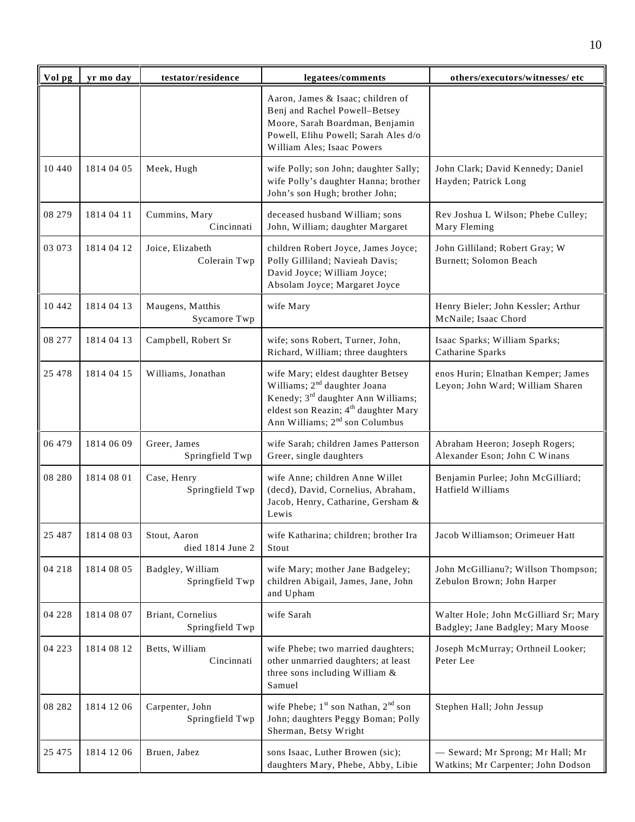| Vol pg   | yr mo day  | testator/residence                   | legatees/comments                                                                                                                                                                                                                 | others/executors/witnesses/ etc                                            |
|----------|------------|--------------------------------------|-----------------------------------------------------------------------------------------------------------------------------------------------------------------------------------------------------------------------------------|----------------------------------------------------------------------------|
|          |            |                                      | Aaron, James & Isaac; children of<br>Benj and Rachel Powell-Betsey<br>Moore, Sarah Boardman, Benjamin<br>Powell, Elihu Powell; Sarah Ales d/o<br>William Ales; Isaac Powers                                                       |                                                                            |
| 10 440   | 1814 04 05 | Meek, Hugh                           | wife Polly; son John; daughter Sally;<br>wife Polly's daughter Hanna; brother<br>John's son Hugh; brother John;                                                                                                                   | John Clark; David Kennedy; Daniel<br>Hayden; Patrick Long                  |
| 08 279   | 1814 04 11 | Cummins, Mary<br>Cincinnati          | deceased husband William; sons<br>John, William; daughter Margaret                                                                                                                                                                | Rev Joshua L Wilson; Phebe Culley;<br>Mary Fleming                         |
| 03 073   | 1814 04 12 | Joice, Elizabeth<br>Colerain Twp     | children Robert Joyce, James Joyce;<br>Polly Gilliland; Navieah Davis;<br>David Joyce; William Joyce;<br>Absolam Joyce; Margaret Joyce                                                                                            | John Gilliland; Robert Gray; W<br>Burnett; Solomon Beach                   |
| 10 442   | 1814 04 13 | Maugens, Matthis<br>Sycamore Twp     | wife Mary                                                                                                                                                                                                                         | Henry Bieler; John Kessler; Arthur<br>McNaile; Isaac Chord                 |
| 08 277   | 1814 04 13 | Campbell, Robert Sr                  | wife; sons Robert, Turner, John,<br>Richard, William; three daughters                                                                                                                                                             | Isaac Sparks; William Sparks;<br>Catharine Sparks                          |
| 25 4 7 8 | 1814 04 15 | Williams, Jonathan                   | wife Mary; eldest daughter Betsey<br>Williams; 2 <sup>nd</sup> daughter Joana<br>Kenedy; 3 <sup>rd</sup> daughter Ann Williams;<br>eldest son Reazin; 4 <sup>th</sup> daughter Mary<br>Ann Williams; 2 <sup>nd</sup> son Columbus | enos Hurin; Elnathan Kemper; James<br>Leyon; John Ward; William Sharen     |
| 06 479   | 1814 06 09 | Greer, James<br>Springfield Twp      | wife Sarah; children James Patterson<br>Greer, single daughters                                                                                                                                                                   | Abraham Heeron; Joseph Rogers;<br>Alexander Eson; John C Winans            |
| 08 280   | 1814 08 01 | Case, Henry<br>Springfield Twp       | wife Anne; children Anne Willet<br>(decd), David, Cornelius, Abraham,<br>Jacob, Henry, Catharine, Gersham &<br>Lewis                                                                                                              | Benjamin Purlee; John McGilliard;<br>Hatfield Williams                     |
| 25 487   | 1814 08 03 | Stout, Aaron<br>died 1814 June 2     | wife Katharina; children; brother Ira<br>Stout                                                                                                                                                                                    | Jacob Williamson; Orimeuer Hatt                                            |
| 04 218   | 1814 08 05 | Badgley, William<br>Springfield Twp  | wife Mary; mother Jane Badgeley;<br>children Abigail, James, Jane, John<br>and Upham                                                                                                                                              | John McGillianu?; Willson Thompson;<br>Zebulon Brown; John Harper          |
| 04 228   | 1814 08 07 | Briant, Cornelius<br>Springfield Twp | wife Sarah                                                                                                                                                                                                                        | Walter Hole; John McGilliard Sr; Mary<br>Badgley; Jane Badgley; Mary Moose |
| 04 223   | 1814 08 12 | Betts, William<br>Cincinnati         | wife Phebe; two married daughters;<br>other unmarried daughters; at least<br>three sons including William &<br>Samuel                                                                                                             | Joseph McMurray; Orthneil Looker;<br>Peter Lee                             |
| 08 28 2  | 1814 12 06 | Carpenter, John<br>Springfield Twp   | wife Phebe; $1^{st}$ son Nathan, $2^{nd}$ son<br>John; daughters Peggy Boman; Polly<br>Sherman, Betsy Wright                                                                                                                      | Stephen Hall; John Jessup                                                  |
| 25 4 7 5 | 1814 12 06 | Bruen, Jabez                         | sons Isaac, Luther Browen (sic);<br>daughters Mary, Phebe, Abby, Libie                                                                                                                                                            | - Seward; Mr Sprong; Mr Hall; Mr<br>Watkins; Mr Carpenter; John Dodson     |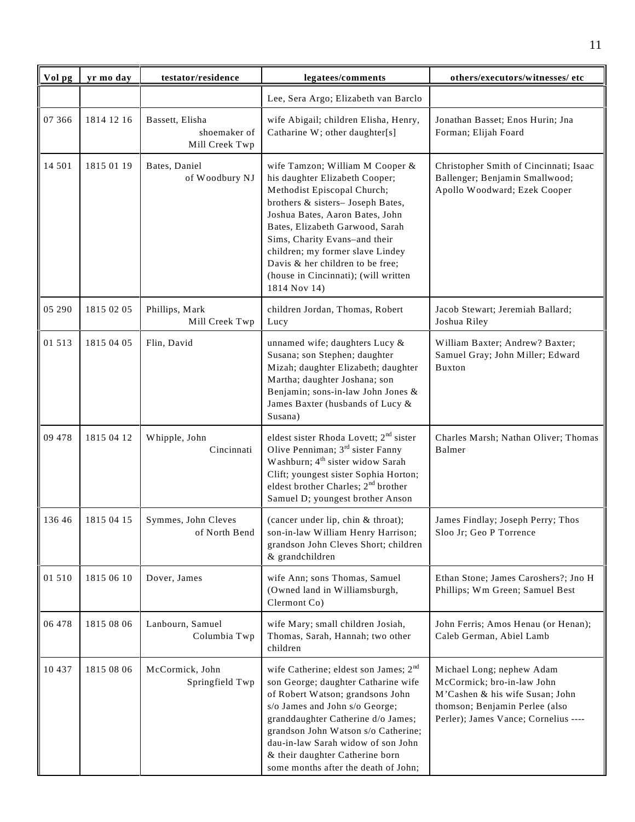| Vol pg | yr mo day  | testator/residence                                | legatees/comments                                                                                                                                                                                                                                                                                                                                                           | others/executors/witnesses/etc                                                                                                                                       |
|--------|------------|---------------------------------------------------|-----------------------------------------------------------------------------------------------------------------------------------------------------------------------------------------------------------------------------------------------------------------------------------------------------------------------------------------------------------------------------|----------------------------------------------------------------------------------------------------------------------------------------------------------------------|
|        |            |                                                   | Lee, Sera Argo; Elizabeth van Barclo                                                                                                                                                                                                                                                                                                                                        |                                                                                                                                                                      |
| 07 366 | 1814 12 16 | Bassett, Elisha<br>shoemaker of<br>Mill Creek Twp | wife Abigail; children Elisha, Henry,<br>Catharine W; other daughter[s]                                                                                                                                                                                                                                                                                                     | Jonathan Basset; Enos Hurin; Jna<br>Forman; Elijah Foard                                                                                                             |
| 14 501 | 1815 01 19 | Bates, Daniel<br>of Woodbury NJ                   | wife Tamzon; William M Cooper &<br>his daughter Elizabeth Cooper;<br>Methodist Episcopal Church;<br>brothers & sisters-Joseph Bates,<br>Joshua Bates, Aaron Bates, John<br>Bates, Elizabeth Garwood, Sarah<br>Sims, Charity Evans-and their<br>children; my former slave Lindey<br>Davis & her children to be free;<br>(house in Cincinnati); (will written<br>1814 Nov 14) | Christopher Smith of Cincinnati; Isaac<br>Ballenger; Benjamin Smallwood;<br>Apollo Woodward; Ezek Cooper                                                             |
| 05 290 | 1815 02 05 | Phillips, Mark<br>Mill Creek Twp                  | children Jordan, Thomas, Robert<br>Lucy                                                                                                                                                                                                                                                                                                                                     | Jacob Stewart; Jeremiah Ballard;<br>Joshua Riley                                                                                                                     |
| 01 513 | 1815 04 05 | Flin, David                                       | unnamed wife; daughters Lucy &<br>Susana; son Stephen; daughter<br>Mizah; daughter Elizabeth; daughter<br>Martha; daughter Joshana; son<br>Benjamin; sons-in-law John Jones &<br>James Baxter (husbands of Lucy &<br>Susana)                                                                                                                                                | William Baxter; Andrew? Baxter;<br>Samuel Gray; John Miller; Edward<br><b>Buxton</b>                                                                                 |
| 09 478 | 1815 04 12 | Whipple, John<br>Cincinnati                       | eldest sister Rhoda Lovett; 2 <sup>nd</sup> sister<br>Olive Penniman; 3 <sup>rd</sup> sister Fanny<br>Washburn; 4 <sup>th</sup> sister widow Sarah<br>Clift; youngest sister Sophia Horton;<br>eldest brother Charles; 2 <sup>nd</sup> brother<br>Samuel D; youngest brother Anson                                                                                          | Charles Marsh; Nathan Oliver; Thomas<br>Balmer                                                                                                                       |
| 136 46 | 1815 04 15 | Symmes, John Cleves<br>of North Bend              | (cancer under lip, chin & throat);<br>son-in-law William Henry Harrison;<br>grandson John Cleves Short; children<br>& grandchildren                                                                                                                                                                                                                                         | James Findlay; Joseph Perry; Thos<br>Sloo Jr; Geo P Torrence                                                                                                         |
| 01 510 | 1815 06 10 | Dover, James                                      | wife Ann; sons Thomas, Samuel<br>(Owned land in Williamsburgh,<br>Clermont Co)                                                                                                                                                                                                                                                                                              | Ethan Stone; James Caroshers?; Jno H<br>Phillips; Wm Green; Samuel Best                                                                                              |
| 06 478 | 1815 08 06 | Lanbourn, Samuel<br>Columbia Twp                  | wife Mary; small children Josiah,<br>Thomas, Sarah, Hannah; two other<br>children                                                                                                                                                                                                                                                                                           | John Ferris; Amos Henau (or Henan);<br>Caleb German, Abiel Lamb                                                                                                      |
| 10 437 | 1815 08 06 | McCormick, John<br>Springfield Twp                | wife Catherine; eldest son James; 2 <sup>nd</sup><br>son George; daughter Catharine wife<br>of Robert Watson; grandsons John<br>s/o James and John s/o George;<br>granddaughter Catherine d/o James;<br>grandson John Watson s/o Catherine;<br>dau-in-law Sarah widow of son John<br>& their daughter Catherine born<br>some months after the death of John;                | Michael Long; nephew Adam<br>McCormick; bro-in-law John<br>M'Cashen & his wife Susan; John<br>thomson; Benjamin Perlee (also<br>Perler); James Vance; Cornelius ---- |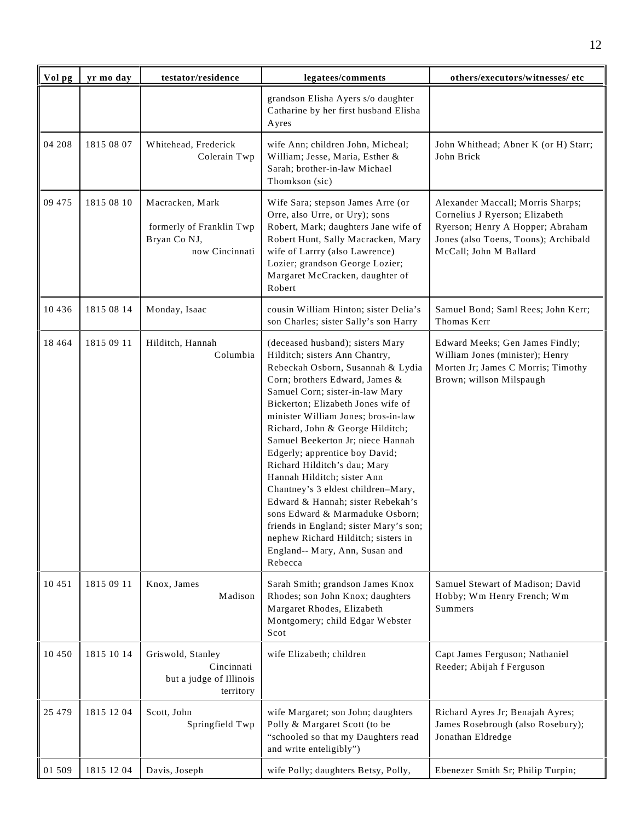| Vol pg   | yr mo day  | testator/residence                                                            | legatees/comments                                                                                                                                                                                                                                                                                                                                                                                                                                                                                                                                                                                                                                                               | others/executors/witnesses/ etc                                                                                                                                           |
|----------|------------|-------------------------------------------------------------------------------|---------------------------------------------------------------------------------------------------------------------------------------------------------------------------------------------------------------------------------------------------------------------------------------------------------------------------------------------------------------------------------------------------------------------------------------------------------------------------------------------------------------------------------------------------------------------------------------------------------------------------------------------------------------------------------|---------------------------------------------------------------------------------------------------------------------------------------------------------------------------|
|          |            |                                                                               | grandson Elisha Ayers s/o daughter<br>Catharine by her first husband Elisha<br>Ayres                                                                                                                                                                                                                                                                                                                                                                                                                                                                                                                                                                                            |                                                                                                                                                                           |
| 04 208   | 1815 08 07 | Whitehead, Frederick<br>Colerain Twp                                          | wife Ann; children John, Micheal;<br>William; Jesse, Maria, Esther &<br>Sarah; brother-in-law Michael<br>Thomkson (sic)                                                                                                                                                                                                                                                                                                                                                                                                                                                                                                                                                         | John Whithead; Abner K (or H) Starr;<br>John Brick                                                                                                                        |
| 09 475   | 1815 08 10 | Macracken, Mark<br>formerly of Franklin Twp<br>Bryan Co NJ,<br>now Cincinnati | Wife Sara; stepson James Arre (or<br>Orre, also Urre, or Ury); sons<br>Robert, Mark; daughters Jane wife of<br>Robert Hunt, Sally Macracken, Mary<br>wife of Larrry (also Lawrence)<br>Lozier; grandson George Lozier;<br>Margaret McCracken, daughter of<br>Robert                                                                                                                                                                                                                                                                                                                                                                                                             | Alexander Maccall; Morris Sharps;<br>Cornelius J Ryerson; Elizabeth<br>Ryerson; Henry A Hopper; Abraham<br>Jones (also Toens, Toons); Archibald<br>McCall; John M Ballard |
| 10 4 36  | 1815 08 14 | Monday, Isaac                                                                 | cousin William Hinton; sister Delia's<br>son Charles; sister Sally's son Harry                                                                                                                                                                                                                                                                                                                                                                                                                                                                                                                                                                                                  | Samuel Bond; Saml Rees; John Kerr;<br>Thomas Kerr                                                                                                                         |
| 18 4 6 4 | 1815 09 11 | Hilditch, Hannah<br>Columbia                                                  | (deceased husband); sisters Mary<br>Hilditch; sisters Ann Chantry,<br>Rebeckah Osborn, Susannah & Lydia<br>Corn; brothers Edward, James &<br>Samuel Corn; sister-in-law Mary<br>Bickerton; Elizabeth Jones wife of<br>minister William Jones; bros-in-law<br>Richard, John & George Hilditch;<br>Samuel Beekerton Jr; niece Hannah<br>Edgerly; apprentice boy David;<br>Richard Hilditch's dau; Mary<br>Hannah Hilditch; sister Ann<br>Chantney's 3 eldest children-Mary,<br>Edward & Hannah; sister Rebekah's<br>sons Edward & Marmaduke Osborn;<br>friends in England; sister Mary's son;<br>nephew Richard Hilditch; sisters in<br>England-- Mary, Ann, Susan and<br>Rebecca | Edward Meeks; Gen James Findly;<br>William Jones (minister); Henry<br>Morten Jr; James C Morris; Timothy<br>Brown; willson Milspaugh                                      |
| 10 451   | 1815 09 11 | Knox, James<br>Madison                                                        | Sarah Smith; grandson James Knox<br>Rhodes; son John Knox; daughters<br>Margaret Rhodes, Elizabeth<br>Montgomery; child Edgar Webster<br>Scot                                                                                                                                                                                                                                                                                                                                                                                                                                                                                                                                   | Samuel Stewart of Madison; David<br>Hobby; Wm Henry French; Wm<br><b>Summers</b>                                                                                          |
| 10 450   | 1815 10 14 | Griswold, Stanley<br>Cincinnati<br>but a judge of Illinois<br>territory       | wife Elizabeth; children                                                                                                                                                                                                                                                                                                                                                                                                                                                                                                                                                                                                                                                        | Capt James Ferguson; Nathaniel<br>Reeder; Abijah f Ferguson                                                                                                               |
| 25 4 7 9 | 1815 12 04 | Scott, John<br>Springfield Twp                                                | wife Margaret; son John; daughters<br>Polly & Margaret Scott (to be<br>"schooled so that my Daughters read<br>and write enteligibly")                                                                                                                                                                                                                                                                                                                                                                                                                                                                                                                                           | Richard Ayres Jr; Benajah Ayres;<br>James Rosebrough (also Rosebury);<br>Jonathan Eldredge                                                                                |
| 01 509   | 1815 12 04 | Davis, Joseph                                                                 | wife Polly; daughters Betsy, Polly,                                                                                                                                                                                                                                                                                                                                                                                                                                                                                                                                                                                                                                             | Ebenezer Smith Sr; Philip Turpin;                                                                                                                                         |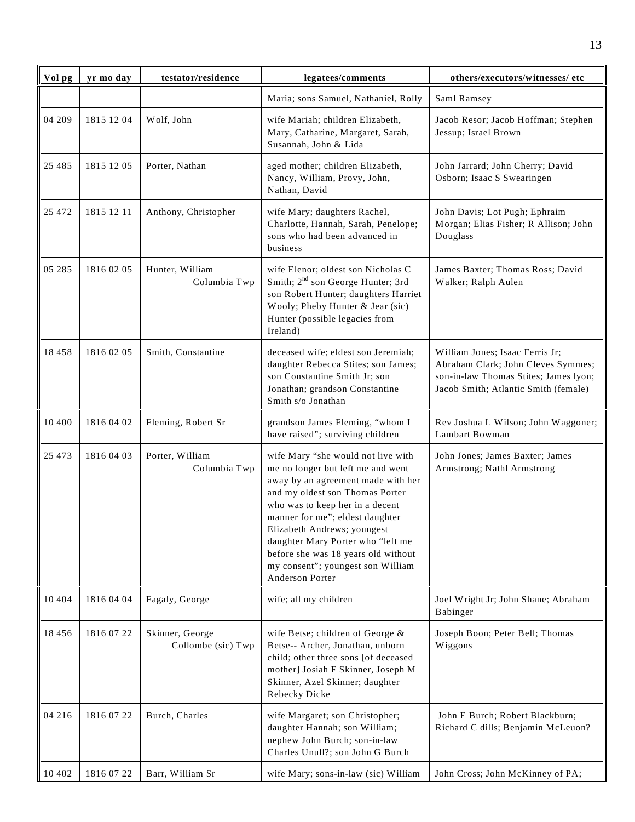| Vol pg   | yr mo day  | testator/residence                    | legatees/comments                                                                                                                                                                                                                                                                                                                                                                         | others/executors/witnesses/ etc                                                                                                                        |
|----------|------------|---------------------------------------|-------------------------------------------------------------------------------------------------------------------------------------------------------------------------------------------------------------------------------------------------------------------------------------------------------------------------------------------------------------------------------------------|--------------------------------------------------------------------------------------------------------------------------------------------------------|
|          |            |                                       | Maria; sons Samuel, Nathaniel, Rolly                                                                                                                                                                                                                                                                                                                                                      | Saml Ramsey                                                                                                                                            |
| 04 209   | 1815 12 04 | Wolf, John                            | wife Mariah; children Elizabeth,<br>Mary, Catharine, Margaret, Sarah,<br>Susannah, John & Lida                                                                                                                                                                                                                                                                                            | Jacob Resor; Jacob Hoffman; Stephen<br>Jessup; Israel Brown                                                                                            |
| 25 4 8 5 | 1815 12 05 | Porter, Nathan                        | aged mother; children Elizabeth,<br>Nancy, William, Provy, John,<br>Nathan, David                                                                                                                                                                                                                                                                                                         | John Jarrard; John Cherry; David<br>Osborn; Isaac S Swearingen                                                                                         |
| 25 472   | 1815 12 11 | Anthony, Christopher                  | wife Mary; daughters Rachel,<br>Charlotte, Hannah, Sarah, Penelope;<br>sons who had been advanced in<br>business                                                                                                                                                                                                                                                                          | John Davis; Lot Pugh; Ephraim<br>Morgan; Elias Fisher; R Allison; John<br>Douglass                                                                     |
| 05 285   | 1816 02 05 | Hunter, William<br>Columbia Twp       | wife Elenor; oldest son Nicholas C<br>Smith; 2 <sup>nd</sup> son George Hunter; 3rd<br>son Robert Hunter; daughters Harriet<br>Wooly; Pheby Hunter & Jear (sic)<br>Hunter (possible legacies from<br>Ireland)                                                                                                                                                                             | James Baxter; Thomas Ross; David<br>Walker; Ralph Aulen                                                                                                |
| 18 458   | 1816 02 05 | Smith, Constantine                    | deceased wife; eldest son Jeremiah;<br>daughter Rebecca Stites; son James;<br>son Constantine Smith Jr; son<br>Jonathan; grandson Constantine<br>Smith s/o Jonathan                                                                                                                                                                                                                       | William Jones; Isaac Ferris Jr;<br>Abraham Clark; John Cleves Symmes;<br>son-in-law Thomas Stites; James lyon;<br>Jacob Smith; Atlantic Smith (female) |
| 10 400   | 1816 04 02 | Fleming, Robert Sr                    | grandson James Fleming, "whom I<br>have raised"; surviving children                                                                                                                                                                                                                                                                                                                       | Rev Joshua L Wilson; John Waggoner;<br>Lambart Bowman                                                                                                  |
| 25 4 73  | 1816 04 03 | Porter, William<br>Columbia Twp       | wife Mary "she would not live with<br>me no longer but left me and went<br>away by an agreement made with her<br>and my oldest son Thomas Porter<br>who was to keep her in a decent<br>manner for me"; eldest daughter<br>Elizabeth Andrews; youngest<br>daughter Mary Porter who "left me<br>before she was 18 years old without<br>my consent"; youngest son William<br>Anderson Porter | John Jones; James Baxter; James<br>Armstrong; Nathl Armstrong                                                                                          |
| 10 404   | 1816 04 04 | Fagaly, George                        | wife; all my children                                                                                                                                                                                                                                                                                                                                                                     | Joel Wright Jr; John Shane; Abraham<br>Babinger                                                                                                        |
| 18 4 5 6 | 1816 07 22 | Skinner, George<br>Collombe (sic) Twp | wife Betse; children of George &<br>Betse-- Archer, Jonathan, unborn<br>child; other three sons [of deceased<br>mother] Josiah F Skinner, Joseph M<br>Skinner, Azel Skinner; daughter<br>Rebecky Dicke                                                                                                                                                                                    | Joseph Boon; Peter Bell; Thomas<br>Wiggons                                                                                                             |
| 04 216   | 1816 07 22 | Burch, Charles                        | wife Margaret; son Christopher;<br>daughter Hannah; son William;<br>nephew John Burch; son-in-law<br>Charles Unull?; son John G Burch                                                                                                                                                                                                                                                     | John E Burch; Robert Blackburn;<br>Richard C dills; Benjamin McLeuon?                                                                                  |
| 10 402   | 1816 07 22 | Barr, William Sr                      | wife Mary; sons-in-law (sic) William                                                                                                                                                                                                                                                                                                                                                      | John Cross; John McKinney of PA;                                                                                                                       |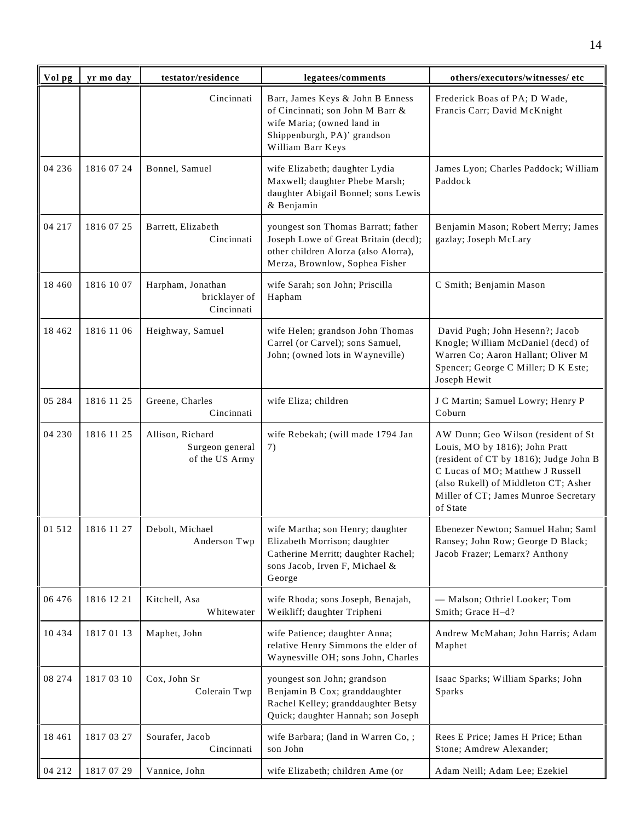| Vol pg   | yr mo day  | testator/residence                                    | legatees/comments                                                                                                                                      | others/executors/witnesses/etc                                                                                                                                                                                                                  |
|----------|------------|-------------------------------------------------------|--------------------------------------------------------------------------------------------------------------------------------------------------------|-------------------------------------------------------------------------------------------------------------------------------------------------------------------------------------------------------------------------------------------------|
|          |            | Cincinnati                                            | Barr, James Keys & John B Enness<br>of Cincinnati; son John M Barr &<br>wife Maria; (owned land in<br>Shippenburgh, PA)' grandson<br>William Barr Keys | Frederick Boas of PA; D Wade,<br>Francis Carr; David McKnight                                                                                                                                                                                   |
| 04 236   | 1816 07 24 | Bonnel, Samuel                                        | wife Elizabeth; daughter Lydia<br>Maxwell; daughter Phebe Marsh;<br>daughter Abigail Bonnel; sons Lewis<br>& Benjamin                                  | James Lyon; Charles Paddock; William<br>Paddock                                                                                                                                                                                                 |
| 04 217   | 1816 07 25 | Barrett, Elizabeth<br>Cincinnati                      | youngest son Thomas Barratt; father<br>Joseph Lowe of Great Britain (decd);<br>other children Alorza (also Alorra),<br>Merza, Brownlow, Sophea Fisher  | Benjamin Mason; Robert Merry; James<br>gazlay; Joseph McLary                                                                                                                                                                                    |
| 18 4 6 0 | 1816 10 07 | Harpham, Jonathan<br>bricklayer of<br>Cincinnati      | wife Sarah; son John; Priscilla<br>Hapham                                                                                                              | C Smith; Benjamin Mason                                                                                                                                                                                                                         |
| 18 4 6 2 | 1816 11 06 | Heighway, Samuel                                      | wife Helen; grandson John Thomas<br>Carrel (or Carvel); sons Samuel,<br>John; (owned lots in Wayneville)                                               | David Pugh; John Hesenn?; Jacob<br>Knogle; William McDaniel (decd) of<br>Warren Co; Aaron Hallant; Oliver M<br>Spencer; George C Miller; D K Este;<br>Joseph Hewit                                                                              |
| 05 284   | 1816 11 25 | Greene, Charles<br>Cincinnati                         | wife Eliza; children                                                                                                                                   | J C Martin; Samuel Lowry; Henry P<br>Coburn                                                                                                                                                                                                     |
| 04 230   | 1816 11 25 | Allison, Richard<br>Surgeon general<br>of the US Army | wife Rebekah; (will made 1794 Jan<br>7)                                                                                                                | AW Dunn; Geo Wilson (resident of St<br>Louis, MO by 1816); John Pratt<br>(resident of CT by 1816); Judge John B<br>C Lucas of MO; Matthew J Russell<br>(also Rukell) of Middleton CT; Asher<br>Miller of CT; James Munroe Secretary<br>of State |
| 01 512   | 1816 11 27 | Debolt, Michael<br>Anderson Twp                       | wife Martha; son Henry; daughter<br>Elizabeth Morrison; daughter<br>Catherine Merritt; daughter Rachel;<br>sons Jacob, Irven F, Michael &<br>George    | Ebenezer Newton; Samuel Hahn; Saml<br>Ransey; John Row; George D Black;<br>Jacob Frazer; Lemarx? Anthony                                                                                                                                        |
| 06 476   | 1816 12 21 | Kitchell, Asa<br>Whitewater                           | wife Rhoda; sons Joseph, Benajah,<br>Weikliff; daughter Tripheni                                                                                       | - Malson; Othriel Looker; Tom<br>Smith; Grace H-d?                                                                                                                                                                                              |
| 10 4 3 4 | 18170113   | Maphet, John                                          | wife Patience; daughter Anna;<br>relative Henry Simmons the elder of<br>Waynesville OH; sons John, Charles                                             | Andrew McMahan; John Harris; Adam<br>Maphet                                                                                                                                                                                                     |
| 08 274   | 1817 03 10 | Cox, John Sr<br>Colerain Twp                          | youngest son John; grandson<br>Benjamin B Cox; granddaughter<br>Rachel Kelley; granddaughter Betsy<br>Quick; daughter Hannah; son Joseph               | Isaac Sparks; William Sparks; John<br>Sparks                                                                                                                                                                                                    |
| 18 4 6 1 | 1817 03 27 | Sourafer, Jacob<br>Cincinnati                         | wife Barbara; (land in Warren Co, ;<br>son John                                                                                                        | Rees E Price; James H Price; Ethan<br>Stone; Amdrew Alexander;                                                                                                                                                                                  |
| 04 212   | 1817 07 29 | Vannice, John                                         | wife Elizabeth; children Ame (or                                                                                                                       | Adam Neill; Adam Lee; Ezekiel                                                                                                                                                                                                                   |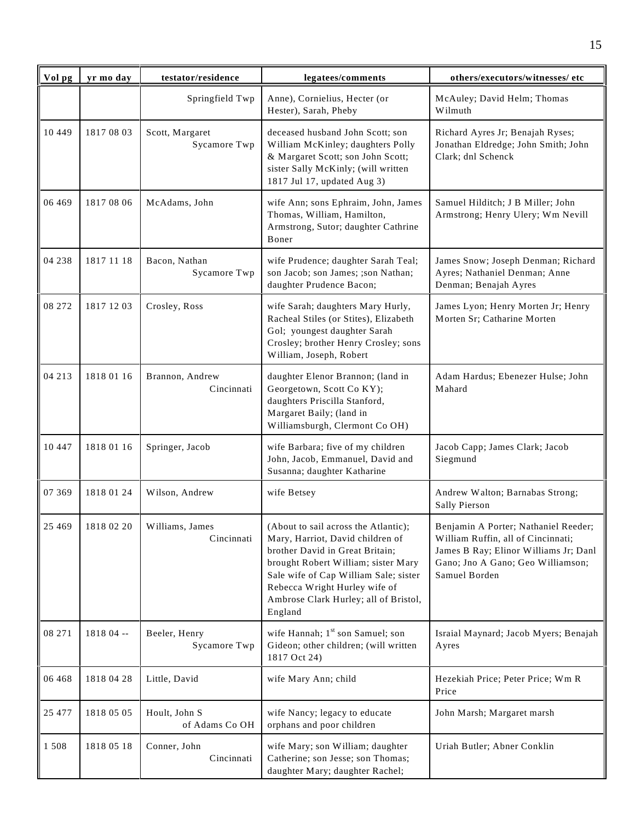| Vol pg   | yr mo day  | testator/residence              | legatees/comments                                                                                                                                                                                                                                                                | others/executors/witnesses/ etc                                                                                                                                           |
|----------|------------|---------------------------------|----------------------------------------------------------------------------------------------------------------------------------------------------------------------------------------------------------------------------------------------------------------------------------|---------------------------------------------------------------------------------------------------------------------------------------------------------------------------|
|          |            | Springfield Twp                 | Anne), Cornielius, Hecter (or<br>Hester), Sarah, Pheby                                                                                                                                                                                                                           | McAuley; David Helm; Thomas<br>Wilmuth                                                                                                                                    |
| 10 4 4 9 | 1817 08 03 | Scott, Margaret<br>Sycamore Twp | deceased husband John Scott; son<br>William McKinley; daughters Polly<br>& Margaret Scott; son John Scott;<br>sister Sally McKinly; (will written<br>1817 Jul 17, updated Aug 3)                                                                                                 | Richard Ayres Jr; Benajah Ryses;<br>Jonathan Eldredge; John Smith; John<br>Clark; dnl Schenck                                                                             |
| 06 469   | 1817 08 06 | McAdams, John                   | wife Ann; sons Ephraim, John, James<br>Thomas, William, Hamilton,<br>Armstrong, Sutor; daughter Cathrine<br>Boner                                                                                                                                                                | Samuel Hilditch; J B Miller; John<br>Armstrong; Henry Ulery; Wm Nevill                                                                                                    |
| 04 238   | 1817 11 18 | Bacon, Nathan<br>Sycamore Twp   | wife Prudence; daughter Sarah Teal;<br>son Jacob; son James; ;son Nathan;<br>daughter Prudence Bacon;                                                                                                                                                                            | James Snow; Joseph Denman; Richard<br>Ayres; Nathaniel Denman; Anne<br>Denman; Benajah Ayres                                                                              |
| 08 272   | 1817 12 03 | Crosley, Ross                   | wife Sarah; daughters Mary Hurly,<br>Racheal Stiles (or Stites), Elizabeth<br>Gol; youngest daughter Sarah<br>Crosley; brother Henry Crosley; sons<br>William, Joseph, Robert                                                                                                    | James Lyon; Henry Morten Jr; Henry<br>Morten Sr; Catharine Morten                                                                                                         |
| 04 213   | 1818 01 16 | Brannon, Andrew<br>Cincinnati   | daughter Elenor Brannon; (land in<br>Georgetown, Scott Co KY);<br>daughters Priscilla Stanford,<br>Margaret Baily; (land in<br>Williamsburgh, Clermont Co OH)                                                                                                                    | Adam Hardus; Ebenezer Hulse; John<br>Mahard                                                                                                                               |
| 10 447   | 1818 01 16 | Springer, Jacob                 | wife Barbara; five of my children<br>John, Jacob, Emmanuel, David and<br>Susanna; daughter Katharine                                                                                                                                                                             | Jacob Capp; James Clark; Jacob<br>Siegmund                                                                                                                                |
| 07 369   | 1818 01 24 | Wilson, Andrew                  | wife Betsey                                                                                                                                                                                                                                                                      | Andrew Walton; Barnabas Strong;<br>Sally Pierson                                                                                                                          |
| 25 4 6 9 | 1818 02 20 | Williams, James<br>Cincinnati   | (About to sail across the Atlantic);<br>Mary, Harriot, David children of<br>brother David in Great Britain;<br>brought Robert William; sister Mary<br>Sale wife of Cap William Sale; sister<br>Rebecca Wright Hurley wife of<br>Ambrose Clark Hurley; all of Bristol,<br>England | Benjamin A Porter; Nathaniel Reeder;<br>William Ruffin, all of Cincinnati;<br>James B Ray; Elinor Williams Jr; Danl<br>Gano; Jno A Gano; Geo Williamson;<br>Samuel Borden |
| 08 271   | 1818 04 -- | Beeler, Henry<br>Sycamore Twp   | wife Hannah; 1 <sup>st</sup> son Samuel; son<br>Gideon; other children; (will written<br>1817 Oct 24)                                                                                                                                                                            | Israial Maynard; Jacob Myers; Benajah<br>Ayres                                                                                                                            |
| 06 4 68  | 1818 04 28 | Little, David                   | wife Mary Ann; child                                                                                                                                                                                                                                                             | Hezekiah Price; Peter Price; Wm R<br>Price                                                                                                                                |
| 25 477   | 1818 05 05 | Hoult, John S<br>of Adams Co OH | wife Nancy; legacy to educate<br>orphans and poor children                                                                                                                                                                                                                       | John Marsh; Margaret marsh                                                                                                                                                |
| 1508     | 1818 05 18 | Conner, John<br>Cincinnati      | wife Mary; son William; daughter<br>Catherine; son Jesse; son Thomas;<br>daughter Mary; daughter Rachel;                                                                                                                                                                         | Uriah Butler; Abner Conklin                                                                                                                                               |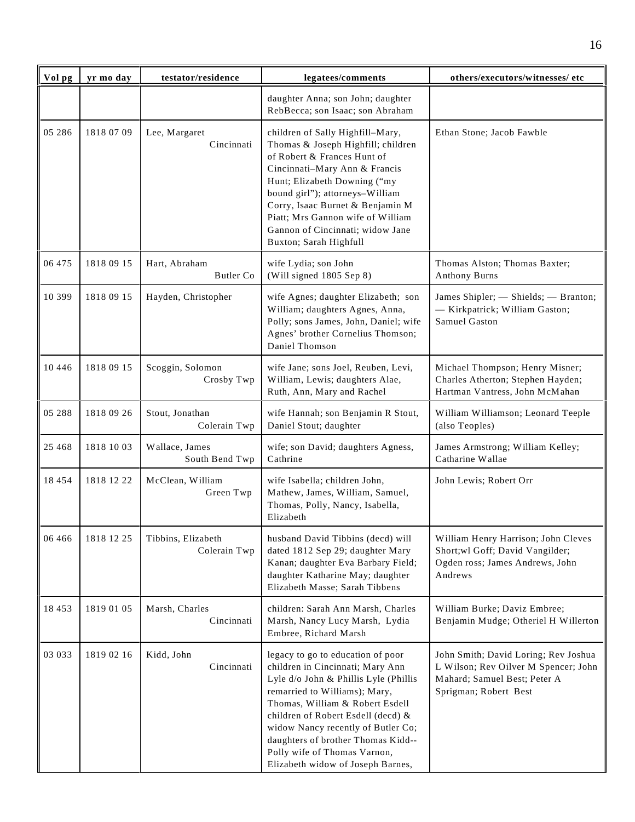| Vol pg   | yr mo day  | testator/residence                 | legatees/comments                                                                                                                                                                                                                                                                                                                                                         | others/executors/witnesses/ etc                                                                                                       |
|----------|------------|------------------------------------|---------------------------------------------------------------------------------------------------------------------------------------------------------------------------------------------------------------------------------------------------------------------------------------------------------------------------------------------------------------------------|---------------------------------------------------------------------------------------------------------------------------------------|
|          |            |                                    | daughter Anna; son John; daughter<br>RebBecca; son Isaac; son Abraham                                                                                                                                                                                                                                                                                                     |                                                                                                                                       |
| 05 28 6  | 1818 07 09 | Lee, Margaret<br>Cincinnati        | children of Sally Highfill-Mary,<br>Thomas & Joseph Highfill; children<br>of Robert & Frances Hunt of<br>Cincinnati-Mary Ann & Francis<br>Hunt; Elizabeth Downing ("my<br>bound girl"); attorneys-William<br>Corry, Isaac Burnet & Benjamin M<br>Piatt; Mrs Gannon wife of William<br>Gannon of Cincinnati; widow Jane<br>Buxton; Sarah Highfull                          | Ethan Stone; Jacob Fawble                                                                                                             |
| 06 475   | 1818 09 15 | Hart, Abraham<br>Butler Co         | wife Lydia; son John<br>(Will signed 1805 Sep 8)                                                                                                                                                                                                                                                                                                                          | Thomas Alston; Thomas Baxter;<br>Anthony Burns                                                                                        |
| 10 399   | 1818 09 15 | Hayden, Christopher                | wife Agnes; daughter Elizabeth; son<br>William; daughters Agnes, Anna,<br>Polly; sons James, John, Daniel; wife<br>Agnes' brother Cornelius Thomson;<br>Daniel Thomson                                                                                                                                                                                                    | James Shipler; - Shields; - Branton;<br>- Kirkpatrick; William Gaston;<br>Samuel Gaston                                               |
| 10 4 4 6 | 1818 09 15 | Scoggin, Solomon<br>Crosby Twp     | wife Jane; sons Joel, Reuben, Levi,<br>William, Lewis; daughters Alae,<br>Ruth, Ann, Mary and Rachel                                                                                                                                                                                                                                                                      | Michael Thompson; Henry Misner;<br>Charles Atherton; Stephen Hayden;<br>Hartman Vantress, John McMahan                                |
| 05 288   | 1818 09 26 | Stout, Jonathan<br>Colerain Twp    | wife Hannah; son Benjamin R Stout,<br>Daniel Stout; daughter                                                                                                                                                                                                                                                                                                              | William Williamson; Leonard Teeple<br>(also Teoples)                                                                                  |
| 25 4 68  | 1818 10 03 | Wallace, James<br>South Bend Twp   | wife; son David; daughters Agness,<br>Cathrine                                                                                                                                                                                                                                                                                                                            | James Armstrong; William Kelley;<br>Catharine Wallae                                                                                  |
| 18 4 5 4 | 1818 12 22 | McClean, William<br>Green Twp      | wife Isabella; children John,<br>Mathew, James, William, Samuel,<br>Thomas, Polly, Nancy, Isabella,<br>Elizabeth                                                                                                                                                                                                                                                          | John Lewis; Robert Orr                                                                                                                |
| 06 4 66  | 1818 12 25 | Tibbins, Elizabeth<br>Colerain Twp | husband David Tibbins (decd) will<br>dated 1812 Sep 29; daughter Mary<br>Kanan; daughter Eva Barbary Field;<br>daughter Katharine May; daughter<br>Elizabeth Masse; Sarah Tibbens                                                                                                                                                                                         | William Henry Harrison; John Cleves<br>Short; wl Goff; David Vangilder;<br>Ogden ross; James Andrews, John<br>Andrews                 |
| 18 453   | 1819 01 05 | Marsh, Charles<br>Cincinnati       | children: Sarah Ann Marsh, Charles<br>Marsh, Nancy Lucy Marsh, Lydia<br>Embree, Richard Marsh                                                                                                                                                                                                                                                                             | William Burke; Daviz Embree;<br>Benjamin Mudge; Otheriel H Willerton                                                                  |
| 03 033   | 1819 02 16 | Kidd, John<br>Cincinnati           | legacy to go to education of poor<br>children in Cincinnati; Mary Ann<br>Lyle d/o John & Phillis Lyle (Phillis<br>remarried to Williams); Mary,<br>Thomas, William & Robert Esdell<br>children of Robert Esdell (decd) &<br>widow Nancy recently of Butler Co;<br>daughters of brother Thomas Kidd--<br>Polly wife of Thomas Varnon,<br>Elizabeth widow of Joseph Barnes, | John Smith; David Loring; Rev Joshua<br>L Wilson; Rev Oilver M Spencer; John<br>Mahard; Samuel Best; Peter A<br>Sprigman; Robert Best |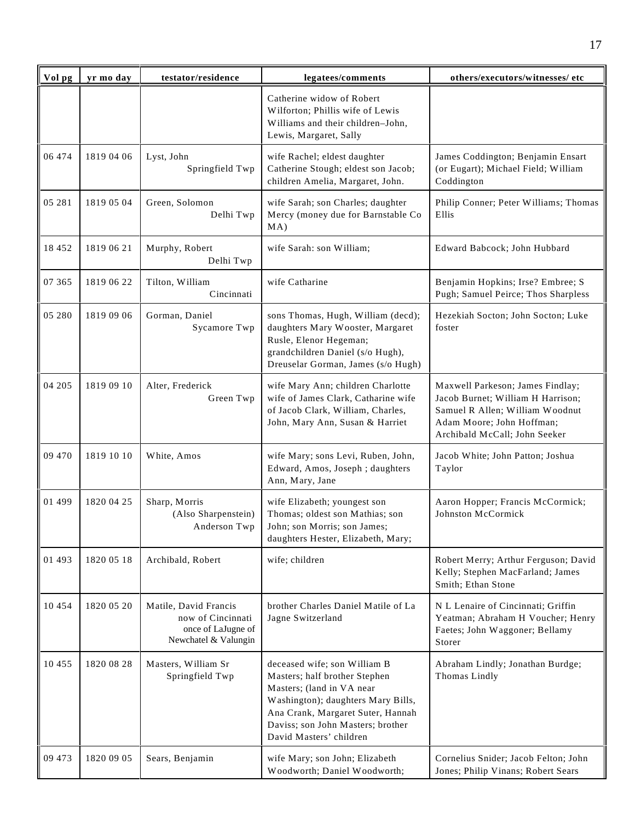| Vol pg   | yr mo day  | testator/residence                                                                       | legatees/comments                                                                                                                                                                                                                     | others/executors/witnesses/ etc                                                                                                                                        |
|----------|------------|------------------------------------------------------------------------------------------|---------------------------------------------------------------------------------------------------------------------------------------------------------------------------------------------------------------------------------------|------------------------------------------------------------------------------------------------------------------------------------------------------------------------|
|          |            |                                                                                          | Catherine widow of Robert<br>Wilforton; Phillis wife of Lewis<br>Williams and their children-John,<br>Lewis, Margaret, Sally                                                                                                          |                                                                                                                                                                        |
| 06 474   | 1819 04 06 | Lyst, John<br>Springfield Twp                                                            | wife Rachel; eldest daughter<br>Catherine Stough; eldest son Jacob;<br>children Amelia, Margaret, John.                                                                                                                               | James Coddington; Benjamin Ensart<br>(or Eugart); Michael Field; William<br>Coddington                                                                                 |
| 05 281   | 1819 05 04 | Green, Solomon<br>Delhi Twp                                                              | wife Sarah; son Charles; daughter<br>Mercy (money due for Barnstable Co<br>MA)                                                                                                                                                        | Philip Conner; Peter Williams; Thomas<br>Ellis                                                                                                                         |
| 18 452   | 1819 06 21 | Murphy, Robert<br>Delhi Twp                                                              | wife Sarah: son William;                                                                                                                                                                                                              | Edward Babcock; John Hubbard                                                                                                                                           |
| 07 365   | 1819 06 22 | Tilton, William<br>Cincinnati                                                            | wife Catharine                                                                                                                                                                                                                        | Benjamin Hopkins; Irse? Embree; S<br>Pugh; Samuel Peirce; Thos Sharpless                                                                                               |
| 05 280   | 1819 09 06 | Gorman, Daniel<br>Sycamore Twp                                                           | sons Thomas, Hugh, William (decd);<br>daughters Mary Wooster, Margaret<br>Rusle, Elenor Hegeman;<br>grandchildren Daniel (s/o Hugh),<br>Dreuselar Gorman, James (s/o Hugh)                                                            | Hezekiah Socton; John Socton; Luke<br>foster                                                                                                                           |
| 04 205   | 1819 09 10 | Alter, Frederick<br>Green Twp                                                            | wife Mary Ann; children Charlotte<br>wife of James Clark, Catharine wife<br>of Jacob Clark, William, Charles,<br>John, Mary Ann, Susan & Harriet                                                                                      | Maxwell Parkeson; James Findlay;<br>Jacob Burnet; William H Harrison;<br>Samuel R Allen; William Woodnut<br>Adam Moore; John Hoffman;<br>Archibald McCall; John Seeker |
| 09 470   | 1819 10 10 | White, Amos                                                                              | wife Mary; sons Levi, Ruben, John,<br>Edward, Amos, Joseph; daughters<br>Ann, Mary, Jane                                                                                                                                              | Jacob White; John Patton; Joshua<br>Taylor                                                                                                                             |
| 01 499   | 1820 04 25 | Sharp, Morris<br>(Also Sharpenstein)<br>Anderson Twp                                     | wife Elizabeth; youngest son<br>Thomas; oldest son Mathias; son<br>John; son Morris; son James;<br>daughters Hester, Elizabeth, Mary;                                                                                                 | Aaron Hopper; Francis McCormick;<br>Johnston McCormick                                                                                                                 |
| 01 493   | 1820 05 18 | Archibald, Robert                                                                        | wife; children                                                                                                                                                                                                                        | Robert Merry; Arthur Ferguson; David<br>Kelly; Stephen MacFarland; James<br>Smith; Ethan Stone                                                                         |
| 10 4 5 4 | 1820 05 20 | Matile, David Francis<br>now of Cincinnati<br>once of LaJugne of<br>Newchatel & Valungin | brother Charles Daniel Matile of La<br>Jagne Switzerland                                                                                                                                                                              | N L Lenaire of Cincinnati; Griffin<br>Yeatman; Abraham H Voucher; Henry<br>Faetes; John Waggoner; Bellamy<br>Storer                                                    |
| 10 455   | 1820 08 28 | Masters, William Sr<br>Springfield Twp                                                   | deceased wife; son William B<br>Masters; half brother Stephen<br>Masters; (land in VA near<br>Washington); daughters Mary Bills,<br>Ana Crank, Margaret Suter, Hannah<br>Daviss; son John Masters; brother<br>David Masters' children | Abraham Lindly; Jonathan Burdge;<br>Thomas Lindly                                                                                                                      |
| 09 473   | 1820 09 05 | Sears, Benjamin                                                                          | wife Mary; son John; Elizabeth<br>Woodworth; Daniel Woodworth;                                                                                                                                                                        | Cornelius Snider; Jacob Felton; John<br>Jones; Philip Vinans; Robert Sears                                                                                             |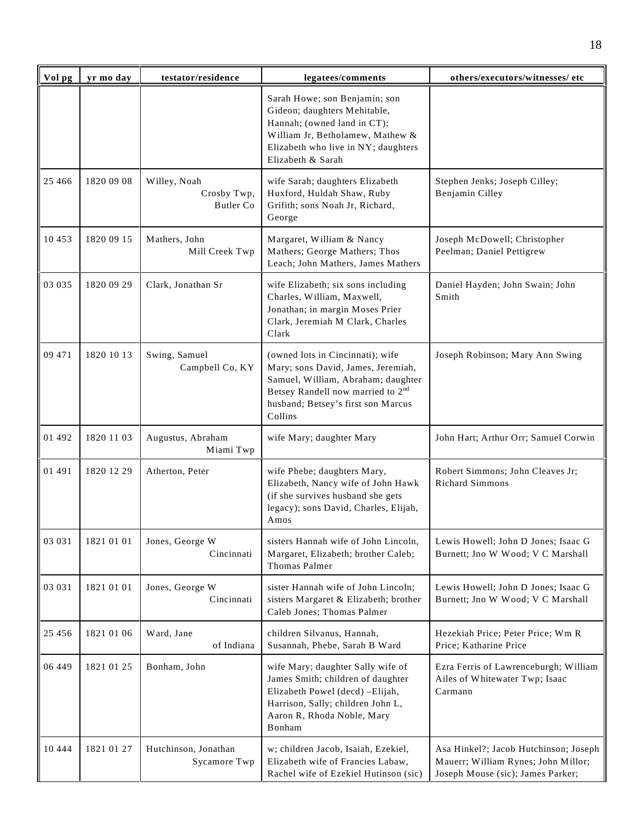| Vol pg   | yr mo day  | testator/residence                       | legatees/comments                                                                                                                                                                                              | others/executors/witnesses/ etc                                                                                   |
|----------|------------|------------------------------------------|----------------------------------------------------------------------------------------------------------------------------------------------------------------------------------------------------------------|-------------------------------------------------------------------------------------------------------------------|
|          |            |                                          | Sarah Howe; son Benjamin; son<br>Gideon; daughters Mehitable,<br>Hannah; (owned land in CT);<br>William Jr, Betholamew, Mathew &<br>Elizabeth who live in NY; daughters<br>Elizabeth & Sarah                   |                                                                                                                   |
| 25 4 6 6 | 1820 09 08 | Willey, Noah<br>Crosby Twp,<br>Butler Co | wife Sarah; daughters Elizabeth<br>Huxford, Huldah Shaw, Ruby<br>Grifith; sons Noah Jr, Richard,<br>George                                                                                                     | Stephen Jenks; Joseph Cilley;<br>Benjamin Cilley                                                                  |
| 10 453   | 1820 09 15 | Mathers, John<br>Mill Creek Twp          | Margaret, William & Nancy<br>Mathers; George Mathers; Thos<br>Leach; John Mathers, James Mathers                                                                                                               | Joseph McDowell; Christopher<br>Peelman; Daniel Pettigrew                                                         |
| 03 035   | 1820 09 29 | Clark, Jonathan Sr                       | wife Elizabeth; six sons including<br>Charles, William, Maxwell,<br>Jonathan; in margin Moses Prier<br>Clark, Jeremiah M Clark, Charles<br>Clark                                                               | Daniel Hayden; John Swain; John<br>Smith                                                                          |
| 09 471   | 1820 10 13 | Swing, Samuel<br>Campbell Co, KY         | (owned lots in Cincinnati); wife<br>Mary; sons David, James, Jeremiah,<br>Samuel, William, Abraham; daughter<br>Betsey Randell now married to 2 <sup>nd</sup><br>husband; Betsey's first son Marcus<br>Collins | Joseph Robinson; Mary Ann Swing                                                                                   |
| 01 492   | 1820 11 03 | Augustus, Abraham<br>Miami Twp           | wife Mary; daughter Mary                                                                                                                                                                                       | John Hart; Arthur Orr; Samuel Corwin                                                                              |
| 01 491   | 1820 12 29 | Atherton, Peter                          | wife Phebe; daughters Mary,<br>Elizabeth, Nancy wife of John Hawk<br>(if she survives husband she gets<br>legacy); sons David, Charles, Elijah,<br>Amos                                                        | Robert Simmons; John Cleaves Jr;<br><b>Richard Simmons</b>                                                        |
| 03 03 1  | 1821 01 01 | Jones, George W<br>Cincinnati            | sisters Hannah wife of John Lincoln,<br>Margaret, Elizabeth; brother Caleb;<br><b>Thomas Palmer</b>                                                                                                            | Lewis Howell; John D Jones; Isaac G<br>Burnett; Jno W Wood; V C Marshall                                          |
| 03 03 1  | 1821 01 01 | Jones, George W<br>Cincinnati            | sister Hannah wife of John Lincoln;<br>sisters Margaret & Elizabeth; brother<br>Caleb Jones; Thomas Palmer                                                                                                     | Lewis Howell; John D Jones; Isaac G<br>Burnett; Jno W Wood; V C Marshall                                          |
| 25 4 5 6 | 1821 01 06 | Ward, Jane<br>of Indiana                 | children Silvanus, Hannah,<br>Susannah, Phebe, Sarah B Ward                                                                                                                                                    | Hezekiah Price; Peter Price; Wm R<br>Price; Katharine Price                                                       |
| 06 449   | 1821 01 25 | Bonham, John                             | wife Mary; daughter Sally wife of<br>James Smith; children of daughter<br>Elizabeth Powel (decd) -Elijah,<br>Harrison, Sally; children John L,<br>Aaron R, Rhoda Noble, Mary<br>Bonham                         | Ezra Ferris of Lawrenceburgh; William<br>Ailes of Whitewater Twp; Isaac<br>Carmann                                |
| 10 4 4 4 | 1821 01 27 | Hutchinson, Jonathan<br>Sycamore Twp     | w; children Jacob, Isaiah, Ezekiel,<br>Elizabeth wife of Francies Labaw,<br>Rachel wife of Ezekiel Hutinson (sic)                                                                                              | Asa Hinkel?; Jacob Hutchinson; Joseph<br>Mauerr; William Rynes; John Millor;<br>Joseph Mouse (sic); James Parker; |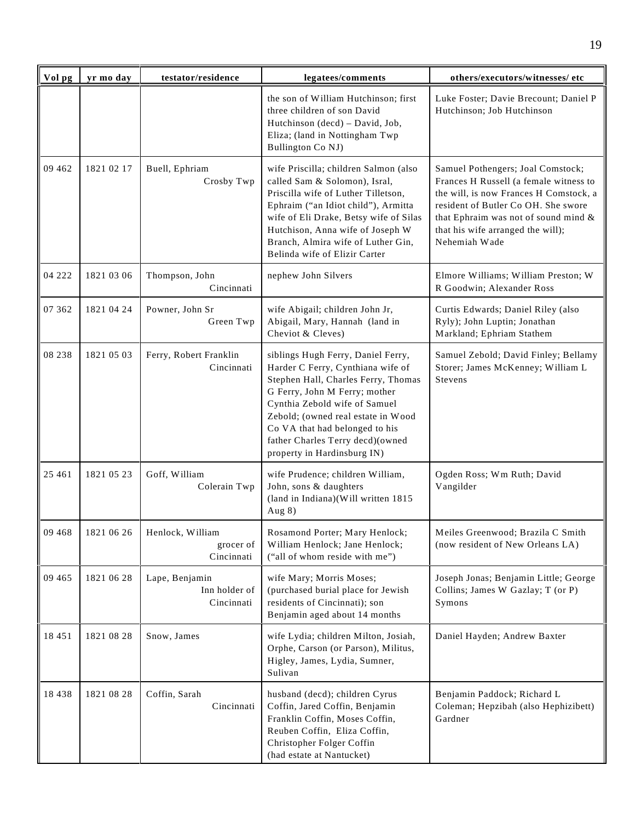| Vol pg   | yr mo day  | testator/residence                            | legatees/comments                                                                                                                                                                                                                                                                                                           | others/executors/witnesses/ etc                                                                                                                                                                                                                            |
|----------|------------|-----------------------------------------------|-----------------------------------------------------------------------------------------------------------------------------------------------------------------------------------------------------------------------------------------------------------------------------------------------------------------------------|------------------------------------------------------------------------------------------------------------------------------------------------------------------------------------------------------------------------------------------------------------|
|          |            |                                               | the son of William Hutchinson; first<br>three children of son David<br>Hutchinson (decd) - David, Job,<br>Eliza; (land in Nottingham Twp<br>Bullington Co NJ)                                                                                                                                                               | Luke Foster; Davie Brecount; Daniel P<br>Hutchinson; Job Hutchinson                                                                                                                                                                                        |
| 09 4 62  | 1821 02 17 | Buell, Ephriam<br>Crosby Twp                  | wife Priscilla; children Salmon (also<br>called Sam & Solomon), Isral,<br>Priscilla wife of Luther Tilletson,<br>Ephraim ("an Idiot child"), Armitta<br>wife of Eli Drake, Betsy wife of Silas<br>Hutchison, Anna wife of Joseph W<br>Branch, Almira wife of Luther Gin,<br>Belinda wife of Elizir Carter                   | Samuel Pothengers; Joal Comstock;<br>Frances H Russell (a female witness to<br>the will, is now Frances H Comstock, a<br>resident of Butler Co OH. She swore<br>that Ephraim was not of sound mind &<br>that his wife arranged the will);<br>Nehemiah Wade |
| 04 222   | 1821 03 06 | Thompson, John<br>Cincinnati                  | nephew John Silvers                                                                                                                                                                                                                                                                                                         | Elmore Williams; William Preston; W<br>R Goodwin; Alexander Ross                                                                                                                                                                                           |
| 07 362   | 1821 04 24 | Powner, John Sr<br>Green Twp                  | wife Abigail; children John Jr,<br>Abigail, Mary, Hannah (land in<br>Cheviot & Cleves)                                                                                                                                                                                                                                      | Curtis Edwards; Daniel Riley (also<br>Ryly); John Luptin; Jonathan<br>Markland; Ephriam Stathem                                                                                                                                                            |
| 08 238   | 1821 05 03 | Ferry, Robert Franklin<br>Cincinnati          | siblings Hugh Ferry, Daniel Ferry,<br>Harder C Ferry, Cynthiana wife of<br>Stephen Hall, Charles Ferry, Thomas<br>G Ferry, John M Ferry; mother<br>Cynthia Zebold wife of Samuel<br>Zebold; (owned real estate in Wood<br>Co VA that had belonged to his<br>father Charles Terry decd)(owned<br>property in Hardinsburg IN) | Samuel Zebold; David Finley; Bellamy<br>Storer; James McKenney; William L<br>Stevens                                                                                                                                                                       |
| 25 4 61  | 1821 05 23 | Goff, William<br>Colerain Twp                 | wife Prudence; children William,<br>John, sons & daughters<br>(land in Indiana)(Will written 1815<br>Aug 8)                                                                                                                                                                                                                 | Ogden Ross; Wm Ruth; David<br>Vangilder                                                                                                                                                                                                                    |
| 09 4 68  | 1821 06 26 | Henlock, William<br>grocer of<br>Cincinnati   | Rosamond Porter; Mary Henlock;<br>William Henlock; Jane Henlock;<br>("all of whom reside with me")                                                                                                                                                                                                                          | Meiles Greenwood; Brazila C Smith<br>(now resident of New Orleans LA)                                                                                                                                                                                      |
| 09 4 65  | 1821 06 28 | Lape, Benjamin<br>Inn holder of<br>Cincinnati | wife Mary; Morris Moses;<br>(purchased burial place for Jewish<br>residents of Cincinnati); son<br>Benjamin aged about 14 months                                                                                                                                                                                            | Joseph Jonas; Benjamin Little; George<br>Collins; James W Gazlay; T (or P)<br>Symons                                                                                                                                                                       |
| 18 4 5 1 | 1821 08 28 | Snow, James                                   | wife Lydia; children Milton, Josiah,<br>Orphe, Carson (or Parson), Militus,<br>Higley, James, Lydia, Sumner,<br>Sulivan                                                                                                                                                                                                     | Daniel Hayden; Andrew Baxter                                                                                                                                                                                                                               |
| 18 4 38  | 1821 08 28 | Coffin, Sarah<br>Cincinnati                   | husband (decd); children Cyrus<br>Coffin, Jared Coffin, Benjamin<br>Franklin Coffin, Moses Coffin,<br>Reuben Coffin, Eliza Coffin,<br>Christopher Folger Coffin<br>(had estate at Nantucket)                                                                                                                                | Benjamin Paddock; Richard L<br>Coleman; Hepzibah (also Hephizibett)<br>Gardner                                                                                                                                                                             |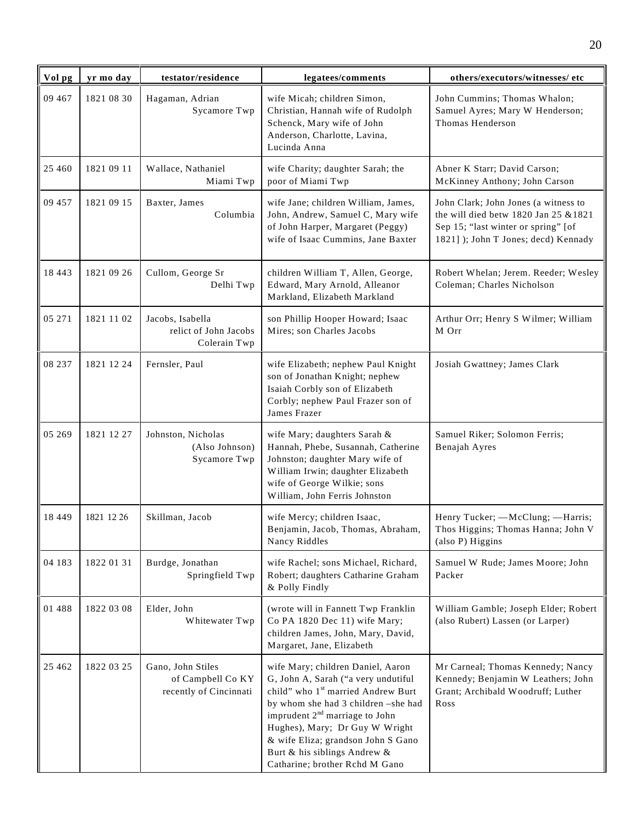| Vol pg   | yr mo day  | testator/residence                                               | legatees/comments                                                                                                                                                                                                                                                                                                                               | others/executors/witnesses/ etc                                                                                                                                |
|----------|------------|------------------------------------------------------------------|-------------------------------------------------------------------------------------------------------------------------------------------------------------------------------------------------------------------------------------------------------------------------------------------------------------------------------------------------|----------------------------------------------------------------------------------------------------------------------------------------------------------------|
| 09 467   | 1821 08 30 | Hagaman, Adrian<br>Sycamore Twp                                  | wife Micah; children Simon,<br>Christian, Hannah wife of Rudolph<br>Schenck, Mary wife of John<br>Anderson, Charlotte, Lavina,<br>Lucinda Anna                                                                                                                                                                                                  | John Cummins; Thomas Whalon;<br>Samuel Ayres; Mary W Henderson;<br>Thomas Henderson                                                                            |
| 25 4 60  | 1821 09 11 | Wallace, Nathaniel<br>Miami Twp                                  | wife Charity; daughter Sarah; the<br>poor of Miami Twp                                                                                                                                                                                                                                                                                          | Abner K Starr; David Carson;<br>McKinney Anthony; John Carson                                                                                                  |
| 09 457   | 1821 09 15 | Baxter, James<br>Columbia                                        | wife Jane; children William, James,<br>John, Andrew, Samuel C, Mary wife<br>of John Harper, Margaret (Peggy)<br>wife of Isaac Cummins, Jane Baxter                                                                                                                                                                                              | John Clark; John Jones (a witness to<br>the will died betw 1820 Jan 25 $&$ 1821<br>Sep 15; "last winter or spring" [of<br>1821] ); John T Jones; decd) Kennady |
| 18 4 43  | 1821 09 26 | Cullom, George Sr<br>Delhi Twp                                   | children William T, Allen, George,<br>Edward, Mary Arnold, Alleanor<br>Markland, Elizabeth Markland                                                                                                                                                                                                                                             | Robert Whelan; Jerem. Reeder; Wesley<br>Coleman; Charles Nicholson                                                                                             |
| 05 271   | 1821 11 02 | Jacobs, Isabella<br>relict of John Jacobs<br>Colerain Twp        | son Phillip Hooper Howard; Isaac<br>Mires; son Charles Jacobs                                                                                                                                                                                                                                                                                   | Arthur Orr; Henry S Wilmer; William<br>M Orr                                                                                                                   |
| 08 237   | 1821 12 24 | Fernsler, Paul                                                   | wife Elizabeth; nephew Paul Knight<br>son of Jonathan Knight; nephew<br>Isaiah Corbly son of Elizabeth<br>Corbly; nephew Paul Frazer son of<br>James Frazer                                                                                                                                                                                     | Josiah Gwattney; James Clark                                                                                                                                   |
| 05 269   | 1821 12 27 | Johnston, Nicholas<br>(Also Johnson)<br>Sycamore Twp             | wife Mary; daughters Sarah &<br>Hannah, Phebe, Susannah, Catherine<br>Johnston; daughter Mary wife of<br>William Irwin; daughter Elizabeth<br>wife of George Wilkie; sons<br>William, John Ferris Johnston                                                                                                                                      | Samuel Riker; Solomon Ferris;<br>Benajah Ayres                                                                                                                 |
| 18 4 4 9 | 1821 12 26 | Skillman, Jacob                                                  | wife Mercy; children Isaac,<br>Benjamin, Jacob, Thomas, Abraham,<br>Nancy Riddles                                                                                                                                                                                                                                                               | Henry Tucker; - McClung; - Harris;<br>Thos Higgins; Thomas Hanna; John V<br>(also P) Higgins                                                                   |
| 04 183   | 1822 01 31 | Burdge, Jonathan<br>Springfield Twp                              | wife Rachel; sons Michael, Richard,<br>Robert; daughters Catharine Graham<br>& Polly Findly                                                                                                                                                                                                                                                     | Samuel W Rude; James Moore; John<br>Packer                                                                                                                     |
| 01 488   | 1822 03 08 | Elder, John<br>Whitewater Twp                                    | (wrote will in Fannett Twp Franklin<br>Co PA 1820 Dec 11) wife Mary;<br>children James, John, Mary, David,<br>Margaret, Jane, Elizabeth                                                                                                                                                                                                         | William Gamble; Joseph Elder; Robert<br>(also Rubert) Lassen (or Larper)                                                                                       |
| 25 4 6 2 | 1822 03 25 | Gano, John Stiles<br>of Campbell Co KY<br>recently of Cincinnati | wife Mary; children Daniel, Aaron<br>G, John A, Sarah ("a very undutiful<br>child" who 1 <sup>st</sup> married Andrew Burt<br>by whom she had 3 children -she had<br>imprudent $2nd$ marriage to John<br>Hughes), Mary; Dr Guy W Wright<br>& wife Eliza; grandson John S Gano<br>Burt & his siblings Andrew &<br>Catharine; brother Rchd M Gano | Mr Carneal; Thomas Kennedy; Nancy<br>Kennedy; Benjamin W Leathers; John<br>Grant; Archibald Woodruff; Luther<br>Ross                                           |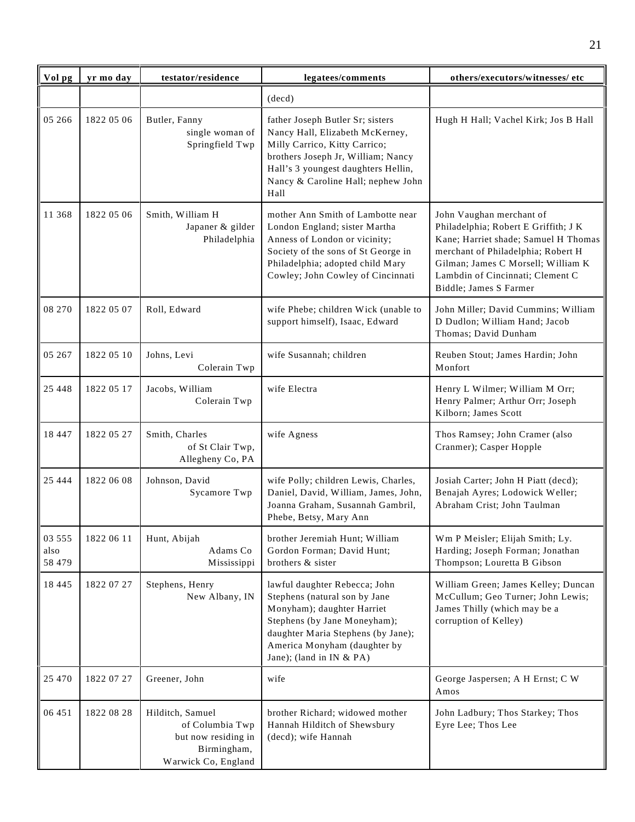| Vol pg                   | yr mo day  | testator/residence                                                                               | legatees/comments                                                                                                                                                                                                               | others/executors/witnesses/ etc                                                                                                                                                                                                                    |
|--------------------------|------------|--------------------------------------------------------------------------------------------------|---------------------------------------------------------------------------------------------------------------------------------------------------------------------------------------------------------------------------------|----------------------------------------------------------------------------------------------------------------------------------------------------------------------------------------------------------------------------------------------------|
|                          |            |                                                                                                  | (decd)                                                                                                                                                                                                                          |                                                                                                                                                                                                                                                    |
| 05 26 6                  | 1822 05 06 | Butler, Fanny<br>single woman of<br>Springfield Twp                                              | father Joseph Butler Sr; sisters<br>Nancy Hall, Elizabeth McKerney,<br>Milly Carrico, Kitty Carrico;<br>brothers Joseph Jr, William; Nancy<br>Hall's 3 youngest daughters Hellin,<br>Nancy & Caroline Hall; nephew John<br>Hall | Hugh H Hall; Vachel Kirk; Jos B Hall                                                                                                                                                                                                               |
| 11 368                   | 1822 05 06 | Smith, William H<br>Japaner & gilder<br>Philadelphia                                             | mother Ann Smith of Lambotte near<br>London England; sister Martha<br>Anness of London or vicinity;<br>Society of the sons of St George in<br>Philadelphia; adopted child Mary<br>Cowley; John Cowley of Cincinnati             | John Vaughan merchant of<br>Philadelphia; Robert E Griffith; J K<br>Kane; Harriet shade; Samuel H Thomas<br>merchant of Philadelphia; Robert H<br>Gilman; James C Morsell; William K<br>Lambdin of Cincinnati; Clement C<br>Biddle; James S Farmer |
| 08 270                   | 1822 05 07 | Roll, Edward                                                                                     | wife Phebe; children Wick (unable to<br>support himself), Isaac, Edward                                                                                                                                                         | John Miller; David Cummins; William<br>D Dudlon; William Hand; Jacob<br>Thomas; David Dunham                                                                                                                                                       |
| 05 267                   | 1822 05 10 | Johns, Levi<br>Colerain Twp                                                                      | wife Susannah; children                                                                                                                                                                                                         | Reuben Stout; James Hardin; John<br>Monfort                                                                                                                                                                                                        |
| 25 4 4 8                 | 1822 05 17 | Jacobs, William<br>Colerain Twp                                                                  | wife Electra                                                                                                                                                                                                                    | Henry L Wilmer; William M Orr;<br>Henry Palmer; Arthur Orr; Joseph<br>Kilborn; James Scott                                                                                                                                                         |
| 18 447                   | 1822 05 27 | Smith, Charles<br>of St Clair Twp,<br>Allegheny Co, PA                                           | wife Agness                                                                                                                                                                                                                     | Thos Ramsey; John Cramer (also<br>Cranmer); Casper Hopple                                                                                                                                                                                          |
| 25 4 4 4                 | 1822 06 08 | Johnson, David<br>Sycamore Twp                                                                   | wife Polly; children Lewis, Charles,<br>Daniel, David, William, James, John,<br>Joanna Graham, Susannah Gambril,<br>Phebe, Betsy, Mary Ann                                                                                      | Josiah Carter; John H Piatt (decd);<br>Benajah Ayres; Lodowick Weller;<br>Abraham Crist; John Taulman                                                                                                                                              |
| 03 555<br>also<br>58 479 | 1822 06 11 | Hunt, Abijah<br>Adams Co<br>Mississippi                                                          | brother Jeremiah Hunt; William<br>Gordon Forman; David Hunt;<br>brothers & sister                                                                                                                                               | Wm P Meisler; Elijah Smith; Ly.<br>Harding; Joseph Forman; Jonathan<br>Thompson; Louretta B Gibson                                                                                                                                                 |
| 18 4 4 5                 | 1822 07 27 | Stephens, Henry<br>New Albany, IN                                                                | lawful daughter Rebecca; John<br>Stephens (natural son by Jane<br>Monyham); daughter Harriet<br>Stephens (by Jane Moneyham);<br>daughter Maria Stephens (by Jane);<br>America Monyham (daughter by<br>Jane); (land in IN & PA)  | William Green; James Kelley; Duncan<br>McCullum; Geo Turner; John Lewis;<br>James Thilly (which may be a<br>corruption of Kelley)                                                                                                                  |
| 25 470                   | 1822 07 27 | Greener, John                                                                                    | wife                                                                                                                                                                                                                            | George Jaspersen; A H Ernst; C W<br>Amos                                                                                                                                                                                                           |
| 06 451                   | 1822 08 28 | Hilditch, Samuel<br>of Columbia Twp<br>but now residing in<br>Birmingham,<br>Warwick Co, England | brother Richard; widowed mother<br>Hannah Hilditch of Shewsbury<br>(decd); wife Hannah                                                                                                                                          | John Ladbury; Thos Starkey; Thos<br>Eyre Lee; Thos Lee                                                                                                                                                                                             |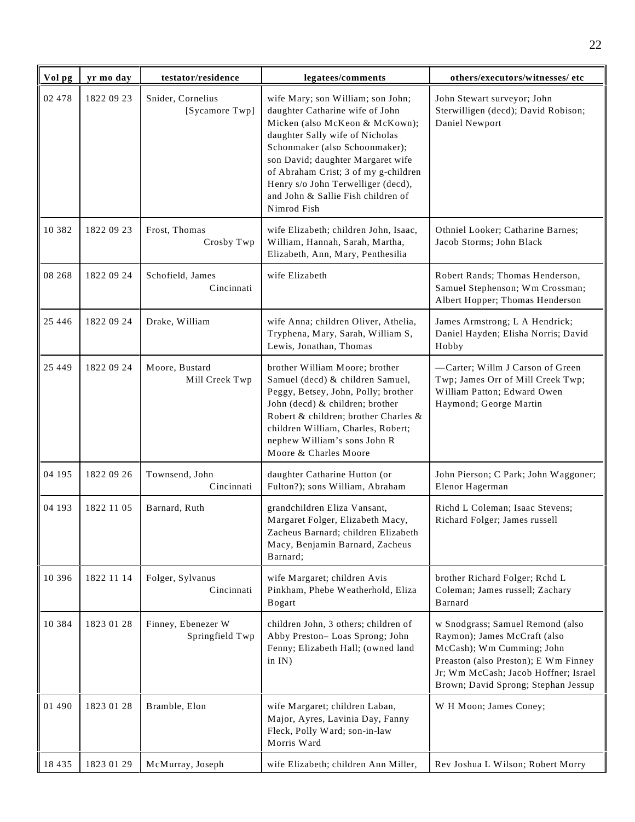| Vol pg   | yr mo day  | testator/residence                    | legatees/comments                                                                                                                                                                                                                                                                                                                                   | others/executors/witnesses/ etc                                                                                                                                                                                      |
|----------|------------|---------------------------------------|-----------------------------------------------------------------------------------------------------------------------------------------------------------------------------------------------------------------------------------------------------------------------------------------------------------------------------------------------------|----------------------------------------------------------------------------------------------------------------------------------------------------------------------------------------------------------------------|
| 02 478   | 1822 09 23 | Snider, Cornelius<br>[Sycamore Twp]   | wife Mary; son William; son John;<br>daughter Catharine wife of John<br>Micken (also McKeon & McKown);<br>daughter Sally wife of Nicholas<br>Schonmaker (also Schoonmaker);<br>son David; daughter Margaret wife<br>of Abraham Crist; 3 of my g-children<br>Henry s/o John Terwelliger (decd),<br>and John & Sallie Fish children of<br>Nimrod Fish | John Stewart surveyor; John<br>Sterwilligen (decd); David Robison;<br>Daniel Newport                                                                                                                                 |
| 10 3 8 2 | 1822 09 23 | Frost, Thomas<br>Crosby Twp           | wife Elizabeth; children John, Isaac,<br>William, Hannah, Sarah, Martha,<br>Elizabeth, Ann, Mary, Penthesilia                                                                                                                                                                                                                                       | Othniel Looker; Catharine Barnes;<br>Jacob Storms; John Black                                                                                                                                                        |
| 08 268   | 1822 09 24 | Schofield, James<br>Cincinnati        | wife Elizabeth                                                                                                                                                                                                                                                                                                                                      | Robert Rands; Thomas Henderson,<br>Samuel Stephenson; Wm Crossman;<br>Albert Hopper; Thomas Henderson                                                                                                                |
| 25 4 4 6 | 1822 09 24 | Drake, William                        | wife Anna; children Oliver, Athelia,<br>Tryphena, Mary, Sarah, William S,<br>Lewis, Jonathan, Thomas                                                                                                                                                                                                                                                | James Armstrong; L A Hendrick;<br>Daniel Hayden; Elisha Norris; David<br>Hobby                                                                                                                                       |
| 25 4 4 9 | 1822 09 24 | Moore, Bustard<br>Mill Creek Twp      | brother William Moore; brother<br>Samuel (decd) & children Samuel,<br>Peggy, Betsey, John, Polly; brother<br>John (decd) & children; brother<br>Robert & children; brother Charles &<br>children William, Charles, Robert;<br>nephew William's sons John R<br>Moore & Charles Moore                                                                 | -Carter; Willm J Carson of Green<br>Twp; James Orr of Mill Creek Twp;<br>William Patton; Edward Owen<br>Haymond; George Martin                                                                                       |
| 04 195   | 1822 09 26 | Townsend, John<br>Cincinnati          | daughter Catharine Hutton (or<br>Fulton?); sons William, Abraham                                                                                                                                                                                                                                                                                    | John Pierson; C Park; John Waggoner;<br>Elenor Hagerman                                                                                                                                                              |
| 04 193   | 1822 11 05 | Barnard, Ruth                         | grandchildren Eliza Vansant,<br>Margaret Folger, Elizabeth Macy,<br>Zacheus Barnard; children Elizabeth<br>Macy, Benjamin Barnard, Zacheus<br>Barnard;                                                                                                                                                                                              | Richd L Coleman; Isaac Stevens;<br>Richard Folger; James russell                                                                                                                                                     |
| 10 396   | 1822 11 14 | Folger, Sylvanus<br>Cincinnati        | wife Margaret; children Avis<br>Pinkham, Phebe Weatherhold, Eliza<br>Bogart                                                                                                                                                                                                                                                                         | brother Richard Folger; Rchd L<br>Coleman; James russell; Zachary<br>Barnard                                                                                                                                         |
| 10 3 8 4 | 1823 01 28 | Finney, Ebenezer W<br>Springfield Twp | children John, 3 others; children of<br>Abby Preston-Loas Sprong; John<br>Fenny; Elizabeth Hall; (owned land<br>in IN)                                                                                                                                                                                                                              | w Snodgrass; Samuel Remond (also<br>Raymon); James McCraft (also<br>McCash); Wm Cumming; John<br>Preaston (also Preston); E Wm Finney<br>Jr; Wm McCash; Jacob Hoffner; Israel<br>Brown; David Sprong; Stephan Jessup |
| 01 490   | 1823 01 28 | Bramble, Elon                         | wife Margaret; children Laban,<br>Major, Ayres, Lavinia Day, Fanny<br>Fleck, Polly Ward; son-in-law<br>Morris Ward                                                                                                                                                                                                                                  | W H Moon; James Coney;                                                                                                                                                                                               |
| 18 4 35  | 1823 01 29 | McMurray, Joseph                      | wife Elizabeth; children Ann Miller,                                                                                                                                                                                                                                                                                                                | Rev Joshua L Wilson; Robert Morry                                                                                                                                                                                    |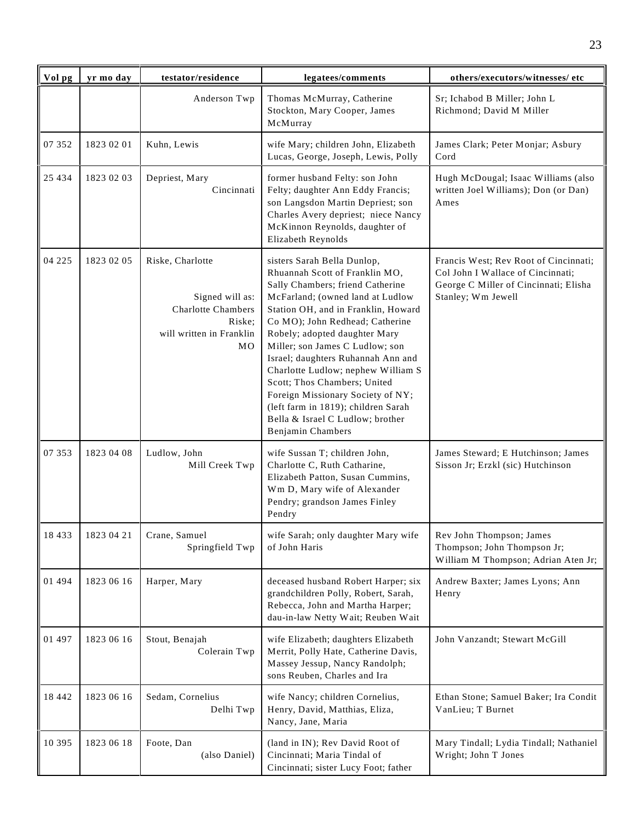| Vol pg   | yr mo day  | testator/residence                                                                                           | legatees/comments                                                                                                                                                                                                                                                                                                                                                                                                                                                                                                                    | others/executors/witnesses/ etc                                                                                                           |
|----------|------------|--------------------------------------------------------------------------------------------------------------|--------------------------------------------------------------------------------------------------------------------------------------------------------------------------------------------------------------------------------------------------------------------------------------------------------------------------------------------------------------------------------------------------------------------------------------------------------------------------------------------------------------------------------------|-------------------------------------------------------------------------------------------------------------------------------------------|
|          |            | Anderson Twp                                                                                                 | Thomas McMurray, Catherine<br>Stockton, Mary Cooper, James<br>McMurray                                                                                                                                                                                                                                                                                                                                                                                                                                                               | Sr; Ichabod B Miller; John L<br>Richmond; David M Miller                                                                                  |
| 07 352   | 1823 02 01 | Kuhn, Lewis                                                                                                  | wife Mary; children John, Elizabeth<br>Lucas, George, Joseph, Lewis, Polly                                                                                                                                                                                                                                                                                                                                                                                                                                                           | James Clark; Peter Monjar; Asbury<br>Cord                                                                                                 |
| 25 4 34  | 1823 02 03 | Depriest, Mary<br>Cincinnati                                                                                 | former husband Felty: son John<br>Felty; daughter Ann Eddy Francis;<br>son Langsdon Martin Depriest; son<br>Charles Avery depriest; niece Nancy<br>McKinnon Reynolds, daughter of<br>Elizabeth Reynolds                                                                                                                                                                                                                                                                                                                              | Hugh McDougal; Isaac Williams (also<br>written Joel Williams); Don (or Dan)<br>Ames                                                       |
| 04 2 2 5 | 1823 02 05 | Riske, Charlotte<br>Signed will as:<br><b>Charlotte Chambers</b><br>Riske;<br>will written in Franklin<br>MO | sisters Sarah Bella Dunlop,<br>Rhuannah Scott of Franklin MO,<br>Sally Chambers; friend Catherine<br>McFarland; (owned land at Ludlow<br>Station OH, and in Franklin, Howard<br>Co MO); John Redhead; Catherine<br>Robely; adopted daughter Mary<br>Miller; son James C Ludlow; son<br>Israel; daughters Ruhannah Ann and<br>Charlotte Ludlow; nephew William S<br>Scott; Thos Chambers; United<br>Foreign Missionary Society of NY;<br>(left farm in 1819); children Sarah<br>Bella & Israel C Ludlow; brother<br>Benjamin Chambers | Francis West; Rev Root of Cincinnati;<br>Col John I Wallace of Cincinnati;<br>George C Miller of Cincinnati; Elisha<br>Stanley; Wm Jewell |
| 07 353   | 1823 04 08 | Ludlow, John<br>Mill Creek Twp                                                                               | wife Sussan T; children John,<br>Charlotte C, Ruth Catharine,<br>Elizabeth Patton, Susan Cummins,<br>Wm D, Mary wife of Alexander<br>Pendry; grandson James Finley<br>Pendry                                                                                                                                                                                                                                                                                                                                                         | James Steward; E Hutchinson; James<br>Sisson Jr; Erzkl (sic) Hutchinson                                                                   |
| 18 4 3 3 | 1823 04 21 | Crane, Samuel<br>Springfield Twp                                                                             | wife Sarah; only daughter Mary wife<br>of John Haris                                                                                                                                                                                                                                                                                                                                                                                                                                                                                 | Rev John Thompson; James<br>Thompson; John Thompson Jr;<br>William M Thompson; Adrian Aten Jr;                                            |
| 01 494   | 1823 06 16 | Harper, Mary                                                                                                 | deceased husband Robert Harper; six<br>grandchildren Polly, Robert, Sarah,<br>Rebecca, John and Martha Harper;<br>dau-in-law Netty Wait; Reuben Wait                                                                                                                                                                                                                                                                                                                                                                                 | Andrew Baxter; James Lyons; Ann<br>Henry                                                                                                  |
| 01 497   | 1823 06 16 | Stout, Benajah<br>Colerain Twp                                                                               | wife Elizabeth; daughters Elizabeth<br>Merrit, Polly Hate, Catherine Davis,<br>Massey Jessup, Nancy Randolph;<br>sons Reuben, Charles and Ira                                                                                                                                                                                                                                                                                                                                                                                        | John Vanzandt; Stewart McGill                                                                                                             |
| 18 442   | 1823 06 16 | Sedam, Cornelius<br>Delhi Twp                                                                                | wife Nancy; children Cornelius,<br>Henry, David, Matthias, Eliza,<br>Nancy, Jane, Maria                                                                                                                                                                                                                                                                                                                                                                                                                                              | Ethan Stone; Samuel Baker; Ira Condit<br>VanLieu; T Burnet                                                                                |
| 10 395   | 1823 06 18 | Foote, Dan<br>(also Daniel)                                                                                  | (land in IN); Rev David Root of<br>Cincinnati; Maria Tindal of<br>Cincinnati; sister Lucy Foot; father                                                                                                                                                                                                                                                                                                                                                                                                                               | Mary Tindall; Lydia Tindall; Nathaniel<br>Wright; John T Jones                                                                            |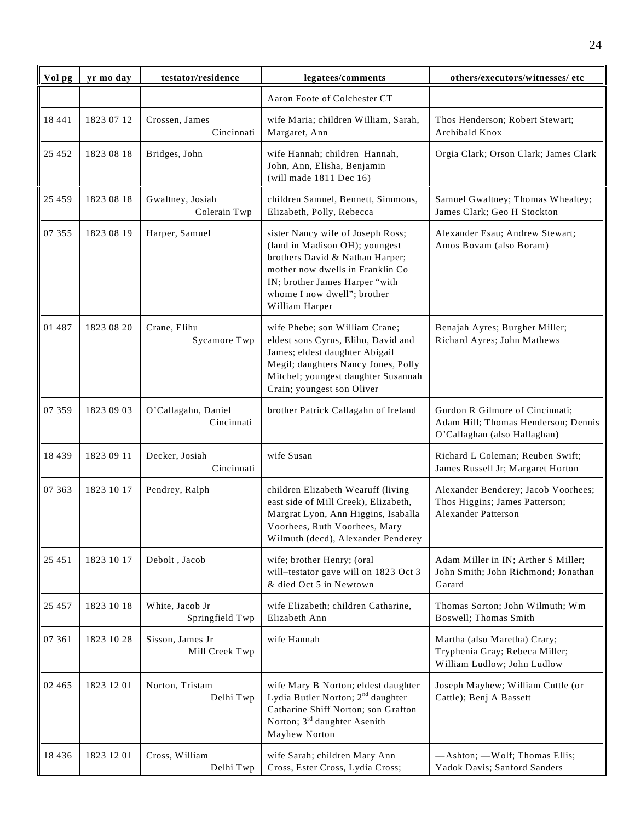| Vol pg   | yr mo day  | testator/residence                 | legatees/comments                                                                                                                                                                                                             | others/executors/witnesses/ etc                                                                        |
|----------|------------|------------------------------------|-------------------------------------------------------------------------------------------------------------------------------------------------------------------------------------------------------------------------------|--------------------------------------------------------------------------------------------------------|
|          |            |                                    | Aaron Foote of Colchester CT                                                                                                                                                                                                  |                                                                                                        |
| 18 441   | 1823 07 12 | Crossen, James<br>Cincinnati       | wife Maria; children William, Sarah,<br>Margaret, Ann                                                                                                                                                                         | Thos Henderson; Robert Stewart;<br>Archibald Knox                                                      |
| 25 452   | 1823 08 18 | Bridges, John                      | wife Hannah; children Hannah,<br>John, Ann, Elisha, Benjamin<br>(will made $1811$ Dec $16$ )                                                                                                                                  | Orgia Clark; Orson Clark; James Clark                                                                  |
| 25 459   | 1823 08 18 | Gwaltney, Josiah<br>Colerain Twp   | children Samuel, Bennett, Simmons,<br>Elizabeth, Polly, Rebecca                                                                                                                                                               | Samuel Gwaltney; Thomas Whealtey;<br>James Clark; Geo H Stockton                                       |
| 07 355   | 1823 08 19 | Harper, Samuel                     | sister Nancy wife of Joseph Ross;<br>(land in Madison OH); youngest<br>brothers David & Nathan Harper;<br>mother now dwells in Franklin Co<br>IN; brother James Harper "with<br>whome I now dwell"; brother<br>William Harper | Alexander Esau; Andrew Stewart;<br>Amos Bovam (also Boram)                                             |
| 01 487   | 1823 08 20 | Crane, Elihu<br>Sycamore Twp       | wife Phebe; son William Crane;<br>eldest sons Cyrus, Elihu, David and<br>James; eldest daughter Abigail<br>Megil; daughters Nancy Jones, Polly<br>Mitchel; youngest daughter Susannah<br>Crain; youngest son Oliver           | Benajah Ayres; Burgher Miller;<br>Richard Ayres; John Mathews                                          |
| 07 359   | 1823 09 03 | O'Callagahn, Daniel<br>Cincinnati  | brother Patrick Callagahn of Ireland                                                                                                                                                                                          | Gurdon R Gilmore of Cincinnati;<br>Adam Hill; Thomas Henderson; Dennis<br>O'Callaghan (also Hallaghan) |
| 18 4 39  | 1823 09 11 | Decker, Josiah<br>Cincinnati       | wife Susan                                                                                                                                                                                                                    | Richard L Coleman; Reuben Swift;<br>James Russell Jr; Margaret Horton                                  |
| 07 363   | 1823 10 17 | Pendrey, Ralph                     | children Elizabeth Wearuff (living<br>east side of Mill Creek), Elizabeth,<br>Margrat Lyon, Ann Higgins, Isaballa<br>Voorhees, Ruth Voorhees, Mary<br>Wilmuth (decd), Alexander Penderey                                      | Alexander Benderey; Jacob Voorhees;<br>Thos Higgins; James Patterson;<br><b>Alexander Patterson</b>    |
| 25 451   | 1823 10 17 | Debolt, Jacob                      | wife; brother Henry; (oral<br>will-testator gave will on 1823 Oct 3<br>& died Oct 5 in Newtown                                                                                                                                | Adam Miller in IN; Arther S Miller;<br>John Smith; John Richmond; Jonathan<br>Garard                   |
| 25 4 5 7 | 1823 10 18 | White, Jacob Jr<br>Springfield Twp | wife Elizabeth; children Catharine,<br>Elizabeth Ann                                                                                                                                                                          | Thomas Sorton; John Wilmuth; Wm<br>Boswell; Thomas Smith                                               |
| 07 361   | 1823 10 28 | Sisson, James Jr<br>Mill Creek Twp | wife Hannah                                                                                                                                                                                                                   | Martha (also Maretha) Crary;<br>Tryphenia Gray; Rebeca Miller;<br>William Ludlow; John Ludlow          |
| 02 4 65  | 1823 12 01 | Norton, Tristam<br>Delhi Twp       | wife Mary B Norton; eldest daughter<br>Lydia Butler Norton; 2 <sup>nd</sup> daughter<br>Catharine Shiff Norton; son Grafton<br>Norton; 3 <sup>rd</sup> daughter Asenith<br>Mayhew Norton                                      | Joseph Mayhew; William Cuttle (or<br>Cattle); Benj A Bassett                                           |
| 18 4 3 6 | 1823 12 01 | Cross, William<br>Delhi Twp        | wife Sarah; children Mary Ann<br>Cross, Ester Cross, Lydia Cross;                                                                                                                                                             | -Ashton; - Wolf; Thomas Ellis;<br>Yadok Davis; Sanford Sanders                                         |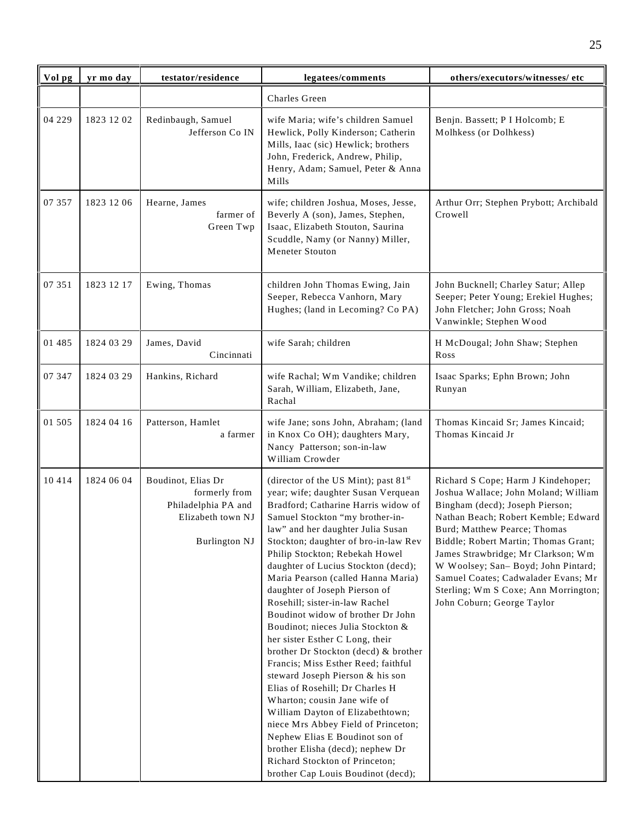| Vol pg | yr mo day  | testator/residence                                                                                      | legatees/comments                                                                                                                                                                                                                                                                                                                                                                                                                                                                                                                                                                                                                                                                                                                                                                                                                                                                                                                                  | others/executors/witnesses/etc                                                                                                                                                                                                                                                                                                                                                                                        |
|--------|------------|---------------------------------------------------------------------------------------------------------|----------------------------------------------------------------------------------------------------------------------------------------------------------------------------------------------------------------------------------------------------------------------------------------------------------------------------------------------------------------------------------------------------------------------------------------------------------------------------------------------------------------------------------------------------------------------------------------------------------------------------------------------------------------------------------------------------------------------------------------------------------------------------------------------------------------------------------------------------------------------------------------------------------------------------------------------------|-----------------------------------------------------------------------------------------------------------------------------------------------------------------------------------------------------------------------------------------------------------------------------------------------------------------------------------------------------------------------------------------------------------------------|
|        |            |                                                                                                         | Charles Green                                                                                                                                                                                                                                                                                                                                                                                                                                                                                                                                                                                                                                                                                                                                                                                                                                                                                                                                      |                                                                                                                                                                                                                                                                                                                                                                                                                       |
| 04 229 | 1823 12 02 | Redinbaugh, Samuel<br>Jefferson Co IN                                                                   | wife Maria; wife's children Samuel<br>Hewlick, Polly Kinderson; Catherin<br>Mills, Iaac (sic) Hewlick; brothers<br>John, Frederick, Andrew, Philip,<br>Henry, Adam; Samuel, Peter & Anna<br>Mills                                                                                                                                                                                                                                                                                                                                                                                                                                                                                                                                                                                                                                                                                                                                                  | Benjn. Bassett; P I Holcomb; E<br>Molhkess (or Dolhkess)                                                                                                                                                                                                                                                                                                                                                              |
| 07 357 | 1823 12 06 | Hearne, James<br>farmer of<br>Green Twp                                                                 | wife; children Joshua, Moses, Jesse,<br>Beverly A (son), James, Stephen,<br>Isaac, Elizabeth Stouton, Saurina<br>Scuddle, Namy (or Nanny) Miller,<br>Meneter Stouton                                                                                                                                                                                                                                                                                                                                                                                                                                                                                                                                                                                                                                                                                                                                                                               | Arthur Orr; Stephen Prybott; Archibald<br>Crowell                                                                                                                                                                                                                                                                                                                                                                     |
| 07 351 | 1823 12 17 | Ewing, Thomas                                                                                           | children John Thomas Ewing, Jain<br>Seeper, Rebecca Vanhorn, Mary<br>Hughes; (land in Lecoming? Co PA)                                                                                                                                                                                                                                                                                                                                                                                                                                                                                                                                                                                                                                                                                                                                                                                                                                             | John Bucknell; Charley Satur; Allep<br>Seeper; Peter Young; Erekiel Hughes;<br>John Fletcher; John Gross; Noah<br>Vanwinkle; Stephen Wood                                                                                                                                                                                                                                                                             |
| 01 485 | 1824 03 29 | James, David<br>Cincinnati                                                                              | wife Sarah; children                                                                                                                                                                                                                                                                                                                                                                                                                                                                                                                                                                                                                                                                                                                                                                                                                                                                                                                               | H McDougal; John Shaw; Stephen<br>Ross                                                                                                                                                                                                                                                                                                                                                                                |
| 07 347 | 1824 03 29 | Hankins, Richard                                                                                        | wife Rachal; Wm Vandike; children<br>Sarah, William, Elizabeth, Jane,<br>Rachal                                                                                                                                                                                                                                                                                                                                                                                                                                                                                                                                                                                                                                                                                                                                                                                                                                                                    | Isaac Sparks; Ephn Brown; John<br>Runyan                                                                                                                                                                                                                                                                                                                                                                              |
| 01 505 | 1824 04 16 | Patterson, Hamlet<br>a farmer                                                                           | wife Jane; sons John, Abraham; (land<br>in Knox Co OH); daughters Mary,<br>Nancy Patterson; son-in-law<br>William Crowder                                                                                                                                                                                                                                                                                                                                                                                                                                                                                                                                                                                                                                                                                                                                                                                                                          | Thomas Kincaid Sr; James Kincaid;<br>Thomas Kincaid Jr                                                                                                                                                                                                                                                                                                                                                                |
| 10414  | 1824 06 04 | Boudinot, Elias Dr<br>formerly from<br>Philadelphia PA and<br>Elizabeth town NJ<br><b>Burlington NJ</b> | (director of the US Mint); past $81st$<br>year; wife; daughter Susan Verquean<br>Bradford; Catharine Harris widow of<br>Samuel Stockton "my brother-in-<br>law" and her daughter Julia Susan<br>Stockton; daughter of bro-in-law Rev<br>Philip Stockton; Rebekah Howel<br>daughter of Lucius Stockton (decd);<br>Maria Pearson (called Hanna Maria)<br>daughter of Joseph Pierson of<br>Rosehill; sister-in-law Rachel<br>Boudinot widow of brother Dr John<br>Boudinot; nieces Julia Stockton &<br>her sister Esther C Long, their<br>brother Dr Stockton (decd) & brother<br>Francis; Miss Esther Reed; faithful<br>steward Joseph Pierson & his son<br>Elias of Rosehill; Dr Charles H<br>Wharton; cousin Jane wife of<br>William Dayton of Elizabethtown;<br>niece Mrs Abbey Field of Princeton;<br>Nephew Elias E Boudinot son of<br>brother Elisha (decd); nephew Dr<br>Richard Stockton of Princeton;<br>brother Cap Louis Boudinot (decd); | Richard S Cope; Harm J Kindehoper;<br>Joshua Wallace; John Moland; William<br>Bingham (decd); Joseph Pierson;<br>Nathan Beach; Robert Kemble; Edward<br>Burd; Matthew Pearce; Thomas<br>Biddle; Robert Martin; Thomas Grant;<br>James Strawbridge; Mr Clarkson; Wm<br>W Woolsey; San-Boyd; John Pintard;<br>Samuel Coates; Cadwalader Evans; Mr<br>Sterling; Wm S Coxe; Ann Morrington;<br>John Coburn; George Taylor |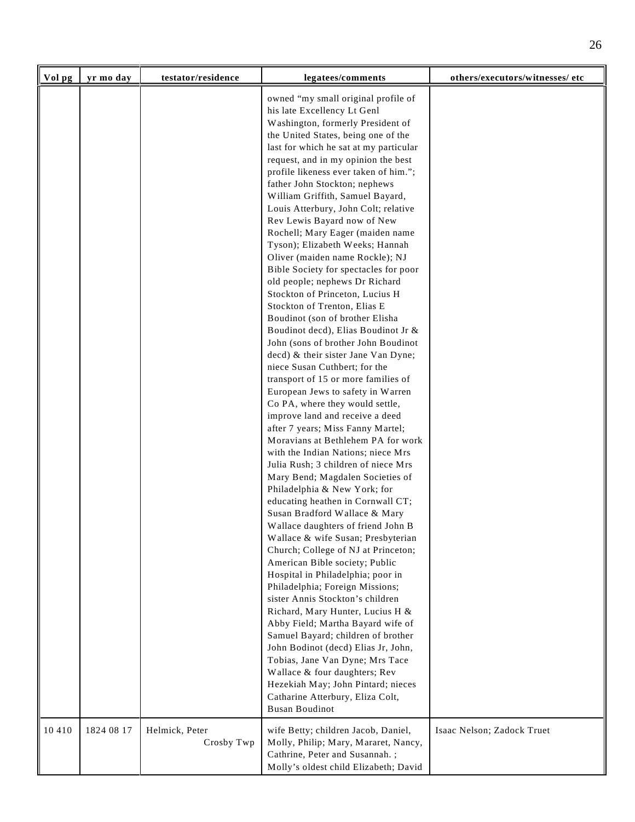| Vol pg | yr mo day  | testator/residence           | legatees/comments                                                                                                                                                                                                                                                                                                                                                                                                                                                                                                                                                                                                                                                                                                                                                                                                                                                                                                                                                                                                                                                                                                                                                                                                                                                                                                                                                                                                                                                                                                                                                                                                                                                                                                                                                                                                                                                                                                       | others/executors/witnesses/ etc |
|--------|------------|------------------------------|-------------------------------------------------------------------------------------------------------------------------------------------------------------------------------------------------------------------------------------------------------------------------------------------------------------------------------------------------------------------------------------------------------------------------------------------------------------------------------------------------------------------------------------------------------------------------------------------------------------------------------------------------------------------------------------------------------------------------------------------------------------------------------------------------------------------------------------------------------------------------------------------------------------------------------------------------------------------------------------------------------------------------------------------------------------------------------------------------------------------------------------------------------------------------------------------------------------------------------------------------------------------------------------------------------------------------------------------------------------------------------------------------------------------------------------------------------------------------------------------------------------------------------------------------------------------------------------------------------------------------------------------------------------------------------------------------------------------------------------------------------------------------------------------------------------------------------------------------------------------------------------------------------------------------|---------------------------------|
|        |            |                              | owned "my small original profile of<br>his late Excellency Lt Genl<br>Washington, formerly President of<br>the United States, being one of the<br>last for which he sat at my particular<br>request, and in my opinion the best<br>profile likeness ever taken of him.";<br>father John Stockton; nephews<br>William Griffith, Samuel Bayard,<br>Louis Atterbury, John Colt; relative<br>Rev Lewis Bayard now of New<br>Rochell; Mary Eager (maiden name<br>Tyson); Elizabeth Weeks; Hannah<br>Oliver (maiden name Rockle); NJ<br>Bible Society for spectacles for poor<br>old people; nephews Dr Richard<br>Stockton of Princeton, Lucius H<br>Stockton of Trenton, Elias E<br>Boudinot (son of brother Elisha<br>Boudinot decd), Elias Boudinot Jr &<br>John (sons of brother John Boudinot<br>decd) & their sister Jane Van Dyne;<br>niece Susan Cuthbert; for the<br>transport of 15 or more families of<br>European Jews to safety in Warren<br>Co PA, where they would settle,<br>improve land and receive a deed<br>after 7 years; Miss Fanny Martel;<br>Moravians at Bethlehem PA for work<br>with the Indian Nations; niece Mrs<br>Julia Rush; 3 children of niece Mrs<br>Mary Bend; Magdalen Societies of<br>Philadelphia & New York; for<br>educating heathen in Cornwall CT;<br>Susan Bradford Wallace & Mary<br>Wallace daughters of friend John B<br>Wallace & wife Susan; Presbyterian<br>Church; College of NJ at Princeton;<br>American Bible society; Public<br>Hospital in Philadelphia; poor in<br>Philadelphia; Foreign Missions;<br>sister Annis Stockton's children<br>Richard, Mary Hunter, Lucius H &<br>Abby Field; Martha Bayard wife of<br>Samuel Bayard; children of brother<br>John Bodinot (decd) Elias Jr, John,<br>Tobias, Jane Van Dyne; Mrs Tace<br>Wallace & four daughters; Rev<br>Hezekiah May; John Pintard; nieces<br>Catharine Atterbury, Eliza Colt,<br><b>Busan Boudinot</b> |                                 |
| 10410  | 1824 08 17 | Helmick, Peter<br>Crosby Twp | wife Betty; children Jacob, Daniel,<br>Molly, Philip; Mary, Mararet, Nancy,<br>Cathrine, Peter and Susannah.;<br>Molly's oldest child Elizabeth; David                                                                                                                                                                                                                                                                                                                                                                                                                                                                                                                                                                                                                                                                                                                                                                                                                                                                                                                                                                                                                                                                                                                                                                                                                                                                                                                                                                                                                                                                                                                                                                                                                                                                                                                                                                  | Isaac Nelson; Zadock Truet      |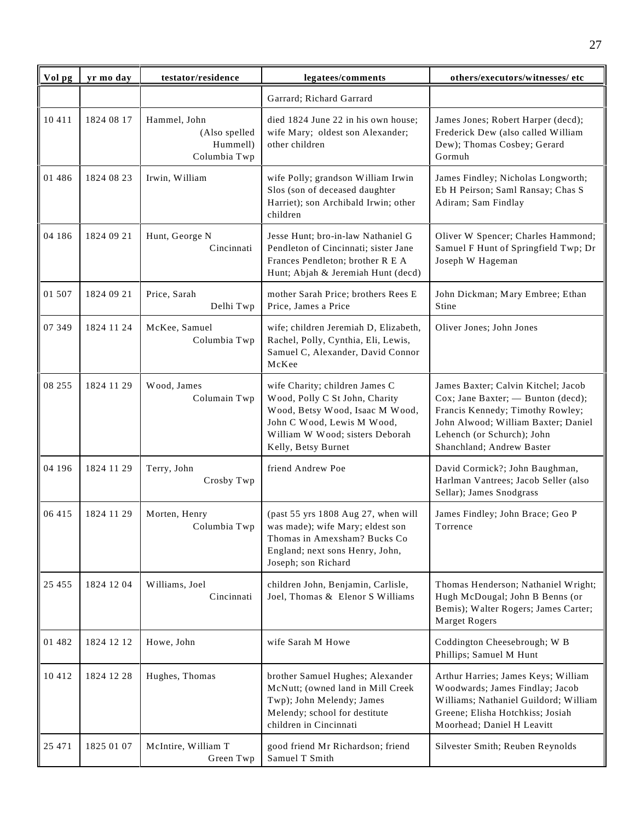| Vol pg  | yr mo day  | testator/residence                                        | legatees/comments                                                                                                                                                                           | others/executors/witnesses/ etc                                                                                                                                                                                 |
|---------|------------|-----------------------------------------------------------|---------------------------------------------------------------------------------------------------------------------------------------------------------------------------------------------|-----------------------------------------------------------------------------------------------------------------------------------------------------------------------------------------------------------------|
|         |            |                                                           | Garrard; Richard Garrard                                                                                                                                                                    |                                                                                                                                                                                                                 |
| 10 411  | 1824 08 17 | Hammel, John<br>(Also spelled<br>Hummell)<br>Columbia Twp | died 1824 June 22 in his own house;<br>wife Mary; oldest son Alexander;<br>other children                                                                                                   | James Jones; Robert Harper (decd);<br>Frederick Dew (also called William<br>Dew); Thomas Cosbey; Gerard<br>Gormuh                                                                                               |
| 01 486  | 1824 08 23 | Irwin, William                                            | wife Polly; grandson William Irwin<br>Slos (son of deceased daughter<br>Harriet); son Archibald Irwin; other<br>children                                                                    | James Findley; Nicholas Longworth;<br>Eb H Peirson; Saml Ransay; Chas S<br>Adiram; Sam Findlay                                                                                                                  |
| 04 186  | 1824 09 21 | Hunt, George N<br>Cincinnati                              | Jesse Hunt; bro-in-law Nathaniel G<br>Pendleton of Cincinnati; sister Jane<br>Frances Pendleton; brother R E A<br>Hunt; Abjah & Jeremiah Hunt (decd)                                        | Oliver W Spencer; Charles Hammond;<br>Samuel F Hunt of Springfield Twp; Dr<br>Joseph W Hageman                                                                                                                  |
| 01 507  | 1824 09 21 | Price, Sarah<br>Delhi Twp                                 | mother Sarah Price; brothers Rees E<br>Price, James a Price                                                                                                                                 | John Dickman; Mary Embree; Ethan<br>Stine                                                                                                                                                                       |
| 07 349  | 1824 11 24 | McKee, Samuel<br>Columbia Twp                             | wife; children Jeremiah D, Elizabeth,<br>Rachel, Polly, Cynthia, Eli, Lewis,<br>Samuel C, Alexander, David Connor<br>McKee                                                                  | Oliver Jones; John Jones                                                                                                                                                                                        |
| 08 255  | 1824 11 29 | Wood, James<br>Columain Twp                               | wife Charity; children James C<br>Wood, Polly C St John, Charity<br>Wood, Betsy Wood, Isaac M Wood,<br>John C Wood, Lewis M Wood,<br>William W Wood; sisters Deborah<br>Kelly, Betsy Burnet | James Baxter; Calvin Kitchel; Jacob<br>Cox; Jane Baxter; - Bunton (decd);<br>Francis Kennedy; Timothy Rowley;<br>John Alwood; William Baxter; Daniel<br>Lehench (or Schurch); John<br>Shanchland; Andrew Baster |
| 04 196  | 1824 11 29 | Terry, John<br>Crosby Twp                                 | friend Andrew Poe                                                                                                                                                                           | David Cormick?; John Baughman,<br>Harlman Vantrees; Jacob Seller (also<br>Sellar); James Snodgrass                                                                                                              |
| 06 415  | 1824 11 29 | Morten, Henry<br>Columbia Twp                             | (past 55 yrs 1808 Aug 27, when will<br>was made); wife Mary; eldest son<br>Thomas in Amexsham? Bucks Co<br>England; next sons Henry, John,<br>Joseph; son Richard                           | James Findley; John Brace; Geo P<br>Torrence                                                                                                                                                                    |
| 25 4 55 | 1824 12 04 | Williams, Joel<br>Cincinnati                              | children John, Benjamin, Carlisle,<br>Joel, Thomas & Elenor S Williams                                                                                                                      | Thomas Henderson; Nathaniel Wright;<br>Hugh McDougal; John B Benns (or<br>Bemis); Walter Rogers; James Carter;<br>Marget Rogers                                                                                 |
| 01 482  | 1824 12 12 | Howe, John                                                | wife Sarah M Howe                                                                                                                                                                           | Coddington Cheesebrough; W B<br>Phillips; Samuel M Hunt                                                                                                                                                         |
| 10412   | 1824 12 28 | Hughes, Thomas                                            | brother Samuel Hughes; Alexander<br>McNutt; (owned land in Mill Creek<br>Twp); John Melendy; James<br>Melendy; school for destitute<br>children in Cincinnati                               | Arthur Harries; James Keys; William<br>Woodwards; James Findlay; Jacob<br>Williams; Nathaniel Guildord; William<br>Greene; Elisha Hotchkiss; Josiah<br>Moorhead; Daniel H Leavitt                               |
| 25 471  | 1825 01 07 | McIntire, William T<br>Green Twp                          | good friend Mr Richardson; friend<br>Samuel T Smith                                                                                                                                         | Silvester Smith; Reuben Reynolds                                                                                                                                                                                |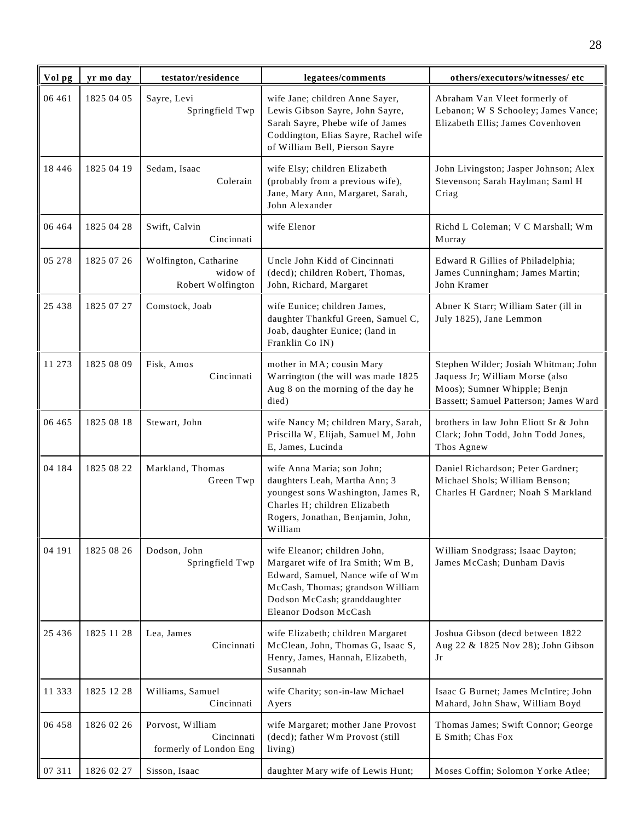| Vol pg   | yr mo day  | testator/residence                                       | legatees/comments                                                                                                                                                                                  | others/executors/witnesses/ etc                                                                                                                  |
|----------|------------|----------------------------------------------------------|----------------------------------------------------------------------------------------------------------------------------------------------------------------------------------------------------|--------------------------------------------------------------------------------------------------------------------------------------------------|
| 06 461   | 1825 04 05 | Sayre, Levi<br>Springfield Twp                           | wife Jane; children Anne Sayer,<br>Lewis Gibson Sayre, John Sayre,<br>Sarah Sayre, Phebe wife of James<br>Coddington, Elias Sayre, Rachel wife<br>of William Bell, Pierson Sayre                   | Abraham Van Vleet formerly of<br>Lebanon; W S Schooley; James Vance;<br>Elizabeth Ellis; James Covenhoven                                        |
| 18 4 4 6 | 1825 04 19 | Sedam, Isaac<br>Colerain                                 | wife Elsy; children Elizabeth<br>(probably from a previous wife),<br>Jane, Mary Ann, Margaret, Sarah,<br>John Alexander                                                                            | John Livingston; Jasper Johnson; Alex<br>Stevenson; Sarah Haylman; Saml H<br>Criag                                                               |
| 06 4 64  | 1825 04 28 | Swift, Calvin<br>Cincinnati                              | wife Elenor                                                                                                                                                                                        | Richd L Coleman; V C Marshall; Wm<br>Murray                                                                                                      |
| 05 278   | 1825 07 26 | Wolfington, Catharine<br>widow of<br>Robert Wolfington   | Uncle John Kidd of Cincinnati<br>(decd); children Robert, Thomas,<br>John, Richard, Margaret                                                                                                       | Edward R Gillies of Philadelphia;<br>James Cunningham; James Martin;<br>John Kramer                                                              |
| 25 4 38  | 1825 07 27 | Comstock, Joab                                           | wife Eunice; children James,<br>daughter Thankful Green, Samuel C,<br>Joab, daughter Eunice; (land in<br>Franklin Co IN)                                                                           | Abner K Starr; William Sater (ill in<br>July 1825), Jane Lemmon                                                                                  |
| 11 273   | 1825 08 09 | Fisk, Amos<br>Cincinnati                                 | mother in MA; cousin Mary<br>Warrington (the will was made 1825<br>Aug 8 on the morning of the day he<br>died)                                                                                     | Stephen Wilder; Josiah Whitman; John<br>Jaquess Jr; William Morse (also<br>Moos); Sumner Whipple; Benjn<br>Bassett; Samuel Patterson; James Ward |
| 06 4 65  | 1825 08 18 | Stewart, John                                            | wife Nancy M; children Mary, Sarah,<br>Priscilla W, Elijah, Samuel M, John<br>E, James, Lucinda                                                                                                    | brothers in law John Eliott Sr & John<br>Clark; John Todd, John Todd Jones,<br>Thos Agnew                                                        |
| 04 184   | 1825 08 22 | Markland, Thomas<br>Green Twp                            | wife Anna Maria; son John;<br>daughters Leah, Martha Ann; 3<br>youngest sons Washington, James R,<br>Charles H; children Elizabeth<br>Rogers, Jonathan, Benjamin, John,<br>William                 | Daniel Richardson; Peter Gardner;<br>Michael Shols; William Benson;<br>Charles H Gardner; Noah S Markland                                        |
| 04 191   | 1825 08 26 | Dodson, John<br>Springfield Twp                          | wife Eleanor; children John,<br>Margaret wife of Ira Smith; Wm B,<br>Edward, Samuel, Nance wife of Wm<br>McCash, Thomas; grandson William<br>Dodson McCash; granddaughter<br>Eleanor Dodson McCash | William Snodgrass; Isaac Dayton;<br>James McCash; Dunham Davis                                                                                   |
| 25 4 36  | 1825 11 28 | Lea, James<br>Cincinnati                                 | wife Elizabeth; children Margaret<br>McClean, John, Thomas G, Isaac S,<br>Henry, James, Hannah, Elizabeth,<br>Susannah                                                                             | Joshua Gibson (decd between 1822<br>Aug 22 & 1825 Nov 28); John Gibson<br>Jr                                                                     |
| 11 3 3 3 | 1825 12 28 | Williams, Samuel<br>Cincinnati                           | wife Charity; son-in-law Michael<br>Ayers                                                                                                                                                          | Isaac G Burnet; James McIntire; John<br>Mahard, John Shaw, William Boyd                                                                          |
| 06 458   | 1826 02 26 | Porvost, William<br>Cincinnati<br>formerly of London Eng | wife Margaret; mother Jane Provost<br>(decd); father Wm Provost (still<br>living)                                                                                                                  | Thomas James; Swift Connor; George<br>E Smith; Chas Fox                                                                                          |
| 07 311   | 1826 02 27 | Sisson, Isaac                                            | daughter Mary wife of Lewis Hunt;                                                                                                                                                                  | Moses Coffin; Solomon Yorke Atlee;                                                                                                               |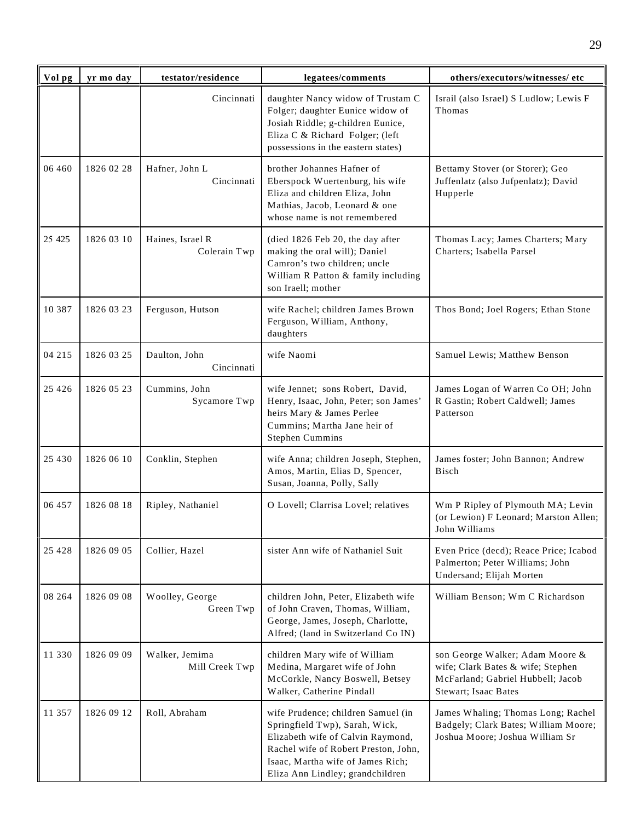| Vol pg   | yr mo day  | testator/residence               | legatees/comments                                                                                                                                                                                                          | others/executors/witnesses/etc                                                                                                    |
|----------|------------|----------------------------------|----------------------------------------------------------------------------------------------------------------------------------------------------------------------------------------------------------------------------|-----------------------------------------------------------------------------------------------------------------------------------|
|          |            | Cincinnati                       | daughter Nancy widow of Trustam C<br>Folger; daughter Eunice widow of<br>Josiah Riddle; g-children Eunice,<br>Eliza C & Richard Folger; (left<br>possessions in the eastern states)                                        | Israil (also Israel) S Ludlow; Lewis F<br>Thomas                                                                                  |
| 06 460   | 1826 02 28 | Hafner, John L<br>Cincinnati     | brother Johannes Hafner of<br>Eberspock Wuertenburg, his wife<br>Eliza and children Eliza, John<br>Mathias, Jacob, Leonard & one<br>whose name is not remembered                                                           | Bettamy Stover (or Storer); Geo<br>Juffenlatz (also Jufpenlatz); David<br>Hupperle                                                |
| 25 4 25  | 1826 03 10 | Haines, Israel R<br>Colerain Twp | (died 1826 Feb 20, the day after<br>making the oral will); Daniel<br>Camron's two children; uncle<br>William R Patton & family including<br>son Iraell; mother                                                             | Thomas Lacy; James Charters; Mary<br>Charters; Isabella Parsel                                                                    |
| 10 3 8 7 | 1826 03 23 | Ferguson, Hutson                 | wife Rachel; children James Brown<br>Ferguson, William, Anthony,<br>daughters                                                                                                                                              | Thos Bond; Joel Rogers; Ethan Stone                                                                                               |
| 04 215   | 1826 03 25 | Daulton, John<br>Cincinnati      | wife Naomi                                                                                                                                                                                                                 | Samuel Lewis; Matthew Benson                                                                                                      |
| 25 4 26  | 1826 05 23 | Cummins, John<br>Sycamore Twp    | wife Jennet; sons Robert, David,<br>Henry, Isaac, John, Peter; son James'<br>heirs Mary & James Perlee<br>Cummins; Martha Jane heir of<br><b>Stephen Cummins</b>                                                           | James Logan of Warren Co OH; John<br>R Gastin; Robert Caldwell; James<br>Patterson                                                |
| 25 4 30  | 1826 06 10 | Conklin, Stephen                 | wife Anna; children Joseph, Stephen,<br>Amos, Martin, Elias D, Spencer,<br>Susan, Joanna, Polly, Sally                                                                                                                     | James foster; John Bannon; Andrew<br>Bisch                                                                                        |
| 06 457   | 1826 08 18 | Ripley, Nathaniel                | O Lovell; Clarrisa Lovel; relatives                                                                                                                                                                                        | Wm P Ripley of Plymouth MA; Levin<br>(or Lewion) F Leonard; Marston Allen;<br>John Williams                                       |
| 25 4 28  | 1826 09 05 | Collier, Hazel                   | sister Ann wife of Nathaniel Suit                                                                                                                                                                                          | Even Price (decd); Reace Price; Icabod<br>Palmerton; Peter Williams; John<br>Undersand; Elijah Morten                             |
| 08 264   | 1826 09 08 | Woolley, George<br>Green Twp     | children John, Peter, Elizabeth wife<br>of John Craven, Thomas, William,<br>George, James, Joseph, Charlotte,<br>Alfred; (land in Switzerland Co IN)                                                                       | William Benson; Wm C Richardson                                                                                                   |
| 11 330   | 1826 09 09 | Walker, Jemima<br>Mill Creek Twp | children Mary wife of William<br>Medina, Margaret wife of John<br>McCorkle, Nancy Boswell, Betsey<br>Walker, Catherine Pindall                                                                                             | son George Walker; Adam Moore &<br>wife; Clark Bates & wife; Stephen<br>McFarland; Gabriel Hubbell; Jacob<br>Stewart; Isaac Bates |
| 11 357   | 1826 09 12 | Roll, Abraham                    | wife Prudence; children Samuel (in<br>Springfield Twp), Sarah, Wick,<br>Elizabeth wife of Calvin Raymond,<br>Rachel wife of Robert Preston, John,<br>Isaac, Martha wife of James Rich;<br>Eliza Ann Lindley; grandchildren | James Whaling; Thomas Long; Rachel<br>Badgely; Clark Bates; William Moore;<br>Joshua Moore; Joshua William Sr                     |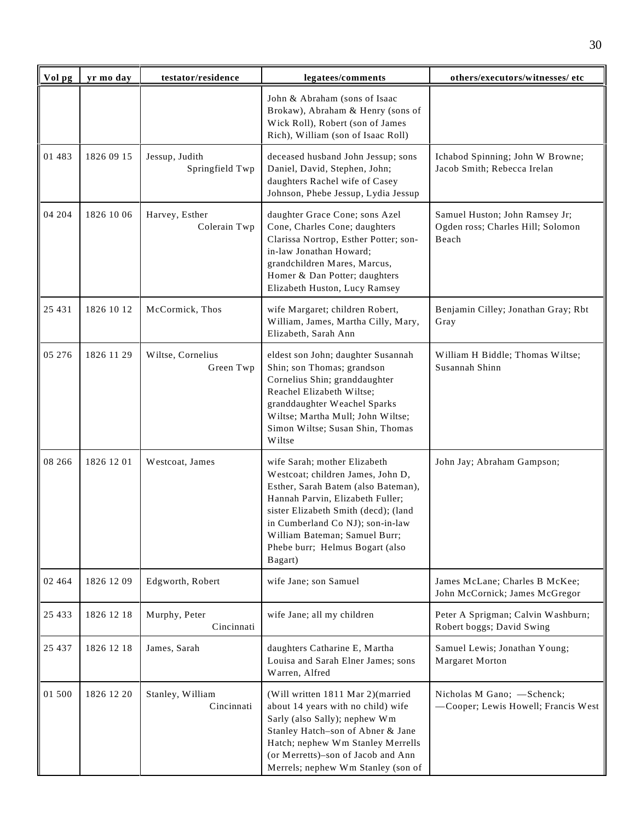| Vol pg   | yr mo day  | testator/residence                | legatees/comments                                                                                                                                                                                                                                                                                       | others/executors/witnesses/ etc                                              |
|----------|------------|-----------------------------------|---------------------------------------------------------------------------------------------------------------------------------------------------------------------------------------------------------------------------------------------------------------------------------------------------------|------------------------------------------------------------------------------|
|          |            |                                   | John & Abraham (sons of Isaac<br>Brokaw), Abraham & Henry (sons of<br>Wick Roll), Robert (son of James<br>Rich), William (son of Isaac Roll)                                                                                                                                                            |                                                                              |
| 01 483   | 1826 09 15 | Jessup, Judith<br>Springfield Twp | deceased husband John Jessup; sons<br>Daniel, David, Stephen, John;<br>daughters Rachel wife of Casey<br>Johnson, Phebe Jessup, Lydia Jessup                                                                                                                                                            | Ichabod Spinning; John W Browne;<br>Jacob Smith; Rebecca Irelan              |
| 04 204   | 1826 10 06 | Harvey, Esther<br>Colerain Twp    | daughter Grace Cone; sons Azel<br>Cone, Charles Cone; daughters<br>Clarissa Nortrop, Esther Potter; son-<br>in-law Jonathan Howard;<br>grandchildren Mares, Marcus,<br>Homer & Dan Potter; daughters<br>Elizabeth Huston, Lucy Ramsey                                                                   | Samuel Huston; John Ramsey Jr;<br>Ogden ross; Charles Hill; Solomon<br>Beach |
| 25 4 31  | 1826 10 12 | McCormick, Thos                   | wife Margaret; children Robert,<br>William, James, Martha Cilly, Mary,<br>Elizabeth, Sarah Ann                                                                                                                                                                                                          | Benjamin Cilley; Jonathan Gray; Rbt<br>Gray                                  |
| 05 276   | 1826 11 29 | Wiltse, Cornelius<br>Green Twp    | eldest son John; daughter Susannah<br>Shin; son Thomas; grandson<br>Cornelius Shin; granddaughter<br>Reachel Elizabeth Wiltse;<br>granddaughter Weachel Sparks<br>Wiltse; Martha Mull; John Wiltse;<br>Simon Wiltse; Susan Shin, Thomas<br>Wiltse                                                       | William H Biddle; Thomas Wiltse;<br>Susannah Shinn                           |
| 08 26 6  | 1826 12 01 | Westcoat, James                   | wife Sarah; mother Elizabeth<br>Westcoat; children James, John D,<br>Esther, Sarah Batem (also Bateman),<br>Hannah Parvin, Elizabeth Fuller;<br>sister Elizabeth Smith (decd); (land<br>in Cumberland Co NJ); son-in-law<br>William Bateman; Samuel Burr;<br>Phebe burr; Helmus Bogart (also<br>Bagart) | John Jay; Abraham Gampson;                                                   |
| 02 4 6 4 | 1826 12 09 | Edgworth, Robert                  | wife Jane; son Samuel                                                                                                                                                                                                                                                                                   | James McLane; Charles B McKee;<br>John McCornick; James McGregor             |
| 25 4 33  | 1826 12 18 | Murphy, Peter<br>Cincinnati       | wife Jane; all my children                                                                                                                                                                                                                                                                              | Peter A Sprigman; Calvin Washburn;<br>Robert boggs; David Swing              |
| 25 4 3 7 | 1826 12 18 | James, Sarah                      | daughters Catharine E, Martha<br>Louisa and Sarah Elner James; sons<br>Warren, Alfred                                                                                                                                                                                                                   | Samuel Lewis; Jonathan Young;<br>Margaret Morton                             |
| 01 500   | 1826 12 20 | Stanley, William<br>Cincinnati    | (Will written 1811 Mar 2)(married<br>about 14 years with no child) wife<br>Sarly (also Sally); nephew Wm<br>Stanley Hatch-son of Abner & Jane<br>Hatch; nephew Wm Stanley Merrells<br>(or Merretts)-son of Jacob and Ann<br>Merrels; nephew Wm Stanley (son of                                          | Nicholas M Gano; -Schenck;<br>-Cooper; Lewis Howell; Francis West            |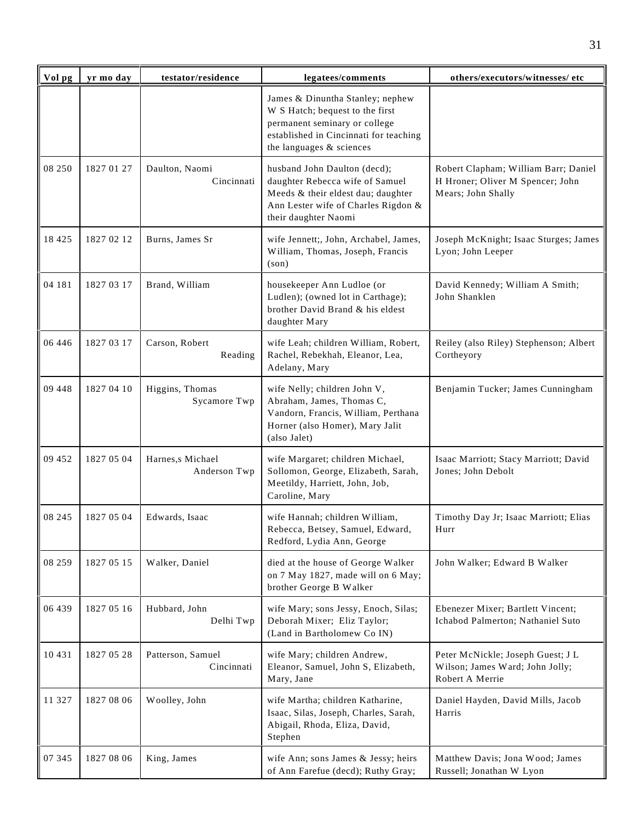| Vol pg   | yr mo day  | testator/residence                | legatees/comments                                                                                                                                                          | others/executors/witnesses/ etc                                                                |
|----------|------------|-----------------------------------|----------------------------------------------------------------------------------------------------------------------------------------------------------------------------|------------------------------------------------------------------------------------------------|
|          |            |                                   | James & Dinuntha Stanley; nephew<br>W S Hatch; bequest to the first<br>permanent seminary or college<br>established in Cincinnati for teaching<br>the languages & sciences |                                                                                                |
| 08 250   | 1827 01 27 | Daulton, Naomi<br>Cincinnati      | husband John Daulton (decd);<br>daughter Rebecca wife of Samuel<br>Meeds & their eldest dau; daughter<br>Ann Lester wife of Charles Rigdon &<br>their daughter Naomi       | Robert Clapham; William Barr; Daniel<br>H Hroner; Oliver M Spencer; John<br>Mears; John Shally |
| 18 4 25  | 1827 02 12 | Burns, James Sr                   | wife Jennett;, John, Archabel, James,<br>William, Thomas, Joseph, Francis<br>$(\text{son})$                                                                                | Joseph McKnight; Isaac Sturges; James<br>Lyon; John Leeper                                     |
| 04 181   | 1827 03 17 | Brand, William                    | housekeeper Ann Ludloe (or<br>Ludlen); (owned lot in Carthage);<br>brother David Brand & his eldest<br>daughter Mary                                                       | David Kennedy; William A Smith;<br>John Shanklen                                               |
| 06 4 4 6 | 1827 03 17 | Carson, Robert<br>Reading         | wife Leah; children William, Robert,<br>Rachel, Rebekhah, Eleanor, Lea,<br>Adelany, Mary                                                                                   | Reiley (also Riley) Stephenson; Albert<br>Cortheyory                                           |
| 09 448   | 1827 04 10 | Higgins, Thomas<br>Sycamore Twp   | wife Nelly; children John V,<br>Abraham, James, Thomas C,<br>Vandorn, Francis, William, Perthana<br>Horner (also Homer), Mary Jalit<br>(also Jalet)                        | Benjamin Tucker; James Cunningham                                                              |
| 09 452   | 1827 05 04 | Harnes, s Michael<br>Anderson Twp | wife Margaret; children Michael,<br>Sollomon, George, Elizabeth, Sarah,<br>Meetildy, Harriett, John, Job,<br>Caroline, Mary                                                | Isaac Marriott; Stacy Marriott; David<br>Jones; John Debolt                                    |
| 08 245   | 1827 05 04 | Edwards, Isaac                    | wife Hannah; children William,<br>Rebecca, Betsey, Samuel, Edward,<br>Redford, Lydia Ann, George                                                                           | Timothy Day Jr; Isaac Marriott; Elias<br>Hurr                                                  |
| 08 259   | 1827 05 15 | Walker, Daniel                    | died at the house of George Walker<br>on 7 May 1827, made will on 6 May;<br>brother George B Walker                                                                        | John Walker; Edward B Walker                                                                   |
| 06 439   | 1827 05 16 | Hubbard, John<br>Delhi Twp        | wife Mary; sons Jessy, Enoch, Silas;<br>Deborah Mixer; Eliz Taylor;<br>(Land in Bartholomew Co IN)                                                                         | Ebenezer Mixer; Bartlett Vincent;<br>Ichabod Palmerton; Nathaniel Suto                         |
| 10 431   | 1827 05 28 | Patterson, Samuel<br>Cincinnati   | wife Mary; children Andrew,<br>Eleanor, Samuel, John S, Elizabeth,<br>Mary, Jane                                                                                           | Peter McNickle; Joseph Guest; J L<br>Wilson; James Ward; John Jolly;<br>Robert A Merrie        |
| 11 327   | 1827 08 06 | Woolley, John                     | wife Martha; children Katharine,<br>Isaac, Silas, Joseph, Charles, Sarah,<br>Abigail, Rhoda, Eliza, David,<br>Stephen                                                      | Daniel Hayden, David Mills, Jacob<br>Harris                                                    |
| 07 345   | 1827 08 06 | King, James                       | wife Ann; sons James & Jessy; heirs<br>of Ann Farefue (decd); Ruthy Gray;                                                                                                  | Matthew Davis; Jona Wood; James<br>Russell; Jonathan W Lyon                                    |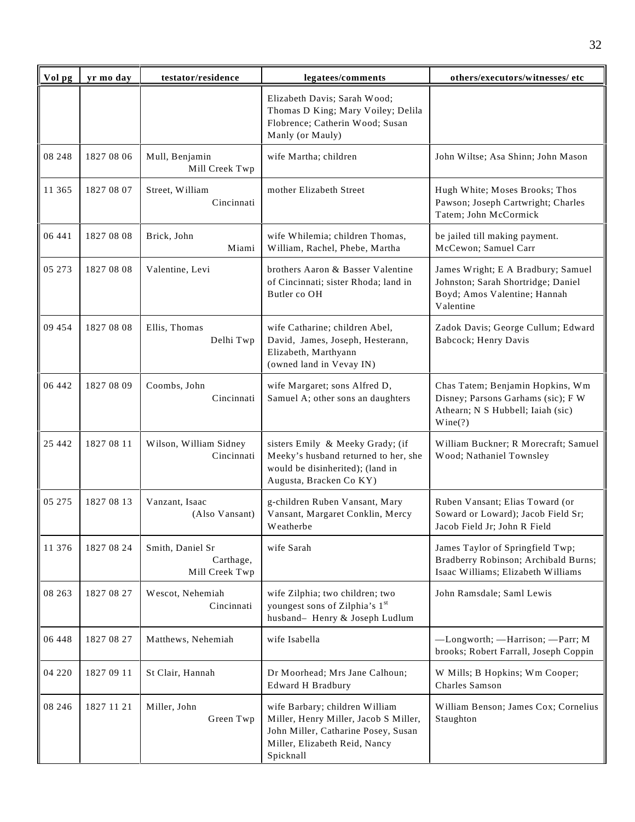| Vol pg  | yr mo day  | testator/residence                              | legatees/comments                                                                                                                                            | others/executors/witnesses/ etc                                                                                        |
|---------|------------|-------------------------------------------------|--------------------------------------------------------------------------------------------------------------------------------------------------------------|------------------------------------------------------------------------------------------------------------------------|
|         |            |                                                 | Elizabeth Davis; Sarah Wood;<br>Thomas D King; Mary Voiley; Delila<br>Flobrence; Catherin Wood; Susan<br>Manly (or Mauly)                                    |                                                                                                                        |
| 08 248  | 1827 08 06 | Mull, Benjamin<br>Mill Creek Twp                | wife Martha; children                                                                                                                                        | John Wiltse; Asa Shinn; John Mason                                                                                     |
| 11 365  | 1827 08 07 | Street, William<br>Cincinnati                   | mother Elizabeth Street                                                                                                                                      | Hugh White; Moses Brooks; Thos<br>Pawson; Joseph Cartwright; Charles<br>Tatem; John McCormick                          |
| 06 441  | 1827 08 08 | Brick, John<br>Miami                            | wife Whilemia; children Thomas,<br>William, Rachel, Phebe, Martha                                                                                            | be jailed till making payment.<br>McCewon; Samuel Carr                                                                 |
| 05 273  | 1827 08 08 | Valentine, Levi                                 | brothers Aaron & Basser Valentine<br>of Cincinnati; sister Rhoda; land in<br>Butler co OH                                                                    | James Wright; E A Bradbury; Samuel<br>Johnston; Sarah Shortridge; Daniel<br>Boyd; Amos Valentine; Hannah<br>Valentine  |
| 09 454  | 1827 08 08 | Ellis, Thomas<br>Delhi Twp                      | wife Catharine; children Abel,<br>David, James, Joseph, Hesterann,<br>Elizabeth, Marthyann<br>(owned land in Vevay IN)                                       | Zadok Davis; George Cullum; Edward<br>Babcock; Henry Davis                                                             |
| 06 442  | 1827 08 09 | Coombs, John<br>Cincinnati                      | wife Margaret; sons Alfred D,<br>Samuel A; other sons an daughters                                                                                           | Chas Tatem; Benjamin Hopkins, Wm<br>Disney; Parsons Garhams (sic); F W<br>Athearn; N S Hubbell; Iaiah (sic)<br>Wine(?) |
| 25 442  | 1827 08 11 | Wilson, William Sidney<br>Cincinnati            | sisters Emily & Meeky Grady; (if<br>Meeky's husband returned to her, she<br>would be disinherited); (land in<br>Augusta, Bracken Co KY)                      | William Buckner; R Morecraft; Samuel<br>Wood; Nathaniel Townsley                                                       |
| 05 275  | 1827 08 13 | Vanzant, Isaac<br>(Also Vansant)                | g-children Ruben Vansant, Mary<br>Vansant, Margaret Conklin, Mercy<br>Weatherbe                                                                              | Ruben Vansant; Elias Toward (or<br>Soward or Loward); Jacob Field Sr;<br>Jacob Field Jr: John R Field                  |
| 11 376  | 1827 08 24 | Smith, Daniel Sr<br>Carthage,<br>Mill Creek Twp | wife Sarah                                                                                                                                                   | James Taylor of Springfield Twp;<br>Bradberry Robinson; Archibald Burns;<br>Isaac Williams; Elizabeth Williams         |
| 08 263  | 1827 08 27 | Wescot, Nehemiah<br>Cincinnati                  | wife Zilphia; two children; two<br>youngest sons of Zilphia's 1st<br>husband- Henry & Joseph Ludlum                                                          | John Ramsdale; Saml Lewis                                                                                              |
| 06 448  | 1827 08 27 | Matthews, Nehemiah                              | wife Isabella                                                                                                                                                | -Longworth; -Harrison; -Parr; M<br>brooks; Robert Farrall, Joseph Coppin                                               |
| 04 220  | 1827 09 11 | St Clair, Hannah                                | Dr Moorhead; Mrs Jane Calhoun;<br><b>Edward H Bradbury</b>                                                                                                   | W Mills; B Hopkins; Wm Cooper;<br>Charles Samson                                                                       |
| 08 24 6 | 1827 11 21 | Miller, John<br>Green Twp                       | wife Barbary; children William<br>Miller, Henry Miller, Jacob S Miller,<br>John Miller, Catharine Posey, Susan<br>Miller, Elizabeth Reid, Nancy<br>Spicknall | William Benson; James Cox; Cornelius<br>Staughton                                                                      |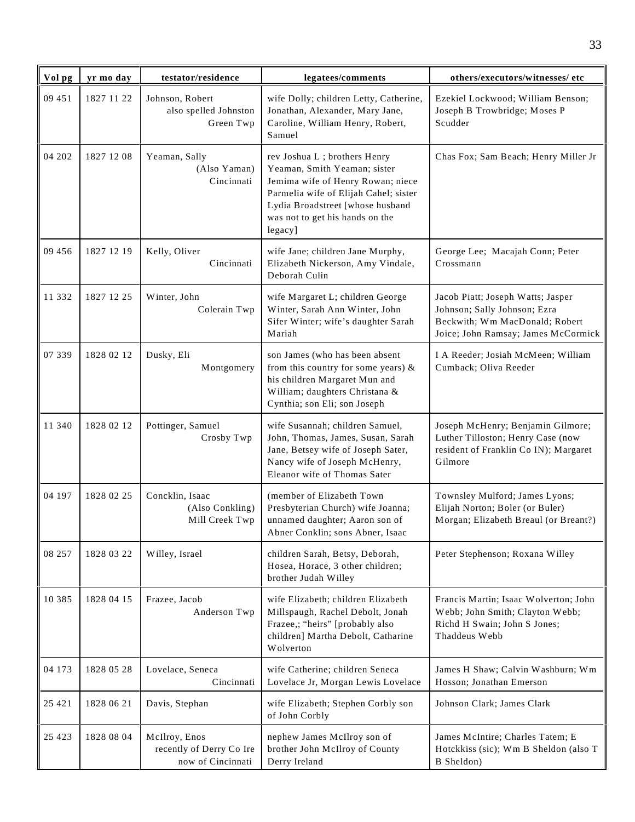| Vol pg   | yr mo day  | testator/residence                                             | legatees/comments                                                                                                                                                                                                            | others/executors/witnesses/ etc                                                                                                            |
|----------|------------|----------------------------------------------------------------|------------------------------------------------------------------------------------------------------------------------------------------------------------------------------------------------------------------------------|--------------------------------------------------------------------------------------------------------------------------------------------|
| 09 451   | 1827 11 22 | Johnson, Robert<br>also spelled Johnston<br>Green Twp          | wife Dolly; children Letty, Catherine,<br>Jonathan, Alexander, Mary Jane,<br>Caroline, William Henry, Robert,<br>Samuel                                                                                                      | Ezekiel Lockwood; William Benson;<br>Joseph B Trowbridge; Moses P<br>Scudder                                                               |
| 04 202   | 1827 12 08 | Yeaman, Sally<br>(Also Yaman)<br>Cincinnati                    | rev Joshua L; brothers Henry<br>Yeaman, Smith Yeaman; sister<br>Jemima wife of Henry Rowan; niece<br>Parmelia wife of Elijah Cahel; sister<br>Lydia Broadstreet [whose husband<br>was not to get his hands on the<br>legacy] | Chas Fox; Sam Beach; Henry Miller Jr                                                                                                       |
| 09 45 6  | 1827 12 19 | Kelly, Oliver<br>Cincinnati                                    | wife Jane; children Jane Murphy,<br>Elizabeth Nickerson, Amy Vindale,<br>Deborah Culin                                                                                                                                       | George Lee; Macajah Conn; Peter<br>Crossmann                                                                                               |
| 11 332   | 1827 12 25 | Winter, John<br>Colerain Twp                                   | wife Margaret L; children George<br>Winter, Sarah Ann Winter, John<br>Sifer Winter; wife's daughter Sarah<br>Mariah                                                                                                          | Jacob Piatt; Joseph Watts; Jasper<br>Johnson; Sally Johnson; Ezra<br>Beckwith; Wm MacDonald; Robert<br>Joice; John Ramsay; James McCormick |
| 07 339   | 1828 02 12 | Dusky, Eli<br>Montgomery                                       | son James (who has been absent<br>from this country for some years) &<br>his children Margaret Mun and<br>William; daughters Christana &<br>Cynthia; son Eli; son Joseph                                                     | I A Reeder; Josiah McMeen; William<br>Cumback; Oliva Reeder                                                                                |
| 11 340   | 1828 02 12 | Pottinger, Samuel<br>Crosby Twp                                | wife Susannah; children Samuel,<br>John, Thomas, James, Susan, Sarah<br>Jane, Betsey wife of Joseph Sater,<br>Nancy wife of Joseph McHenry,<br>Eleanor wife of Thomas Sater                                                  | Joseph McHenry; Benjamin Gilmore;<br>Luther Tilloston; Henry Case (now<br>resident of Franklin Co IN); Margaret<br>Gilmore                 |
| 04 197   | 1828 02 25 | Concklin, Isaac<br>(Also Conkling)<br>Mill Creek Twp           | (member of Elizabeth Town<br>Presbyterian Church) wife Joanna;<br>unnamed daughter; Aaron son of<br>Abner Conklin; sons Abner, Isaac                                                                                         | Townsley Mulford; James Lyons;<br>Elijah Norton; Boler (or Buler)<br>Morgan; Elizabeth Breaul (or Breant?)                                 |
| 08 257   | 1828 03 22 | Willey, Israel                                                 | children Sarah, Betsy, Deborah,<br>Hosea, Horace, 3 other children;<br>brother Judah Willey                                                                                                                                  | Peter Stephenson; Roxana Willey                                                                                                            |
| 10 3 8 5 | 1828 04 15 | Frazee, Jacob<br>Anderson Twp                                  | wife Elizabeth; children Elizabeth<br>Millspaugh, Rachel Debolt, Jonah<br>Frazee,; "heirs" [probably also<br>children] Martha Debolt, Catharine<br>Wolverton                                                                 | Francis Martin; Isaac Wolverton; John<br>Webb; John Smith; Clayton Webb;<br>Richd H Swain; John S Jones;<br>Thaddeus Webb                  |
| 04 173   | 1828 05 28 | Lovelace, Seneca<br>Cincinnati                                 | wife Catherine; children Seneca<br>Lovelace Jr, Morgan Lewis Lovelace                                                                                                                                                        | James H Shaw; Calvin Washburn; Wm<br>Hosson; Jonathan Emerson                                                                              |
| 25 4 21  | 1828 06 21 | Davis, Stephan                                                 | wife Elizabeth; Stephen Corbly son<br>of John Corbly                                                                                                                                                                         | Johnson Clark; James Clark                                                                                                                 |
| 25 4 23  | 1828 08 04 | McIlroy, Enos<br>recently of Derry Co Ire<br>now of Cincinnati | nephew James McIlroy son of<br>brother John McIlroy of County<br>Derry Ireland                                                                                                                                               | James McIntire; Charles Tatem; E<br>Hotckkiss (sic); Wm B Sheldon (also T<br>B Sheldon)                                                    |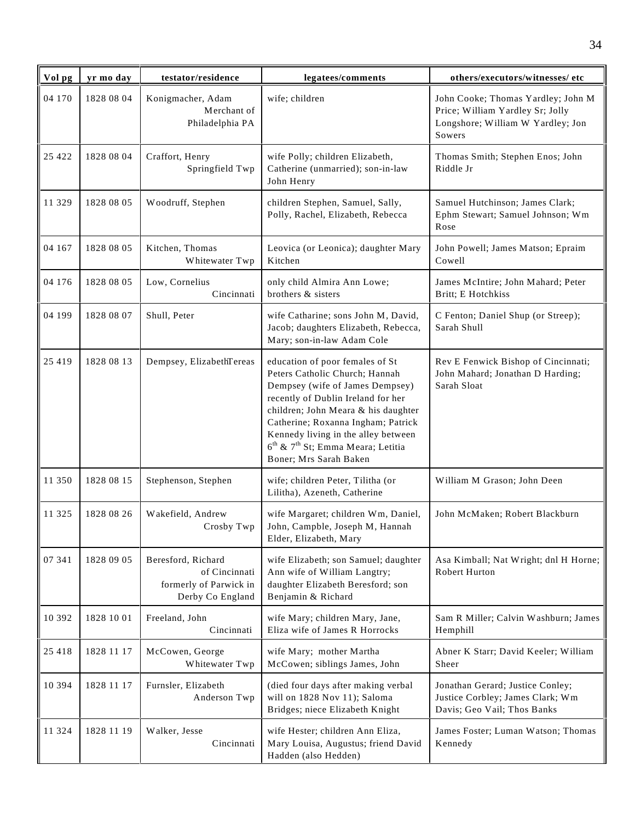| Vol pg  | yr mo day  | testator/residence                                                                | legatees/comments                                                                                                                                                                                                                                                                                                                                     | others/executors/witnesses/ etc                                                                                       |
|---------|------------|-----------------------------------------------------------------------------------|-------------------------------------------------------------------------------------------------------------------------------------------------------------------------------------------------------------------------------------------------------------------------------------------------------------------------------------------------------|-----------------------------------------------------------------------------------------------------------------------|
| 04 170  | 1828 08 04 | Konigmacher, Adam<br>Merchant of<br>Philadelphia PA                               | wife; children                                                                                                                                                                                                                                                                                                                                        | John Cooke; Thomas Yardley; John M<br>Price; William Yardley Sr; Jolly<br>Longshore; William W Yardley; Jon<br>Sowers |
| 25 4 22 | 1828 08 04 | Craffort, Henry<br>Springfield Twp                                                | wife Polly; children Elizabeth,<br>Catherine (unmarried); son-in-law<br>John Henry                                                                                                                                                                                                                                                                    | Thomas Smith; Stephen Enos; John<br>Riddle Jr                                                                         |
| 11 329  | 1828 08 05 | Woodruff, Stephen                                                                 | children Stephen, Samuel, Sally,<br>Polly, Rachel, Elizabeth, Rebecca                                                                                                                                                                                                                                                                                 | Samuel Hutchinson; James Clark;<br>Ephm Stewart; Samuel Johnson; Wm<br>Rose                                           |
| 04 167  | 1828 08 05 | Kitchen, Thomas<br>Whitewater Twp                                                 | Leovica (or Leonica); daughter Mary<br>Kitchen                                                                                                                                                                                                                                                                                                        | John Powell; James Matson; Epraim<br>Cowell                                                                           |
| 04 176  | 1828 08 05 | Low, Cornelius<br>Cincinnati                                                      | only child Almira Ann Lowe;<br>brothers & sisters                                                                                                                                                                                                                                                                                                     | James McIntire; John Mahard; Peter<br>Britt; E Hotchkiss                                                              |
| 04 199  | 1828 08 07 | Shull, Peter                                                                      | wife Catharine; sons John M, David,<br>Jacob; daughters Elizabeth, Rebecca,<br>Mary; son-in-law Adam Cole                                                                                                                                                                                                                                             | C Fenton; Daniel Shup (or Streep);<br>Sarah Shull                                                                     |
| 25 4 19 | 1828 08 13 | Dempsey, ElizabethTereas                                                          | education of poor females of St<br>Peters Catholic Church; Hannah<br>Dempsey (wife of James Dempsey)<br>recently of Dublin Ireland for her<br>children; John Meara & his daughter<br>Catherine; Roxanna Ingham; Patrick<br>Kennedy living in the alley between<br>$6^{\text{th}}$ & $7^{\text{th}}$ St; Emma Meara; Letitia<br>Boner; Mrs Sarah Baken | Rev E Fenwick Bishop of Cincinnati;<br>John Mahard; Jonathan D Harding;<br>Sarah Sloat                                |
| 11 350  | 1828 08 15 | Stephenson, Stephen                                                               | wife; children Peter, Tilitha (or<br>Lilitha), Azeneth, Catherine                                                                                                                                                                                                                                                                                     | William M Grason; John Deen                                                                                           |
| 11 325  | 1828 08 26 | Wakefield, Andrew<br>Crosby Twp                                                   | wife Margaret; children Wm, Daniel,<br>John, Campble, Joseph M, Hannah<br>Elder, Elizabeth, Mary                                                                                                                                                                                                                                                      | John McMaken; Robert Blackburn                                                                                        |
| 07 341  | 1828 09 05 | Beresford, Richard<br>of Cincinnati<br>formerly of Parwick in<br>Derby Co England | wife Elizabeth; son Samuel; daughter<br>Ann wife of William Langtry;<br>daughter Elizabeth Beresford; son<br>Benjamin & Richard                                                                                                                                                                                                                       | Asa Kimball; Nat Wright; dnl H Horne;<br>Robert Hurton                                                                |
| 10 392  | 1828 10 01 | Freeland, John<br>Cincinnati                                                      | wife Mary; children Mary, Jane,<br>Eliza wife of James R Horrocks                                                                                                                                                                                                                                                                                     | Sam R Miller; Calvin Washburn; James<br>Hemphill                                                                      |
| 25 4 18 | 1828 11 17 | McCowen, George<br>Whitewater Twp                                                 | wife Mary; mother Martha<br>McCowen; siblings James, John                                                                                                                                                                                                                                                                                             | Abner K Starr; David Keeler; William<br>Sheer                                                                         |
| 10 394  | 1828 11 17 | Furnsler, Elizabeth<br>Anderson Twp                                               | (died four days after making verbal<br>will on 1828 Nov 11); Saloma<br>Bridges; niece Elizabeth Knight                                                                                                                                                                                                                                                | Jonathan Gerard; Justice Conley;<br>Justice Corbley; James Clark; Wm<br>Davis; Geo Vail; Thos Banks                   |
| 11 324  | 1828 11 19 | Walker, Jesse<br>Cincinnati                                                       | wife Hester; children Ann Eliza,<br>Mary Louisa, Augustus; friend David<br>Hadden (also Hedden)                                                                                                                                                                                                                                                       | James Foster; Luman Watson; Thomas<br>Kennedy                                                                         |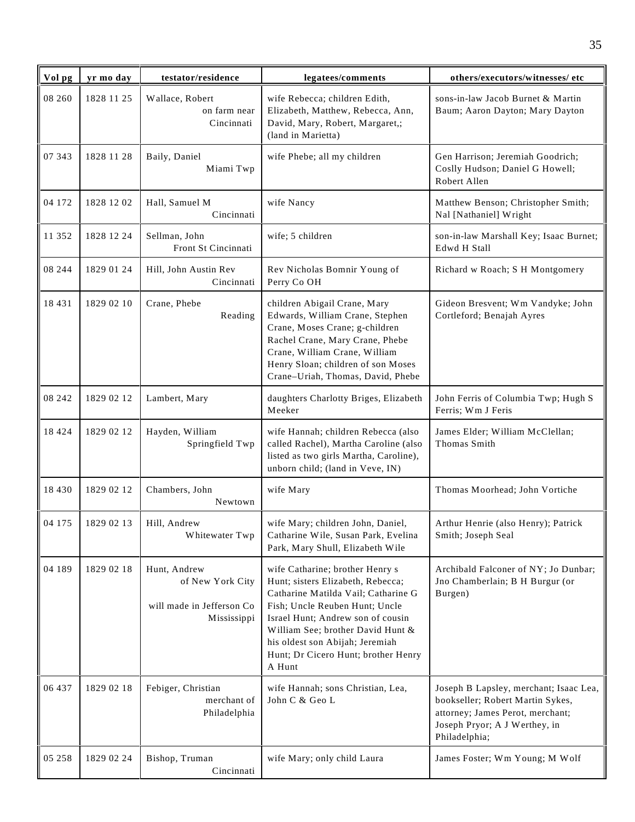| Vol pg   | yr mo day  | testator/residence                                                           | legatees/comments                                                                                                                                                                                                                                                                                           | others/executors/witnesses/ etc                                                                                                                                  |
|----------|------------|------------------------------------------------------------------------------|-------------------------------------------------------------------------------------------------------------------------------------------------------------------------------------------------------------------------------------------------------------------------------------------------------------|------------------------------------------------------------------------------------------------------------------------------------------------------------------|
| 08 260   | 1828 11 25 | Wallace, Robert<br>on farm near<br>Cincinnati                                | wife Rebecca; children Edith,<br>Elizabeth, Matthew, Rebecca, Ann,<br>David, Mary, Robert, Margaret,;<br>(land in Marietta)                                                                                                                                                                                 | sons-in-law Jacob Burnet & Martin<br>Baum; Aaron Dayton; Mary Dayton                                                                                             |
| 07 343   | 1828 11 28 | Baily, Daniel<br>Miami Twp                                                   | wife Phebe; all my children                                                                                                                                                                                                                                                                                 | Gen Harrison; Jeremiah Goodrich;<br>Coslly Hudson; Daniel G Howell;<br>Robert Allen                                                                              |
| 04 172   | 1828 12 02 | Hall, Samuel M<br>Cincinnati                                                 | wife Nancy                                                                                                                                                                                                                                                                                                  | Matthew Benson; Christopher Smith;<br>Nal [Nathaniel] Wright                                                                                                     |
| 11 352   | 1828 12 24 | Sellman, John<br>Front St Cincinnati                                         | wife; 5 children                                                                                                                                                                                                                                                                                            | son-in-law Marshall Key; Isaac Burnet;<br>Edwd H Stall                                                                                                           |
| 08 244   | 1829 01 24 | Hill, John Austin Rev<br>Cincinnati                                          | Rev Nicholas Bomnir Young of<br>Perry Co OH                                                                                                                                                                                                                                                                 | Richard w Roach; S H Montgomery                                                                                                                                  |
| 18 4 3 1 | 1829 02 10 | Crane, Phebe<br>Reading                                                      | children Abigail Crane, Mary<br>Edwards, William Crane, Stephen<br>Crane, Moses Crane; g-children<br>Rachel Crane, Mary Crane, Phebe<br>Crane, William Crane, William<br>Henry Sloan; children of son Moses<br>Crane-Uriah, Thomas, David, Phebe                                                            | Gideon Bresvent; Wm Vandyke; John<br>Cortleford; Benajah Ayres                                                                                                   |
| 08 24 2  | 1829 02 12 | Lambert, Mary                                                                | daughters Charlotty Briges, Elizabeth<br>Meeker                                                                                                                                                                                                                                                             | John Ferris of Columbia Twp; Hugh S<br>Ferris; Wm J Feris                                                                                                        |
| 18 4 24  | 1829 02 12 | Hayden, William<br>Springfield Twp                                           | wife Hannah; children Rebecca (also<br>called Rachel), Martha Caroline (also<br>listed as two girls Martha, Caroline),<br>unborn child; (land in Veve, IN)                                                                                                                                                  | James Elder; William McClellan;<br>Thomas Smith                                                                                                                  |
| 18 4 30  | 1829 02 12 | Chambers, John<br>Newtown                                                    | wife Mary                                                                                                                                                                                                                                                                                                   | Thomas Moorhead; John Vortiche                                                                                                                                   |
| 04 175   | 1829 02 13 | Hill, Andrew<br>Whitewater Twp                                               | wife Mary; children John, Daniel,<br>Catharine Wile, Susan Park, Evelina<br>Park, Mary Shull, Elizabeth Wile                                                                                                                                                                                                | Arthur Henrie (also Henry); Patrick<br>Smith; Joseph Seal                                                                                                        |
| 04 189   | 1829 02 18 | Hunt, Andrew<br>of New York City<br>will made in Jefferson Co<br>Mississippi | wife Catharine; brother Henry s<br>Hunt; sisters Elizabeth, Rebecca;<br>Catharine Matilda Vail; Catharine G<br>Fish; Uncle Reuben Hunt; Uncle<br>Israel Hunt; Andrew son of cousin<br>William See; brother David Hunt &<br>his oldest son Abijah; Jeremiah<br>Hunt; Dr Cicero Hunt; brother Henry<br>A Hunt | Archibald Falconer of NY; Jo Dunbar;<br>Jno Chamberlain; B H Burgur (or<br>Burgen)                                                                               |
| 06 437   | 1829 02 18 | Febiger, Christian<br>merchant of<br>Philadelphia                            | wife Hannah; sons Christian, Lea,<br>John C & Geo L                                                                                                                                                                                                                                                         | Joseph B Lapsley, merchant; Isaac Lea,<br>bookseller; Robert Martin Sykes,<br>attorney; James Perot, merchant;<br>Joseph Pryor; A J Werthey, in<br>Philadelphia; |
| 05 258   | 1829 02 24 | Bishop, Truman<br>Cincinnati                                                 | wife Mary; only child Laura                                                                                                                                                                                                                                                                                 | James Foster; Wm Young; M Wolf                                                                                                                                   |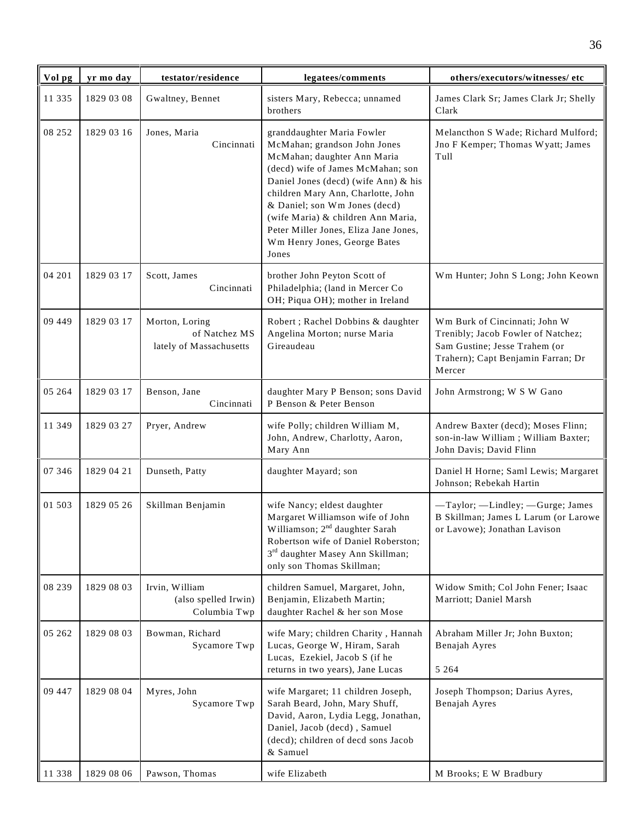| Vol pg  | yr mo day  | testator/residence                                         | legatees/comments                                                                                                                                                                                                                                                                                                                                                     | others/executors/witnesses/ etc                                                                                                                      |
|---------|------------|------------------------------------------------------------|-----------------------------------------------------------------------------------------------------------------------------------------------------------------------------------------------------------------------------------------------------------------------------------------------------------------------------------------------------------------------|------------------------------------------------------------------------------------------------------------------------------------------------------|
| 11 335  | 1829 03 08 | Gwaltney, Bennet                                           | sisters Mary, Rebecca; unnamed<br>brothers                                                                                                                                                                                                                                                                                                                            | James Clark Sr; James Clark Jr; Shelly<br>Clark                                                                                                      |
| 08 25 2 | 1829 03 16 | Jones, Maria<br>Cincinnati                                 | granddaughter Maria Fowler<br>McMahan; grandson John Jones<br>McMahan; daughter Ann Maria<br>(decd) wife of James McMahan; son<br>Daniel Jones (decd) (wife Ann) & his<br>children Mary Ann, Charlotte, John<br>& Daniel; son Wm Jones (decd)<br>(wife Maria) & children Ann Maria,<br>Peter Miller Jones, Eliza Jane Jones,<br>Wm Henry Jones, George Bates<br>Jones | Melancthon S Wade; Richard Mulford;<br>Jno F Kemper; Thomas Wyatt; James<br>Tull                                                                     |
| 04 201  | 1829 03 17 | Scott, James<br>Cincinnati                                 | brother John Peyton Scott of<br>Philadelphia; (land in Mercer Co<br>OH; Piqua OH); mother in Ireland                                                                                                                                                                                                                                                                  | Wm Hunter; John S Long; John Keown                                                                                                                   |
| 09 449  | 1829 03 17 | Morton, Loring<br>of Natchez MS<br>lately of Massachusetts | Robert ; Rachel Dobbins & daughter<br>Angelina Morton; nurse Maria<br>Gireaudeau                                                                                                                                                                                                                                                                                      | Wm Burk of Cincinnati; John W<br>Trenibly; Jacob Fowler of Natchez;<br>Sam Gustine; Jesse Trahem (or<br>Trahern); Capt Benjamin Farran; Dr<br>Mercer |
| 05 264  | 1829 03 17 | Benson, Jane<br>Cincinnati                                 | daughter Mary P Benson; sons David<br>P Benson & Peter Benson                                                                                                                                                                                                                                                                                                         | John Armstrong; W S W Gano                                                                                                                           |
| 11 349  | 1829 03 27 | Pryer, Andrew                                              | wife Polly; children William M,<br>John, Andrew, Charlotty, Aaron,<br>Mary Ann                                                                                                                                                                                                                                                                                        | Andrew Baxter (decd); Moses Flinn;<br>son-in-law William ; William Baxter;<br>John Davis; David Flinn                                                |
| 07 346  | 1829 04 21 | Dunseth, Patty                                             | daughter Mayard; son                                                                                                                                                                                                                                                                                                                                                  | Daniel H Horne; Saml Lewis; Margaret<br>Johnson; Rebekah Hartin                                                                                      |
| 01 503  | 1829 05 26 | Skillman Benjamin                                          | wife Nancy; eldest daughter<br>Margaret Williamson wife of John<br>Williamson; 2 <sup>nd</sup> daughter Sarah<br>Robertson wife of Daniel Roberston;<br>3rd daughter Masey Ann Skillman;<br>only son Thomas Skillman;                                                                                                                                                 | -Taylor; -Lindley; -Gurge; James<br>B Skillman; James L Larum (or Larowe<br>or Lavowe); Jonathan Lavison                                             |
| 08 239  | 1829 08 03 | Irvin, William<br>(also spelled Irwin)<br>Columbia Twp     | children Samuel, Margaret, John,<br>Benjamin, Elizabeth Martin;<br>daughter Rachel & her son Mose                                                                                                                                                                                                                                                                     | Widow Smith; Col John Fener; Isaac<br>Marriott; Daniel Marsh                                                                                         |
| 05 262  | 1829 08 03 | Bowman, Richard<br>Sycamore Twp                            | wife Mary; children Charity, Hannah<br>Lucas, George W, Hiram, Sarah<br>Lucas, Ezekiel, Jacob S (if he<br>returns in two years), Jane Lucas                                                                                                                                                                                                                           | Abraham Miller Jr; John Buxton;<br>Benajah Ayres<br>5 2 6 4                                                                                          |
| 09 447  | 1829 08 04 | Myres, John<br>Sycamore Twp                                | wife Margaret; 11 children Joseph,<br>Sarah Beard, John, Mary Shuff,<br>David, Aaron, Lydia Legg, Jonathan,<br>Daniel, Jacob (decd), Samuel<br>(decd); children of decd sons Jacob<br>& Samuel                                                                                                                                                                        | Joseph Thompson; Darius Ayres,<br>Benajah Ayres                                                                                                      |
| 11 338  | 1829 08 06 | Pawson, Thomas                                             | wife Elizabeth                                                                                                                                                                                                                                                                                                                                                        | M Brooks; E W Bradbury                                                                                                                               |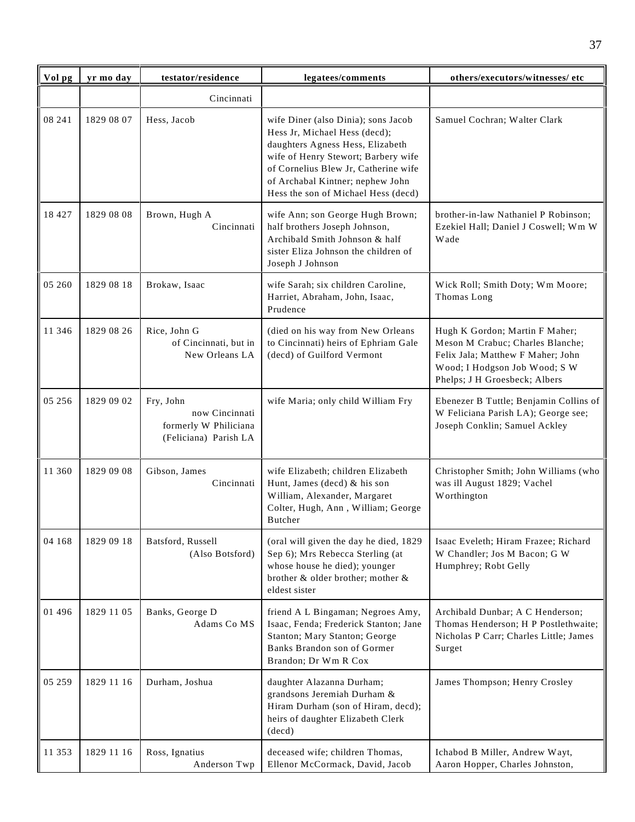| Vol pg  | yr mo day  | testator/residence                                                            | legatees/comments                                                                                                                                                                                                                                                  | others/executors/witnesses/etc                                                                                                                                            |
|---------|------------|-------------------------------------------------------------------------------|--------------------------------------------------------------------------------------------------------------------------------------------------------------------------------------------------------------------------------------------------------------------|---------------------------------------------------------------------------------------------------------------------------------------------------------------------------|
|         |            | Cincinnati                                                                    |                                                                                                                                                                                                                                                                    |                                                                                                                                                                           |
| 08 241  | 1829 08 07 | Hess, Jacob                                                                   | wife Diner (also Dinia); sons Jacob<br>Hess Jr, Michael Hess (decd);<br>daughters Agness Hess, Elizabeth<br>wife of Henry Stewort; Barbery wife<br>of Cornelius Blew Jr, Catherine wife<br>of Archabal Kintner; nephew John<br>Hess the son of Michael Hess (decd) | Samuel Cochran; Walter Clark                                                                                                                                              |
| 18 4 27 | 1829 08 08 | Brown, Hugh A<br>Cincinnati                                                   | wife Ann; son George Hugh Brown;<br>half brothers Joseph Johnson,<br>Archibald Smith Johnson & half<br>sister Eliza Johnson the children of<br>Joseph J Johnson                                                                                                    | brother-in-law Nathaniel P Robinson;<br>Ezekiel Hall; Daniel J Coswell; Wm W<br>Wade                                                                                      |
| 05 260  | 1829 08 18 | Brokaw, Isaac                                                                 | wife Sarah; six children Caroline,<br>Harriet, Abraham, John, Isaac,<br>Prudence                                                                                                                                                                                   | Wick Roll; Smith Doty; Wm Moore;<br>Thomas Long                                                                                                                           |
| 11 346  | 1829 08 26 | Rice, John G<br>of Cincinnati, but in<br>New Orleans LA                       | (died on his way from New Orleans<br>to Cincinnati) heirs of Ephriam Gale<br>(decd) of Guilford Vermont                                                                                                                                                            | Hugh K Gordon; Martin F Maher;<br>Meson M Crabuc; Charles Blanche;<br>Felix Jala; Matthew F Maher; John<br>Wood; I Hodgson Job Wood; S W<br>Phelps; J H Groesbeck; Albers |
| 05 25 6 | 1829 09 02 | Fry, John<br>now Cincinnati<br>formerly W Philiciana<br>(Feliciana) Parish LA | wife Maria; only child William Fry                                                                                                                                                                                                                                 | Ebenezer B Tuttle; Benjamin Collins of<br>W Feliciana Parish LA); George see;<br>Joseph Conklin; Samuel Ackley                                                            |
| 11 360  | 1829 09 08 | Gibson, James<br>Cincinnati                                                   | wife Elizabeth; children Elizabeth<br>Hunt, James (decd) & his son<br>William, Alexander, Margaret<br>Colter, Hugh, Ann, William; George<br>Butcher                                                                                                                | Christopher Smith; John Williams (who<br>was ill August 1829; Vachel<br>Worthington                                                                                       |
| 04 168  | 1829 09 18 | Batsford, Russell<br>(Also Botsford)                                          | (oral will given the day he died, 1829<br>Sep 6); Mrs Rebecca Sterling (at<br>whose house he died); younger<br>brother & older brother; mother &<br>eldest sister                                                                                                  | Isaac Eveleth; Hiram Frazee; Richard<br>W Chandler; Jos M Bacon; G W<br>Humphrey; Robt Gelly                                                                              |
| 01 496  | 1829 11 05 | Banks, George D<br>Adams Co MS                                                | friend A L Bingaman; Negroes Amy,<br>Isaac, Fenda; Frederick Stanton; Jane<br>Stanton; Mary Stanton; George<br>Banks Brandon son of Gormer<br>Brandon; Dr Wm R Cox                                                                                                 | Archibald Dunbar; A C Henderson;<br>Thomas Henderson; H P Postlethwaite;<br>Nicholas P Carr; Charles Little; James<br>Surget                                              |
| 05 25 9 | 1829 11 16 | Durham, Joshua                                                                | daughter Alazanna Durham;<br>grandsons Jeremiah Durham &<br>Hiram Durham (son of Hiram, decd);<br>heirs of daughter Elizabeth Clerk<br>(decd)                                                                                                                      | James Thompson; Henry Crosley                                                                                                                                             |
| 11 353  | 1829 11 16 | Ross, Ignatius<br>Anderson Twp                                                | deceased wife; children Thomas,<br>Ellenor McCormack, David, Jacob                                                                                                                                                                                                 | Ichabod B Miller, Andrew Wayt,<br>Aaron Hopper, Charles Johnston,                                                                                                         |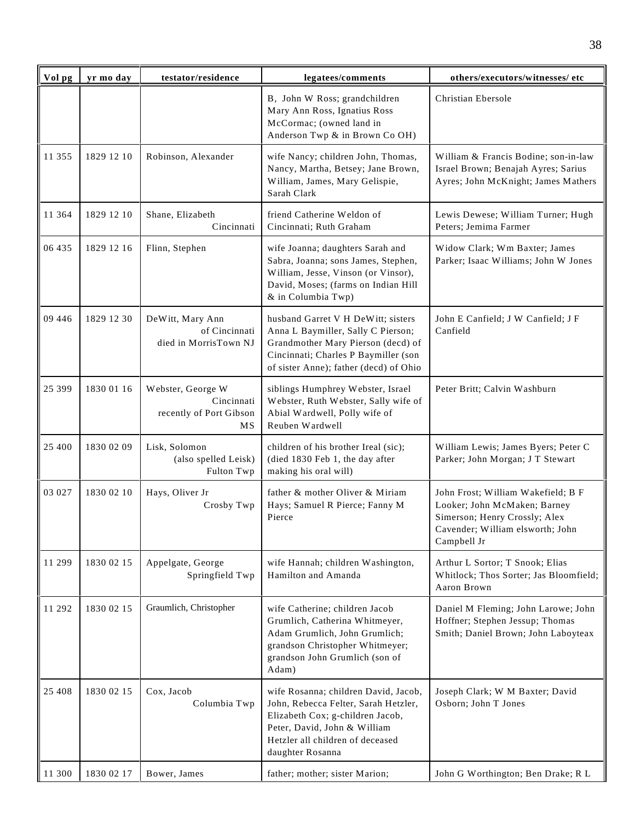| Vol pg  | yr mo day  | testator/residence                                               | legatees/comments                                                                                                                                                                                        | others/executors/witnesses/etc                                                                                                                         |
|---------|------------|------------------------------------------------------------------|----------------------------------------------------------------------------------------------------------------------------------------------------------------------------------------------------------|--------------------------------------------------------------------------------------------------------------------------------------------------------|
|         |            |                                                                  | B, John W Ross; grandchildren<br>Mary Ann Ross, Ignatius Ross<br>McCormac; (owned land in<br>Anderson Twp & in Brown Co OH)                                                                              | Christian Ebersole                                                                                                                                     |
| 11 355  | 1829 12 10 | Robinson, Alexander                                              | wife Nancy; children John, Thomas,<br>Nancy, Martha, Betsey; Jane Brown,<br>William, James, Mary Gelispie,<br>Sarah Clark                                                                                | William & Francis Bodine; son-in-law<br>Israel Brown; Benajah Ayres; Sarius<br>Ayres; John McKnight; James Mathers                                     |
| 11 364  | 1829 12 10 | Shane, Elizabeth<br>Cincinnati                                   | friend Catherine Weldon of<br>Cincinnati; Ruth Graham                                                                                                                                                    | Lewis Dewese; William Turner; Hugh<br>Peters; Jemima Farmer                                                                                            |
| 06 435  | 1829 12 16 | Flinn, Stephen                                                   | wife Joanna; daughters Sarah and<br>Sabra, Joanna; sons James, Stephen,<br>William, Jesse, Vinson (or Vinsor),<br>David, Moses; (farms on Indian Hill<br>& in Columbia Twp)                              | Widow Clark; Wm Baxter; James<br>Parker; Isaac Williams; John W Jones                                                                                  |
| 09 44 6 | 1829 12 30 | DeWitt, Mary Ann<br>of Cincinnati<br>died in MorrisTown NJ       | husband Garret V H DeWitt; sisters<br>Anna L Baymiller, Sally C Pierson;<br>Grandmother Mary Pierson (decd) of<br>Cincinnati; Charles P Baymiller (son<br>of sister Anne); father (decd) of Ohio         | John E Canfield; J W Canfield; J F<br>Canfield                                                                                                         |
| 25 399  | 1830 01 16 | Webster, George W<br>Cincinnati<br>recently of Port Gibson<br>МS | siblings Humphrey Webster, Israel<br>Webster, Ruth Webster, Sally wife of<br>Abial Wardwell, Polly wife of<br>Reuben Wardwell                                                                            | Peter Britt; Calvin Washburn                                                                                                                           |
| 25 400  | 1830 02 09 | Lisk, Solomon<br>(also spelled Leisk)<br>Fulton Twp              | children of his brother Ireal (sic);<br>(died 1830 Feb 1, the day after<br>making his oral will)                                                                                                         | William Lewis; James Byers; Peter C<br>Parker; John Morgan; J T Stewart                                                                                |
| 03 027  | 1830 02 10 | Hays, Oliver Jr<br>Crosby Twp                                    | father & mother Oliver & Miriam<br>Hays; Samuel R Pierce; Fanny M<br>Pierce                                                                                                                              | John Frost; William Wakefield; B F<br>Looker; John McMaken; Barney<br>Simerson; Henry Crossly; Alex<br>Cavender; William elsworth; John<br>Campbell Jr |
| 11 299  | 1830 02 15 | Appelgate, George<br>Springfield Twp                             | wife Hannah; children Washington,<br>Hamilton and Amanda                                                                                                                                                 | Arthur L Sortor; T Snook; Elias<br>Whitlock; Thos Sorter; Jas Bloomfield;<br>Aaron Brown                                                               |
| 11 292  | 1830 02 15 | Graumlich, Christopher                                           | wife Catherine; children Jacob<br>Grumlich, Catherina Whitmeyer,<br>Adam Grumlich, John Grumlich;<br>grandson Christopher Whitmeyer;<br>grandson John Grumlich (son of<br>Adam)                          | Daniel M Fleming; John Larowe; John<br>Hoffner; Stephen Jessup; Thomas<br>Smith; Daniel Brown; John Laboyteax                                          |
| 25 4 08 | 1830 02 15 | Cox, Jacob<br>Columbia Twp                                       | wife Rosanna; children David, Jacob,<br>John, Rebecca Felter, Sarah Hetzler,<br>Elizabeth Cox; g-children Jacob,<br>Peter, David, John & William<br>Hetzler all children of deceased<br>daughter Rosanna | Joseph Clark; W M Baxter; David<br>Osborn; John T Jones                                                                                                |
| 11 300  | 1830 02 17 | Bower, James                                                     | father; mother; sister Marion;                                                                                                                                                                           | John G Worthington; Ben Drake; R L                                                                                                                     |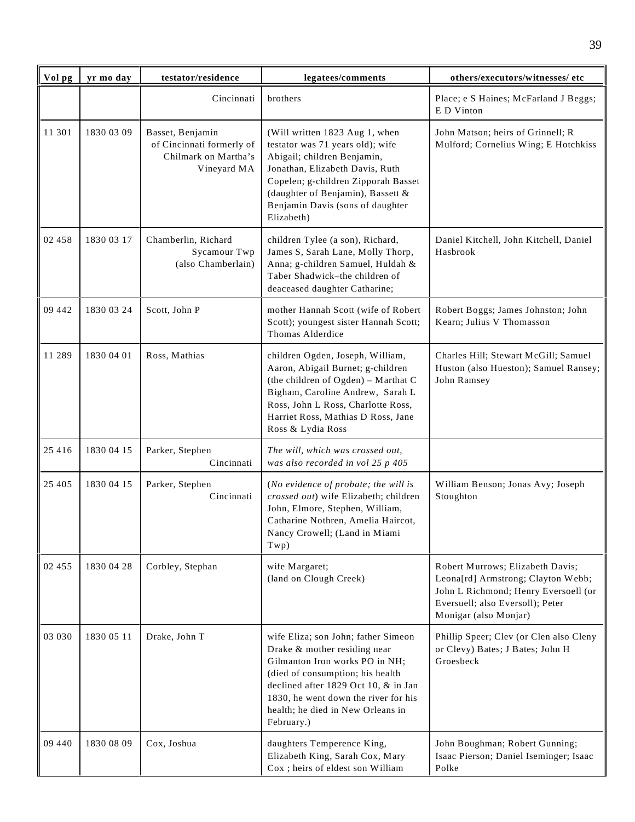| Vol pg  | yr mo day  | testator/residence                                                                   | legatees/comments                                                                                                                                                                                                                                                            | others/executors/witnesses/ etc                                                                                                                                             |
|---------|------------|--------------------------------------------------------------------------------------|------------------------------------------------------------------------------------------------------------------------------------------------------------------------------------------------------------------------------------------------------------------------------|-----------------------------------------------------------------------------------------------------------------------------------------------------------------------------|
|         |            | Cincinnati                                                                           | brothers                                                                                                                                                                                                                                                                     | Place; e S Haines; McFarland J Beggs;<br>E D Vinton                                                                                                                         |
| 11 301  | 1830 03 09 | Basset, Benjamin<br>of Cincinnati formerly of<br>Chilmark on Martha's<br>Vineyard MA | (Will written 1823 Aug 1, when<br>testator was 71 years old); wife<br>Abigail; children Benjamin,<br>Jonathan, Elizabeth Davis, Ruth<br>Copelen; g-children Zipporah Basset<br>(daughter of Benjamin), Bassett &<br>Benjamin Davis (sons of daughter<br>Elizabeth)           | John Matson; heirs of Grinnell; R<br>Mulford; Cornelius Wing; E Hotchkiss                                                                                                   |
| 02 458  | 1830 03 17 | Chamberlin, Richard<br>Sycamour Twp<br>(also Chamberlain)                            | children Tylee (a son), Richard,<br>James S, Sarah Lane, Molly Thorp,<br>Anna; g-children Samuel, Huldah &<br>Taber Shadwick-the children of<br>deaceased daughter Catharine;                                                                                                | Daniel Kitchell, John Kitchell, Daniel<br>Hasbrook                                                                                                                          |
| 09 442  | 1830 03 24 | Scott, John P                                                                        | mother Hannah Scott (wife of Robert<br>Scott); youngest sister Hannah Scott;<br>Thomas Alderdice                                                                                                                                                                             | Robert Boggs; James Johnston; John<br>Kearn; Julius V Thomasson                                                                                                             |
| 11 289  | 1830 04 01 | Ross, Mathias                                                                        | children Ogden, Joseph, William,<br>Aaron, Abigail Burnet; g-children<br>(the children of Ogden) - Marthat C<br>Bigham, Caroline Andrew, Sarah L<br>Ross, John L Ross, Charlotte Ross,<br>Harriet Ross, Mathias D Ross, Jane<br>Ross & Lydia Ross                            | Charles Hill; Stewart McGill; Samuel<br>Huston (also Hueston); Samuel Ransey;<br>John Ramsey                                                                                |
| 25 4 16 | 1830 04 15 | Parker, Stephen<br>Cincinnati                                                        | The will, which was crossed out,<br>was also recorded in vol 25 p 405                                                                                                                                                                                                        |                                                                                                                                                                             |
| 25 4 05 | 1830 04 15 | Parker, Stephen<br>Cincinnati                                                        | (No evidence of probate; the will is<br>crossed out) wife Elizabeth; children<br>John, Elmore, Stephen, William,<br>Catharine Nothren, Amelia Haircot,<br>Nancy Crowell; (Land in Miami<br>Twp)                                                                              | William Benson; Jonas Avy; Joseph<br>Stoughton                                                                                                                              |
| 02 455  | 1830 04 28 | Corbley, Stephan                                                                     | wife Margaret;<br>(land on Clough Creek)                                                                                                                                                                                                                                     | Robert Murrows; Elizabeth Davis;<br>Leona[rd] Armstrong; Clayton Webb;<br>John L Richmond; Henry Eversoell (or<br>Eversuell; also Eversoll); Peter<br>Monigar (also Monjar) |
| 03 030  | 1830 05 11 | Drake, John T                                                                        | wife Eliza; son John; father Simeon<br>Drake & mother residing near<br>Gilmanton Iron works PO in NH;<br>(died of consumption; his health<br>declined after 1829 Oct 10, & in Jan<br>1830, he went down the river for his<br>health; he died in New Orleans in<br>February.) | Phillip Speer; Clev (or Clen also Cleny<br>or Clevy) Bates; J Bates; John H<br>Groesbeck                                                                                    |
| 09 440  | 1830 08 09 | Cox, Joshua                                                                          | daughters Temperence King,<br>Elizabeth King, Sarah Cox, Mary<br>Cox; heirs of eldest son William                                                                                                                                                                            | John Boughman; Robert Gunning;<br>Isaac Pierson; Daniel Iseminger; Isaac<br>Polke                                                                                           |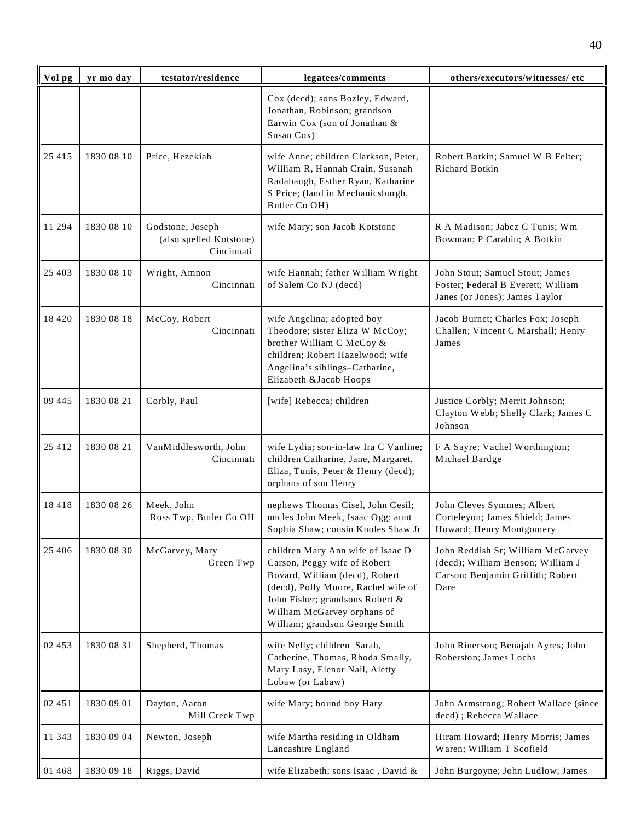| Vol pg  | yr mo day  | testator/residence                                        | legatees/comments                                                                                                                                                                                                                              | others/executors/witnesses/ etc                                                                                     |
|---------|------------|-----------------------------------------------------------|------------------------------------------------------------------------------------------------------------------------------------------------------------------------------------------------------------------------------------------------|---------------------------------------------------------------------------------------------------------------------|
|         |            |                                                           | Cox (decd); sons Bozley, Edward,<br>Jonathan, Robinson; grandson<br>Earwin Cox (son of Jonathan &<br>Susan Cox)                                                                                                                                |                                                                                                                     |
| 25 4 15 | 1830 08 10 | Price, Hezekiah                                           | wife Anne; children Clarkson, Peter,<br>William R, Hannah Crain, Susanah<br>Radabaugh, Esther Ryan, Katharine<br>S Price; (land in Mechanicsburgh,<br>Butler Co OH)                                                                            | Robert Botkin; Samuel W B Felter;<br>Richard Botkin                                                                 |
| 11 294  | 1830 08 10 | Godstone, Joseph<br>(also spelled Kotstone)<br>Cincinnati | wife Mary; son Jacob Kotstone                                                                                                                                                                                                                  | R A Madison; Jabez C Tunis; Wm<br>Bowman; P Carabin; A Botkin                                                       |
| 25 4 03 | 1830 08 10 | Wright, Amnon<br>Cincinnati                               | wife Hannah; father William Wright<br>of Salem Co NJ (decd)                                                                                                                                                                                    | John Stout; Samuel Stout; James<br>Foster; Federal B Everett; William<br>Janes (or Jones); James Taylor             |
| 18 4 20 | 1830 08 18 | McCoy, Robert<br>Cincinnati                               | wife Angelina; adopted boy<br>Theodore; sister Eliza W McCoy;<br>brother William C McCoy &<br>children; Robert Hazelwood; wife<br>Angelina's siblings-Catharine,<br>Elizabeth & Jacob Hoops                                                    | Jacob Burnet; Charles Fox; Joseph<br>Challen; Vincent C Marshall; Henry<br>James                                    |
| 09 445  | 1830 08 21 | Corbly, Paul                                              | [wife] Rebecca; children                                                                                                                                                                                                                       | Justice Corbly; Merrit Johnson;<br>Clayton Webb; Shelly Clark; James C<br>Johnson                                   |
| 25 412  | 1830 08 21 | VanMiddlesworth, John<br>Cincinnati                       | wife Lydia; son-in-law Ira C Vanline;<br>children Catharine, Jane, Margaret,<br>Eliza, Tunis, Peter & Henry (decd);<br>orphans of son Henry                                                                                                    | F A Sayre; Vachel Worthington;<br>Michael Bardge                                                                    |
| 18418   | 1830 08 26 | Meek, John<br>Ross Twp, Butler Co OH                      | nephews Thomas Cisel, John Cesil;<br>uncles John Meek, Isaac Ogg; aunt<br>Sophia Shaw; cousin Knoles Shaw Jr                                                                                                                                   | John Cleves Symmes; Albert<br>Corteleyon; James Shield; James<br>Howard; Henry Montgomery                           |
| 25 40 6 | 1830 08 30 | McGarvey, Mary<br>Green Twp                               | children Mary Ann wife of Isaac D<br>Carson, Peggy wife of Robert<br>Bovard, William (decd), Robert<br>(decd), Polly Moore, Rachel wife of<br>John Fisher; grandsons Robert &<br>William McGarvey orphans of<br>William; grandson George Smith | John Reddish Sr; William McGarvey<br>(decd); William Benson; William J<br>Carson; Benjamin Griffith; Robert<br>Dare |
| 02 453  | 1830 08 31 | Shepherd, Thomas                                          | wife Nelly; children Sarah,<br>Catherine, Thomas, Rhoda Smally,<br>Mary Lasy, Elenor Nail, Aletty<br>Lobaw (or Labaw)                                                                                                                          | John Rinerson; Benajah Ayres; John<br>Roberston; James Lochs                                                        |
| 02 451  | 1830 09 01 | Dayton, Aaron<br>Mill Creek Twp                           | wife Mary; bound boy Hary                                                                                                                                                                                                                      | John Armstrong; Robert Wallace (since<br>decd) ; Rebecca Wallace                                                    |
| 11 343  | 1830 09 04 | Newton, Joseph                                            | wife Martha residing in Oldham<br>Lancashire England                                                                                                                                                                                           | Hiram Howard; Henry Morris; James<br>Waren; William T Scofield                                                      |
| 01 468  | 1830 09 18 | Riggs, David                                              | wife Elizabeth; sons Isaac, David &                                                                                                                                                                                                            | John Burgoyne; John Ludlow; James                                                                                   |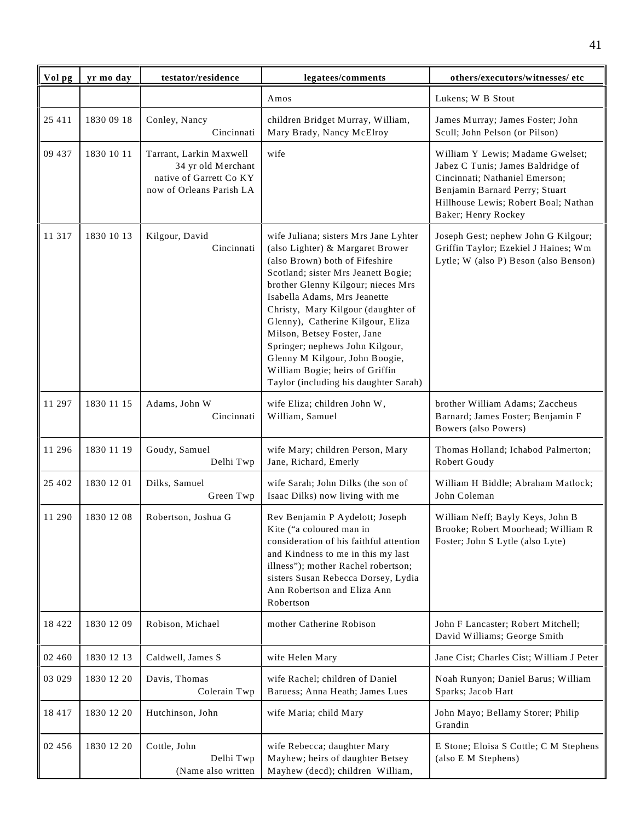| Vol pg  | yr mo day  | testator/residence                                                                                   | legatees/comments                                                                                                                                                                                                                                                                                                                                                                                                                                                                   | others/executors/witnesses/ etc                                                                                                                                                                          |
|---------|------------|------------------------------------------------------------------------------------------------------|-------------------------------------------------------------------------------------------------------------------------------------------------------------------------------------------------------------------------------------------------------------------------------------------------------------------------------------------------------------------------------------------------------------------------------------------------------------------------------------|----------------------------------------------------------------------------------------------------------------------------------------------------------------------------------------------------------|
|         |            |                                                                                                      | Amos                                                                                                                                                                                                                                                                                                                                                                                                                                                                                | Lukens; W B Stout                                                                                                                                                                                        |
| 25 411  | 1830 09 18 | Conley, Nancy<br>Cincinnati                                                                          | children Bridget Murray, William,<br>Mary Brady, Nancy McElroy                                                                                                                                                                                                                                                                                                                                                                                                                      | James Murray; James Foster; John<br>Scull; John Pelson (or Pilson)                                                                                                                                       |
| 09 437  | 1830 10 11 | Tarrant, Larkin Maxwell<br>34 yr old Merchant<br>native of Garrett Co KY<br>now of Orleans Parish LA | wife                                                                                                                                                                                                                                                                                                                                                                                                                                                                                | William Y Lewis; Madame Gwelset;<br>Jabez C Tunis; James Baldridge of<br>Cincinnati; Nathaniel Emerson;<br>Benjamin Barnard Perry; Stuart<br>Hillhouse Lewis; Robert Boal; Nathan<br>Baker; Henry Rockey |
| 11 317  | 1830 10 13 | Kilgour, David<br>Cincinnati                                                                         | wife Juliana; sisters Mrs Jane Lyhter<br>(also Lighter) & Margaret Brower<br>(also Brown) both of Fifeshire<br>Scotland; sister Mrs Jeanett Bogie;<br>brother Glenny Kilgour; nieces Mrs<br>Isabella Adams, Mrs Jeanette<br>Christy, Mary Kilgour (daughter of<br>Glenny), Catherine Kilgour, Eliza<br>Milson, Betsey Foster, Jane<br>Springer; nephews John Kilgour,<br>Glenny M Kilgour, John Boogie,<br>William Bogie; heirs of Griffin<br>Taylor (including his daughter Sarah) | Joseph Gest; nephew John G Kilgour;<br>Griffin Taylor; Ezekiel J Haines; Wm<br>Lytle; W (also P) Beson (also Benson)                                                                                     |
| 11 297  | 1830 11 15 | Adams, John W<br>Cincinnati                                                                          | wife Eliza; children John W,<br>William, Samuel                                                                                                                                                                                                                                                                                                                                                                                                                                     | brother William Adams; Zaccheus<br>Barnard; James Foster; Benjamin F<br>Bowers (also Powers)                                                                                                             |
| 11 29 6 | 1830 11 19 | Goudy, Samuel<br>Delhi Twp                                                                           | wife Mary; children Person, Mary<br>Jane, Richard, Emerly                                                                                                                                                                                                                                                                                                                                                                                                                           | Thomas Holland; Ichabod Palmerton;<br>Robert Goudy                                                                                                                                                       |
| 25 402  | 1830 12 01 | Dilks, Samuel<br>Green Twp                                                                           | wife Sarah; John Dilks (the son of<br>Isaac Dilks) now living with me                                                                                                                                                                                                                                                                                                                                                                                                               | William H Biddle; Abraham Matlock;<br>John Coleman                                                                                                                                                       |
| 11 290  | 1830 12 08 | Robertson, Joshua G                                                                                  | Rev Benjamin P Aydelott; Joseph<br>Kite ("a coloured man in<br>consideration of his faithful attention<br>and Kindness to me in this my last<br>illness"); mother Rachel robertson;<br>sisters Susan Rebecca Dorsey, Lydia<br>Ann Robertson and Eliza Ann<br>Robertson                                                                                                                                                                                                              | William Neff; Bayly Keys, John B<br>Brooke; Robert Moorhead; William R<br>Foster; John S Lytle (also Lyte)                                                                                               |
| 18 4 22 | 1830 12 09 | Robison, Michael                                                                                     | mother Catherine Robison                                                                                                                                                                                                                                                                                                                                                                                                                                                            | John F Lancaster; Robert Mitchell;<br>David Williams; George Smith                                                                                                                                       |
| 02 460  | 1830 12 13 | Caldwell, James S                                                                                    | wife Helen Mary                                                                                                                                                                                                                                                                                                                                                                                                                                                                     | Jane Cist; Charles Cist; William J Peter                                                                                                                                                                 |
| 03 029  | 1830 12 20 | Davis, Thomas<br>Colerain Twp                                                                        | wife Rachel; children of Daniel<br>Baruess; Anna Heath; James Lues                                                                                                                                                                                                                                                                                                                                                                                                                  | Noah Runyon; Daniel Barus; William<br>Sparks; Jacob Hart                                                                                                                                                 |
| 18 4 17 | 1830 12 20 | Hutchinson, John                                                                                     | wife Maria; child Mary                                                                                                                                                                                                                                                                                                                                                                                                                                                              | John Mayo; Bellamy Storer; Philip<br>Grandin                                                                                                                                                             |
| 02 456  | 1830 12 20 | Cottle, John<br>Delhi Twp<br>(Name also written                                                      | wife Rebecca; daughter Mary<br>Mayhew; heirs of daughter Betsey<br>Mayhew (decd); children William,                                                                                                                                                                                                                                                                                                                                                                                 | E Stone; Eloisa S Cottle; C M Stephens<br>(also E M Stephens)                                                                                                                                            |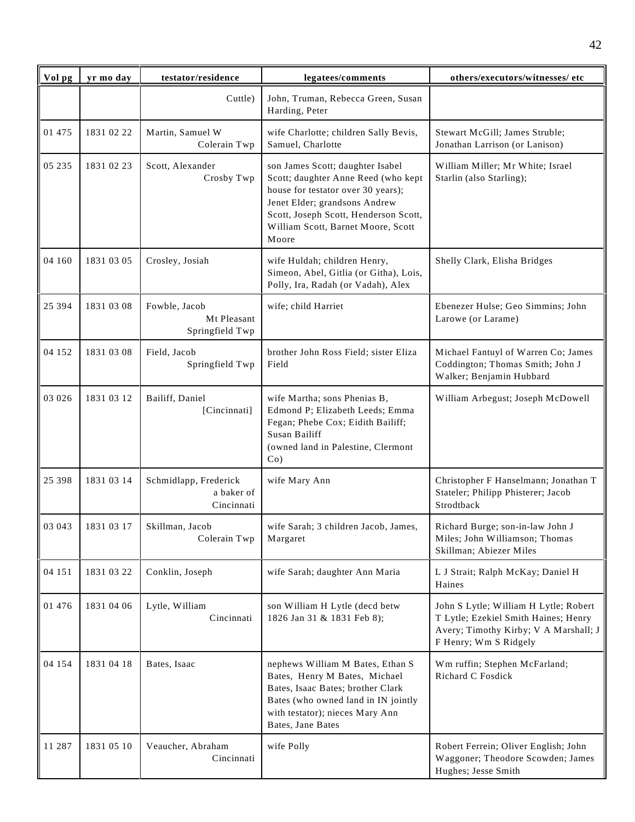| Vol pg | yr mo day  | testator/residence                                | legatees/comments                                                                                                                                                                                                                      | others/executors/witnesses/ etc                                                                                                                 |
|--------|------------|---------------------------------------------------|----------------------------------------------------------------------------------------------------------------------------------------------------------------------------------------------------------------------------------------|-------------------------------------------------------------------------------------------------------------------------------------------------|
|        |            | Cuttle)                                           | John, Truman, Rebecca Green, Susan<br>Harding, Peter                                                                                                                                                                                   |                                                                                                                                                 |
| 01 475 | 1831 02 22 | Martin, Samuel W<br>Colerain Twp                  | wife Charlotte; children Sally Bevis,<br>Samuel, Charlotte                                                                                                                                                                             | Stewart McGill; James Struble;<br>Jonathan Larrison (or Lanison)                                                                                |
| 05 235 | 1831 02 23 | Scott, Alexander<br>Crosby Twp                    | son James Scott; daughter Isabel<br>Scott; daughter Anne Reed (who kept<br>house for testator over 30 years);<br>Jenet Elder; grandsons Andrew<br>Scott, Joseph Scott, Henderson Scott,<br>William Scott, Barnet Moore, Scott<br>Moore | William Miller; Mr White; Israel<br>Starlin (also Starling);                                                                                    |
| 04 160 | 1831 03 05 | Crosley, Josiah                                   | wife Huldah; children Henry,<br>Simeon, Abel, Gitlia (or Githa), Lois,<br>Polly, Ira, Radah (or Vadah), Alex                                                                                                                           | Shelly Clark, Elisha Bridges                                                                                                                    |
| 25 394 | 1831 03 08 | Fowble, Jacob<br>Mt Pleasant<br>Springfield Twp   | wife; child Harriet                                                                                                                                                                                                                    | Ebenezer Hulse; Geo Simmins; John<br>Larowe (or Larame)                                                                                         |
| 04 152 | 1831 03 08 | Field, Jacob<br>Springfield Twp                   | brother John Ross Field; sister Eliza<br>Field                                                                                                                                                                                         | Michael Fantuyl of Warren Co; James<br>Coddington; Thomas Smith; John J<br>Walker; Benjamin Hubbard                                             |
| 03 026 | 1831 03 12 | Bailiff, Daniel<br>[Cincinnati]                   | wife Martha; sons Phenias B,<br>Edmond P; Elizabeth Leeds; Emma<br>Fegan; Phebe Cox; Eidith Bailiff;<br>Susan Bailiff<br>(owned land in Palestine, Clermont<br>$Co$ )                                                                  | William Arbegust; Joseph McDowell                                                                                                               |
| 25 398 | 1831 03 14 | Schmidlapp, Frederick<br>a baker of<br>Cincinnati | wife Mary Ann                                                                                                                                                                                                                          | Christopher F Hanselmann; Jonathan T<br>Stateler; Philipp Phisterer; Jacob<br>Strodtback                                                        |
| 03 043 | 1831 03 17 | Skillman, Jacob<br>Colerain Twp                   | wife Sarah; 3 children Jacob, James,<br>Margaret                                                                                                                                                                                       | Richard Burge; son-in-law John J<br>Miles; John Williamson; Thomas<br>Skillman; Abiezer Miles                                                   |
| 04 151 | 1831 03 22 | Conklin, Joseph                                   | wife Sarah; daughter Ann Maria                                                                                                                                                                                                         | L J Strait; Ralph McKay; Daniel H<br>Haines                                                                                                     |
| 01 476 | 1831 04 06 | Lytle, William<br>Cincinnati                      | son William H Lytle (decd betw<br>1826 Jan 31 & 1831 Feb 8);                                                                                                                                                                           | John S Lytle; William H Lytle; Robert<br>T Lytle; Ezekiel Smith Haines; Henry<br>Avery; Timothy Kirby; V A Marshall; J<br>F Henry; Wm S Ridgely |
| 04 154 | 1831 04 18 | Bates, Isaac                                      | nephews William M Bates, Ethan S<br>Bates, Henry M Bates, Michael<br>Bates, Isaac Bates; brother Clark<br>Bates (who owned land in IN jointly<br>with testator); nieces Mary Ann<br>Bates, Jane Bates                                  | Wm ruffin; Stephen McFarland;<br>Richard C Fosdick                                                                                              |
| 11 287 | 1831 05 10 | Veaucher, Abraham<br>Cincinnati                   | wife Polly                                                                                                                                                                                                                             | Robert Ferrein; Oliver English; John<br>Waggoner; Theodore Scowden; James<br>Hughes; Jesse Smith                                                |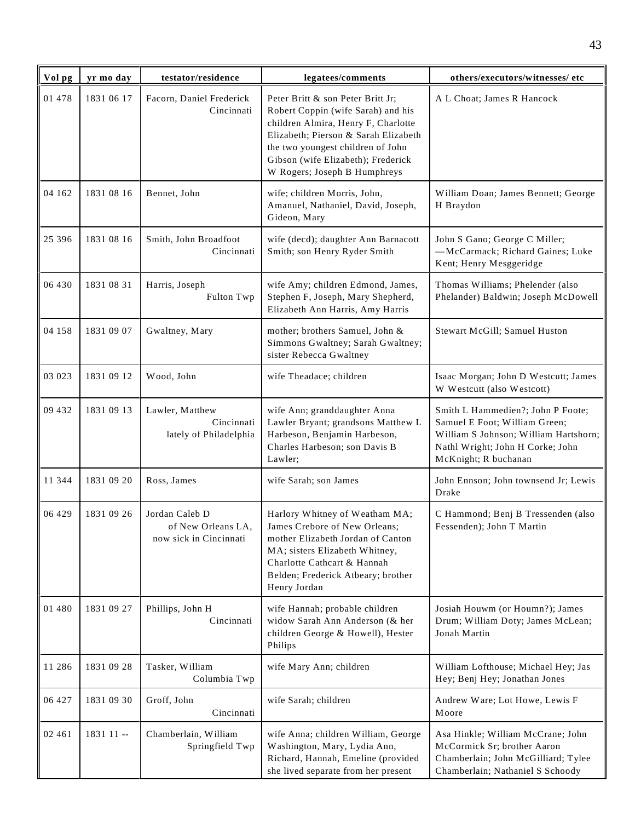| Vol pg   | yr mo day  | testator/residence                                             | legatees/comments                                                                                                                                                                                                                                                 | others/executors/witnesses/ etc                                                                                                                                         |
|----------|------------|----------------------------------------------------------------|-------------------------------------------------------------------------------------------------------------------------------------------------------------------------------------------------------------------------------------------------------------------|-------------------------------------------------------------------------------------------------------------------------------------------------------------------------|
| 01 478   | 1831 06 17 | Facorn, Daniel Frederick<br>Cincinnati                         | Peter Britt & son Peter Britt Jr;<br>Robert Coppin (wife Sarah) and his<br>children Almira, Henry F, Charlotte<br>Elizabeth; Pierson & Sarah Elizabeth<br>the two youngest children of John<br>Gibson (wife Elizabeth); Frederick<br>W Rogers; Joseph B Humphreys | A L Choat; James R Hancock                                                                                                                                              |
| 04 162   | 1831 08 16 | Bennet, John                                                   | wife; children Morris, John,<br>Amanuel, Nathaniel, David, Joseph,<br>Gideon, Mary                                                                                                                                                                                | William Doan; James Bennett; George<br>H Braydon                                                                                                                        |
| 25 3 9 6 | 1831 08 16 | Smith, John Broadfoot<br>Cincinnati                            | wife (decd); daughter Ann Barnacott<br>Smith; son Henry Ryder Smith                                                                                                                                                                                               | John S Gano; George C Miller;<br>-McCarmack; Richard Gaines; Luke<br>Kent; Henry Mesggeridge                                                                            |
| 06 430   | 1831 08 31 | Harris, Joseph<br>Fulton Twp                                   | wife Amy; children Edmond, James,<br>Stephen F, Joseph, Mary Shepherd,<br>Elizabeth Ann Harris, Amy Harris                                                                                                                                                        | Thomas Williams; Phelender (also<br>Phelander) Baldwin; Joseph McDowell                                                                                                 |
| 04 158   | 1831 09 07 | Gwaltney, Mary                                                 | mother; brothers Samuel, John &<br>Simmons Gwaltney; Sarah Gwaltney;<br>sister Rebecca Gwaltney                                                                                                                                                                   | Stewart McGill; Samuel Huston                                                                                                                                           |
| 03 023   | 1831 09 12 | Wood, John                                                     | wife Theadace; children                                                                                                                                                                                                                                           | Isaac Morgan; John D Westcutt; James<br>W Westcutt (also Westcott)                                                                                                      |
| 09 432   | 1831 09 13 | Lawler, Matthew<br>Cincinnati<br>lately of Philadelphia        | wife Ann; granddaughter Anna<br>Lawler Bryant; grandsons Matthew L<br>Harbeson, Benjamin Harbeson,<br>Charles Harbeson; son Davis B<br>Lawler;                                                                                                                    | Smith L Hammedien?; John P Foote;<br>Samuel E Foot; William Green;<br>William S Johnson; William Hartshorn;<br>Nathl Wright; John H Corke; John<br>McKnight; R buchanan |
| 11 344   | 1831 09 20 | Ross, James                                                    | wife Sarah; son James                                                                                                                                                                                                                                             | John Ennson; John townsend Jr; Lewis<br>Drake                                                                                                                           |
| 06 429   | 1831 09 26 | Jordan Caleb D<br>of New Orleans LA,<br>now sick in Cincinnati | Harlory Whitney of Weatham MA;<br>James Crebore of New Orleans:<br>mother Elizabeth Jordan of Canton<br>MA; sisters Elizabeth Whitney,<br>Charlotte Cathcart & Hannah<br>Belden; Frederick Atbeary; brother<br>Henry Jordan                                       | C Hammond; Benj B Tressenden (also<br>Fessenden); John T Martin                                                                                                         |
| 01 480   | 1831 09 27 | Phillips, John H<br>Cincinnati                                 | wife Hannah; probable children<br>widow Sarah Ann Anderson (& her<br>children George & Howell), Hester<br>Philips                                                                                                                                                 | Josiah Houwm (or Houmn?); James<br>Drum; William Doty; James McLean;<br>Jonah Martin                                                                                    |
| 11 286   | 1831 09 28 | Tasker, William<br>Columbia Twp                                | wife Mary Ann; children                                                                                                                                                                                                                                           | William Lofthouse; Michael Hey; Jas<br>Hey; Benj Hey; Jonathan Jones                                                                                                    |
| 06 427   | 1831 09 30 | Groff, John<br>Cincinnati                                      | wife Sarah; children                                                                                                                                                                                                                                              | Andrew Ware; Lot Howe, Lewis F<br>Moore                                                                                                                                 |
| 02 461   | 1831 11 -- | Chamberlain, William<br>Springfield Twp                        | wife Anna; children William, George<br>Washington, Mary, Lydia Ann,<br>Richard, Hannah, Emeline (provided<br>she lived separate from her present                                                                                                                  | Asa Hinkle; William McCrane; John<br>McCormick Sr; brother Aaron<br>Chamberlain; John McGilliard; Tylee<br>Chamberlain; Nathaniel S Schoody                             |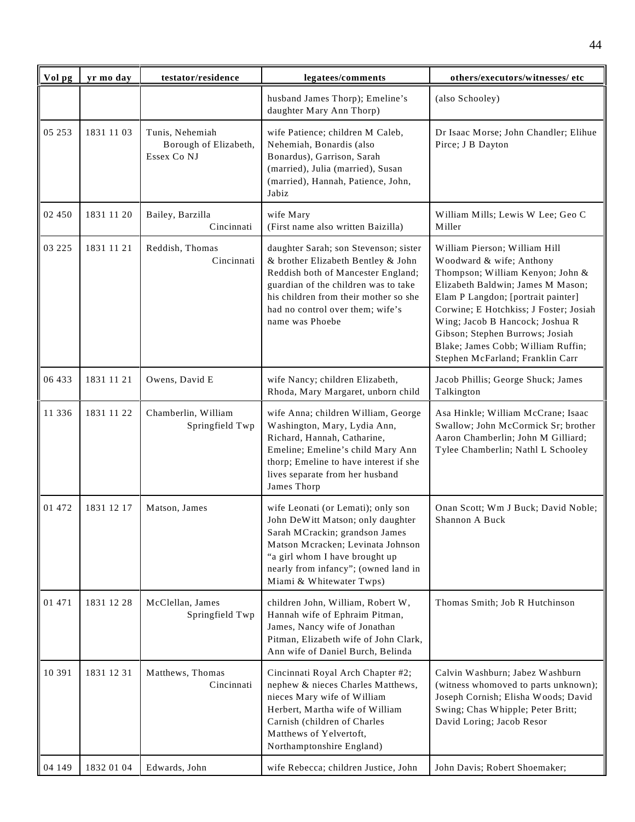| Vol pg | yr mo day  | testator/residence                                      | legatees/comments                                                                                                                                                                                                                                         | others/executors/witnesses/ etc                                                                                                                                                                                                                                                                                                                                    |
|--------|------------|---------------------------------------------------------|-----------------------------------------------------------------------------------------------------------------------------------------------------------------------------------------------------------------------------------------------------------|--------------------------------------------------------------------------------------------------------------------------------------------------------------------------------------------------------------------------------------------------------------------------------------------------------------------------------------------------------------------|
|        |            |                                                         | husband James Thorp); Emeline's<br>daughter Mary Ann Thorp)                                                                                                                                                                                               | (also Schooley)                                                                                                                                                                                                                                                                                                                                                    |
| 05 253 | 1831 11 03 | Tunis, Nehemiah<br>Borough of Elizabeth,<br>Essex Co NJ | wife Patience; children M Caleb,<br>Nehemiah, Bonardis (also<br>Bonardus), Garrison, Sarah<br>(married), Julia (married), Susan<br>(married), Hannah, Patience, John,<br>Jabiz                                                                            | Dr Isaac Morse; John Chandler; Elihue<br>Pirce; J B Dayton                                                                                                                                                                                                                                                                                                         |
| 02 450 | 1831 11 20 | Bailey, Barzilla<br>Cincinnati                          | wife Mary<br>(First name also written Baizilla)                                                                                                                                                                                                           | William Mills; Lewis W Lee; Geo C<br>Miller                                                                                                                                                                                                                                                                                                                        |
| 03 225 | 1831 11 21 | Reddish, Thomas<br>Cincinnati                           | daughter Sarah; son Stevenson; sister<br>& brother Elizabeth Bentley & John<br>Reddish both of Mancester England;<br>guardian of the children was to take<br>his children from their mother so she<br>had no control over them; wife's<br>name was Phoebe | William Pierson; William Hill<br>Woodward & wife; Anthony<br>Thompson; William Kenyon; John &<br>Elizabeth Baldwin; James M Mason;<br>Elam P Langdon; [portrait painter]<br>Corwine; E Hotchkiss; J Foster; Josiah<br>Wing; Jacob B Hancock; Joshua R<br>Gibson; Stephen Burrows; Josiah<br>Blake; James Cobb; William Ruffin;<br>Stephen McFarland; Franklin Carr |
| 06 433 | 1831 11 21 | Owens, David E                                          | wife Nancy; children Elizabeth,<br>Rhoda, Mary Margaret, unborn child                                                                                                                                                                                     | Jacob Phillis; George Shuck; James<br>Talkington                                                                                                                                                                                                                                                                                                                   |
| 11 336 | 1831 11 22 | Chamberlin, William<br>Springfield Twp                  | wife Anna; children William, George<br>Washington, Mary, Lydia Ann,<br>Richard, Hannah, Catharine,<br>Emeline; Emeline's child Mary Ann<br>thorp; Emeline to have interest if she<br>lives separate from her husband<br>James Thorp                       | Asa Hinkle; William McCrane; Isaac<br>Swallow; John McCormick Sr; brother<br>Aaron Chamberlin; John M Gilliard;<br>Tylee Chamberlin; Nathl L Schooley                                                                                                                                                                                                              |
| 01 472 | 1831 12 17 | Matson, James                                           | wife Leonati (or Lemati); only son<br>John DeWitt Matson; only daughter<br>Sarah MCrackin; grandson James<br>Matson Mcracken; Levinata Johnson<br>"a girl whom I have brought up<br>nearly from infancy"; (owned land in<br>Miami & Whitewater Twps)      | Onan Scott; Wm J Buck; David Noble;<br>Shannon A Buck                                                                                                                                                                                                                                                                                                              |
| 01 471 | 1831 12 28 | McClellan, James<br>Springfield Twp                     | children John, William, Robert W,<br>Hannah wife of Ephraim Pitman,<br>James, Nancy wife of Jonathan<br>Pitman, Elizabeth wife of John Clark,<br>Ann wife of Daniel Burch, Belinda                                                                        | Thomas Smith; Job R Hutchinson                                                                                                                                                                                                                                                                                                                                     |
| 10 391 | 1831 12 31 | Matthews, Thomas<br>Cincinnati                          | Cincinnati Royal Arch Chapter #2;<br>nephew & nieces Charles Matthews,<br>nieces Mary wife of William<br>Herbert, Martha wife of William<br>Carnish (children of Charles<br>Matthews of Yelvertoft,<br>Northamptonshire England)                          | Calvin Washburn; Jabez Washburn<br>(witness whomoved to parts unknown);<br>Joseph Cornish; Elisha Woods; David<br>Swing; Chas Whipple; Peter Britt;<br>David Loring; Jacob Resor                                                                                                                                                                                   |
| 04 149 | 1832 01 04 | Edwards, John                                           | wife Rebecca; children Justice, John                                                                                                                                                                                                                      | John Davis; Robert Shoemaker;                                                                                                                                                                                                                                                                                                                                      |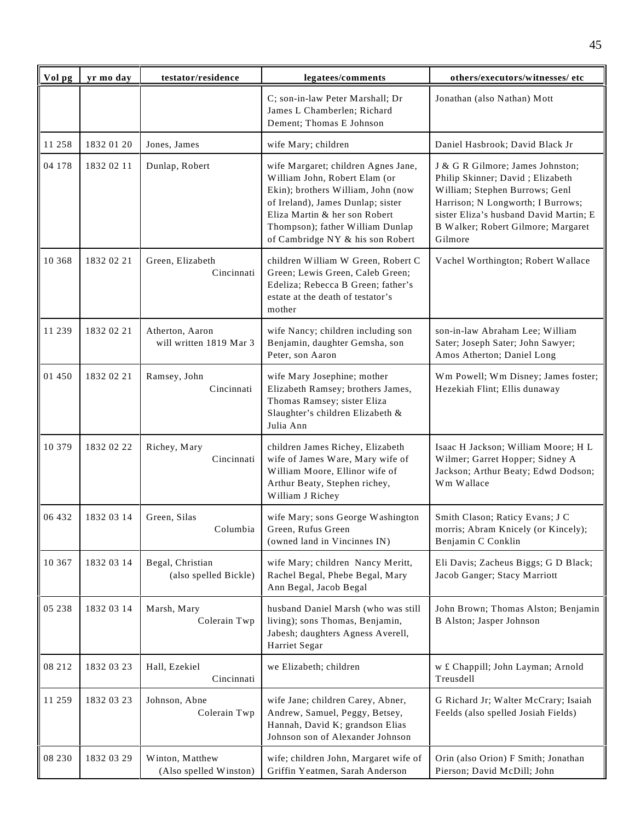| Vol pg | yr mo day  | testator/residence                         | legatees/comments                                                                                                                                                                                                                                        | others/executors/witnesses/ etc                                                                                                                                                                                                        |
|--------|------------|--------------------------------------------|----------------------------------------------------------------------------------------------------------------------------------------------------------------------------------------------------------------------------------------------------------|----------------------------------------------------------------------------------------------------------------------------------------------------------------------------------------------------------------------------------------|
|        |            |                                            | C; son-in-law Peter Marshall; Dr<br>James L Chamberlen; Richard<br>Dement; Thomas E Johnson                                                                                                                                                              | Jonathan (also Nathan) Mott                                                                                                                                                                                                            |
| 11 258 | 1832 01 20 | Jones, James                               | wife Mary; children                                                                                                                                                                                                                                      | Daniel Hasbrook; David Black Jr                                                                                                                                                                                                        |
| 04 178 | 1832 02 11 | Dunlap, Robert                             | wife Margaret; children Agnes Jane,<br>William John, Robert Elam (or<br>Ekin); brothers William, John (now<br>of Ireland), James Dunlap; sister<br>Eliza Martin & her son Robert<br>Thompson); father William Dunlap<br>of Cambridge NY & his son Robert | J & G R Gilmore; James Johnston;<br>Philip Skinner; David; Elizabeth<br>William; Stephen Burrows; Genl<br>Harrison; N Longworth; I Burrows;<br>sister Eliza's husband David Martin; E<br>B Walker; Robert Gilmore; Margaret<br>Gilmore |
| 10 368 | 1832 02 21 | Green, Elizabeth<br>Cincinnati             | children William W Green, Robert C<br>Green; Lewis Green, Caleb Green;<br>Edeliza; Rebecca B Green; father's<br>estate at the death of testator's<br>mother                                                                                              | Vachel Worthington; Robert Wallace                                                                                                                                                                                                     |
| 11 239 | 1832 02 21 | Atherton, Aaron<br>will written 1819 Mar 3 | wife Nancy; children including son<br>Benjamin, daughter Gemsha, son<br>Peter, son Aaron                                                                                                                                                                 | son-in-law Abraham Lee; William<br>Sater; Joseph Sater; John Sawyer;<br>Amos Atherton; Daniel Long                                                                                                                                     |
| 01 450 | 1832 02 21 | Ramsey, John<br>Cincinnati                 | wife Mary Josephine; mother<br>Elizabeth Ramsey; brothers James,<br>Thomas Ramsey; sister Eliza<br>Slaughter's children Elizabeth &<br>Julia Ann                                                                                                         | Wm Powell; Wm Disney; James foster;<br>Hezekiah Flint; Ellis dunaway                                                                                                                                                                   |
| 10 379 | 1832 02 22 | Richey, Mary<br>Cincinnati                 | children James Richey, Elizabeth<br>wife of James Ware, Mary wife of<br>William Moore, Ellinor wife of<br>Arthur Beaty, Stephen richey,<br>William J Richey                                                                                              | Isaac H Jackson; William Moore; H L<br>Wilmer; Garret Hopper; Sidney A<br>Jackson; Arthur Beaty; Edwd Dodson;<br>Wm Wallace                                                                                                            |
| 06 432 | 1832 03 14 | Green, Silas<br>Columbia                   | wife Mary; sons George Washington<br>Green, Rufus Green<br>(owned land in Vincinnes IN)                                                                                                                                                                  | Smith Clason; Raticy Evans; J C<br>morris; Abram Knicely (or Kincely);<br>Benjamin C Conklin                                                                                                                                           |
| 10 367 | 1832 03 14 | Begal, Christian<br>(also spelled Bickle)  | wife Mary; children Nancy Meritt,<br>Rachel Begal, Phebe Begal, Mary<br>Ann Begal, Jacob Begal                                                                                                                                                           | Eli Davis; Zacheus Biggs; G D Black;<br>Jacob Ganger; Stacy Marriott                                                                                                                                                                   |
| 05 238 | 1832 03 14 | Marsh, Mary<br>Colerain Twp                | husband Daniel Marsh (who was still<br>living); sons Thomas, Benjamin,<br>Jabesh; daughters Agness Averell,<br>Harriet Segar                                                                                                                             | John Brown; Thomas Alston; Benjamin<br>B Alston; Jasper Johnson                                                                                                                                                                        |
| 08 212 | 1832 03 23 | Hall, Ezekiel<br>Cincinnati                | we Elizabeth; children                                                                                                                                                                                                                                   | w £ Chappill; John Layman; Arnold<br>Treusdell                                                                                                                                                                                         |
| 11 259 | 1832 03 23 | Johnson, Abne<br>Colerain Twp              | wife Jane; children Carey, Abner,<br>Andrew, Samuel, Peggy, Betsey,<br>Hannah, David K; grandson Elias<br>Johnson son of Alexander Johnson                                                                                                               | G Richard Jr; Walter McCrary; Isaiah<br>Feelds (also spelled Josiah Fields)                                                                                                                                                            |
| 08 230 | 1832 03 29 | Winton, Matthew<br>(Also spelled Winston)  | wife; children John, Margaret wife of<br>Griffin Yeatmen, Sarah Anderson                                                                                                                                                                                 | Orin (also Orion) F Smith; Jonathan<br>Pierson; David McDill; John                                                                                                                                                                     |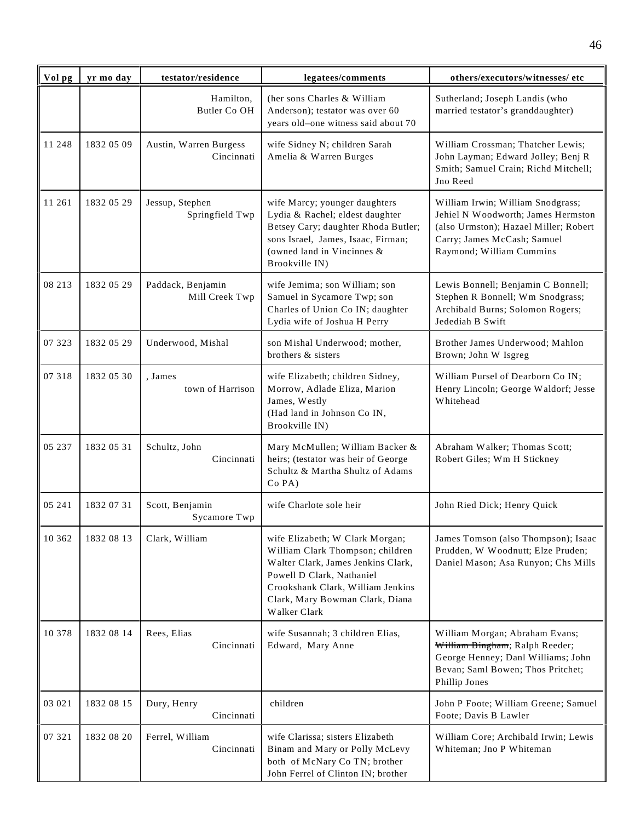| Vol pg | yr mo day  | testator/residence                   | legatees/comments                                                                                                                                                                                                              | others/executors/witnesses/ etc                                                                                                                                             |
|--------|------------|--------------------------------------|--------------------------------------------------------------------------------------------------------------------------------------------------------------------------------------------------------------------------------|-----------------------------------------------------------------------------------------------------------------------------------------------------------------------------|
|        |            | Hamilton,<br>Butler Co OH            | (her sons Charles & William<br>Anderson); testator was over 60<br>years old-one witness said about 70                                                                                                                          | Sutherland; Joseph Landis (who<br>married testator's granddaughter)                                                                                                         |
| 11 248 | 1832 05 09 | Austin, Warren Burgess<br>Cincinnati | wife Sidney N; children Sarah<br>Amelia & Warren Burges                                                                                                                                                                        | William Crossman; Thatcher Lewis;<br>John Layman; Edward Jolley; Benj R<br>Smith; Samuel Crain; Richd Mitchell;<br>Jno Reed                                                 |
| 11 261 | 1832 05 29 | Jessup, Stephen<br>Springfield Twp   | wife Marcy; younger daughters<br>Lydia & Rachel; eldest daughter<br>Betsey Cary; daughter Rhoda Butler;<br>sons Israel, James, Isaac, Firman;<br>(owned land in Vincinnes &<br>Brookville IN)                                  | William Irwin; William Snodgrass;<br>Jehiel N Woodworth; James Hermston<br>(also Urmston); Hazael Miller; Robert<br>Carry; James McCash; Samuel<br>Raymond; William Cummins |
| 08 213 | 1832 05 29 | Paddack, Benjamin<br>Mill Creek Twp  | wife Jemima; son William; son<br>Samuel in Sycamore Twp; son<br>Charles of Union Co IN; daughter<br>Lydia wife of Joshua H Perry                                                                                               | Lewis Bonnell; Benjamin C Bonnell;<br>Stephen R Bonnell; Wm Snodgrass;<br>Archibald Burns; Solomon Rogers;<br>Jedediah B Swift                                              |
| 07 323 | 1832 05 29 | Underwood, Mishal                    | son Mishal Underwood; mother,<br>brothers & sisters                                                                                                                                                                            | Brother James Underwood; Mahlon<br>Brown; John W Isgreg                                                                                                                     |
| 07 318 | 1832 05 30 | , James<br>town of Harrison          | wife Elizabeth; children Sidney,<br>Morrow, Adlade Eliza, Marion<br>James, Westly<br>(Had land in Johnson Co IN,<br>Brookville IN)                                                                                             | William Pursel of Dearborn Co IN;<br>Henry Lincoln; George Waldorf; Jesse<br>Whitehead                                                                                      |
| 05 237 | 1832 05 31 | Schultz, John<br>Cincinnati          | Mary McMullen; William Backer &<br>heirs; (testator was heir of George<br>Schultz & Martha Shultz of Adams<br>Co PA)                                                                                                           | Abraham Walker; Thomas Scott;<br>Robert Giles; Wm H Stickney                                                                                                                |
| 05 241 | 1832 07 31 | Scott, Benjamin<br>Sycamore Twp      | wife Charlote sole heir                                                                                                                                                                                                        | John Ried Dick; Henry Quick                                                                                                                                                 |
| 10 362 | 1832 08 13 | Clark, William                       | wife Elizabeth; W Clark Morgan;<br>William Clark Thompson; children<br>Walter Clark, James Jenkins Clark,<br>Powell D Clark, Nathaniel<br>Crookshank Clark, William Jenkins<br>Clark, Mary Bowman Clark, Diana<br>Walker Clark | James Tomson (also Thompson); Isaac<br>Prudden, W Woodnutt; Elze Pruden;<br>Daniel Mason; Asa Runyon; Chs Mills                                                             |
| 10 378 | 1832 08 14 | Rees, Elias<br>Cincinnati            | wife Susannah; 3 children Elias,<br>Edward, Mary Anne                                                                                                                                                                          | William Morgan; Abraham Evans;<br>William Bingham; Ralph Reeder;<br>George Henney; Danl Williams; John<br>Bevan; Saml Bowen; Thos Pritchet;<br>Phillip Jones                |
| 03 021 | 1832 08 15 | Dury, Henry<br>Cincinnati            | children                                                                                                                                                                                                                       | John P Foote; William Greene; Samuel<br>Foote; Davis B Lawler                                                                                                               |
| 07 321 | 1832 08 20 | Ferrel, William<br>Cincinnati        | wife Clarissa; sisters Elizabeth<br>Binam and Mary or Polly McLevy<br>both of McNary Co TN; brother<br>John Ferrel of Clinton IN; brother                                                                                      | William Core; Archibald Irwin; Lewis<br>Whiteman; Jno P Whiteman                                                                                                            |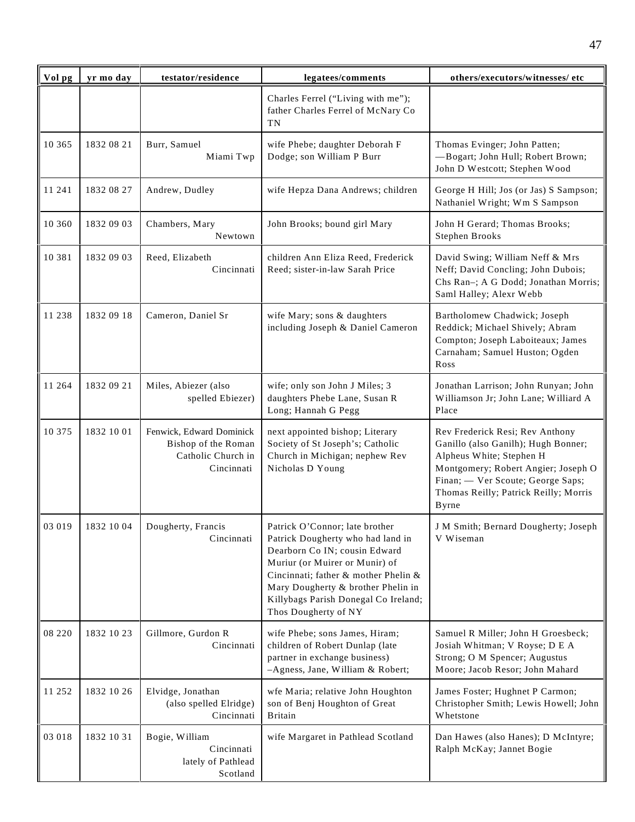| Vol pg | yr mo day  | testator/residence                                                                  | legatees/comments                                                                                                                                                                                                                                                                    | others/executors/witnesses/ etc                                                                                                                                                                                                         |
|--------|------------|-------------------------------------------------------------------------------------|--------------------------------------------------------------------------------------------------------------------------------------------------------------------------------------------------------------------------------------------------------------------------------------|-----------------------------------------------------------------------------------------------------------------------------------------------------------------------------------------------------------------------------------------|
|        |            |                                                                                     | Charles Ferrel ("Living with me");<br>father Charles Ferrel of McNary Co<br>TN                                                                                                                                                                                                       |                                                                                                                                                                                                                                         |
| 10 365 | 1832 08 21 | Burr, Samuel<br>Miami Twp                                                           | wife Phebe; daughter Deborah F<br>Dodge; son William P Burr                                                                                                                                                                                                                          | Thomas Evinger; John Patten;<br>-Bogart; John Hull; Robert Brown;<br>John D Westcott; Stephen Wood                                                                                                                                      |
| 11 241 | 1832 08 27 | Andrew, Dudley                                                                      | wife Hepza Dana Andrews; children                                                                                                                                                                                                                                                    | George H Hill; Jos (or Jas) S Sampson;<br>Nathaniel Wright; Wm S Sampson                                                                                                                                                                |
| 10 360 | 1832 09 03 | Chambers, Mary<br>Newtown                                                           | John Brooks; bound girl Mary                                                                                                                                                                                                                                                         | John H Gerard; Thomas Brooks;<br>Stephen Brooks                                                                                                                                                                                         |
| 10 381 | 1832 09 03 | Reed, Elizabeth<br>Cincinnati                                                       | children Ann Eliza Reed, Frederick<br>Reed; sister-in-law Sarah Price                                                                                                                                                                                                                | David Swing; William Neff & Mrs<br>Neff; David Concling; John Dubois;<br>Chs Ran-; A G Dodd; Jonathan Morris;<br>Saml Halley; Alexr Webb                                                                                                |
| 11 238 | 1832 09 18 | Cameron, Daniel Sr                                                                  | wife Mary; sons & daughters<br>including Joseph & Daniel Cameron                                                                                                                                                                                                                     | Bartholomew Chadwick; Joseph<br>Reddick; Michael Shively; Abram<br>Compton; Joseph Laboiteaux; James<br>Carnaham; Samuel Huston; Ogden<br>Ross                                                                                          |
| 11 264 | 1832 09 21 | Miles, Abiezer (also<br>spelled Ebiezer)                                            | wife; only son John J Miles; 3<br>daughters Phebe Lane, Susan R<br>Long; Hannah G Pegg                                                                                                                                                                                               | Jonathan Larrison; John Runyan; John<br>Williamson Jr; John Lane; Williard A<br>Place                                                                                                                                                   |
| 10 375 | 1832 10 01 | Fenwick, Edward Dominick<br>Bishop of the Roman<br>Catholic Church in<br>Cincinnati | next appointed bishop; Literary<br>Society of St Joseph's; Catholic<br>Church in Michigan; nephew Rev<br>Nicholas D Young                                                                                                                                                            | Rev Frederick Resi; Rev Anthony<br>Ganillo (also Ganilh); Hugh Bonner;<br>Alpheus White; Stephen H<br>Montgomery; Robert Angier; Joseph O<br>Finan; - Ver Scoute; George Saps;<br>Thomas Reilly; Patrick Reilly; Morris<br><b>Byrne</b> |
| 03 019 | 1832 10 04 | Dougherty, Francis<br>Cincinnati                                                    | Patrick O'Connor; late brother<br>Patrick Dougherty who had land in<br>Dearborn Co IN; cousin Edward<br>Muriur (or Muirer or Munir) of<br>Cincinnati; father & mother Phelin &<br>Mary Dougherty & brother Phelin in<br>Killybags Parish Donegal Co Ireland;<br>Thos Dougherty of NY | J M Smith; Bernard Dougherty; Joseph<br>V Wiseman                                                                                                                                                                                       |
| 08 220 | 1832 10 23 | Gillmore, Gurdon R<br>Cincinnati                                                    | wife Phebe; sons James, Hiram;<br>children of Robert Dunlap (late<br>partner in exchange business)<br>-Agness, Jane, William & Robert;                                                                                                                                               | Samuel R Miller; John H Groesbeck;<br>Josiah Whitman; V Royse; D E A<br>Strong; O M Spencer; Augustus<br>Moore; Jacob Resor; John Mahard                                                                                                |
| 11 252 | 1832 10 26 | Elvidge, Jonathan<br>(also spelled Elridge)<br>Cincinnati                           | wfe Maria; relative John Houghton<br>son of Benj Houghton of Great<br><b>Britain</b>                                                                                                                                                                                                 | James Foster; Hughnet P Carmon;<br>Christopher Smith; Lewis Howell; John<br>Whetstone                                                                                                                                                   |
| 03 018 | 1832 10 31 | Bogie, William<br>Cincinnati<br>lately of Pathlead<br>Scotland                      | wife Margaret in Pathlead Scotland                                                                                                                                                                                                                                                   | Dan Hawes (also Hanes); D McIntyre;<br>Ralph McKay; Jannet Bogie                                                                                                                                                                        |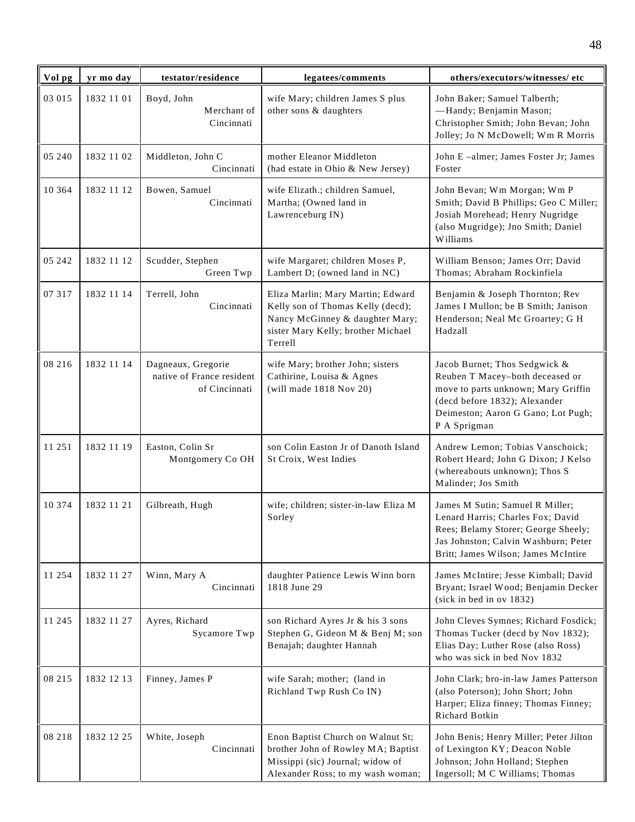| Vol pg   | yr mo day  | testator/residence                                               | legatees/comments                                                                                                                                          | others/executors/witnesses/ etc                                                                                                                                                                |
|----------|------------|------------------------------------------------------------------|------------------------------------------------------------------------------------------------------------------------------------------------------------|------------------------------------------------------------------------------------------------------------------------------------------------------------------------------------------------|
| 03 015   | 1832 11 01 | Boyd, John<br>Merchant of<br>Cincinnati                          | wife Mary; children James S plus<br>other sons & daughters                                                                                                 | John Baker; Samuel Talberth;<br>-Handy; Benjamin Mason;<br>Christopher Smith; John Bevan; John<br>Jolley; Jo N McDowell; Wm R Morris                                                           |
| 05 240   | 1832 11 02 | Middleton, John C<br>Cincinnati                                  | mother Eleanor Middleton<br>(had estate in Ohio & New Jersey)                                                                                              | John E-almer; James Foster Jr; James<br>Foster                                                                                                                                                 |
| 10 3 6 4 | 1832 11 12 | Bowen, Samuel<br>Cincinnati                                      | wife Elizath.; children Samuel,<br>Martha; (Owned land in<br>Lawrenceburg IN)                                                                              | John Bevan; Wm Morgan; Wm P<br>Smith; David B Phillips; Geo C Miller;<br>Josiah Morehead; Henry Nugridge<br>(also Mugridge); Jno Smith; Daniel<br>Williams                                     |
| 05 242   | 1832 11 12 | Scudder, Stephen<br>Green Twp                                    | wife Margaret; children Moses P,<br>Lambert D; (owned land in NC)                                                                                          | William Benson; James Orr; David<br>Thomas; Abraham Rockinfiela                                                                                                                                |
| 07 317   | 1832 11 14 | Terrell, John<br>Cincinnati                                      | Eliza Marlin; Mary Martin; Edward<br>Kelly son of Thomas Kelly (decd);<br>Nancy McGinney & daughter Mary;<br>sister Mary Kelly; brother Michael<br>Terrell | Benjamin & Joseph Thornton; Rev<br>James I Mullon; be B Smith; Janison<br>Henderson; Neal Mc Groartey; G H<br>Hadzall                                                                          |
| 08 216   | 1832 11 14 | Dagneaux, Gregorie<br>native of France resident<br>of Cincinnati | wife Mary; brother John; sisters<br>Cathirine, Louisa & Agnes<br>(will made 1818 Nov 20)                                                                   | Jacob Burnet; Thos Sedgwick &<br>Reuben T Macey-both deceased or<br>move to parts unknown; Mary Griffin<br>(decd before 1832); Alexander<br>Deimeston; Aaron G Gano; Lot Pugh;<br>P A Sprigman |
| 11 251   | 1832 11 19 | Easton, Colin Sr<br>Montgomery Co OH                             | son Colin Easton Jr of Danoth Island<br>St Croix, West Indies                                                                                              | Andrew Lemon; Tobias Vanschoick;<br>Robert Heard; John G Dixon; J Kelso<br>(whereabouts unknown); Thos S<br>Malinder; Jos Smith                                                                |
| 10 374   | 1832 11 21 | Gilbreath, Hugh                                                  | wife; children; sister-in-law Eliza M<br>Sorley                                                                                                            | James M Sutin; Samuel R Miller;<br>Lenard Harris; Charles Fox; David<br>Rees; Belamy Storer; George Sheely;<br>Jas Johnston; Calvin Washburn; Peter<br>Britt; James Wilson; James McIntire     |
| 11 254   | 1832 11 27 | Winn, Mary A<br>Cincinnati                                       | daughter Patience Lewis Winn born<br>1818 June 29                                                                                                          | James McIntire; Jesse Kimball; David<br>Bryant; Israel Wood; Benjamin Decker<br>(sick in bed in ov 1832)                                                                                       |
| 11 245   | 1832 11 27 | Ayres, Richard<br>Sycamore Twp                                   | son Richard Ayres Jr & his 3 sons<br>Stephen G, Gideon M & Benj M; son<br>Benajah; daughter Hannah                                                         | John Cleves Symnes; Richard Fosdick;<br>Thomas Tucker (decd by Nov 1832);<br>Elias Day; Luther Rose (also Ross)<br>who was sick in bed Nov 1832                                                |
| 08 215   | 1832 12 13 | Finney, James P                                                  | wife Sarah; mother; (land in<br>Richland Twp Rush Co IN)                                                                                                   | John Clark; bro-in-law James Patterson<br>(also Poterson); John Short; John<br>Harper; Eliza finney; Thomas Finney;<br>Richard Botkin                                                          |
| 08 218   | 1832 12 25 | White, Joseph<br>Cincinnati                                      | Enon Baptist Church on Walnut St;<br>brother John of Rowley MA; Baptist<br>Missippi (sic) Journal; widow of<br>Alexander Ross; to my wash woman;           | John Benis; Henry Miller; Peter Jilton<br>of Lexington KY; Deacon Noble<br>Johnson; John Holland; Stephen<br>Ingersoll; M C Williams; Thomas                                                   |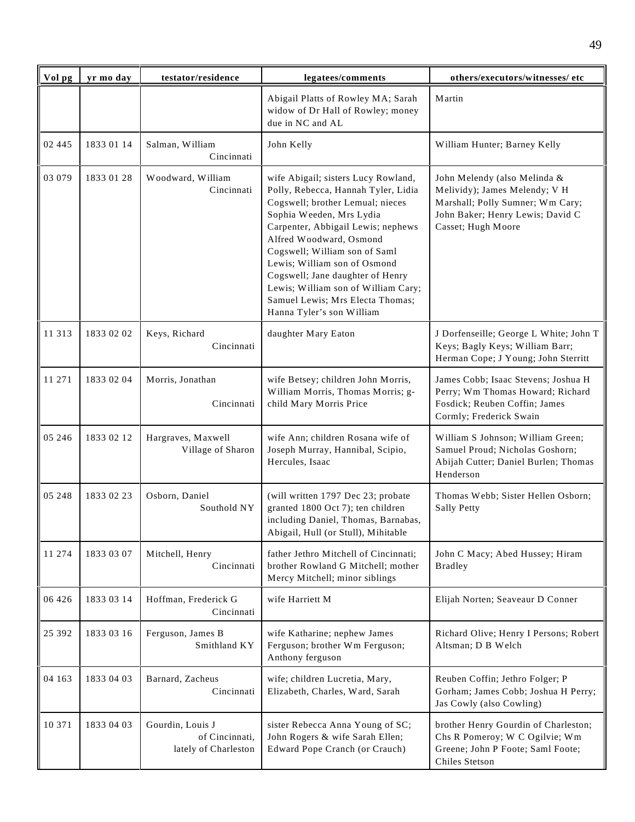| Vol pg  | yr mo day  | testator/residence                                         | legatees/comments                                                                                                                                                                                                                                                                                                                                                                                                        | others/executors/witnesses/ etc                                                                                                                             |
|---------|------------|------------------------------------------------------------|--------------------------------------------------------------------------------------------------------------------------------------------------------------------------------------------------------------------------------------------------------------------------------------------------------------------------------------------------------------------------------------------------------------------------|-------------------------------------------------------------------------------------------------------------------------------------------------------------|
|         |            |                                                            | Abigail Platts of Rowley MA; Sarah<br>widow of Dr Hall of Rowley; money<br>due in NC and AL                                                                                                                                                                                                                                                                                                                              | Martin                                                                                                                                                      |
| 02 445  | 1833 01 14 | Salman, William<br>Cincinnati                              | John Kelly                                                                                                                                                                                                                                                                                                                                                                                                               | William Hunter; Barney Kelly                                                                                                                                |
| 03 079  | 1833 01 28 | Woodward, William<br>Cincinnati                            | wife Abigail; sisters Lucy Rowland,<br>Polly, Rebecca, Hannah Tyler, Lidia<br>Cogswell; brother Lemual; nieces<br>Sophia Weeden, Mrs Lydia<br>Carpenter, Abbigail Lewis; nephews<br>Alfred Woodward, Osmond<br>Cogswell; William son of Saml<br>Lewis; William son of Osmond<br>Cogswell; Jane daughter of Henry<br>Lewis; William son of William Cary;<br>Samuel Lewis; Mrs Electa Thomas;<br>Hanna Tyler's son William | John Melendy (also Melinda &<br>Melividy); James Melendy; V H<br>Marshall; Polly Sumner; Wm Cary;<br>John Baker; Henry Lewis; David C<br>Casset; Hugh Moore |
| 11 313  | 1833 02 02 | Keys, Richard<br>Cincinnati                                | daughter Mary Eaton                                                                                                                                                                                                                                                                                                                                                                                                      | J Dorfenseille; George L White; John T<br>Keys; Bagly Keys; William Barr;<br>Herman Cope; J Young; John Sterritt                                            |
| 11 271  | 1833 02 04 | Morris, Jonathan<br>Cincinnati                             | wife Betsey; children John Morris,<br>William Morris, Thomas Morris; g-<br>child Mary Morris Price                                                                                                                                                                                                                                                                                                                       | James Cobb; Isaac Stevens; Joshua H<br>Perry; Wm Thomas Howard; Richard<br>Fosdick; Reuben Coffin; James<br>Cormly; Frederick Swain                         |
| 05 24 6 | 1833 02 12 | Hargraves, Maxwell<br>Village of Sharon                    | wife Ann; children Rosana wife of<br>Joseph Murray, Hannibal, Scipio,<br>Hercules, Isaac                                                                                                                                                                                                                                                                                                                                 | William S Johnson; William Green;<br>Samuel Proud; Nicholas Goshorn;<br>Abijah Cutter; Daniel Burlen; Thomas<br>Henderson                                   |
| 05 248  | 1833 02 23 | Osborn, Daniel<br>Southold NY                              | (will written 1797 Dec 23; probate<br>granted 1800 Oct 7); ten children<br>including Daniel, Thomas, Barnabas,<br>Abigail, Hull (or Stull), Mihitable                                                                                                                                                                                                                                                                    | Thomas Webb; Sister Hellen Osborn;<br><b>Sally Petty</b>                                                                                                    |
| 11 274  | 1833 03 07 | Mitchell, Henry<br>Cincinnati                              | father Jethro Mitchell of Cincinnati;<br>brother Rowland G Mitchell; mother<br>Mercy Mitchell; minor siblings                                                                                                                                                                                                                                                                                                            | John C Macy; Abed Hussey; Hiram<br><b>Bradley</b>                                                                                                           |
| 06 4 26 | 1833 03 14 | Hoffman, Frederick G<br>Cincinnati                         | wife Harriett M                                                                                                                                                                                                                                                                                                                                                                                                          | Elijah Norten; Seaveaur D Conner                                                                                                                            |
| 25 392  | 1833 03 16 | Ferguson, James B<br>Smithland KY                          | wife Katharine; nephew James<br>Ferguson; brother Wm Ferguson;<br>Anthony ferguson                                                                                                                                                                                                                                                                                                                                       | Richard Olive; Henry I Persons; Robert<br>Altsman; D B Welch                                                                                                |
| 04 163  | 1833 04 03 | Barnard, Zacheus<br>Cincinnati                             | wife; children Lucretia, Mary,<br>Elizabeth, Charles, Ward, Sarah                                                                                                                                                                                                                                                                                                                                                        | Reuben Coffin; Jethro Folger; P<br>Gorham; James Cobb; Joshua H Perry;<br>Jas Cowly (also Cowling)                                                          |
| 10 371  | 1833 04 03 | Gourdin, Louis J<br>of Cincinnati,<br>lately of Charleston | sister Rebecca Anna Young of SC;<br>John Rogers & wife Sarah Ellen;<br>Edward Pope Cranch (or Crauch)                                                                                                                                                                                                                                                                                                                    | brother Henry Gourdin of Charleston;<br>Chs R Pomeroy; W C Ogilvie; Wm<br>Greene; John P Foote; Saml Foote;<br>Chiles Stetson                               |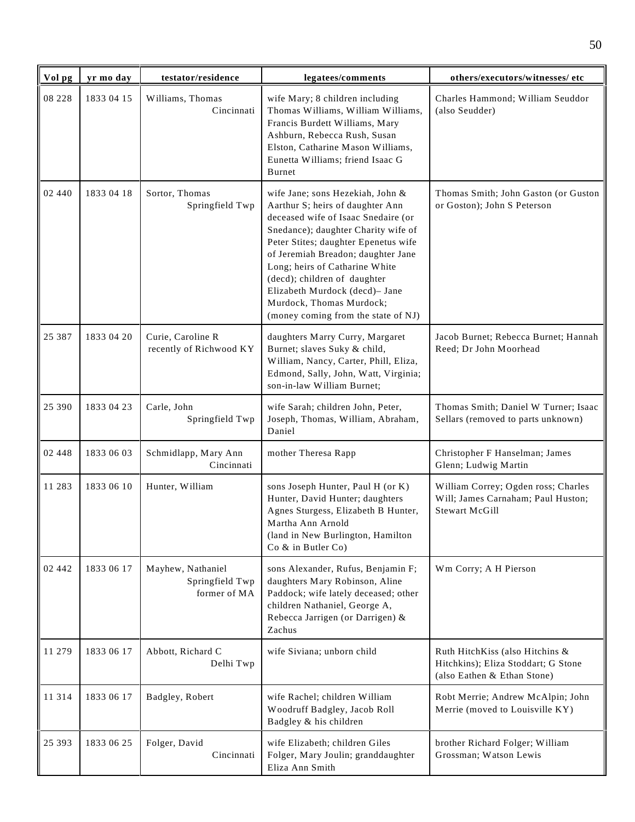| Vol pg  | yr mo day  | testator/residence                                   | legatees/comments                                                                                                                                                                                                                                                                                                                                                                                       | others/executors/witnesses/ etc                                                                       |
|---------|------------|------------------------------------------------------|---------------------------------------------------------------------------------------------------------------------------------------------------------------------------------------------------------------------------------------------------------------------------------------------------------------------------------------------------------------------------------------------------------|-------------------------------------------------------------------------------------------------------|
| 08 228  | 1833 04 15 | Williams, Thomas<br>Cincinnati                       | wife Mary; 8 children including<br>Thomas Williams, William Williams,<br>Francis Burdett Williams, Mary<br>Ashburn, Rebecca Rush, Susan<br>Elston, Catharine Mason Williams,<br>Eunetta Williams; friend Isaac G<br><b>Burnet</b>                                                                                                                                                                       | Charles Hammond; William Seuddor<br>(also Seudder)                                                    |
| 02 440  | 1833 04 18 | Sortor, Thomas<br>Springfield Twp                    | wife Jane; sons Hezekiah, John &<br>Aarthur S; heirs of daughter Ann<br>deceased wife of Isaac Snedaire (or<br>Snedance); daughter Charity wife of<br>Peter Stites; daughter Epenetus wife<br>of Jeremiah Breadon; daughter Jane<br>Long; heirs of Catharine White<br>(decd); children of daughter<br>Elizabeth Murdock (decd)- Jane<br>Murdock, Thomas Murdock;<br>(money coming from the state of NJ) | Thomas Smith; John Gaston (or Guston<br>or Goston); John S Peterson                                   |
| 25 387  | 1833 04 20 | Curie, Caroline R<br>recently of Richwood KY         | daughters Marry Curry, Margaret<br>Burnet; slaves Suky & child,<br>William, Nancy, Carter, Phill, Eliza,<br>Edmond, Sally, John, Watt, Virginia;<br>son-in-law William Burnet;                                                                                                                                                                                                                          | Jacob Burnet; Rebecca Burnet; Hannah<br>Reed; Dr John Moorhead                                        |
| 25 390  | 1833 04 23 | Carle, John<br>Springfield Twp                       | wife Sarah; children John, Peter,<br>Joseph, Thomas, William, Abraham,<br>Daniel                                                                                                                                                                                                                                                                                                                        | Thomas Smith; Daniel W Turner; Isaac<br>Sellars (removed to parts unknown)                            |
| 02 448  | 1833 06 03 | Schmidlapp, Mary Ann<br>Cincinnati                   | mother Theresa Rapp                                                                                                                                                                                                                                                                                                                                                                                     | Christopher F Hanselman; James<br>Glenn; Ludwig Martin                                                |
| 11 283  | 1833 06 10 | Hunter, William                                      | sons Joseph Hunter, Paul H (or K)<br>Hunter, David Hunter; daughters<br>Agnes Sturgess, Elizabeth B Hunter,<br>Martha Ann Arnold<br>(land in New Burlington, Hamilton<br>Co & in Butler Co)                                                                                                                                                                                                             | William Correy; Ogden ross; Charles<br>Will; James Carnaham; Paul Huston;<br><b>Stewart McGill</b>    |
| 02 442  | 1833 06 17 | Mayhew, Nathaniel<br>Springfield Twp<br>former of MA | sons Alexander, Rufus, Benjamin F;<br>daughters Mary Robinson, Aline<br>Paddock; wife lately deceased; other<br>children Nathaniel, George A,<br>Rebecca Jarrigen (or Darrigen) &<br>Zachus                                                                                                                                                                                                             | Wm Corry; A H Pierson                                                                                 |
| 11 279  | 1833 06 17 | Abbott, Richard C<br>Delhi Twp                       | wife Siviana; unborn child                                                                                                                                                                                                                                                                                                                                                                              | Ruth HitchKiss (also Hitchins &<br>Hitchkins); Eliza Stoddart; G Stone<br>(also Eathen & Ethan Stone) |
| 11 3 14 | 1833 06 17 | Badgley, Robert                                      | wife Rachel; children William<br>Woodruff Badgley, Jacob Roll<br>Badgley & his children                                                                                                                                                                                                                                                                                                                 | Robt Merrie; Andrew McAlpin; John<br>Merrie (moved to Louisville KY)                                  |
| 25 393  | 1833 06 25 | Folger, David<br>Cincinnati                          | wife Elizabeth; children Giles<br>Folger, Mary Joulin; granddaughter<br>Eliza Ann Smith                                                                                                                                                                                                                                                                                                                 | brother Richard Folger; William<br>Grossman; Watson Lewis                                             |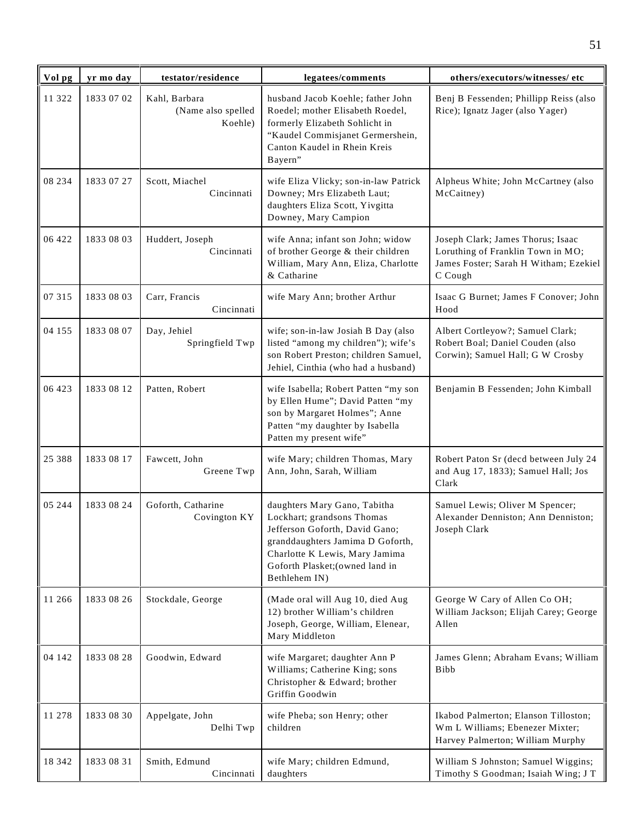| Vol pg | yr mo day  | testator/residence                             | legatees/comments                                                                                                                                                                                                      | others/executors/witnesses/ etc                                                                                            |
|--------|------------|------------------------------------------------|------------------------------------------------------------------------------------------------------------------------------------------------------------------------------------------------------------------------|----------------------------------------------------------------------------------------------------------------------------|
| 11 322 | 1833 07 02 | Kahl, Barbara<br>(Name also spelled<br>Koehle) | husband Jacob Koehle; father John<br>Roedel; mother Elisabeth Roedel,<br>formerly Elizabeth Sohlicht in<br>"Kaudel Commisjanet Germershein,<br>Canton Kaudel in Rhein Kreis<br>Bayern"                                 | Benj B Fessenden; Phillipp Reiss (also<br>Rice); Ignatz Jager (also Yager)                                                 |
| 08 234 | 1833 07 27 | Scott, Miachel<br>Cincinnati                   | wife Eliza Vlicky; son-in-law Patrick<br>Downey; Mrs Elizabeth Laut;<br>daughters Eliza Scott, Yivgitta<br>Downey, Mary Campion                                                                                        | Alpheus White; John McCartney (also<br>McCaitney)                                                                          |
| 06 422 | 1833 08 03 | Huddert, Joseph<br>Cincinnati                  | wife Anna; infant son John; widow<br>of brother George & their children<br>William, Mary Ann, Eliza, Charlotte<br>& Catharine                                                                                          | Joseph Clark; James Thorus; Isaac<br>Loruthing of Franklin Town in MO;<br>James Foster; Sarah H Witham; Ezekiel<br>C Cough |
| 07 315 | 1833 08 03 | Carr, Francis<br>Cincinnati                    | wife Mary Ann; brother Arthur                                                                                                                                                                                          | Isaac G Burnet; James F Conover; John<br>Hood                                                                              |
| 04 155 | 1833 08 07 | Day, Jehiel<br>Springfield Twp                 | wife; son-in-law Josiah B Day (also<br>listed "among my children"); wife's<br>son Robert Preston; children Samuel,<br>Jehiel, Cinthia (who had a husband)                                                              | Albert Cortleyow?; Samuel Clark;<br>Robert Boal; Daniel Couden (also<br>Corwin); Samuel Hall; G W Crosby                   |
| 06 423 | 1833 08 12 | Patten, Robert                                 | wife Isabella; Robert Patten "my son<br>by Ellen Hume"; David Patten "my<br>son by Margaret Holmes"; Anne<br>Patten "my daughter by Isabella<br>Patten my present wife"                                                | Benjamin B Fessenden; John Kimball                                                                                         |
| 25 388 | 1833 08 17 | Fawcett, John<br>Greene Twp                    | wife Mary; children Thomas, Mary<br>Ann, John, Sarah, William                                                                                                                                                          | Robert Paton Sr (decd between July 24<br>and Aug 17, 1833); Samuel Hall; Jos<br>Clark                                      |
| 05 244 | 1833 08 24 | Goforth, Catharine<br>Covington KY             | daughters Mary Gano, Tabitha<br>Lockhart; grandsons Thomas<br>Jefferson Goforth, David Gano;<br>granddaughters Jamima D Goforth,<br>Charlotte K Lewis, Mary Jamima<br>Goforth Plasket; (owned land in<br>Bethlehem IN) | Samuel Lewis; Oliver M Spencer;<br>Alexander Denniston; Ann Denniston;<br>Joseph Clark                                     |
| 11 266 | 1833 08 26 | Stockdale, George                              | (Made oral will Aug 10, died Aug<br>12) brother William's children<br>Joseph, George, William, Elenear,<br>Mary Middleton                                                                                              | George W Cary of Allen Co OH;<br>William Jackson; Elijah Carey; George<br>Allen                                            |
| 04 142 | 1833 08 28 | Goodwin, Edward                                | wife Margaret; daughter Ann P<br>Williams; Catherine King; sons<br>Christopher & Edward; brother<br>Griffin Goodwin                                                                                                    | James Glenn; Abraham Evans; William<br><b>Bibb</b>                                                                         |
| 11 278 | 1833 08 30 | Appelgate, John<br>Delhi Twp                   | wife Pheba; son Henry; other<br>children                                                                                                                                                                               | Ikabod Palmerton; Elanson Tilloston;<br>Wm L Williams; Ebenezer Mixter;<br>Harvey Palmerton; William Murphy                |
| 18 342 | 1833 08 31 | Smith, Edmund<br>Cincinnati                    | wife Mary; children Edmund,<br>daughters                                                                                                                                                                               | William S Johnston; Samuel Wiggins;<br>Timothy S Goodman; Isaiah Wing; J T                                                 |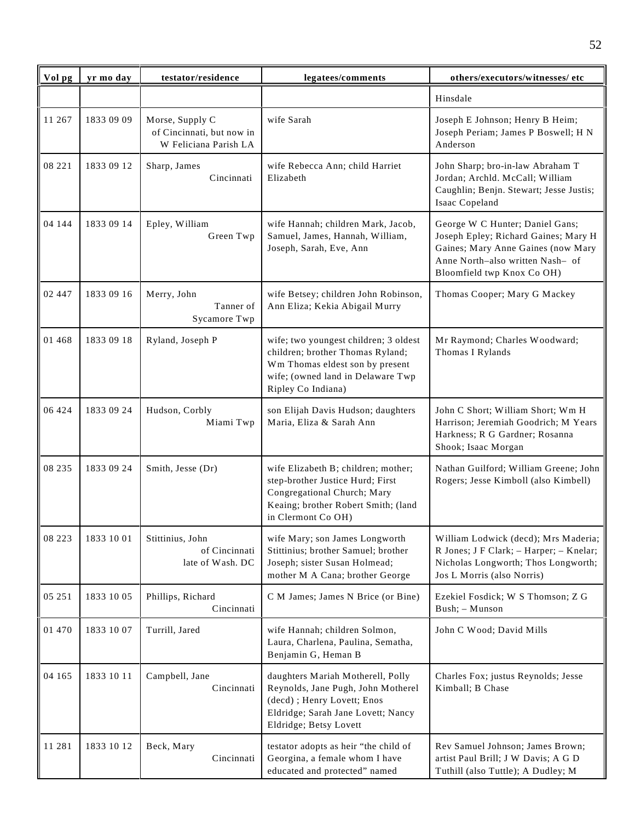| Vol pg  | yr mo day  | testator/residence                                                    | legatees/comments                                                                                                                                                       | others/executors/witnesses/ etc                                                                                                                                                 |
|---------|------------|-----------------------------------------------------------------------|-------------------------------------------------------------------------------------------------------------------------------------------------------------------------|---------------------------------------------------------------------------------------------------------------------------------------------------------------------------------|
|         |            |                                                                       |                                                                                                                                                                         | Hinsdale                                                                                                                                                                        |
| 11 267  | 1833 09 09 | Morse, Supply C<br>of Cincinnati, but now in<br>W Feliciana Parish LA | wife Sarah                                                                                                                                                              | Joseph E Johnson; Henry B Heim;<br>Joseph Periam; James P Boswell; H N<br>Anderson                                                                                              |
| 08 221  | 1833 09 12 | Sharp, James<br>Cincinnati                                            | wife Rebecca Ann; child Harriet<br>Elizabeth                                                                                                                            | John Sharp; bro-in-law Abraham T<br>Jordan; Archld. McCall; William<br>Caughlin; Benjn. Stewart; Jesse Justis;<br>Isaac Copeland                                                |
| 04 144  | 1833 09 14 | Epley, William<br>Green Twp                                           | wife Hannah; children Mark, Jacob,<br>Samuel, James, Hannah, William,<br>Joseph, Sarah, Eve, Ann                                                                        | George W C Hunter; Daniel Gans;<br>Joseph Epley; Richard Gaines; Mary H<br>Gaines; Mary Anne Gaines (now Mary<br>Anne North-also written Nash- of<br>Bloomfield twp Knox Co OH) |
| 02 447  | 1833 09 16 | Merry, John<br>Tanner of<br>Sycamore Twp                              | wife Betsey; children John Robinson,<br>Ann Eliza; Kekia Abigail Murry                                                                                                  | Thomas Cooper; Mary G Mackey                                                                                                                                                    |
| 01 4 68 | 1833 09 18 | Ryland, Joseph P                                                      | wife; two youngest children; 3 oldest<br>children; brother Thomas Ryland;<br>Wm Thomas eldest son by present<br>wife; (owned land in Delaware Twp<br>Ripley Co Indiana) | Mr Raymond; Charles Woodward;<br>Thomas I Rylands                                                                                                                               |
| 06 424  | 1833 09 24 | Hudson, Corbly<br>Miami Twp                                           | son Elijah Davis Hudson; daughters<br>Maria, Eliza & Sarah Ann                                                                                                          | John C Short; William Short; Wm H<br>Harrison; Jeremiah Goodrich; M Years<br>Harkness; R G Gardner; Rosanna<br>Shook; Isaac Morgan                                              |
| 08 235  | 1833 09 24 | Smith, Jesse (Dr)                                                     | wife Elizabeth B; children; mother;<br>step-brother Justice Hurd; First<br>Congregational Church; Mary<br>Keaing; brother Robert Smith; (land<br>in Clermont Co OH)     | Nathan Guilford; William Greene; John<br>Rogers; Jesse Kimboll (also Kimbell)                                                                                                   |
| 08 223  | 1833 10 01 | Stittinius, John<br>of Cincinnati<br>late of Wash. DC                 | wife Mary; son James Longworth<br>Stittinius; brother Samuel; brother<br>Joseph; sister Susan Holmead;<br>mother M A Cana; brother George                               | William Lodwick (decd); Mrs Maderia;<br>R Jones; J F Clark; - Harper; - Knelar;<br>Nicholas Longworth; Thos Longworth;<br>Jos L Morris (also Norris)                            |
| 05 251  | 1833 10 05 | Phillips, Richard<br>Cincinnati                                       | C M James; James N Brice (or Bine)                                                                                                                                      | Ezekiel Fosdick; W S Thomson; Z G<br>Bush; - Munson                                                                                                                             |
| 01 470  | 1833 10 07 | Turrill, Jared                                                        | wife Hannah; children Solmon,<br>Laura, Charlena, Paulina, Sematha,<br>Benjamin G, Heman B                                                                              | John C Wood; David Mills                                                                                                                                                        |
| 04 165  | 1833 10 11 | Campbell, Jane<br>Cincinnati                                          | daughters Mariah Motherell, Polly<br>Reynolds, Jane Pugh, John Motherel<br>(decd); Henry Lovett; Enos<br>Eldridge; Sarah Jane Lovett; Nancy<br>Eldridge; Betsy Lovett   | Charles Fox; justus Reynolds; Jesse<br>Kimball; B Chase                                                                                                                         |
| 11 281  | 1833 10 12 | Beck, Mary<br>Cincinnati                                              | testator adopts as heir "the child of<br>Georgina, a female whom I have<br>educated and protected" named                                                                | Rev Samuel Johnson; James Brown;<br>artist Paul Brill; J W Davis; A G D<br>Tuthill (also Tuttle); A Dudley; M                                                                   |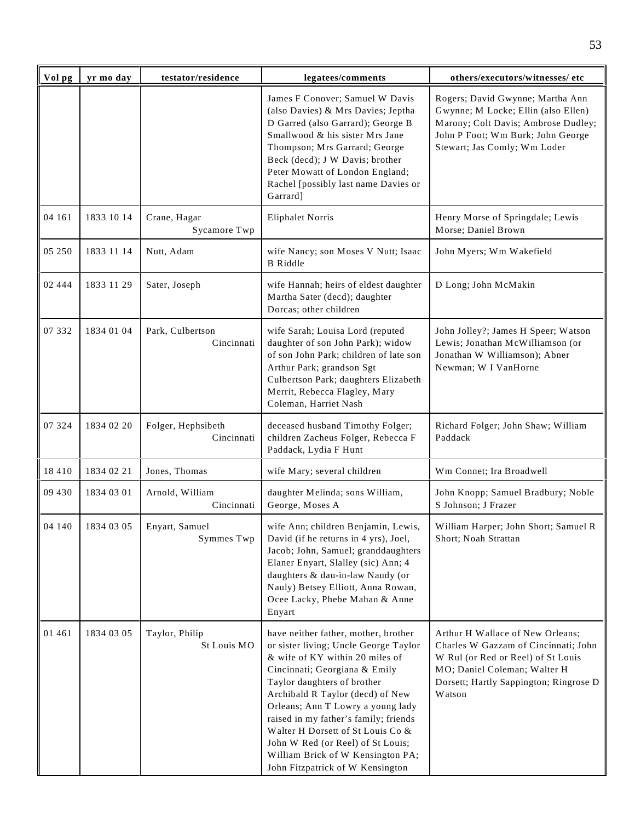| Vol pg  | yr mo day  | testator/residence               | legatees/comments                                                                                                                                                                                                                                                                                                                                                                                                                                     | others/executors/witnesses/etc                                                                                                                                                                     |
|---------|------------|----------------------------------|-------------------------------------------------------------------------------------------------------------------------------------------------------------------------------------------------------------------------------------------------------------------------------------------------------------------------------------------------------------------------------------------------------------------------------------------------------|----------------------------------------------------------------------------------------------------------------------------------------------------------------------------------------------------|
|         |            |                                  | James F Conover; Samuel W Davis<br>(also Davies) & Mrs Davies; Jeptha<br>D Garred (also Garrard); George B<br>Smallwood & his sister Mrs Jane<br>Thompson; Mrs Garrard; George<br>Beck (decd); J W Davis; brother<br>Peter Mowatt of London England;<br>Rachel [possibly last name Davies or<br>Garrard]                                                                                                                                              | Rogers; David Gwynne; Martha Ann<br>Gwynne; M Locke; Ellin (also Ellen)<br>Marony; Colt Davis; Ambrose Dudley;<br>John P Foot; Wm Burk; John George<br>Stewart; Jas Comly; Wm Loder                |
| 04 161  | 1833 10 14 | Crane, Hagar<br>Sycamore Twp     | <b>Eliphalet Norris</b>                                                                                                                                                                                                                                                                                                                                                                                                                               | Henry Morse of Springdale; Lewis<br>Morse; Daniel Brown                                                                                                                                            |
| 05 250  | 1833 11 14 | Nutt, Adam                       | wife Nancy; son Moses V Nutt; Isaac<br><b>B</b> Riddle                                                                                                                                                                                                                                                                                                                                                                                                | John Myers; Wm Wakefield                                                                                                                                                                           |
| 02 444  | 1833 11 29 | Sater, Joseph                    | wife Hannah; heirs of eldest daughter<br>Martha Sater (decd); daughter<br>Dorcas; other children                                                                                                                                                                                                                                                                                                                                                      | D Long; John McMakin                                                                                                                                                                               |
| 07 332  | 1834 01 04 | Park, Culbertson<br>Cincinnati   | wife Sarah; Louisa Lord (reputed<br>daughter of son John Park); widow<br>of son John Park; children of late son<br>Arthur Park; grandson Sgt<br>Culbertson Park; daughters Elizabeth<br>Merrit, Rebecca Flagley, Mary<br>Coleman, Harriet Nash                                                                                                                                                                                                        | John Jolley?; James H Speer; Watson<br>Lewis; Jonathan McWilliamson (or<br>Jonathan W Williamson); Abner<br>Newman; W I VanHorne                                                                   |
| 07 324  | 1834 02 20 | Folger, Hephsibeth<br>Cincinnati | deceased husband Timothy Folger;<br>children Zacheus Folger, Rebecca F<br>Paddack, Lydia F Hunt                                                                                                                                                                                                                                                                                                                                                       | Richard Folger; John Shaw; William<br>Paddack                                                                                                                                                      |
| 18 4 10 | 1834 02 21 | Jones, Thomas                    | wife Mary; several children                                                                                                                                                                                                                                                                                                                                                                                                                           | Wm Connet; Ira Broadwell                                                                                                                                                                           |
| 09 430  | 1834 03 01 | Arnold, William<br>Cincinnati    | daughter Melinda; sons William,<br>George, Moses A                                                                                                                                                                                                                                                                                                                                                                                                    | John Knopp; Samuel Bradbury; Noble<br>S Johnson; J Frazer                                                                                                                                          |
| 04 140  | 1834 03 05 | Enyart, Samuel<br>Symmes Twp     | wife Ann; children Benjamin, Lewis,<br>David (if he returns in 4 yrs), Joel,<br>Jacob; John, Samuel; granddaughters<br>Elaner Enyart, Slalley (sic) Ann; 4<br>daughters & dau-in-law Naudy (or<br>Nauly) Betsey Elliott, Anna Rowan,<br>Ocee Lacky, Phebe Mahan & Anne<br>Enyart                                                                                                                                                                      | William Harper; John Short; Samuel R<br>Short; Noah Strattan                                                                                                                                       |
| 01 461  | 1834 03 05 | Taylor, Philip<br>St Louis MO    | have neither father, mother, brother<br>or sister living; Uncle George Taylor<br>& wife of KY within 20 miles of<br>Cincinnati; Georgiana & Emily<br>Taylor daughters of brother<br>Archibald R Taylor (decd) of New<br>Orleans; Ann T Lowry a young lady<br>raised in my father's family; friends<br>Walter H Dorsett of St Louis Co &<br>John W Red (or Reel) of St Louis;<br>William Brick of W Kensington PA;<br>John Fitzpatrick of W Kensington | Arthur H Wallace of New Orleans;<br>Charles W Gazzam of Cincinnati; John<br>W Rul (or Red or Reel) of St Louis<br>MO; Daniel Coleman; Walter H<br>Dorsett; Hartly Sappington; Ringrose D<br>Watson |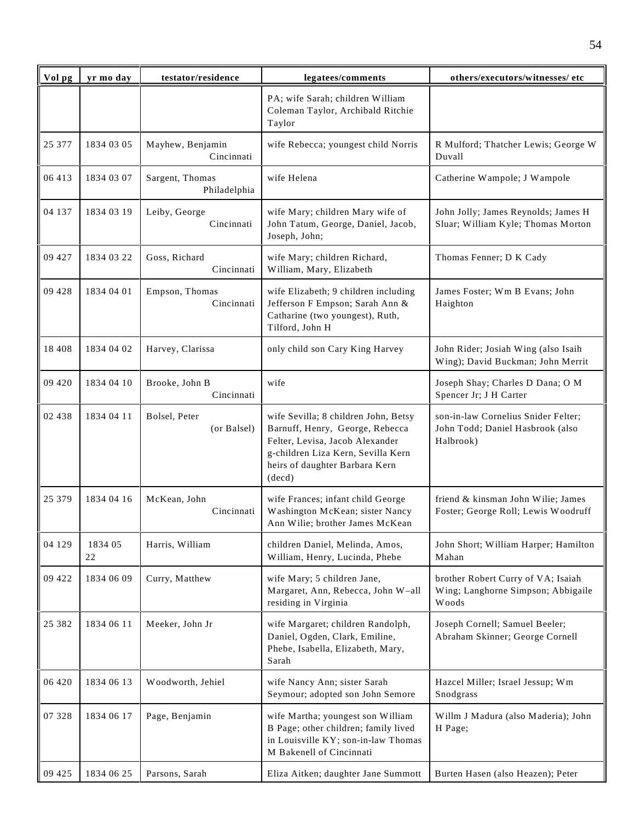| Vol pg   | yr mo day     | testator/residence              | legatees/comments                                                                                                                                                                            | others/executors/witnesses/ etc                                                      |
|----------|---------------|---------------------------------|----------------------------------------------------------------------------------------------------------------------------------------------------------------------------------------------|--------------------------------------------------------------------------------------|
|          |               |                                 | PA; wife Sarah; children William<br>Coleman Taylor, Archibald Ritchie<br>Taylor                                                                                                              |                                                                                      |
| 25 377   | 1834 03 05    | Mayhew, Benjamin<br>Cincinnati  | wife Rebecca; youngest child Norris                                                                                                                                                          | R Mulford; Thatcher Lewis; George W<br>Duvall                                        |
| 06 413   | 1834 03 07    | Sargent, Thomas<br>Philadelphia | wife Helena                                                                                                                                                                                  | Catherine Wampole; J Wampole                                                         |
| 04 137   | 1834 03 19    | Leiby, George<br>Cincinnati     | wife Mary; children Mary wife of<br>John Tatum, George, Daniel, Jacob,<br>Joseph, John;                                                                                                      | John Jolly; James Reynolds; James H<br>Sluar; William Kyle; Thomas Morton            |
| 09 427   | 1834 03 22    | Goss, Richard<br>Cincinnati     | wife Mary; children Richard,<br>William, Mary, Elizabeth                                                                                                                                     | Thomas Fenner; D K Cady                                                              |
| 09 428   | 1834 04 01    | Empson, Thomas<br>Cincinnati    | wife Elizabeth; 9 children including<br>Jefferson F Empson; Sarah Ann &<br>Catharine (two youngest), Ruth,<br>Tilford, John H                                                                | James Foster; Wm B Evans; John<br>Haighton                                           |
| 18 4 08  | 1834 04 02    | Harvey, Clarissa                | only child son Cary King Harvey                                                                                                                                                              | John Rider; Josiah Wing (also Isaih<br>Wing); David Buckman; John Merrit             |
| 09 4 20  | 1834 04 10    | Brooke, John B<br>Cincinnati    | wife                                                                                                                                                                                         | Joseph Shay; Charles D Dana; O M<br>Spencer Jr; J H Carter                           |
| 02 438   | 1834 04 11    | Bolsel, Peter<br>(or Balsel)    | wife Sevilla; 8 children John, Betsy<br>Barnuff, Henry, George, Rebecca<br>Felter, Levisa, Jacob Alexander<br>g-children Liza Kern, Sevilla Kern<br>heirs of daughter Barbara Kern<br>(decd) | son-in-law Cornelius Snider Felter;<br>John Todd; Daniel Hasbrook (also<br>Halbrook) |
| 25 379   | 1834 04 16    | McKean, John<br>Cincinnati      | wife Frances; infant child George<br>Washington McKean; sister Nancy<br>Ann Wilie; brother James McKean                                                                                      | friend & kinsman John Wilie; James<br>Foster; George Roll; Lewis Woodruff            |
| 04 129   | 1834 05<br>22 | Harris, William                 | children Daniel, Melinda, Amos,<br>William, Henry, Lucinda, Phebe                                                                                                                            | John Short; William Harper; Hamilton<br>Mahan                                        |
| 09 422   | 1834 06 09    | Curry, Matthew                  | wife Mary; 5 children Jane,<br>Margaret, Ann, Rebecca, John W-all<br>residing in Virginia                                                                                                    | brother Robert Curry of VA; Isaiah<br>Wing; Langhorne Simpson; Abbigaile<br>Woods    |
| 25 3 8 2 | 1834 06 11    | Meeker, John Jr                 | wife Margaret; children Randolph,<br>Daniel, Ogden, Clark, Emiline,<br>Phebe, Isabella, Elizabeth, Mary,<br>Sarah                                                                            | Joseph Cornell; Samuel Beeler;<br>Abraham Skinner; George Cornell                    |
| 06 420   | 1834 06 13    | Woodworth, Jehiel               | wife Nancy Ann; sister Sarah<br>Seymour; adopted son John Semore                                                                                                                             | Hazcel Miller; Israel Jessup; Wm<br>Snodgrass                                        |
| 07 328   | 1834 06 17    | Page, Benjamin                  | wife Martha; youngest son William<br>B Page; other children; family lived<br>in Louisville KY; son-in-law Thomas<br>M Bakenell of Cincinnati                                                 | Willm J Madura (also Maderia); John<br>H Page;                                       |
| 09 4 25  | 1834 06 25    | Parsons, Sarah                  | Eliza Aitken; daughter Jane Summott                                                                                                                                                          | Burten Hasen (also Heazen); Peter                                                    |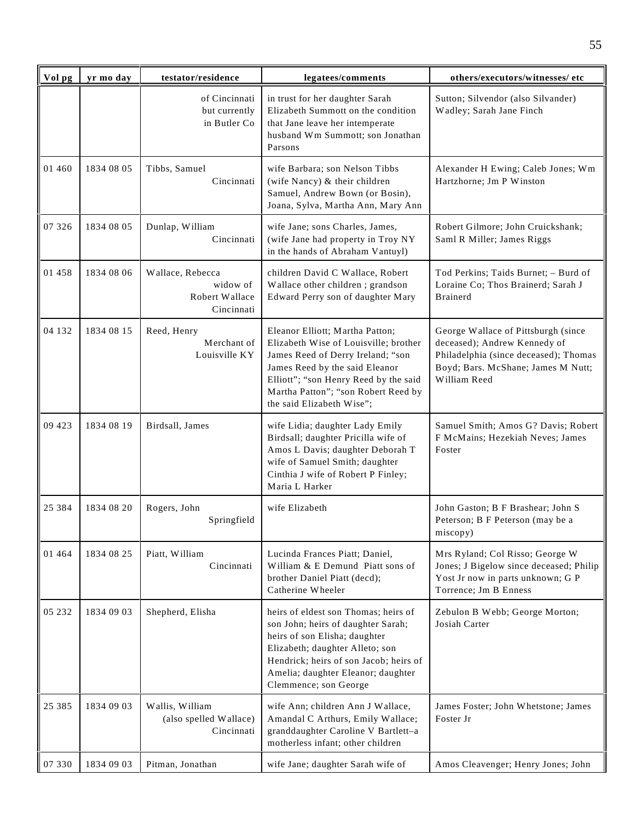| Vol pg   | yr mo day  | testator/residence                                           | legatees/comments                                                                                                                                                                                                                                            | others/executors/witnesses/ etc                                                                                                                                    |
|----------|------------|--------------------------------------------------------------|--------------------------------------------------------------------------------------------------------------------------------------------------------------------------------------------------------------------------------------------------------------|--------------------------------------------------------------------------------------------------------------------------------------------------------------------|
|          |            | of Cincinnati<br>but currently<br>in Butler Co               | in trust for her daughter Sarah<br>Elizabeth Summott on the condition<br>that Jane leave her intemperate<br>husband Wm Summott; son Jonathan<br>Parsons                                                                                                      | Sutton; Silvendor (also Silvander)<br>Wadley; Sarah Jane Finch                                                                                                     |
| 01 460   | 1834 08 05 | Tibbs, Samuel<br>Cincinnati                                  | wife Barbara; son Nelson Tibbs<br>(wife Nancy) & their children<br>Samuel, Andrew Bown (or Bosin),<br>Joana, Sylva, Martha Ann, Mary Ann                                                                                                                     | Alexander H Ewing; Caleb Jones; Wm<br>Hartzhorne; Jm P Winston                                                                                                     |
| 07 326   | 1834 08 05 | Dunlap, William<br>Cincinnati                                | wife Jane; sons Charles, James,<br>(wife Jane had property in Troy NY<br>in the hands of Abraham Vantuyl)                                                                                                                                                    | Robert Gilmore; John Cruickshank;<br>Saml R Miller; James Riggs                                                                                                    |
| 01 458   | 1834 08 06 | Wallace, Rebecca<br>widow of<br>Robert Wallace<br>Cincinnati | children David C Wallace, Robert<br>Wallace other children; grandson<br>Edward Perry son of daughter Mary                                                                                                                                                    | Tod Perkins; Taids Burnet; - Burd of<br>Loraine Co; Thos Brainerd; Sarah J<br><b>Brainerd</b>                                                                      |
| 04 132   | 1834 08 15 | Reed, Henry<br>Merchant of<br>Louisville KY                  | Eleanor Elliott; Martha Patton;<br>Elizabeth Wise of Louisville; brother<br>James Reed of Derry Ireland; "son<br>James Reed by the said Eleanor<br>Elliott"; "son Henry Reed by the said<br>Martha Patton"; "son Robert Reed by<br>the said Elizabeth Wise"; | George Wallace of Pittsburgh (since<br>deceased); Andrew Kennedy of<br>Philadelphia (since deceased); Thomas<br>Boyd; Bars. McShane; James M Nutt;<br>William Reed |
| 09 423   | 1834 08 19 | Birdsall, James                                              | wife Lidia; daughter Lady Emily<br>Birdsall; daughter Pricilla wife of<br>Amos L Davis; daughter Deborah T<br>wife of Samuel Smith; daughter<br>Cinthia J wife of Robert P Finley;<br>Maria L Harker                                                         | Samuel Smith; Amos G? Davis; Robert<br>F McMains; Hezekiah Neves; James<br>Foster                                                                                  |
| 25 384   | 1834 08 20 | Rogers, John<br>Springfield                                  | wife Elizabeth                                                                                                                                                                                                                                               | John Gaston; B F Brashear; John S<br>Peterson; B F Peterson (may be a<br>miscopy)                                                                                  |
| 01 4 64  | 1834 08 25 | Piatt, William<br>Cincinnati                                 | Lucinda Frances Piatt; Daniel,<br>William & E Demund Piatt sons of<br>brother Daniel Piatt (decd);<br>Catherine Wheeler                                                                                                                                      | Mrs Ryland; Col Risso; George W<br>Jones; J Bigelow since deceased; Philip<br>Yost Jr now in parts unknown; G P<br>Torrence; Jm B Enness                           |
| 05 232   | 1834 09 03 | Shepherd, Elisha                                             | heirs of eldest son Thomas; heirs of<br>son John; heirs of daughter Sarah;<br>heirs of son Elisha; daughter<br>Elizabeth; daughter Alleto; son<br>Hendrick; heirs of son Jacob; heirs of<br>Amelia; daughter Eleanor; daughter<br>Clemmence; son George      | Zebulon B Webb; George Morton;<br>Josiah Carter                                                                                                                    |
| 25 3 8 5 | 1834 09 03 | Wallis, William<br>(also spelled Wallace)<br>Cincinnati      | wife Ann; children Ann J Wallace,<br>Amandal C Arthurs, Emily Wallace;<br>granddaughter Caroline V Bartlett-a<br>motherless infant; other children                                                                                                           | James Foster; John Whetstone; James<br>Foster Jr                                                                                                                   |
| 07 330   | 1834 09 03 | Pitman, Jonathan                                             | wife Jane; daughter Sarah wife of                                                                                                                                                                                                                            | Amos Cleavenger; Henry Jones; John                                                                                                                                 |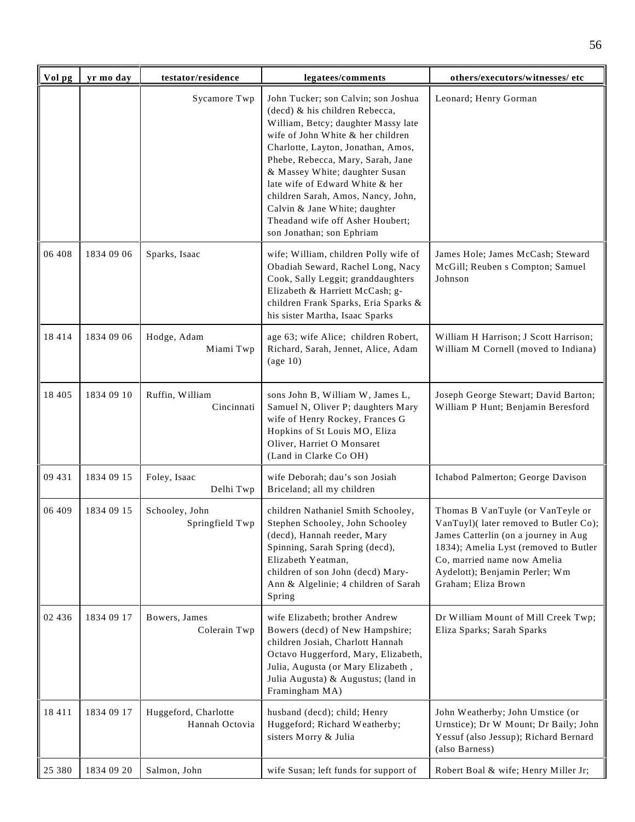| Vol pg  | yr mo day  | testator/residence                     | legatees/comments                                                                                                                                                                                                                                                                                                                                                                                                                         | others/executors/witnesses/etc                                                                                                                                                                                                                      |
|---------|------------|----------------------------------------|-------------------------------------------------------------------------------------------------------------------------------------------------------------------------------------------------------------------------------------------------------------------------------------------------------------------------------------------------------------------------------------------------------------------------------------------|-----------------------------------------------------------------------------------------------------------------------------------------------------------------------------------------------------------------------------------------------------|
|         |            | Sycamore Twp                           | John Tucker; son Calvin; son Joshua<br>(decd) & his children Rebecca,<br>William, Betcy; daughter Massy late<br>wife of John White & her children<br>Charlotte, Layton, Jonathan, Amos,<br>Phebe, Rebecca, Mary, Sarah, Jane<br>& Massey White; daughter Susan<br>late wife of Edward White & her<br>children Sarah, Amos, Nancy, John,<br>Calvin & Jane White; daughter<br>Theadand wife off Asher Houbert;<br>son Jonathan; son Ephriam | Leonard; Henry Gorman                                                                                                                                                                                                                               |
| 06 408  | 1834 09 06 | Sparks, Isaac                          | wife; William, children Polly wife of<br>Obadiah Seward, Rachel Long, Nacy<br>Cook, Sally Leggit; granddaughters<br>Elizabeth & Harriett McCash; g-<br>children Frank Sparks, Eria Sparks &<br>his sister Martha, Isaac Sparks                                                                                                                                                                                                            | James Hole; James McCash; Steward<br>McGill; Reuben s Compton; Samuel<br>Johnson                                                                                                                                                                    |
| 18414   | 1834 09 06 | Hodge, Adam<br>Miami Twp               | age 63; wife Alice; children Robert,<br>Richard, Sarah, Jennet, Alice, Adam<br>$\left(\text{age } 10\right)$                                                                                                                                                                                                                                                                                                                              | William H Harrison; J Scott Harrison;<br>William M Cornell (moved to Indiana)                                                                                                                                                                       |
| 18 4 05 | 1834 09 10 | Ruffin, William<br>Cincinnati          | sons John B, William W, James L,<br>Samuel N, Oliver P; daughters Mary<br>wife of Henry Rockey, Frances G<br>Hopkins of St Louis MO, Eliza<br>Oliver, Harriet O Monsaret<br>(Land in Clarke Co OH)                                                                                                                                                                                                                                        | Joseph George Stewart; David Barton;<br>William P Hunt; Benjamin Beresford                                                                                                                                                                          |
| 09 431  | 1834 09 15 | Foley, Isaac<br>Delhi Twp              | wife Deborah; dau's son Josiah<br>Briceland; all my children                                                                                                                                                                                                                                                                                                                                                                              | Ichabod Palmerton; George Davison                                                                                                                                                                                                                   |
| 06 409  | 1834 09 15 | Schooley, John<br>Springfield Twp      | children Nathaniel Smith Schooley,<br>Stephen Schooley, John Schooley<br>(decd), Hannah reeder, Mary<br>Spinning, Sarah Spring (decd),<br>Elizabeth Yeatman,<br>children of son John (decd) Mary-<br>Ann & Algelinie; 4 children of Sarah<br>Spring                                                                                                                                                                                       | Thomas B VanTuyle (or VanTeyle or<br>VanTuyl)(later removed to Butler Co);<br>James Catterlin (on a journey in Aug<br>1834); Amelia Lyst (removed to Butler<br>Co, married name now Amelia<br>Aydelott); Benjamin Perler; Wm<br>Graham; Eliza Brown |
| 02 436  | 1834 09 17 | Bowers, James<br>Colerain Twp          | wife Elizabeth; brother Andrew<br>Bowers (decd) of New Hampshire;<br>children Josiah, Charlott Hannah<br>Octavo Huggerford, Mary, Elizabeth,<br>Julia, Augusta (or Mary Elizabeth,<br>Julia Augusta) & Augustus; (land in<br>Framingham MA)                                                                                                                                                                                               | Dr William Mount of Mill Creek Twp;<br>Eliza Sparks; Sarah Sparks                                                                                                                                                                                   |
| 18 4 11 | 1834 09 17 | Huggeford, Charlotte<br>Hannah Octovia | husband (decd); child; Henry<br>Huggeford; Richard Weatherby;<br>sisters Morry & Julia                                                                                                                                                                                                                                                                                                                                                    | John Weatherby; John Umstice (or<br>Urnstice); Dr W Mount; Dr Baily; John<br>Yessuf (also Jessup); Richard Bernard<br>(also Barness)                                                                                                                |
| 25 380  | 1834 09 20 | Salmon, John                           | wife Susan; left funds for support of                                                                                                                                                                                                                                                                                                                                                                                                     | Robert Boal & wife; Henry Miller Jr;                                                                                                                                                                                                                |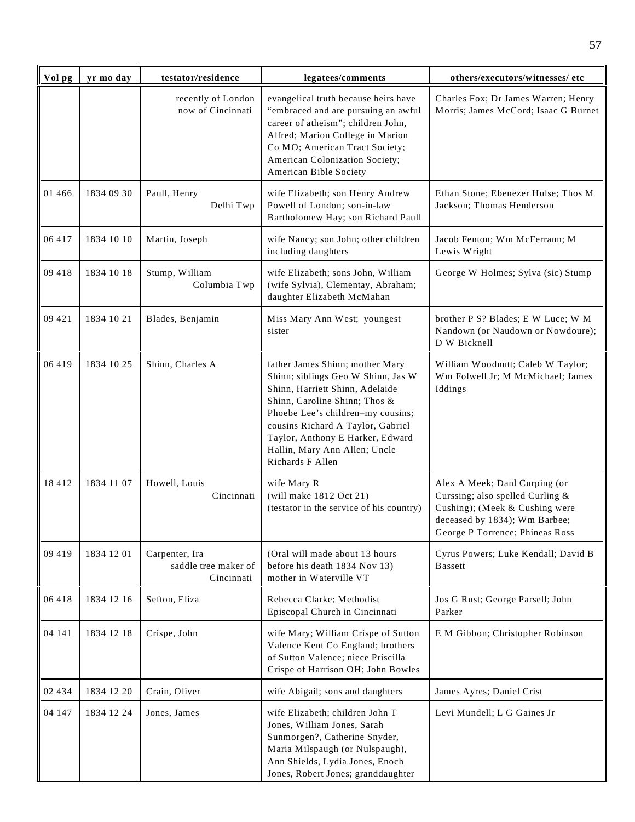| Vol pg   | yr mo day  | testator/residence                                   | legatees/comments                                                                                                                                                                                                                                                                                            | others/executors/witnesses/ etc                                                                                                                                         |
|----------|------------|------------------------------------------------------|--------------------------------------------------------------------------------------------------------------------------------------------------------------------------------------------------------------------------------------------------------------------------------------------------------------|-------------------------------------------------------------------------------------------------------------------------------------------------------------------------|
|          |            | recently of London<br>now of Cincinnati              | evangelical truth because heirs have<br>"embraced and are pursuing an awful<br>career of atheism"; children John,<br>Alfred; Marion College in Marion<br>Co MO; American Tract Society;<br>American Colonization Society;<br>American Bible Society                                                          | Charles Fox; Dr James Warren; Henry<br>Morris; James McCord; Isaac G Burnet                                                                                             |
| 01 4 6 6 | 1834 09 30 | Paull, Henry<br>Delhi Twp                            | wife Elizabeth; son Henry Andrew<br>Powell of London; son-in-law<br>Bartholomew Hay; son Richard Paull                                                                                                                                                                                                       | Ethan Stone; Ebenezer Hulse; Thos M<br>Jackson; Thomas Henderson                                                                                                        |
| 06 417   | 1834 10 10 | Martin, Joseph                                       | wife Nancy; son John; other children<br>including daughters                                                                                                                                                                                                                                                  | Jacob Fenton; Wm McFerrann; M<br>Lewis Wright                                                                                                                           |
| 09 418   | 1834 10 18 | Stump, William<br>Columbia Twp                       | wife Elizabeth; sons John, William<br>(wife Sylvia), Clementay, Abraham;<br>daughter Elizabeth McMahan                                                                                                                                                                                                       | George W Holmes; Sylva (sic) Stump                                                                                                                                      |
| 09 421   | 1834 10 21 | Blades, Benjamin                                     | Miss Mary Ann West; youngest<br>sister                                                                                                                                                                                                                                                                       | brother P S? Blades; E W Luce; W M<br>Nandown (or Naudown or Nowdoure);<br>D W Bicknell                                                                                 |
| 06 419   | 1834 10 25 | Shinn, Charles A                                     | father James Shinn; mother Mary<br>Shinn; siblings Geo W Shinn, Jas W<br>Shinn, Harriett Shinn, Adelaide<br>Shinn, Caroline Shinn; Thos &<br>Phoebe Lee's children-my cousins;<br>cousins Richard A Taylor, Gabriel<br>Taylor, Anthony E Harker, Edward<br>Hallin, Mary Ann Allen; Uncle<br>Richards F Allen | William Woodnutt; Caleb W Taylor;<br>Wm Folwell Jr; M McMichael; James<br>Iddings                                                                                       |
| 18412    | 1834 11 07 | Howell, Louis<br>Cincinnati                          | wife Mary R<br>(will make 1812 Oct 21)<br>(testator in the service of his country)                                                                                                                                                                                                                           | Alex A Meek; Danl Curping (or<br>Curssing; also spelled Curling &<br>Cushing); (Meek & Cushing were<br>deceased by 1834); Wm Barbee;<br>George P Torrence; Phineas Ross |
| 09 419   | 1834 12 01 | Carpenter, Ira<br>saddle tree maker of<br>Cincinnati | (Oral will made about 13 hours<br>before his death 1834 Nov 13)<br>mother in Waterville VT                                                                                                                                                                                                                   | Cyrus Powers; Luke Kendall; David B<br><b>B</b> assett                                                                                                                  |
| 06 418   | 1834 12 16 | Sefton, Eliza                                        | Rebecca Clarke; Methodist<br>Episcopal Church in Cincinnati                                                                                                                                                                                                                                                  | Jos G Rust; George Parsell; John<br>Parker                                                                                                                              |
| 04 141   | 1834 12 18 | Crispe, John                                         | wife Mary; William Crispe of Sutton<br>Valence Kent Co England; brothers<br>of Sutton Valence; niece Priscilla<br>Crispe of Harrison OH; John Bowles                                                                                                                                                         | E M Gibbon; Christopher Robinson                                                                                                                                        |
| 02 434   | 1834 12 20 | Crain, Oliver                                        | wife Abigail; sons and daughters                                                                                                                                                                                                                                                                             | James Ayres; Daniel Crist                                                                                                                                               |
| 04 147   | 1834 12 24 | Jones, James                                         | wife Elizabeth; children John T<br>Jones, William Jones, Sarah<br>Sunmorgen?, Catherine Snyder,<br>Maria Milspaugh (or Nulspaugh),<br>Ann Shields, Lydia Jones, Enoch<br>Jones, Robert Jones; granddaughter                                                                                                  | Levi Mundell; L G Gaines Jr                                                                                                                                             |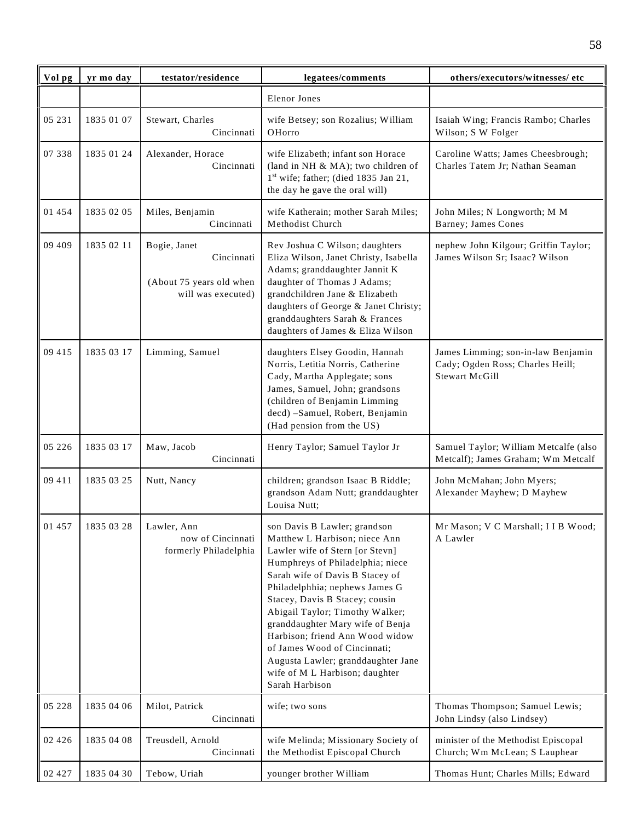| Vol pg   | yr mo day  | testator/residence                                                           | legatees/comments                                                                                                                                                                                                                                                                                                                                                                                                                                                               | others/executors/witnesses/ etc                                                                 |
|----------|------------|------------------------------------------------------------------------------|---------------------------------------------------------------------------------------------------------------------------------------------------------------------------------------------------------------------------------------------------------------------------------------------------------------------------------------------------------------------------------------------------------------------------------------------------------------------------------|-------------------------------------------------------------------------------------------------|
|          |            |                                                                              | <b>Elenor Jones</b>                                                                                                                                                                                                                                                                                                                                                                                                                                                             |                                                                                                 |
| 05 231   | 1835 01 07 | Stewart, Charles<br>Cincinnati                                               | wife Betsey; son Rozalius; William<br>OHorro                                                                                                                                                                                                                                                                                                                                                                                                                                    | Isaiah Wing; Francis Rambo; Charles<br>Wilson; S W Folger                                       |
| 07 338   | 1835 01 24 | Alexander, Horace<br>Cincinnati                                              | wife Elizabeth; infant son Horace<br>(land in NH & MA); two children of<br>1 <sup>st</sup> wife; father; (died 1835 Jan 21,<br>the day he gave the oral will)                                                                                                                                                                                                                                                                                                                   | Caroline Watts; James Cheesbrough;<br>Charles Tatem Jr; Nathan Seaman                           |
| 01 454   | 1835 02 05 | Miles, Benjamin<br>Cincinnati                                                | wife Katherain; mother Sarah Miles;<br>Methodist Church                                                                                                                                                                                                                                                                                                                                                                                                                         | John Miles; N Longworth; M M<br>Barney; James Cones                                             |
| 09 409   | 1835 02 11 | Bogie, Janet<br>Cincinnati<br>(About 75 years old when<br>will was executed) | Rev Joshua C Wilson; daughters<br>Eliza Wilson, Janet Christy, Isabella<br>Adams; granddaughter Jannit K<br>daughter of Thomas J Adams;<br>grandchildren Jane & Elizabeth<br>daughters of George & Janet Christy;<br>granddaughters Sarah & Frances<br>daughters of James & Eliza Wilson                                                                                                                                                                                        | nephew John Kilgour; Griffin Taylor;<br>James Wilson Sr; Isaac? Wilson                          |
| 09 415   | 1835 03 17 | Limming, Samuel                                                              | daughters Elsey Goodin, Hannah<br>Norris, Letitia Norris, Catherine<br>Cady, Martha Applegate; sons<br>James, Samuel, John; grandsons<br>(children of Benjamin Limming<br>decd) -Samuel, Robert, Benjamin<br>(Had pension from the US)                                                                                                                                                                                                                                          | James Limming; son-in-law Benjamin<br>Cady; Ogden Ross; Charles Heill;<br><b>Stewart McGill</b> |
| 05 226   | 1835 03 17 | Maw, Jacob<br>Cincinnati                                                     | Henry Taylor; Samuel Taylor Jr                                                                                                                                                                                                                                                                                                                                                                                                                                                  | Samuel Taylor; William Metcalfe (also<br>Metcalf); James Graham; Wm Metcalf                     |
| 09 411   | 1835 03 25 | Nutt, Nancy                                                                  | children; grandson Isaac B Riddle;<br>grandson Adam Nutt; granddaughter<br>Louisa Nutt;                                                                                                                                                                                                                                                                                                                                                                                         | John McMahan; John Myers;<br>Alexander Mayhew; D Mayhew                                         |
| 01 457   | 1835 03 28 | Lawler, Ann<br>now of Cincinnati<br>formerly Philadelphia                    | son Davis B Lawler; grandson<br>Matthew L Harbison; niece Ann<br>Lawler wife of Stern [or Stevn]<br>Humphreys of Philadelphia; niece<br>Sarah wife of Davis B Stacey of<br>Philadelphhia; nephews James G<br>Stacey, Davis B Stacey; cousin<br>Abigail Taylor; Timothy Walker;<br>granddaughter Mary wife of Benja<br>Harbison; friend Ann Wood widow<br>of James Wood of Cincinnati;<br>Augusta Lawler; granddaughter Jane<br>wife of M L Harbison; daughter<br>Sarah Harbison | Mr Mason: V C Marshall: I I B Wood:<br>A Lawler                                                 |
| 05 228   | 1835 04 06 | Milot, Patrick<br>Cincinnati                                                 | wife; two sons                                                                                                                                                                                                                                                                                                                                                                                                                                                                  | Thomas Thompson; Samuel Lewis;<br>John Lindsy (also Lindsey)                                    |
| 02 4 2 6 | 1835 04 08 | Treusdell, Arnold<br>Cincinnati                                              | wife Melinda; Missionary Society of<br>the Methodist Episcopal Church                                                                                                                                                                                                                                                                                                                                                                                                           | minister of the Methodist Episcopal<br>Church; Wm McLean; S Lauphear                            |
| 02 427   | 1835 04 30 | Tebow, Uriah                                                                 | younger brother William                                                                                                                                                                                                                                                                                                                                                                                                                                                         | Thomas Hunt; Charles Mills; Edward                                                              |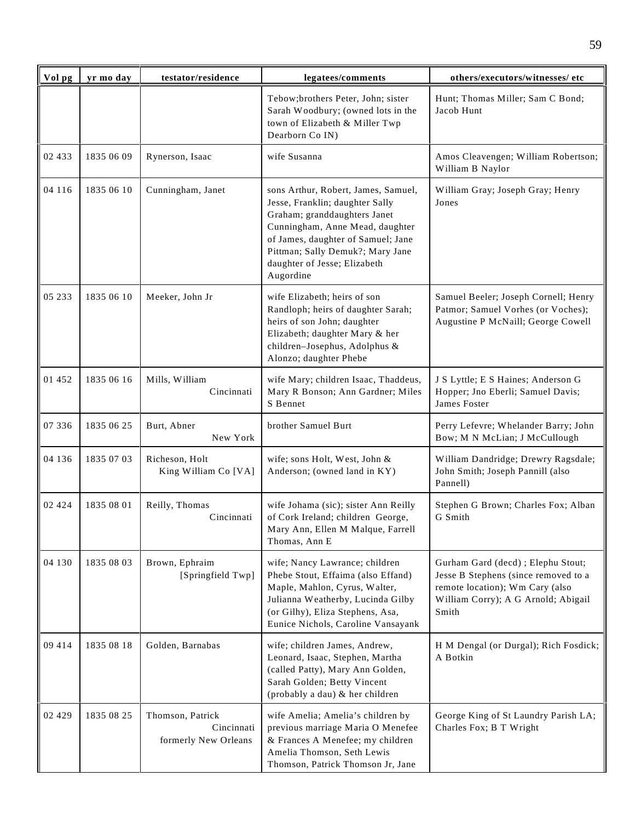| Vol pg   | yr mo day  | testator/residence                                     | legatees/comments                                                                                                                                                                                                                                                | others/executors/witnesses/ etc                                                                                                                               |
|----------|------------|--------------------------------------------------------|------------------------------------------------------------------------------------------------------------------------------------------------------------------------------------------------------------------------------------------------------------------|---------------------------------------------------------------------------------------------------------------------------------------------------------------|
|          |            |                                                        | Tebow;brothers Peter, John; sister<br>Sarah Woodbury; (owned lots in the<br>town of Elizabeth & Miller Twp<br>Dearborn Co IN)                                                                                                                                    | Hunt; Thomas Miller; Sam C Bond;<br>Jacob Hunt                                                                                                                |
| 02 433   | 1835 06 09 | Rynerson, Isaac                                        | wife Susanna                                                                                                                                                                                                                                                     | Amos Cleavengen; William Robertson;<br>William B Naylor                                                                                                       |
| 04 116   | 1835 06 10 | Cunningham, Janet                                      | sons Arthur, Robert, James, Samuel,<br>Jesse, Franklin; daughter Sally<br>Graham; granddaughters Janet<br>Cunningham, Anne Mead, daughter<br>of James, daughter of Samuel; Jane<br>Pittman; Sally Demuk?; Mary Jane<br>daughter of Jesse; Elizabeth<br>Augordine | William Gray; Joseph Gray; Henry<br>Jones                                                                                                                     |
| 05 233   | 1835 06 10 | Meeker, John Jr                                        | wife Elizabeth; heirs of son<br>Randloph; heirs of daughter Sarah;<br>heirs of son John; daughter<br>Elizabeth; daughter Mary & her<br>children-Josephus, Adolphus &<br>Alonzo; daughter Phebe                                                                   | Samuel Beeler; Joseph Cornell; Henry<br>Patmor; Samuel Vorhes (or Voches);<br>Augustine P McNaill; George Cowell                                              |
| 01 452   | 1835 06 16 | Mills, William<br>Cincinnati                           | wife Mary; children Isaac, Thaddeus,<br>Mary R Bonson; Ann Gardner; Miles<br>S Bennet                                                                                                                                                                            | J S Lyttle; E S Haines; Anderson G<br>Hopper; Jno Eberli; Samuel Davis;<br>James Foster                                                                       |
| 07 336   | 1835 06 25 | Burt, Abner<br>New York                                | brother Samuel Burt                                                                                                                                                                                                                                              | Perry Lefevre; Whelander Barry; John<br>Bow; M N McLian; J McCullough                                                                                         |
| 04 136   | 1835 07 03 | Richeson, Holt<br>King William Co [VA]                 | wife; sons Holt, West, John &<br>Anderson; (owned land in KY)                                                                                                                                                                                                    | William Dandridge; Drewry Ragsdale;<br>John Smith; Joseph Pannill (also<br>Pannell)                                                                           |
| 02 4 2 4 | 1835 08 01 | Reilly, Thomas<br>Cincinnati                           | wife Johama (sic); sister Ann Reilly<br>of Cork Ireland; children George,<br>Mary Ann, Ellen M Malque, Farrell<br>Thomas, Ann E                                                                                                                                  | Stephen G Brown; Charles Fox; Alban<br>G Smith                                                                                                                |
| 04 130   | 1835 08 03 | Brown, Ephraim<br>[Springfield Twp]                    | wife; Nancy Lawrance; children<br>Phebe Stout, Effaima (also Effand)<br>Maple, Mahlon, Cyrus, Walter,<br>Julianna Weatherby, Lucinda Gilby<br>(or Gilhy), Eliza Stephens, Asa,<br>Eunice Nichols, Caroline Vansayank                                             | Gurham Gard (decd) ; Elephu Stout;<br>Jesse B Stephens (since removed to a<br>remote location); Wm Cary (also<br>William Corry); A G Arnold; Abigail<br>Smith |
| 09 414   | 1835 08 18 | Golden, Barnabas                                       | wife; children James, Andrew,<br>Leonard, Isaac, Stephen, Martha<br>(called Patty), Mary Ann Golden,<br>Sarah Golden; Betty Vincent<br>(probably a dau) & her children                                                                                           | H M Dengal (or Durgal); Rich Fosdick;<br>A Botkin                                                                                                             |
| 02 4 2 9 | 1835 08 25 | Thomson, Patrick<br>Cincinnati<br>formerly New Orleans | wife Amelia; Amelia's children by<br>previous marriage Maria O Menefee<br>& Frances A Menefee; my children<br>Amelia Thomson, Seth Lewis<br>Thomson, Patrick Thomson Jr, Jane                                                                                    | George King of St Laundry Parish LA;<br>Charles Fox; B T Wright                                                                                               |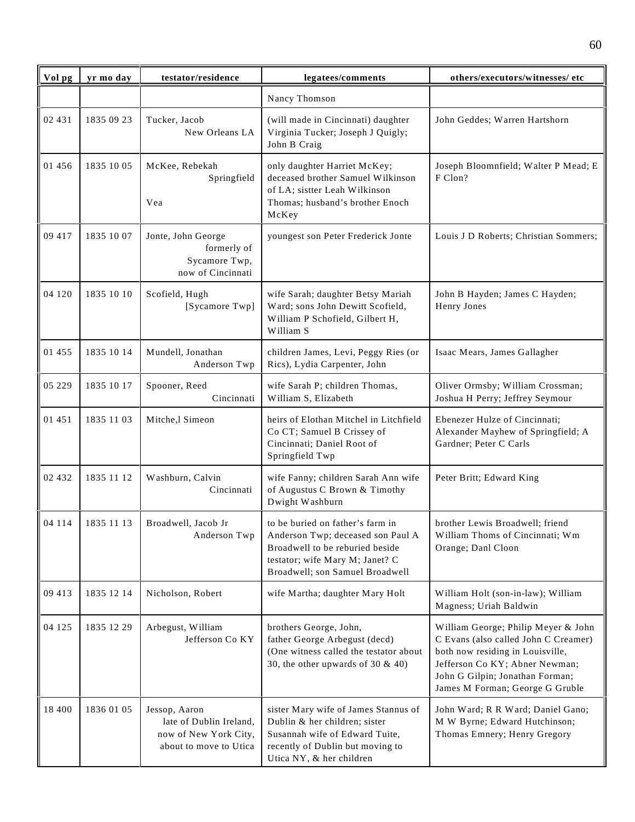| Vol pg | yr mo day  | testator/residence                                                                          | legatees/comments                                                                                                                                                              | others/executors/witnesses/etc                                                                                                                                                                                          |
|--------|------------|---------------------------------------------------------------------------------------------|--------------------------------------------------------------------------------------------------------------------------------------------------------------------------------|-------------------------------------------------------------------------------------------------------------------------------------------------------------------------------------------------------------------------|
|        |            |                                                                                             | Nancy Thomson                                                                                                                                                                  |                                                                                                                                                                                                                         |
| 02 431 | 1835 09 23 | Tucker, Jacob<br>New Orleans LA                                                             | (will made in Cincinnati) daughter<br>Virginia Tucker; Joseph J Quigly;<br>John B Craig                                                                                        | John Geddes; Warren Hartshorn                                                                                                                                                                                           |
| 01 456 | 1835 10 05 | McKee, Rebekah<br>Springfield<br>Vea                                                        | only daughter Harriet McKey;<br>deceased brother Samuel Wilkinson<br>of LA; sistter Leah Wilkinson<br>Thomas; husband's brother Enoch<br>McKey                                 | Joseph Bloomnfield; Walter P Mead; E<br>F Clon?                                                                                                                                                                         |
| 09 417 | 1835 10 07 | Jonte, John George<br>formerly of<br>Sycamore Twp,<br>now of Cincinnati                     | youngest son Peter Frederick Jonte                                                                                                                                             | Louis J D Roberts; Christian Sommers;                                                                                                                                                                                   |
| 04 120 | 1835 10 10 | Scofield, Hugh<br>[Sycamore Twp]                                                            | wife Sarah; daughter Betsy Mariah<br>Ward; sons John Dewitt Scofield,<br>William P Schofield, Gilbert H,<br>William S                                                          | John B Hayden; James C Hayden;<br>Henry Jones                                                                                                                                                                           |
| 01 455 | 1835 10 14 | Mundell, Jonathan<br>Anderson Twp                                                           | children James, Levi, Peggy Ries (or<br>Rics), Lydia Carpenter, John                                                                                                           | Isaac Mears, James Gallagher                                                                                                                                                                                            |
| 05 229 | 1835 10 17 | Spooner, Reed<br>Cincinnati                                                                 | wife Sarah P; children Thomas,<br>William S, Elizabeth                                                                                                                         | Oliver Ormsby; William Crossman;<br>Joshua H Perry; Jeffrey Seymour                                                                                                                                                     |
| 01 451 | 1835 11 03 | Mitche,l Simeon                                                                             | heirs of Elothan Mitchel in Litchfield<br>Co CT; Samuel B Crissey of<br>Cincinnati; Daniel Root of<br>Springfield Twp                                                          | Ebenezer Hulze of Cincinnati;<br>Alexander Mayhew of Springfield; A<br>Gardner; Peter C Carls                                                                                                                           |
| 02 432 | 1835 11 12 | Washburn, Calvin<br>Cincinnati                                                              | wife Fanny; children Sarah Ann wife<br>of Augustus C Brown & Timothy<br>Dwight Washburn                                                                                        | Peter Britt; Edward King                                                                                                                                                                                                |
| 04 114 | 1835 11 13 | Broadwell, Jacob Jr<br>Anderson Twp                                                         | to be buried on father's farm in<br>Anderson Twp; deceased son Paul A<br>Broadwell to be reburied beside<br>testator; wife Mary M; Janet? C<br>Broadwell; son Samuel Broadwell | brother Lewis Broadwell: friend<br>William Thoms of Cincinnati; Wm<br>Orange; Danl Cloon                                                                                                                                |
| 09 413 | 1835 12 14 | Nicholson, Robert                                                                           | wife Martha; daughter Mary Holt                                                                                                                                                | William Holt (son-in-law); William<br>Magness; Uriah Baldwin                                                                                                                                                            |
| 04 125 | 1835 12 29 | Arbegust, William<br>Jefferson Co KY                                                        | brothers George, John,<br>father George Arbegust (decd)<br>(One witness called the testator about<br>30, the other upwards of 30 $\&$ 40)                                      | William George; Philip Meyer & John<br>C Evans (also called John C Creamer)<br>both now residing in Louisville,<br>Jefferson Co KY; Abner Newman;<br>John G Gilpin; Jonathan Forman;<br>James M Forman; George G Gruble |
| 18 400 | 1836 01 05 | Jessop, Aaron<br>late of Dublin Ireland,<br>now of New York City,<br>about to move to Utica | sister Mary wife of James Stannus of<br>Dublin & her children; sister<br>Susannah wife of Edward Tuite,<br>recently of Dublin but moving to<br>Utica NY, & her children        | John Ward; R R Ward; Daniel Gano;<br>M W Byrne; Edward Hutchinson;<br>Thomas Emnery; Henry Gregory                                                                                                                      |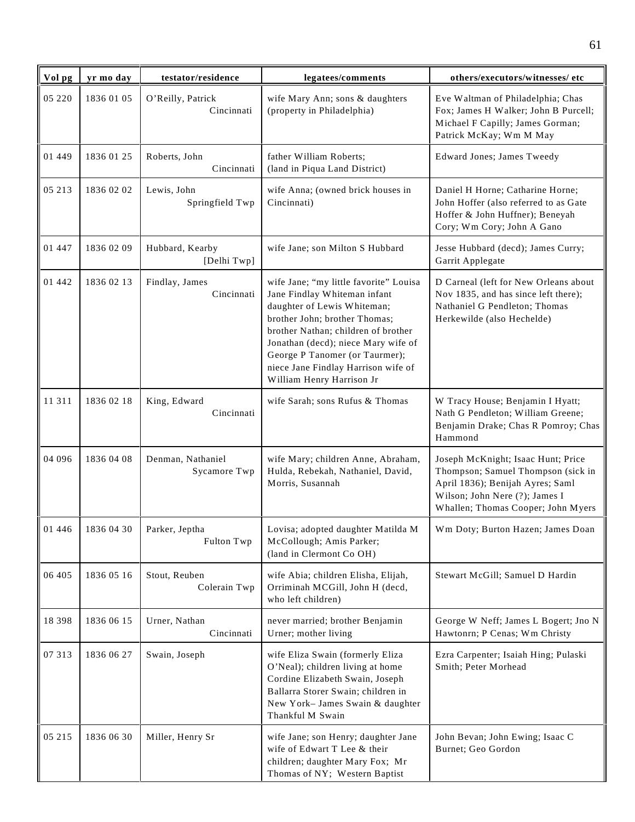| Vol pg  | yr mo day  | testator/residence                | legatees/comments                                                                                                                                                                                                                                                                                                          | others/executors/witnesses/ etc                                                                                                                                                      |
|---------|------------|-----------------------------------|----------------------------------------------------------------------------------------------------------------------------------------------------------------------------------------------------------------------------------------------------------------------------------------------------------------------------|--------------------------------------------------------------------------------------------------------------------------------------------------------------------------------------|
| 05 220  | 1836 01 05 | O'Reilly, Patrick<br>Cincinnati   | wife Mary Ann; sons & daughters<br>(property in Philadelphia)                                                                                                                                                                                                                                                              | Eve Waltman of Philadelphia; Chas<br>Fox; James H Walker; John B Purcell;<br>Michael F Capilly; James Gorman;<br>Patrick McKay; Wm M May                                             |
| 01 449  | 1836 01 25 | Roberts, John<br>Cincinnati       | father William Roberts;<br>(land in Piqua Land District)                                                                                                                                                                                                                                                                   | Edward Jones; James Tweedy                                                                                                                                                           |
| 05 213  | 1836 02 02 | Lewis, John<br>Springfield Twp    | wife Anna; (owned brick houses in<br>Cincinnati)                                                                                                                                                                                                                                                                           | Daniel H Horne; Catharine Horne;<br>John Hoffer (also referred to as Gate<br>Hoffer & John Huffner); Beneyah<br>Cory; Wm Cory; John A Gano                                           |
| 01 447  | 1836 02 09 | Hubbard, Kearby<br>[Delhi Twp]    | wife Jane; son Milton S Hubbard                                                                                                                                                                                                                                                                                            | Jesse Hubbard (decd); James Curry;<br>Garrit Applegate                                                                                                                               |
| 01 442  | 1836 02 13 | Findlay, James<br>Cincinnati      | wife Jane; "my little favorite" Louisa<br>Jane Findlay Whiteman infant<br>daughter of Lewis Whiteman;<br>brother John; brother Thomas;<br>brother Nathan; children of brother<br>Jonathan (decd); niece Mary wife of<br>George P Tanomer (or Taurmer);<br>niece Jane Findlay Harrison wife of<br>William Henry Harrison Jr | D Carneal (left for New Orleans about<br>Nov 1835, and has since left there);<br>Nathaniel G Pendleton; Thomas<br>Herkewilde (also Hechelde)                                         |
| 11 311  | 1836 02 18 | King, Edward<br>Cincinnati        | wife Sarah; sons Rufus & Thomas                                                                                                                                                                                                                                                                                            | W Tracy House; Benjamin I Hyatt;<br>Nath G Pendleton; William Greene;<br>Benjamin Drake; Chas R Pomroy; Chas<br>Hammond                                                              |
| 04 09 6 | 1836 04 08 | Denman, Nathaniel<br>Sycamore Twp | wife Mary; children Anne, Abraham,<br>Hulda, Rebekah, Nathaniel, David,<br>Morris, Susannah                                                                                                                                                                                                                                | Joseph McKnight; Isaac Hunt; Price<br>Thompson; Samuel Thompson (sick in<br>April 1836); Benijah Ayres; Saml<br>Wilson; John Nere (?); James I<br>Whallen; Thomas Cooper; John Myers |
| 01 446  | 1836 04 30 | Parker, Jeptha<br>Fulton Twp      | Lovisa; adopted daughter Matilda M<br>McCollough; Amis Parker;<br>(land in Clermont Co OH)                                                                                                                                                                                                                                 | Wm Doty; Burton Hazen; James Doan                                                                                                                                                    |
| 06 405  | 1836 05 16 | Stout, Reuben<br>Colerain Twp     | wife Abia; children Elisha, Elijah,<br>Orriminah MCGill, John H (decd,<br>who left children)                                                                                                                                                                                                                               | Stewart McGill; Samuel D Hardin                                                                                                                                                      |
| 18 3 98 | 1836 06 15 | Urner, Nathan<br>Cincinnati       | never married; brother Benjamin<br>Urner; mother living                                                                                                                                                                                                                                                                    | George W Neff; James L Bogert; Jno N<br>Hawtonrn; P Cenas; Wm Christy                                                                                                                |
| 07 313  | 1836 06 27 | Swain, Joseph                     | wife Eliza Swain (formerly Eliza<br>O'Neal); children living at home<br>Cordine Elizabeth Swain, Joseph<br>Ballarra Storer Swain; children in<br>New York-James Swain & daughter<br>Thankful M Swain                                                                                                                       | Ezra Carpenter; Isaiah Hing; Pulaski<br>Smith; Peter Morhead                                                                                                                         |
| 05 215  | 1836 06 30 | Miller, Henry Sr                  | wife Jane; son Henry; daughter Jane<br>wife of Edwart T Lee & their<br>children; daughter Mary Fox; Mr<br>Thomas of NY; Western Baptist                                                                                                                                                                                    | John Bevan; John Ewing; Isaac C<br>Burnet; Geo Gordon                                                                                                                                |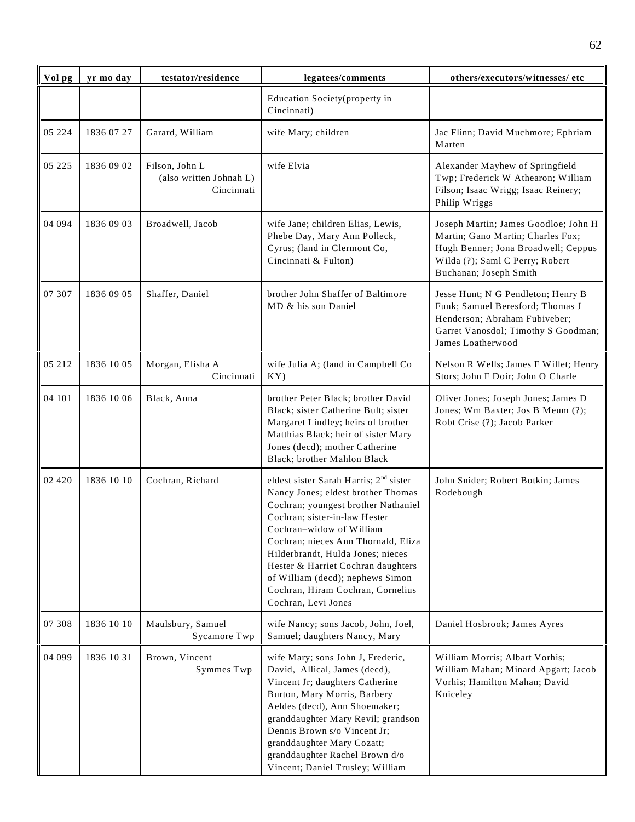| Vol pg   | yr mo day  | testator/residence                                      | legatees/comments                                                                                                                                                                                                                                                                                                                                                                                              | others/executors/witnesses/ etc                                                                                                                                               |
|----------|------------|---------------------------------------------------------|----------------------------------------------------------------------------------------------------------------------------------------------------------------------------------------------------------------------------------------------------------------------------------------------------------------------------------------------------------------------------------------------------------------|-------------------------------------------------------------------------------------------------------------------------------------------------------------------------------|
|          |            |                                                         | Education Society (property in<br>Cincinnati)                                                                                                                                                                                                                                                                                                                                                                  |                                                                                                                                                                               |
| 05 224   | 1836 07 27 | Garard, William                                         | wife Mary; children                                                                                                                                                                                                                                                                                                                                                                                            | Jac Flinn; David Muchmore; Ephriam<br>Marten                                                                                                                                  |
| 05 225   | 1836 09 02 | Filson, John L<br>(also written Johnah L)<br>Cincinnati | wife Elvia                                                                                                                                                                                                                                                                                                                                                                                                     | Alexander Mayhew of Springfield<br>Twp; Frederick W Athearon; William<br>Filson; Isaac Wrigg; Isaac Reinery;<br>Philip Wriggs                                                 |
| 04 094   | 1836 09 03 | Broadwell, Jacob                                        | wife Jane; children Elias, Lewis,<br>Phebe Day, Mary Ann Polleck,<br>Cyrus; (land in Clermont Co,<br>Cincinnati & Fulton)                                                                                                                                                                                                                                                                                      | Joseph Martin; James Goodloe; John H<br>Martin; Gano Martin; Charles Fox;<br>Hugh Benner; Jona Broadwell; Ceppus<br>Wilda (?); Saml C Perry; Robert<br>Buchanan; Joseph Smith |
| 07 307   | 1836 09 05 | Shaffer, Daniel                                         | brother John Shaffer of Baltimore<br>MD & his son Daniel                                                                                                                                                                                                                                                                                                                                                       | Jesse Hunt; N G Pendleton; Henry B<br>Funk; Samuel Beresford; Thomas J<br>Henderson; Abraham Fubiveber;<br>Garret Vanosdol; Timothy S Goodman;<br>James Loatherwood           |
| 05 212   | 1836 10 05 | Morgan, Elisha A<br>Cincinnati                          | wife Julia A; (land in Campbell Co<br>KY)                                                                                                                                                                                                                                                                                                                                                                      | Nelson R Wells; James F Willet; Henry<br>Stors; John F Doir; John O Charle                                                                                                    |
| 04 101   | 1836 10 06 | Black, Anna                                             | brother Peter Black; brother David<br>Black; sister Catherine Bult; sister<br>Margaret Lindley; heirs of brother<br>Matthias Black; heir of sister Mary<br>Jones (decd); mother Catherine<br>Black; brother Mahlon Black                                                                                                                                                                                       | Oliver Jones; Joseph Jones; James D<br>Jones; Wm Baxter; Jos B Meum (?);<br>Robt Crise (?); Jacob Parker                                                                      |
| 02 4 2 0 | 1836 10 10 | Cochran, Richard                                        | eldest sister Sarah Harris; 2 <sup>nd</sup> sister<br>Nancy Jones; eldest brother Thomas<br>Cochran; youngest brother Nathaniel<br>Cochran; sister-in-law Hester<br>Cochran-widow of William<br>Cochran; nieces Ann Thornald, Eliza<br>Hilderbrandt, Hulda Jones; nieces<br>Hester & Harriet Cochran daughters<br>of William (decd); nephews Simon<br>Cochran, Hiram Cochran, Cornelius<br>Cochran, Levi Jones | John Snider; Robert Botkin; James<br>Rodebough                                                                                                                                |
| 07 308   | 1836 10 10 | Maulsbury, Samuel<br>Sycamore Twp                       | wife Nancy; sons Jacob, John, Joel,<br>Samuel; daughters Nancy, Mary                                                                                                                                                                                                                                                                                                                                           | Daniel Hosbrook; James Ayres                                                                                                                                                  |
| 04 099   | 1836 10 31 | Brown, Vincent<br>Symmes Twp                            | wife Mary; sons John J, Frederic,<br>David, Allical, James (decd),<br>Vincent Jr; daughters Catherine<br>Burton, Mary Morris, Barbery<br>Aeldes (decd), Ann Shoemaker;<br>granddaughter Mary Revil; grandson<br>Dennis Brown s/o Vincent Jr;<br>granddaughter Mary Cozatt;<br>granddaughter Rachel Brown d/o<br>Vincent; Daniel Trusley; William                                                               | William Morris; Albart Vorhis;<br>William Mahan; Minard Apgart; Jacob<br>Vorhis; Hamilton Mahan; David<br>Kniceley                                                            |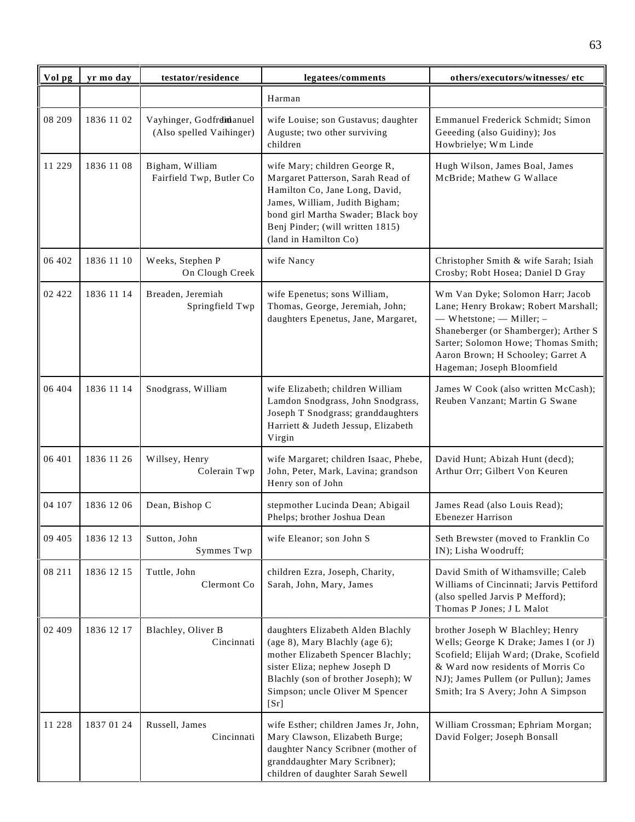| Vol pg   | yr mo day  | testator/residence                                   | legatees/comments                                                                                                                                                                                                                         | others/executors/witnesses/ etc                                                                                                                                                                                                                               |
|----------|------------|------------------------------------------------------|-------------------------------------------------------------------------------------------------------------------------------------------------------------------------------------------------------------------------------------------|---------------------------------------------------------------------------------------------------------------------------------------------------------------------------------------------------------------------------------------------------------------|
|          |            |                                                      | Harman                                                                                                                                                                                                                                    |                                                                                                                                                                                                                                                               |
| 08 209   | 1836 11 02 | Vayhinger, Godfrdidanuel<br>(Also spelled Vaihinger) | wife Louise; son Gustavus; daughter<br>Auguste; two other surviving<br>children                                                                                                                                                           | Emmanuel Frederick Schmidt; Simon<br>Geeeding (also Guidiny); Jos<br>Howbrielye; Wm Linde                                                                                                                                                                     |
| 11 229   | 1836 11 08 | Bigham, William<br>Fairfield Twp, Butler Co          | wife Mary; children George R,<br>Margaret Patterson, Sarah Read of<br>Hamilton Co, Jane Long, David,<br>James, William, Judith Bigham;<br>bond girl Martha Swader; Black boy<br>Benj Pinder; (will written 1815)<br>(land in Hamilton Co) | Hugh Wilson, James Boal, James<br>McBride; Mathew G Wallace                                                                                                                                                                                                   |
| 06 402   | 1836 11 10 | Weeks, Stephen P<br>On Clough Creek                  | wife Nancy                                                                                                                                                                                                                                | Christopher Smith & wife Sarah; Isiah<br>Crosby; Robt Hosea; Daniel D Gray                                                                                                                                                                                    |
| 02 4 2 2 | 1836 11 14 | Breaden, Jeremiah<br>Springfield Twp                 | wife Epenetus; sons William,<br>Thomas, George, Jeremiah, John;<br>daughters Epenetus, Jane, Margaret,                                                                                                                                    | Wm Van Dyke; Solomon Harr; Jacob<br>Lane; Henry Brokaw; Robert Marshall;<br>$-$ Whetstone; $-$ Miller; $-$<br>Shaneberger (or Shamberger); Arther S<br>Sarter; Solomon Howe; Thomas Smith;<br>Aaron Brown; H Schooley; Garret A<br>Hageman; Joseph Bloomfield |
| 06 404   | 1836 11 14 | Snodgrass, William                                   | wife Elizabeth; children William<br>Lamdon Snodgrass, John Snodgrass,<br>Joseph T Snodgrass; granddaughters<br>Harriett & Judeth Jessup, Elizabeth<br>Virgin                                                                              | James W Cook (also written McCash);<br>Reuben Vanzant; Martin G Swane                                                                                                                                                                                         |
| 06 401   | 1836 11 26 | Willsey, Henry<br>Colerain Twp                       | wife Margaret; children Isaac, Phebe,<br>John, Peter, Mark, Lavina; grandson<br>Henry son of John                                                                                                                                         | David Hunt; Abizah Hunt (decd);<br>Arthur Orr; Gilbert Von Keuren                                                                                                                                                                                             |
| 04 107   | 1836 12 06 | Dean, Bishop C                                       | stepmother Lucinda Dean; Abigail<br>Phelps; brother Joshua Dean                                                                                                                                                                           | James Read (also Louis Read);<br>Ebenezer Harrison                                                                                                                                                                                                            |
| 09 405   | 1836 12 13 | Sutton, John<br>Symmes Twp                           | wife Eleanor; son John S                                                                                                                                                                                                                  | Seth Brewster (moved to Franklin Co<br>IN); Lisha Woodruff;                                                                                                                                                                                                   |
| 08 211   | 1836 12 15 | Tuttle, John<br>Clermont Co                          | children Ezra, Joseph, Charity,<br>Sarah, John, Mary, James                                                                                                                                                                               | David Smith of Withamsville; Caleb<br>Williams of Cincinnati; Jarvis Pettiford<br>(also spelled Jarvis P Mefford);<br>Thomas P Jones; J L Malot                                                                                                               |
| 02 409   | 1836 12 17 | Blachley, Oliver B<br>Cincinnati                     | daughters Elizabeth Alden Blachly<br>(age 8), Mary Blachly (age 6);<br>mother Elizabeth Spencer Blachly;<br>sister Eliza; nephew Joseph D<br>Blachly (son of brother Joseph); W<br>Simpson; uncle Oliver M Spencer<br>[Sr]                | brother Joseph W Blachley; Henry<br>Wells; George K Drake; James I (or J)<br>Scofield; Elijah Ward; (Drake, Scofield<br>& Ward now residents of Morris Co<br>NJ); James Pullem (or Pullun); James<br>Smith; Ira S Avery; John A Simpson                       |
| 11 228   | 1837 01 24 | Russell, James<br>Cincinnati                         | wife Esther; children James Jr, John,<br>Mary Clawson, Elizabeth Burge;<br>daughter Nancy Scribner (mother of<br>granddaughter Mary Scribner);<br>children of daughter Sarah Sewell                                                       | William Crossman; Ephriam Morgan;<br>David Folger; Joseph Bonsall                                                                                                                                                                                             |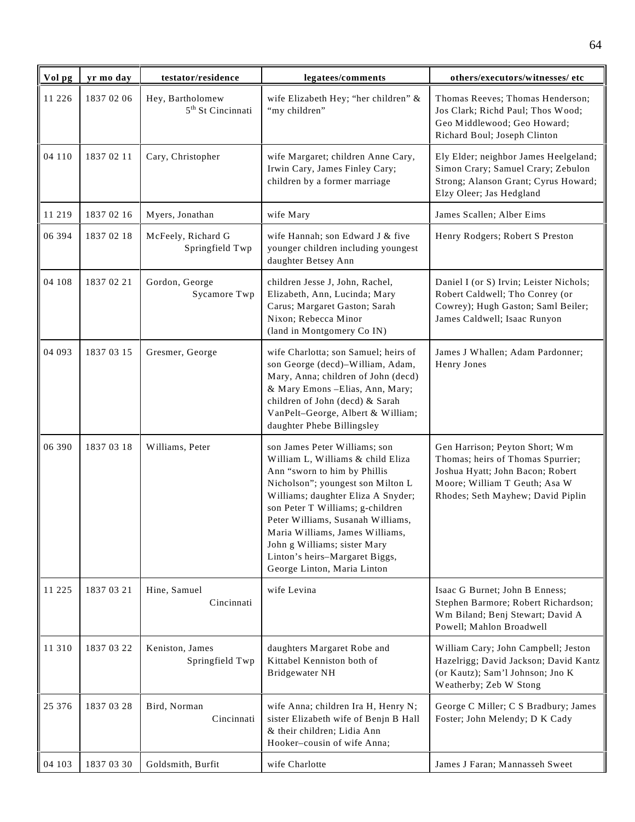| Vol pg | yr mo day  | testator/residence                                | legatees/comments                                                                                                                                                                                                                                                                                                                                                                          | others/executors/witnesses/ etc                                                                                                                                               |
|--------|------------|---------------------------------------------------|--------------------------------------------------------------------------------------------------------------------------------------------------------------------------------------------------------------------------------------------------------------------------------------------------------------------------------------------------------------------------------------------|-------------------------------------------------------------------------------------------------------------------------------------------------------------------------------|
| 11 226 | 1837 02 06 | Hey, Bartholomew<br>5 <sup>th</sup> St Cincinnati | wife Elizabeth Hey; "her children" &<br>"my children"                                                                                                                                                                                                                                                                                                                                      | Thomas Reeves; Thomas Henderson;<br>Jos Clark; Richd Paul; Thos Wood;<br>Geo Middlewood; Geo Howard;<br>Richard Boul; Joseph Clinton                                          |
| 04 110 | 1837 02 11 | Cary, Christopher                                 | wife Margaret; children Anne Cary,<br>Irwin Cary, James Finley Cary;<br>children by a former marriage                                                                                                                                                                                                                                                                                      | Ely Elder; neighbor James Heelgeland;<br>Simon Crary; Samuel Crary; Zebulon<br>Strong; Alanson Grant; Cyrus Howard;<br>Elzy Oleer; Jas Hedgland                               |
| 11 219 | 1837 02 16 | Myers, Jonathan                                   | wife Mary                                                                                                                                                                                                                                                                                                                                                                                  | James Scallen; Alber Eims                                                                                                                                                     |
| 06 394 | 1837 02 18 | McFeely, Richard G<br>Springfield Twp             | wife Hannah; son Edward J & five<br>younger children including youngest<br>daughter Betsey Ann                                                                                                                                                                                                                                                                                             | Henry Rodgers; Robert S Preston                                                                                                                                               |
| 04 108 | 1837 02 21 | Gordon, George<br>Sycamore Twp                    | children Jesse J, John, Rachel,<br>Elizabeth, Ann, Lucinda; Mary<br>Carus; Margaret Gaston; Sarah<br>Nixon; Rebecca Minor<br>(land in Montgomery Co IN)                                                                                                                                                                                                                                    | Daniel I (or S) Irvin; Leister Nichols;<br>Robert Caldwell; Tho Conrey (or<br>Cowrey); Hugh Gaston; Saml Beiler;<br>James Caldwell; Isaac Runyon                              |
| 04 093 | 1837 03 15 | Gresmer, George                                   | wife Charlotta; son Samuel; heirs of<br>son George (decd)-William, Adam,<br>Mary, Anna; children of John (decd)<br>& Mary Emons - Elias, Ann, Mary;<br>children of John (decd) & Sarah<br>VanPelt-George, Albert & William;<br>daughter Phebe Billingsley                                                                                                                                  | James J Whallen; Adam Pardonner;<br>Henry Jones                                                                                                                               |
| 06 390 | 1837 03 18 | Williams, Peter                                   | son James Peter Williams; son<br>William L, Williams & child Eliza<br>Ann "sworn to him by Phillis<br>Nicholson"; youngest son Milton L<br>Williams; daughter Eliza A Snyder;<br>son Peter T Williams; g-children<br>Peter Williams, Susanah Williams,<br>Maria Williams, James Williams,<br>John g Williams; sister Mary<br>Linton's heirs-Margaret Biggs,<br>George Linton, Maria Linton | Gen Harrison; Peyton Short; Wm<br>Thomas; heirs of Thomas Spurrier;<br>Joshua Hyatt; John Bacon; Robert<br>Moore; William T Geuth; Asa W<br>Rhodes; Seth Mayhew; David Piplin |
| 11 225 | 1837 03 21 | Hine, Samuel<br>Cincinnati                        | wife Levina                                                                                                                                                                                                                                                                                                                                                                                | Isaac G Burnet; John B Enness;<br>Stephen Barmore; Robert Richardson;<br>Wm Biland; Benj Stewart; David A<br>Powell; Mahlon Broadwell                                         |
| 11 310 | 1837 03 22 | Keniston, James<br>Springfield Twp                | daughters Margaret Robe and<br>Kittabel Kenniston both of<br>Bridgewater NH                                                                                                                                                                                                                                                                                                                | William Cary; John Campbell; Jeston<br>Hazelrigg; David Jackson; David Kantz<br>(or Kautz); Sam'l Johnson; Jno K<br>Weatherby; Zeb W Stong                                    |
| 25 376 | 1837 03 28 | Bird, Norman<br>Cincinnati                        | wife Anna; children Ira H, Henry N;<br>sister Elizabeth wife of Benjn B Hall<br>& their children; Lidia Ann<br>Hooker-cousin of wife Anna;                                                                                                                                                                                                                                                 | George C Miller; C S Bradbury; James<br>Foster; John Melendy; D K Cady                                                                                                        |
| 04 103 | 1837 03 30 | Goldsmith, Burfit                                 | wife Charlotte                                                                                                                                                                                                                                                                                                                                                                             | James J Faran; Mannasseh Sweet                                                                                                                                                |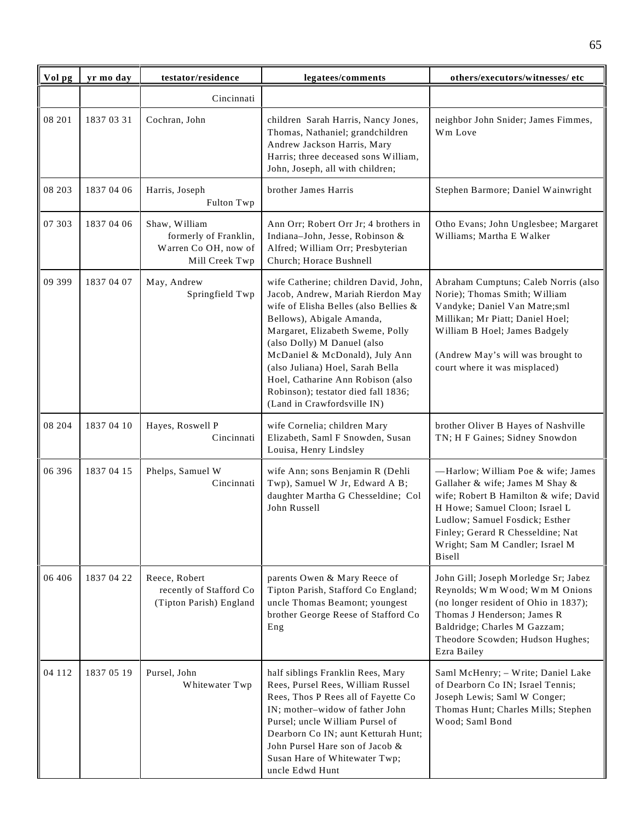| Vol pg  | yr mo day  | testator/residence                                                               | legatees/comments                                                                                                                                                                                                                                                                                                                                                                                    | others/executors/witnesses/ etc                                                                                                                                                                                                                                      |
|---------|------------|----------------------------------------------------------------------------------|------------------------------------------------------------------------------------------------------------------------------------------------------------------------------------------------------------------------------------------------------------------------------------------------------------------------------------------------------------------------------------------------------|----------------------------------------------------------------------------------------------------------------------------------------------------------------------------------------------------------------------------------------------------------------------|
|         |            | Cincinnati                                                                       |                                                                                                                                                                                                                                                                                                                                                                                                      |                                                                                                                                                                                                                                                                      |
| 08 201  | 1837 03 31 | Cochran, John                                                                    | children Sarah Harris, Nancy Jones,<br>Thomas, Nathaniel; grandchildren<br>Andrew Jackson Harris, Mary<br>Harris; three deceased sons William,<br>John, Joseph, all with children;                                                                                                                                                                                                                   | neighbor John Snider; James Fimmes,<br>Wm Love                                                                                                                                                                                                                       |
| 08 203  | 1837 04 06 | Harris, Joseph<br>Fulton Twp                                                     | brother James Harris                                                                                                                                                                                                                                                                                                                                                                                 | Stephen Barmore; Daniel Wainwright                                                                                                                                                                                                                                   |
| 07 303  | 1837 04 06 | Shaw, William<br>formerly of Franklin,<br>Warren Co OH, now of<br>Mill Creek Twp | Ann Orr; Robert Orr Jr; 4 brothers in<br>Indiana-John, Jesse, Robinson &<br>Alfred; William Orr; Presbyterian<br>Church; Horace Bushnell                                                                                                                                                                                                                                                             | Otho Evans; John Unglesbee; Margaret<br>Williams; Martha E Walker                                                                                                                                                                                                    |
| 09 399  | 1837 04 07 | May, Andrew<br>Springfield Twp                                                   | wife Catherine; children David, John,<br>Jacob, Andrew, Mariah Rierdon May<br>wife of Elisha Belles (also Bellies &<br>Bellows), Abigale Amanda,<br>Margaret, Elizabeth Sweme, Polly<br>(also Dolly) M Danuel (also<br>McDaniel & McDonald), July Ann<br>(also Juliana) Hoel, Sarah Bella<br>Hoel, Catharine Ann Robison (also<br>Robinson); testator died fall 1836;<br>(Land in Crawfordsville IN) | Abraham Cumptuns; Caleb Norris (also<br>Norie); Thomas Smith; William<br>Vandyke; Daniel Van Matre;sml<br>Millikan; Mr Piatt; Daniel Hoel;<br>William B Hoel; James Badgely<br>(Andrew May's will was brought to<br>court where it was misplaced)                    |
| 08 204  | 1837 04 10 | Hayes, Roswell P<br>Cincinnati                                                   | wife Cornelia; children Mary<br>Elizabeth, Saml F Snowden, Susan<br>Louisa, Henry Lindsley                                                                                                                                                                                                                                                                                                           | brother Oliver B Hayes of Nashville<br>TN; H F Gaines; Sidney Snowdon                                                                                                                                                                                                |
| 06 39 6 | 1837 04 15 | Phelps, Samuel W<br>Cincinnati                                                   | wife Ann; sons Benjamin R (Dehli<br>Twp), Samuel W Jr, Edward A B;<br>daughter Martha G Chesseldine; Col<br>John Russell                                                                                                                                                                                                                                                                             | -Harlow; William Poe & wife; James<br>Gallaher & wife; James M Shay &<br>wife; Robert B Hamilton & wife; David<br>H Howe; Samuel Cloon; Israel L<br>Ludlow; Samuel Fosdick; Esther<br>Finley; Gerard R Chesseldine; Nat<br>Wright; Sam M Candler; Israel M<br>Bisell |
| 06 40 6 | 1837 04 22 | Reece, Robert<br>recently of Stafford Co<br>(Tipton Parish) England              | parents Owen & Mary Reece of<br>Tipton Parish, Stafford Co England;<br>uncle Thomas Beamont; youngest<br>brother George Reese of Stafford Co<br>Eng                                                                                                                                                                                                                                                  | John Gill; Joseph Morledge Sr; Jabez<br>Reynolds; Wm Wood; Wm M Onions<br>(no longer resident of Ohio in 1837);<br>Thomas J Henderson; James R<br>Baldridge; Charles M Gazzam;<br>Theodore Scowden; Hudson Hughes;<br>Ezra Bailey                                    |
| 04 112  | 1837 05 19 | Pursel, John<br>Whitewater Twp                                                   | half siblings Franklin Rees, Mary<br>Rees, Pursel Rees, William Russel<br>Rees, Thos P Rees all of Fayette Co<br>IN; mother-widow of father John<br>Pursel; uncle William Pursel of<br>Dearborn Co IN; aunt Ketturah Hunt;<br>John Pursel Hare son of Jacob &<br>Susan Hare of Whitewater Twp;<br>uncle Edwd Hunt                                                                                    | Saml McHenry; - Write; Daniel Lake<br>of Dearborn Co IN; Israel Tennis;<br>Joseph Lewis; Saml W Conger;<br>Thomas Hunt; Charles Mills; Stephen<br>Wood; Saml Bond                                                                                                    |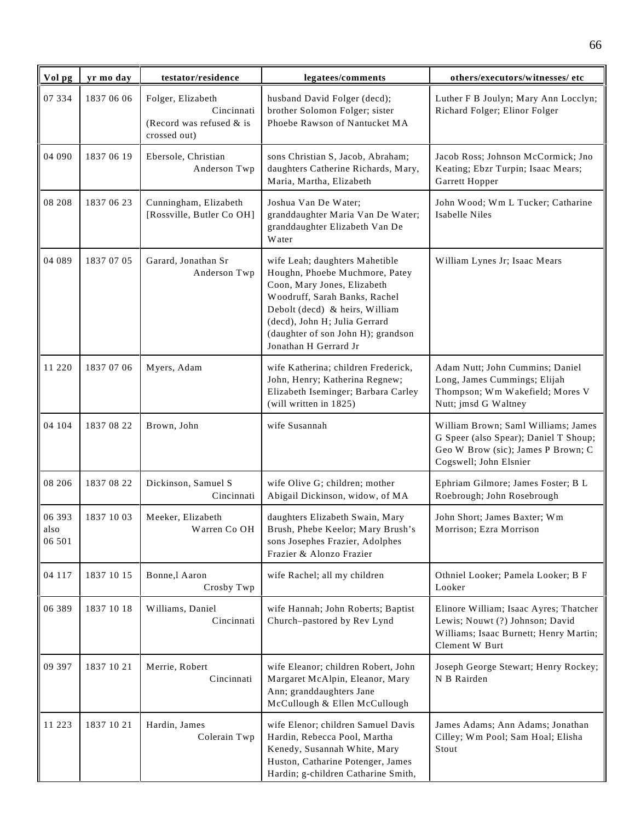| Vol pg                   | yr mo day  | testator/residence                                                            | legatees/comments                                                                                                                                                                                                                                                  | others/executors/witnesses/ etc                                                                                                              |
|--------------------------|------------|-------------------------------------------------------------------------------|--------------------------------------------------------------------------------------------------------------------------------------------------------------------------------------------------------------------------------------------------------------------|----------------------------------------------------------------------------------------------------------------------------------------------|
| 07 334                   | 1837 06 06 | Folger, Elizabeth<br>Cincinnati<br>(Record was refused $&$ is<br>crossed out) | husband David Folger (decd);<br>brother Solomon Folger; sister<br>Phoebe Rawson of Nantucket MA                                                                                                                                                                    | Luther F B Joulyn; Mary Ann Locclyn;<br>Richard Folger; Elinor Folger                                                                        |
| 04 090                   | 1837 06 19 | Ebersole, Christian<br>Anderson Twp                                           | sons Christian S, Jacob, Abraham;<br>daughters Catherine Richards, Mary,<br>Maria, Martha, Elizabeth                                                                                                                                                               | Jacob Ross; Johnson McCormick; Jno<br>Keating; Ebzr Turpin; Isaac Mears;<br>Garrett Hopper                                                   |
| 08 208                   | 1837 06 23 | Cunningham, Elizabeth<br>[Rossville, Butler Co OH]                            | Joshua Van De Water;<br>granddaughter Maria Van De Water;<br>granddaughter Elizabeth Van De<br>Water                                                                                                                                                               | John Wood; Wm L Tucker; Catharine<br>Isabelle Niles                                                                                          |
| 04 089                   | 1837 07 05 | Garard, Jonathan Sr<br>Anderson Twp                                           | wife Leah; daughters Mahetible<br>Houghn, Phoebe Muchmore, Patey<br>Coon, Mary Jones, Elizabeth<br>Woodruff, Sarah Banks, Rachel<br>Debolt (decd) & heirs, William<br>(decd), John H; Julia Gerrard<br>(daughter of son John H); grandson<br>Jonathan H Gerrard Jr | William Lynes Jr; Isaac Mears                                                                                                                |
| 11 220                   | 1837 07 06 | Myers, Adam                                                                   | wife Katherina; children Frederick,<br>John, Henry; Katherina Regnew;<br>Elizabeth Iseminger; Barbara Carley<br>(will written in 1825)                                                                                                                             | Adam Nutt; John Cummins; Daniel<br>Long, James Cummings; Elijah<br>Thompson; Wm Wakefield; Mores V<br>Nutt; jmsd G Waltney                   |
| 04 104                   | 1837 08 22 | Brown, John                                                                   | wife Susannah                                                                                                                                                                                                                                                      | William Brown; Saml Williams; James<br>G Speer (also Spear); Daniel T Shoup;<br>Geo W Brow (sic); James P Brown; C<br>Cogswell; John Elsnier |
| 08 20 6                  | 1837 08 22 | Dickinson, Samuel S<br>Cincinnati                                             | wife Olive G; children; mother<br>Abigail Dickinson, widow, of MA                                                                                                                                                                                                  | Ephriam Gilmore; James Foster; B L<br>Roebrough; John Rosebrough                                                                             |
| 06 393<br>aiso<br>06 501 | 1837 10 03 | Meeker, Elizabeth<br>Warren Co OH                                             | daughters Elizabeth Swain, Mary<br>Brush, Phebe Keelor; Mary Brush's<br>sons Josephes Frazier, Adolphes<br>Frazier & Alonzo Frazier                                                                                                                                | John Short; James Baxter; Wm<br>Morrison; Ezra Morrison                                                                                      |
| 04 117                   | 1837 10 15 | Bonne,l Aaron<br>Crosby Twp                                                   | wife Rachel; all my children                                                                                                                                                                                                                                       | Othniel Looker; Pamela Looker; B F<br>Looker                                                                                                 |
| 06 389                   | 1837 10 18 | Williams, Daniel<br>Cincinnati                                                | wife Hannah; John Roberts; Baptist<br>Church-pastored by Rev Lynd                                                                                                                                                                                                  | Elinore William; Isaac Ayres; Thatcher<br>Lewis; Nouwt (?) Johnson; David<br>Williams; Isaac Burnett; Henry Martin;<br>Clement W Burt        |
| 09 397                   | 1837 10 21 | Merrie, Robert<br>Cincinnati                                                  | wife Eleanor; children Robert, John<br>Margaret McAlpin, Eleanor, Mary<br>Ann; granddaughters Jane<br>McCullough & Ellen McCullough                                                                                                                                | Joseph George Stewart; Henry Rockey;<br>N B Rairden                                                                                          |
| 11 223                   | 1837 10 21 | Hardin, James<br>Colerain Twp                                                 | wife Elenor; children Samuel Davis<br>Hardin, Rebecca Pool, Martha<br>Kenedy, Susannah White, Mary<br>Huston, Catharine Potenger, James<br>Hardin; g-children Catharine Smith,                                                                                     | James Adams; Ann Adams; Jonathan<br>Cilley; Wm Pool; Sam Hoal; Elisha<br>Stout                                                               |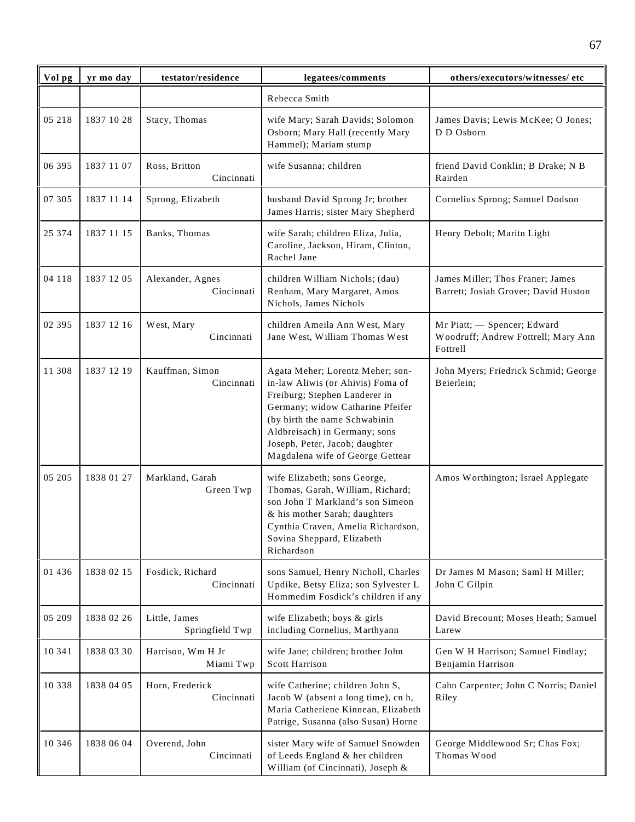| Vol pg   | yr mo day  | testator/residence               | legatees/comments                                                                                                                                                                                                                                                                  | others/executors/witnesses/ etc                                                |
|----------|------------|----------------------------------|------------------------------------------------------------------------------------------------------------------------------------------------------------------------------------------------------------------------------------------------------------------------------------|--------------------------------------------------------------------------------|
|          |            |                                  | Rebecca Smith                                                                                                                                                                                                                                                                      |                                                                                |
| 05 218   | 1837 10 28 | Stacy, Thomas                    | wife Mary; Sarah Davids; Solomon<br>Osborn; Mary Hall (recently Mary<br>Hammel); Mariam stump                                                                                                                                                                                      | James Davis; Lewis McKee; O Jones;<br>D D Osborn                               |
| 06 395   | 1837 11 07 | Ross, Britton<br>Cincinnati      | wife Susanna; children                                                                                                                                                                                                                                                             | friend David Conklin; B Drake; N B<br>Rairden                                  |
| 07 305   | 1837 11 14 | Sprong, Elizabeth                | husband David Sprong Jr; brother<br>James Harris; sister Mary Shepherd                                                                                                                                                                                                             | Cornelius Sprong; Samuel Dodson                                                |
| 25 374   | 1837 11 15 | Banks, Thomas                    | wife Sarah; children Eliza, Julia,<br>Caroline, Jackson, Hiram, Clinton,<br>Rachel Jane                                                                                                                                                                                            | Henry Debolt; Maritn Light                                                     |
| 04 118   | 1837 12 05 | Alexander, Agnes<br>Cincinnati   | children William Nichols; (dau)<br>Renham, Mary Margaret, Amos<br>Nichols, James Nichols                                                                                                                                                                                           | James Miller; Thos Franer; James<br>Barrett; Josiah Grover; David Huston       |
| 02 395   | 1837 12 16 | West, Mary<br>Cincinnati         | children Ameila Ann West, Mary<br>Jane West, William Thomas West                                                                                                                                                                                                                   | Mr Piatt; - Spencer; Edward<br>Woodruff; Andrew Fottrell; Mary Ann<br>Fottrell |
| 11 308   | 1837 12 19 | Kauffman, Simon<br>Cincinnati    | Agata Meher; Lorentz Meher; son-<br>in-law Aliwis (or Ahivis) Foma of<br>Freiburg; Stephen Landerer in<br>Germany; widow Catharine Pfeifer<br>(by birth the name Schwabinin<br>Aldbreisach) in Germany; sons<br>Joseph, Peter, Jacob; daughter<br>Magdalena wife of George Gettear | John Myers; Friedrick Schmid; George<br>Beierlein;                             |
| 05 205   | 1838 01 27 | Markland, Garah<br>Green Twp     | wife Elizabeth; sons George,<br>Thomas, Garah, William, Richard;<br>son John T Markland's son Simeon<br>& his mother Sarah; daughters<br>Cynthia Craven, Amelia Richardson,<br>Sovina Sheppard, Elizabeth<br>Richardson                                                            | Amos Worthington; Israel Applegate                                             |
| 01 436   | 1838 02 15 | Fosdick, Richard<br>Cincinnati   | sons Samuel, Henry Nicholl, Charles<br>Updike, Betsy Eliza; son Sylvester L<br>Hommedim Fosdick's children if any                                                                                                                                                                  | Dr James M Mason; Saml H Miller;<br>John C Gilpin                              |
| 05 209   | 1838 02 26 | Little, James<br>Springfield Twp | wife Elizabeth; boys & girls<br>including Cornelius, Marthyann                                                                                                                                                                                                                     | David Brecount; Moses Heath; Samuel<br>Larew                                   |
| 10 341   | 1838 03 30 | Harrison, Wm H Jr<br>Miami Twp   | wife Jane; children; brother John<br><b>Scott Harrison</b>                                                                                                                                                                                                                         | Gen W H Harrison; Samuel Findlay;<br>Benjamin Harrison                         |
| 10 3 3 8 | 1838 04 05 | Horn, Frederick<br>Cincinnati    | wife Catherine; children John S,<br>Jacob W (absent a long time), cn h,<br>Maria Catheriene Kinnean, Elizabeth<br>Patrige, Susanna (also Susan) Horne                                                                                                                              | Cahn Carpenter; John C Norris; Daniel<br>Riley                                 |
| 10 346   | 1838 06 04 | Overend, John<br>Cincinnati      | sister Mary wife of Samuel Snowden<br>of Leeds England & her children<br>William (of Cincinnati), Joseph &                                                                                                                                                                         | George Middlewood Sr; Chas Fox;<br>Thomas Wood                                 |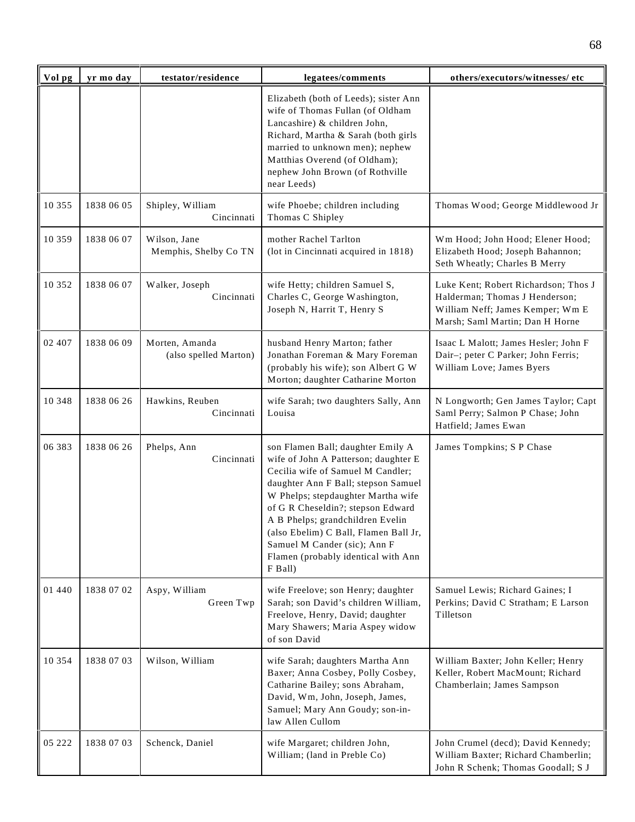| Vol pg   | yr mo day  | testator/residence                      | legatees/comments                                                                                                                                                                                                                                                                                                                                                                               | others/executors/witnesses/ etc                                                                                                               |
|----------|------------|-----------------------------------------|-------------------------------------------------------------------------------------------------------------------------------------------------------------------------------------------------------------------------------------------------------------------------------------------------------------------------------------------------------------------------------------------------|-----------------------------------------------------------------------------------------------------------------------------------------------|
|          |            |                                         | Elizabeth (both of Leeds); sister Ann<br>wife of Thomas Fullan (of Oldham<br>Lancashire) & children John,<br>Richard, Martha & Sarah (both girls<br>married to unknown men); nephew<br>Matthias Overend (of Oldham);<br>nephew John Brown (of Rothville<br>near Leeds)                                                                                                                          |                                                                                                                                               |
| 10 355   | 1838 06 05 | Shipley, William<br>Cincinnati          | wife Phoebe; children including<br>Thomas C Shipley                                                                                                                                                                                                                                                                                                                                             | Thomas Wood; George Middlewood Jr                                                                                                             |
| 10 359   | 1838 06 07 | Wilson, Jane<br>Memphis, Shelby Co TN   | mother Rachel Tarlton<br>(lot in Cincinnati acquired in 1818)                                                                                                                                                                                                                                                                                                                                   | Wm Hood; John Hood; Elener Hood;<br>Elizabeth Hood; Joseph Bahannon;<br>Seth Wheatly; Charles B Merry                                         |
| 10 352   | 1838 06 07 | Walker, Joseph<br>Cincinnati            | wife Hetty; children Samuel S,<br>Charles C, George Washington,<br>Joseph N, Harrit T, Henry S                                                                                                                                                                                                                                                                                                  | Luke Kent; Robert Richardson; Thos J<br>Halderman; Thomas J Henderson;<br>William Neff; James Kemper; Wm E<br>Marsh; Saml Martin; Dan H Horne |
| 02 407   | 1838 06 09 | Morten, Amanda<br>(also spelled Marton) | husband Henry Marton; father<br>Jonathan Foreman & Mary Foreman<br>(probably his wife); son Albert G W<br>Morton; daughter Catharine Morton                                                                                                                                                                                                                                                     | Isaac L Malott; James Hesler; John F<br>Dair-; peter C Parker; John Ferris;<br>William Love; James Byers                                      |
| 10 348   | 1838 06 26 | Hawkins, Reuben<br>Cincinnati           | wife Sarah; two daughters Sally, Ann<br>Louisa                                                                                                                                                                                                                                                                                                                                                  | N Longworth; Gen James Taylor; Capt<br>Saml Perry; Salmon P Chase; John<br>Hatfield; James Ewan                                               |
| 06 383   | 1838 06 26 | Phelps, Ann<br>Cincinnati               | son Flamen Ball; daughter Emily A<br>wife of John A Patterson; daughter E<br>Cecilia wife of Samuel M Candler;<br>daughter Ann F Ball; stepson Samuel<br>W Phelps; stepdaughter Martha wife<br>of G R Cheseldin?; stepson Edward<br>A B Phelps; grandchildren Evelin<br>(also Ebelim) C Ball, Flamen Ball Jr,<br>Samuel M Cander (sic); Ann F<br>Flamen (probably identical with Ann<br>F Ball) | James Tompkins; S P Chase                                                                                                                     |
| 01 440   | 1838 07 02 | Aspy, William<br>Green Twp              | wife Freelove; son Henry; daughter<br>Sarah; son David's children William,<br>Freelove, Henry, David; daughter<br>Mary Shawers; Maria Aspey widow<br>of son David                                                                                                                                                                                                                               | Samuel Lewis; Richard Gaines; I<br>Perkins; David C Stratham; E Larson<br>Tilletson                                                           |
| 10 3 5 4 | 1838 07 03 | Wilson, William                         | wife Sarah; daughters Martha Ann<br>Baxer; Anna Cosbey, Polly Cosbey,<br>Catharine Bailey; sons Abraham,<br>David, Wm, John, Joseph, James,<br>Samuel; Mary Ann Goudy; son-in-<br>law Allen Cullom                                                                                                                                                                                              | William Baxter; John Keller; Henry<br>Keller, Robert MacMount; Richard<br>Chamberlain; James Sampson                                          |
| 05 222   | 1838 07 03 | Schenck, Daniel                         | wife Margaret; children John,<br>William; (land in Preble Co)                                                                                                                                                                                                                                                                                                                                   | John Crumel (decd); David Kennedy;<br>William Baxter; Richard Chamberlin;<br>John R Schenk; Thomas Goodall; S J                               |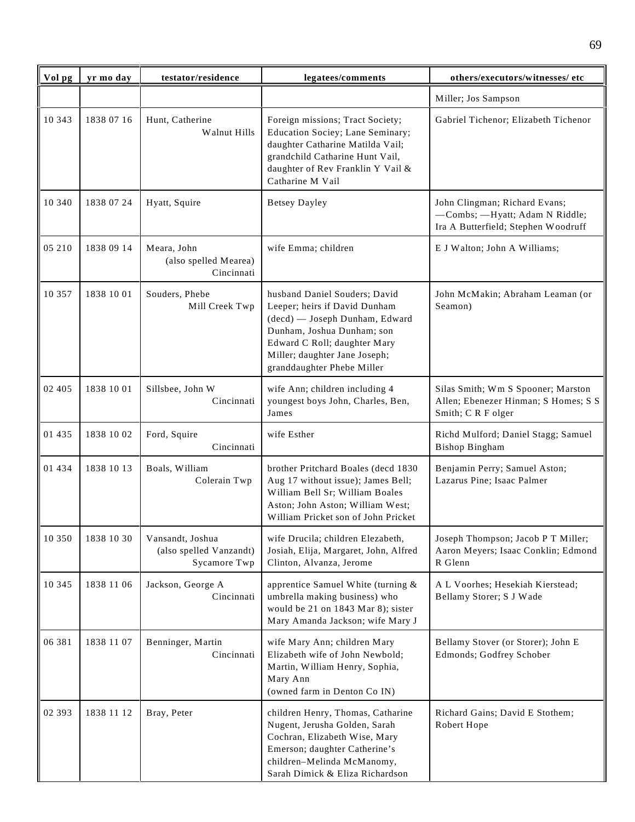| Vol pg  | yr mo day  | testator/residence                                          | legatees/comments                                                                                                                                                                                                             | others/executors/witnesses/ etc                                                                        |
|---------|------------|-------------------------------------------------------------|-------------------------------------------------------------------------------------------------------------------------------------------------------------------------------------------------------------------------------|--------------------------------------------------------------------------------------------------------|
|         |            |                                                             |                                                                                                                                                                                                                               | Miller; Jos Sampson                                                                                    |
| 10 343  | 1838 07 16 | Hunt, Catherine<br>Walnut Hills                             | Foreign missions; Tract Society;<br>Education Sociey; Lane Seminary;<br>daughter Catharine Matilda Vail;<br>grandchild Catharine Hunt Vail,<br>daughter of Rev Franklin Y Vail &<br>Catharine M Vail                          | Gabriel Tichenor; Elizabeth Tichenor                                                                   |
| 10 340  | 1838 07 24 | Hyatt, Squire                                               | <b>Betsey Dayley</b>                                                                                                                                                                                                          | John Clingman; Richard Evans;<br>-Combs; -Hyatt; Adam N Riddle;<br>Ira A Butterfield; Stephen Woodruff |
| 05 210  | 1838 09 14 | Meara, John<br>(also spelled Mearea)<br>Cincinnati          | wife Emma; children                                                                                                                                                                                                           | E J Walton; John A Williams;                                                                           |
| 10 357  | 1838 10 01 | Souders, Phebe<br>Mill Creek Twp                            | husband Daniel Souders; David<br>Leeper; heirs if David Dunham<br>(decd) — Joseph Dunham, Edward<br>Dunham, Joshua Dunham; son<br>Edward C Roll; daughter Mary<br>Miller; daughter Jane Joseph;<br>granddaughter Phebe Miller | John McMakin; Abraham Leaman (or<br>Seamon)                                                            |
| 02 4 05 | 1838 10 01 | Sillsbee, John W<br>Cincinnati                              | wife Ann; children including 4<br>youngest boys John, Charles, Ben,<br>James                                                                                                                                                  | Silas Smith; Wm S Spooner; Marston<br>Allen; Ebenezer Hinman; S Homes; S S<br>Smith; CRF olger         |
| 01 435  | 1838 10 02 | Ford, Squire<br>Cincinnati                                  | wife Esther                                                                                                                                                                                                                   | Richd Mulford; Daniel Stagg; Samuel<br><b>Bishop Bingham</b>                                           |
| 01 434  | 1838 10 13 | Boals, William<br>Colerain Twp                              | brother Pritchard Boales (decd 1830<br>Aug 17 without issue); James Bell;<br>William Bell Sr; William Boales<br>Aston; John Aston; William West;<br>William Pricket son of John Pricket                                       | Benjamin Perry; Samuel Aston;<br>Lazarus Pine; Isaac Palmer                                            |
| 10 350  | 1838 10 30 | Vansandt, Joshua<br>(also spelled Vanzandt)<br>Sycamore Twp | wife Drucila; children Elezabeth,<br>Josiah, Elija, Margaret, John, Alfred<br>Clinton, Alvanza, Jerome                                                                                                                        | Joseph Thompson; Jacob P T Miller;<br>Aaron Meyers; Isaac Conklin; Edmond<br>R Glenn                   |
| 10 345  | 1838 11 06 | Jackson, George A<br>Cincinnati                             | apprentice Samuel White (turning &<br>umbrella making business) who<br>would be 21 on 1843 Mar 8); sister<br>Mary Amanda Jackson; wife Mary J                                                                                 | A L Voorhes; Hesekiah Kierstead;<br>Bellamy Storer; S J Wade                                           |
| 06 381  | 1838 11 07 | Benninger, Martin<br>Cincinnati                             | wife Mary Ann; children Mary<br>Elizabeth wife of John Newbold;<br>Martin, William Henry, Sophia,<br>Mary Ann<br>(owned farm in Denton Co IN)                                                                                 | Bellamy Stover (or Storer); John E<br>Edmonds; Godfrey Schober                                         |
| 02 393  | 1838 11 12 | Bray, Peter                                                 | children Henry, Thomas, Catharine<br>Nugent, Jerusha Golden, Sarah<br>Cochran, Elizabeth Wise, Mary<br>Emerson; daughter Catherine's<br>children-Melinda McManomy,<br>Sarah Dimick & Eliza Richardson                         | Richard Gains; David E Stothem;<br>Robert Hope                                                         |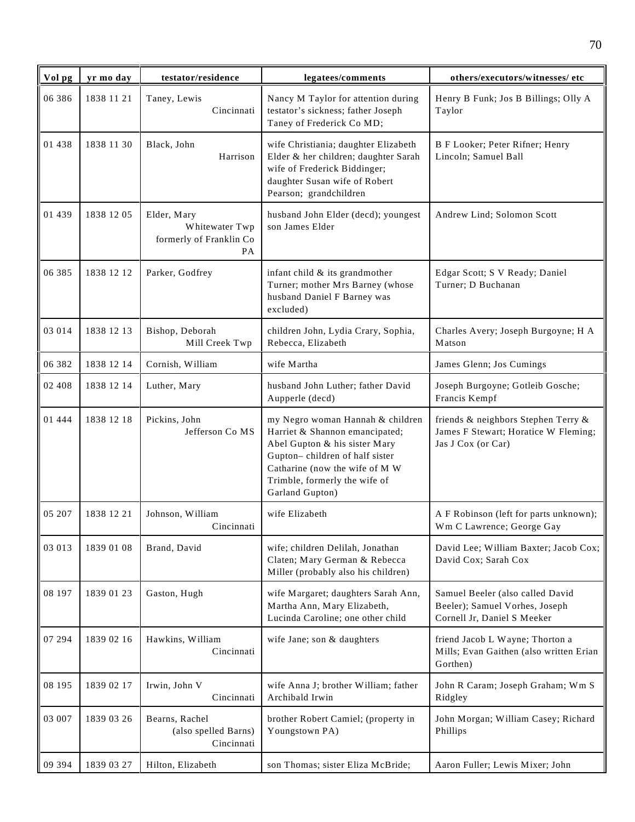| Vol pg   | yr mo day  | testator/residence                                             | legatees/comments                                                                                                                                                                                                           | others/executors/witnesses/ etc                                                                   |
|----------|------------|----------------------------------------------------------------|-----------------------------------------------------------------------------------------------------------------------------------------------------------------------------------------------------------------------------|---------------------------------------------------------------------------------------------------|
| 06 38 6  | 1838 11 21 | Taney, Lewis<br>Cincinnati                                     | Nancy M Taylor for attention during<br>testator's sickness; father Joseph<br>Taney of Frederick Co MD;                                                                                                                      | Henry B Funk; Jos B Billings; Olly A<br>Taylor                                                    |
| 01 438   | 1838 11 30 | Black, John<br>Harrison                                        | wife Christiania; daughter Elizabeth<br>Elder & her children; daughter Sarah<br>wife of Frederick Biddinger;<br>daughter Susan wife of Robert<br>Pearson; grandchildren                                                     | B F Looker; Peter Rifner; Henry<br>Lincoln; Samuel Ball                                           |
| 01 439   | 1838 12 05 | Elder, Mary<br>Whitewater Twp<br>formerly of Franklin Co<br>PA | husband John Elder (decd); youngest<br>son James Elder                                                                                                                                                                      | Andrew Lind; Solomon Scott                                                                        |
| 06 385   | 1838 12 12 | Parker, Godfrey                                                | infant child & its grandmother<br>Turner; mother Mrs Barney (whose<br>husband Daniel F Barney was<br>excluded)                                                                                                              | Edgar Scott; S V Ready; Daniel<br>Turner; D Buchanan                                              |
| 03 014   | 1838 12 13 | Bishop, Deborah<br>Mill Creek Twp                              | children John, Lydia Crary, Sophia,<br>Rebecca, Elizabeth                                                                                                                                                                   | Charles Avery; Joseph Burgoyne; H A<br>Matson                                                     |
| 06 382   | 1838 12 14 | Cornish, William                                               | wife Martha                                                                                                                                                                                                                 | James Glenn; Jos Cumings                                                                          |
| 02 408   | 1838 12 14 | Luther, Mary                                                   | husband John Luther; father David<br>Aupperle (decd)                                                                                                                                                                        | Joseph Burgoyne; Gotleib Gosche;<br>Francis Kempf                                                 |
| 01 4 4 4 | 1838 12 18 | Pickins, John<br>Jefferson Co MS                               | my Negro woman Hannah & children<br>Harriet & Shannon emancipated;<br>Abel Gupton & his sister Mary<br>Gupton-children of half sister<br>Catharine (now the wife of M W<br>Trimble, formerly the wife of<br>Garland Gupton) | friends & neighbors Stephen Terry &<br>James F Stewart; Horatice W Fleming;<br>Jas J Cox (or Car) |
| 05 207   | 1838 12 21 | Johnson, William<br>Cincinnati                                 | wife Elizabeth                                                                                                                                                                                                              | A F Robinson (left for parts unknown);<br>Wm C Lawrence; George Gay                               |
| 03 013   | 1839 01 08 | Brand, David                                                   | wife; children Delilah, Jonathan<br>Claten; Mary German & Rebecca<br>Miller (probably also his children)                                                                                                                    | David Lee; William Baxter; Jacob Cox;<br>David Cox; Sarah Cox                                     |
| 08 197   | 1839 01 23 | Gaston, Hugh                                                   | wife Margaret; daughters Sarah Ann,<br>Martha Ann, Mary Elizabeth,<br>Lucinda Caroline; one other child                                                                                                                     | Samuel Beeler (also called David<br>Beeler); Samuel Vorhes, Joseph<br>Cornell Jr, Daniel S Meeker |
| 07 294   | 1839 02 16 | Hawkins, William<br>Cincinnati                                 | wife Jane; son & daughters                                                                                                                                                                                                  | friend Jacob L Wayne; Thorton a<br>Mills; Evan Gaithen (also written Erian<br>Gorthen)            |
| 08 195   | 1839 02 17 | Irwin, John V<br>Cincinnati                                    | wife Anna J; brother William; father<br>Archibald Irwin                                                                                                                                                                     | John R Caram; Joseph Graham; Wm S<br>Ridgley                                                      |
| 03 007   | 1839 03 26 | Bearns, Rachel<br>(also spelled Barns)<br>Cincinnati           | brother Robert Camiel; (property in<br>Youngstown PA)                                                                                                                                                                       | John Morgan; William Casey; Richard<br>Phillips                                                   |
| 09 394   | 1839 03 27 | Hilton, Elizabeth                                              | son Thomas; sister Eliza McBride;                                                                                                                                                                                           | Aaron Fuller; Lewis Mixer; John                                                                   |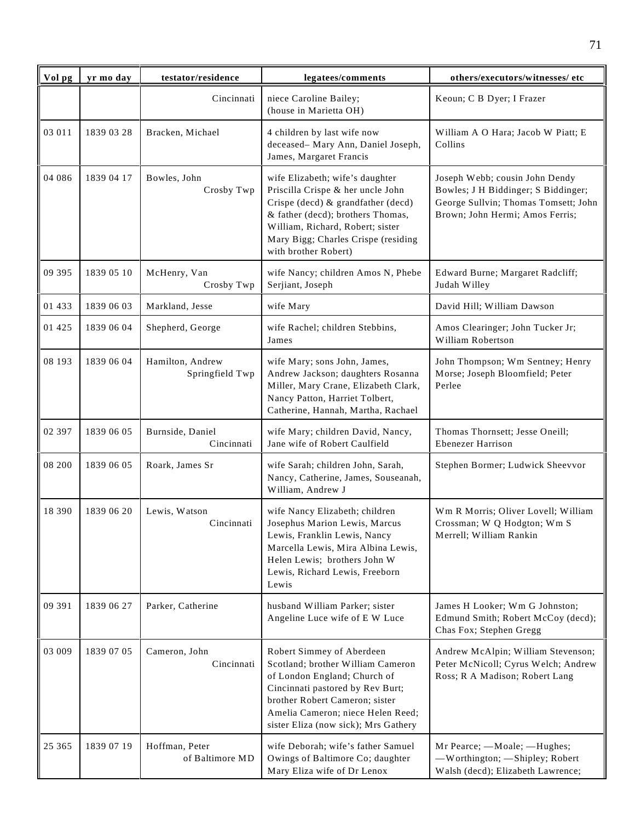| Vol pg  | yr mo day  | testator/residence                  | legatees/comments                                                                                                                                                                                                                                  | others/executors/witnesses/etc                                                                                                                   |
|---------|------------|-------------------------------------|----------------------------------------------------------------------------------------------------------------------------------------------------------------------------------------------------------------------------------------------------|--------------------------------------------------------------------------------------------------------------------------------------------------|
|         |            | Cincinnati                          | niece Caroline Bailey;<br>(house in Marietta OH)                                                                                                                                                                                                   | Keoun; C B Dyer; I Frazer                                                                                                                        |
| 03 011  | 1839 03 28 | Bracken, Michael                    | 4 children by last wife now<br>deceased- Mary Ann, Daniel Joseph,<br>James, Margaret Francis                                                                                                                                                       | William A O Hara; Jacob W Piatt; E<br>Collins                                                                                                    |
| 04 08 6 | 1839 04 17 | Bowles, John<br>Crosby Twp          | wife Elizabeth; wife's daughter<br>Priscilla Crispe & her uncle John<br>Crispe (decd) & grandfather (decd)<br>& father (decd); brothers Thomas,<br>William, Richard, Robert; sister<br>Mary Bigg; Charles Crispe (residing<br>with brother Robert) | Joseph Webb; cousin John Dendy<br>Bowles; J H Biddinger; S Biddinger;<br>George Sullvin; Thomas Tomsett; John<br>Brown; John Hermi; Amos Ferris; |
| 09 395  | 1839 05 10 | McHenry, Van<br>Crosby Twp          | wife Nancy; children Amos N, Phebe<br>Serjiant, Joseph                                                                                                                                                                                             | Edward Burne; Margaret Radcliff;<br>Judah Willey                                                                                                 |
| 01 433  | 1839 06 03 | Markland, Jesse                     | wife Mary                                                                                                                                                                                                                                          | David Hill; William Dawson                                                                                                                       |
| 01 4 25 | 1839 06 04 | Shepherd, George                    | wife Rachel; children Stebbins,<br>James                                                                                                                                                                                                           | Amos Clearinger; John Tucker Jr;<br>William Robertson                                                                                            |
| 08 193  | 1839 06 04 | Hamilton, Andrew<br>Springfield Twp | wife Mary; sons John, James,<br>Andrew Jackson; daughters Rosanna<br>Miller, Mary Crane, Elizabeth Clark,<br>Nancy Patton, Harriet Tolbert,<br>Catherine, Hannah, Martha, Rachael                                                                  | John Thompson; Wm Sentney; Henry<br>Morse; Joseph Bloomfield; Peter<br>Perlee                                                                    |
| 02 397  | 1839 06 05 | Burnside, Daniel<br>Cincinnati      | wife Mary; children David, Nancy,<br>Jane wife of Robert Caulfield                                                                                                                                                                                 | Thomas Thornsett; Jesse Oneill;<br><b>Ebenezer Harrison</b>                                                                                      |
| 08 200  | 1839 06 05 | Roark, James Sr                     | wife Sarah; children John, Sarah,<br>Nancy, Catherine, James, Souseanah,<br>William, Andrew J                                                                                                                                                      | Stephen Bormer; Ludwick Sheevvor                                                                                                                 |
| 18 390  | 1839 06 20 | Lewis, Watson<br>Cincinnati         | wife Nancy Elizabeth; children<br>Josephus Marion Lewis, Marcus<br>Lewis, Franklin Lewis, Nancy<br>Marcella Lewis, Mira Albina Lewis,<br>Helen Lewis; brothers John W<br>Lewis, Richard Lewis, Freeborn<br>Lewis                                   | Wm R Morris; Oliver Lovell; William<br>Crossman; W Q Hodgton; Wm S<br>Merrell; William Rankin                                                    |
| 09 391  | 1839 06 27 | Parker, Catherine                   | husband William Parker; sister<br>Angeline Luce wife of E W Luce                                                                                                                                                                                   | James H Looker; Wm G Johnston;<br>Edmund Smith; Robert McCoy (decd);<br>Chas Fox; Stephen Gregg                                                  |
| 03 009  | 1839 07 05 | Cameron, John<br>Cincinnati         | Robert Simmey of Aberdeen<br>Scotland; brother William Cameron<br>of London England; Church of<br>Cincinnati pastored by Rev Burt;<br>brother Robert Cameron; sister<br>Amelia Cameron; niece Helen Reed;<br>sister Eliza (now sick); Mrs Gathery  | Andrew McAlpin; William Stevenson;<br>Peter McNicoll; Cyrus Welch; Andrew<br>Ross; R A Madison; Robert Lang                                      |
| 25 365  | 1839 07 19 | Hoffman, Peter<br>of Baltimore MD   | wife Deborah; wife's father Samuel<br>Owings of Baltimore Co; daughter<br>Mary Eliza wife of Dr Lenox                                                                                                                                              | Mr Pearce; - Moale; - Hughes;<br>-Worthington; - Shipley; Robert<br>Walsh (decd); Elizabeth Lawrence;                                            |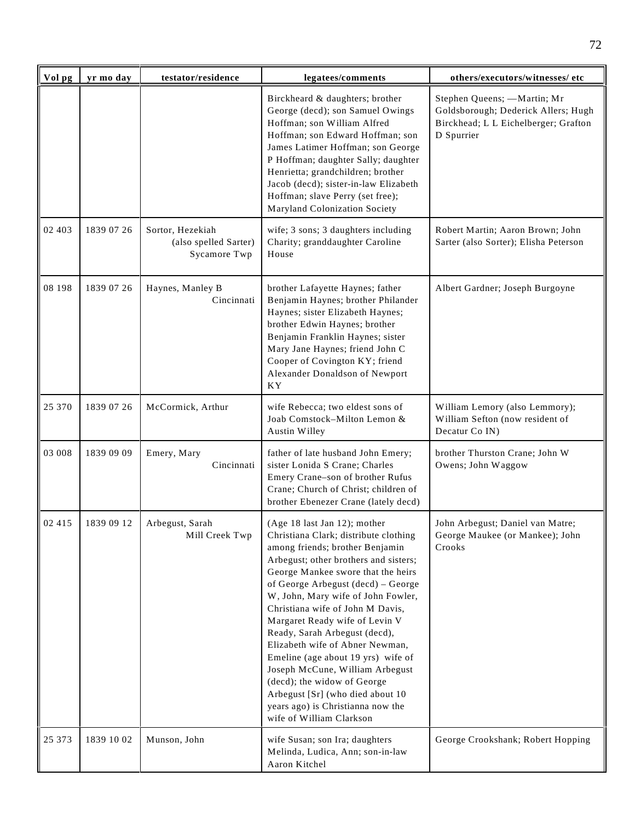| Vol pg  | yr mo day  | testator/residence                                        | legatees/comments                                                                                                                                                                                                                                                                                                                                                                                                                                                                                                                                                                                                          | others/executors/witnesses/ etc                                                                                           |
|---------|------------|-----------------------------------------------------------|----------------------------------------------------------------------------------------------------------------------------------------------------------------------------------------------------------------------------------------------------------------------------------------------------------------------------------------------------------------------------------------------------------------------------------------------------------------------------------------------------------------------------------------------------------------------------------------------------------------------------|---------------------------------------------------------------------------------------------------------------------------|
|         |            |                                                           | Birckheard & daughters; brother<br>George (decd); son Samuel Owings<br>Hoffman; son William Alfred<br>Hoffman; son Edward Hoffman; son<br>James Latimer Hoffman; son George<br>P Hoffman; daughter Sally; daughter<br>Henrietta; grandchildren; brother<br>Jacob (decd); sister-in-law Elizabeth<br>Hoffman; slave Perry (set free);<br>Maryland Colonization Society                                                                                                                                                                                                                                                      | Stephen Queens; - Martin; Mr<br>Goldsborough; Dederick Allers; Hugh<br>Birckhead; L L Eichelberger; Grafton<br>D Spurrier |
| 02 4 03 | 1839 07 26 | Sortor, Hezekiah<br>(also spelled Sarter)<br>Sycamore Twp | wife; 3 sons; 3 daughters including<br>Charity; granddaughter Caroline<br>House                                                                                                                                                                                                                                                                                                                                                                                                                                                                                                                                            | Robert Martin; Aaron Brown; John<br>Sarter (also Sorter); Elisha Peterson                                                 |
| 08 198  | 1839 07 26 | Haynes, Manley B<br>Cincinnati                            | brother Lafayette Haynes; father<br>Benjamin Haynes; brother Philander<br>Haynes; sister Elizabeth Haynes;<br>brother Edwin Haynes; brother<br>Benjamin Franklin Haynes; sister<br>Mary Jane Haynes; friend John C<br>Cooper of Covington KY; friend<br>Alexander Donaldson of Newport<br>KY <sub></sub>                                                                                                                                                                                                                                                                                                                   | Albert Gardner; Joseph Burgoyne                                                                                           |
| 25 370  | 1839 07 26 | McCormick, Arthur                                         | wife Rebecca; two eldest sons of<br>Joab Comstock-Milton Lemon &<br>Austin Willey                                                                                                                                                                                                                                                                                                                                                                                                                                                                                                                                          | William Lemory (also Lemmory);<br>William Sefton (now resident of<br>Decatur Co IN)                                       |
| 03 008  | 1839 09 09 | Emery, Mary<br>Cincinnati                                 | father of late husband John Emery;<br>sister Lonida S Crane; Charles<br>Emery Crane-son of brother Rufus<br>Crane; Church of Christ; children of<br>brother Ebenezer Crane (lately decd)                                                                                                                                                                                                                                                                                                                                                                                                                                   | brother Thurston Crane; John W<br>Owens; John Waggow                                                                      |
| 02 415  | 1839 09 12 | Arbegust, Sarah<br>Mill Creek Twp                         | (Age 18 last Jan 12); mother<br>Christiana Clark; distribute clothing<br>among friends; brother Benjamin<br>Arbegust; other brothers and sisters;<br>George Mankee swore that the heirs<br>of George Arbegust (decd) - George<br>W, John, Mary wife of John Fowler,<br>Christiana wife of John M Davis,<br>Margaret Ready wife of Levin V<br>Ready, Sarah Arbegust (decd),<br>Elizabeth wife of Abner Newman,<br>Emeline (age about 19 yrs) wife of<br>Joseph McCune, William Arbegust<br>(decd); the widow of George<br>Arbegust [Sr] (who died about 10<br>years ago) is Christianna now the<br>wife of William Clarkson | John Arbegust; Daniel van Matre;<br>George Maukee (or Mankee); John<br>Crooks                                             |
| 25 373  | 1839 10 02 | Munson, John                                              | wife Susan; son Ira; daughters<br>Melinda, Ludica, Ann; son-in-law<br>Aaron Kitchel                                                                                                                                                                                                                                                                                                                                                                                                                                                                                                                                        | George Crookshank; Robert Hopping                                                                                         |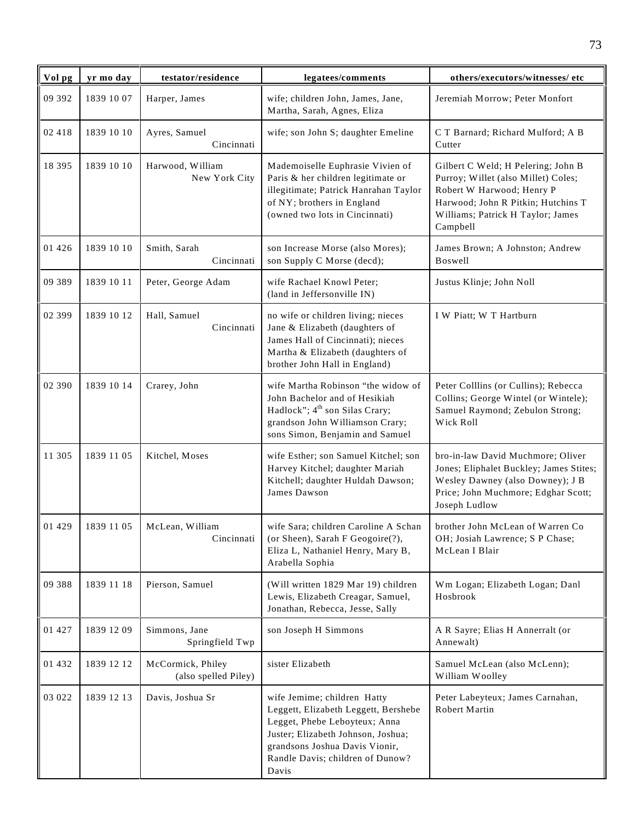| Vol pg   | yr mo day  | testator/residence                        | legatees/comments                                                                                                                                                                                                         | others/executors/witnesses/ etc                                                                                                                                                               |
|----------|------------|-------------------------------------------|---------------------------------------------------------------------------------------------------------------------------------------------------------------------------------------------------------------------------|-----------------------------------------------------------------------------------------------------------------------------------------------------------------------------------------------|
| 09 392   | 1839 10 07 | Harper, James                             | wife; children John, James, Jane,<br>Martha, Sarah, Agnes, Eliza                                                                                                                                                          | Jeremiah Morrow; Peter Monfort                                                                                                                                                                |
| 02 418   | 1839 10 10 | Ayres, Samuel<br>Cincinnati               | wife; son John S; daughter Emeline                                                                                                                                                                                        | C T Barnard; Richard Mulford; A B<br>Cutter                                                                                                                                                   |
| 18 395   | 1839 10 10 | Harwood, William<br>New York City         | Mademoiselle Euphrasie Vivien of<br>Paris & her children legitimate or<br>illegitimate; Patrick Hanrahan Taylor<br>of NY; brothers in England<br>(owned two lots in Cincinnati)                                           | Gilbert C Weld; H Pelering; John B<br>Purroy; Willet (also Millet) Coles;<br>Robert W Harwood; Henry P<br>Harwood; John R Pitkin; Hutchins T<br>Williams; Patrick H Taylor; James<br>Campbell |
| 01 4 2 6 | 1839 10 10 | Smith, Sarah<br>Cincinnati                | son Increase Morse (also Mores);<br>son Supply C Morse (decd);                                                                                                                                                            | James Brown; A Johnston; Andrew<br>Boswell                                                                                                                                                    |
| 09 389   | 1839 10 11 | Peter, George Adam                        | wife Rachael Knowl Peter;<br>(land in Jeffersonville IN)                                                                                                                                                                  | Justus Klinje; John Noll                                                                                                                                                                      |
| 02 399   | 1839 10 12 | Hall, Samuel<br>Cincinnati                | no wife or children living; nieces<br>Jane & Elizabeth (daughters of<br>James Hall of Cincinnati); nieces<br>Martha & Elizabeth (daughters of<br>brother John Hall in England)                                            | I W Piatt; W T Hartburn                                                                                                                                                                       |
| 02 390   | 1839 10 14 | Crarey, John                              | wife Martha Robinson "the widow of<br>John Bachelor and of Hesikiah<br>Hadlock"; 4 <sup>th</sup> son Silas Crary;<br>grandson John Williamson Crary;<br>sons Simon, Benjamin and Samuel                                   | Peter Colllins (or Cullins); Rebecca<br>Collins; George Wintel (or Wintele);<br>Samuel Raymond; Zebulon Strong;<br>Wick Roll                                                                  |
| 11 305   | 1839 11 05 | Kitchel, Moses                            | wife Esther; son Samuel Kitchel; son<br>Harvey Kitchel; daughter Mariah<br>Kitchell; daughter Huldah Dawson;<br>James Dawson                                                                                              | bro-in-law David Muchmore; Oliver<br>Jones; Eliphalet Buckley; James Stites;<br>Wesley Dawney (also Downey); J B<br>Price; John Muchmore; Edghar Scott;<br>Joseph Ludlow                      |
| 01 4 29  | 1839 11 05 | McLean. William<br>Cincinnati             | wife Sara: children Caroline A Schan<br>(or Sheen), Sarah F Geogoire(?),<br>Eliza L, Nathaniel Henry, Mary B,<br>Arabella Sophia                                                                                          | brother John McLean of Warren Co<br>OH; Josiah Lawrence; S P Chase;<br>McLean I Blair                                                                                                         |
| 09 388   | 1839 11 18 | Pierson, Samuel                           | (Will written 1829 Mar 19) children<br>Lewis, Elizabeth Creagar, Samuel,<br>Jonathan, Rebecca, Jesse, Sally                                                                                                               | Wm Logan; Elizabeth Logan; Danl<br>Hosbrook                                                                                                                                                   |
| 01 427   | 1839 12 09 | Simmons, Jane<br>Springfield Twp          | son Joseph H Simmons                                                                                                                                                                                                      | A R Sayre; Elias H Annerralt (or<br>Annewalt)                                                                                                                                                 |
| 01 432   | 1839 12 12 | McCormick, Philey<br>(also spelled Piley) | sister Elizabeth                                                                                                                                                                                                          | Samuel McLean (also McLenn);<br>William Woolley                                                                                                                                               |
| 03 022   | 1839 12 13 | Davis, Joshua Sr                          | wife Jemime; children Hatty<br>Leggett, Elizabeth Leggett, Bershebe<br>Legget, Phebe Leboyteux; Anna<br>Juster; Elizabeth Johnson, Joshua;<br>grandsons Joshua Davis Vionir,<br>Randle Davis; children of Dunow?<br>Davis | Peter Labeyteux; James Carnahan,<br>Robert Martin                                                                                                                                             |

73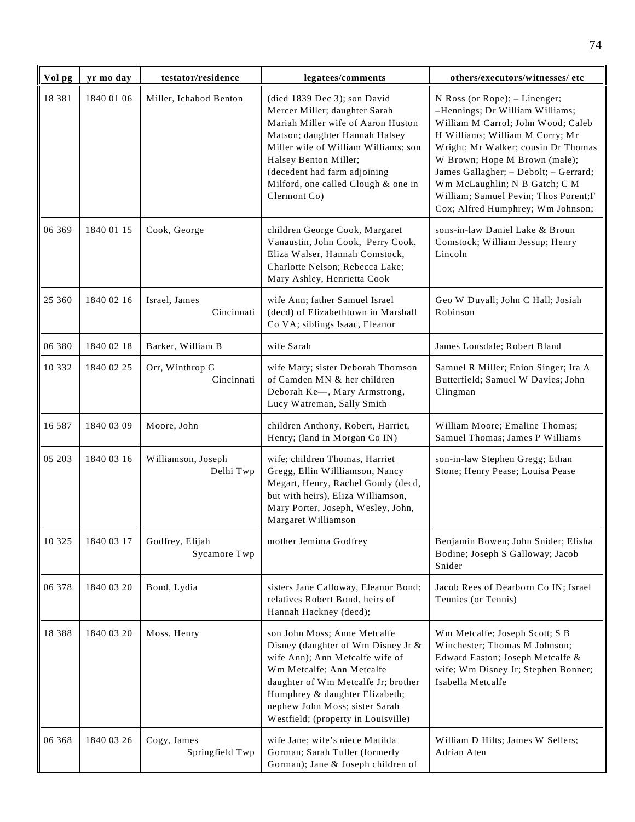| Vol pg   | yr mo day  | testator/residence              | legatees/comments                                                                                                                                                                                                                                                                             | others/executors/witnesses/ etc                                                                                                                                                                                                                                                                                                                                          |
|----------|------------|---------------------------------|-----------------------------------------------------------------------------------------------------------------------------------------------------------------------------------------------------------------------------------------------------------------------------------------------|--------------------------------------------------------------------------------------------------------------------------------------------------------------------------------------------------------------------------------------------------------------------------------------------------------------------------------------------------------------------------|
| 18381    | 1840 01 06 | Miller, Ichabod Benton          | (died 1839 Dec 3); son David<br>Mercer Miller; daughter Sarah<br>Mariah Miller wife of Aaron Huston<br>Matson; daughter Hannah Halsey<br>Miller wife of William Williams; son<br>Halsey Benton Miller;<br>(decedent had farm adjoining<br>Milford, one called Clough & one in<br>Clermont Co) | N Ross (or Rope); - Linenger;<br>-Hennings; Dr William Williams;<br>William M Carrol; John Wood; Caleb<br>H Williams; William M Corry; Mr<br>Wright; Mr Walker; cousin Dr Thomas<br>W Brown; Hope M Brown (male);<br>James Gallagher; - Debolt; - Gerrard;<br>Wm McLaughlin; N B Gatch; C M<br>William; Samuel Pevin; Thos Porent;F<br>Cox; Alfred Humphrey; Wm Johnson; |
| 06 369   | 1840 01 15 | Cook, George                    | children George Cook, Margaret<br>Vanaustin, John Cook, Perry Cook,<br>Eliza Walser, Hannah Comstock,<br>Charlotte Nelson; Rebecca Lake;<br>Mary Ashley, Henrietta Cook                                                                                                                       | sons-in-law Daniel Lake & Broun<br>Comstock; William Jessup; Henry<br>Lincoln                                                                                                                                                                                                                                                                                            |
| 25 360   | 1840 02 16 | Israel, James<br>Cincinnati     | wife Ann; father Samuel Israel<br>(decd) of Elizabethtown in Marshall<br>Co VA; siblings Isaac, Eleanor                                                                                                                                                                                       | Geo W Duvall; John C Hall; Josiah<br>Robinson                                                                                                                                                                                                                                                                                                                            |
| 06 380   | 1840 02 18 | Barker, William B               | wife Sarah                                                                                                                                                                                                                                                                                    | James Lousdale; Robert Bland                                                                                                                                                                                                                                                                                                                                             |
| 10 3 3 2 | 1840 02 25 | Orr, Winthrop G<br>Cincinnati   | wife Mary; sister Deborah Thomson<br>of Camden MN & her children<br>Deborah Ke-, Mary Armstrong,<br>Lucy Watreman, Sally Smith                                                                                                                                                                | Samuel R Miller; Enion Singer; Ira A<br>Butterfield; Samuel W Davies; John<br>Clingman                                                                                                                                                                                                                                                                                   |
| 16 5 8 7 | 1840 03 09 | Moore, John                     | children Anthony, Robert, Harriet,<br>Henry; (land in Morgan Co IN)                                                                                                                                                                                                                           | William Moore; Emaline Thomas;<br>Samuel Thomas; James P Williams                                                                                                                                                                                                                                                                                                        |
| 05 203   | 1840 03 16 | Williamson, Joseph<br>Delhi Twp | wife; children Thomas, Harriet<br>Gregg, Ellin Willliamson, Nancy<br>Megart, Henry, Rachel Goudy (decd,<br>but with heirs), Eliza Williamson,<br>Mary Porter, Joseph, Wesley, John,<br>Margaret Williamson                                                                                    | son-in-law Stephen Gregg; Ethan<br>Stone; Henry Pease; Louisa Pease                                                                                                                                                                                                                                                                                                      |
| 10 3 25  | 1840 03 17 | Godfrey, Elijah<br>Sycamore Twp | mother Jemima Godfrey                                                                                                                                                                                                                                                                         | Benjamin Bowen; John Snider; Elisha<br>Bodine; Joseph S Galloway; Jacob<br>Snider                                                                                                                                                                                                                                                                                        |
| 06 378   | 1840 03 20 | Bond, Lydia                     | sisters Jane Calloway, Eleanor Bond;<br>relatives Robert Bond, heirs of<br>Hannah Hackney (decd);                                                                                                                                                                                             | Jacob Rees of Dearborn Co IN; Israel<br>Teunies (or Tennis)                                                                                                                                                                                                                                                                                                              |
| 18388    | 1840 03 20 | Moss, Henry                     | son John Moss; Anne Metcalfe<br>Disney (daughter of Wm Disney Jr &<br>wife Ann); Ann Metcalfe wife of<br>Wm Metcalfe; Ann Metcalfe<br>daughter of Wm Metcalfe Jr; brother<br>Humphrey & daughter Elizabeth;<br>nephew John Moss; sister Sarah<br>Westfield; (property in Louisville)          | Wm Metcalfe; Joseph Scott; S B<br>Winchester; Thomas M Johnson;<br>Edward Easton; Joseph Metcalfe &<br>wife; Wm Disney Jr; Stephen Bonner;<br>Isabella Metcalfe                                                                                                                                                                                                          |
| 06 368   | 1840 03 26 | Cogy, James<br>Springfield Twp  | wife Jane; wife's niece Matilda<br>Gorman; Sarah Tuller (formerly<br>Gorman); Jane & Joseph children of                                                                                                                                                                                       | William D Hilts; James W Sellers;<br>Adrian Aten                                                                                                                                                                                                                                                                                                                         |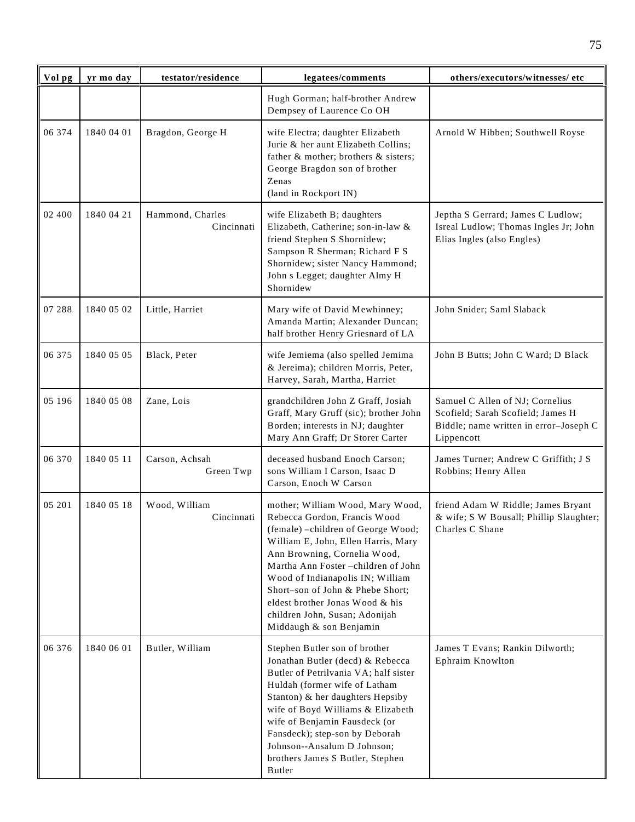| Vol pg | yr mo day  | testator/residence             | legatees/comments                                                                                                                                                                                                                                                                                                                                                                             | others/executors/witnesses/ etc                                                                                              |
|--------|------------|--------------------------------|-----------------------------------------------------------------------------------------------------------------------------------------------------------------------------------------------------------------------------------------------------------------------------------------------------------------------------------------------------------------------------------------------|------------------------------------------------------------------------------------------------------------------------------|
|        |            |                                | Hugh Gorman; half-brother Andrew<br>Dempsey of Laurence Co OH                                                                                                                                                                                                                                                                                                                                 |                                                                                                                              |
| 06 374 | 1840 04 01 | Bragdon, George H              | wife Electra; daughter Elizabeth<br>Jurie & her aunt Elizabeth Collins;<br>father & mother; brothers & sisters;<br>George Bragdon son of brother<br>Zenas<br>(land in Rockport IN)                                                                                                                                                                                                            | Arnold W Hibben; Southwell Royse                                                                                             |
| 02 400 | 1840 04 21 | Hammond, Charles<br>Cincinnati | wife Elizabeth B; daughters<br>Elizabeth, Catherine; son-in-law &<br>friend Stephen S Shornidew;<br>Sampson R Sherman; Richard F S<br>Shornidew; sister Nancy Hammond;<br>John s Legget; daughter Almy H<br>Shornidew                                                                                                                                                                         | Jeptha S Gerrard; James C Ludlow;<br>Isreal Ludlow; Thomas Ingles Jr; John<br>Elias Ingles (also Engles)                     |
| 07 288 | 1840 05 02 | Little, Harriet                | Mary wife of David Mewhinney;<br>Amanda Martin; Alexander Duncan;<br>half brother Henry Griesnard of LA                                                                                                                                                                                                                                                                                       | John Snider; Saml Slaback                                                                                                    |
| 06 375 | 1840 05 05 | Black, Peter                   | wife Jemiema (also spelled Jemima<br>& Jereima); children Morris, Peter,<br>Harvey, Sarah, Martha, Harriet                                                                                                                                                                                                                                                                                    | John B Butts; John C Ward; D Black                                                                                           |
| 05 196 | 1840 05 08 | Zane, Lois                     | grandchildren John Z Graff, Josiah<br>Graff, Mary Gruff (sic); brother John<br>Borden; interests in NJ; daughter<br>Mary Ann Graff; Dr Storer Carter                                                                                                                                                                                                                                          | Samuel C Allen of NJ; Cornelius<br>Scofield; Sarah Scofield; James H<br>Biddle; name written in error-Joseph C<br>Lippencott |
| 06 370 | 1840 05 11 | Carson, Achsah<br>Green Twp    | deceased husband Enoch Carson;<br>sons William I Carson, Isaac D<br>Carson, Enoch W Carson                                                                                                                                                                                                                                                                                                    | James Turner; Andrew C Griffith; J S<br>Robbins; Henry Allen                                                                 |
| 05 201 | 1840 05 18 | Wood, William<br>Cincinnati    | mother; William Wood, Mary Wood,<br>Rebecca Gordon, Francis Wood<br>(female) - children of George Wood;<br>William E, John, Ellen Harris, Mary<br>Ann Browning, Cornelia Wood,<br>Martha Ann Foster -children of John<br>Wood of Indianapolis IN; William<br>Short-son of John & Phebe Short;<br>eldest brother Jonas Wood & his<br>children John, Susan; Adonijah<br>Middaugh & son Benjamin | friend Adam W Riddle; James Bryant<br>& wife; S W Bousall; Phillip Slaughter;<br>Charles C Shane                             |
| 06 376 | 1840 06 01 | Butler, William                | Stephen Butler son of brother<br>Jonathan Butler (decd) & Rebecca<br>Butler of Petrilvania VA; half sister<br>Huldah (former wife of Latham<br>Stanton) & her daughters Hepsiby<br>wife of Boyd Williams & Elizabeth<br>wife of Benjamin Fausdeck (or<br>Fansdeck); step-son by Deborah<br>Johnson--Ansalum D Johnson;<br>brothers James S Butler, Stephen<br>Butler                          | James T Evans; Rankin Dilworth;<br>Ephraim Knowlton                                                                          |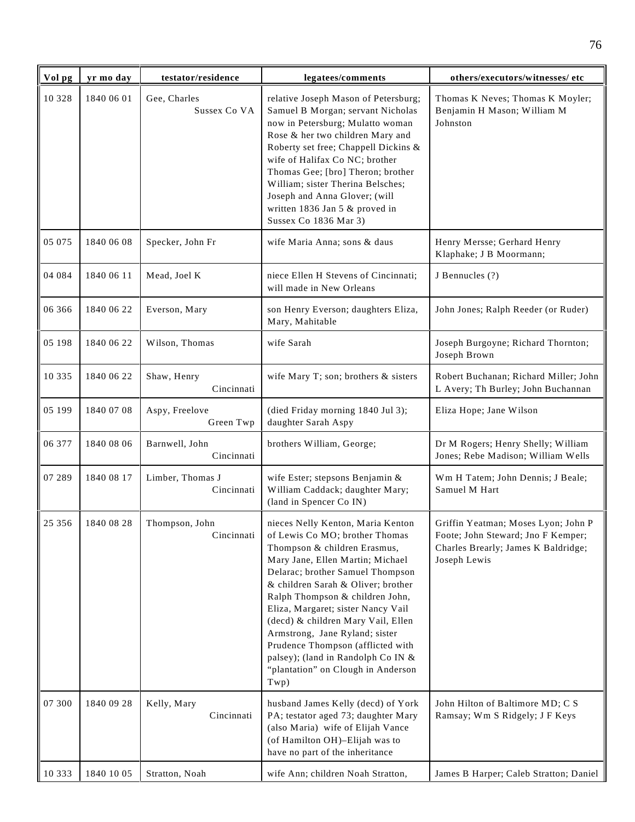| Vol pg   | yr mo day  | testator/residence             | legatees/comments                                                                                                                                                                                                                                                                                                                                                                                                                                                                           | others/executors/witnesses/ etc                                                                                                  |
|----------|------------|--------------------------------|---------------------------------------------------------------------------------------------------------------------------------------------------------------------------------------------------------------------------------------------------------------------------------------------------------------------------------------------------------------------------------------------------------------------------------------------------------------------------------------------|----------------------------------------------------------------------------------------------------------------------------------|
| 10 328   | 1840 06 01 | Gee, Charles<br>Sussex Co VA   | relative Joseph Mason of Petersburg;<br>Samuel B Morgan; servant Nicholas<br>now in Petersburg; Mulatto woman<br>Rose & her two children Mary and<br>Roberty set free; Chappell Dickins &<br>wife of Halifax Co NC; brother<br>Thomas Gee; [bro] Theron; brother<br>William; sister Therina Belsches;<br>Joseph and Anna Glover; (will<br>written 1836 Jan 5 & proved in<br>Sussex Co 1836 Mar 3)                                                                                           | Thomas K Neves; Thomas K Moyler;<br>Benjamin H Mason; William M<br>Johnston                                                      |
| 05 075   | 1840 06 08 | Specker, John Fr               | wife Maria Anna; sons & daus                                                                                                                                                                                                                                                                                                                                                                                                                                                                | Henry Mersse; Gerhard Henry<br>Klaphake; J B Moormann;                                                                           |
| 04 084   | 1840 06 11 | Mead, Joel K                   | niece Ellen H Stevens of Cincinnati;<br>will made in New Orleans                                                                                                                                                                                                                                                                                                                                                                                                                            | J Bennucles (?)                                                                                                                  |
| 06 366   | 1840 06 22 | Everson, Mary                  | son Henry Everson; daughters Eliza,<br>Mary, Mahitable                                                                                                                                                                                                                                                                                                                                                                                                                                      | John Jones; Ralph Reeder (or Ruder)                                                                                              |
| 05 198   | 1840 06 22 | Wilson, Thomas                 | wife Sarah                                                                                                                                                                                                                                                                                                                                                                                                                                                                                  | Joseph Burgoyne; Richard Thornton;<br>Joseph Brown                                                                               |
| 10 3 3 5 | 1840 06 22 | Shaw, Henry<br>Cincinnati      | wife Mary T; son; brothers & sisters                                                                                                                                                                                                                                                                                                                                                                                                                                                        | Robert Buchanan; Richard Miller; John<br>L Avery; Th Burley; John Buchannan                                                      |
| 05 199   | 1840 07 08 | Aspy, Freelove<br>Green Twp    | (died Friday morning 1840 Jul 3);<br>daughter Sarah Aspy                                                                                                                                                                                                                                                                                                                                                                                                                                    | Eliza Hope; Jane Wilson                                                                                                          |
| 06 377   | 1840 08 06 | Barnwell, John<br>Cincinnati   | brothers William, George;                                                                                                                                                                                                                                                                                                                                                                                                                                                                   | Dr M Rogers; Henry Shelly; William<br>Jones; Rebe Madison; William Wells                                                         |
| 07 289   | 1840 08 17 | Limber, Thomas J<br>Cincinnati | wife Ester; stepsons Benjamin &<br>William Caddack; daughter Mary;<br>(land in Spencer Co IN)                                                                                                                                                                                                                                                                                                                                                                                               | Wm H Tatem; John Dennis; J Beale;<br>Samuel M Hart                                                                               |
| 25 35 6  | 1840 08 28 | Thompson, John<br>Cincinnati   | nieces Nelly Kenton, Maria Kenton<br>of Lewis Co MO; brother Thomas<br>Thompson & children Erasmus,<br>Mary Jane, Ellen Martin; Michael<br>Delarac; brother Samuel Thompson<br>& children Sarah & Oliver; brother<br>Ralph Thompson & children John,<br>Eliza, Margaret; sister Nancy Vail<br>(decd) & children Mary Vail, Ellen<br>Armstrong, Jane Ryland; sister<br>Prudence Thompson (afflicted with<br>palsey); (land in Randolph Co IN &<br>"plantation" on Clough in Anderson<br>Twp) | Griffin Yeatman; Moses Lyon; John P<br>Foote; John Steward; Jno F Kemper;<br>Charles Brearly; James K Baldridge;<br>Joseph Lewis |
| 07 300   | 1840 09 28 | Kelly, Mary<br>Cincinnati      | husband James Kelly (decd) of York<br>PA; testator aged 73; daughter Mary<br>(also Maria) wife of Elijah Vance<br>(of Hamilton OH)-Elijah was to<br>have no part of the inheritance                                                                                                                                                                                                                                                                                                         | John Hilton of Baltimore MD; C S<br>Ramsay; Wm S Ridgely; J F Keys                                                               |
| 10 3 3 3 | 1840 10 05 | Stratton, Noah                 | wife Ann; children Noah Stratton,                                                                                                                                                                                                                                                                                                                                                                                                                                                           | James B Harper; Caleb Stratton; Daniel                                                                                           |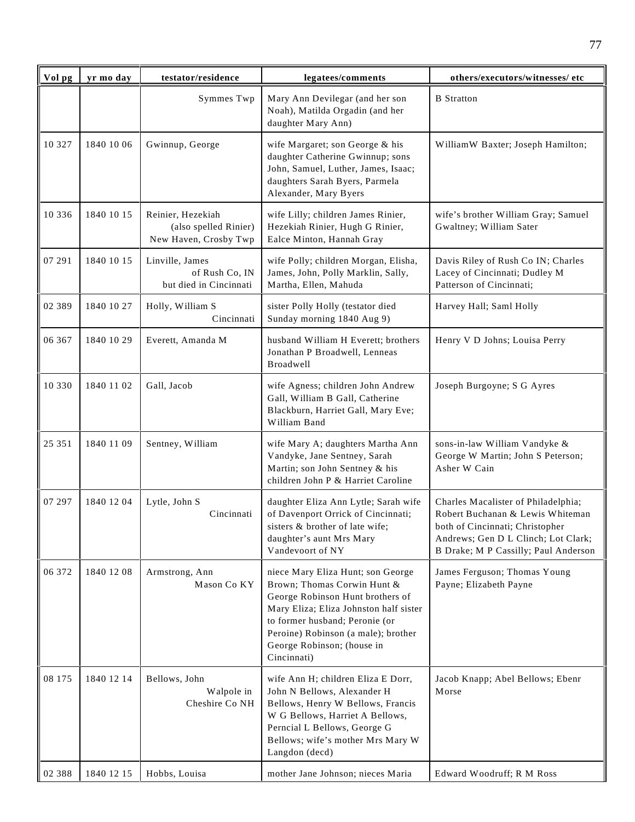| Vol pg   | yr mo day  | testator/residence                                                  | legatees/comments                                                                                                                                                                                                                                                    | others/executors/witnesses/ etc                                                                                                                                                           |
|----------|------------|---------------------------------------------------------------------|----------------------------------------------------------------------------------------------------------------------------------------------------------------------------------------------------------------------------------------------------------------------|-------------------------------------------------------------------------------------------------------------------------------------------------------------------------------------------|
|          |            | Symmes Twp                                                          | Mary Ann Devilegar (and her son<br>Noah), Matilda Orgadin (and her<br>daughter Mary Ann)                                                                                                                                                                             | <b>B</b> Stratton                                                                                                                                                                         |
| 10 327   | 1840 10 06 | Gwinnup, George                                                     | wife Margaret; son George & his<br>daughter Catherine Gwinnup; sons<br>John, Samuel, Luther, James, Isaac;<br>daughters Sarah Byers, Parmela<br>Alexander, Mary Byers                                                                                                | WilliamW Baxter; Joseph Hamilton;                                                                                                                                                         |
| 10 336   | 1840 10 15 | Reinier, Hezekiah<br>(also spelled Rinier)<br>New Haven, Crosby Twp | wife Lilly; children James Rinier,<br>Hezekiah Rinier, Hugh G Rinier,<br>Ealce Minton, Hannah Gray                                                                                                                                                                   | wife's brother William Gray; Samuel<br>Gwaltney; William Sater                                                                                                                            |
| 07 291   | 1840 10 15 | Linville, James<br>of Rush Co, IN<br>but died in Cincinnati         | wife Polly; children Morgan, Elisha,<br>James, John, Polly Marklin, Sally,<br>Martha, Ellen, Mahuda                                                                                                                                                                  | Davis Riley of Rush Co IN; Charles<br>Lacey of Cincinnati; Dudley M<br>Patterson of Cincinnati;                                                                                           |
| 02 3 8 9 | 1840 10 27 | Holly, William S<br>Cincinnati                                      | sister Polly Holly (testator died<br>Sunday morning 1840 Aug 9)                                                                                                                                                                                                      | Harvey Hall; Saml Holly                                                                                                                                                                   |
| 06 367   | 1840 10 29 | Everett, Amanda M                                                   | husband William H Everett; brothers<br>Jonathan P Broadwell, Lenneas<br>Broadwell                                                                                                                                                                                    | Henry V D Johns; Louisa Perry                                                                                                                                                             |
| 10 330   | 1840 11 02 | Gall, Jacob                                                         | wife Agness; children John Andrew<br>Gall, William B Gall, Catherine<br>Blackburn, Harriet Gall, Mary Eve;<br>William Band                                                                                                                                           | Joseph Burgoyne; S G Ayres                                                                                                                                                                |
| 25 351   | 1840 11 09 | Sentney, William                                                    | wife Mary A; daughters Martha Ann<br>Vandyke, Jane Sentney, Sarah<br>Martin; son John Sentney & his<br>children John P & Harriet Caroline                                                                                                                            | sons-in-law William Vandyke &<br>George W Martin; John S Peterson;<br>Asher W Cain                                                                                                        |
| 07 297   | 1840 12 04 | Lytle, John S<br>Cincinnati                                         | daughter Eliza Ann Lytle; Sarah wife<br>of Davenport Orrick of Cincinnati;<br>sisters & brother of late wife;<br>daughter's aunt Mrs Mary<br>Vandevoort of NY                                                                                                        | Charles Macalister of Philadelphia;<br>Robert Buchanan & Lewis Whiteman<br>both of Cincinnati; Christopher<br>Andrews; Gen D L Clinch; Lot Clark;<br>B Drake; M P Cassilly; Paul Anderson |
| 06 372   | 1840 12 08 | Armstrong, Ann<br>Mason Co KY                                       | niece Mary Eliza Hunt; son George<br>Brown; Thomas Corwin Hunt &<br>George Robinson Hunt brothers of<br>Mary Eliza; Eliza Johnston half sister<br>to former husband; Peronie (or<br>Peroine) Robinson (a male); brother<br>George Robinson; (house in<br>Cincinnati) | James Ferguson; Thomas Young<br>Payne; Elizabeth Payne                                                                                                                                    |
| 08 175   | 1840 12 14 | Bellows, John<br>Walpole in<br>Cheshire Co NH                       | wife Ann H; children Eliza E Dorr,<br>John N Bellows, Alexander H<br>Bellows, Henry W Bellows, Francis<br>W G Bellows, Harriet A Bellows,<br>Perncial L Bellows, George G<br>Bellows; wife's mother Mrs Mary W<br>Langdon (decd)                                     | Jacob Knapp; Abel Bellows; Ebenr<br>Morse                                                                                                                                                 |
| 02 388   | 1840 12 15 | Hobbs, Louisa                                                       | mother Jane Johnson; nieces Maria                                                                                                                                                                                                                                    | Edward Woodruff; R M Ross                                                                                                                                                                 |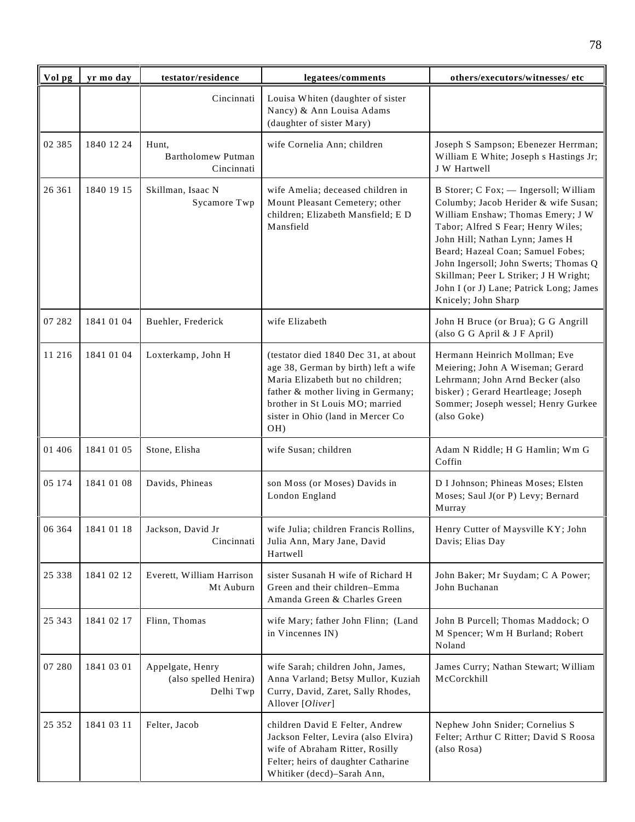| Vol pg   | yr mo day  | testator/residence                                     | legatees/comments                                                                                                                                                                                                                     | others/executors/witnesses/ etc                                                                                                                                                                                                                                                                                                                                                      |
|----------|------------|--------------------------------------------------------|---------------------------------------------------------------------------------------------------------------------------------------------------------------------------------------------------------------------------------------|--------------------------------------------------------------------------------------------------------------------------------------------------------------------------------------------------------------------------------------------------------------------------------------------------------------------------------------------------------------------------------------|
|          |            | Cincinnati                                             | Louisa Whiten (daughter of sister<br>Nancy) & Ann Louisa Adams<br>(daughter of sister Mary)                                                                                                                                           |                                                                                                                                                                                                                                                                                                                                                                                      |
| 02 3 8 5 | 1840 12 24 | Hunt,<br><b>Bartholomew Putman</b><br>Cincinnati       | wife Cornelia Ann; children                                                                                                                                                                                                           | Joseph S Sampson; Ebenezer Herrman;<br>William E White; Joseph s Hastings Jr;<br>J W Hartwell                                                                                                                                                                                                                                                                                        |
| 26 361   | 1840 19 15 | Skillman, Isaac N<br>Sycamore Twp                      | wife Amelia; deceased children in<br>Mount Pleasant Cemetery; other<br>children; Elizabeth Mansfield; E D<br>Mansfield                                                                                                                | B Storer; C Fox; - Ingersoll; William<br>Columby; Jacob Herider & wife Susan;<br>William Enshaw; Thomas Emery; J W<br>Tabor; Alfred S Fear; Henry Wiles;<br>John Hill; Nathan Lynn; James H<br>Beard; Hazeal Coan; Samuel Fobes;<br>John Ingersoll; John Swerts; Thomas Q<br>Skillman; Peer L Striker; J H Wright;<br>John I (or J) Lane; Patrick Long; James<br>Knicely; John Sharp |
| 07 282   | 1841 01 04 | Buehler, Frederick                                     | wife Elizabeth                                                                                                                                                                                                                        | John H Bruce (or Brua); G G Angrill<br>(also G G April & J F April)                                                                                                                                                                                                                                                                                                                  |
| 11 216   | 1841 01 04 | Loxterkamp, John H                                     | (testator died 1840 Dec 31, at about<br>age 38, German by birth) left a wife<br>Maria Elizabeth but no children;<br>father & mother living in Germany;<br>brother in St Louis MO; married<br>sister in Ohio (land in Mercer Co<br>OH) | Hermann Heinrich Mollman; Eve<br>Meiering; John A Wiseman; Gerard<br>Lehrmann; John Arnd Becker (also<br>bisker) ; Gerard Heartleage; Joseph<br>Sommer; Joseph wessel; Henry Gurkee<br>(also Goke)                                                                                                                                                                                   |
| 01 40 6  | 1841 01 05 | Stone, Elisha                                          | wife Susan; children                                                                                                                                                                                                                  | Adam N Riddle; H G Hamlin; Wm G<br>Coffin                                                                                                                                                                                                                                                                                                                                            |
| 05 174   | 1841 01 08 | Davids, Phineas                                        | son Moss (or Moses) Davids in<br>London England                                                                                                                                                                                       | D I Johnson; Phineas Moses; Elsten<br>Moses; Saul J(or P) Levy; Bernard<br>Murray                                                                                                                                                                                                                                                                                                    |
| 06 364   | 1841 01 18 | Jackson, David Jr<br>Cincinnati                        | wife Julia; children Francis Rollins,<br>Julia Ann, Mary Jane, David<br>Hartwell                                                                                                                                                      | Henry Cutter of Maysville KY; John<br>Davis; Elias Day                                                                                                                                                                                                                                                                                                                               |
| 25 338   | 1841 02 12 | Everett, William Harrison<br>Mt Auburn                 | sister Susanah H wife of Richard H<br>Green and their children-Emma<br>Amanda Green & Charles Green                                                                                                                                   | John Baker; Mr Suydam; C A Power;<br>John Buchanan                                                                                                                                                                                                                                                                                                                                   |
| 25 343   | 1841 02 17 | Flinn, Thomas                                          | wife Mary; father John Flinn; (Land<br>in Vincennes IN)                                                                                                                                                                               | John B Purcell; Thomas Maddock; O<br>M Spencer; Wm H Burland; Robert<br>Noland                                                                                                                                                                                                                                                                                                       |
| 07 280   | 1841 03 01 | Appelgate, Henry<br>(also spelled Henira)<br>Delhi Twp | wife Sarah; children John, James,<br>Anna Varland; Betsy Mullor, Kuziah<br>Curry, David, Zaret, Sally Rhodes,<br>Allover [Oliver]                                                                                                     | James Curry; Nathan Stewart; William<br>McCorckhill                                                                                                                                                                                                                                                                                                                                  |
| 25 352   | 1841 03 11 | Felter, Jacob                                          | children David E Felter, Andrew<br>Jackson Felter, Levira (also Elvira)<br>wife of Abraham Ritter, Rosilly<br>Felter; heirs of daughter Catharine<br>Whitiker (decd)-Sarah Ann,                                                       | Nephew John Snider; Cornelius S<br>Felter; Arthur C Ritter; David S Roosa<br>(also Rosa)                                                                                                                                                                                                                                                                                             |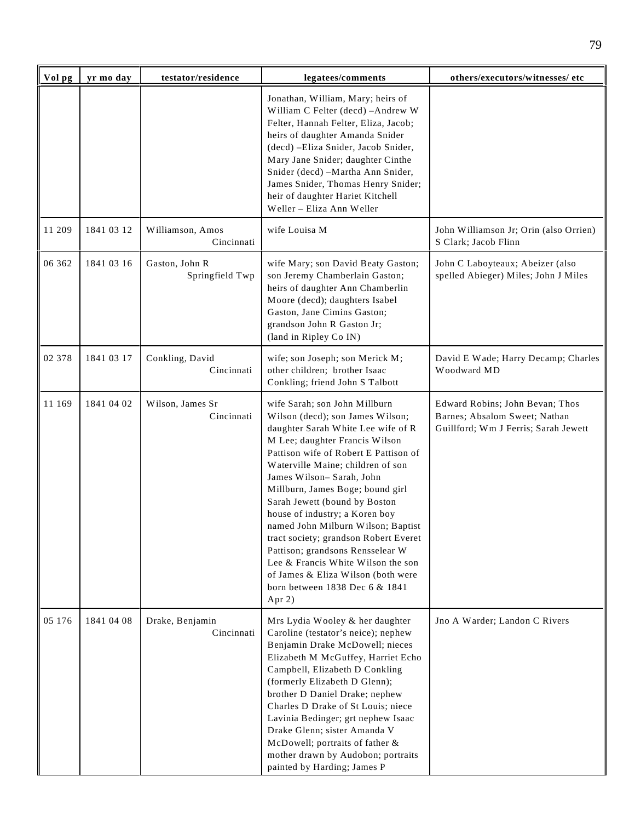| Vol pg | yr mo day  | testator/residence                | legatees/comments                                                                                                                                                                                                                                                                                                                                                                                                                                                                                                                                                                                        | others/executors/witnesses/etc                                                                           |
|--------|------------|-----------------------------------|----------------------------------------------------------------------------------------------------------------------------------------------------------------------------------------------------------------------------------------------------------------------------------------------------------------------------------------------------------------------------------------------------------------------------------------------------------------------------------------------------------------------------------------------------------------------------------------------------------|----------------------------------------------------------------------------------------------------------|
|        |            |                                   | Jonathan, William, Mary; heirs of<br>William C Felter (decd) - Andrew W<br>Felter, Hannah Felter, Eliza, Jacob;<br>heirs of daughter Amanda Snider<br>(decd) -Eliza Snider, Jacob Snider,<br>Mary Jane Snider; daughter Cinthe<br>Snider (decd) -Martha Ann Snider,<br>James Snider, Thomas Henry Snider;<br>heir of daughter Hariet Kitchell<br>Weller - Eliza Ann Weller                                                                                                                                                                                                                               |                                                                                                          |
| 11 209 | 1841 03 12 | Williamson, Amos<br>Cincinnati    | wife Louisa M                                                                                                                                                                                                                                                                                                                                                                                                                                                                                                                                                                                            | John Williamson Jr; Orin (also Orrien)<br>S Clark; Jacob Flinn                                           |
| 06 362 | 1841 03 16 | Gaston, John R<br>Springfield Twp | wife Mary; son David Beaty Gaston;<br>son Jeremy Chamberlain Gaston;<br>heirs of daughter Ann Chamberlin<br>Moore (decd); daughters Isabel<br>Gaston, Jane Cimins Gaston;<br>grandson John R Gaston Jr;<br>(land in Ripley Co IN)                                                                                                                                                                                                                                                                                                                                                                        | John C Laboyteaux; Abeizer (also<br>spelled Abieger) Miles; John J Miles                                 |
| 02 378 | 1841 03 17 | Conkling, David<br>Cincinnati     | wife; son Joseph; son Merick M;<br>other children; brother Isaac<br>Conkling; friend John S Talbott                                                                                                                                                                                                                                                                                                                                                                                                                                                                                                      | David E Wade; Harry Decamp; Charles<br>Woodward MD                                                       |
| 11 169 | 1841 04 02 | Wilson, James Sr<br>Cincinnati    | wife Sarah; son John Millburn<br>Wilson (decd); son James Wilson;<br>daughter Sarah White Lee wife of R<br>M Lee; daughter Francis Wilson<br>Pattison wife of Robert E Pattison of<br>Waterville Maine; children of son<br>James Wilson- Sarah, John<br>Millburn, James Boge; bound girl<br>Sarah Jewett (bound by Boston<br>house of industry; a Koren boy<br>named John Milburn Wilson; Baptist<br>tract society; grandson Robert Everet<br>Pattison; grandsons Rensselear W<br>Lee & Francis White Wilson the son<br>of James & Eliza Wilson (both were<br>born between 1838 Dec 6 & 1841<br>Apr $2)$ | Edward Robins; John Bevan; Thos<br>Barnes; Absalom Sweet; Nathan<br>Guillford; Wm J Ferris; Sarah Jewett |
| 05 176 | 1841 04 08 | Drake, Benjamin<br>Cincinnati     | Mrs Lydia Wooley & her daughter<br>Caroline (testator's neice); nephew<br>Benjamin Drake McDowell; nieces<br>Elizabeth M McGuffey, Harriet Echo<br>Campbell, Elizabeth D Conkling<br>(formerly Elizabeth D Glenn);<br>brother D Daniel Drake; nephew<br>Charles D Drake of St Louis; niece<br>Lavinia Bedinger; grt nephew Isaac<br>Drake Glenn; sister Amanda V<br>McDowell; portraits of father &<br>mother drawn by Audobon; portraits<br>painted by Harding; James P                                                                                                                                 | Jno A Warder; Landon C Rivers                                                                            |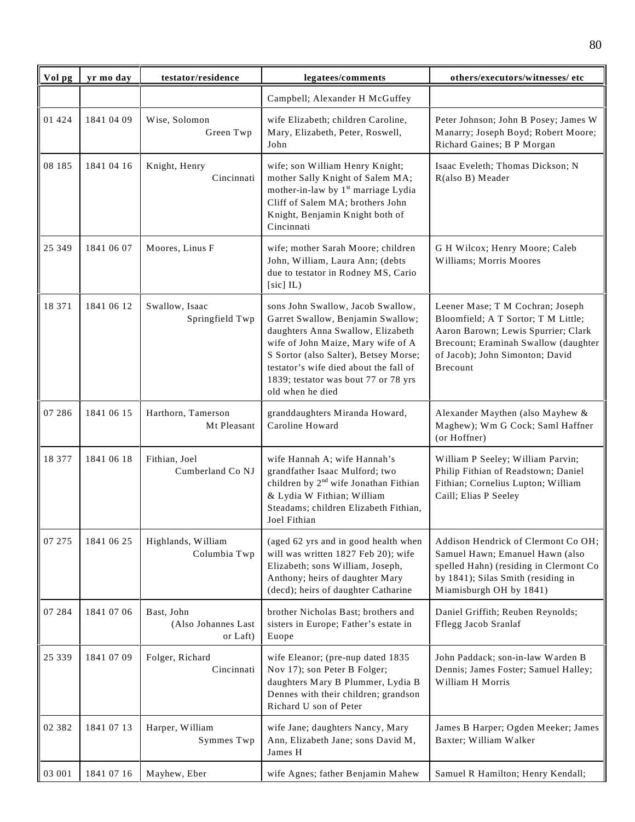| Vol pg   | yr mo day  | testator/residence                            | legatees/comments                                                                                                                                                                                                                                                                                | others/executors/witnesses/ etc                                                                                                                                                                              |
|----------|------------|-----------------------------------------------|--------------------------------------------------------------------------------------------------------------------------------------------------------------------------------------------------------------------------------------------------------------------------------------------------|--------------------------------------------------------------------------------------------------------------------------------------------------------------------------------------------------------------|
|          |            |                                               | Campbell; Alexander H McGuffey                                                                                                                                                                                                                                                                   |                                                                                                                                                                                                              |
| 01 424   | 1841 04 09 | Wise, Solomon<br>Green Twp                    | wife Elizabeth; children Caroline,<br>Mary, Elizabeth, Peter, Roswell,<br>John                                                                                                                                                                                                                   | Peter Johnson; John B Posey; James W<br>Manarry; Joseph Boyd; Robert Moore;<br>Richard Gaines; B P Morgan                                                                                                    |
| 08 185   | 1841 04 16 | Knight, Henry<br>Cincinnati                   | wife; son William Henry Knight;<br>mother Sally Knight of Salem MA;<br>mother-in-law by 1 <sup>st</sup> marriage Lydia<br>Cliff of Salem MA; brothers John<br>Knight, Benjamin Knight both of<br>Cincinnati                                                                                      | Isaac Eveleth; Thomas Dickson; N<br>R(also B) Meader                                                                                                                                                         |
| 25 349   | 1841 06 07 | Moores, Linus F                               | wife; mother Sarah Moore; children<br>John, William, Laura Ann; (debts<br>due to testator in Rodney MS, Cario<br>$[sic]$ IL)                                                                                                                                                                     | G H Wilcox; Henry Moore; Caleb<br>Williams; Morris Moores                                                                                                                                                    |
| 18 371   | 1841 06 12 | Swallow, Isaac<br>Springfield Twp             | sons John Swallow, Jacob Swallow,<br>Garret Swallow, Benjamin Swallow;<br>daughters Anna Swallow, Elizabeth<br>wife of John Maize, Mary wife of A<br>S Sortor (also Salter), Betsey Morse;<br>testator's wife died about the fall of<br>1839; testator was bout 77 or 78 yrs<br>old when he died | Leener Mase; T M Cochran; Joseph<br>Bloomfield; A T Sortor; T M Little;<br>Aaron Barown; Lewis Spurrier; Clark<br>Brecount; Eraminah Swallow (daughter<br>of Jacob); John Simonton; David<br><b>Brecount</b> |
| 07 28 6  | 1841 06 15 | Harthorn, Tamerson<br>Mt Pleasant             | granddaughters Miranda Howard,<br>Caroline Howard                                                                                                                                                                                                                                                | Alexander Maythen (also Mayhew &<br>Maghew); Wm G Cock; Saml Haffner<br>(or Hoffner)                                                                                                                         |
| 18 377   | 1841 06 18 | Fithian, Joel<br>Cumberland Co NJ             | wife Hannah A; wife Hannah's<br>grandfather Isaac Mulford; two<br>children by 2 <sup>nd</sup> wife Jonathan Fithian<br>& Lydia W Fithian; William<br>Steadams; children Elizabeth Fithian,<br>Joel Fithian                                                                                       | William P Seeley; William Parvin;<br>Philip Fithian of Readstown; Daniel<br>Fithian; Cornelius Lupton; William<br>Caill; Elias P Seeley                                                                      |
| 07 275   | 1841 06 25 | Highlands, William<br>Columbia Twp            | (aged 62 yrs and in good health when<br>will was written 1827 Feb 20); wife<br>Elizabeth; sons William, Joseph,<br>Anthony; heirs of daughter Mary<br>(decd); heirs of daughter Catharine                                                                                                        | Addison Hendrick of Clermont Co OH;<br>Samuel Hawn; Emanuel Hawn (also<br>spelled Hahn) (residing in Clermont Co<br>by 1841); Silas Smith (residing in<br>Miamisburgh OH by 1841)                            |
| 07 284   | 1841 07 06 | Bast, John<br>(Also Johannes Last<br>or Laft) | brother Nicholas Bast; brothers and<br>sisters in Europe; Father's estate in<br>Euope                                                                                                                                                                                                            | Daniel Griffith; Reuben Reynolds;<br>Fflegg Jacob Sranlaf                                                                                                                                                    |
| 25 339   | 1841 07 09 | Folger, Richard<br>Cincinnati                 | wife Eleanor; (pre-nup dated 1835<br>Nov 17); son Peter B Folger;<br>daughters Mary B Plummer, Lydia B<br>Dennes with their children; grandson<br>Richard U son of Peter                                                                                                                         | John Paddack; son-in-law Warden B<br>Dennis; James Foster; Samuel Halley;<br>William H Morris                                                                                                                |
| 02 3 8 2 | 1841 07 13 | Harper, William<br>Symmes Twp                 | wife Jane; daughters Nancy, Mary<br>Ann, Elizabeth Jane; sons David M,<br>James H                                                                                                                                                                                                                | James B Harper; Ogden Meeker; James<br>Baxter; William Walker                                                                                                                                                |
| 03 001   | 1841 07 16 | Mayhew, Eber                                  | wife Agnes; father Benjamin Mahew                                                                                                                                                                                                                                                                | Samuel R Hamilton; Henry Kendall;                                                                                                                                                                            |

80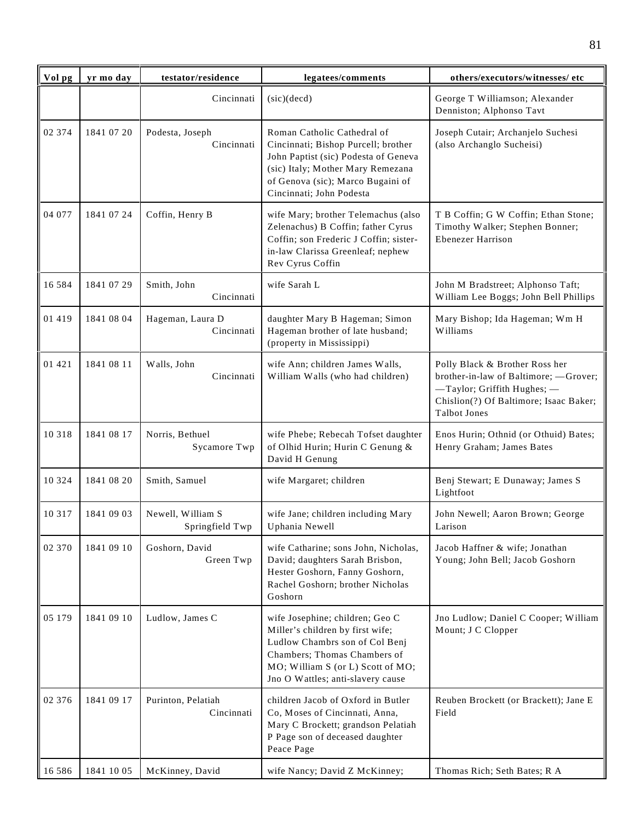| Vol pg   | yr mo day  | testator/residence                   | legatees/comments                                                                                                                                                                                                | others/executors/witnesses/ etc                                                                                                                                        |
|----------|------------|--------------------------------------|------------------------------------------------------------------------------------------------------------------------------------------------------------------------------------------------------------------|------------------------------------------------------------------------------------------------------------------------------------------------------------------------|
|          |            | Cincinnati                           | (sic)(decd)                                                                                                                                                                                                      | George T Williamson; Alexander<br>Denniston; Alphonso Tavt                                                                                                             |
| 02 374   | 1841 07 20 | Podesta, Joseph<br>Cincinnati        | Roman Catholic Cathedral of<br>Cincinnati; Bishop Purcell; brother<br>John Paptist (sic) Podesta of Geneva<br>(sic) Italy; Mother Mary Remezana<br>of Genova (sic); Marco Bugaini of<br>Cincinnati; John Podesta | Joseph Cutair; Archanjelo Suchesi<br>(also Archanglo Sucheisi)                                                                                                         |
| 04 077   | 1841 07 24 | Coffin, Henry B                      | wife Mary; brother Telemachus (also<br>Zelenachus) B Coffin; father Cyrus<br>Coffin; son Frederic J Coffin; sister-<br>in-law Clarissa Greenleaf; nephew<br>Rev Cyrus Coffin                                     | T B Coffin; G W Coffin; Ethan Stone;<br>Timothy Walker; Stephen Bonner;<br><b>Ebenezer Harrison</b>                                                                    |
| 16 5 8 4 | 1841 07 29 | Smith, John<br>Cincinnati            | wife Sarah L                                                                                                                                                                                                     | John M Bradstreet; Alphonso Taft;<br>William Lee Boggs; John Bell Phillips                                                                                             |
| 01 419   | 1841 08 04 | Hageman, Laura D<br>Cincinnati       | daughter Mary B Hageman; Simon<br>Hageman brother of late husband;<br>(property in Mississippi)                                                                                                                  | Mary Bishop; Ida Hageman; Wm H<br>Williams                                                                                                                             |
| 01 421   | 1841 08 11 | Walls, John<br>Cincinnati            | wife Ann; children James Walls,<br>William Walls (who had children)                                                                                                                                              | Polly Black & Brother Ross her<br>brother-in-law of Baltimore; -Grover;<br>-Taylor; Griffith Hughes;-<br>Chislion(?) Of Baltimore; Isaac Baker;<br><b>Talbot Jones</b> |
| 10 3 18  | 1841 08 17 | Norris, Bethuel<br>Sycamore Twp      | wife Phebe; Rebecah Tofset daughter<br>of Olhid Hurin; Hurin C Genung &<br>David H Genung                                                                                                                        | Enos Hurin; Othnid (or Othuid) Bates;<br>Henry Graham; James Bates                                                                                                     |
| 10 3 2 4 | 1841 08 20 | Smith, Samuel                        | wife Margaret; children                                                                                                                                                                                          | Benj Stewart; E Dunaway; James S<br>Lightfoot                                                                                                                          |
| 10 3 17  | 1841 09 03 | Newell, William S<br>Springfield Twp | wife Jane; children including Mary<br>Uphania Newell                                                                                                                                                             | John Newell; Aaron Brown; George<br>Larison                                                                                                                            |
| 02 370   | 1841 09 10 | Goshorn, David<br>Green Twp          | wife Catharine; sons John, Nicholas,<br>David; daughters Sarah Brisbon,<br>Hester Goshorn, Fanny Goshorn,<br>Rachel Goshorn; brother Nicholas<br>Goshorn                                                         | Jacob Haffner & wife; Jonathan<br>Young; John Bell; Jacob Goshorn                                                                                                      |
| 05 179   | 1841 09 10 | Ludlow, James C                      | wife Josephine; children; Geo C<br>Miller's children by first wife;<br>Ludlow Chambrs son of Col Benj<br>Chambers; Thomas Chambers of<br>MO; William S (or L) Scott of MO;<br>Jno O Wattles; anti-slavery cause  | Jno Ludlow; Daniel C Cooper; William<br>Mount; J C Clopper                                                                                                             |
| 02 376   | 1841 09 17 | Purinton, Pelatiah<br>Cincinnati     | children Jacob of Oxford in Butler<br>Co, Moses of Cincinnati, Anna,<br>Mary C Brockett; grandson Pelatiah<br>P Page son of deceased daughter<br>Peace Page                                                      | Reuben Brockett (or Brackett); Jane E<br>Field                                                                                                                         |
| 16 5 8 6 | 1841 10 05 | McKinney, David                      | wife Nancy; David Z McKinney;                                                                                                                                                                                    | Thomas Rich; Seth Bates; R A                                                                                                                                           |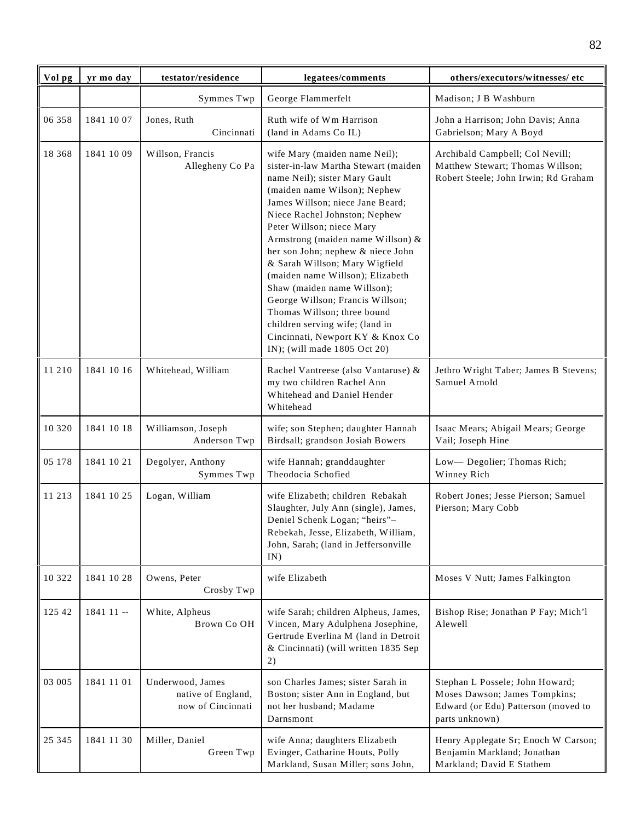| Vol pg   | yr mo day  | testator/residence                                          | legatees/comments                                                                                                                                                                                                                                                                                                                                                                                                                                                                                                                                                                                 | others/executors/witnesses/ etc                                                                                           |
|----------|------------|-------------------------------------------------------------|---------------------------------------------------------------------------------------------------------------------------------------------------------------------------------------------------------------------------------------------------------------------------------------------------------------------------------------------------------------------------------------------------------------------------------------------------------------------------------------------------------------------------------------------------------------------------------------------------|---------------------------------------------------------------------------------------------------------------------------|
|          |            | Symmes Twp                                                  | George Flammerfelt                                                                                                                                                                                                                                                                                                                                                                                                                                                                                                                                                                                | Madison; J B Washburn                                                                                                     |
| 06 358   | 1841 10 07 | Jones, Ruth<br>Cincinnati                                   | Ruth wife of Wm Harrison<br>(land in Adams Co IL)                                                                                                                                                                                                                                                                                                                                                                                                                                                                                                                                                 | John a Harrison; John Davis; Anna<br>Gabrielson; Mary A Boyd                                                              |
| 18 3 6 8 | 1841 10 09 | Willson, Francis<br>Allegheny Co Pa                         | wife Mary (maiden name Neil);<br>sister-in-law Martha Stewart (maiden<br>name Neil); sister Mary Gault<br>(maiden name Wilson); Nephew<br>James Willson; niece Jane Beard;<br>Niece Rachel Johnston; Nephew<br>Peter Willson; niece Mary<br>Armstrong (maiden name Willson) &<br>her son John; nephew & niece John<br>& Sarah Willson; Mary Wigfield<br>(maiden name Willson); Elizabeth<br>Shaw (maiden name Willson);<br>George Willson; Francis Willson;<br>Thomas Willson; three bound<br>children serving wife; (land in<br>Cincinnati, Newport KY & Knox Co<br>IN); (will made 1805 Oct 20) | Archibald Campbell; Col Nevill;<br>Matthew Stewart; Thomas Willson;<br>Robert Steele; John Irwin; Rd Graham               |
| 11 210   | 1841 10 16 | Whitehead, William                                          | Rachel Vantreese (also Vantaruse) &<br>my two children Rachel Ann<br>Whitehead and Daniel Hender<br>Whitehead                                                                                                                                                                                                                                                                                                                                                                                                                                                                                     | Jethro Wright Taber; James B Stevens;<br>Samuel Arnold                                                                    |
| 10 3 20  | 1841 10 18 | Williamson, Joseph<br>Anderson Twp                          | wife; son Stephen; daughter Hannah<br>Birdsall; grandson Josiah Bowers                                                                                                                                                                                                                                                                                                                                                                                                                                                                                                                            | Isaac Mears; Abigail Mears; George<br>Vail; Joseph Hine                                                                   |
| 05 178   | 1841 10 21 | Degolyer, Anthony<br>Symmes Twp                             | wife Hannah; granddaughter<br>Theodocia Schofied                                                                                                                                                                                                                                                                                                                                                                                                                                                                                                                                                  | Low-Degolier; Thomas Rich;<br>Winney Rich                                                                                 |
| 11 213   | 1841 10 25 | Logan, William                                              | wife Elizabeth; children Rebakah<br>Slaughter, July Ann (single), James,<br>Deniel Schenk Logan; "heirs"-<br>Rebekah, Jesse, Elizabeth, William,<br>John, Sarah; (land in Jeffersonville<br>IN)                                                                                                                                                                                                                                                                                                                                                                                                   | Robert Jones; Jesse Pierson; Samuel<br>Pierson; Mary Cobb                                                                 |
| 10 322   | 1841 10 28 | Owens, Peter<br>Crosby Twp                                  | wife Elizabeth                                                                                                                                                                                                                                                                                                                                                                                                                                                                                                                                                                                    | Moses V Nutt; James Falkington                                                                                            |
| 125 42   | 1841 11 -- | White, Alpheus<br>Brown Co OH                               | wife Sarah; children Alpheus, James,<br>Vincen, Mary Adulphena Josephine,<br>Gertrude Everlina M (land in Detroit<br>& Cincinnati) (will written 1835 Sep<br>2)                                                                                                                                                                                                                                                                                                                                                                                                                                   | Bishop Rise; Jonathan P Fay; Mich'l<br>Alewell                                                                            |
| 03 005   | 1841 11 01 | Underwood, James<br>native of England,<br>now of Cincinnati | son Charles James; sister Sarah in<br>Boston; sister Ann in England, but<br>not her husband; Madame<br>Darnsmont                                                                                                                                                                                                                                                                                                                                                                                                                                                                                  | Stephan L Possele; John Howard;<br>Moses Dawson; James Tompkins;<br>Edward (or Edu) Patterson (moved to<br>parts unknown) |
| 25 345   | 1841 11 30 | Miller, Daniel<br>Green Twp                                 | wife Anna; daughters Elizabeth<br>Evinger, Catharine Houts, Polly<br>Markland, Susan Miller; sons John,                                                                                                                                                                                                                                                                                                                                                                                                                                                                                           | Henry Applegate Sr; Enoch W Carson;<br>Benjamin Markland; Jonathan<br>Markland; David E Stathem                           |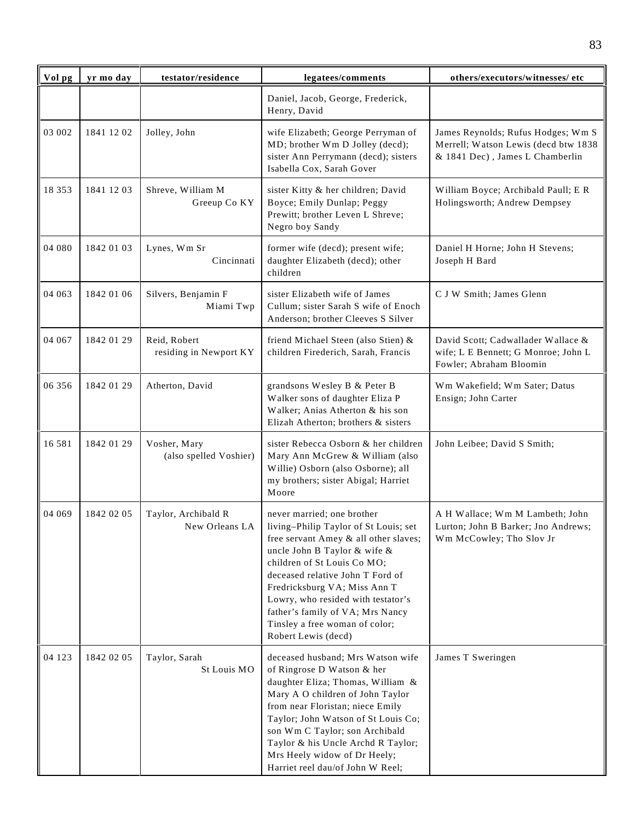| Vol pg   | yr mo day  | testator/residence                     | legatees/comments                                                                                                                                                                                                                                                                                                                                                                  | others/executors/witnesses/ etc                                                                               |
|----------|------------|----------------------------------------|------------------------------------------------------------------------------------------------------------------------------------------------------------------------------------------------------------------------------------------------------------------------------------------------------------------------------------------------------------------------------------|---------------------------------------------------------------------------------------------------------------|
|          |            |                                        | Daniel, Jacob, George, Frederick,<br>Henry, David                                                                                                                                                                                                                                                                                                                                  |                                                                                                               |
| 03 002   | 1841 12 02 | Jolley, John                           | wife Elizabeth; George Perryman of<br>MD; brother Wm D Jolley (decd);<br>sister Ann Perrymann (decd); sisters<br>Isabella Cox, Sarah Gover                                                                                                                                                                                                                                         | James Reynolds; Rufus Hodges; Wm S<br>Merrell; Watson Lewis (decd btw 1838<br>& 1841 Dec), James L Chamberlin |
| 18 3 5 3 | 1841 12 03 | Shreve, William M<br>Greeup Co KY      | sister Kitty & her children; David<br>Boyce; Emily Dunlap; Peggy<br>Prewitt; brother Leven L Shreve;<br>Negro boy Sandy                                                                                                                                                                                                                                                            | William Boyce; Archibald Paull; E R<br>Holingsworth; Andrew Dempsey                                           |
| 04 080   | 1842 01 03 | Lynes, Wm Sr<br>Cincinnati             | former wife (decd); present wife;<br>daughter Elizabeth (decd); other<br>children                                                                                                                                                                                                                                                                                                  | Daniel H Horne; John H Stevens;<br>Joseph H Bard                                                              |
| 04 063   | 1842 01 06 | Silvers, Benjamin F<br>Miami Twp       | sister Elizabeth wife of James<br>Cullum; sister Sarah S wife of Enoch<br>Anderson; brother Cleeves S Silver                                                                                                                                                                                                                                                                       | C J W Smith; James Glenn                                                                                      |
| 04 067   | 1842 01 29 | Reid, Robert<br>residing in Newport KY | friend Michael Steen (also Stien) &<br>children Firederich, Sarah, Francis                                                                                                                                                                                                                                                                                                         | David Scott; Cadwallader Wallace &<br>wife; L E Bennett; G Monroe; John L<br>Fowler; Abraham Bloomin          |
| 06 356   | 1842 01 29 | Atherton, David                        | grandsons Wesley B & Peter B<br>Walker sons of daughter Eliza P<br>Walker; Anias Atherton & his son<br>Elizah Atherton; brothers & sisters                                                                                                                                                                                                                                         | Wm Wakefield; Wm Sater; Datus<br>Ensign; John Carter                                                          |
| 16 5 8 1 | 1842 01 29 | Vosher, Mary<br>(also spelled Voshier) | sister Rebecca Osborn & her children<br>Mary Ann McGrew & William (also<br>Willie) Osborn (also Osborne); all<br>my brothers; sister Abigal; Harriet<br>Moore                                                                                                                                                                                                                      | John Leibee; David S Smith;                                                                                   |
| 04 069   | 1842 02 05 | Taylor, Archibald R<br>New Orleans LA  | never married; one brother<br>living–Philip Taylor of St Louis; set<br>free servant Amey & all other slaves;<br>uncle John B Taylor & wife &<br>children of St Louis Co MO;<br>deceased relative John T Ford of<br>Fredricksburg VA; Miss Ann T<br>Lowry, who resided with testator's<br>father's family of VA; Mrs Nancy<br>Tinsley a free woman of color;<br>Robert Lewis (decd) | A H Wallace; Wm M Lambeth; John<br>Lurton; John B Barker; Jno Andrews;<br>Wm McCowley; Tho Slov Jr            |
| 04 123   | 1842 02 05 | Taylor, Sarah<br>St Louis MO           | deceased husband; Mrs Watson wife<br>of Ringrose D Watson & her<br>daughter Eliza; Thomas, William &<br>Mary A O children of John Taylor<br>from near Floristan; niece Emily<br>Taylor; John Watson of St Louis Co;<br>son Wm C Taylor; son Archibald<br>Taylor & his Uncle Archd R Taylor;<br>Mrs Heely widow of Dr Heely;<br>Harriet reel dau/of John W Reel;                    | James T Sweringen                                                                                             |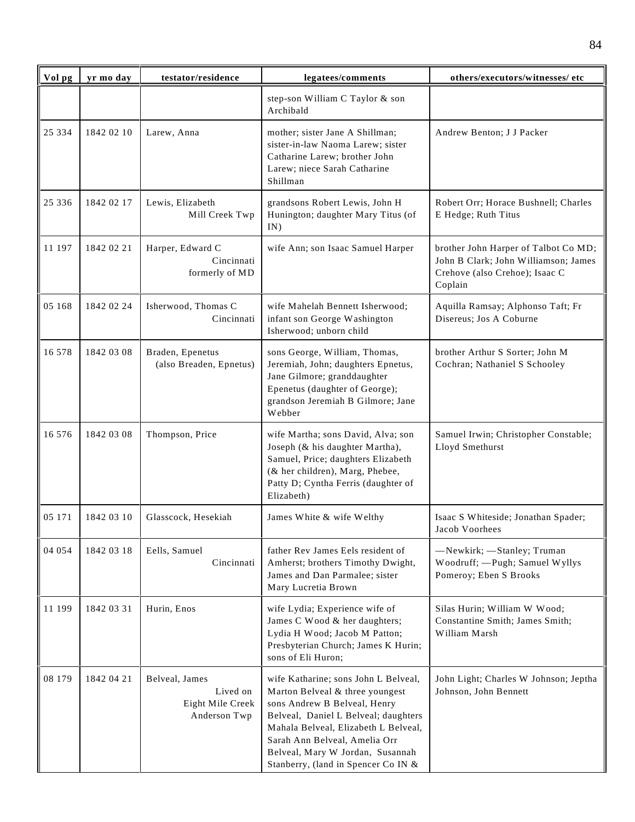| Vol pg   | yr mo day  | testator/residence                                             | legatees/comments                                                                                                                                                                                                                                                                                   | others/executors/witnesses/ etc                                                                                           |
|----------|------------|----------------------------------------------------------------|-----------------------------------------------------------------------------------------------------------------------------------------------------------------------------------------------------------------------------------------------------------------------------------------------------|---------------------------------------------------------------------------------------------------------------------------|
|          |            |                                                                | step-son William C Taylor & son<br>Archibald                                                                                                                                                                                                                                                        |                                                                                                                           |
| 25 3 3 4 | 1842 02 10 | Larew, Anna                                                    | mother; sister Jane A Shillman;<br>sister-in-law Naoma Larew; sister<br>Catharine Larew; brother John<br>Larew; niece Sarah Catharine<br>Shillman                                                                                                                                                   | Andrew Benton; J J Packer                                                                                                 |
| 25 3 3 6 | 1842 02 17 | Lewis, Elizabeth<br>Mill Creek Twp                             | grandsons Robert Lewis, John H<br>Hunington; daughter Mary Titus (of<br>IN)                                                                                                                                                                                                                         | Robert Orr; Horace Bushnell; Charles<br>E Hedge; Ruth Titus                                                               |
| 11 197   | 1842 02 21 | Harper, Edward C<br>Cincinnati<br>formerly of MD               | wife Ann; son Isaac Samuel Harper                                                                                                                                                                                                                                                                   | brother John Harper of Talbot Co MD;<br>John B Clark; John Williamson; James<br>Crehove (also Crehoe); Isaac C<br>Coplain |
| 05 168   | 1842 02 24 | Isherwood, Thomas C<br>Cincinnati                              | wife Mahelah Bennett Isherwood;<br>infant son George Washington<br>Isherwood; unborn child                                                                                                                                                                                                          | Aquilla Ramsay; Alphonso Taft; Fr<br>Disereus; Jos A Coburne                                                              |
| 16 578   | 1842 03 08 | Braden, Epenetus<br>(also Breaden, Epnetus)                    | sons George, William, Thomas,<br>Jeremiah, John; daughters Epnetus,<br>Jane Gilmore; granddaughter<br>Epenetus (daughter of George);<br>grandson Jeremiah B Gilmore; Jane<br>Webber                                                                                                                 | brother Arthur S Sorter; John M<br>Cochran; Nathaniel S Schooley                                                          |
| 16 576   | 1842 03 08 | Thompson, Price                                                | wife Martha; sons David, Alva; son<br>Joseph (& his daughter Martha),<br>Samuel, Price; daughters Elizabeth<br>(& her children), Marg, Phebee,<br>Patty D; Cyntha Ferris (daughter of<br>Elizabeth)                                                                                                 | Samuel Irwin; Christopher Constable;<br>Lloyd Smethurst                                                                   |
| 05 171   | 1842 03 10 | Glasscock, Hesekiah                                            | James White & wife Welthy                                                                                                                                                                                                                                                                           | Isaac S Whiteside; Jonathan Spader;<br>Jacob Voorhees                                                                     |
| 04 054   | 1842 03 18 | Eells, Samuel<br>Cincinnati                                    | father Rev James Eels resident of<br>Amherst; brothers Timothy Dwight,<br>James and Dan Parmalee; sister<br>Mary Lucretia Brown                                                                                                                                                                     | -Newkirk; -Stanley; Truman<br>Woodruff; - Pugh; Samuel Wyllys<br>Pomeroy; Eben S Brooks                                   |
| 11 199   | 1842 03 31 | Hurin, Enos                                                    | wife Lydia; Experience wife of<br>James C Wood & her daughters;<br>Lydia H Wood; Jacob M Patton;<br>Presbyterian Church; James K Hurin;<br>sons of Eli Huron;                                                                                                                                       | Silas Hurin; William W Wood;<br>Constantine Smith; James Smith;<br>William Marsh                                          |
| 08 179   | 1842 04 21 | Belveal, James<br>Lived on<br>Eight Mile Creek<br>Anderson Twp | wife Katharine; sons John L Belveal,<br>Marton Belveal & three youngest<br>sons Andrew B Belveal, Henry<br>Belveal, Daniel L Belveal; daughters<br>Mahala Belveal, Elizabeth L Belveal,<br>Sarah Ann Belveal, Amelia Orr<br>Belveal, Mary W Jordan, Susannah<br>Stanberry, (land in Spencer Co IN & | John Light; Charles W Johnson; Jeptha<br>Johnson, John Bennett                                                            |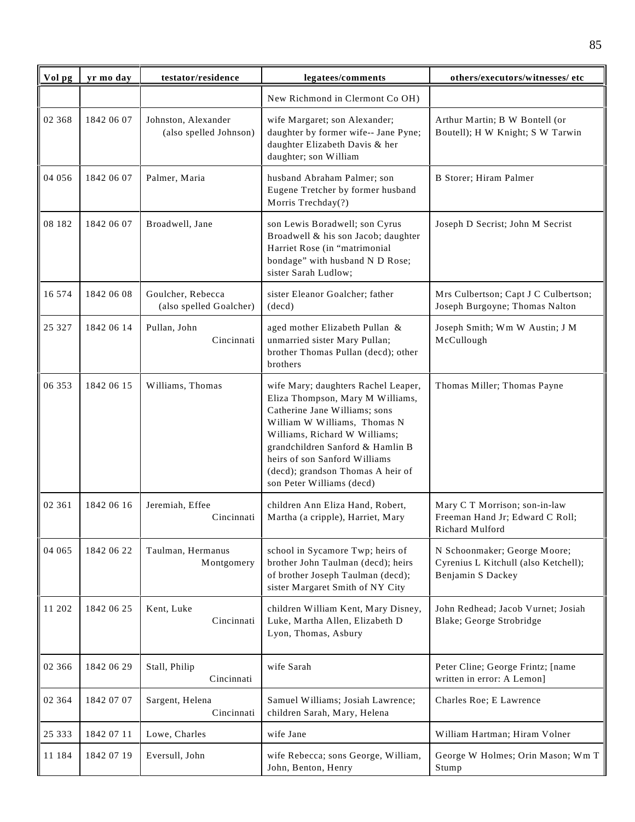| Vol pg   | yr mo day  | testator/residence                            | legatees/comments                                                                                                                                                                                                                                                                                                | others/executors/witnesses/ etc                                                           |
|----------|------------|-----------------------------------------------|------------------------------------------------------------------------------------------------------------------------------------------------------------------------------------------------------------------------------------------------------------------------------------------------------------------|-------------------------------------------------------------------------------------------|
|          |            |                                               | New Richmond in Clermont Co OH)                                                                                                                                                                                                                                                                                  |                                                                                           |
| 02 368   | 1842 06 07 | Johnston, Alexander<br>(also spelled Johnson) | wife Margaret; son Alexander;<br>daughter by former wife-- Jane Pyne;<br>daughter Elizabeth Davis & her<br>daughter; son William                                                                                                                                                                                 | Arthur Martin; B W Bontell (or<br>Boutell); H W Knight; S W Tarwin                        |
| 04 05 6  | 1842 06 07 | Palmer, Maria                                 | husband Abraham Palmer; son<br>Eugene Tretcher by former husband<br>Morris Trechday(?)                                                                                                                                                                                                                           | B Storer; Hiram Palmer                                                                    |
| 08 182   | 1842 06 07 | Broadwell, Jane                               | son Lewis Boradwell; son Cyrus<br>Broadwell & his son Jacob; daughter<br>Harriet Rose (in "matrimonial<br>bondage" with husband N D Rose;<br>sister Sarah Ludlow;                                                                                                                                                | Joseph D Secrist; John M Secrist                                                          |
| 16 574   | 1842 06 08 | Goulcher, Rebecca<br>(also spelled Goalcher)  | sister Eleanor Goalcher; father<br>(decd)                                                                                                                                                                                                                                                                        | Mrs Culbertson; Capt J C Culbertson;<br>Joseph Burgoyne; Thomas Nalton                    |
| 25 3 27  | 1842 06 14 | Pullan, John<br>Cincinnati                    | aged mother Elizabeth Pullan &<br>unmarried sister Mary Pullan;<br>brother Thomas Pullan (decd); other<br>brothers                                                                                                                                                                                               | Joseph Smith; Wm W Austin; J M<br>McCullough                                              |
| 06 353   | 1842 06 15 | Williams, Thomas                              | wife Mary; daughters Rachel Leaper,<br>Eliza Thompson, Mary M Williams,<br>Catherine Jane Williams; sons<br>William W Williams, Thomas N<br>Williams, Richard W Williams;<br>grandchildren Sanford & Hamlin B<br>heirs of son Sanford Williams<br>(decd); grandson Thomas A heir of<br>son Peter Williams (decd) | Thomas Miller; Thomas Payne                                                               |
| 02 361   | 1842 06 16 | Jeremiah, Effee<br>Cincinnati                 | children Ann Eliza Hand, Robert,<br>Martha (a cripple), Harriet, Mary                                                                                                                                                                                                                                            | Mary C T Morrison; son-in-law<br>Freeman Hand Jr; Edward C Roll;<br>Richard Mulford       |
| 04 065   | 1842 06 22 | Taulman, Hermanus<br>Montgomery               | school in Sycamore Twp; heirs of<br>brother John Taulman (decd); heirs<br>of brother Joseph Taulman (decd);<br>sister Margaret Smith of NY City                                                                                                                                                                  | N Schoonmaker; George Moore;<br>Cyrenius L Kitchull (also Ketchell);<br>Benjamin S Dackey |
| 11 202   | 1842 06 25 | Kent, Luke<br>Cincinnati                      | children William Kent, Mary Disney,<br>Luke, Martha Allen, Elizabeth D<br>Lyon, Thomas, Asbury                                                                                                                                                                                                                   | John Redhead; Jacob Vurnet; Josiah<br>Blake; George Strobridge                            |
| 02 366   | 1842 06 29 | Stall, Philip<br>Cincinnati                   | wife Sarah                                                                                                                                                                                                                                                                                                       | Peter Cline; George Frintz; [name<br>written in error: A Lemon]                           |
| 02 3 6 4 | 1842 07 07 | Sargent, Helena<br>Cincinnati                 | Samuel Williams; Josiah Lawrence;<br>children Sarah, Mary, Helena                                                                                                                                                                                                                                                | Charles Roe; E Lawrence                                                                   |
| 25 333   | 1842 07 11 | Lowe, Charles                                 | wife Jane                                                                                                                                                                                                                                                                                                        | William Hartman; Hiram Volner                                                             |
| 11 184   | 1842 07 19 | Eversull, John                                | wife Rebecca; sons George, William,<br>John, Benton, Henry                                                                                                                                                                                                                                                       | George W Holmes; Orin Mason; Wm T<br>Stump                                                |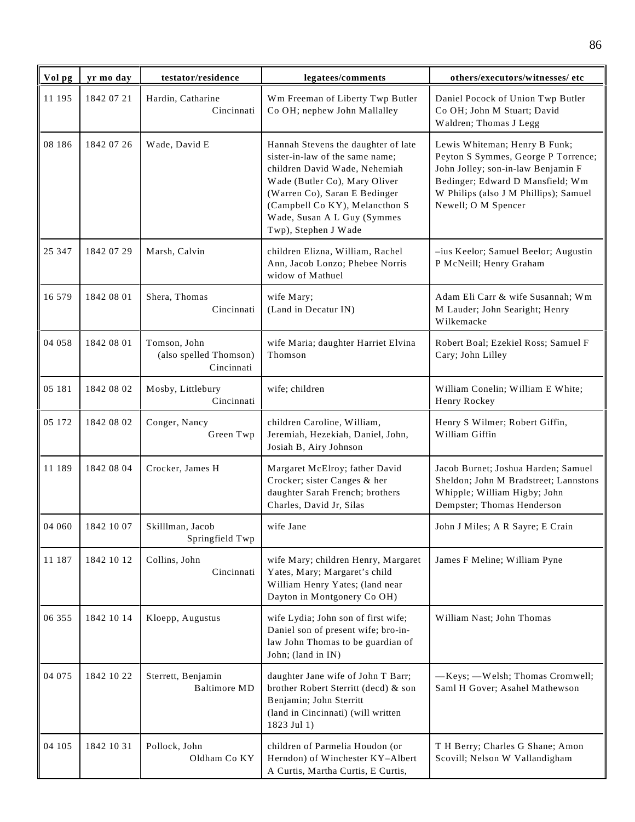| Vol pg | yr mo day  | testator/residence                                   | legatees/comments                                                                                                                                                                                                                                                  | others/executors/witnesses/etc                                                                                                                                                                                 |
|--------|------------|------------------------------------------------------|--------------------------------------------------------------------------------------------------------------------------------------------------------------------------------------------------------------------------------------------------------------------|----------------------------------------------------------------------------------------------------------------------------------------------------------------------------------------------------------------|
| 11 195 | 1842 07 21 | Hardin, Catharine<br>Cincinnati                      | Wm Freeman of Liberty Twp Butler<br>Co OH; nephew John Mallalley                                                                                                                                                                                                   | Daniel Pocock of Union Twp Butler<br>Co OH; John M Stuart; David<br>Waldren; Thomas J Legg                                                                                                                     |
| 08 186 | 1842 07 26 | Wade, David E                                        | Hannah Stevens the daughter of late<br>sister-in-law of the same name;<br>children David Wade, Nehemiah<br>Wade (Butler Co), Mary Oliver<br>(Warren Co), Saran E Bedinger<br>(Campbell Co KY), Melancthon S<br>Wade, Susan A L Guy (Symmes<br>Twp), Stephen J Wade | Lewis Whiteman; Henry B Funk;<br>Peyton S Symmes, George P Torrence;<br>John Jolley; son-in-law Benjamin F<br>Bedinger; Edward D Mansfield; Wm<br>W Philips (also J M Phillips); Samuel<br>Newell; O M Spencer |
| 25 347 | 1842 07 29 | Marsh, Calvin                                        | children Elizna, William, Rachel<br>Ann, Jacob Lonzo; Phebee Norris<br>widow of Mathuel                                                                                                                                                                            | -ius Keelor; Samuel Beelor; Augustin<br>P McNeill; Henry Graham                                                                                                                                                |
| 16 579 | 1842 08 01 | Shera, Thomas<br>Cincinnati                          | wife Mary;<br>(Land in Decatur IN)                                                                                                                                                                                                                                 | Adam Eli Carr & wife Susannah; Wm<br>M Lauder; John Searight; Henry<br>Wilkemacke                                                                                                                              |
| 04 058 | 1842 08 01 | Tomson, John<br>(also spelled Thomson)<br>Cincinnati | wife Maria; daughter Harriet Elvina<br>Thomson                                                                                                                                                                                                                     | Robert Boal; Ezekiel Ross; Samuel F<br>Cary; John Lilley                                                                                                                                                       |
| 05 181 | 1842 08 02 | Mosby, Littlebury<br>Cincinnati                      | wife; children                                                                                                                                                                                                                                                     | William Conelin; William E White;<br>Henry Rockey                                                                                                                                                              |
| 05 172 | 1842 08 02 | Conger, Nancy<br>Green Twp                           | children Caroline, William,<br>Jeremiah, Hezekiah, Daniel, John,<br>Josiah B, Airy Johnson                                                                                                                                                                         | Henry S Wilmer; Robert Giffin,<br>William Giffin                                                                                                                                                               |
| 11 189 | 1842 08 04 | Crocker, James H                                     | Margaret McElroy; father David<br>Crocker; sister Canges & her<br>daughter Sarah French; brothers<br>Charles, David Jr, Silas                                                                                                                                      | Jacob Burnet; Joshua Harden; Samuel<br>Sheldon; John M Bradstreet; Lannstons<br>Whipple; William Higby; John<br>Dempster; Thomas Henderson                                                                     |
| 04 060 | 1842 10 07 | Skilllman, Jacob<br>Springfield Twp                  | wife Jane                                                                                                                                                                                                                                                          | John J Miles; A R Sayre; E Crain                                                                                                                                                                               |
| 11 187 | 1842 10 12 | Collins, John<br>Cincinnati                          | wife Mary; children Henry, Margaret<br>Yates, Mary; Margaret's child<br>William Henry Yates; (land near<br>Dayton in Montgonery Co OH)                                                                                                                             | James F Meline; William Pyne                                                                                                                                                                                   |
| 06 355 | 1842 10 14 | Kloepp, Augustus                                     | wife Lydia; John son of first wife;<br>Daniel son of present wife; bro-in-<br>law John Thomas to be guardian of<br>John; (land in IN)                                                                                                                              | William Nast; John Thomas                                                                                                                                                                                      |
| 04 075 | 1842 10 22 | Sterrett, Benjamin<br><b>Baltimore MD</b>            | daughter Jane wife of John T Barr;<br>brother Robert Sterritt (decd) & son<br>Benjamin; John Sterritt<br>(land in Cincinnati) (will written<br>1823 Jul 1)                                                                                                         | -Keys; - Welsh; Thomas Cromwell;<br>Saml H Gover; Asahel Mathewson                                                                                                                                             |
| 04 105 | 1842 10 31 | Pollock, John<br>Oldham Co KY                        | children of Parmelia Houdon (or<br>Herndon) of Winchester KY-Albert<br>A Curtis, Martha Curtis, E Curtis,                                                                                                                                                          | T H Berry; Charles G Shane; Amon<br>Scovill; Nelson W Vallandigham                                                                                                                                             |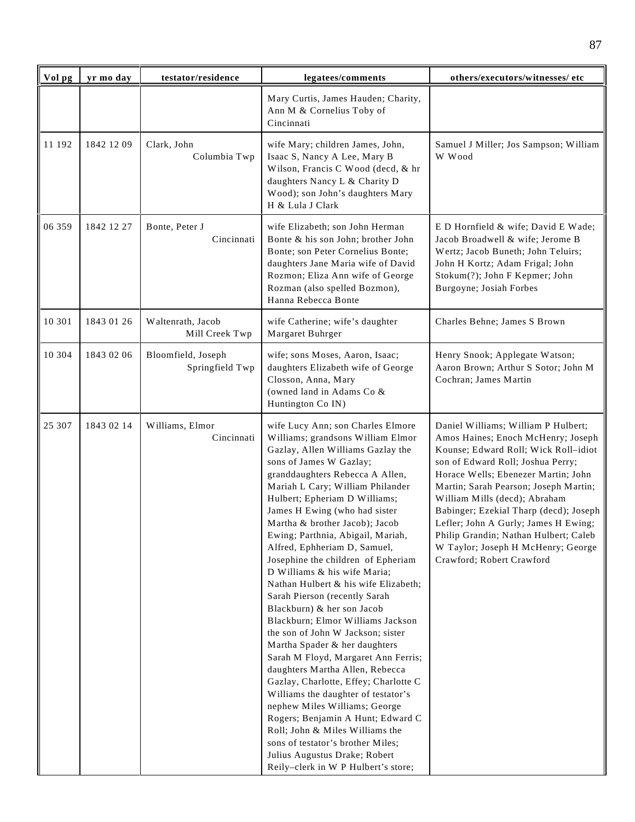| Vol pg | yr mo day  | testator/residence                    | legatees/comments                                                                                                                                                                                                                                                                                                                                                                                                                                                                                                                                                                                                                                                                                                                                                                                                                                                                                                                                                                                                                                              | others/executors/witnesses/ etc                                                                                                                                                                                                                                                                                                                                                                                                                                       |
|--------|------------|---------------------------------------|----------------------------------------------------------------------------------------------------------------------------------------------------------------------------------------------------------------------------------------------------------------------------------------------------------------------------------------------------------------------------------------------------------------------------------------------------------------------------------------------------------------------------------------------------------------------------------------------------------------------------------------------------------------------------------------------------------------------------------------------------------------------------------------------------------------------------------------------------------------------------------------------------------------------------------------------------------------------------------------------------------------------------------------------------------------|-----------------------------------------------------------------------------------------------------------------------------------------------------------------------------------------------------------------------------------------------------------------------------------------------------------------------------------------------------------------------------------------------------------------------------------------------------------------------|
|        |            |                                       | Mary Curtis, James Hauden; Charity,<br>Ann M & Cornelius Toby of<br>Cincinnati                                                                                                                                                                                                                                                                                                                                                                                                                                                                                                                                                                                                                                                                                                                                                                                                                                                                                                                                                                                 |                                                                                                                                                                                                                                                                                                                                                                                                                                                                       |
| 11 192 | 1842 12 09 | Clark, John<br>Columbia Twp           | wife Mary; children James, John,<br>Isaac S, Nancy A Lee, Mary B<br>Wilson, Francis C Wood (decd, & hr<br>daughters Nancy L & Charity D<br>Wood); son John's daughters Mary<br>H & Lula J Clark                                                                                                                                                                                                                                                                                                                                                                                                                                                                                                                                                                                                                                                                                                                                                                                                                                                                | Samuel J Miller; Jos Sampson; William<br>W Wood                                                                                                                                                                                                                                                                                                                                                                                                                       |
| 06 359 | 1842 12 27 | Bonte, Peter J<br>Cincinnati          | wife Elizabeth; son John Herman<br>Bonte & his son John; brother John<br>Bonte; son Peter Cornelius Bonte;<br>daughters Jane Maria wife of David<br>Rozmon; Eliza Ann wife of George<br>Rozman (also spelled Bozmon),<br>Hanna Rebecca Bonte                                                                                                                                                                                                                                                                                                                                                                                                                                                                                                                                                                                                                                                                                                                                                                                                                   | E D Hornfield & wife; David E Wade;<br>Jacob Broadwell & wife; Jerome B<br>Wertz; Jacob Buneth; John Teluirs;<br>John H Kortz; Adam Frigal; John<br>Stokum(?); John F Kepmer; John<br>Burgoyne; Josiah Forbes                                                                                                                                                                                                                                                         |
| 10 301 | 1843 01 26 | Waltenrath, Jacob<br>Mill Creek Twp   | wife Catherine; wife's daughter<br>Margaret Buhrger                                                                                                                                                                                                                                                                                                                                                                                                                                                                                                                                                                                                                                                                                                                                                                                                                                                                                                                                                                                                            | Charles Behne; James S Brown                                                                                                                                                                                                                                                                                                                                                                                                                                          |
| 10 304 | 1843 02 06 | Bloomfield, Joseph<br>Springfield Twp | wife; sons Moses, Aaron, Isaac;<br>daughters Elizabeth wife of George<br>Closson, Anna, Mary<br>(owned land in Adams Co &<br>Huntington Co IN)                                                                                                                                                                                                                                                                                                                                                                                                                                                                                                                                                                                                                                                                                                                                                                                                                                                                                                                 | Henry Snook; Applegate Watson;<br>Aaron Brown; Arthur S Sotor; John M<br>Cochran; James Martin                                                                                                                                                                                                                                                                                                                                                                        |
| 25 307 | 1843 02 14 | Williams, Elmor<br>Cincinnati         | wife Lucy Ann; son Charles Elmore<br>Williams; grandsons William Elmor<br>Gazlay, Allen Williams Gazlay the<br>sons of James W Gazlay;<br>granddaughters Rebecca A Allen,<br>Mariah L Cary; William Philander<br>Hulbert; Epheriam D Williams;<br>James H Ewing (who had sister<br>Martha & brother Jacob); Jacob<br>Ewing; Parthnia, Abigail, Mariah,<br>Alfred, Ephheriam D, Samuel,<br>Josephine the children of Epheriam<br>D Williams & his wife Maria;<br>Nathan Hulbert & his wife Elizabeth;<br>Sarah Pierson (recently Sarah<br>Blackburn) & her son Jacob<br>Blackburn; Elmor Williams Jackson<br>the son of John W Jackson; sister<br>Martha Spader & her daughters<br>Sarah M Floyd, Margaret Ann Ferris;<br>daughters Martha Allen, Rebecca<br>Gazlay, Charlotte, Effey; Charlotte C<br>Williams the daughter of testator's<br>nephew Miles Williams; George<br>Rogers; Benjamin A Hunt; Edward C<br>Roll; John & Miles Williams the<br>sons of testator's brother Miles;<br>Julius Augustus Drake; Robert<br>Reily-clerk in W P Hulbert's store; | Daniel Williams; William P Hulbert;<br>Amos Haines; Enoch McHenry; Joseph<br>Kounse; Edward Roll; Wick Roll-idiot<br>son of Edward Roll; Joshua Perry;<br>Horace Wells; Ebenezer Martin; John<br>Martin; Sarah Pearson; Joseph Martin;<br>William Mills (decd); Abraham<br>Babinger; Ezekial Tharp (decd); Joseph<br>Lefler; John A Gurly; James H Ewing;<br>Philip Grandin; Nathan Hulbert; Caleb<br>W Taylor; Joseph H McHenry; George<br>Crawford; Robert Crawford |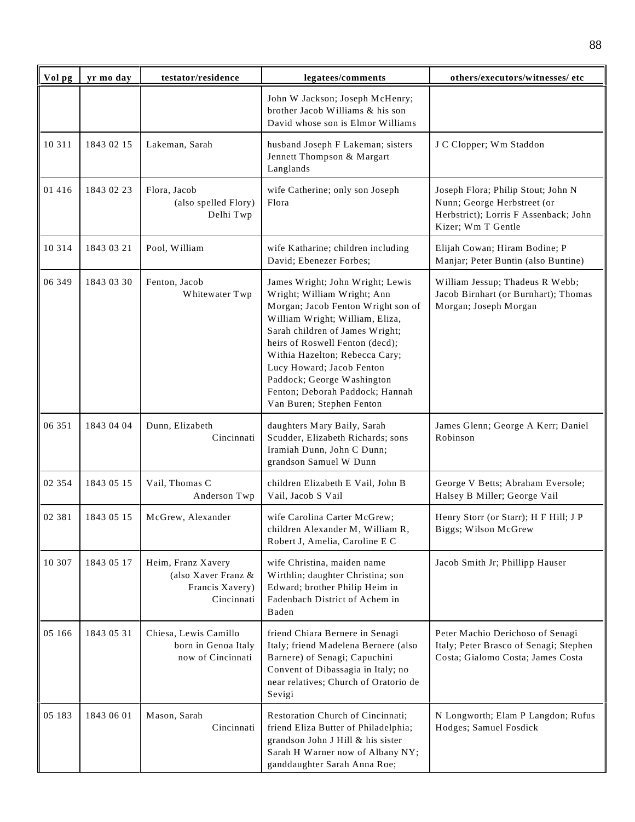| Vol pg  | yr mo day  | testator/residence                                                         | legatees/comments                                                                                                                                                                                                                                                                                                                                                           | others/executors/witnesses/ etc                                                                                                  |
|---------|------------|----------------------------------------------------------------------------|-----------------------------------------------------------------------------------------------------------------------------------------------------------------------------------------------------------------------------------------------------------------------------------------------------------------------------------------------------------------------------|----------------------------------------------------------------------------------------------------------------------------------|
|         |            |                                                                            | John W Jackson; Joseph McHenry;<br>brother Jacob Williams & his son<br>David whose son is Elmor Williams                                                                                                                                                                                                                                                                    |                                                                                                                                  |
| 10 3 11 | 1843 02 15 | Lakeman, Sarah                                                             | husband Joseph F Lakeman; sisters<br>Jennett Thompson & Margart<br>Langlands                                                                                                                                                                                                                                                                                                | J C Clopper; Wm Staddon                                                                                                          |
| 01 416  | 1843 02 23 | Flora, Jacob<br>(also spelled Flory)<br>Delhi Twp                          | wife Catherine; only son Joseph<br>Flora                                                                                                                                                                                                                                                                                                                                    | Joseph Flora; Philip Stout; John N<br>Nunn; George Herbstreet (or<br>Herbstrict); Lorris F Assenback; John<br>Kizer; Wm T Gentle |
| 10 3 14 | 1843 03 21 | Pool, William                                                              | wife Katharine; children including<br>David; Ebenezer Forbes;                                                                                                                                                                                                                                                                                                               | Elijah Cowan; Hiram Bodine; P<br>Manjar; Peter Buntin (also Buntine)                                                             |
| 06 349  | 1843 03 30 | Fenton, Jacob<br>Whitewater Twp                                            | James Wright; John Wright; Lewis<br>Wright; William Wright; Ann<br>Morgan; Jacob Fenton Wright son of<br>William Wright; William, Eliza,<br>Sarah children of James Wright;<br>heirs of Roswell Fenton (decd);<br>Withia Hazelton; Rebecca Cary;<br>Lucy Howard; Jacob Fenton<br>Paddock; George Washington<br>Fenton; Deborah Paddock; Hannah<br>Van Buren; Stephen Fenton | William Jessup; Thadeus R Webb;<br>Jacob Birnhart (or Burnhart); Thomas<br>Morgan; Joseph Morgan                                 |
| 06 351  | 1843 04 04 | Dunn, Elizabeth<br>Cincinnati                                              | daughters Mary Baily, Sarah<br>Scudder, Elizabeth Richards; sons<br>Iramiah Dunn, John C Dunn;<br>grandson Samuel W Dunn                                                                                                                                                                                                                                                    | James Glenn; George A Kerr; Daniel<br>Robinson                                                                                   |
| 02 354  | 1843 05 15 | Vail, Thomas C<br>Anderson Twp                                             | children Elizabeth E Vail, John B<br>Vail, Jacob S Vail                                                                                                                                                                                                                                                                                                                     | George V Betts; Abraham Eversole;<br>Halsey B Miller; George Vail                                                                |
| 02 381  | 1843 05 15 | McGrew, Alexander                                                          | wife Carolina Carter McGrew;<br>children Alexander M, William R,<br>Robert J, Amelia, Caroline E C                                                                                                                                                                                                                                                                          | Henry Storr (or Starr); H F Hill; J P<br>Biggs; Wilson McGrew                                                                    |
| 10 307  | 1843 05 17 | Heim, Franz Xavery<br>(also Xaver Franz &<br>Francis Xavery)<br>Cincinnati | wife Christina, maiden name<br>Wirthlin; daughter Christina; son<br>Edward; brother Philip Heim in<br>Fadenbach District of Achem in<br>Baden                                                                                                                                                                                                                               | Jacob Smith Jr; Phillipp Hauser                                                                                                  |
| 05 166  | 1843 05 31 | Chiesa, Lewis Camillo<br>born in Genoa Italy<br>now of Cincinnati          | friend Chiara Bernere in Senagi<br>Italy; friend Madelena Bernere (also<br>Barnere) of Senagi; Capuchini<br>Convent of Dibassagia in Italy; no<br>near relatives; Church of Oratorio de<br>Sevigi                                                                                                                                                                           | Peter Machio Derichoso of Senagi<br>Italy; Peter Brasco of Senagi; Stephen<br>Costa; Gialomo Costa; James Costa                  |
| 05 183  | 1843 06 01 | Mason, Sarah<br>Cincinnati                                                 | Restoration Church of Cincinnati;<br>friend Eliza Butter of Philadelphia;<br>grandson John J Hill & his sister<br>Sarah H Warner now of Albany NY;<br>ganddaughter Sarah Anna Roe;                                                                                                                                                                                          | N Longworth; Elam P Langdon; Rufus<br>Hodges; Samuel Fosdick                                                                     |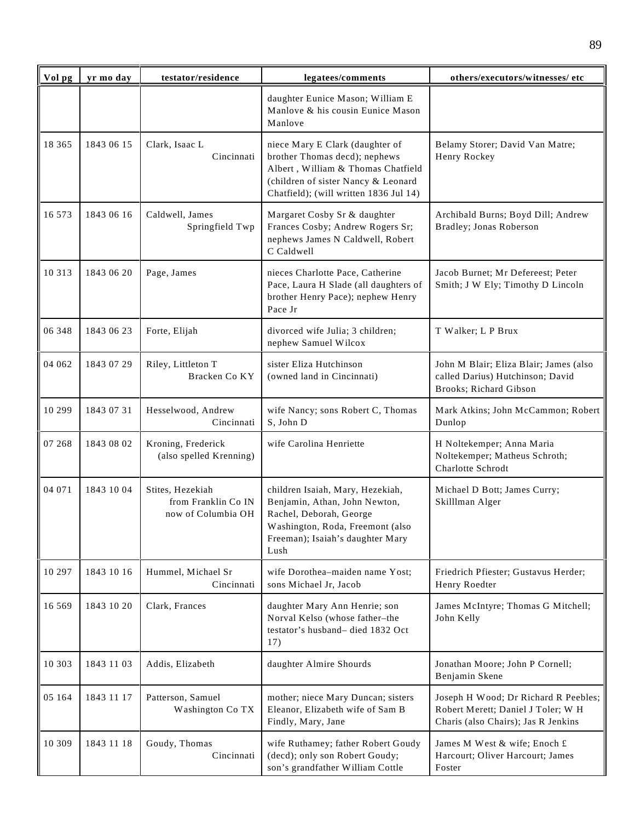| Vol pg   | yr mo day  | testator/residence                                            | legatees/comments                                                                                                                                                                       | others/executors/witnesses/etc                                                                                    |
|----------|------------|---------------------------------------------------------------|-----------------------------------------------------------------------------------------------------------------------------------------------------------------------------------------|-------------------------------------------------------------------------------------------------------------------|
|          |            |                                                               | daughter Eunice Mason; William E<br>Manlove & his cousin Eunice Mason<br>Manlove                                                                                                        |                                                                                                                   |
| 18 3 6 5 | 1843 06 15 | Clark, Isaac L<br>Cincinnati                                  | niece Mary E Clark (daughter of<br>brother Thomas decd); nephews<br>Albert, William & Thomas Chatfield<br>(children of sister Nancy & Leonard<br>Chatfield); (will written 1836 Jul 14) | Belamy Storer; David Van Matre;<br>Henry Rockey                                                                   |
| 16 573   | 1843 06 16 | Caldwell, James<br>Springfield Twp                            | Margaret Cosby Sr & daughter<br>Frances Cosby; Andrew Rogers Sr;<br>nephews James N Caldwell, Robert<br>C Caldwell                                                                      | Archibald Burns; Boyd Dill; Andrew<br>Bradley; Jonas Roberson                                                     |
| 10 3 13  | 1843 06 20 | Page, James                                                   | nieces Charlotte Pace, Catherine<br>Pace, Laura H Slade (all daughters of<br>brother Henry Pace); nephew Henry<br>Pace Jr                                                               | Jacob Burnet; Mr Defereest; Peter<br>Smith; J W Ely; Timothy D Lincoln                                            |
| 06 348   | 1843 06 23 | Forte, Elijah                                                 | divorced wife Julia; 3 children;<br>nephew Samuel Wilcox                                                                                                                                | T Walker; L P Brux                                                                                                |
| 04 062   | 1843 07 29 | Riley, Littleton T<br>Bracken Co KY                           | sister Eliza Hutchinson<br>(owned land in Cincinnati)                                                                                                                                   | John M Blair; Eliza Blair; James (also<br>called Darius) Hutchinson; David<br>Brooks; Richard Gibson              |
| 10 299   | 1843 07 31 | Hesselwood, Andrew<br>Cincinnati                              | wife Nancy; sons Robert C, Thomas<br>S, John D                                                                                                                                          | Mark Atkins; John McCammon; Robert<br>Dunlop                                                                      |
| 07 268   | 1843 08 02 | Kroning, Frederick<br>(also spelled Krenning)                 | wife Carolina Henriette                                                                                                                                                                 | H Noltekemper; Anna Maria<br>Noltekemper; Matheus Schroth;<br>Charlotte Schrodt                                   |
| 04 071   | 1843 10 04 | Stites, Hezekiah<br>from Franklin Co IN<br>now of Columbia OH | children Isaiah, Mary, Hezekiah,<br>Benjamin, Athan, John Newton,<br>Rachel, Deborah, George<br>Washington, Roda, Freemont (also<br>Freeman); Isaiah's daughter Mary<br>Lush            | Michael D Bott; James Curry;<br>Skilllman Alger                                                                   |
| 10 297   | 1843 10 16 | Hummel, Michael Sr<br>Cincinnati                              | wife Dorothea-maiden name Yost;<br>sons Michael Jr, Jacob                                                                                                                               | Friedrich Pfiester; Gustavus Herder;<br>Henry Roedter                                                             |
| 16 5 6 9 | 1843 10 20 | Clark, Frances                                                | daughter Mary Ann Henrie; son<br>Norval Kelso (whose father-the<br>testator's husband- died 1832 Oct<br>17)                                                                             | James McIntyre; Thomas G Mitchell;<br>John Kelly                                                                  |
| 10 303   | 1843 11 03 | Addis, Elizabeth                                              | daughter Almire Shourds                                                                                                                                                                 | Jonathan Moore; John P Cornell;<br>Benjamin Skene                                                                 |
| 05 164   | 1843 11 17 | Patterson, Samuel<br>Washington Co TX                         | mother; niece Mary Duncan; sisters<br>Eleanor, Elizabeth wife of Sam B<br>Findly, Mary, Jane                                                                                            | Joseph H Wood; Dr Richard R Peebles;<br>Robert Merett; Daniel J Toler; W H<br>Charis (also Chairs); Jas R Jenkins |
| 10 309   | 1843 11 18 | Goudy, Thomas<br>Cincinnati                                   | wife Ruthamey; father Robert Goudy<br>(decd); only son Robert Goudy;<br>son's grandfather William Cottle                                                                                | James M West & wife; Enoch £<br>Harcourt; Oliver Harcourt; James<br>Foster                                        |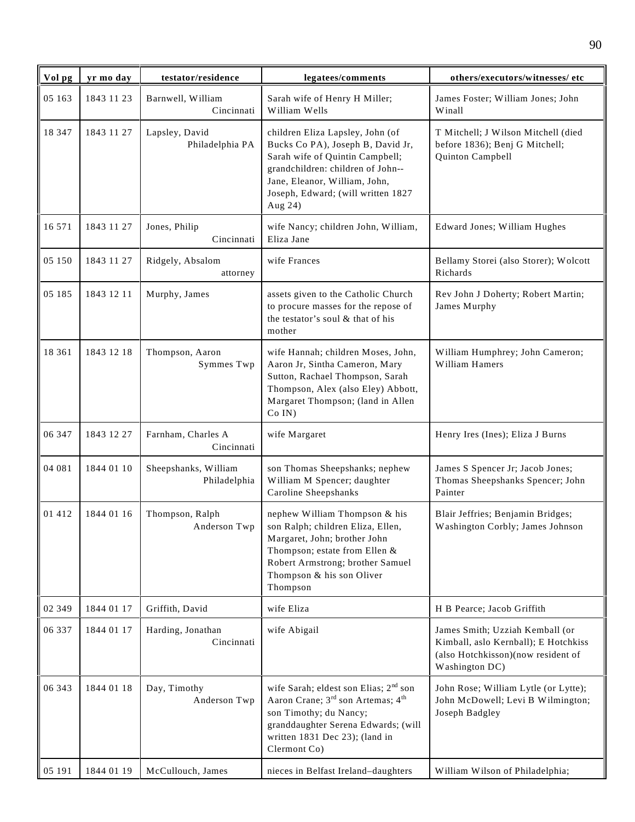| Vol pg | yr mo day  | testator/residence                   | legatees/comments                                                                                                                                                                                                                 | others/executors/witnesses/ etc                                                                                                 |
|--------|------------|--------------------------------------|-----------------------------------------------------------------------------------------------------------------------------------------------------------------------------------------------------------------------------------|---------------------------------------------------------------------------------------------------------------------------------|
| 05 163 | 1843 11 23 | Barnwell, William<br>Cincinnati      | Sarah wife of Henry H Miller;<br>William Wells                                                                                                                                                                                    | James Foster; William Jones; John<br>Winall                                                                                     |
| 18 347 | 1843 11 27 | Lapsley, David<br>Philadelphia PA    | children Eliza Lapsley, John (of<br>Bucks Co PA), Joseph B, David Jr,<br>Sarah wife of Quintin Campbell;<br>grandchildren: children of John--<br>Jane, Eleanor, William, John,<br>Joseph, Edward; (will written 1827<br>Aug 24)   | T Mitchell; J Wilson Mitchell (died<br>before 1836); Benj G Mitchell;<br>Quinton Campbell                                       |
| 16 571 | 1843 11 27 | Jones, Philip<br>Cincinnati          | wife Nancy; children John, William,<br>Eliza Jane                                                                                                                                                                                 | Edward Jones; William Hughes                                                                                                    |
| 05 150 | 1843 11 27 | Ridgely, Absalom<br>attorney         | wife Frances                                                                                                                                                                                                                      | Bellamy Storei (also Storer); Wolcott<br>Richards                                                                               |
| 05 185 | 1843 12 11 | Murphy, James                        | assets given to the Catholic Church<br>to procure masses for the repose of<br>the testator's soul & that of his<br>mother                                                                                                         | Rev John J Doherty; Robert Martin;<br>James Murphy                                                                              |
| 18 361 | 1843 12 18 | Thompson, Aaron<br>Symmes Twp        | wife Hannah; children Moses, John,<br>Aaron Jr, Sintha Cameron, Mary<br>Sutton, Rachael Thompson, Sarah<br>Thompson, Alex (also Eley) Abbott,<br>Margaret Thompson; (land in Allen<br>Co IN)                                      | William Humphrey; John Cameron;<br>William Hamers                                                                               |
| 06 347 | 1843 12 27 | Farnham, Charles A<br>Cincinnati     | wife Margaret                                                                                                                                                                                                                     | Henry Ires (Ines); Eliza J Burns                                                                                                |
| 04 081 | 1844 01 10 | Sheepshanks, William<br>Philadelphia | son Thomas Sheepshanks; nephew<br>William M Spencer; daughter<br>Caroline Sheepshanks                                                                                                                                             | James S Spencer Jr; Jacob Jones;<br>Thomas Sheepshanks Spencer; John<br>Painter                                                 |
| 01 412 | 1844 01 16 | Thompson, Ralph                      | nephew William Thompson & his<br>Anderson Twp   son Ralph; children Eliza, Ellen,<br>Margaret, John; brother John<br>Thompson; estate from Ellen &<br>Robert Armstrong; brother Samuel<br>Thompson & his son Oliver<br>Thompson   | Blair Jeffries; Benjamin Bridges;<br>Washington Corbly; James Johnson                                                           |
| 02 349 | 1844 01 17 | Griffith, David                      | wife Eliza                                                                                                                                                                                                                        | H B Pearce; Jacob Griffith                                                                                                      |
| 06 337 | 1844 01 17 | Harding, Jonathan<br>Cincinnati      | wife Abigail                                                                                                                                                                                                                      | James Smith; Uzziah Kemball (or<br>Kimball, aslo Kernball); E Hotchkiss<br>(also Hotchkisson)(now resident of<br>Washington DC) |
| 06 343 | 1844 01 18 | Day, Timothy<br>Anderson Twp         | wife Sarah; eldest son Elias; 2 <sup>nd</sup> son<br>Aaron Crane; 3 <sup>rd</sup> son Artemas; 4 <sup>th</sup><br>son Timothy; du Nancy;<br>granddaughter Serena Edwards; (will<br>written 1831 Dec 23); (land in<br>Clermont Co) | John Rose; William Lytle (or Lytte);<br>John McDowell; Levi B Wilmington;<br>Joseph Badgley                                     |
| 05 191 | 1844 01 19 | McCullouch, James                    | nieces in Belfast Ireland-daughters                                                                                                                                                                                               | William Wilson of Philadelphia;                                                                                                 |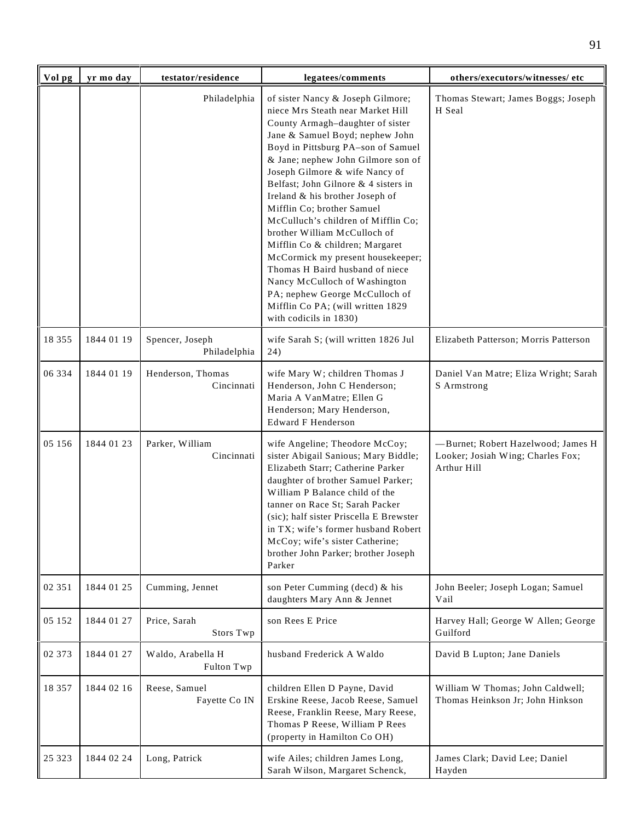| Vol pg   | yr mo day  | testator/residence              | legatees/comments                                                                                                                                                                                                                                                                                                                                                                                                                                                                                                                                                                                                                                                                        | others/executors/witnesses/ etc                                                        |
|----------|------------|---------------------------------|------------------------------------------------------------------------------------------------------------------------------------------------------------------------------------------------------------------------------------------------------------------------------------------------------------------------------------------------------------------------------------------------------------------------------------------------------------------------------------------------------------------------------------------------------------------------------------------------------------------------------------------------------------------------------------------|----------------------------------------------------------------------------------------|
|          |            | Philadelphia                    | of sister Nancy & Joseph Gilmore;<br>niece Mrs Steath near Market Hill<br>County Armagh-daughter of sister<br>Jane & Samuel Boyd; nephew John<br>Boyd in Pittsburg PA-son of Samuel<br>& Jane; nephew John Gilmore son of<br>Joseph Gilmore & wife Nancy of<br>Belfast; John Gilnore & 4 sisters in<br>Ireland & his brother Joseph of<br>Mifflin Co; brother Samuel<br>McCulluch's children of Mifflin Co;<br>brother William McCulloch of<br>Mifflin Co & children; Margaret<br>McCormick my present housekeeper;<br>Thomas H Baird husband of niece<br>Nancy McCulloch of Washington<br>PA; nephew George McCulloch of<br>Mifflin Co PA; (will written 1829<br>with codicils in 1830) | Thomas Stewart; James Boggs; Joseph<br>H Seal                                          |
| 18 355   | 1844 01 19 | Spencer, Joseph<br>Philadelphia | wife Sarah S; (will written 1826 Jul<br>24)                                                                                                                                                                                                                                                                                                                                                                                                                                                                                                                                                                                                                                              | Elizabeth Patterson; Morris Patterson                                                  |
| 06 334   | 1844 01 19 | Henderson, Thomas<br>Cincinnati | wife Mary W; children Thomas J<br>Henderson, John C Henderson;<br>Maria A VanMatre; Ellen G<br>Henderson; Mary Henderson,<br><b>Edward F Henderson</b>                                                                                                                                                                                                                                                                                                                                                                                                                                                                                                                                   | Daniel Van Matre; Eliza Wright; Sarah<br>S Armstrong                                   |
| 05 156   | 1844 01 23 | Parker, William<br>Cincinnati   | wife Angeline; Theodore McCoy;<br>sister Abigail Sanious; Mary Biddle;<br>Elizabeth Starr; Catherine Parker<br>daughter of brother Samuel Parker;<br>William P Balance child of the<br>tanner on Race St; Sarah Packer<br>(sic); half sister Priscella E Brewster<br>in TX; wife's former husband Robert<br>McCoy; wife's sister Catherine;<br>brother John Parker; brother Joseph<br>Parker                                                                                                                                                                                                                                                                                             | -Burnet; Robert Hazelwood; James H<br>Looker; Josiah Wing; Charles Fox;<br>Arthur Hill |
| 02 351   | 1844 01 25 | Cumming, Jennet                 | son Peter Cumming (decd) & his<br>daughters Mary Ann & Jennet                                                                                                                                                                                                                                                                                                                                                                                                                                                                                                                                                                                                                            | John Beeler; Joseph Logan; Samuel<br>Vail                                              |
| 05 152   | 1844 01 27 | Price, Sarah<br>Stors Twp       | son Rees E Price                                                                                                                                                                                                                                                                                                                                                                                                                                                                                                                                                                                                                                                                         | Harvey Hall; George W Allen; George<br>Guilford                                        |
| 02 373   | 1844 01 27 | Waldo, Arabella H<br>Fulton Twp | husband Frederick A Waldo                                                                                                                                                                                                                                                                                                                                                                                                                                                                                                                                                                                                                                                                | David B Lupton; Jane Daniels                                                           |
| 18 3 5 7 | 1844 02 16 | Reese, Samuel<br>Fayette Co IN  | children Ellen D Payne, David<br>Erskine Reese, Jacob Reese, Samuel<br>Reese, Franklin Reese, Mary Reese,<br>Thomas P Reese, William P Rees<br>(property in Hamilton Co OH)                                                                                                                                                                                                                                                                                                                                                                                                                                                                                                              | William W Thomas; John Caldwell;<br>Thomas Heinkson Jr; John Hinkson                   |
| 25 3 23  | 1844 02 24 | Long, Patrick                   | wife Ailes; children James Long,<br>Sarah Wilson, Margaret Schenck,                                                                                                                                                                                                                                                                                                                                                                                                                                                                                                                                                                                                                      | James Clark; David Lee; Daniel<br>Hayden                                               |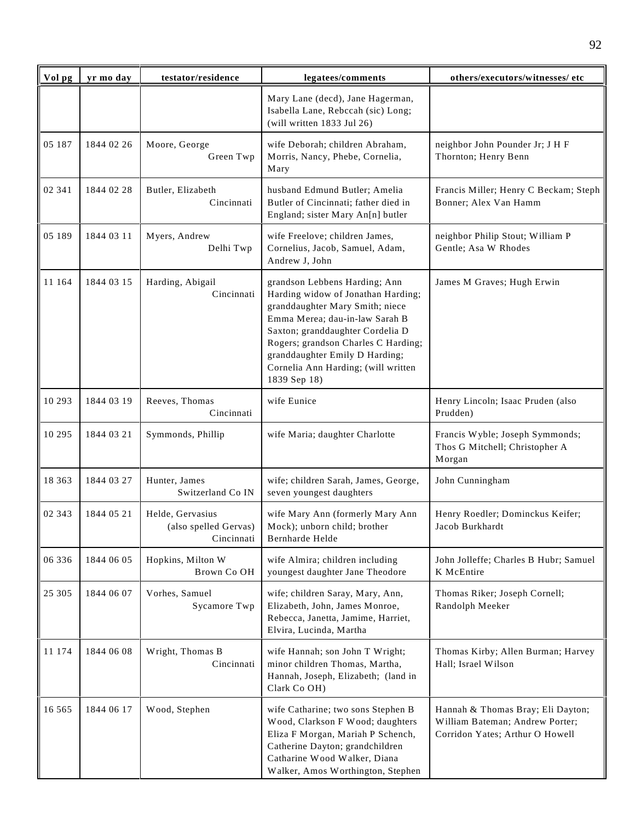| Vol pg   | yr mo day  | testator/residence                                      | legatees/comments                                                                                                                                                                                                                                                                                            | others/executors/witnesses/ etc                                                                         |
|----------|------------|---------------------------------------------------------|--------------------------------------------------------------------------------------------------------------------------------------------------------------------------------------------------------------------------------------------------------------------------------------------------------------|---------------------------------------------------------------------------------------------------------|
|          |            |                                                         | Mary Lane (decd), Jane Hagerman,<br>Isabella Lane, Rebccah (sic) Long;<br>(will written $1833$ Jul 26)                                                                                                                                                                                                       |                                                                                                         |
| 05 187   | 1844 02 26 | Moore, George<br>Green Twp                              | wife Deborah; children Abraham,<br>Morris, Nancy, Phebe, Cornelia,<br>Mary                                                                                                                                                                                                                                   | neighbor John Pounder Jr; J H F<br>Thornton; Henry Benn                                                 |
| 02 341   | 1844 02 28 | Butler, Elizabeth<br>Cincinnati                         | husband Edmund Butler; Amelia<br>Butler of Cincinnati; father died in<br>England; sister Mary An[n] butler                                                                                                                                                                                                   | Francis Miller; Henry C Beckam; Steph<br>Bonner; Alex Van Hamm                                          |
| 05 189   | 1844 03 11 | Myers, Andrew<br>Delhi Twp                              | wife Freelove; children James,<br>Cornelius, Jacob, Samuel, Adam,<br>Andrew J, John                                                                                                                                                                                                                          | neighbor Philip Stout; William P<br>Gentle; Asa W Rhodes                                                |
| 11 164   | 1844 03 15 | Harding, Abigail<br>Cincinnati                          | grandson Lebbens Harding; Ann<br>Harding widow of Jonathan Harding;<br>granddaughter Mary Smith; niece<br>Emma Merea; dau-in-law Sarah B<br>Saxton; granddaughter Cordelia D<br>Rogers; grandson Charles C Harding;<br>granddaughter Emily D Harding;<br>Cornelia Ann Harding; (will written<br>1839 Sep 18) | James M Graves; Hugh Erwin                                                                              |
| 10 293   | 1844 03 19 | Reeves, Thomas<br>Cincinnati                            | wife Eunice                                                                                                                                                                                                                                                                                                  | Henry Lincoln; Isaac Pruden (also<br>Prudden)                                                           |
| 10 295   | 1844 03 21 | Symmonds, Phillip                                       | wife Maria; daughter Charlotte                                                                                                                                                                                                                                                                               | Francis Wyble; Joseph Symmonds;<br>Thos G Mitchell; Christopher A<br>Morgan                             |
| 18 363   | 1844 03 27 | Hunter, James<br>Switzerland Co IN                      | wife; children Sarah, James, George,<br>seven youngest daughters                                                                                                                                                                                                                                             | John Cunningham                                                                                         |
| 02 343   | 1844 05 21 | Helde, Gervasius<br>(also spelled Gervas)<br>Cincinnati | wife Mary Ann (formerly Mary Ann<br>Mock); unborn child; brother<br>Bernharde Helde                                                                                                                                                                                                                          | Henry Roedler; Dominckus Keifer;<br>Jacob Burkhardt                                                     |
| 06 336   | 1844 06 05 | Hopkins, Milton W<br>Brown Co OH                        | wife Almira; children including<br>youngest daughter Jane Theodore                                                                                                                                                                                                                                           | John Jolleffe; Charles B Hubr; Samuel<br>K McEntire                                                     |
| 25 305   | 1844 06 07 | Vorhes, Samuel<br>Sycamore Twp                          | wife; children Saray, Mary, Ann,<br>Elizabeth, John, James Monroe,<br>Rebecca, Janetta, Jamime, Harriet,<br>Elvira, Lucinda, Martha                                                                                                                                                                          | Thomas Riker; Joseph Cornell;<br>Randolph Meeker                                                        |
| 11 174   | 1844 06 08 | Wright, Thomas B<br>Cincinnati                          | wife Hannah; son John T Wright;<br>minor children Thomas, Martha,<br>Hannah, Joseph, Elizabeth; (land in<br>Clark Co OH)                                                                                                                                                                                     | Thomas Kirby; Allen Burman; Harvey<br>Hall; Israel Wilson                                               |
| 16 5 6 5 | 1844 06 17 | Wood, Stephen                                           | wife Catharine; two sons Stephen B<br>Wood, Clarkson F Wood; daughters<br>Eliza F Morgan, Mariah P Schench,<br>Catherine Dayton; grandchildren<br>Catharine Wood Walker, Diana<br>Walker, Amos Worthington, Stephen                                                                                          | Hannah & Thomas Bray; Eli Dayton;<br>William Bateman; Andrew Porter;<br>Corridon Yates; Arthur O Howell |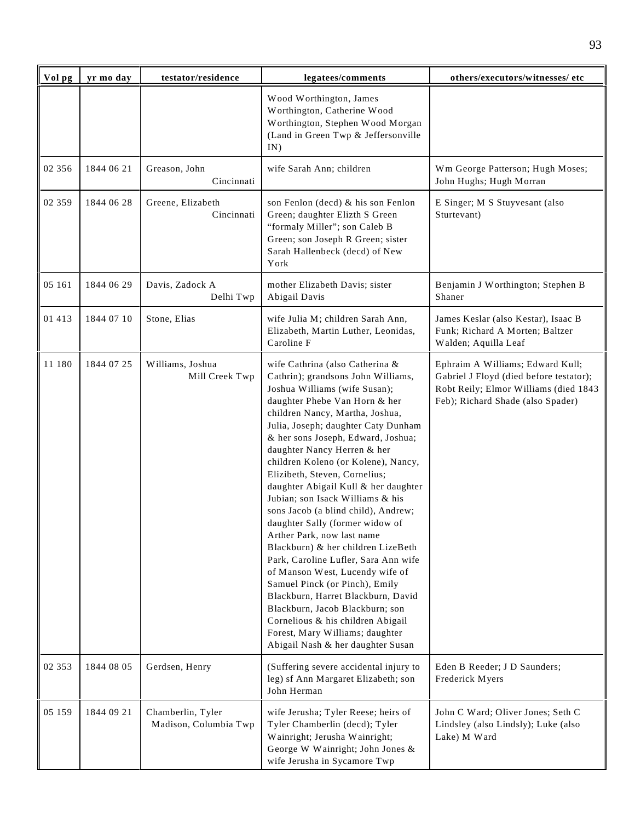| Vol pg | yr mo day  | testator/residence                         | legatees/comments                                                                                                                                                                                                                                                                                                                                                                                                                                                                                                                                                                                                                                                                                                                                                                                                                                                                           | others/executors/witnesses/ etc                                                                                                                           |
|--------|------------|--------------------------------------------|---------------------------------------------------------------------------------------------------------------------------------------------------------------------------------------------------------------------------------------------------------------------------------------------------------------------------------------------------------------------------------------------------------------------------------------------------------------------------------------------------------------------------------------------------------------------------------------------------------------------------------------------------------------------------------------------------------------------------------------------------------------------------------------------------------------------------------------------------------------------------------------------|-----------------------------------------------------------------------------------------------------------------------------------------------------------|
|        |            |                                            | Wood Worthington, James<br>Worthington, Catherine Wood<br>Worthington, Stephen Wood Morgan<br>(Land in Green Twp & Jeffersonville<br>IN)                                                                                                                                                                                                                                                                                                                                                                                                                                                                                                                                                                                                                                                                                                                                                    |                                                                                                                                                           |
| 02 356 | 1844 06 21 | Greason, John<br>Cincinnati                | wife Sarah Ann; children                                                                                                                                                                                                                                                                                                                                                                                                                                                                                                                                                                                                                                                                                                                                                                                                                                                                    | Wm George Patterson; Hugh Moses;<br>John Hughs; Hugh Morran                                                                                               |
| 02 359 | 1844 06 28 | Greene, Elizabeth<br>Cincinnati            | son Fenlon (decd) & his son Fenlon<br>Green; daughter Elizth S Green<br>"formaly Miller"; son Caleb B<br>Green; son Joseph R Green; sister<br>Sarah Hallenbeck (decd) of New<br>York                                                                                                                                                                                                                                                                                                                                                                                                                                                                                                                                                                                                                                                                                                        | E Singer; M S Stuyvesant (also<br>Sturtevant)                                                                                                             |
| 05 161 | 1844 06 29 | Davis, Zadock A<br>Delhi Twp               | mother Elizabeth Davis; sister<br>Abigail Davis                                                                                                                                                                                                                                                                                                                                                                                                                                                                                                                                                                                                                                                                                                                                                                                                                                             | Benjamin J Worthington; Stephen B<br>Shaner                                                                                                               |
| 01 413 | 1844 07 10 | Stone, Elias                               | wife Julia M; children Sarah Ann,<br>Elizabeth, Martin Luther, Leonidas,<br>Caroline F                                                                                                                                                                                                                                                                                                                                                                                                                                                                                                                                                                                                                                                                                                                                                                                                      | James Keslar (also Kestar), Isaac B<br>Funk; Richard A Morten; Baltzer<br>Walden; Aquilla Leaf                                                            |
| 11 180 | 1844 07 25 | Williams, Joshua<br>Mill Creek Twp         | wife Cathrina (also Catherina &<br>Cathrin); grandsons John Williams,<br>Joshua Williams (wife Susan);<br>daughter Phebe Van Horn & her<br>children Nancy, Martha, Joshua,<br>Julia, Joseph; daughter Caty Dunham<br>& her sons Joseph, Edward, Joshua;<br>daughter Nancy Herren & her<br>children Koleno (or Kolene), Nancy,<br>Elizibeth, Steven, Cornelius;<br>daughter Abigail Kull & her daughter<br>Jubian; son Isack Williams & his<br>sons Jacob (a blind child), Andrew;<br>daughter Sally (former widow of<br>Arther Park, now last name<br>Blackburn) & her children LizeBeth<br>Park, Caroline Lufler, Sara Ann wife<br>of Manson West, Lucendy wife of<br>Samuel Pinck (or Pinch), Emily<br>Blackburn, Harret Blackburn, David<br>Blackburn, Jacob Blackburn; son<br>Cornelious & his children Abigail<br>Forest, Mary Williams; daughter<br>Abigail Nash & her daughter Susan | Ephraim A Williams; Edward Kull;<br>Gabriel J Floyd (died before testator);<br>Robt Reily; Elmor Williams (died 1843<br>Feb); Richard Shade (also Spader) |
| 02 353 | 1844 08 05 | Gerdsen, Henry                             | (Suffering severe accidental injury to<br>leg) sf Ann Margaret Elizabeth; son<br>John Herman                                                                                                                                                                                                                                                                                                                                                                                                                                                                                                                                                                                                                                                                                                                                                                                                | Eden B Reeder; J D Saunders;<br>Frederick Myers                                                                                                           |
| 05 159 | 1844 09 21 | Chamberlin, Tyler<br>Madison, Columbia Twp | wife Jerusha; Tyler Reese; heirs of<br>Tyler Chamberlin (decd); Tyler<br>Wainright; Jerusha Wainright;<br>George W Wainright; John Jones &<br>wife Jerusha in Sycamore Twp                                                                                                                                                                                                                                                                                                                                                                                                                                                                                                                                                                                                                                                                                                                  | John C Ward; Oliver Jones; Seth C<br>Lindsley (also Lindsly); Luke (also<br>Lake) M Ward                                                                  |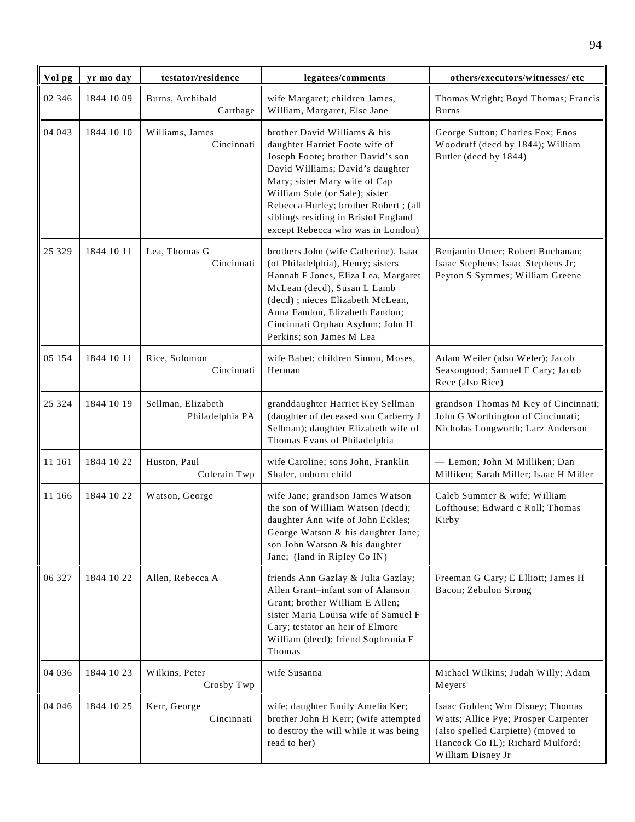| Vol pg  | yr mo day  | testator/residence                    | legatees/comments                                                                                                                                                                                                                                                                                                                | others/executors/witnesses/ etc                                                                                                                                        |
|---------|------------|---------------------------------------|----------------------------------------------------------------------------------------------------------------------------------------------------------------------------------------------------------------------------------------------------------------------------------------------------------------------------------|------------------------------------------------------------------------------------------------------------------------------------------------------------------------|
| 02 346  | 1844 10 09 | Burns, Archibald<br>Carthage          | wife Margaret; children James,<br>William, Margaret, Else Jane                                                                                                                                                                                                                                                                   | Thomas Wright; Boyd Thomas; Francis<br>Burns                                                                                                                           |
| 04 043  | 1844 10 10 | Williams, James<br>Cincinnati         | brother David Williams & his<br>daughter Harriet Foote wife of<br>Joseph Foote; brother David's son<br>David Williams; David's daughter<br>Mary; sister Mary wife of Cap<br>William Sole (or Sale); sister<br>Rebecca Hurley; brother Robert ; (all<br>siblings residing in Bristol England<br>except Rebecca who was in London) | George Sutton; Charles Fox; Enos<br>Woodruff (decd by 1844); William<br>Butler (decd by 1844)                                                                          |
| 25 3 29 | 1844 10 11 | Lea, Thomas G<br>Cincinnati           | brothers John (wife Catherine), Isaac<br>(of Philadelphia), Henry; sisters<br>Hannah F Jones, Eliza Lea, Margaret<br>McLean (decd), Susan L Lamb<br>(decd); nieces Elizabeth McLean,<br>Anna Fandon, Elizabeth Fandon;<br>Cincinnati Orphan Asylum; John H<br>Perkins; son James M Lea                                           | Benjamin Urner; Robert Buchanan;<br>Isaac Stephens; Isaac Stephens Jr;<br>Peyton S Symmes; William Greene                                                              |
| 05 154  | 1844 10 11 | Rice, Solomon<br>Cincinnati           | wife Babet; children Simon, Moses,<br>Herman                                                                                                                                                                                                                                                                                     | Adam Weiler (also Weler); Jacob<br>Seasongood; Samuel F Cary; Jacob<br>Rece (also Rice)                                                                                |
| 25 3 24 | 1844 10 19 | Sellman, Elizabeth<br>Philadelphia PA | granddaughter Harriet Key Sellman<br>(daughter of deceased son Carberry J<br>Sellman); daughter Elizabeth wife of<br>Thomas Evans of Philadelphia                                                                                                                                                                                | grandson Thomas M Key of Cincinnati;<br>John G Worthington of Cincinnati;<br>Nicholas Longworth; Larz Anderson                                                         |
| 11 161  | 1844 10 22 | Huston, Paul<br>Colerain Twp          | wife Caroline; sons John, Franklin<br>Shafer, unborn child                                                                                                                                                                                                                                                                       | - Lemon; John M Milliken; Dan<br>Milliken; Sarah Miller; Isaac H Miller                                                                                                |
| 11 166  | 1844 10 22 | Watson, George                        | wife Jane; grandson James Watson<br>the son of William Watson (decd);<br>daughter Ann wife of John Eckles;<br>George Watson & his daughter Jane;<br>son John Watson & his daughter<br>Jane; (land in Ripley Co IN)                                                                                                               | Caleb Summer & wife; William<br>Lofthouse; Edward c Roll; Thomas<br>Kirby                                                                                              |
| 06 327  | 1844 10 22 | Allen, Rebecca A                      | friends Ann Gazlay & Julia Gazlay;<br>Allen Grant-infant son of Alanson<br>Grant; brother William E Allen;<br>sister Maria Louisa wife of Samuel F<br>Cary; testator an heir of Elmore<br>William (decd); friend Sophronia E<br>Thomas                                                                                           | Freeman G Cary; E Elliott; James H<br>Bacon; Zebulon Strong                                                                                                            |
| 04 036  | 1844 10 23 | Wilkins, Peter<br>Crosby Twp          | wife Susanna                                                                                                                                                                                                                                                                                                                     | Michael Wilkins; Judah Willy; Adam<br>Meyers                                                                                                                           |
| 04 04 6 | 1844 10 25 | Kerr, George<br>Cincinnati            | wife; daughter Emily Amelia Ker;<br>brother John H Kerr; (wife attempted<br>to destroy the will while it was being<br>read to her)                                                                                                                                                                                               | Isaac Golden; Wm Disney; Thomas<br>Watts; Allice Pye; Prosper Carpenter<br>(also spelled Carpiette) (moved to<br>Hancock Co IL); Richard Mulford;<br>William Disney Jr |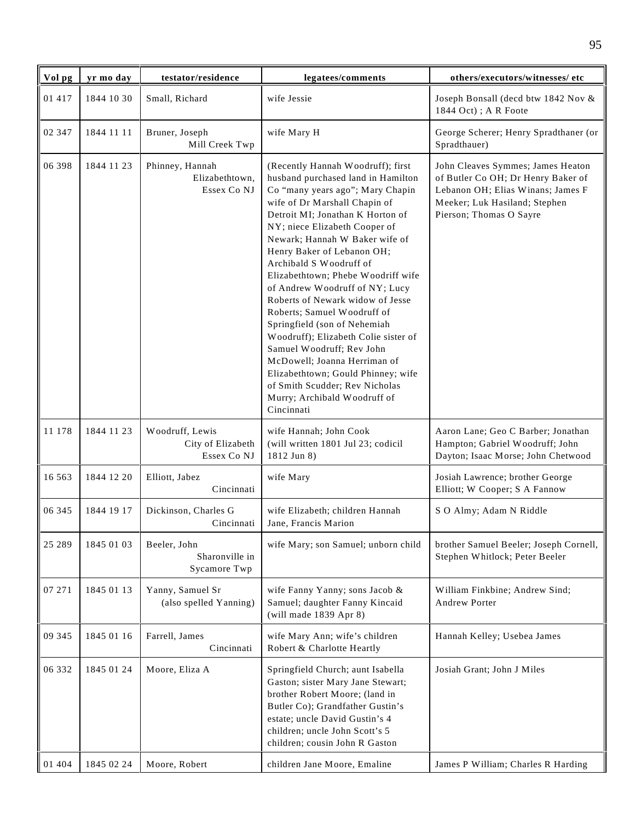| Vol pg   | yr mo day  | testator/residence                                  | legatees/comments                                                                                                                                                                                                                                                                                                                                                                                                                                                                                                                                                                                                                                                                                                  | others/executors/witnesses/ etc                                                                                                                                          |
|----------|------------|-----------------------------------------------------|--------------------------------------------------------------------------------------------------------------------------------------------------------------------------------------------------------------------------------------------------------------------------------------------------------------------------------------------------------------------------------------------------------------------------------------------------------------------------------------------------------------------------------------------------------------------------------------------------------------------------------------------------------------------------------------------------------------------|--------------------------------------------------------------------------------------------------------------------------------------------------------------------------|
| 01 417   | 1844 10 30 | Small, Richard                                      | wife Jessie                                                                                                                                                                                                                                                                                                                                                                                                                                                                                                                                                                                                                                                                                                        | Joseph Bonsall (decd btw 1842 Nov &<br>1844 Oct); A R Foote                                                                                                              |
| 02 347   | 1844 11 11 | Bruner, Joseph<br>Mill Creek Twp                    | wife Mary H                                                                                                                                                                                                                                                                                                                                                                                                                                                                                                                                                                                                                                                                                                        | George Scherer; Henry Spradthaner (or<br>Spradthauer)                                                                                                                    |
| 06 398   | 1844 11 23 | Phinney, Hannah<br>Elizabethtown,<br>Essex Co NJ    | (Recently Hannah Woodruff); first<br>husband purchased land in Hamilton<br>Co "many years ago"; Mary Chapin<br>wife of Dr Marshall Chapin of<br>Detroit MI; Jonathan K Horton of<br>NY; niece Elizabeth Cooper of<br>Newark; Hannah W Baker wife of<br>Henry Baker of Lebanon OH;<br>Archibald S Woodruff of<br>Elizabethtown; Phebe Woodriff wife<br>of Andrew Woodruff of NY; Lucy<br>Roberts of Newark widow of Jesse<br>Roberts; Samuel Woodruff of<br>Springfield (son of Nehemiah<br>Woodruff); Elizabeth Colie sister of<br>Samuel Woodruff; Rev John<br>McDowell; Joanna Herriman of<br>Elizabethtown; Gould Phinney; wife<br>of Smith Scudder; Rev Nicholas<br>Murry; Archibald Woodruff of<br>Cincinnati | John Cleaves Symmes; James Heaton<br>of Butler Co OH; Dr Henry Baker of<br>Lebanon OH; Elias Winans; James F<br>Meeker; Luk Hasiland; Stephen<br>Pierson; Thomas O Sayre |
| 11 178   | 1844 11 23 | Woodruff, Lewis<br>City of Elizabeth<br>Essex Co NJ | wife Hannah; John Cook<br>(will written 1801 Jul 23; codicil<br>1812 Jun 8)                                                                                                                                                                                                                                                                                                                                                                                                                                                                                                                                                                                                                                        | Aaron Lane; Geo C Barber; Jonathan<br>Hampton; Gabriel Woodruff; John<br>Dayton; Isaac Morse; John Chetwood                                                              |
| 16 5 6 3 | 1844 12 20 | Elliott, Jabez<br>Cincinnati                        | wife Mary                                                                                                                                                                                                                                                                                                                                                                                                                                                                                                                                                                                                                                                                                                          | Josiah Lawrence; brother George<br>Elliott; W Cooper; S A Fannow                                                                                                         |
| 06 345   | 1844 19 17 | Dickinson, Charles G<br>Cincinnati                  | wife Elizabeth; children Hannah<br>Jane, Francis Marion                                                                                                                                                                                                                                                                                                                                                                                                                                                                                                                                                                                                                                                            | S O Almy; Adam N Riddle                                                                                                                                                  |
| 25 28 9  | 1845 01 03 | Beeler, John<br>Sharonville in<br>Sycamore Twp      | wife Mary; son Samuel; unborn child                                                                                                                                                                                                                                                                                                                                                                                                                                                                                                                                                                                                                                                                                | brother Samuel Beeler; Joseph Cornell,<br>Stephen Whitlock; Peter Beeler                                                                                                 |
| 07 271   | 1845 01 13 | Yanny, Samuel Sr<br>(also spelled Yanning)          | wife Fanny Yanny; sons Jacob &<br>Samuel; daughter Fanny Kincaid<br>(will made 1839 Apr 8)                                                                                                                                                                                                                                                                                                                                                                                                                                                                                                                                                                                                                         | William Finkbine; Andrew Sind;<br>Andrew Porter                                                                                                                          |
| 09 345   | 1845 01 16 | Farrell, James<br>Cincinnati                        | wife Mary Ann; wife's children<br>Robert & Charlotte Heartly                                                                                                                                                                                                                                                                                                                                                                                                                                                                                                                                                                                                                                                       | Hannah Kelley; Usebea James                                                                                                                                              |
| 06 332   | 1845 01 24 | Moore, Eliza A                                      | Springfield Church; aunt Isabella<br>Gaston; sister Mary Jane Stewart;<br>brother Robert Moore; (land in<br>Butler Co); Grandfather Gustin's<br>estate; uncle David Gustin's 4<br>children; uncle John Scott's 5<br>children; cousin John R Gaston                                                                                                                                                                                                                                                                                                                                                                                                                                                                 | Josiah Grant; John J Miles                                                                                                                                               |
| 01 404   | 1845 02 24 | Moore, Robert                                       | children Jane Moore, Emaline                                                                                                                                                                                                                                                                                                                                                                                                                                                                                                                                                                                                                                                                                       | James P William; Charles R Harding                                                                                                                                       |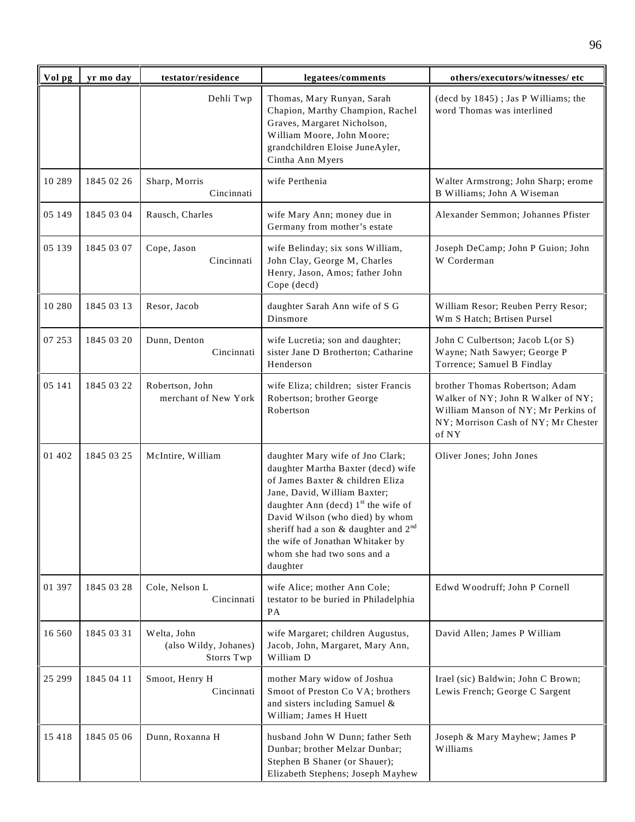| Vol pg  | yr mo day  | testator/residence                                 | legatees/comments                                                                                                                                                                                                                                                                                                                                  | others/executors/witnesses/etc                                                                                                                              |
|---------|------------|----------------------------------------------------|----------------------------------------------------------------------------------------------------------------------------------------------------------------------------------------------------------------------------------------------------------------------------------------------------------------------------------------------------|-------------------------------------------------------------------------------------------------------------------------------------------------------------|
|         |            | Dehli Twp                                          | Thomas, Mary Runyan, Sarah<br>Chapion, Marthy Champion, Rachel<br>Graves, Margaret Nicholson,<br>William Moore, John Moore;<br>grandchildren Eloise JuneAyler,<br>Cintha Ann Myers                                                                                                                                                                 | (decd by 1845); Jas P Williams; the<br>word Thomas was interlined                                                                                           |
| 10 289  | 1845 02 26 | Sharp, Morris<br>Cincinnati                        | wife Perthenia                                                                                                                                                                                                                                                                                                                                     | Walter Armstrong; John Sharp; erome<br>B Williams; John A Wiseman                                                                                           |
| 05 149  | 1845 03 04 | Rausch, Charles                                    | wife Mary Ann; money due in<br>Germany from mother's estate                                                                                                                                                                                                                                                                                        | Alexander Semmon; Johannes Pfister                                                                                                                          |
| 05 139  | 1845 03 07 | Cope, Jason<br>Cincinnati                          | wife Belinday; six sons William,<br>John Clay, George M, Charles<br>Henry, Jason, Amos; father John<br>Cope (decd)                                                                                                                                                                                                                                 | Joseph DeCamp; John P Guion; John<br>W Corderman                                                                                                            |
| 10 280  | 1845 03 13 | Resor, Jacob                                       | daughter Sarah Ann wife of S G<br>Dinsmore                                                                                                                                                                                                                                                                                                         | William Resor; Reuben Perry Resor;<br>Wm S Hatch; Brtisen Pursel                                                                                            |
| 07 253  | 1845 03 20 | Dunn, Denton<br>Cincinnati                         | wife Lucretia; son and daughter;<br>sister Jane D Brotherton; Catharine<br>Henderson                                                                                                                                                                                                                                                               | John C Culbertson; Jacob L(or S)<br>Wayne; Nath Sawyer; George P<br>Torrence; Samuel B Findlay                                                              |
| 05 141  | 1845 03 22 | Robertson, John<br>merchant of New York            | wife Eliza; children; sister Francis<br>Robertson; brother George<br>Robertson                                                                                                                                                                                                                                                                     | brother Thomas Robertson; Adam<br>Walker of NY; John R Walker of NY;<br>William Manson of NY; Mr Perkins of<br>NY; Morrison Cash of NY; Mr Chester<br>of NY |
| 01 402  | 1845 03 25 | McIntire, William                                  | daughter Mary wife of Jno Clark;<br>daughter Martha Baxter (decd) wife<br>of James Baxter & children Eliza<br>Jane, David, William Baxter;<br>daughter Ann (decd) $1st$ the wife of<br>David Wilson (who died) by whom<br>sheriff had a son & daughter and $2^{nd}$<br>the wife of Jonathan Whitaker by<br>whom she had two sons and a<br>daughter | Oliver Jones; John Jones                                                                                                                                    |
| 01 397  | 1845 03 28 | Cole, Nelson L<br>Cincinnati                       | wife Alice; mother Ann Cole;<br>testator to be buried in Philadelphia<br>PA                                                                                                                                                                                                                                                                        | Edwd Woodruff; John P Cornell                                                                                                                               |
| 16 560  | 1845 03 31 | Welta, John<br>(also Wildy, Johanes)<br>Storrs Twp | wife Margaret; children Augustus,<br>Jacob, John, Margaret, Mary Ann,<br>William D                                                                                                                                                                                                                                                                 | David Allen; James P William                                                                                                                                |
| 25 299  | 1845 04 11 | Smoot, Henry H<br>Cincinnati                       | mother Mary widow of Joshua<br>Smoot of Preston Co VA; brothers<br>and sisters including Samuel &<br>William; James H Huett                                                                                                                                                                                                                        | Irael (sic) Baldwin; John C Brown;<br>Lewis French; George C Sargent                                                                                        |
| 15 4 18 | 1845 05 06 | Dunn, Roxanna H                                    | husband John W Dunn; father Seth<br>Dunbar; brother Melzar Dunbar;<br>Stephen B Shaner (or Shauer);<br>Elizabeth Stephens; Joseph Mayhew                                                                                                                                                                                                           | Joseph & Mary Mayhew; James P<br>Williams                                                                                                                   |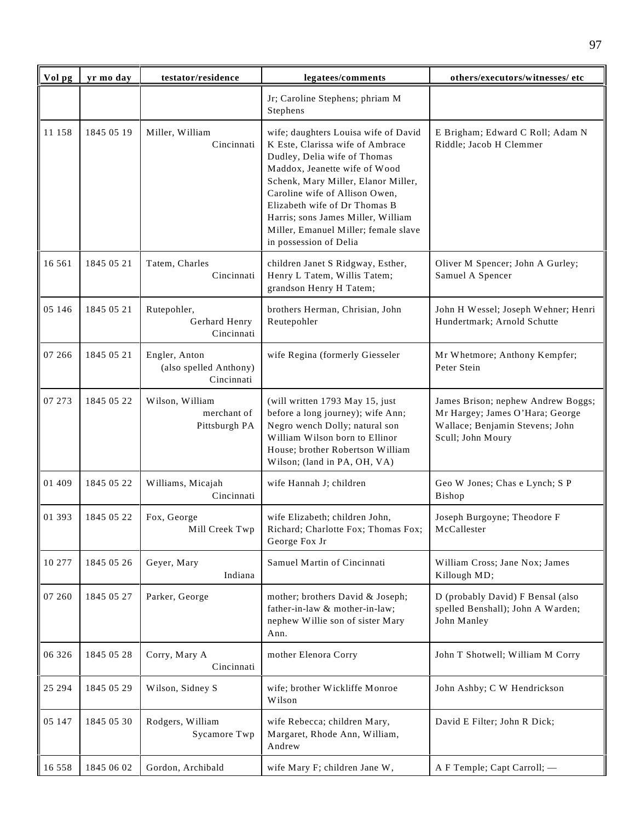| Vol pg   | yr mo day  | testator/residence                                    | legatees/comments                                                                                                                                                                                                                                                                                                                                           | others/executors/witnesses/ etc                                                                                               |
|----------|------------|-------------------------------------------------------|-------------------------------------------------------------------------------------------------------------------------------------------------------------------------------------------------------------------------------------------------------------------------------------------------------------------------------------------------------------|-------------------------------------------------------------------------------------------------------------------------------|
|          |            |                                                       | Jr; Caroline Stephens; phriam M<br>Stephens                                                                                                                                                                                                                                                                                                                 |                                                                                                                               |
| 11 158   | 1845 05 19 | Miller, William<br>Cincinnati                         | wife; daughters Louisa wife of David<br>K Este, Clarissa wife of Ambrace<br>Dudley, Delia wife of Thomas<br>Maddox, Jeanette wife of Wood<br>Schenk, Mary Miller, Elanor Miller,<br>Caroline wife of Allison Owen,<br>Elizabeth wife of Dr Thomas B<br>Harris; sons James Miller, William<br>Miller, Emanuel Miller; female slave<br>in possession of Delia | E Brigham; Edward C Roll; Adam N<br>Riddle; Jacob H Clemmer                                                                   |
| 16 5 6 1 | 1845 05 21 | Tatem, Charles<br>Cincinnati                          | children Janet S Ridgway, Esther,<br>Henry L Tatem, Willis Tatem;<br>grandson Henry H Tatem;                                                                                                                                                                                                                                                                | Oliver M Spencer; John A Gurley;<br>Samuel A Spencer                                                                          |
| 05 146   | 1845 05 21 | Rutepohler,<br>Gerhard Henry<br>Cincinnati            | brothers Herman, Chrisian, John<br>Reutepohler                                                                                                                                                                                                                                                                                                              | John H Wessel; Joseph Wehner; Henri<br>Hundertmark; Arnold Schutte                                                            |
| 07 266   | 1845 05 21 | Engler, Anton<br>(also spelled Anthony)<br>Cincinnati | wife Regina (formerly Giesseler                                                                                                                                                                                                                                                                                                                             | Mr Whetmore; Anthony Kempfer;<br>Peter Stein                                                                                  |
| 07 273   | 1845 05 22 | Wilson, William<br>merchant of<br>Pittsburgh PA       | (will written 1793 May 15, just<br>before a long journey); wife Ann;<br>Negro wench Dolly; natural son<br>William Wilson born to Ellinor<br>House; brother Robertson William<br>Wilson; (land in PA, OH, VA)                                                                                                                                                | James Brison; nephew Andrew Boggs;<br>Mr Hargey; James O'Hara; George<br>Wallace; Benjamin Stevens; John<br>Scull; John Moury |
| 01 409   | 1845 05 22 | Williams, Micajah<br>Cincinnati                       | wife Hannah J; children                                                                                                                                                                                                                                                                                                                                     | Geo W Jones; Chas e Lynch; S P<br>Bishop                                                                                      |
| 01 393   | 1845 05 22 | Fox, George<br>Mill Creek Twp                         | wife Elizabeth; children John,<br>Richard; Charlotte Fox; Thomas Fox;<br>George Fox Jr                                                                                                                                                                                                                                                                      | Joseph Burgoyne; Theodore F<br>McCallester                                                                                    |
| 10 277   | 1845 05 26 | Geyer, Mary<br>Indiana                                | Samuel Martin of Cincinnati                                                                                                                                                                                                                                                                                                                                 | William Cross; Jane Nox; James<br>Killough MD;                                                                                |
| 07 260   | 1845 05 27 | Parker, George                                        | mother; brothers David & Joseph;<br>father-in-law & mother-in-law;<br>nephew Willie son of sister Mary<br>Ann.                                                                                                                                                                                                                                              | D (probably David) F Bensal (also<br>spelled Benshall); John A Warden;<br>John Manley                                         |
| 06 326   | 1845 05 28 | Corry, Mary A<br>Cincinnati                           | mother Elenora Corry                                                                                                                                                                                                                                                                                                                                        | John T Shotwell; William M Corry                                                                                              |
| 25 29 4  | 1845 05 29 | Wilson, Sidney S                                      | wife; brother Wickliffe Monroe<br>Wilson                                                                                                                                                                                                                                                                                                                    | John Ashby; C W Hendrickson                                                                                                   |
| 05 147   | 1845 05 30 | Rodgers, William<br>Sycamore Twp                      | wife Rebecca; children Mary,<br>Margaret, Rhode Ann, William,<br>Andrew                                                                                                                                                                                                                                                                                     | David E Filter; John R Dick;                                                                                                  |
| 16 558   | 1845 06 02 | Gordon, Archibald                                     | wife Mary F; children Jane W,                                                                                                                                                                                                                                                                                                                               | A F Temple; Capt Carroll; -                                                                                                   |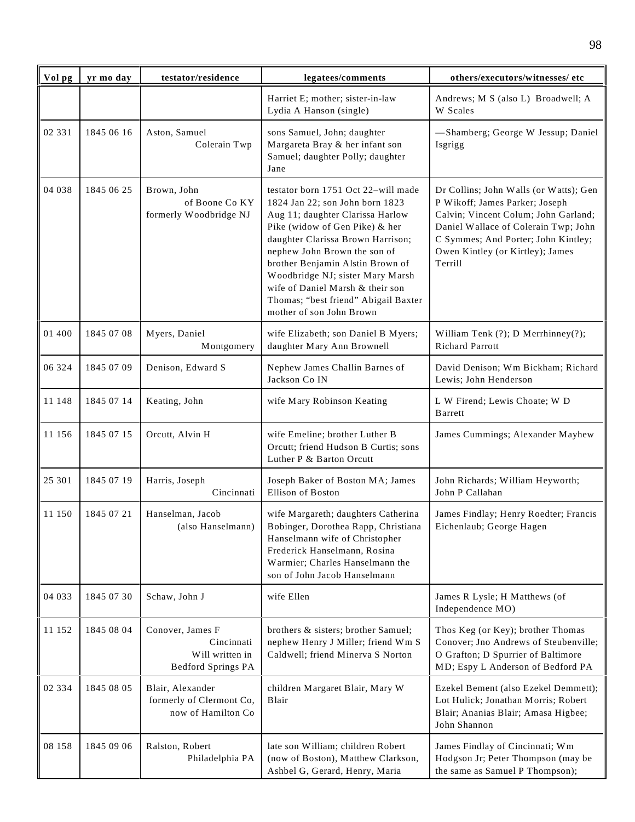| Vol pg | yr mo day  | testator/residence                                                             | legatees/comments                                                                                                                                                                                                                                                                                                                                                                                 | others/executors/witnesses/ etc                                                                                                                                                                                                                |
|--------|------------|--------------------------------------------------------------------------------|---------------------------------------------------------------------------------------------------------------------------------------------------------------------------------------------------------------------------------------------------------------------------------------------------------------------------------------------------------------------------------------------------|------------------------------------------------------------------------------------------------------------------------------------------------------------------------------------------------------------------------------------------------|
|        |            |                                                                                | Harriet E; mother; sister-in-law<br>Lydia A Hanson (single)                                                                                                                                                                                                                                                                                                                                       | Andrews; M S (also L) Broadwell; A<br>W Scales                                                                                                                                                                                                 |
| 02 331 | 1845 06 16 | Aston, Samuel<br>Colerain Twp                                                  | sons Samuel, John; daughter<br>Margareta Bray & her infant son<br>Samuel; daughter Polly; daughter<br>Jane                                                                                                                                                                                                                                                                                        | -Shamberg; George W Jessup; Daniel<br>Isgrigg                                                                                                                                                                                                  |
| 04 038 | 1845 06 25 | Brown, John<br>of Boone Co KY<br>formerly Woodbridge NJ                        | testator born 1751 Oct 22–will made<br>1824 Jan 22; son John born 1823<br>Aug 11; daughter Clarissa Harlow<br>Pike (widow of Gen Pike) & her<br>daughter Clarissa Brown Harrison;<br>nephew John Brown the son of<br>brother Benjamin Alstin Brown of<br>Woodbridge NJ; sister Mary Marsh<br>wife of Daniel Marsh & their son<br>Thomas; "best friend" Abigail Baxter<br>mother of son John Brown | Dr Collins; John Walls (or Watts); Gen<br>P Wikoff; James Parker; Joseph<br>Calvin; Vincent Colum; John Garland;<br>Daniel Wallace of Colerain Twp; John<br>C Symmes; And Porter; John Kintley;<br>Owen Kintley (or Kirtley); James<br>Terrill |
| 01 400 | 1845 07 08 | Myers, Daniel<br>Montgomery                                                    | wife Elizabeth; son Daniel B Myers;<br>daughter Mary Ann Brownell                                                                                                                                                                                                                                                                                                                                 | William Tenk (?); D Merrhinney(?);<br><b>Richard Parrott</b>                                                                                                                                                                                   |
| 06 324 | 1845 07 09 | Denison, Edward S                                                              | Nephew James Challin Barnes of<br>Jackson Co IN                                                                                                                                                                                                                                                                                                                                                   | David Denison; Wm Bickham; Richard<br>Lewis; John Henderson                                                                                                                                                                                    |
| 11 148 | 1845 07 14 | Keating, John                                                                  | wife Mary Robinson Keating                                                                                                                                                                                                                                                                                                                                                                        | L W Firend; Lewis Choate; W D<br>Barrett                                                                                                                                                                                                       |
| 11 156 | 1845 07 15 | Orcutt, Alvin H                                                                | wife Emeline; brother Luther B<br>Orcutt; friend Hudson B Curtis; sons<br>Luther P & Barton Orcutt                                                                                                                                                                                                                                                                                                | James Cummings; Alexander Mayhew                                                                                                                                                                                                               |
| 25 301 | 1845 07 19 | Harris, Joseph<br>Cincinnati                                                   | Joseph Baker of Boston MA; James<br>Ellison of Boston                                                                                                                                                                                                                                                                                                                                             | John Richards; William Heyworth;<br>John P Callahan                                                                                                                                                                                            |
| 11 150 | 1845 07 21 | Hanselman, Jacob<br>(also Hanselmann)                                          | wife Margareth; daughters Catherina<br>Bobinger, Dorothea Rapp, Christiana<br>Hanselmann wife of Christopher<br>Frederick Hanselmann, Rosina<br>Warmier; Charles Hanselmann the<br>son of John Jacob Hanselmann                                                                                                                                                                                   | James Findlay; Henry Roedter; Francis<br>Eichenlaub; George Hagen                                                                                                                                                                              |
| 04 033 | 1845 07 30 | Schaw, John J                                                                  | wife Ellen                                                                                                                                                                                                                                                                                                                                                                                        | James R Lysle; H Matthews (of<br>Independence MO)                                                                                                                                                                                              |
| 11 152 | 1845 08 04 | Conover, James F<br>Cincinnati<br>Will written in<br><b>Bedford Springs PA</b> | brothers & sisters; brother Samuel;<br>nephew Henry J Miller; friend Wm S<br>Caldwell; friend Minerva S Norton                                                                                                                                                                                                                                                                                    | Thos Keg (or Key); brother Thomas<br>Conover; Jno Andrews of Steubenville;<br>O Grafton; D Spurrier of Baltimore<br>MD; Espy L Anderson of Bedford PA                                                                                          |
| 02 334 | 1845 08 05 | Blair, Alexander<br>formerly of Clermont Co,<br>now of Hamilton Co             | children Margaret Blair, Mary W<br>Blair                                                                                                                                                                                                                                                                                                                                                          | Ezekel Bement (also Ezekel Demmett);<br>Lot Hulick; Jonathan Morris; Robert<br>Blair; Ananias Blair; Amasa Higbee;<br>John Shannon                                                                                                             |
| 08 158 | 1845 09 06 | Ralston, Robert<br>Philadelphia PA                                             | late son William; children Robert<br>(now of Boston), Matthew Clarkson,<br>Ashbel G, Gerard, Henry, Maria                                                                                                                                                                                                                                                                                         | James Findlay of Cincinnati; Wm<br>Hodgson Jr; Peter Thompson (may be<br>the same as Samuel P Thompson);                                                                                                                                       |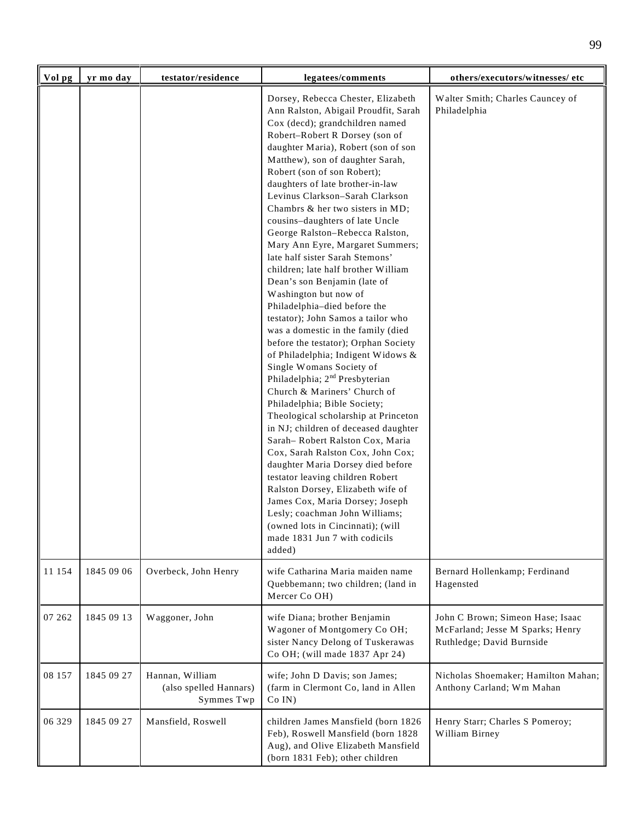| Vol pg | yr mo day  | testator/residence                                      | legatees/comments                                                                                                                                                                                                                                                                                                                                                                                                                                                                                                                                                                                                                                                                                                                                                                                                                                                                                                                                                                                                                                                                                                                                                                                                                                                                                                                                                                | others/executors/witnesses/ etc                                                                   |
|--------|------------|---------------------------------------------------------|----------------------------------------------------------------------------------------------------------------------------------------------------------------------------------------------------------------------------------------------------------------------------------------------------------------------------------------------------------------------------------------------------------------------------------------------------------------------------------------------------------------------------------------------------------------------------------------------------------------------------------------------------------------------------------------------------------------------------------------------------------------------------------------------------------------------------------------------------------------------------------------------------------------------------------------------------------------------------------------------------------------------------------------------------------------------------------------------------------------------------------------------------------------------------------------------------------------------------------------------------------------------------------------------------------------------------------------------------------------------------------|---------------------------------------------------------------------------------------------------|
|        |            |                                                         | Dorsey, Rebecca Chester, Elizabeth<br>Ann Ralston, Abigail Proudfit, Sarah<br>Cox (decd); grandchildren named<br>Robert-Robert R Dorsey (son of<br>daughter Maria), Robert (son of son<br>Matthew), son of daughter Sarah,<br>Robert (son of son Robert);<br>daughters of late brother-in-law<br>Levinus Clarkson-Sarah Clarkson<br>Chambrs & her two sisters in MD;<br>cousins-daughters of late Uncle<br>George Ralston-Rebecca Ralston,<br>Mary Ann Eyre, Margaret Summers;<br>late half sister Sarah Stemons'<br>children; late half brother William<br>Dean's son Benjamin (late of<br>Washington but now of<br>Philadelphia-died before the<br>testator); John Samos a tailor who<br>was a domestic in the family (died<br>before the testator); Orphan Society<br>of Philadelphia; Indigent Widows &<br>Single Womans Society of<br>Philadelphia; 2 <sup>nd</sup> Presbyterian<br>Church & Mariners' Church of<br>Philadelphia; Bible Society;<br>Theological scholarship at Princeton<br>in NJ; children of deceased daughter<br>Sarah-Robert Ralston Cox, Maria<br>Cox, Sarah Ralston Cox, John Cox;<br>daughter Maria Dorsey died before<br>testator leaving children Robert<br>Ralston Dorsey, Elizabeth wife of<br>James Cox, Maria Dorsey; Joseph<br>Lesly; coachman John Williams;<br>(owned lots in Cincinnati); (will<br>made 1831 Jun 7 with codicils<br>added) | Walter Smith; Charles Cauncey of<br>Philadelphia                                                  |
| 11 154 | 1845 09 06 | Overbeck, John Henry                                    | wife Catharina Maria maiden name<br>Quebbemann; two children; (land in<br>Mercer Co OH)                                                                                                                                                                                                                                                                                                                                                                                                                                                                                                                                                                                                                                                                                                                                                                                                                                                                                                                                                                                                                                                                                                                                                                                                                                                                                          | Bernard Hollenkamp; Ferdinand<br>Hagensted                                                        |
| 07 262 | 1845 09 13 | Waggoner, John                                          | wife Diana; brother Benjamin<br>Wagoner of Montgomery Co OH;<br>sister Nancy Delong of Tuskerawas<br>Co OH; (will made 1837 Apr 24)                                                                                                                                                                                                                                                                                                                                                                                                                                                                                                                                                                                                                                                                                                                                                                                                                                                                                                                                                                                                                                                                                                                                                                                                                                              | John C Brown; Simeon Hase; Isaac<br>McFarland; Jesse M Sparks; Henry<br>Ruthledge; David Burnside |
| 08 157 | 1845 09 27 | Hannan, William<br>(also spelled Hannars)<br>Symmes Twp | wife; John D Davis; son James;<br>(farm in Clermont Co, land in Allen<br>$Co$ IN)                                                                                                                                                                                                                                                                                                                                                                                                                                                                                                                                                                                                                                                                                                                                                                                                                                                                                                                                                                                                                                                                                                                                                                                                                                                                                                | Nicholas Shoemaker; Hamilton Mahan;<br>Anthony Carland; Wm Mahan                                  |
| 06 329 | 1845 09 27 | Mansfield, Roswell                                      | children James Mansfield (born 1826<br>Feb), Roswell Mansfield (born 1828<br>Aug), and Olive Elizabeth Mansfield<br>(born 1831 Feb); other children                                                                                                                                                                                                                                                                                                                                                                                                                                                                                                                                                                                                                                                                                                                                                                                                                                                                                                                                                                                                                                                                                                                                                                                                                              | Henry Starr; Charles S Pomeroy;<br>William Birney                                                 |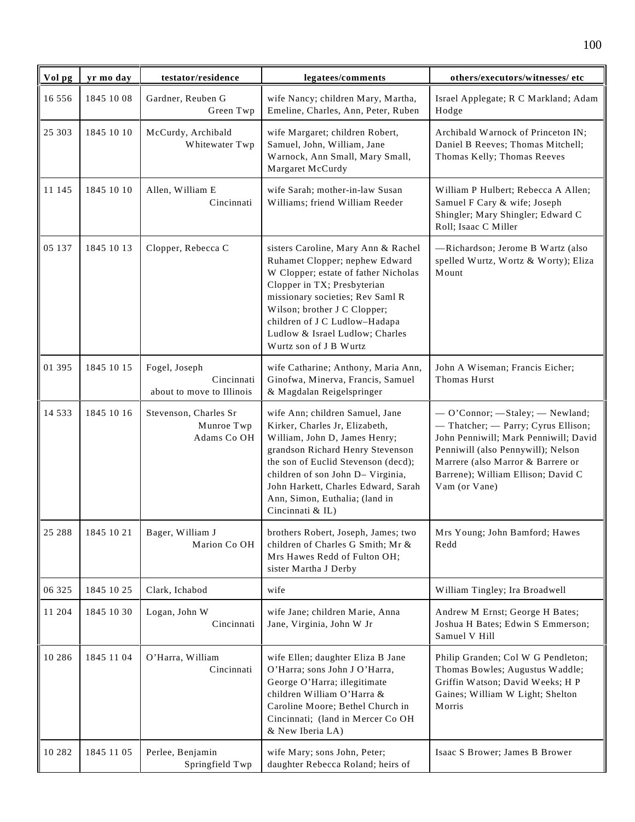| Vol pg   | yr mo day  | testator/residence                                       | legatees/comments                                                                                                                                                                                                                                                                                               | others/executors/witnesses/ etc                                                                                                                                                                                                                    |
|----------|------------|----------------------------------------------------------|-----------------------------------------------------------------------------------------------------------------------------------------------------------------------------------------------------------------------------------------------------------------------------------------------------------------|----------------------------------------------------------------------------------------------------------------------------------------------------------------------------------------------------------------------------------------------------|
| 16 5 5 6 | 1845 10 08 | Gardner, Reuben G<br>Green Twp                           | wife Nancy; children Mary, Martha,<br>Emeline, Charles, Ann, Peter, Ruben                                                                                                                                                                                                                                       | Israel Applegate; R C Markland; Adam<br>Hodge                                                                                                                                                                                                      |
| 25 303   | 1845 10 10 | McCurdy, Archibald<br>Whitewater Twp                     | wife Margaret; children Robert,<br>Samuel, John, William, Jane<br>Warnock, Ann Small, Mary Small,<br>Margaret McCurdy                                                                                                                                                                                           | Archibald Warnock of Princeton IN;<br>Daniel B Reeves; Thomas Mitchell;<br>Thomas Kelly; Thomas Reeves                                                                                                                                             |
| 11 145   | 1845 10 10 | Allen, William E<br>Cincinnati                           | wife Sarah; mother-in-law Susan<br>Williams; friend William Reeder                                                                                                                                                                                                                                              | William P Hulbert; Rebecca A Allen;<br>Samuel F Cary & wife; Joseph<br>Shingler; Mary Shingler; Edward C<br>Roll; Isaac C Miller                                                                                                                   |
| 05 137   | 1845 10 13 | Clopper, Rebecca C                                       | sisters Caroline, Mary Ann & Rachel<br>Ruhamet Clopper; nephew Edward<br>W Clopper; estate of father Nicholas<br>Clopper in TX; Presbyterian<br>missionary societies; Rev Saml R<br>Wilson; brother J C Clopper;<br>children of J C Ludlow-Hadapa<br>Ludlow & Israel Ludlow; Charles<br>Wurtz son of J B Wurtz  | -Richardson; Jerome B Wartz (also<br>spelled Wurtz, Wortz & Worty); Eliza<br>Mount                                                                                                                                                                 |
| 01 395   | 1845 10 15 | Fogel, Joseph<br>Cincinnati<br>about to move to Illinois | wife Catharine; Anthony, Maria Ann,<br>Ginofwa, Minerva, Francis, Samuel<br>& Magdalan Reigelspringer                                                                                                                                                                                                           | John A Wiseman; Francis Eicher;<br>Thomas Hurst                                                                                                                                                                                                    |
| 14 5 3 3 | 1845 10 16 | Stevenson, Charles Sr<br>Munroe Twp<br>Adams Co OH       | wife Ann; children Samuel, Jane<br>Kirker, Charles Jr, Elizabeth,<br>William, John D, James Henry;<br>grandson Richard Henry Stevenson<br>the son of Euclid Stevenson (decd);<br>children of son John D- Virginia,<br>John Harkett, Charles Edward, Sarah<br>Ann, Simon, Euthalia; (land in<br>Cincinnati & IL) | - O'Connor; - Staley; - Newland;<br>- Thatcher; - Parry; Cyrus Ellison;<br>John Penniwill; Mark Penniwill; David<br>Penniwill (also Pennywill); Nelson<br>Marrere (also Marror & Barrere or<br>Barrene); William Ellison; David C<br>Vam (or Vane) |
| 25 288   | 1845 10 21 | Bager, William J<br>Marion Co OH                         | brothers Robert, Joseph, James; two<br>children of Charles G Smith; Mr &<br>Mrs Hawes Redd of Fulton OH;<br>sister Martha J Derby                                                                                                                                                                               | Mrs Young; John Bamford; Hawes<br>Redd                                                                                                                                                                                                             |
| 06 325   | 1845 10 25 | Clark, Ichabod                                           | wife                                                                                                                                                                                                                                                                                                            | William Tingley; Ira Broadwell                                                                                                                                                                                                                     |
| 11 204   | 1845 10 30 | Logan, John W<br>Cincinnati                              | wife Jane; children Marie, Anna<br>Jane, Virginia, John W Jr                                                                                                                                                                                                                                                    | Andrew M Ernst; George H Bates;<br>Joshua H Bates; Edwin S Emmerson;<br>Samuel V Hill                                                                                                                                                              |
| 10 28 6  | 1845 11 04 | O'Harra, William<br>Cincinnati                           | wife Ellen; daughter Eliza B Jane<br>O'Harra; sons John J O'Harra,<br>George O'Harra; illegitimate<br>children William O'Harra &<br>Caroline Moore; Bethel Church in<br>Cincinnati; (land in Mercer Co OH<br>& New Iberia LA)                                                                                   | Philip Granden; Col W G Pendleton;<br>Thomas Bowles; Augustus Waddle;<br>Griffin Watson; David Weeks; H P<br>Gaines; William W Light; Shelton<br>Morris                                                                                            |
| 10 28 2  | 1845 11 05 | Perlee, Benjamin<br>Springfield Twp                      | wife Mary; sons John, Peter;<br>daughter Rebecca Roland; heirs of                                                                                                                                                                                                                                               | Isaac S Brower; James B Brower                                                                                                                                                                                                                     |

100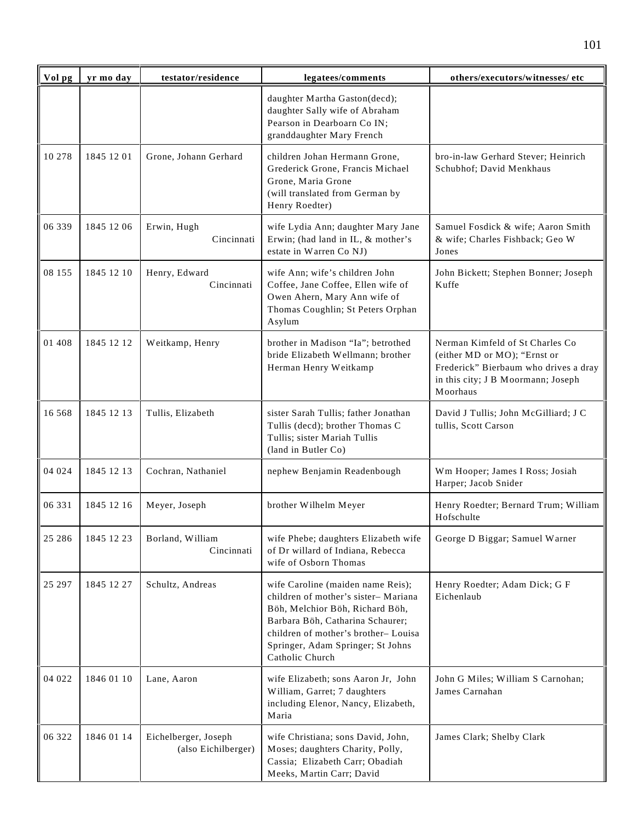| Vol pg  | yr mo day  | testator/residence                          | legatees/comments                                                                                                                                                                                                                              | others/executors/witnesses/ etc                                                                                                                            |
|---------|------------|---------------------------------------------|------------------------------------------------------------------------------------------------------------------------------------------------------------------------------------------------------------------------------------------------|------------------------------------------------------------------------------------------------------------------------------------------------------------|
|         |            |                                             | daughter Martha Gaston(decd);<br>daughter Sally wife of Abraham<br>Pearson in Dearboarn Co IN;<br>granddaughter Mary French                                                                                                                    |                                                                                                                                                            |
| 10 278  | 1845 12 01 | Grone, Johann Gerhard                       | children Johan Hermann Grone,<br>Grederick Grone, Francis Michael<br>Grone, Maria Grone<br>(will translated from German by<br>Henry Roedter)                                                                                                   | bro-in-law Gerhard Stever; Heinrich<br>Schubhof; David Menkhaus                                                                                            |
| 06 339  | 1845 12 06 | Erwin, Hugh<br>Cincinnati                   | wife Lydia Ann; daughter Mary Jane<br>Erwin; (had land in IL, & mother's<br>estate in Warren Co NJ)                                                                                                                                            | Samuel Fosdick & wife; Aaron Smith<br>& wife; Charles Fishback; Geo W<br>Jones                                                                             |
| 08 155  | 1845 12 10 | Henry, Edward<br>Cincinnati                 | wife Ann; wife's children John<br>Coffee, Jane Coffee, Ellen wife of<br>Owen Ahern, Mary Ann wife of<br>Thomas Coughlin; St Peters Orphan<br>Asylum                                                                                            | John Bickett; Stephen Bonner; Joseph<br>Kuffe                                                                                                              |
| 01 408  | 1845 12 12 | Weitkamp, Henry                             | brother in Madison "Ia"; betrothed<br>bride Elizabeth Wellmann; brother<br>Herman Henry Weitkamp                                                                                                                                               | Nerman Kimfeld of St Charles Co<br>(either MD or MO); "Ernst or<br>Frederick" Bierbaum who drives a dray<br>in this city; J B Moormann; Joseph<br>Moorhaus |
| 16 5 68 | 1845 12 13 | Tullis, Elizabeth                           | sister Sarah Tullis; father Jonathan<br>Tullis (decd); brother Thomas C<br>Tullis; sister Mariah Tullis<br>(land in Butler Co)                                                                                                                 | David J Tullis; John McGilliard; J C<br>tullis, Scott Carson                                                                                               |
| 04 024  | 1845 12 13 | Cochran, Nathaniel                          | nephew Benjamin Readenbough                                                                                                                                                                                                                    | Wm Hooper; James I Ross; Josiah<br>Harper; Jacob Snider                                                                                                    |
| 06 331  | 1845 12 16 | Meyer, Joseph                               | brother Wilhelm Meyer                                                                                                                                                                                                                          | Henry Roedter; Bernard Trum; William<br>Hofschulte                                                                                                         |
| 25 28 6 | 1845 12 23 | Borland, William<br>Cincinnati              | wife Phebe; daughters Elizabeth wife<br>of Dr willard of Indiana, Rebecca<br>wife of Osborn Thomas                                                                                                                                             | George D Biggar; Samuel Warner                                                                                                                             |
| 25 297  | 1845 12 27 | Schultz, Andreas                            | wife Caroline (maiden name Reis);<br>children of mother's sister-Mariana<br>Böh, Melchior Böh, Richard Böh,<br>Barbara Böh, Catharina Schaurer;<br>children of mother's brother-Louisa<br>Springer, Adam Springer; St Johns<br>Catholic Church | Henry Roedter; Adam Dick; G F<br>Eichenlaub                                                                                                                |
| 04 022  | 1846 01 10 | Lane, Aaron                                 | wife Elizabeth; sons Aaron Jr, John<br>William, Garret; 7 daughters<br>including Elenor, Nancy, Elizabeth,<br>Maria                                                                                                                            | John G Miles; William S Carnohan;<br>James Carnahan                                                                                                        |
| 06 322  | 1846 01 14 | Eichelberger, Joseph<br>(also Eichilberger) | wife Christiana; sons David, John,<br>Moses; daughters Charity, Polly,<br>Cassia; Elizabeth Carr; Obadiah<br>Meeks, Martin Carr; David                                                                                                         | James Clark; Shelby Clark                                                                                                                                  |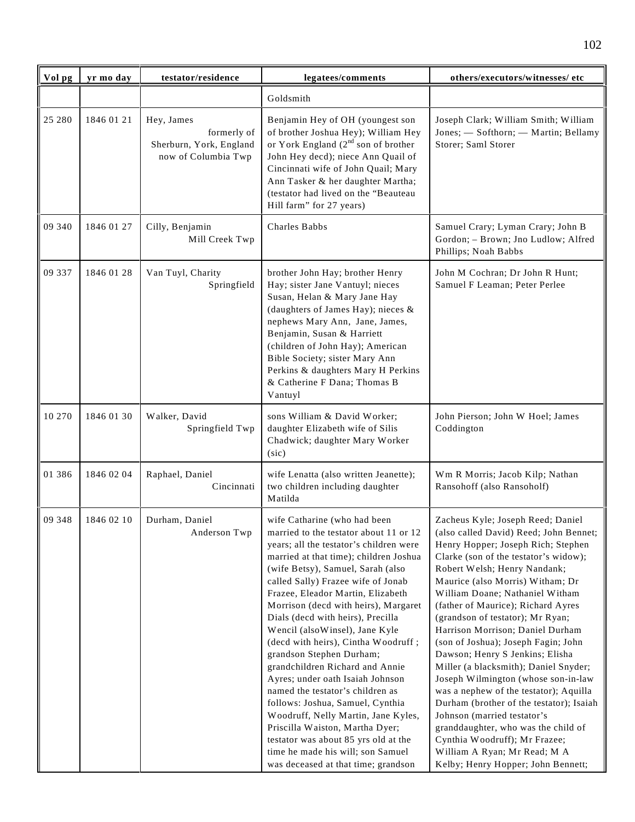| Vol pg | yr mo day  | testator/residence                                                          | legatees/comments                                                                                                                                                                                                                                                                                                                                                                                                                                                                                                                                                                                                                                                                                                                                                                                          | others/executors/witnesses/ etc                                                                                                                                                                                                                                                                                                                                                                                                                                                                                                                                                                                                                                                                                                                                                                              |
|--------|------------|-----------------------------------------------------------------------------|------------------------------------------------------------------------------------------------------------------------------------------------------------------------------------------------------------------------------------------------------------------------------------------------------------------------------------------------------------------------------------------------------------------------------------------------------------------------------------------------------------------------------------------------------------------------------------------------------------------------------------------------------------------------------------------------------------------------------------------------------------------------------------------------------------|--------------------------------------------------------------------------------------------------------------------------------------------------------------------------------------------------------------------------------------------------------------------------------------------------------------------------------------------------------------------------------------------------------------------------------------------------------------------------------------------------------------------------------------------------------------------------------------------------------------------------------------------------------------------------------------------------------------------------------------------------------------------------------------------------------------|
|        |            |                                                                             | Goldsmith                                                                                                                                                                                                                                                                                                                                                                                                                                                                                                                                                                                                                                                                                                                                                                                                  |                                                                                                                                                                                                                                                                                                                                                                                                                                                                                                                                                                                                                                                                                                                                                                                                              |
| 25 280 | 1846 01 21 | Hey, James<br>formerly of<br>Sherburn, York, England<br>now of Columbia Twp | Benjamin Hey of OH (youngest son<br>of brother Joshua Hey); William Hey<br>or York England $(2^{nd}$ son of brother<br>John Hey decd); niece Ann Quail of<br>Cincinnati wife of John Quail; Mary<br>Ann Tasker & her daughter Martha;<br>(testator had lived on the "Beauteau<br>Hill farm" for 27 years)                                                                                                                                                                                                                                                                                                                                                                                                                                                                                                  | Joseph Clark; William Smith; William<br>Jones; - Softhorn; - Martin; Bellamy<br>Storer; Saml Storer                                                                                                                                                                                                                                                                                                                                                                                                                                                                                                                                                                                                                                                                                                          |
| 09 340 | 1846 01 27 | Cilly, Benjamin<br>Mill Creek Twp                                           | Charles Babbs                                                                                                                                                                                                                                                                                                                                                                                                                                                                                                                                                                                                                                                                                                                                                                                              | Samuel Crary; Lyman Crary; John B<br>Gordon; - Brown; Jno Ludlow; Alfred<br>Phillips; Noah Babbs                                                                                                                                                                                                                                                                                                                                                                                                                                                                                                                                                                                                                                                                                                             |
| 09 337 | 1846 01 28 | Van Tuyl, Charity<br>Springfield                                            | brother John Hay; brother Henry<br>Hay; sister Jane Vantuyl; nieces<br>Susan, Helan & Mary Jane Hay<br>(daughters of James Hay); nieces &<br>nephews Mary Ann, Jane, James,<br>Benjamin, Susan & Harriett<br>(children of John Hay); American<br>Bible Society; sister Mary Ann<br>Perkins & daughters Mary H Perkins<br>& Catherine F Dana; Thomas B<br>Vantuyl                                                                                                                                                                                                                                                                                                                                                                                                                                           | John M Cochran; Dr John R Hunt;<br>Samuel F Leaman; Peter Perlee                                                                                                                                                                                                                                                                                                                                                                                                                                                                                                                                                                                                                                                                                                                                             |
| 10 270 | 1846 01 30 | Walker, David<br>Springfield Twp                                            | sons William & David Worker;<br>daughter Elizabeth wife of Silis<br>Chadwick; daughter Mary Worker<br>(sic)                                                                                                                                                                                                                                                                                                                                                                                                                                                                                                                                                                                                                                                                                                | John Pierson; John W Hoel; James<br>Coddington                                                                                                                                                                                                                                                                                                                                                                                                                                                                                                                                                                                                                                                                                                                                                               |
| 01 386 | 1846 02 04 | Raphael, Daniel<br>Cincinnati                                               | wife Lenatta (also written Jeanette);<br>two children including daughter<br>Matilda                                                                                                                                                                                                                                                                                                                                                                                                                                                                                                                                                                                                                                                                                                                        | Wm R Morris; Jacob Kilp; Nathan<br>Ransohoff (also Ransoholf)                                                                                                                                                                                                                                                                                                                                                                                                                                                                                                                                                                                                                                                                                                                                                |
| 09 348 | 1846 02 10 | Durham, Daniel<br>Anderson Twp                                              | wife Catharine (who had been<br>married to the testator about 11 or 12<br>years; all the testator's children were<br>married at that time); children Joshua<br>(wife Betsy), Samuel, Sarah (also<br>called Sally) Frazee wife of Jonab<br>Frazee, Eleador Martin, Elizabeth<br>Morrison (decd with heirs), Margaret<br>Dials (decd with heirs), Precilla<br>Wencil (alsoWinsel), Jane Kyle<br>(decd with heirs), Cintha Woodruff;<br>grandson Stephen Durham;<br>grandchildren Richard and Annie<br>Ayres; under oath Isaiah Johnson<br>named the testator's children as<br>follows: Joshua, Samuel, Cynthia<br>Woodruff, Nelly Martin, Jane Kyles,<br>Priscilla Waiston, Martha Dyer;<br>testator was about 85 yrs old at the<br>time he made his will; son Samuel<br>was deceased at that time; grandson | Zacheus Kyle; Joseph Reed; Daniel<br>(also called David) Reed; John Bennet;<br>Henry Hopper; Joseph Rich; Stephen<br>Clarke (son of the testator's widow);<br>Robert Welsh; Henry Nandank;<br>Maurice (also Morris) Witham; Dr<br>William Doane; Nathaniel Witham<br>(father of Maurice); Richard Ayres<br>(grandson of testator); Mr Ryan;<br>Harrison Morrison; Daniel Durham<br>(son of Joshua); Joseph Fagin; John<br>Dawson; Henry S Jenkins; Elisha<br>Miller (a blacksmith); Daniel Snyder;<br>Joseph Wilmington (whose son-in-law<br>was a nephew of the testator); Aquilla<br>Durham (brother of the testator); Isaiah<br>Johnson (married testator's<br>granddaughter, who was the child of<br>Cynthia Woodruff); Mr Frazee;<br>William A Ryan; Mr Read; M A<br>Kelby; Henry Hopper; John Bennett; |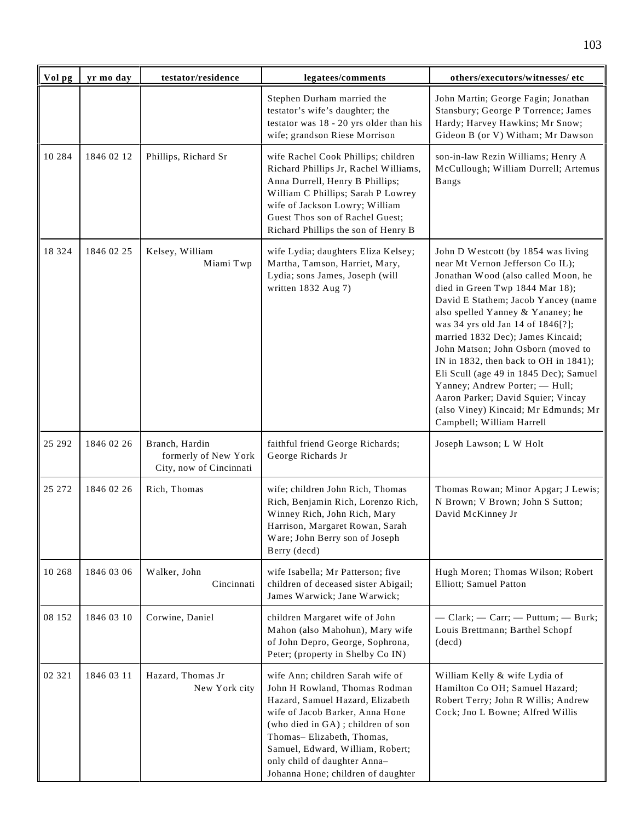| Vol pg   | yr mo day  | testator/residence                                                | legatees/comments                                                                                                                                                                                                                                                                                                    | others/executors/witnesses/ etc                                                                                                                                                                                                                                                                                                                                                                                                                                                                                                                                               |
|----------|------------|-------------------------------------------------------------------|----------------------------------------------------------------------------------------------------------------------------------------------------------------------------------------------------------------------------------------------------------------------------------------------------------------------|-------------------------------------------------------------------------------------------------------------------------------------------------------------------------------------------------------------------------------------------------------------------------------------------------------------------------------------------------------------------------------------------------------------------------------------------------------------------------------------------------------------------------------------------------------------------------------|
|          |            |                                                                   | Stephen Durham married the<br>testator's wife's daughter; the<br>testator was 18 - 20 yrs older than his<br>wife; grandson Riese Morrison                                                                                                                                                                            | John Martin; George Fagin; Jonathan<br>Stansbury; George P Torrence; James<br>Hardy; Harvey Hawkins; Mr Snow;<br>Gideon B (or V) Witham; Mr Dawson                                                                                                                                                                                                                                                                                                                                                                                                                            |
| 10 2 8 4 | 1846 02 12 | Phillips, Richard Sr                                              | wife Rachel Cook Phillips; children<br>Richard Phillips Jr, Rachel Williams,<br>Anna Durrell, Henry B Phillips;<br>William C Phillips; Sarah P Lowrey<br>wife of Jackson Lowry; William<br>Guest Thos son of Rachel Guest;<br>Richard Phillips the son of Henry B                                                    | son-in-law Rezin Williams; Henry A<br>McCullough; William Durrell; Artemus<br><b>Bangs</b>                                                                                                                                                                                                                                                                                                                                                                                                                                                                                    |
| 18 3 2 4 | 1846 02 25 | Kelsey, William<br>Miami Twp                                      | wife Lydia; daughters Eliza Kelsey;<br>Martha, Tamson, Harriet, Mary,<br>Lydia; sons James, Joseph (will<br>written 1832 Aug 7)                                                                                                                                                                                      | John D Westcott (by 1854 was living<br>near Mt Vernon Jefferson Co IL);<br>Jonathan Wood (also called Moon, he<br>died in Green Twp 1844 Mar 18);<br>David E Stathem; Jacob Yancey (name<br>also spelled Yanney & Yananey; he<br>was 34 yrs old Jan 14 of 1846[?];<br>married 1832 Dec); James Kincaid;<br>John Matson; John Osborn (moved to<br>IN in 1832, then back to OH in 1841);<br>Eli Scull (age 49 in 1845 Dec); Samuel<br>Yanney; Andrew Porter; - Hull;<br>Aaron Parker; David Squier; Vincay<br>(also Viney) Kincaid; Mr Edmunds; Mr<br>Campbell; William Harrell |
| 25 29 2  | 1846 02 26 | Branch, Hardin<br>formerly of New York<br>City, now of Cincinnati | faithful friend George Richards;<br>George Richards Jr                                                                                                                                                                                                                                                               | Joseph Lawson; L W Holt                                                                                                                                                                                                                                                                                                                                                                                                                                                                                                                                                       |
| 25 27 2  | 1846 02 26 | Rich, Thomas                                                      | wife; children John Rich, Thomas<br>Rich, Benjamin Rich, Lorenzo Rich,<br>Winney Rich, John Rich, Mary<br>Harrison, Margaret Rowan, Sarah<br>Ware; John Berry son of Joseph<br>Berry (decd)                                                                                                                          | Thomas Rowan; Minor Apgar; J Lewis;<br>N Brown; V Brown; John S Sutton;<br>David McKinney Jr                                                                                                                                                                                                                                                                                                                                                                                                                                                                                  |
| 10 268   | 1846 03 06 | Walker, John<br>Cincinnati                                        | wife Isabella; Mr Patterson; five<br>children of deceased sister Abigail;<br>James Warwick; Jane Warwick;                                                                                                                                                                                                            | Hugh Moren; Thomas Wilson; Robert<br>Elliott; Samuel Patton                                                                                                                                                                                                                                                                                                                                                                                                                                                                                                                   |
| 08 152   | 1846 03 10 | Corwine, Daniel                                                   | children Margaret wife of John<br>Mahon (also Mahohun), Mary wife<br>of John Depro, George, Sophrona,<br>Peter; (property in Shelby Co IN)                                                                                                                                                                           | - Clark; - Carr; - Puttum; - Burk;<br>Louis Brettmann; Barthel Schopf<br>(decd)                                                                                                                                                                                                                                                                                                                                                                                                                                                                                               |
| 02 321   | 1846 03 11 | Hazard, Thomas Jr<br>New York city                                | wife Ann; children Sarah wife of<br>John H Rowland, Thomas Rodman<br>Hazard, Samuel Hazard, Elizabeth<br>wife of Jacob Barker, Anna Hone<br>(who died in GA); children of son<br>Thomas-Elizabeth, Thomas,<br>Samuel, Edward, William, Robert;<br>only child of daughter Anna-<br>Johanna Hone; children of daughter | William Kelly & wife Lydia of<br>Hamilton Co OH; Samuel Hazard;<br>Robert Terry; John R Willis; Andrew<br>Cock; Jno L Bowne; Alfred Willis                                                                                                                                                                                                                                                                                                                                                                                                                                    |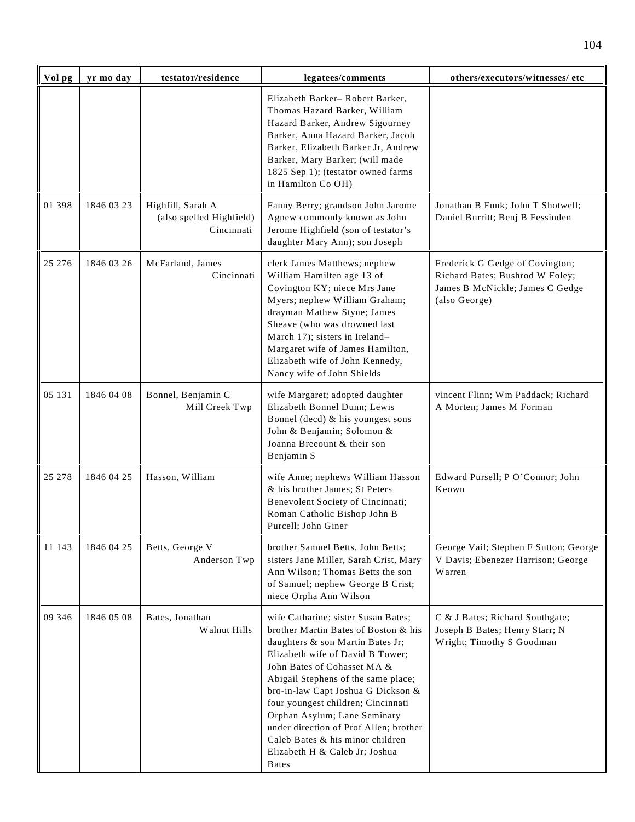| Vol pg | yr mo day  | testator/residence                                          | legatees/comments                                                                                                                                                                                                                                                                                                                                                                                                                                                      | others/executors/witnesses/ etc                                                                                        |
|--------|------------|-------------------------------------------------------------|------------------------------------------------------------------------------------------------------------------------------------------------------------------------------------------------------------------------------------------------------------------------------------------------------------------------------------------------------------------------------------------------------------------------------------------------------------------------|------------------------------------------------------------------------------------------------------------------------|
|        |            |                                                             | Elizabeth Barker-Robert Barker,<br>Thomas Hazard Barker, William<br>Hazard Barker, Andrew Sigourney<br>Barker, Anna Hazard Barker, Jacob<br>Barker, Elizabeth Barker Jr, Andrew<br>Barker, Mary Barker; (will made<br>1825 Sep 1); (testator owned farms<br>in Hamilton Co OH)                                                                                                                                                                                         |                                                                                                                        |
| 01 398 | 1846 03 23 | Highfill, Sarah A<br>(also spelled Highfield)<br>Cincinnati | Fanny Berry; grandson John Jarome<br>Agnew commonly known as John<br>Jerome Highfield (son of testator's<br>daughter Mary Ann); son Joseph                                                                                                                                                                                                                                                                                                                             | Jonathan B Funk; John T Shotwell;<br>Daniel Burritt; Benj B Fessinden                                                  |
| 25 276 | 1846 03 26 | McFarland, James<br>Cincinnati                              | clerk James Matthews; nephew<br>William Hamilten age 13 of<br>Covington KY; niece Mrs Jane<br>Myers; nephew William Graham;<br>drayman Mathew Styne; James<br>Sheave (who was drowned last<br>March 17); sisters in Ireland-<br>Margaret wife of James Hamilton,<br>Elizabeth wife of John Kennedy,<br>Nancy wife of John Shields                                                                                                                                      | Frederick G Gedge of Covington;<br>Richard Bates; Bushrod W Foley;<br>James B McNickle; James C Gedge<br>(also George) |
| 05 131 | 1846 04 08 | Bonnel, Benjamin C<br>Mill Creek Twp                        | wife Margaret; adopted daughter<br>Elizabeth Bonnel Dunn; Lewis<br>Bonnel (decd) & his youngest sons<br>John & Benjamin; Solomon &<br>Joanna Breeount & their son<br>Benjamin S                                                                                                                                                                                                                                                                                        | vincent Flinn; Wm Paddack; Richard<br>A Morten; James M Forman                                                         |
| 25 278 | 1846 04 25 | Hasson, William                                             | wife Anne; nephews William Hasson<br>& his brother James; St Peters<br>Benevolent Society of Cincinnati;<br>Roman Catholic Bishop John B<br>Purcell; John Giner                                                                                                                                                                                                                                                                                                        | Edward Pursell; P O'Connor; John<br>Keown                                                                              |
| 11 143 | 1846 04 25 | Betts, George V<br>Anderson Twp                             | brother Samuel Betts, John Betts;<br>sisters Jane Miller, Sarah Crist, Mary<br>Ann Wilson; Thomas Betts the son<br>of Samuel; nephew George B Crist;<br>niece Orpha Ann Wilson                                                                                                                                                                                                                                                                                         | George Vail; Stephen F Sutton; George<br>V Davis; Ebenezer Harrison; George<br>Warren                                  |
| 09 346 | 1846 05 08 | Bates, Jonathan<br>Walnut Hills                             | wife Catharine; sister Susan Bates;<br>brother Martin Bates of Boston & his<br>daughters & son Martin Bates Jr;<br>Elizabeth wife of David B Tower;<br>John Bates of Cohasset MA &<br>Abigail Stephens of the same place;<br>bro-in-law Capt Joshua G Dickson &<br>four youngest children; Cincinnati<br>Orphan Asylum; Lane Seminary<br>under direction of Prof Allen; brother<br>Caleb Bates & his minor children<br>Elizabeth H & Caleb Jr; Joshua<br><b>B</b> ates | C & J Bates; Richard Southgate;<br>Joseph B Bates; Henry Starr; N<br>Wright; Timothy S Goodman                         |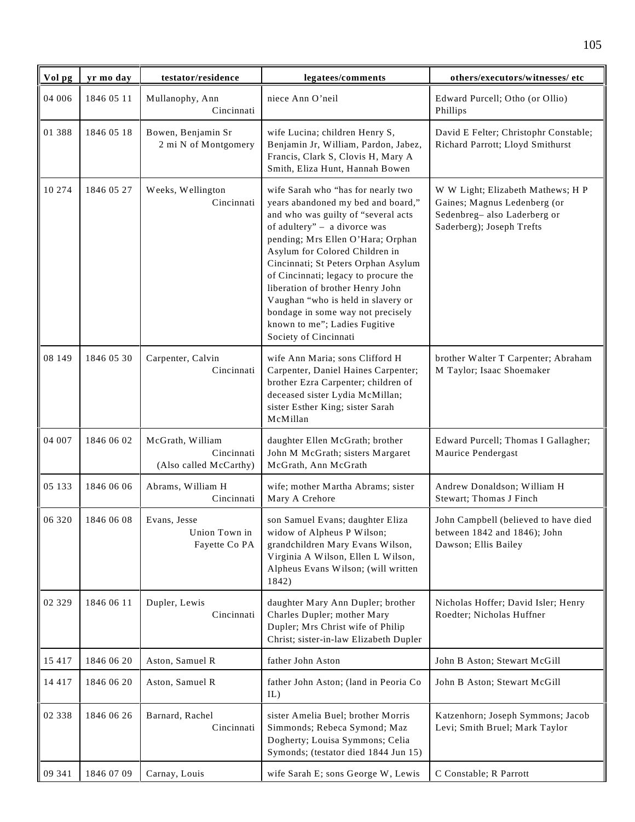| Vol pg   | yr mo day  | testator/residence                                       | legatees/comments                                                                                                                                                                                                                                                                                                                                                                                                                                                              | others/executors/witnesses/ etc                                                                                               |
|----------|------------|----------------------------------------------------------|--------------------------------------------------------------------------------------------------------------------------------------------------------------------------------------------------------------------------------------------------------------------------------------------------------------------------------------------------------------------------------------------------------------------------------------------------------------------------------|-------------------------------------------------------------------------------------------------------------------------------|
| 04 006   | 1846 05 11 | Mullanophy, Ann<br>Cincinnati                            | niece Ann O'neil                                                                                                                                                                                                                                                                                                                                                                                                                                                               | Edward Purcell; Otho (or Ollio)<br>Phillips                                                                                   |
| 01 388   | 1846 05 18 | Bowen, Benjamin Sr<br>2 mi N of Montgomery               | wife Lucina; children Henry S,<br>Benjamin Jr, William, Pardon, Jabez,<br>Francis, Clark S, Clovis H, Mary A<br>Smith, Eliza Hunt, Hannah Bowen                                                                                                                                                                                                                                                                                                                                | David E Felter; Christophr Constable;<br>Richard Parrott; Lloyd Smithurst                                                     |
| 10 274   | 1846 05 27 | Weeks, Wellington<br>Cincinnati                          | wife Sarah who "has for nearly two<br>years abandoned my bed and board,"<br>and who was guilty of "several acts<br>of adultery" - a divorce was<br>pending; Mrs Ellen O'Hara; Orphan<br>Asylum for Colored Children in<br>Cincinnati; St Peters Orphan Asylum<br>of Cincinnati; legacy to procure the<br>liberation of brother Henry John<br>Vaughan "who is held in slavery or<br>bondage in some way not precisely<br>known to me"; Ladies Fugitive<br>Society of Cincinnati | W W Light; Elizabeth Mathews; H P<br>Gaines; Magnus Ledenberg (or<br>Sedenbreg-also Laderberg or<br>Saderberg); Joseph Trefts |
| 08 149   | 1846 05 30 | Carpenter, Calvin<br>Cincinnati                          | wife Ann Maria; sons Clifford H<br>Carpenter, Daniel Haines Carpenter;<br>brother Ezra Carpenter; children of<br>deceased sister Lydia McMillan;<br>sister Esther King; sister Sarah<br>McMillan                                                                                                                                                                                                                                                                               | brother Walter T Carpenter; Abraham<br>M Taylor; Isaac Shoemaker                                                              |
| 04 007   | 1846 06 02 | McGrath, William<br>Cincinnati<br>(Also called McCarthy) | daughter Ellen McGrath; brother<br>John M McGrath; sisters Margaret<br>McGrath, Ann McGrath                                                                                                                                                                                                                                                                                                                                                                                    | Edward Purcell; Thomas I Gallagher;<br>Maurice Pendergast                                                                     |
| 05 133   | 1846 06 06 | Abrams, William H<br>Cincinnati                          | wife; mother Martha Abrams; sister<br>Mary A Crehore                                                                                                                                                                                                                                                                                                                                                                                                                           | Andrew Donaldson; William H<br>Stewart; Thomas J Finch                                                                        |
| 06 320   | 1846 06 08 | Evans, Jesse<br>Union Town in<br>Fayette Co PA           | son Samuel Evans; daughter Eliza<br>widow of Alpheus P Wilson;<br>grandchildren Mary Evans Wilson,<br>Virginia A Wilson, Ellen L Wilson,<br>Alpheus Evans Wilson; (will written<br>1842)                                                                                                                                                                                                                                                                                       | John Campbell (believed to have died<br>between 1842 and 1846); John<br>Dawson; Ellis Bailey                                  |
| 02 3 2 9 | 1846 06 11 | Dupler, Lewis<br>Cincinnati                              | daughter Mary Ann Dupler; brother<br>Charles Dupler; mother Mary<br>Dupler; Mrs Christ wife of Philip<br>Christ; sister-in-law Elizabeth Dupler                                                                                                                                                                                                                                                                                                                                | Nicholas Hoffer; David Isler; Henry<br>Roedter; Nicholas Huffner                                                              |
| 15 4 17  | 1846 06 20 | Aston, Samuel R                                          | father John Aston                                                                                                                                                                                                                                                                                                                                                                                                                                                              | John B Aston; Stewart McGill                                                                                                  |
| 14 4 17  | 1846 06 20 | Aston, Samuel R                                          | father John Aston; (land in Peoria Co<br>IL)                                                                                                                                                                                                                                                                                                                                                                                                                                   | John B Aston; Stewart McGill                                                                                                  |
| 02 338   | 1846 06 26 | Barnard, Rachel<br>Cincinnati                            | sister Amelia Buel; brother Morris<br>Simmonds; Rebeca Symond; Maz<br>Dogherty; Louisa Symmons; Celia<br>Symonds; (testator died 1844 Jun 15)                                                                                                                                                                                                                                                                                                                                  | Katzenhorn; Joseph Symmons; Jacob<br>Levi; Smith Bruel; Mark Taylor                                                           |
| 09 341   | 1846 07 09 | Carnay, Louis                                            | wife Sarah E; sons George W, Lewis                                                                                                                                                                                                                                                                                                                                                                                                                                             | C Constable; R Parrott                                                                                                        |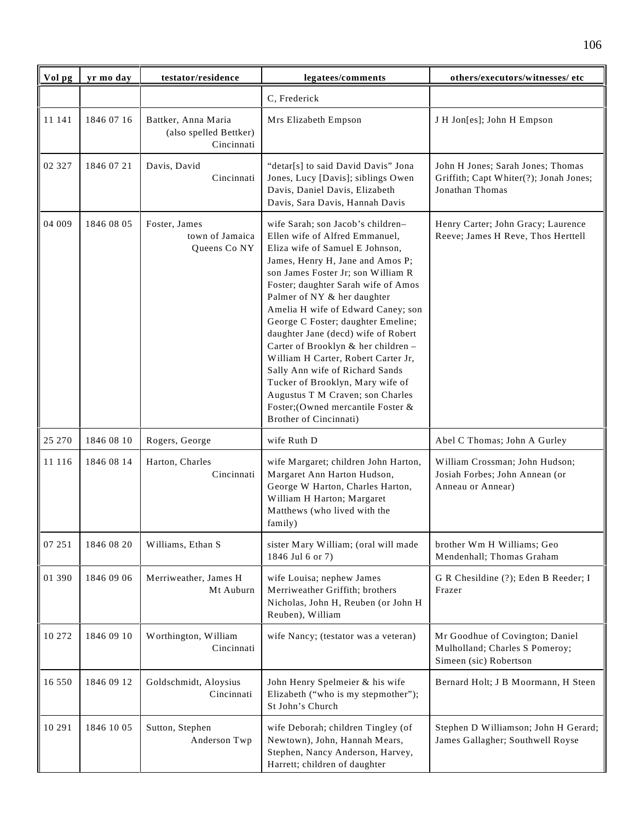| Vol pg   | yr mo day  | testator/residence                                          | legatees/comments                                                                                                                                                                                                                                                                                                                                                                                                                                                                                                                                                                                                                  | others/executors/witnesses/ etc                                                                |
|----------|------------|-------------------------------------------------------------|------------------------------------------------------------------------------------------------------------------------------------------------------------------------------------------------------------------------------------------------------------------------------------------------------------------------------------------------------------------------------------------------------------------------------------------------------------------------------------------------------------------------------------------------------------------------------------------------------------------------------------|------------------------------------------------------------------------------------------------|
|          |            |                                                             | C, Frederick                                                                                                                                                                                                                                                                                                                                                                                                                                                                                                                                                                                                                       |                                                                                                |
| 11 141   | 1846 07 16 | Battker, Anna Maria<br>(also spelled Bettker)<br>Cincinnati | Mrs Elizabeth Empson                                                                                                                                                                                                                                                                                                                                                                                                                                                                                                                                                                                                               | J H Jon[es]; John H Empson                                                                     |
| 02 3 2 7 | 1846 07 21 | Davis, David<br>Cincinnati                                  | "detar[s] to said David Davis" Jona<br>Jones, Lucy [Davis]; siblings Owen<br>Davis, Daniel Davis, Elizabeth<br>Davis, Sara Davis, Hannah Davis                                                                                                                                                                                                                                                                                                                                                                                                                                                                                     | John H Jones; Sarah Jones; Thomas<br>Griffith; Capt Whiter(?); Jonah Jones;<br>Jonathan Thomas |
| 04 009   | 1846 08 05 | Foster, James<br>town of Jamaica<br>Queens Co NY            | wife Sarah; son Jacob's children-<br>Ellen wife of Alfred Emmanuel,<br>Eliza wife of Samuel E Johnson,<br>James, Henry H, Jane and Amos P;<br>son James Foster Jr; son William R<br>Foster; daughter Sarah wife of Amos<br>Palmer of NY & her daughter<br>Amelia H wife of Edward Caney; son<br>George C Foster; daughter Emeline;<br>daughter Jane (decd) wife of Robert<br>Carter of Brooklyn & her children -<br>William H Carter, Robert Carter Jr,<br>Sally Ann wife of Richard Sands<br>Tucker of Brooklyn, Mary wife of<br>Augustus T M Craven; son Charles<br>Foster; (Owned mercantile Foster &<br>Brother of Cincinnati) | Henry Carter; John Gracy; Laurence<br>Reeve; James H Reve, Thos Herttell                       |
| 25 270   | 1846 08 10 | Rogers, George                                              | wife Ruth D                                                                                                                                                                                                                                                                                                                                                                                                                                                                                                                                                                                                                        | Abel C Thomas; John A Gurley                                                                   |
| 11 116   | 1846 08 14 | Harton, Charles<br>Cincinnati                               | wife Margaret; children John Harton,<br>Margaret Ann Harton Hudson,<br>George W Harton, Charles Harton,<br>William H Harton; Margaret<br>Matthews (who lived with the<br>family)                                                                                                                                                                                                                                                                                                                                                                                                                                                   | William Crossman; John Hudson;<br>Josiah Forbes; John Annean (or<br>Anneau or Annear)          |
| 07 251   | 1846 08 20 | Williams, Ethan S                                           | sister Mary William; (oral will made<br>1846 Jul 6 or 7)                                                                                                                                                                                                                                                                                                                                                                                                                                                                                                                                                                           | brother Wm H Williams; Geo<br>Mendenhall; Thomas Graham                                        |
| 01 390   | 1846 09 06 | Merriweather, James H<br>Mt Auburn                          | wife Louisa; nephew James<br>Merriweather Griffith; brothers<br>Nicholas, John H, Reuben (or John H<br>Reuben), William                                                                                                                                                                                                                                                                                                                                                                                                                                                                                                            | G R Chesildine (?); Eden B Reeder; I<br>Frazer                                                 |
| 10 272   | 1846 09 10 | Worthington, William<br>Cincinnati                          | wife Nancy; (testator was a veteran)                                                                                                                                                                                                                                                                                                                                                                                                                                                                                                                                                                                               | Mr Goodhue of Covington; Daniel<br>Mulholland; Charles S Pomeroy;<br>Simeen (sic) Robertson    |
| 16 550   | 1846 09 12 | Goldschmidt, Aloysius<br>Cincinnati                         | John Henry Spelmeier & his wife<br>Elizabeth ("who is my stepmother");<br>St John's Church                                                                                                                                                                                                                                                                                                                                                                                                                                                                                                                                         | Bernard Holt; J B Moormann, H Steen                                                            |
| 10 29 1  | 1846 10 05 | Sutton, Stephen<br>Anderson Twp                             | wife Deborah; children Tingley (of<br>Newtown), John, Hannah Mears,<br>Stephen, Nancy Anderson, Harvey,<br>Harrett; children of daughter                                                                                                                                                                                                                                                                                                                                                                                                                                                                                           | Stephen D Williamson; John H Gerard;<br>James Gallagher; Southwell Royse                       |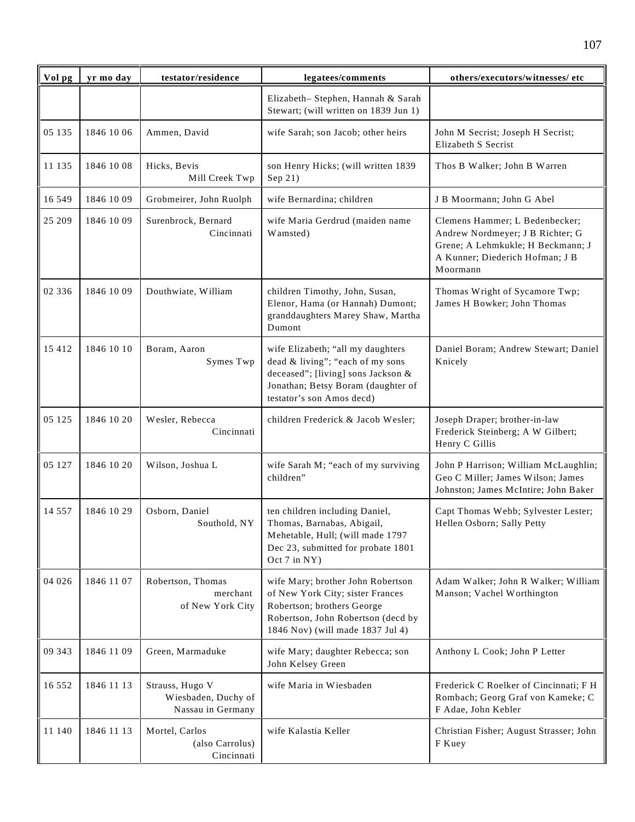| Vol pg   | yr mo day  | testator/residence                                          | legatees/comments                                                                                                                                                              | others/executors/witnesses/etc                                                                                                                         |
|----------|------------|-------------------------------------------------------------|--------------------------------------------------------------------------------------------------------------------------------------------------------------------------------|--------------------------------------------------------------------------------------------------------------------------------------------------------|
|          |            |                                                             | Elizabeth- Stephen, Hannah & Sarah<br>Stewart; (will written on 1839 Jun 1)                                                                                                    |                                                                                                                                                        |
| 05 135   | 1846 10 06 | Ammen, David                                                | wife Sarah; son Jacob; other heirs                                                                                                                                             | John M Secrist; Joseph H Secrist;<br>Elizabeth S Secrist                                                                                               |
| 11 135   | 1846 10 08 | Hicks, Bevis<br>Mill Creek Twp                              | son Henry Hicks; (will written 1839<br>Sep 21)                                                                                                                                 | Thos B Walker; John B Warren                                                                                                                           |
| 16 549   | 1846 10 09 | Grobmeirer, John Ruolph                                     | wife Bernardina; children                                                                                                                                                      | J B Moormann; John G Abel                                                                                                                              |
| 25 209   | 1846 10 09 | Surenbrock, Bernard<br>Cincinnati                           | wife Maria Gerdrud (maiden name<br>Wamsted)                                                                                                                                    | Clemens Hammer; L Bedenbecker;<br>Andrew Nordmeyer; J B Richter; G<br>Grene; A Lehmkukle; H Beckmann; J<br>A Kunner; Diederich Hofman; J B<br>Moormann |
| 02 336   | 1846 10 09 | Douthwiate, William                                         | children Timothy, John, Susan,<br>Elenor, Hama (or Hannah) Dumont;<br>granddaughters Marey Shaw, Martha<br>Dumont                                                              | Thomas Wright of Sycamore Twp;<br>James H Bowker; John Thomas                                                                                          |
| 15 4 12  | 1846 10 10 | Boram, Aaron<br>Symes Twp                                   | wife Elizabeth; "all my daughters<br>dead & living"; "each of my sons<br>deceased"; [living] sons Jackson &<br>Jonathan; Betsy Boram (daughter of<br>testator's son Amos decd) | Daniel Boram; Andrew Stewart; Daniel<br>Knicely                                                                                                        |
| 05 125   | 1846 10 20 | Wesler, Rebecca<br>Cincinnati                               | children Frederick & Jacob Wesler;                                                                                                                                             | Joseph Draper; brother-in-law<br>Frederick Steinberg; A W Gilbert;<br>Henry C Gillis                                                                   |
| 05 127   | 1846 10 20 | Wilson, Joshua L                                            | wife Sarah M; "each of my surviving<br>children"                                                                                                                               | John P Harrison; William McLaughlin;<br>Geo C Miller; James Wilson; James<br>Johnston; James McIntire; John Baker                                      |
| 14 5 5 7 | 1846 10 29 | Osborn, Daniel<br>Southold, NY                              | ten children including Daniel,<br>Thomas, Barnabas, Abigail,<br>Mehetable, Hull; (will made 1797<br>Dec 23, submitted for probate 1801<br>Oct 7 in NY)                         | Capt Thomas Webb; Sylvester Lester;<br>Hellen Osborn; Sally Petty                                                                                      |
| 04 026   | 1846 11 07 | Robertson, Thomas<br>merchant<br>of New York City           | wife Mary; brother John Robertson<br>of New York City; sister Frances<br>Robertson; brothers George<br>Robertson, John Robertson (decd by<br>1846 Nov) (will made 1837 Jul 4)  | Adam Walker; John R Walker; William<br>Manson; Vachel Worthington                                                                                      |
| 09 343   | 1846 11 09 | Green, Marmaduke                                            | wife Mary; daughter Rebecca; son<br>John Kelsey Green                                                                                                                          | Anthony L Cook; John P Letter                                                                                                                          |
| 16 5 5 2 | 1846 11 13 | Strauss, Hugo V<br>Wiesbaden, Duchy of<br>Nassau in Germany | wife Maria in Wiesbaden                                                                                                                                                        | Frederick C Roelker of Cincinnati; F H<br>Rombach; Georg Graf von Kameke; C<br>F Adae, John Kebler                                                     |
| 11 140   | 1846 11 13 | Mortel, Carlos<br>(also Carrolus)<br>Cincinnati             | wife Kalastia Keller                                                                                                                                                           | Christian Fisher; August Strasser; John<br>F Kuey                                                                                                      |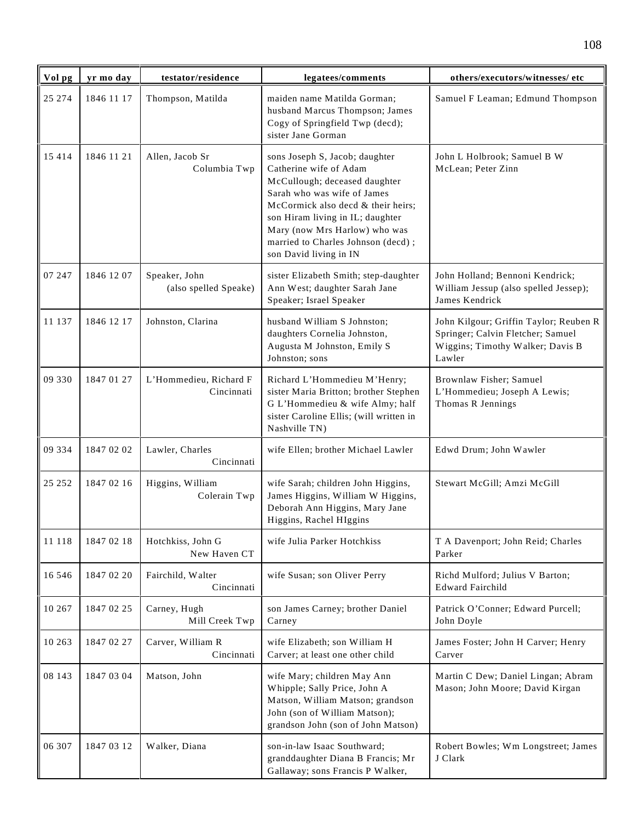| Vol pg  | yr mo day  | testator/residence                     | legatees/comments                                                                                                                                                                                                                                                                                   | others/executors/witnesses/etc                                                                                            |
|---------|------------|----------------------------------------|-----------------------------------------------------------------------------------------------------------------------------------------------------------------------------------------------------------------------------------------------------------------------------------------------------|---------------------------------------------------------------------------------------------------------------------------|
| 25 274  | 1846 11 17 | Thompson, Matilda                      | maiden name Matilda Gorman;<br>husband Marcus Thompson; James<br>Cogy of Springfield Twp (decd);<br>sister Jane Gorman                                                                                                                                                                              | Samuel F Leaman; Edmund Thompson                                                                                          |
| 15 4 14 | 1846 11 21 | Allen, Jacob Sr<br>Columbia Twp        | sons Joseph S, Jacob; daughter<br>Catherine wife of Adam<br>McCullough; deceased daughter<br>Sarah who was wife of James<br>McCormick also decd & their heirs;<br>son Hiram living in IL; daughter<br>Mary (now Mrs Harlow) who was<br>married to Charles Johnson (decd);<br>son David living in IN | John L Holbrook; Samuel B W<br>McLean; Peter Zinn                                                                         |
| 07 247  | 1846 12 07 | Speaker, John<br>(also spelled Speake) | sister Elizabeth Smith; step-daughter<br>Ann West; daughter Sarah Jane<br>Speaker; Israel Speaker                                                                                                                                                                                                   | John Holland; Bennoni Kendrick;<br>William Jessup (also spelled Jessep);<br>James Kendrick                                |
| 11 137  | 1846 12 17 | Johnston, Clarina                      | husband William S Johnston;<br>daughters Cornelia Johnston,<br>Augusta M Johnston, Emily S<br>Johnston; sons                                                                                                                                                                                        | John Kilgour; Griffin Taylor; Reuben R<br>Springer; Calvin Fletcher; Samuel<br>Wiggins; Timothy Walker; Davis B<br>Lawler |
| 09 330  | 1847 01 27 | L'Hommedieu, Richard F<br>Cincinnati   | Richard L'Hommedieu M'Henry;<br>sister Maria Britton; brother Stephen<br>G L'Hommedieu & wife Almy; half<br>sister Caroline Ellis; (will written in<br>Nashville TN)                                                                                                                                | Brownlaw Fisher; Samuel<br>L'Hommedieu; Joseph A Lewis;<br>Thomas R Jennings                                              |
| 09 334  | 1847 02 02 | Lawler, Charles<br>Cincinnati          | wife Ellen; brother Michael Lawler                                                                                                                                                                                                                                                                  | Edwd Drum; John Wawler                                                                                                    |
| 25 25 2 | 1847 02 16 | Higgins, William<br>Colerain Twp       | wife Sarah; children John Higgins,<br>James Higgins, William W Higgins,<br>Deborah Ann Higgins, Mary Jane<br>Higgins, Rachel HIggins                                                                                                                                                                | Stewart McGill; Amzi McGill                                                                                               |
| 11 118  | 1847 02 18 | Hotchkiss, John G<br>New Haven CT      | wife Julia Parker Hotchkiss                                                                                                                                                                                                                                                                         | T A Davenport; John Reid; Charles<br>Parker                                                                               |
| 16 546  | 1847 02 20 | Fairchild, Walter<br>Cincinnati        | wife Susan; son Oliver Perry                                                                                                                                                                                                                                                                        | Richd Mulford; Julius V Barton;<br><b>Edward Fairchild</b>                                                                |
| 10 267  | 1847 02 25 | Carney, Hugh<br>Mill Creek Twp         | son James Carney; brother Daniel<br>Carney                                                                                                                                                                                                                                                          | Patrick O'Conner; Edward Purcell;<br>John Doyle                                                                           |
| 10 263  | 1847 02 27 | Carver, William R<br>Cincinnati        | wife Elizabeth; son William H<br>Carver; at least one other child                                                                                                                                                                                                                                   | James Foster; John H Carver; Henry<br>Carver                                                                              |
| 08 143  | 1847 03 04 | Matson, John                           | wife Mary; children May Ann<br>Whipple; Sally Price, John A<br>Matson, William Matson; grandson<br>John (son of William Matson);<br>grandson John (son of John Matson)                                                                                                                              | Martin C Dew; Daniel Lingan; Abram<br>Mason; John Moore; David Kirgan                                                     |
| 06 307  | 1847 03 12 | Walker, Diana                          | son-in-law Isaac Southward;<br>granddaughter Diana B Francis; Mr<br>Gallaway; sons Francis P Walker,                                                                                                                                                                                                | Robert Bowles; Wm Longstreet; James<br>J Clark                                                                            |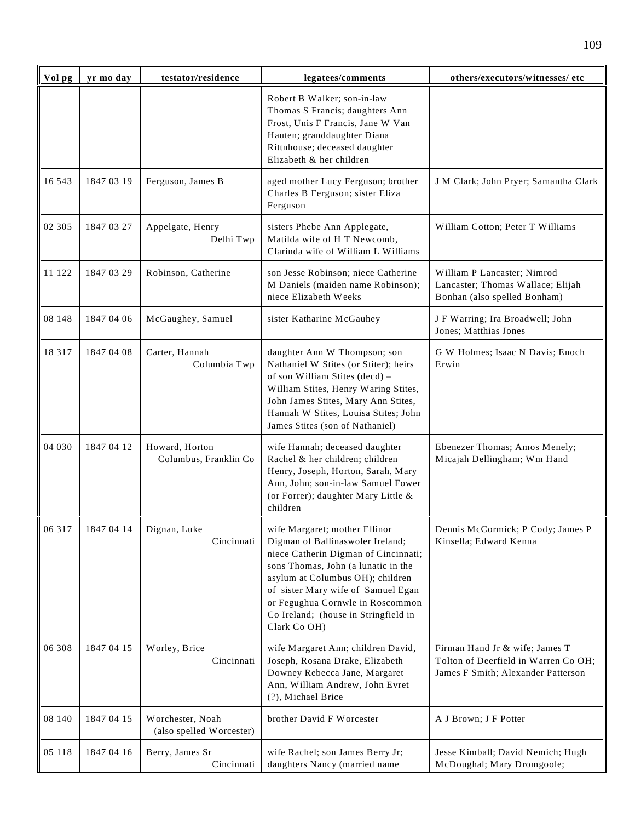| Vol pg  | yr mo day  | testator/residence                           | legatees/comments                                                                                                                                                                                                                                                                                                      | others/executors/witnesses/ etc                                                                              |
|---------|------------|----------------------------------------------|------------------------------------------------------------------------------------------------------------------------------------------------------------------------------------------------------------------------------------------------------------------------------------------------------------------------|--------------------------------------------------------------------------------------------------------------|
|         |            |                                              | Robert B Walker; son-in-law<br>Thomas S Francis; daughters Ann<br>Frost, Unis F Francis, Jane W Van<br>Hauten; granddaughter Diana<br>Rittnhouse; deceased daughter<br>Elizabeth & her children                                                                                                                        |                                                                                                              |
| 16 543  | 1847 03 19 | Ferguson, James B                            | aged mother Lucy Ferguson; brother<br>Charles B Ferguson; sister Eliza<br>Ferguson                                                                                                                                                                                                                                     | J M Clark; John Pryer; Samantha Clark                                                                        |
| 02 3 05 | 1847 03 27 | Appelgate, Henry<br>Delhi Twp                | sisters Phebe Ann Applegate,<br>Matilda wife of H T Newcomb,<br>Clarinda wife of William L Williams                                                                                                                                                                                                                    | William Cotton; Peter T Williams                                                                             |
| 11 122  | 1847 03 29 | Robinson, Catherine                          | son Jesse Robinson; niece Catherine<br>M Daniels (maiden name Robinson);<br>niece Elizabeth Weeks                                                                                                                                                                                                                      | William P Lancaster; Nimrod<br>Lancaster; Thomas Wallace; Elijah<br>Bonhan (also spelled Bonham)             |
| 08 148  | 1847 04 06 | McGaughey, Samuel                            | sister Katharine McGauhey                                                                                                                                                                                                                                                                                              | J F Warring; Ira Broadwell; John<br>Jones; Matthias Jones                                                    |
| 18 3 17 | 1847 04 08 | Carter, Hannah<br>Columbia Twp               | daughter Ann W Thompson; son<br>Nathaniel W Stites (or Stiter); heirs<br>of son William Stites (decd) -<br>William Stites, Henry Waring Stites,<br>John James Stites, Mary Ann Stites,<br>Hannah W Stites, Louisa Stites; John<br>James Stites (son of Nathaniel)                                                      | G W Holmes; Isaac N Davis; Enoch<br>Erwin                                                                    |
| 04 030  | 1847 04 12 | Howard, Horton<br>Columbus, Franklin Co      | wife Hannah; deceased daughter<br>Rachel & her children; children<br>Henry, Joseph, Horton, Sarah, Mary<br>Ann, John; son-in-law Samuel Fower<br>(or Forrer); daughter Mary Little &<br>children                                                                                                                       | Ebenezer Thomas; Amos Menely;<br>Micajah Dellingham; Wm Hand                                                 |
| 06 317  | 1847 04 14 | Dignan, Luke<br>Cincinnati                   | wife Margaret; mother Ellinor<br>Digman of Ballinaswoler Ireland;<br>niece Catherin Digman of Cincinnati;<br>sons Thomas, John (a lunatic in the<br>asylum at Columbus OH); children<br>of sister Mary wife of Samuel Egan<br>or Fegughua Cornwle in Roscommon<br>Co Ireland; (house in Stringfield in<br>Clark Co OH) | Dennis McCormick; P Cody; James P<br>Kinsella; Edward Kenna                                                  |
| 06 308  | 1847 04 15 | Worley, Brice<br>Cincinnati                  | wife Margaret Ann; children David,<br>Joseph, Rosana Drake, Elizabeth<br>Downey Rebecca Jane, Margaret<br>Ann, William Andrew, John Evret<br>(?), Michael Brice                                                                                                                                                        | Firman Hand Jr & wife; James T<br>Tolton of Deerfield in Warren Co OH;<br>James F Smith; Alexander Patterson |
| 08 140  | 1847 04 15 | Worchester, Noah<br>(also spelled Worcester) | brother David F Worcester                                                                                                                                                                                                                                                                                              | A J Brown; J F Potter                                                                                        |
| 05 118  | 1847 04 16 | Berry, James Sr<br>Cincinnati                | wife Rachel; son James Berry Jr;<br>daughters Nancy (married name                                                                                                                                                                                                                                                      | Jesse Kimball; David Nemich; Hugh<br>McDoughal; Mary Dromgoole;                                              |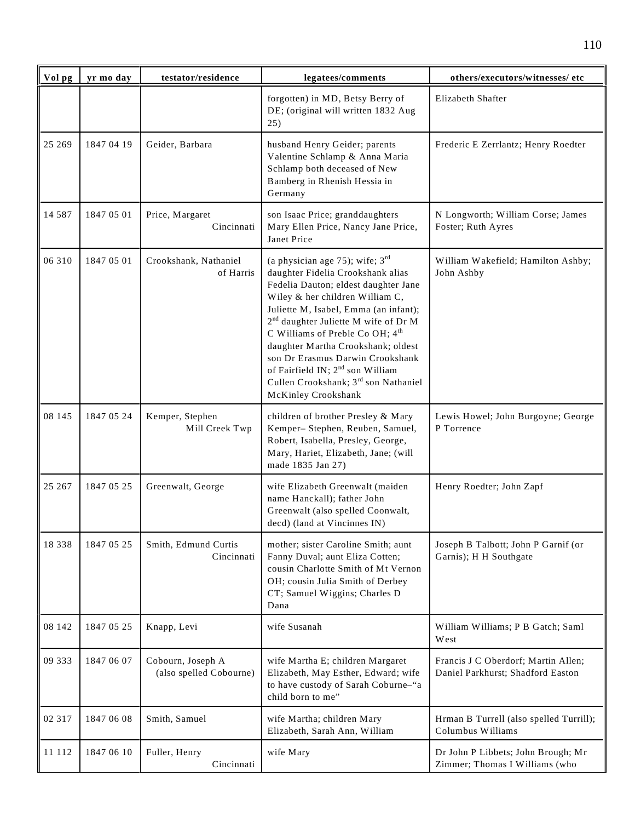| Vol pg   | yr mo day  | testator/residence                           | legatees/comments                                                                                                                                                                                                                                                                                                                                                                                                                                                                      | others/executors/witnesses/ etc                                          |
|----------|------------|----------------------------------------------|----------------------------------------------------------------------------------------------------------------------------------------------------------------------------------------------------------------------------------------------------------------------------------------------------------------------------------------------------------------------------------------------------------------------------------------------------------------------------------------|--------------------------------------------------------------------------|
|          |            |                                              | forgotten) in MD, Betsy Berry of<br>DE; (original will written 1832 Aug<br>25)                                                                                                                                                                                                                                                                                                                                                                                                         | Elizabeth Shafter                                                        |
| 25 269   | 1847 04 19 | Geider, Barbara                              | husband Henry Geider; parents<br>Valentine Schlamp & Anna Maria<br>Schlamp both deceased of New<br>Bamberg in Rhenish Hessia in<br>Germany                                                                                                                                                                                                                                                                                                                                             | Frederic E Zerrlantz; Henry Roedter                                      |
| 14 5 8 7 | 1847 05 01 | Price, Margaret<br>Cincinnati                | son Isaac Price; granddaughters<br>Mary Ellen Price, Nancy Jane Price,<br>Janet Price                                                                                                                                                                                                                                                                                                                                                                                                  | N Longworth; William Corse; James<br>Foster; Ruth Ayres                  |
| 06 310   | 1847 05 01 | Crookshank, Nathaniel<br>of Harris           | (a physician age 75); wife; $3rd$<br>daughter Fidelia Crookshank alias<br>Fedelia Dauton; eldest daughter Jane<br>Wiley & her children William C,<br>Juliette M, Isabel, Emma (an infant);<br>2 <sup>nd</sup> daughter Juliette M wife of Dr M<br>C Williams of Preble Co OH; 4 <sup>th</sup><br>daughter Martha Crookshank; oldest<br>son Dr Erasmus Darwin Crookshank<br>of Fairfield IN; 2 <sup>nd</sup> son William<br>Cullen Crookshank; 3rd son Nathaniel<br>McKinley Crookshank | William Wakefield; Hamilton Ashby;<br>John Ashby                         |
| 08 145   | 1847 05 24 | Kemper, Stephen<br>Mill Creek Twp            | children of brother Presley & Mary<br>Kemper- Stephen, Reuben, Samuel,<br>Robert, Isabella, Presley, George,<br>Mary, Hariet, Elizabeth, Jane; (will<br>made 1835 Jan 27)                                                                                                                                                                                                                                                                                                              | Lewis Howel; John Burgoyne; George<br>P Torrence                         |
| 25 267   | 1847 05 25 | Greenwalt, George                            | wife Elizabeth Greenwalt (maiden<br>name Hanckall); father John<br>Greenwalt (also spelled Coonwalt,<br>decd) (land at Vincinnes IN)                                                                                                                                                                                                                                                                                                                                                   | Henry Roedter; John Zapf                                                 |
| 18 3 3 8 | 1847 05 25 | Smith, Edmund Curtis<br>Cincinnati           | mother; sister Caroline Smith; aunt<br>Fanny Duval; aunt Eliza Cotten;<br>cousin Charlotte Smith of Mt Vernon<br>OH; cousin Julia Smith of Derbey<br>CT; Samuel Wiggins; Charles D<br>Dana                                                                                                                                                                                                                                                                                             | Joseph B Talbott; John P Garnif (or<br>Garnis); H H Southgate            |
| 08 142   | 1847 05 25 | Knapp, Levi                                  | wife Susanah                                                                                                                                                                                                                                                                                                                                                                                                                                                                           | William Williams; P B Gatch; Saml<br>West                                |
| 09 333   | 1847 06 07 | Cobourn, Joseph A<br>(also spelled Cobourne) | wife Martha E; children Margaret<br>Elizabeth, May Esther, Edward; wife<br>to have custody of Sarah Coburne-"a<br>child born to me"                                                                                                                                                                                                                                                                                                                                                    | Francis J C Oberdorf; Martin Allen;<br>Daniel Parkhurst; Shadford Easton |
| 02 3 1 7 | 1847 06 08 | Smith, Samuel                                | wife Martha; children Mary<br>Elizabeth, Sarah Ann, William                                                                                                                                                                                                                                                                                                                                                                                                                            | Hrman B Turrell (also spelled Turrill);<br>Columbus Williams             |
| 11 112   | 1847 06 10 | Fuller, Henry<br>Cincinnati                  | wife Mary                                                                                                                                                                                                                                                                                                                                                                                                                                                                              | Dr John P Libbets; John Brough; Mr<br>Zimmer; Thomas I Williams (who     |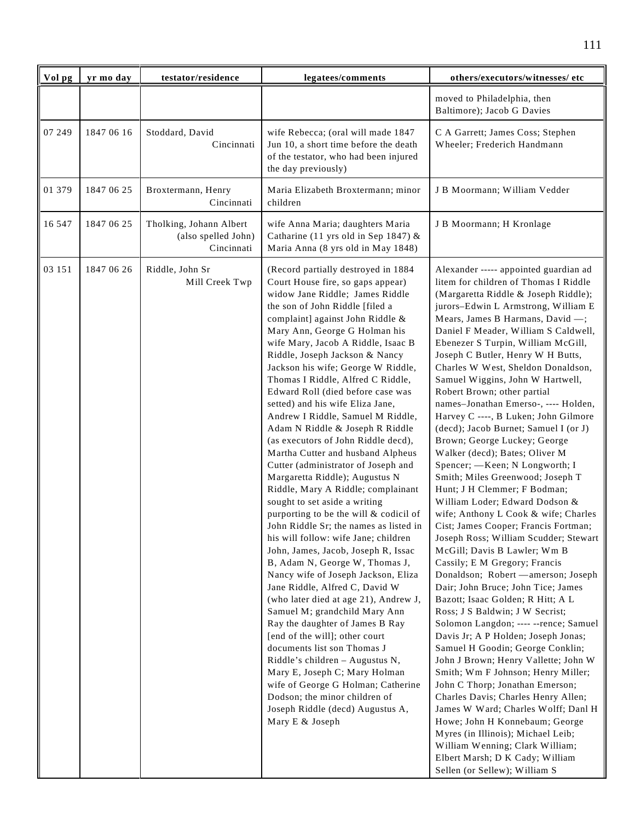| Vol pg | yr mo day  | testator/residence                                           | legatees/comments                                                                                                                                                                                                                                                                                                                                                                                                                                                                                                                                                                                                                                                                                                                                                                                                                                                                                                                                                                                                                                                                                                                                                                                                                                                                                                                                                                                                 | others/executors/witnesses/ etc                                                                                                                                                                                                                                                                                                                                                                                                                                                                                                                                                                                                                                                                                                                                                                                                                                                                                                                                                                                                                                                                                                                                                                                                                                                                                                                                                                                                                                                                                                                                                                                    |
|--------|------------|--------------------------------------------------------------|-------------------------------------------------------------------------------------------------------------------------------------------------------------------------------------------------------------------------------------------------------------------------------------------------------------------------------------------------------------------------------------------------------------------------------------------------------------------------------------------------------------------------------------------------------------------------------------------------------------------------------------------------------------------------------------------------------------------------------------------------------------------------------------------------------------------------------------------------------------------------------------------------------------------------------------------------------------------------------------------------------------------------------------------------------------------------------------------------------------------------------------------------------------------------------------------------------------------------------------------------------------------------------------------------------------------------------------------------------------------------------------------------------------------|--------------------------------------------------------------------------------------------------------------------------------------------------------------------------------------------------------------------------------------------------------------------------------------------------------------------------------------------------------------------------------------------------------------------------------------------------------------------------------------------------------------------------------------------------------------------------------------------------------------------------------------------------------------------------------------------------------------------------------------------------------------------------------------------------------------------------------------------------------------------------------------------------------------------------------------------------------------------------------------------------------------------------------------------------------------------------------------------------------------------------------------------------------------------------------------------------------------------------------------------------------------------------------------------------------------------------------------------------------------------------------------------------------------------------------------------------------------------------------------------------------------------------------------------------------------------------------------------------------------------|
|        |            |                                                              |                                                                                                                                                                                                                                                                                                                                                                                                                                                                                                                                                                                                                                                                                                                                                                                                                                                                                                                                                                                                                                                                                                                                                                                                                                                                                                                                                                                                                   | moved to Philadelphia, then<br>Baltimore); Jacob G Davies                                                                                                                                                                                                                                                                                                                                                                                                                                                                                                                                                                                                                                                                                                                                                                                                                                                                                                                                                                                                                                                                                                                                                                                                                                                                                                                                                                                                                                                                                                                                                          |
| 07 249 | 1847 06 16 | Stoddard, David<br>Cincinnati                                | wife Rebecca; (oral will made 1847<br>Jun 10, a short time before the death<br>of the testator, who had been injured<br>the day previously)                                                                                                                                                                                                                                                                                                                                                                                                                                                                                                                                                                                                                                                                                                                                                                                                                                                                                                                                                                                                                                                                                                                                                                                                                                                                       | C A Garrett; James Coss; Stephen<br>Wheeler; Frederich Handmann                                                                                                                                                                                                                                                                                                                                                                                                                                                                                                                                                                                                                                                                                                                                                                                                                                                                                                                                                                                                                                                                                                                                                                                                                                                                                                                                                                                                                                                                                                                                                    |
| 01 379 | 1847 06 25 | Broxtermann, Henry<br>Cincinnati                             | Maria Elizabeth Broxtermann; minor<br>children                                                                                                                                                                                                                                                                                                                                                                                                                                                                                                                                                                                                                                                                                                                                                                                                                                                                                                                                                                                                                                                                                                                                                                                                                                                                                                                                                                    | J B Moormann; William Vedder                                                                                                                                                                                                                                                                                                                                                                                                                                                                                                                                                                                                                                                                                                                                                                                                                                                                                                                                                                                                                                                                                                                                                                                                                                                                                                                                                                                                                                                                                                                                                                                       |
| 16 547 | 1847 06 25 | Tholking, Johann Albert<br>(also spelled John)<br>Cincinnati | wife Anna Maria; daughters Maria<br>Catharine (11 yrs old in Sep 1847) $\&$<br>Maria Anna (8 yrs old in May 1848)                                                                                                                                                                                                                                                                                                                                                                                                                                                                                                                                                                                                                                                                                                                                                                                                                                                                                                                                                                                                                                                                                                                                                                                                                                                                                                 | J B Moormann; H Kronlage                                                                                                                                                                                                                                                                                                                                                                                                                                                                                                                                                                                                                                                                                                                                                                                                                                                                                                                                                                                                                                                                                                                                                                                                                                                                                                                                                                                                                                                                                                                                                                                           |
| 03 151 | 1847 06 26 | Riddle, John Sr<br>Mill Creek Twp                            | (Record partially destroyed in 1884<br>Court House fire, so gaps appear)<br>widow Jane Riddle; James Riddle<br>the son of John Riddle [filed a<br>complaint] against John Riddle &<br>Mary Ann, George G Holman his<br>wife Mary, Jacob A Riddle, Isaac B<br>Riddle, Joseph Jackson & Nancy<br>Jackson his wife; George W Riddle,<br>Thomas I Riddle, Alfred C Riddle,<br>Edward Roll (died before case was<br>setted) and his wife Eliza Jane,<br>Andrew I Riddle, Samuel M Riddle,<br>Adam N Riddle & Joseph R Riddle<br>(as executors of John Riddle decd),<br>Martha Cutter and husband Alpheus<br>Cutter (administrator of Joseph and<br>Margaretta Riddle); Augustus N<br>Riddle, Mary A Riddle; complainant<br>sought to set aside a writing<br>purporting to be the will & codicil of<br>John Riddle Sr; the names as listed in<br>his will follow: wife Jane; children<br>John, James, Jacob, Joseph R, Issac<br>B, Adam N, George W, Thomas J,<br>Nancy wife of Joseph Jackson, Eliza<br>Jane Riddle, Alfred C, David W<br>(who later died at age 21), Andrew J,<br>Samuel M; grandchild Mary Ann<br>Ray the daughter of James B Ray<br>[end of the will]; other court<br>documents list son Thomas J<br>Riddle's children - Augustus N,<br>Mary E, Joseph C; Mary Holman<br>wife of George G Holman; Catherine<br>Dodson; the minor children of<br>Joseph Riddle (decd) Augustus A,<br>Mary E & Joseph | Alexander ----- appointed guardian ad<br>litem for children of Thomas I Riddle<br>(Margaretta Riddle & Joseph Riddle);<br>jurors-Edwin L Armstrong, William E<br>Mears, James B Harmans, David -;<br>Daniel F Meader, William S Caldwell,<br>Ebenezer S Turpin, William McGill,<br>Joseph C Butler, Henry W H Butts,<br>Charles W West, Sheldon Donaldson,<br>Samuel Wiggins, John W Hartwell,<br>Robert Brown; other partial<br>names-Jonathan Emerso-, ---- Holden,<br>Harvey C ----, B Luken; John Gilmore<br>(decd); Jacob Burnet; Samuel I (or J)<br>Brown; George Luckey; George<br>Walker (decd); Bates; Oliver M<br>Spencer; - Keen; N Longworth; I<br>Smith; Miles Greenwood; Joseph T<br>Hunt; J H Clemmer; F Bodman;<br>William Loder; Edward Dodson &<br>wife; Anthony L Cook & wife; Charles<br>Cist; James Cooper; Francis Fortman;<br>Joseph Ross; William Scudder; Stewart<br>McGill; Davis B Lawler; Wm B<br>Cassily; E M Gregory; Francis<br>Donaldson; Robert - amerson; Joseph<br>Dair; John Bruce; John Tice; James<br>Bazott; Isaac Golden; R Hitt; A L<br>Ross; J S Baldwin; J W Secrist;<br>Solomon Langdon; ---- --rence; Samuel<br>Davis Jr; A P Holden; Joseph Jonas;<br>Samuel H Goodin; George Conklin;<br>John J Brown; Henry Vallette; John W<br>Smith; Wm F Johnson; Henry Miller;<br>John C Thorp; Jonathan Emerson;<br>Charles Davis; Charles Henry Allen;<br>James W Ward; Charles Wolff; Danl H<br>Howe; John H Konnebaum; George<br>Myres (in Illinois); Michael Leib;<br>William Wenning; Clark William;<br>Elbert Marsh; D K Cady; William<br>Sellen (or Sellew); William S |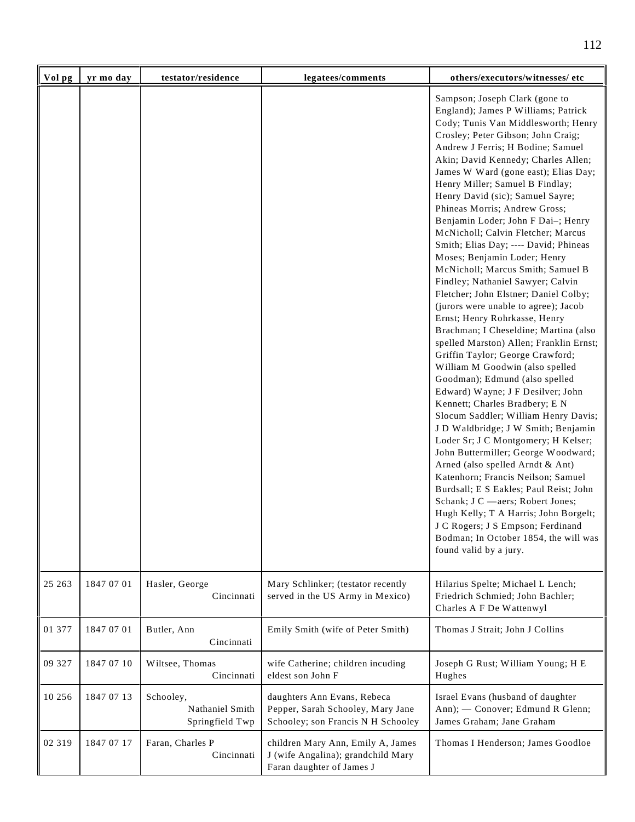| Vol pg  | yr mo day  | testator/residence                              | legatees/comments                                                                                      | others/executors/witnesses/ etc                                                                                                                                                                                                                                                                                                                                                                                                                                                                                                                                                                                                                                                                                                                                                                                                                                                                                                                                                                                                                                                                                                                                                                                                                                                                                                                                                                                                                                           |
|---------|------------|-------------------------------------------------|--------------------------------------------------------------------------------------------------------|---------------------------------------------------------------------------------------------------------------------------------------------------------------------------------------------------------------------------------------------------------------------------------------------------------------------------------------------------------------------------------------------------------------------------------------------------------------------------------------------------------------------------------------------------------------------------------------------------------------------------------------------------------------------------------------------------------------------------------------------------------------------------------------------------------------------------------------------------------------------------------------------------------------------------------------------------------------------------------------------------------------------------------------------------------------------------------------------------------------------------------------------------------------------------------------------------------------------------------------------------------------------------------------------------------------------------------------------------------------------------------------------------------------------------------------------------------------------------|
|         |            |                                                 |                                                                                                        | Sampson; Joseph Clark (gone to<br>England); James P Williams; Patrick<br>Cody; Tunis Van Middlesworth; Henry<br>Crosley; Peter Gibson; John Craig;<br>Andrew J Ferris; H Bodine; Samuel<br>Akin; David Kennedy; Charles Allen;<br>James W Ward (gone east); Elias Day;<br>Henry Miller; Samuel B Findlay;<br>Henry David (sic); Samuel Sayre;<br>Phineas Morris; Andrew Gross;<br>Benjamin Loder; John F Dai-; Henry<br>McNicholl; Calvin Fletcher; Marcus<br>Smith; Elias Day; ---- David; Phineas<br>Moses; Benjamin Loder; Henry<br>McNicholl; Marcus Smith; Samuel B<br>Findley; Nathaniel Sawyer; Calvin<br>Fletcher; John Elstner; Daniel Colby;<br>(jurors were unable to agree); Jacob<br>Ernst; Henry Rohrkasse, Henry<br>Brachman; I Cheseldine; Martina (also<br>spelled Marston) Allen; Franklin Ernst;<br>Griffin Taylor; George Crawford;<br>William M Goodwin (also spelled<br>Goodman); Edmund (also spelled<br>Edward) Wayne; J F Desilver; John<br>Kennett; Charles Bradbery; E N<br>Slocum Saddler; William Henry Davis;<br>J D Waldbridge; J W Smith; Benjamin<br>Loder Sr; J C Montgomery; H Kelser;<br>John Buttermiller; George Woodward;<br>Arned (also spelled Arndt & Ant)<br>Katenhorn; Francis Neilson; Samuel<br>Burdsall; E S Eakles; Paul Reist; John<br>Schank; J C -aers; Robert Jones;<br>Hugh Kelly; T A Harris; John Borgelt;<br>J C Rogers; J S Empson; Ferdinand<br>Bodman; In October 1854, the will was<br>found valid by a jury. |
| 25 26 3 | 1847 07 01 | Hasler, George<br>Cincinnati                    | Mary Schlinker; (testator recently<br>served in the US Army in Mexico)                                 | Hilarius Spelte; Michael L Lench;<br>Friedrich Schmied; John Bachler;<br>Charles A F De Wattenwyl                                                                                                                                                                                                                                                                                                                                                                                                                                                                                                                                                                                                                                                                                                                                                                                                                                                                                                                                                                                                                                                                                                                                                                                                                                                                                                                                                                         |
| 01 377  | 1847 07 01 | Butler, Ann<br>Cincinnati                       | Emily Smith (wife of Peter Smith)                                                                      | Thomas J Strait; John J Collins                                                                                                                                                                                                                                                                                                                                                                                                                                                                                                                                                                                                                                                                                                                                                                                                                                                                                                                                                                                                                                                                                                                                                                                                                                                                                                                                                                                                                                           |
| 09 327  | 1847 07 10 | Wiltsee, Thomas<br>Cincinnati                   | wife Catherine; children incuding<br>eldest son John F                                                 | Joseph G Rust; William Young; H E<br>Hughes                                                                                                                                                                                                                                                                                                                                                                                                                                                                                                                                                                                                                                                                                                                                                                                                                                                                                                                                                                                                                                                                                                                                                                                                                                                                                                                                                                                                                               |
| 10 25 6 | 1847 07 13 | Schooley,<br>Nathaniel Smith<br>Springfield Twp | daughters Ann Evans, Rebeca<br>Pepper, Sarah Schooley, Mary Jane<br>Schooley; son Francis N H Schooley | Israel Evans (husband of daughter<br>Ann); - Conover; Edmund R Glenn;<br>James Graham; Jane Graham                                                                                                                                                                                                                                                                                                                                                                                                                                                                                                                                                                                                                                                                                                                                                                                                                                                                                                                                                                                                                                                                                                                                                                                                                                                                                                                                                                        |
| 02 319  | 1847 07 17 | Faran, Charles P<br>Cincinnati                  | children Mary Ann, Emily A, James<br>J (wife Angalina); grandchild Mary<br>Faran daughter of James J   | Thomas I Henderson; James Goodloe                                                                                                                                                                                                                                                                                                                                                                                                                                                                                                                                                                                                                                                                                                                                                                                                                                                                                                                                                                                                                                                                                                                                                                                                                                                                                                                                                                                                                                         |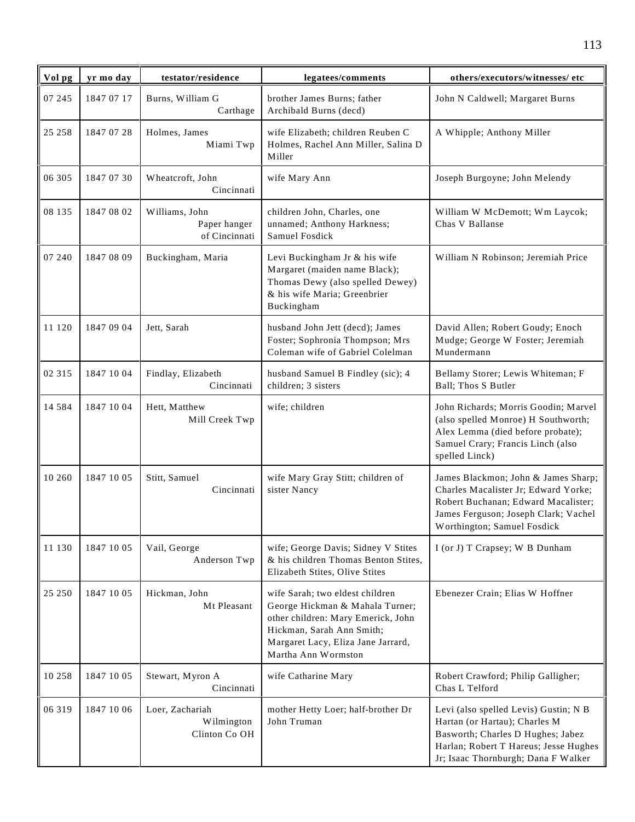| Vol pg   | yr mo day  | testator/residence                              | legatees/comments                                                                                                                                                                                  | others/executors/witnesses/ etc                                                                                                                                                             |
|----------|------------|-------------------------------------------------|----------------------------------------------------------------------------------------------------------------------------------------------------------------------------------------------------|---------------------------------------------------------------------------------------------------------------------------------------------------------------------------------------------|
| 07 245   | 1847 07 17 | Burns, William G<br>Carthage                    | brother James Burns; father<br>Archibald Burns (decd)                                                                                                                                              | John N Caldwell; Margaret Burns                                                                                                                                                             |
| 25 25 8  | 1847 07 28 | Holmes, James<br>Miami Twp                      | wife Elizabeth; children Reuben C<br>Holmes, Rachel Ann Miller, Salina D<br>Miller                                                                                                                 | A Whipple; Anthony Miller                                                                                                                                                                   |
| 06 305   | 1847 07 30 | Wheatcroft, John<br>Cincinnati                  | wife Mary Ann                                                                                                                                                                                      | Joseph Burgoyne; John Melendy                                                                                                                                                               |
| 08 135   | 1847 08 02 | Williams, John<br>Paper hanger<br>of Cincinnati | children John, Charles, one<br>unnamed; Anthony Harkness;<br>Samuel Fosdick                                                                                                                        | William W McDemott; Wm Laycok;<br>Chas V Ballanse                                                                                                                                           |
| 07 240   | 1847 08 09 | Buckingham, Maria                               | Levi Buckingham Jr & his wife<br>Margaret (maiden name Black);<br>Thomas Dewy (also spelled Dewey)<br>& his wife Maria; Greenbrier<br>Buckingham                                                   | William N Robinson; Jeremiah Price                                                                                                                                                          |
| 11 120   | 1847 09 04 | Jett, Sarah                                     | husband John Jett (decd); James<br>Foster; Sophronia Thompson; Mrs<br>Coleman wife of Gabriel Colelman                                                                                             | David Allen; Robert Goudy; Enoch<br>Mudge; George W Foster; Jeremiah<br>Mundermann                                                                                                          |
| 02 315   | 1847 10 04 | Findlay, Elizabeth<br>Cincinnati                | husband Samuel B Findley (sic); 4<br>children; 3 sisters                                                                                                                                           | Bellamy Storer; Lewis Whiteman; F<br>Ball; Thos S Butler                                                                                                                                    |
| 14 5 8 4 | 1847 10 04 | Hett, Matthew<br>Mill Creek Twp                 | wife; children                                                                                                                                                                                     | John Richards; Morris Goodin; Marvel<br>(also spelled Monroe) H Southworth;<br>Alex Lemma (died before probate);<br>Samuel Crary; Francis Linch (also<br>spelled Linck)                     |
| 10 260   | 1847 10 05 | Stitt, Samuel<br>Cincinnati                     | wife Mary Gray Stitt; children of<br>sister Nancy                                                                                                                                                  | James Blackmon; John & James Sharp;<br>Charles Macalister Jr; Edward Yorke;<br>Robert Buchanan; Edward Macalister;<br>James Ferguson; Joseph Clark; Vachel<br>Worthington; Samuel Fosdick   |
| 11 130   | 1847 10 05 | Vail, George<br>Anderson Twp                    | wife; George Davis; Sidney V Stites<br>& his children Thomas Benton Stites,<br>Elizabeth Stites, Olive Stites                                                                                      | I (or J) T Crapsey; W B Dunham                                                                                                                                                              |
| 25 250   | 1847 10 05 | Hickman, John<br>Mt Pleasant                    | wife Sarah; two eldest children<br>George Hickman & Mahala Turner;<br>other children: Mary Emerick, John<br>Hickman, Sarah Ann Smith;<br>Margaret Lacy, Eliza Jane Jarrard,<br>Martha Ann Wormston | Ebenezer Crain; Elias W Hoffner                                                                                                                                                             |
| 10 258   | 1847 10 05 | Stewart, Myron A<br>Cincinnati                  | wife Catharine Mary                                                                                                                                                                                | Robert Crawford; Philip Galligher;<br>Chas L Telford                                                                                                                                        |
| 06 319   | 1847 10 06 | Loer, Zachariah<br>Wilmington<br>Clinton Co OH  | mother Hetty Loer; half-brother Dr<br>John Truman                                                                                                                                                  | Levi (also spelled Levis) Gustin; N B<br>Hartan (or Hartau); Charles M<br>Basworth; Charles D Hughes; Jabez<br>Harlan; Robert T Hareus; Jesse Hughes<br>Jr; Isaac Thornburgh; Dana F Walker |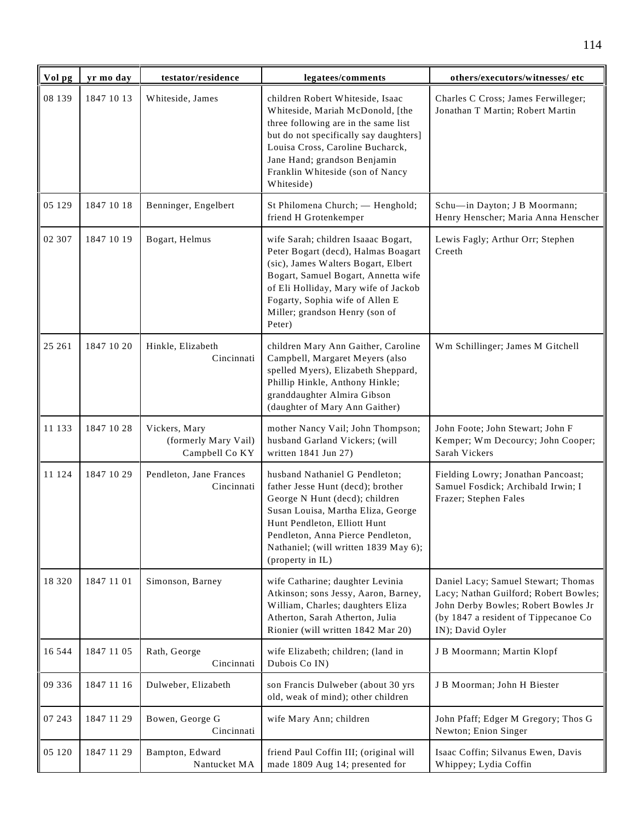| Vol pg   | yr mo day  | testator/residence                                      | legatees/comments                                                                                                                                                                                                                                                               | others/executors/witnesses/ etc                                                                                                                                                 |
|----------|------------|---------------------------------------------------------|---------------------------------------------------------------------------------------------------------------------------------------------------------------------------------------------------------------------------------------------------------------------------------|---------------------------------------------------------------------------------------------------------------------------------------------------------------------------------|
| 08 139   | 1847 10 13 | Whiteside, James                                        | children Robert Whiteside, Isaac<br>Whiteside, Mariah McDonold, [the<br>three following are in the same list<br>but do not specifically say daughters]<br>Louisa Cross, Caroline Bucharck,<br>Jane Hand; grandson Benjamin<br>Franklin Whiteside (son of Nancy<br>Whiteside)    | Charles C Cross; James Ferwilleger;<br>Jonathan T Martin; Robert Martin                                                                                                         |
| 05 129   | 1847 10 18 | Benninger, Engelbert                                    | St Philomena Church; - Henghold;<br>friend H Grotenkemper                                                                                                                                                                                                                       | Schu-in Dayton; J B Moormann;<br>Henry Henscher; Maria Anna Henscher                                                                                                            |
| 02 307   | 1847 10 19 | Bogart, Helmus                                          | wife Sarah; children Isaaac Bogart,<br>Peter Bogart (decd), Halmas Boagart<br>(sic), James Walters Bogart, Elbert<br>Bogart, Samuel Bogart, Annetta wife<br>of Eli Holliday, Mary wife of Jackob<br>Fogarty, Sophia wife of Allen E<br>Miller; grandson Henry (son of<br>Peter) | Lewis Fagly; Arthur Orr; Stephen<br>Creeth                                                                                                                                      |
| 25 261   | 1847 10 20 | Hinkle, Elizabeth<br>Cincinnati                         | children Mary Ann Gaither, Caroline<br>Campbell, Margaret Meyers (also<br>spelled Myers), Elizabeth Sheppard,<br>Phillip Hinkle, Anthony Hinkle;<br>granddaughter Almira Gibson<br>(daughter of Mary Ann Gaither)                                                               | Wm Schillinger; James M Gitchell                                                                                                                                                |
| 11 133   | 1847 10 28 | Vickers, Mary<br>(formerly Mary Vail)<br>Campbell Co KY | mother Nancy Vail; John Thompson;<br>husband Garland Vickers; (will<br>written 1841 Jun 27)                                                                                                                                                                                     | John Foote; John Stewart; John F<br>Kemper; Wm Decourcy; John Cooper;<br>Sarah Vickers                                                                                          |
| 11 124   | 1847 10 29 | Pendleton, Jane Frances<br>Cincinnati                   | husband Nathaniel G Pendleton;<br>father Jesse Hunt (decd); brother<br>George N Hunt (decd); children<br>Susan Louisa, Martha Eliza, George<br>Hunt Pendleton, Elliott Hunt<br>Pendleton, Anna Pierce Pendleton,<br>Nathaniel; (will written 1839 May 6);<br>(property in IL)   | Fielding Lowry; Jonathan Pancoast;<br>Samuel Fosdick; Archibald Irwin; I<br>Frazer; Stephen Fales                                                                               |
| 18 3 2 0 | 1847 11 01 | Simonson, Barney                                        | wife Catharine; daughter Levinia<br>Atkinson; sons Jessy, Aaron, Barney,<br>William, Charles; daughters Eliza<br>Atherton, Sarah Atherton, Julia<br>Rionier (will written 1842 Mar 20)                                                                                          | Daniel Lacy; Samuel Stewart; Thomas<br>Lacy; Nathan Guilford; Robert Bowles;<br>John Derby Bowles; Robert Bowles Jr<br>(by 1847 a resident of Tippecanoe Co<br>IN); David Oyler |
| 16 544   | 1847 11 05 | Rath, George<br>Cincinnati                              | wife Elizabeth; children; (land in<br>Dubois Co IN)                                                                                                                                                                                                                             | J B Moormann; Martin Klopf                                                                                                                                                      |
| 09 336   | 1847 11 16 | Dulweber, Elizabeth                                     | son Francis Dulweber (about 30 yrs<br>old, weak of mind); other children                                                                                                                                                                                                        | J B Moorman; John H Biester                                                                                                                                                     |
| 07 243   | 1847 11 29 | Bowen, George G<br>Cincinnati                           | wife Mary Ann; children                                                                                                                                                                                                                                                         | John Pfaff; Edger M Gregory; Thos G<br>Newton; Enion Singer                                                                                                                     |
| 05 120   | 1847 11 29 | Bampton, Edward<br>Nantucket MA                         | friend Paul Coffin III; (original will<br>made 1809 Aug 14; presented for                                                                                                                                                                                                       | Isaac Coffin; Silvanus Ewen, Davis<br>Whippey; Lydia Coffin                                                                                                                     |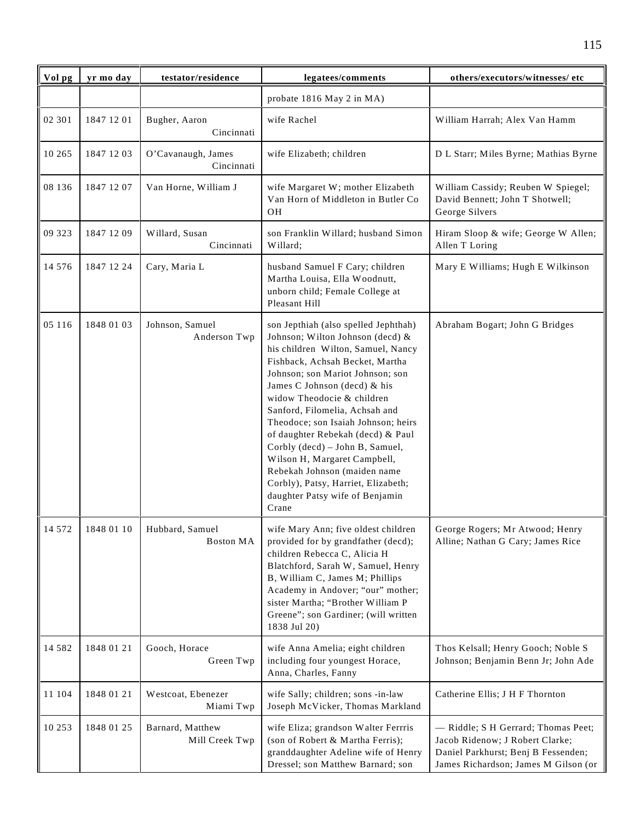| Vol pg   | yr mo day  | testator/residence                  | legatees/comments                                                                                                                                                                                                                                                                                                                                                                                                                                                                                                                                       | others/executors/witnesses/ etc                                                                                                                       |
|----------|------------|-------------------------------------|---------------------------------------------------------------------------------------------------------------------------------------------------------------------------------------------------------------------------------------------------------------------------------------------------------------------------------------------------------------------------------------------------------------------------------------------------------------------------------------------------------------------------------------------------------|-------------------------------------------------------------------------------------------------------------------------------------------------------|
|          |            |                                     | probate 1816 May 2 in MA)                                                                                                                                                                                                                                                                                                                                                                                                                                                                                                                               |                                                                                                                                                       |
| 02 301   | 1847 12 01 | Bugher, Aaron<br>Cincinnati         | wife Rachel                                                                                                                                                                                                                                                                                                                                                                                                                                                                                                                                             | William Harrah; Alex Van Hamm                                                                                                                         |
| 10 265   | 1847 12 03 | O'Cavanaugh, James<br>Cincinnati    | wife Elizabeth; children                                                                                                                                                                                                                                                                                                                                                                                                                                                                                                                                | D L Starr; Miles Byrne; Mathias Byrne                                                                                                                 |
| 08 136   | 1847 12 07 | Van Horne, William J                | wife Margaret W; mother Elizabeth<br>Van Horn of Middleton in Butler Co<br>OH                                                                                                                                                                                                                                                                                                                                                                                                                                                                           | William Cassidy; Reuben W Spiegel;<br>David Bennett; John T Shotwell;<br>George Silvers                                                               |
| 09 323   | 1847 12 09 | Willard, Susan<br>Cincinnati        | son Franklin Willard; husband Simon<br>Willard;                                                                                                                                                                                                                                                                                                                                                                                                                                                                                                         | Hiram Sloop & wife; George W Allen;<br>Allen T Loring                                                                                                 |
| 14 576   | 1847 12 24 | Cary, Maria L                       | husband Samuel F Cary; children<br>Martha Louisa, Ella Woodnutt,<br>unborn child; Female College at<br>Pleasant Hill                                                                                                                                                                                                                                                                                                                                                                                                                                    | Mary E Williams; Hugh E Wilkinson                                                                                                                     |
| 05 116   | 1848 01 03 | Johnson, Samuel<br>Anderson Twp     | son Jepthiah (also spelled Jephthah)<br>Johnson; Wilton Johnson (decd) &<br>his children Wilton, Samuel, Nancy<br>Fishback, Achsah Becket, Martha<br>Johnson; son Mariot Johnson; son<br>James C Johnson (decd) & his<br>widow Theodocie & children<br>Sanford, Filomelia, Achsah and<br>Theodoce; son Isaiah Johnson; heirs<br>of daughter Rebekah (decd) & Paul<br>Corbly (decd) - John B, Samuel,<br>Wilson H, Margaret Campbell,<br>Rebekah Johnson (maiden name<br>Corbly), Patsy, Harriet, Elizabeth;<br>daughter Patsy wife of Benjamin<br>Crane | Abraham Bogart; John G Bridges                                                                                                                        |
| 14 572   | 1848 01 10 | Hubbard, Samuel<br><b>Boston MA</b> | wife Mary Ann; five oldest children<br>provided for by grandfather (decd);<br>children Rebecca C, Alicia H<br>Blatchford, Sarah W, Samuel, Henry<br>B, William C, James M; Phillips<br>Academy in Andover; "our" mother;<br>sister Martha; "Brother William P<br>Greene"; son Gardiner; (will written<br>1838 Jul 20)                                                                                                                                                                                                                                   | George Rogers; Mr Atwood; Henry<br>Alline; Nathan G Cary; James Rice                                                                                  |
| 14 5 8 2 | 1848 01 21 | Gooch, Horace<br>Green Twp          | wife Anna Amelia; eight children<br>including four youngest Horace,<br>Anna, Charles, Fanny                                                                                                                                                                                                                                                                                                                                                                                                                                                             | Thos Kelsall; Henry Gooch; Noble S<br>Johnson; Benjamin Benn Jr; John Ade                                                                             |
| 11 104   | 1848 01 21 | Westcoat, Ebenezer<br>Miami Twp     | wife Sally; children; sons -in-law<br>Joseph McVicker, Thomas Markland                                                                                                                                                                                                                                                                                                                                                                                                                                                                                  | Catherine Ellis; J H F Thornton                                                                                                                       |
| 10 253   | 1848 01 25 | Barnard, Matthew<br>Mill Creek Twp  | wife Eliza; grandson Walter Ferrris<br>(son of Robert & Martha Ferris);<br>granddaughter Adeline wife of Henry<br>Dressel; son Matthew Barnard; son                                                                                                                                                                                                                                                                                                                                                                                                     | - Riddle; S H Gerrard; Thomas Peet;<br>Jacob Ridenow; J Robert Clarke;<br>Daniel Parkhurst; Benj B Fessenden;<br>James Richardson; James M Gilson (or |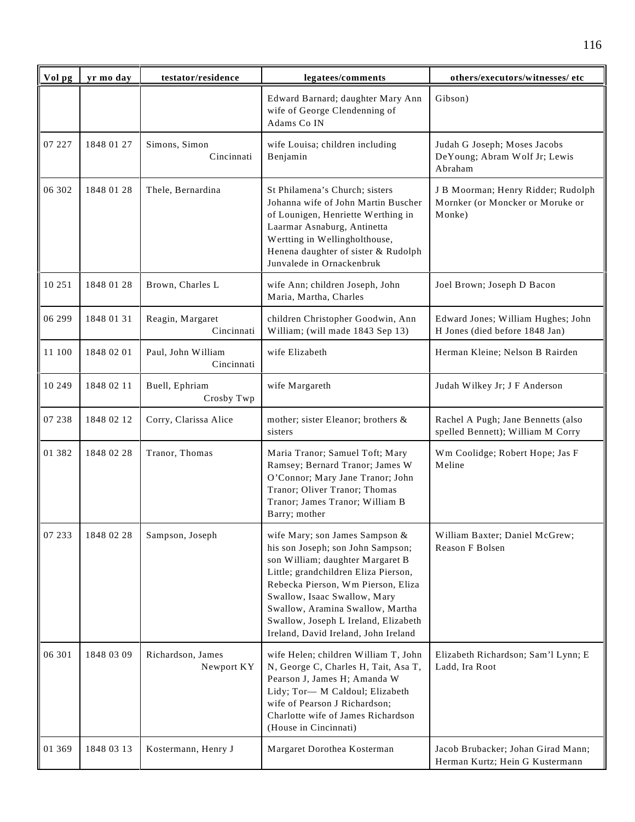| Vol pg   | yr mo day  | testator/residence               | legatees/comments                                                                                                                                                                                                                                                                                                                         | others/executors/witnesses/ etc                                                  |
|----------|------------|----------------------------------|-------------------------------------------------------------------------------------------------------------------------------------------------------------------------------------------------------------------------------------------------------------------------------------------------------------------------------------------|----------------------------------------------------------------------------------|
|          |            |                                  | Edward Barnard; daughter Mary Ann<br>wife of George Clendenning of<br>Adams Co IN                                                                                                                                                                                                                                                         | Gibson)                                                                          |
| 07 227   | 1848 01 27 | Simons, Simon<br>Cincinnati      | wife Louisa; children including<br>Benjamin                                                                                                                                                                                                                                                                                               | Judah G Joseph; Moses Jacobs<br>DeYoung; Abram Wolf Jr; Lewis<br>Abraham         |
| 06 302   | 1848 01 28 | Thele, Bernardina                | St Philamena's Church; sisters<br>Johanna wife of John Martin Buscher<br>of Lounigen, Henriette Werthing in<br>Laarmar Asnaburg, Antinetta<br>Wertting in Wellingholthouse,<br>Henena daughter of sister & Rudolph<br>Junvalede in Ornackenbruk                                                                                           | J B Moorman; Henry Ridder; Rudolph<br>Mornker (or Moncker or Moruke or<br>Monke) |
| 10 251   | 1848 01 28 | Brown, Charles L                 | wife Ann; children Joseph, John<br>Maria, Martha, Charles                                                                                                                                                                                                                                                                                 | Joel Brown; Joseph D Bacon                                                       |
| 06 299   | 1848 01 31 | Reagin, Margaret<br>Cincinnati   | children Christopher Goodwin, Ann<br>William; (will made 1843 Sep 13)                                                                                                                                                                                                                                                                     | Edward Jones; William Hughes; John<br>H Jones (died before 1848 Jan)             |
| 11 100   | 1848 02 01 | Paul, John William<br>Cincinnati | wife Elizabeth                                                                                                                                                                                                                                                                                                                            | Herman Kleine; Nelson B Rairden                                                  |
| 10 249   | 1848 02 11 | Buell, Ephriam<br>Crosby Twp     | wife Margareth                                                                                                                                                                                                                                                                                                                            | Judah Wilkey Jr; J F Anderson                                                    |
| 07 238   | 1848 02 12 | Corry, Clarissa Alice            | mother; sister Eleanor; brothers &<br>sisters                                                                                                                                                                                                                                                                                             | Rachel A Pugh; Jane Bennetts (also<br>spelled Bennett); William M Corry          |
| 01 3 8 2 | 1848 02 28 | Tranor, Thomas                   | Maria Tranor; Samuel Toft; Mary<br>Ramsey; Bernard Tranor; James W<br>O'Connor; Mary Jane Tranor; John<br>Tranor; Oliver Tranor; Thomas<br>Tranor; James Tranor; William B<br>Barry; mother                                                                                                                                               | Wm Coolidge; Robert Hope; Jas F<br>Meline                                        |
| 07 233   | 1848 02 28 | Sampson, Joseph                  | wife Mary; son James Sampson &<br>his son Joseph; son John Sampson;<br>son William; daughter Margaret B<br>Little; grandchildren Eliza Pierson,<br>Rebecka Pierson, Wm Pierson, Eliza<br>Swallow, Isaac Swallow, Mary<br>Swallow, Aramina Swallow, Martha<br>Swallow, Joseph L Ireland, Elizabeth<br>Ireland, David Ireland, John Ireland | William Baxter; Daniel McGrew;<br>Reason F Bolsen                                |
| 06 301   | 1848 03 09 | Richardson, James<br>Newport KY  | wife Helen; children William T, John<br>N, George C, Charles H, Tait, Asa T,<br>Pearson J, James H; Amanda W<br>Lidy; Tor-M Caldoul; Elizabeth<br>wife of Pearson J Richardson;<br>Charlotte wife of James Richardson<br>(House in Cincinnati)                                                                                            | Elizabeth Richardson; Sam'l Lynn; E<br>Ladd, Ira Root                            |
| 01 369   | 1848 03 13 | Kostermann, Henry J              | Margaret Dorothea Kosterman                                                                                                                                                                                                                                                                                                               | Jacob Brubacker; Johan Girad Mann;<br>Herman Kurtz; Hein G Kustermann            |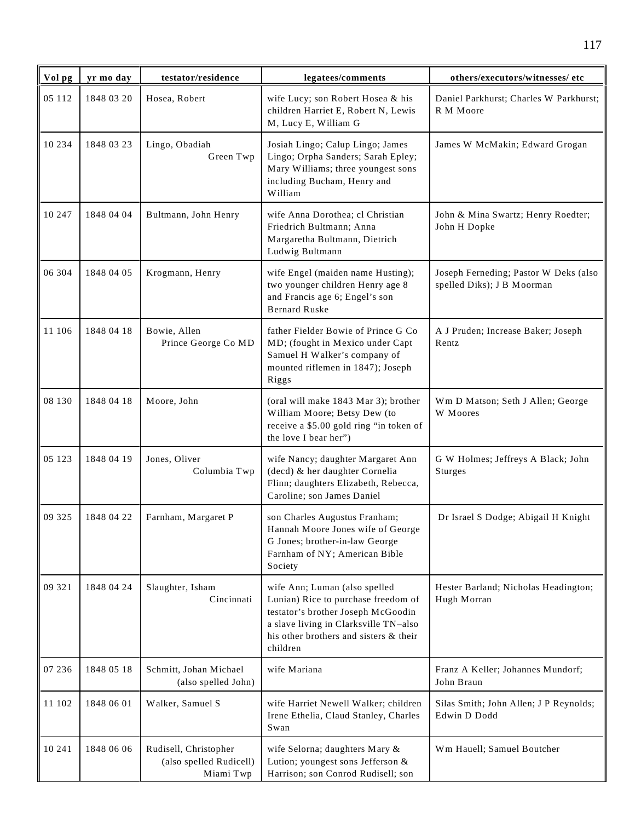| Vol pg | yr mo day  | testator/residence                                            | legatees/comments                                                                                                                                                                                         | others/executors/witnesses/ etc                                     |
|--------|------------|---------------------------------------------------------------|-----------------------------------------------------------------------------------------------------------------------------------------------------------------------------------------------------------|---------------------------------------------------------------------|
| 05 112 | 1848 03 20 | Hosea, Robert                                                 | wife Lucy; son Robert Hosea & his<br>children Harriet E, Robert N, Lewis<br>M, Lucy E, William G                                                                                                          | Daniel Parkhurst; Charles W Parkhurst;<br>R M Moore                 |
| 10 234 | 1848 03 23 | Lingo, Obadiah<br>Green Twp                                   | Josiah Lingo; Calup Lingo; James<br>Lingo; Orpha Sanders; Sarah Epley;<br>Mary Williams; three youngest sons<br>including Bucham, Henry and<br>William                                                    | James W McMakin; Edward Grogan                                      |
| 10 247 | 1848 04 04 | Bultmann, John Henry                                          | wife Anna Dorothea; cl Christian<br>Friedrich Bultmann; Anna<br>Margaretha Bultmann, Dietrich<br>Ludwig Bultmann                                                                                          | John & Mina Swartz; Henry Roedter;<br>John H Dopke                  |
| 06 304 | 1848 04 05 | Krogmann, Henry                                               | wife Engel (maiden name Husting);<br>two younger children Henry age 8<br>and Francis age 6; Engel's son<br><b>Bernard Ruske</b>                                                                           | Joseph Ferneding; Pastor W Deks (also<br>spelled Diks); J B Moorman |
| 11 106 | 1848 04 18 | Bowie, Allen<br>Prince George Co MD                           | father Fielder Bowie of Prince G Co<br>MD; (fought in Mexico under Capt<br>Samuel H Walker's company of<br>mounted riflemen in 1847); Joseph<br>Riggs                                                     | A J Pruden; Increase Baker; Joseph<br>Rentz                         |
| 08 130 | 1848 04 18 | Moore, John                                                   | (oral will make 1843 Mar 3); brother<br>William Moore; Betsy Dew (to<br>receive a \$5.00 gold ring "in token of<br>the love I bear her")                                                                  | Wm D Matson; Seth J Allen; George<br>W Moores                       |
| 05 123 | 1848 04 19 | Jones, Oliver<br>Columbia Twp                                 | wife Nancy; daughter Margaret Ann<br>(decd) & her daughter Cornelia<br>Flinn; daughters Elizabeth, Rebecca,<br>Caroline; son James Daniel                                                                 | G W Holmes; Jeffreys A Black; John<br><b>Sturges</b>                |
| 09 325 | 1848 04 22 | Farnham, Margaret P                                           | son Charles Augustus Franham;<br>Hannah Moore Jones wife of George<br>G Jones; brother-in-law George<br>Farnham of NY; American Bible<br>Society                                                          | Dr Israel S Dodge; Abigail H Knight                                 |
| 09 321 | 1848 04 24 | Slaughter, Isham<br>Cincinnati                                | wife Ann; Luman (also spelled<br>Lunian) Rice to purchase freedom of<br>testator's brother Joseph McGoodin<br>a slave living in Clarksville TN-also<br>his other brothers and sisters & their<br>children | Hester Barland; Nicholas Headington;<br>Hugh Morran                 |
| 07 236 | 1848 05 18 | Schmitt, Johan Michael<br>(also spelled John)                 | wife Mariana                                                                                                                                                                                              | Franz A Keller; Johannes Mundorf;<br>John Braun                     |
| 11 102 | 1848 06 01 | Walker, Samuel S                                              | wife Harriet Newell Walker; children<br>Irene Ethelia, Claud Stanley, Charles<br>Swan                                                                                                                     | Silas Smith; John Allen; J P Reynolds;<br>Edwin D Dodd              |
| 10 241 | 1848 06 06 | Rudisell, Christopher<br>(also spelled Rudicell)<br>Miami Twp | wife Selorna; daughters Mary &<br>Lution; youngest sons Jefferson &<br>Harrison; son Conrod Rudisell; son                                                                                                 | Wm Hauell; Samuel Boutcher                                          |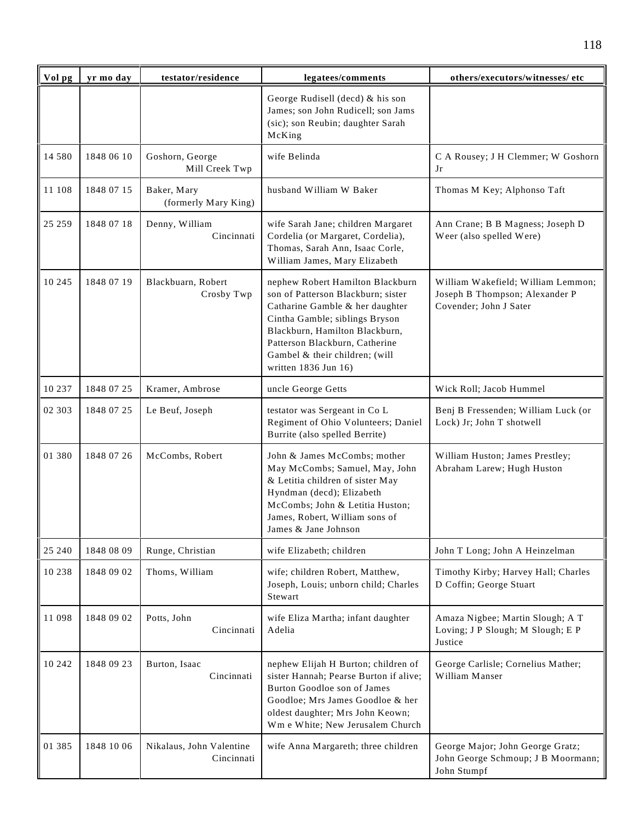| Vol pg  | yr mo day  | testator/residence                     | legatees/comments                                                                                                                                                                                                                                                         | others/executors/witnesses/ etc                                                                |
|---------|------------|----------------------------------------|---------------------------------------------------------------------------------------------------------------------------------------------------------------------------------------------------------------------------------------------------------------------------|------------------------------------------------------------------------------------------------|
|         |            |                                        | George Rudisell (decd) & his son<br>James; son John Rudicell; son Jams<br>(sic); son Reubin; daughter Sarah<br>McKing                                                                                                                                                     |                                                                                                |
| 14 580  | 1848 06 10 | Goshorn, George<br>Mill Creek Twp      | wife Belinda                                                                                                                                                                                                                                                              | C A Rousey; J H Clemmer; W Goshorn<br>Jr                                                       |
| 11 108  | 1848 07 15 | Baker, Mary<br>(formerly Mary King)    | husband William W Baker                                                                                                                                                                                                                                                   | Thomas M Key; Alphonso Taft                                                                    |
| 25 25 9 | 1848 07 18 | Denny, William<br>Cincinnati           | wife Sarah Jane; children Margaret<br>Cordelia (or Margaret, Cordelia),<br>Thomas, Sarah Ann, Isaac Corle,<br>William James, Mary Elizabeth                                                                                                                               | Ann Crane; B B Magness; Joseph D<br>Weer (also spelled Were)                                   |
| 10 245  | 1848 07 19 | Blackbuarn, Robert<br>Crosby Twp       | nephew Robert Hamilton Blackburn<br>son of Patterson Blackburn; sister<br>Catharine Gamble & her daughter<br>Cintha Gamble; siblings Bryson<br>Blackburn, Hamilton Blackburn,<br>Patterson Blackburn, Catherine<br>Gambel & their children; (will<br>written 1836 Jun 16) | William Wakefield; William Lemmon;<br>Joseph B Thompson; Alexander P<br>Covender; John J Sater |
| 10 237  | 1848 07 25 | Kramer, Ambrose                        | uncle George Getts                                                                                                                                                                                                                                                        | Wick Roll; Jacob Hummel                                                                        |
| 02 303  | 1848 07 25 | Le Beuf, Joseph                        | testator was Sergeant in Co L<br>Regiment of Ohio Volunteers; Daniel<br>Burrite (also spelled Berrite)                                                                                                                                                                    | Benj B Fressenden; William Luck (or<br>Lock) Jr; John T shotwell                               |
| 01 380  | 1848 07 26 | McCombs, Robert                        | John & James McCombs; mother<br>May McCombs; Samuel, May, John<br>& Letitia children of sister May<br>Hyndman (decd); Elizabeth<br>McCombs; John & Letitia Huston;<br>James, Robert, William sons of<br>James & Jane Johnson                                              | William Huston; James Prestley;<br>Abraham Larew; Hugh Huston                                  |
| 25 240  | 1848 08 09 | Runge, Christian                       | wife Elizabeth; children                                                                                                                                                                                                                                                  | John T Long; John A Heinzelman                                                                 |
| 10 238  | 1848 09 02 | Thoms, William                         | wife; children Robert, Matthew,<br>Joseph, Louis; unborn child; Charles<br>Stewart                                                                                                                                                                                        | Timothy Kirby; Harvey Hall; Charles<br>D Coffin; George Stuart                                 |
| 11 098  | 1848 09 02 | Potts, John<br>Cincinnati              | wife Eliza Martha; infant daughter<br>Adelia                                                                                                                                                                                                                              | Amaza Nigbee; Martin Slough; A T<br>Loving; J P Slough; M Slough; E P<br>Justice               |
| 10 242  | 1848 09 23 | Burton, Isaac<br>Cincinnati            | nephew Elijah H Burton; children of<br>sister Hannah; Pearse Burton if alive;<br>Burton Goodloe son of James<br>Goodloe; Mrs James Goodloe & her<br>oldest daughter; Mrs John Keown;<br>Wm e White; New Jerusalem Church                                                  | George Carlisle; Cornelius Mather;<br>William Manser                                           |
| 01 385  | 1848 10 06 | Nikalaus, John Valentine<br>Cincinnati | wife Anna Margareth; three children                                                                                                                                                                                                                                       | George Major; John George Gratz;<br>John George Schmoup; J B Moormann;<br>John Stumpf          |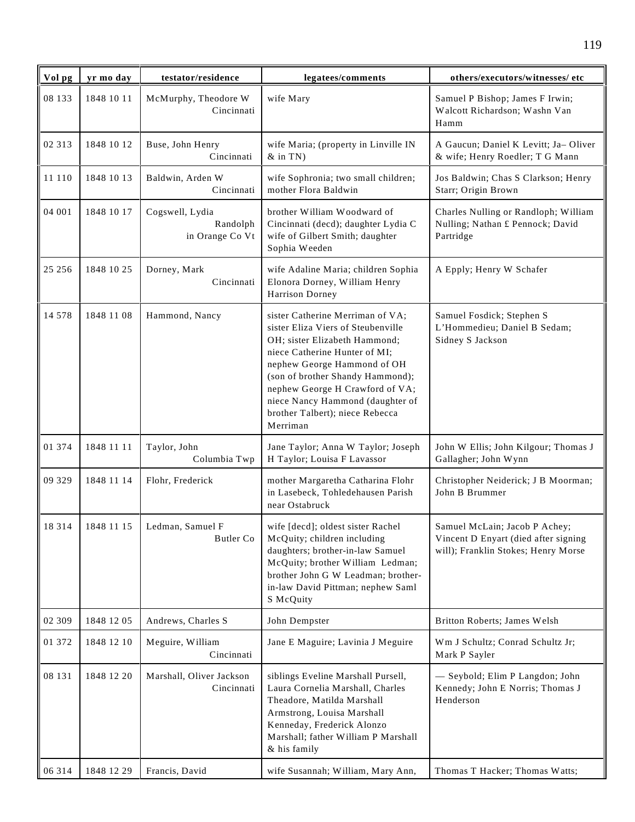| Vol pg  | yr mo day  | testator/residence                             | legatees/comments                                                                                                                                                                                                                                                                                                                 | others/executors/witnesses/ etc                                                                              |
|---------|------------|------------------------------------------------|-----------------------------------------------------------------------------------------------------------------------------------------------------------------------------------------------------------------------------------------------------------------------------------------------------------------------------------|--------------------------------------------------------------------------------------------------------------|
| 08 133  | 1848 10 11 | McMurphy, Theodore W<br>Cincinnati             | wife Mary                                                                                                                                                                                                                                                                                                                         | Samuel P Bishop; James F Irwin;<br>Walcott Richardson; Washn Van<br>Hamm                                     |
| 02 313  | 1848 10 12 | Buse, John Henry<br>Cincinnati                 | wife Maria; (property in Linville IN<br>$&$ in TN)                                                                                                                                                                                                                                                                                | A Gaucun; Daniel K Levitt; Ja-Oliver<br>& wife; Henry Roedler; T G Mann                                      |
| 11 110  | 1848 10 13 | Baldwin, Arden W<br>Cincinnati                 | wife Sophronia; two small children;<br>mother Flora Baldwin                                                                                                                                                                                                                                                                       | Jos Baldwin; Chas S Clarkson; Henry<br>Starr; Origin Brown                                                   |
| 04 001  | 1848 10 17 | Cogswell, Lydia<br>Randolph<br>in Orange Co Vt | brother William Woodward of<br>Cincinnati (decd); daughter Lydia C<br>wife of Gilbert Smith; daughter<br>Sophia Weeden                                                                                                                                                                                                            | Charles Nulling or Randloph; William<br>Nulling; Nathan £ Pennock; David<br>Partridge                        |
| 25 25 6 | 1848 10 25 | Dorney, Mark<br>Cincinnati                     | wife Adaline Maria; children Sophia<br>Elonora Dorney, William Henry<br>Harrison Dorney                                                                                                                                                                                                                                           | A Epply; Henry W Schafer                                                                                     |
| 14 578  | 1848 11 08 | Hammond, Nancy                                 | sister Catherine Merriman of VA;<br>sister Eliza Viers of Steubenville<br>OH; sister Elizabeth Hammond;<br>niece Catherine Hunter of MI;<br>nephew George Hammond of OH<br>(son of brother Shandy Hammond);<br>nephew George H Crawford of VA;<br>niece Nancy Hammond (daughter of<br>brother Talbert); niece Rebecca<br>Merriman | Samuel Fosdick; Stephen S<br>L'Hommedieu; Daniel B Sedam;<br>Sidney S Jackson                                |
| 01 374  | 1848 11 11 | Taylor, John<br>Columbia Twp                   | Jane Taylor; Anna W Taylor; Joseph<br>H Taylor; Louisa F Lavassor                                                                                                                                                                                                                                                                 | John W Ellis; John Kilgour; Thomas J<br>Gallagher; John Wynn                                                 |
| 09 329  | 1848 11 14 | Flohr, Frederick                               | mother Margaretha Catharina Flohr<br>in Lasebeck, Tohledehausen Parish<br>near Ostabruck                                                                                                                                                                                                                                          | Christopher Neiderick; J B Moorman;<br>John B Brummer                                                        |
| 18 3 14 |            | 1848 11 15   Ledman, Samuel F<br>Butler Co     | wife [decd]; oldest sister Rachel<br>McQuity; children including<br>daughters; brother-in-law Samuel<br>McQuity; brother William Ledman;<br>brother John G W Leadman; brother-<br>in-law David Pittman; nephew Saml<br>S McQuity                                                                                                  | Samuel McLain; Jacob P Achey;<br>Vincent D Enyart (died after signing<br>will); Franklin Stokes; Henry Morse |
| 02 309  | 1848 12 05 | Andrews, Charles S                             | John Dempster                                                                                                                                                                                                                                                                                                                     | Britton Roberts; James Welsh                                                                                 |
| 01 372  | 1848 12 10 | Meguire, William<br>Cincinnati                 | Jane E Maguire; Lavinia J Meguire                                                                                                                                                                                                                                                                                                 | Wm J Schultz; Conrad Schultz Jr;<br>Mark P Sayler                                                            |
| 08 131  | 1848 12 20 | Marshall, Oliver Jackson<br>Cincinnati         | siblings Eveline Marshall Pursell,<br>Laura Cornelia Marshall, Charles<br>Theadore, Matilda Marshall<br>Armstrong, Louisa Marshall<br>Kenneday, Frederick Alonzo<br>Marshall; father William P Marshall<br>& his family                                                                                                           | - Seybold; Elim P Langdon; John<br>Kennedy; John E Norris; Thomas J<br>Henderson                             |
| 06 314  | 1848 12 29 | Francis, David                                 | wife Susannah; William, Mary Ann,                                                                                                                                                                                                                                                                                                 | Thomas T Hacker; Thomas Watts;                                                                               |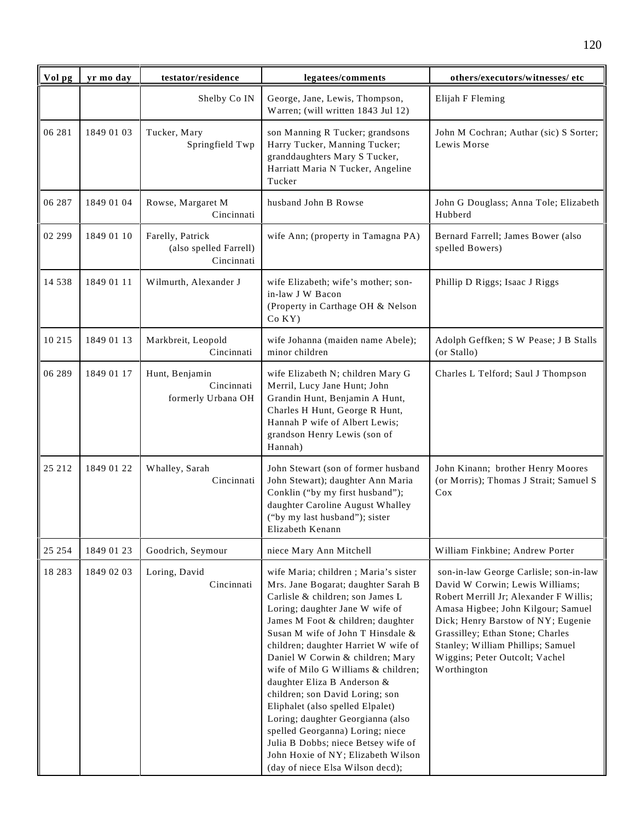| Vol pg   | yr mo day  | testator/residence                                       | legatees/comments                                                                                                                                                                                                                                                                                                                                                                                                                                                                                                                                                                                                                               | others/executors/witnesses/ etc                                                                                                                                                                                                                                                                                           |
|----------|------------|----------------------------------------------------------|-------------------------------------------------------------------------------------------------------------------------------------------------------------------------------------------------------------------------------------------------------------------------------------------------------------------------------------------------------------------------------------------------------------------------------------------------------------------------------------------------------------------------------------------------------------------------------------------------------------------------------------------------|---------------------------------------------------------------------------------------------------------------------------------------------------------------------------------------------------------------------------------------------------------------------------------------------------------------------------|
|          |            | Shelby Co IN                                             | George, Jane, Lewis, Thompson,<br>Warren; (will written 1843 Jul 12)                                                                                                                                                                                                                                                                                                                                                                                                                                                                                                                                                                            | Elijah F Fleming                                                                                                                                                                                                                                                                                                          |
| 06 281   | 1849 01 03 | Tucker, Mary<br>Springfield Twp                          | son Manning R Tucker; grandsons<br>Harry Tucker, Manning Tucker;<br>granddaughters Mary S Tucker,<br>Harriatt Maria N Tucker, Angeline<br>Tucker                                                                                                                                                                                                                                                                                                                                                                                                                                                                                                | John M Cochran; Authar (sic) S Sorter;<br>Lewis Morse                                                                                                                                                                                                                                                                     |
| 06 287   | 1849 01 04 | Rowse, Margaret M<br>Cincinnati                          | husband John B Rowse                                                                                                                                                                                                                                                                                                                                                                                                                                                                                                                                                                                                                            | John G Douglass; Anna Tole; Elizabeth<br>Hubberd                                                                                                                                                                                                                                                                          |
| 02 299   | 1849 01 10 | Farelly, Patrick<br>(also spelled Farrell)<br>Cincinnati | wife Ann; (property in Tamagna PA)                                                                                                                                                                                                                                                                                                                                                                                                                                                                                                                                                                                                              | Bernard Farrell; James Bower (also<br>spelled Bowers)                                                                                                                                                                                                                                                                     |
| 14 5 38  | 1849 01 11 | Wilmurth, Alexander J                                    | wife Elizabeth; wife's mother; son-<br>in-law J W Bacon<br>(Property in Carthage OH & Nelson<br>$Co$ KY $)$                                                                                                                                                                                                                                                                                                                                                                                                                                                                                                                                     | Phillip D Riggs; Isaac J Riggs                                                                                                                                                                                                                                                                                            |
| 10 215   | 1849 01 13 | Markbreit, Leopold<br>Cincinnati                         | wife Johanna (maiden name Abele);<br>minor children                                                                                                                                                                                                                                                                                                                                                                                                                                                                                                                                                                                             | Adolph Geffken; S W Pease; J B Stalls<br>(or Stallo)                                                                                                                                                                                                                                                                      |
| 06 289   | 1849 01 17 | Hunt, Benjamin<br>Cincinnati<br>formerly Urbana OH       | wife Elizabeth N; children Mary G<br>Merril, Lucy Jane Hunt; John<br>Grandin Hunt, Benjamin A Hunt,<br>Charles H Hunt, George R Hunt,<br>Hannah P wife of Albert Lewis;<br>grandson Henry Lewis (son of<br>Hannah)                                                                                                                                                                                                                                                                                                                                                                                                                              | Charles L Telford; Saul J Thompson                                                                                                                                                                                                                                                                                        |
| 25 212   | 1849 01 22 | Whalley, Sarah<br>Cincinnati                             | John Stewart (son of former husband<br>John Stewart); daughter Ann Maria<br>Conklin ("by my first husband");<br>daughter Caroline August Whalley<br>("by my last husband"); sister<br>Elizabeth Kenann                                                                                                                                                                                                                                                                                                                                                                                                                                          | John Kinann; brother Henry Moores<br>(or Morris); Thomas J Strait; Samuel S<br>Cox                                                                                                                                                                                                                                        |
| 25 25 4  | 1849 01 23 | Goodrich, Seymour                                        | niece Mary Ann Mitchell                                                                                                                                                                                                                                                                                                                                                                                                                                                                                                                                                                                                                         | William Finkbine; Andrew Porter                                                                                                                                                                                                                                                                                           |
| 18 2 8 3 | 1849 02 03 | Loring, David<br>Cincinnati                              | wife Maria; children; Maria's sister<br>Mrs. Jane Bogarat; daughter Sarah B<br>Carlisle & children; son James L<br>Loring; daughter Jane W wife of<br>James M Foot & children; daughter<br>Susan M wife of John T Hinsdale &<br>children; daughter Harriet W wife of<br>Daniel W Corwin & children; Mary<br>wife of Milo G Williams & children;<br>daughter Eliza B Anderson &<br>children; son David Loring; son<br>Eliphalet (also spelled Elpalet)<br>Loring; daughter Georgianna (also<br>spelled Georganna) Loring; niece<br>Julia B Dobbs; niece Betsey wife of<br>John Hoxie of NY; Elizabeth Wilson<br>(day of niece Elsa Wilson decd); | son-in-law George Carlisle; son-in-law<br>David W Corwin; Lewis Williams;<br>Robert Merrill Jr; Alexander F Willis;<br>Amasa Higbee; John Kilgour; Samuel<br>Dick; Henry Barstow of NY; Eugenie<br>Grassilley; Ethan Stone; Charles<br>Stanley; William Phillips; Samuel<br>Wiggins; Peter Outcolt; Vachel<br>Worthington |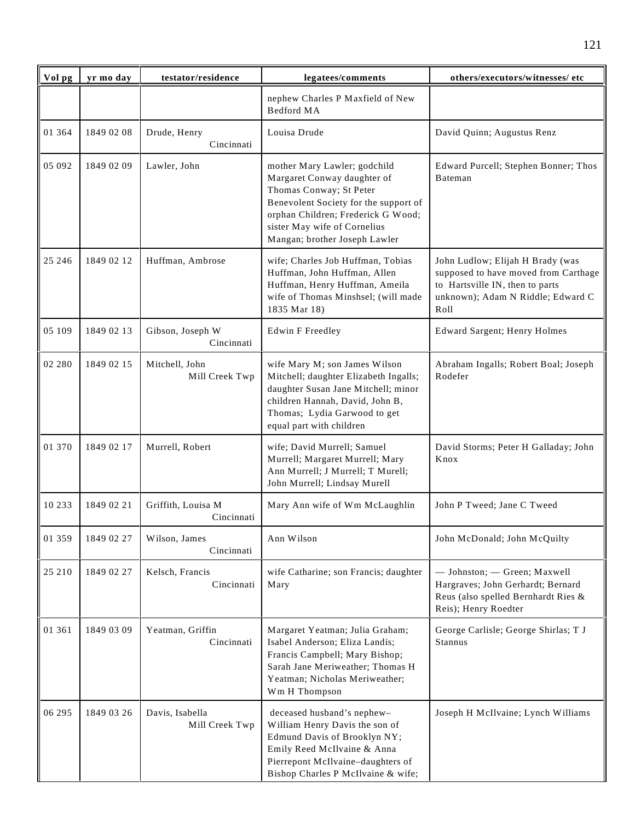| Vol pg   | yr mo day  | testator/residence                | legatees/comments                                                                                                                                                                                                                      | others/executors/witnesses/ etc                                                                                                                          |
|----------|------------|-----------------------------------|----------------------------------------------------------------------------------------------------------------------------------------------------------------------------------------------------------------------------------------|----------------------------------------------------------------------------------------------------------------------------------------------------------|
|          |            |                                   | nephew Charles P Maxfield of New<br>Bedford MA                                                                                                                                                                                         |                                                                                                                                                          |
| 01 3 6 4 | 1849 02 08 | Drude, Henry<br>Cincinnati        | Louisa Drude                                                                                                                                                                                                                           | David Quinn; Augustus Renz                                                                                                                               |
| 05 092   | 1849 02 09 | Lawler, John                      | mother Mary Lawler; godchild<br>Margaret Conway daughter of<br>Thomas Conway; St Peter<br>Benevolent Society for the support of<br>orphan Children; Frederick G Wood;<br>sister May wife of Cornelius<br>Mangan; brother Joseph Lawler | Edward Purcell; Stephen Bonner; Thos<br>Bateman                                                                                                          |
| 25 24 6  | 1849 02 12 | Huffman, Ambrose                  | wife; Charles Job Huffman, Tobias<br>Huffman, John Huffman, Allen<br>Huffman, Henry Huffman, Ameila<br>wife of Thomas Minshsel; (will made<br>1835 Mar 18)                                                                             | John Ludlow; Elijah H Brady (was<br>supposed to have moved from Carthage<br>to Hartsville IN, then to parts<br>unknown); Adam N Riddle; Edward C<br>Roll |
| 05 109   | 1849 02 13 | Gibson, Joseph W<br>Cincinnati    | <b>Edwin F Freedley</b>                                                                                                                                                                                                                | Edward Sargent; Henry Holmes                                                                                                                             |
| 02 280   | 1849 02 15 | Mitchell, John<br>Mill Creek Twp  | wife Mary M; son James Wilson<br>Mitchell; daughter Elizabeth Ingalls;<br>daughter Susan Jane Mitchell; minor<br>children Hannah, David, John B,<br>Thomas; Lydia Garwood to get<br>equal part with children                           | Abraham Ingalls; Robert Boal; Joseph<br>Rodefer                                                                                                          |
| 01 370   | 1849 02 17 | Murrell, Robert                   | wife; David Murrell; Samuel<br>Murrell; Margaret Murrell; Mary<br>Ann Murrell; J Murrell; T Murell;<br>John Murrell; Lindsay Murell                                                                                                    | David Storms; Peter H Galladay; John<br>Knox                                                                                                             |
| 10 233   | 1849 02 21 | Griffith, Louisa M<br>Cincinnati  | Mary Ann wife of Wm McLaughlin                                                                                                                                                                                                         | John P Tweed; Jane C Tweed                                                                                                                               |
| 01 359   | 1849 02 27 | Wilson, James<br>Cincinnati       | Ann Wilson                                                                                                                                                                                                                             | John McDonald; John McQuilty                                                                                                                             |
| 25 210   | 1849 02 27 | Kelsch, Francis<br>Cincinnati     | wife Catharine; son Francis; daughter<br>Mary                                                                                                                                                                                          | - Johnston; - Green; Maxwell<br>Hargraves; John Gerhardt; Bernard<br>Reus (also spelled Bernhardt Ries &<br>Reis); Henry Roedter                         |
| 01 361   | 1849 03 09 | Yeatman, Griffin<br>Cincinnati    | Margaret Yeatman; Julia Graham;<br>Isabel Anderson; Eliza Landis;<br>Francis Campbell; Mary Bishop;<br>Sarah Jane Meriweather; Thomas H<br>Yeatman; Nicholas Meriweather;<br>Wm H Thompson                                             | George Carlisle; George Shirlas; T J<br>Stannus                                                                                                          |
| 06 295   | 1849 03 26 | Davis, Isabella<br>Mill Creek Twp | deceased husband's nephew-<br>William Henry Davis the son of<br>Edmund Davis of Brooklyn NY;<br>Emily Reed McIlvaine & Anna<br>Pierrepont McIlvaine-daughters of<br>Bishop Charles P McIlvaine & wife;                                 | Joseph H McIlvaine; Lynch Williams                                                                                                                       |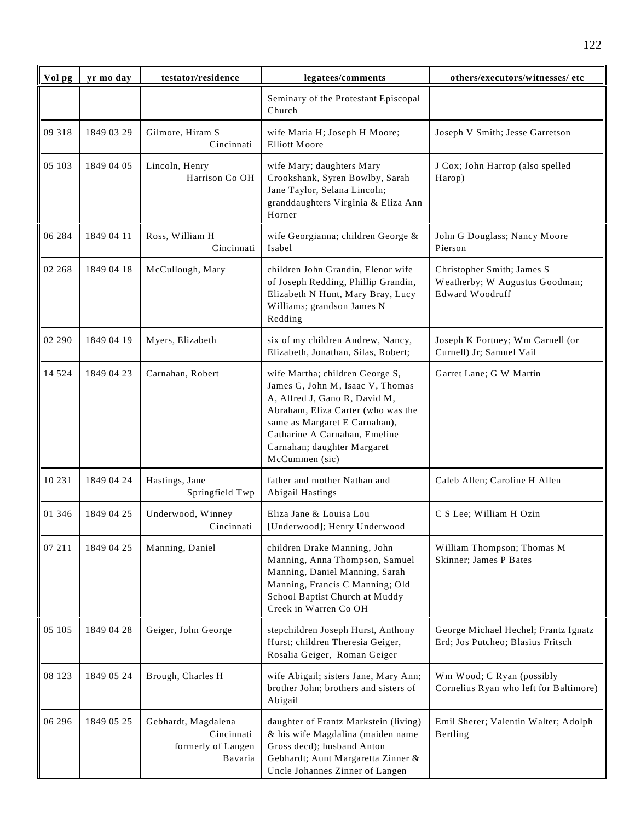| Vol pg  | yr mo day  | testator/residence                                                 | legatees/comments                                                                                                                                                                                                                                             | others/executors/witnesses/ etc                                                 |
|---------|------------|--------------------------------------------------------------------|---------------------------------------------------------------------------------------------------------------------------------------------------------------------------------------------------------------------------------------------------------------|---------------------------------------------------------------------------------|
|         |            |                                                                    | Seminary of the Protestant Episcopal<br>Church                                                                                                                                                                                                                |                                                                                 |
| 09 318  | 1849 03 29 | Gilmore, Hiram S<br>Cincinnati                                     | wife Maria H; Joseph H Moore;<br><b>Elliott Moore</b>                                                                                                                                                                                                         | Joseph V Smith; Jesse Garretson                                                 |
| 05 103  | 1849 04 05 | Lincoln, Henry<br>Harrison Co OH                                   | wife Mary; daughters Mary<br>Crookshank, Syren Bowlby, Sarah<br>Jane Taylor, Selana Lincoln;<br>granddaughters Virginia & Eliza Ann<br>Horner                                                                                                                 | J Cox; John Harrop (also spelled<br>Harop)                                      |
| 06 284  | 1849 04 11 | Ross, William H<br>Cincinnati                                      | wife Georgianna; children George &<br>Isabel                                                                                                                                                                                                                  | John G Douglass; Nancy Moore<br>Pierson                                         |
| 02 268  | 1849 04 18 | McCullough, Mary                                                   | children John Grandin, Elenor wife<br>of Joseph Redding, Phillip Grandin,<br>Elizabeth N Hunt, Mary Bray, Lucy<br>Williams; grandson James N<br>Redding                                                                                                       | Christopher Smith; James S<br>Weatherby; W Augustus Goodman;<br>Edward Woodruff |
| 02 290  | 1849 04 19 | Myers, Elizabeth                                                   | six of my children Andrew, Nancy,<br>Elizabeth, Jonathan, Silas, Robert;                                                                                                                                                                                      | Joseph K Fortney; Wm Carnell (or<br>Curnell) Jr; Samuel Vail                    |
| 14 5 24 | 1849 04 23 | Carnahan, Robert                                                   | wife Martha; children George S,<br>James G, John M, Isaac V, Thomas<br>A, Alfred J, Gano R, David M,<br>Abraham, Eliza Carter (who was the<br>same as Margaret E Carnahan),<br>Catharine A Carnahan, Emeline<br>Carnahan; daughter Margaret<br>McCummen (sic) | Garret Lane; G W Martin                                                         |
| 10 231  | 1849 04 24 | Hastings, Jane<br>Springfield Twp                                  | father and mother Nathan and<br>Abigail Hastings                                                                                                                                                                                                              | Caleb Allen; Caroline H Allen                                                   |
| 01 346  | 1849 04 25 | Underwood, Winney<br>Cincinnati                                    | Eliza Jane & Louisa Lou<br>[Underwood]; Henry Underwood                                                                                                                                                                                                       | C S Lee; William H Ozin                                                         |
| 07 211  | 1849 04 25 | Manning, Daniel                                                    | children Drake Manning, John<br>Manning, Anna Thompson, Samuel<br>Manning, Daniel Manning, Sarah<br>Manning, Francis C Manning; Old<br>School Baptist Church at Muddy<br>Creek in Warren Co OH                                                                | William Thompson; Thomas M<br>Skinner; James P Bates                            |
| 05 105  | 1849 04 28 | Geiger, John George                                                | stepchildren Joseph Hurst, Anthony<br>Hurst; children Theresia Geiger,<br>Rosalia Geiger, Roman Geiger                                                                                                                                                        | George Michael Hechel; Frantz Ignatz<br>Erd; Jos Putcheo; Blasius Fritsch       |
| 08 123  | 1849 05 24 | Brough, Charles H                                                  | wife Abigail; sisters Jane, Mary Ann;<br>brother John; brothers and sisters of<br>Abigail                                                                                                                                                                     | Wm Wood; C Ryan (possibly<br>Cornelius Ryan who left for Baltimore)             |
| 06 29 6 | 1849 05 25 | Gebhardt, Magdalena<br>Cincinnati<br>formerly of Langen<br>Bavaria | daughter of Frantz Markstein (living)<br>& his wife Magdalina (maiden name<br>Gross decd); husband Anton<br>Gebhardt; Aunt Margaretta Zinner &<br>Uncle Johannes Zinner of Langen                                                                             | Emil Sherer; Valentin Walter; Adolph<br>Bertling                                |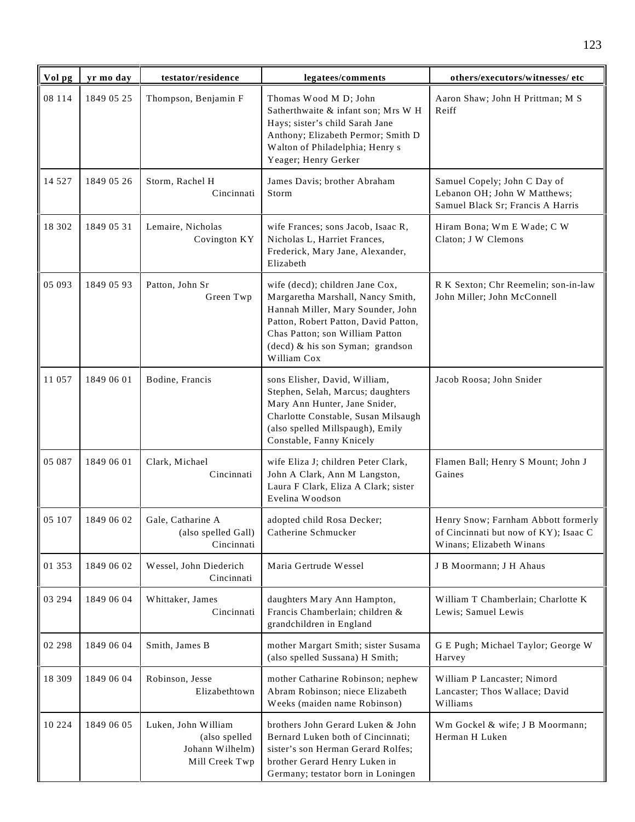| Vol pg   | yr mo day  | testator/residence                                                        | legatees/comments                                                                                                                                                                                                                       | others/executors/witnesses/ etc                                                                          |
|----------|------------|---------------------------------------------------------------------------|-----------------------------------------------------------------------------------------------------------------------------------------------------------------------------------------------------------------------------------------|----------------------------------------------------------------------------------------------------------|
| 08 114   | 1849 05 25 | Thompson, Benjamin F                                                      | Thomas Wood M D; John<br>Satherthwaite & infant son; Mrs W H<br>Hays; sister's child Sarah Jane<br>Anthony; Elizabeth Permor; Smith D<br>Walton of Philadelphia; Henry s<br>Yeager; Henry Gerker                                        | Aaron Shaw; John H Prittman; M S<br>Reiff                                                                |
| 14 5 27  | 1849 05 26 | Storm, Rachel H<br>Cincinnati                                             | James Davis; brother Abraham<br>Storm                                                                                                                                                                                                   | Samuel Copely; John C Day of<br>Lebanon OH; John W Matthews;<br>Samuel Black Sr; Francis A Harris        |
| 18 302   | 1849 05 31 | Lemaire, Nicholas<br>Covington KY                                         | wife Frances; sons Jacob, Isaac R,<br>Nicholas L, Harriet Frances,<br>Frederick, Mary Jane, Alexander,<br>Elizabeth                                                                                                                     | Hiram Bona; Wm E Wade; C W<br>Claton; J W Clemons                                                        |
| 05 093   | 1849 05 93 | Patton, John Sr<br>Green Twp                                              | wife (decd); children Jane Cox,<br>Margaretha Marshall, Nancy Smith,<br>Hannah Miller, Mary Sounder, John<br>Patton, Robert Patton, David Patton,<br>Chas Patton; son William Patton<br>(decd) & his son Syman; grandson<br>William Cox | R K Sexton; Chr Reemelin; son-in-law<br>John Miller; John McConnell                                      |
| 11 057   | 1849 06 01 | Bodine, Francis                                                           | sons Elisher, David, William,<br>Stephen, Selah, Marcus; daughters<br>Mary Ann Hunter, Jane Snider,<br>Charlotte Constable, Susan Milsaugh<br>(also spelled Millspaugh), Emily<br>Constable, Fanny Knicely                              | Jacob Roosa; John Snider                                                                                 |
| 05 087   | 1849 06 01 | Clark, Michael<br>Cincinnati                                              | wife Eliza J; children Peter Clark,<br>John A Clark, Ann M Langston,<br>Laura F Clark, Eliza A Clark; sister<br>Evelina Woodson                                                                                                         | Flamen Ball; Henry S Mount; John J<br>Gaines                                                             |
| 05 107   | 1849 06 02 | Gale, Catharine A<br>(also spelled Gall)<br>Cincinnati                    | adopted child Rosa Decker;<br>Catherine Schmucker                                                                                                                                                                                       | Henry Snow; Farnham Abbott formerly<br>of Cincinnati but now of KY); Isaac C<br>Winans; Elizabeth Winans |
| 01 353   | 1849 06 02 | Wessel, John Diederich<br>Cincinnati                                      | Maria Gertrude Wessel                                                                                                                                                                                                                   | J B Moormann; J H Ahaus                                                                                  |
| 03 294   | 1849 06 04 | Whittaker, James<br>Cincinnati                                            | daughters Mary Ann Hampton,<br>Francis Chamberlain; children &<br>grandchildren in England                                                                                                                                              | William T Chamberlain; Charlotte K<br>Lewis; Samuel Lewis                                                |
| 02 298   | 1849 06 04 | Smith, James B                                                            | mother Margart Smith; sister Susama<br>(also spelled Sussana) H Smith;                                                                                                                                                                  | G E Pugh; Michael Taylor; George W<br>Harvey                                                             |
| 18 309   | 1849 06 04 | Robinson, Jesse<br>Elizabethtown                                          | mother Catharine Robinson; nephew<br>Abram Robinson; niece Elizabeth<br>Weeks (maiden name Robinson)                                                                                                                                    | William P Lancaster; Nimord<br>Lancaster; Thos Wallace; David<br>Williams                                |
| 10 2 2 4 | 1849 06 05 | Luken, John William<br>(also spelled<br>Johann Wilhelm)<br>Mill Creek Twp | brothers John Gerard Luken & John<br>Bernard Luken both of Cincinnati;<br>sister's son Herman Gerard Rolfes;<br>brother Gerard Henry Luken in<br>Germany; testator born in Loningen                                                     | Wm Gockel & wife; J B Moormann;<br>Herman H Luken                                                        |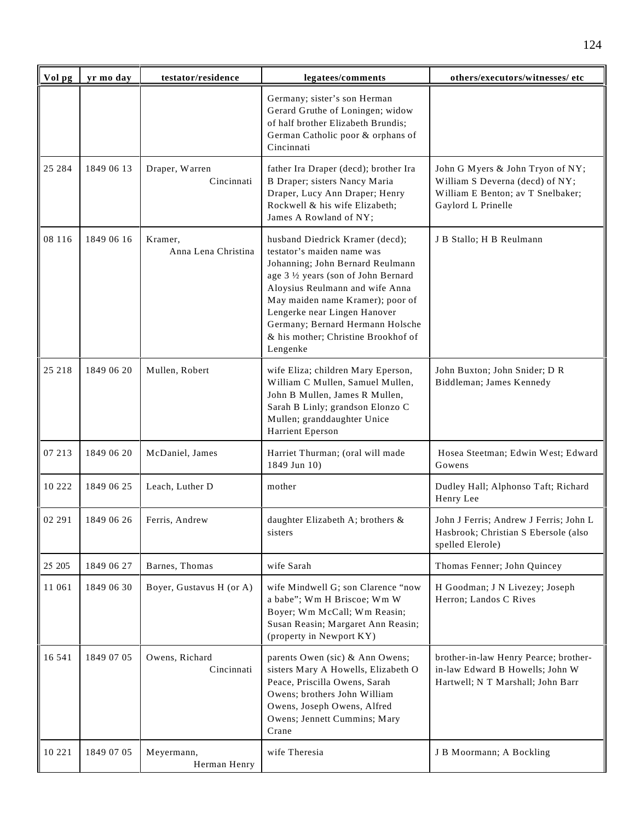| Vol pg | yr mo day  | testator/residence             | legatees/comments                                                                                                                                                                                                                                                                                                                       | others/executors/witnesses/ etc                                                                                                |
|--------|------------|--------------------------------|-----------------------------------------------------------------------------------------------------------------------------------------------------------------------------------------------------------------------------------------------------------------------------------------------------------------------------------------|--------------------------------------------------------------------------------------------------------------------------------|
|        |            |                                | Germany; sister's son Herman<br>Gerard Gruthe of Loningen; widow<br>of half brother Elizabeth Brundis;<br>German Catholic poor & orphans of<br>Cincinnati                                                                                                                                                                               |                                                                                                                                |
| 25 284 | 1849 06 13 | Draper, Warren<br>Cincinnati   | father Ira Draper (decd); brother Ira<br>B Draper; sisters Nancy Maria<br>Draper, Lucy Ann Draper; Henry<br>Rockwell & his wife Elizabeth;<br>James A Rowland of NY;                                                                                                                                                                    | John G Myers & John Tryon of NY;<br>William S Deverna (decd) of NY;<br>William E Benton; av T Snelbaker;<br>Gaylord L Prinelle |
| 08 116 | 1849 06 16 | Kramer.<br>Anna Lena Christina | husband Diedrick Kramer (decd);<br>testator's maiden name was<br>Johanning; John Bernard Reulmann<br>age 3 1/2 years (son of John Bernard<br>Aloysius Reulmann and wife Anna<br>May maiden name Kramer); poor of<br>Lengerke near Lingen Hanover<br>Germany; Bernard Hermann Holsche<br>& his mother; Christine Brookhof of<br>Lengenke | J B Stallo; H B Reulmann                                                                                                       |
| 25 218 | 1849 06 20 | Mullen, Robert                 | wife Eliza; children Mary Eperson,<br>William C Mullen, Samuel Mullen,<br>John B Mullen, James R Mullen,<br>Sarah B Linly; grandson Elonzo C<br>Mullen; granddaughter Unice<br>Harrient Eperson                                                                                                                                         | John Buxton; John Snider; D R<br>Biddleman; James Kennedy                                                                      |
| 07 213 | 1849 06 20 | McDaniel, James                | Harriet Thurman; (oral will made<br>1849 Jun 10)                                                                                                                                                                                                                                                                                        | Hosea Steetman; Edwin West; Edward<br>Gowens                                                                                   |
| 10 222 | 1849 06 25 | Leach, Luther D                | mother                                                                                                                                                                                                                                                                                                                                  | Dudley Hall; Alphonso Taft; Richard<br>Henry Lee                                                                               |
| 02 291 | 1849 06 26 | Ferris, Andrew                 | daughter Elizabeth A; brothers &<br>sisters                                                                                                                                                                                                                                                                                             | John J Ferris; Andrew J Ferris; John L<br>Hasbrook; Christian S Ebersole (also<br>spelled Elerole)                             |
| 25 205 | 1849 06 27 | Barnes, Thomas                 | wife Sarah                                                                                                                                                                                                                                                                                                                              | Thomas Fenner; John Quincey                                                                                                    |
| 11 061 | 1849 06 30 | Boyer, Gustavus H (or A)       | wife Mindwell G; son Clarence "now<br>a babe"; Wm H Briscoe; Wm W<br>Boyer; Wm McCall; Wm Reasin;<br>Susan Reasin; Margaret Ann Reasin;<br>(property in Newport KY)                                                                                                                                                                     | H Goodman; J N Livezey; Joseph<br>Herron; Landos C Rives                                                                       |
| 16 541 | 1849 07 05 | Owens, Richard<br>Cincinnati   | parents Owen (sic) & Ann Owens;<br>sisters Mary A Howells, Elizabeth O<br>Peace, Priscilla Owens, Sarah<br>Owens; brothers John William<br>Owens, Joseph Owens, Alfred<br>Owens; Jennett Cummins; Mary<br>Crane                                                                                                                         | brother-in-law Henry Pearce; brother-<br>in-law Edward B Howells; John W<br>Hartwell; N T Marshall; John Barr                  |
| 10 221 | 1849 07 05 | Meyermann,<br>Herman Henry     | wife Theresia                                                                                                                                                                                                                                                                                                                           | J B Moormann; A Bockling                                                                                                       |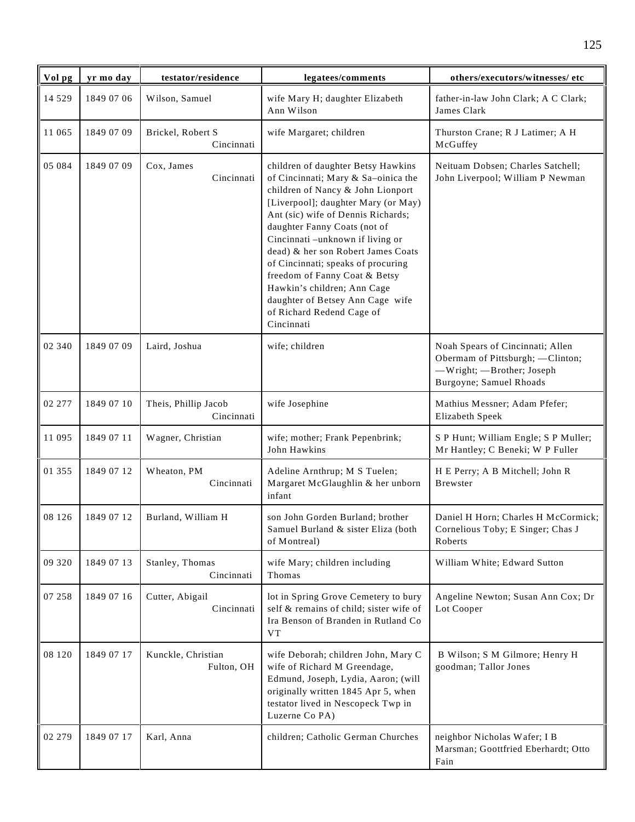| Vol pg   | yr mo day  | testator/residence                 | legatees/comments                                                                                                                                                                                                                                                                                                                                                                                                                                                                          | others/executors/witnesses/ etc                                                                                               |
|----------|------------|------------------------------------|--------------------------------------------------------------------------------------------------------------------------------------------------------------------------------------------------------------------------------------------------------------------------------------------------------------------------------------------------------------------------------------------------------------------------------------------------------------------------------------------|-------------------------------------------------------------------------------------------------------------------------------|
| 14 5 29  | 1849 07 06 | Wilson, Samuel                     | wife Mary H; daughter Elizabeth<br>Ann Wilson                                                                                                                                                                                                                                                                                                                                                                                                                                              | father-in-law John Clark; A C Clark;<br>James Clark                                                                           |
| 11 065   | 1849 07 09 | Brickel, Robert S<br>Cincinnati    | wife Margaret; children                                                                                                                                                                                                                                                                                                                                                                                                                                                                    | Thurston Crane; R J Latimer; A H<br>McGuffey                                                                                  |
| 05 084   | 1849 07 09 | Cox, James<br>Cincinnati           | children of daughter Betsy Hawkins<br>of Cincinnati; Mary & Sa-oinica the<br>children of Nancy & John Lionport<br>[Liverpool]; daughter Mary (or May)<br>Ant (sic) wife of Dennis Richards;<br>daughter Fanny Coats (not of<br>Cincinnati -unknown if living or<br>dead) & her son Robert James Coats<br>of Cincinnati; speaks of procuring<br>freedom of Fanny Coat & Betsy<br>Hawkin's children; Ann Cage<br>daughter of Betsey Ann Cage wife<br>of Richard Redend Cage of<br>Cincinnati | Neituam Dobsen; Charles Satchell;<br>John Liverpool; William P Newman                                                         |
| 02 340   | 1849 07 09 | Laird, Joshua                      | wife; children                                                                                                                                                                                                                                                                                                                                                                                                                                                                             | Noah Spears of Cincinnati; Allen<br>Obermam of Pittsburgh; - Clinton;<br>-Wright; -Brother; Joseph<br>Burgoyne; Samuel Rhoads |
| 02 277   | 1849 07 10 | Theis, Phillip Jacob<br>Cincinnati | wife Josephine                                                                                                                                                                                                                                                                                                                                                                                                                                                                             | Mathius Messner; Adam Pfefer;<br>Elizabeth Speek                                                                              |
| 11 095   | 1849 07 11 | Wagner, Christian                  | wife; mother; Frank Pepenbrink;<br>John Hawkins                                                                                                                                                                                                                                                                                                                                                                                                                                            | S P Hunt; William Engle; S P Muller;<br>Mr Hantley; C Beneki; W P Fuller                                                      |
| 01 355   | 1849 07 12 | Wheaton, PM<br>Cincinnati          | Adeline Arnthrup; M S Tuelen;<br>Margaret McGlaughlin & her unborn<br>infant                                                                                                                                                                                                                                                                                                                                                                                                               | H E Perry; A B Mitchell; John R<br><b>B</b> rewster                                                                           |
| 08 1 2 6 | 1849 07 12 | Burland, William H                 | son John Gorden Burland; brother<br>Samuel Burland & sister Eliza (both<br>of Montreal)                                                                                                                                                                                                                                                                                                                                                                                                    | Daniel H Horn; Charles H McCormick;<br>Cornelious Toby; E Singer; Chas J<br>Roberts                                           |
| 09 320   | 1849 07 13 | Stanley, Thomas<br>Cincinnati      | wife Mary; children including<br>Thomas                                                                                                                                                                                                                                                                                                                                                                                                                                                    | William White; Edward Sutton                                                                                                  |
| 07 258   | 1849 07 16 | Cutter, Abigail<br>Cincinnati      | lot in Spring Grove Cemetery to bury<br>self & remains of child; sister wife of<br>Ira Benson of Branden in Rutland Co<br><b>VT</b>                                                                                                                                                                                                                                                                                                                                                        | Angeline Newton; Susan Ann Cox; Dr<br>Lot Cooper                                                                              |
| 08 120   | 1849 07 17 | Kunckle, Christian<br>Fulton, OH   | wife Deborah; children John, Mary C<br>wife of Richard M Greendage,<br>Edmund, Joseph, Lydia, Aaron; (will<br>originally written 1845 Apr 5, when<br>testator lived in Nescopeck Twp in<br>Luzerne Co PA)                                                                                                                                                                                                                                                                                  | B Wilson; S M Gilmore; Henry H<br>goodman; Tallor Jones                                                                       |
| 02 279   | 1849 07 17 | Karl, Anna                         | children; Catholic German Churches                                                                                                                                                                                                                                                                                                                                                                                                                                                         | neighbor Nicholas Wafer; I B<br>Marsman; Goottfried Eberhardt; Otto<br>Fain                                                   |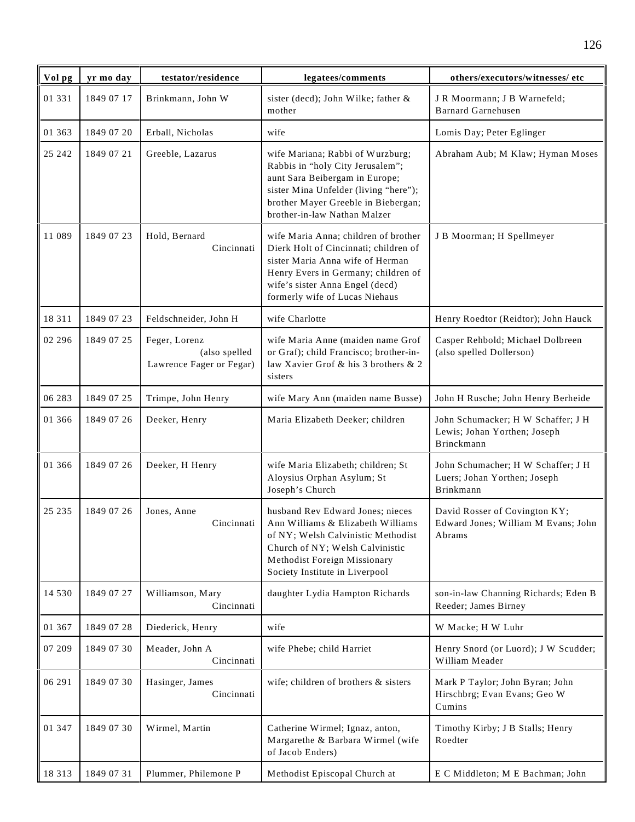| Vol pg   | yr mo day  | testator/residence                                         | legatees/comments                                                                                                                                                                                                             | others/executors/witnesses/ etc                                                  |
|----------|------------|------------------------------------------------------------|-------------------------------------------------------------------------------------------------------------------------------------------------------------------------------------------------------------------------------|----------------------------------------------------------------------------------|
| 01 331   | 1849 07 17 | Brinkmann, John W                                          | sister (decd); John Wilke; father &<br>mother                                                                                                                                                                                 | JR Moormann; JB Warnefeld;<br><b>Barnard Garnehusen</b>                          |
| 01 363   | 1849 07 20 | Erball, Nicholas                                           | wife                                                                                                                                                                                                                          | Lomis Day; Peter Eglinger                                                        |
| 25 24 2  | 1849 07 21 | Greeble, Lazarus                                           | wife Mariana; Rabbi of Wurzburg;<br>Rabbis in "holy City Jerusalem";<br>aunt Sara Beibergam in Europe;<br>sister Mina Unfelder (living "here");<br>brother Mayer Greeble in Biebergan;<br>brother-in-law Nathan Malzer        | Abraham Aub; M Klaw; Hyman Moses                                                 |
| 11 089   | 1849 07 23 | Hold, Bernard<br>Cincinnati                                | wife Maria Anna; children of brother<br>Dierk Holt of Cincinnati; children of<br>sister Maria Anna wife of Herman<br>Henry Evers in Germany; children of<br>wife's sister Anna Engel (decd)<br>formerly wife of Lucas Niehaus | J B Moorman; H Spellmeyer                                                        |
| 18 3 11  | 1849 07 23 | Feldschneider, John H                                      | wife Charlotte                                                                                                                                                                                                                | Henry Roedtor (Reidtor); John Hauck                                              |
| 02 29 6  | 1849 07 25 | Feger, Lorenz<br>(also spelled<br>Lawrence Fager or Fegar) | wife Maria Anne (maiden name Grof<br>or Graf); child Francisco; brother-in-<br>law Xavier Grof & his 3 brothers & 2<br>sisters                                                                                                | Casper Rehbold; Michael Dolbreen<br>(also spelled Dollerson)                     |
| 06 283   | 1849 07 25 | Trimpe, John Henry                                         | wife Mary Ann (maiden name Busse)                                                                                                                                                                                             | John H Rusche; John Henry Berheide                                               |
| 01 366   | 1849 07 26 | Deeker, Henry                                              | Maria Elizabeth Deeker; children                                                                                                                                                                                              | John Schumacker; H W Schaffer; J H<br>Lewis; Johan Yorthen; Joseph<br>Brinckmann |
| 01 366   | 1849 07 26 | Deeker, H Henry                                            | wife Maria Elizabeth; children; St<br>Aloysius Orphan Asylum; St<br>Joseph's Church                                                                                                                                           | John Schumacher; H W Schaffer; J H<br>Luers; Johan Yorthen; Joseph<br>Brinkmann  |
| 25 235   | 1849 07 26 | Jones, Anne<br>Cincinnati                                  | husband Rev Edward Jones; nieces<br>Ann Williams & Elizabeth Williams<br>of NY; Welsh Calvinistic Methodist<br>Church of NY; Welsh Calvinistic<br>Methodist Foreign Missionary<br>Society Institute in Liverpool              | David Rosser of Covington KY;<br>Edward Jones; William M Evans; John<br>Abrams   |
| 14 5 3 0 | 1849 07 27 | Williamson, Mary<br>Cincinnati                             | daughter Lydia Hampton Richards                                                                                                                                                                                               | son-in-law Channing Richards; Eden B<br>Reeder; James Birney                     |
| 01 367   | 1849 07 28 | Diederick, Henry                                           | wife                                                                                                                                                                                                                          | W Macke; H W Luhr                                                                |
| 07 209   | 1849 07 30 | Meader, John A<br>Cincinnati                               | wife Phebe; child Harriet                                                                                                                                                                                                     | Henry Snord (or Luord); J W Scudder;<br>William Meader                           |
| 06 291   | 1849 07 30 | Hasinger, James<br>Cincinnati                              | wife; children of brothers & sisters                                                                                                                                                                                          | Mark P Taylor; John Byran; John<br>Hirschbrg; Evan Evans; Geo W<br>Cumins        |
| 01 347   | 1849 07 30 | Wirmel, Martin                                             | Catherine Wirmel; Ignaz, anton,<br>Margarethe & Barbara Wirmel (wife<br>of Jacob Enders)                                                                                                                                      | Timothy Kirby; J B Stalls; Henry<br>Roedter                                      |
| 18 3 13  | 1849 07 31 | Plummer, Philemone P                                       | Methodist Episcopal Church at                                                                                                                                                                                                 | E C Middleton; M E Bachman; John                                                 |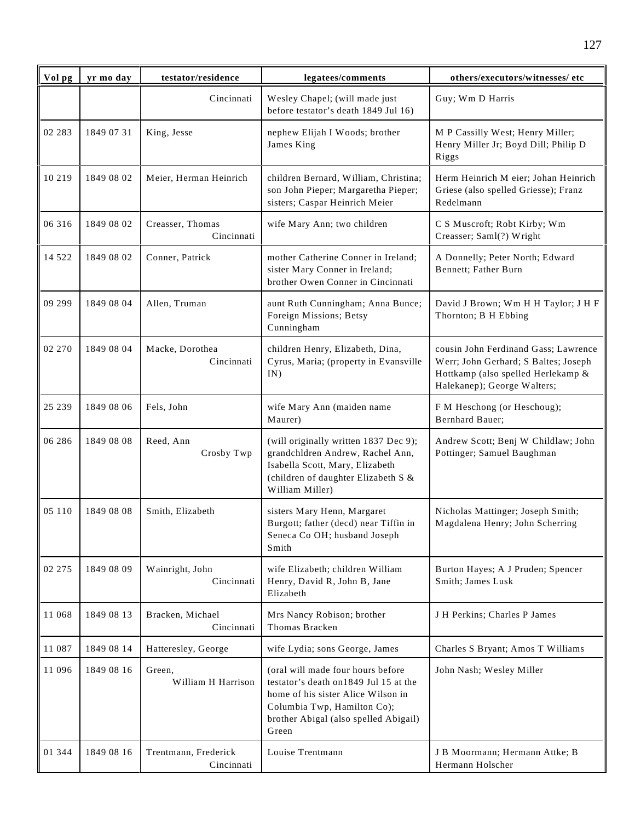| Vol pg  | yr mo day  | testator/residence                 | legatees/comments                                                                                                                                                                                  | others/executors/witnesses/ etc                                                                                                                   |
|---------|------------|------------------------------------|----------------------------------------------------------------------------------------------------------------------------------------------------------------------------------------------------|---------------------------------------------------------------------------------------------------------------------------------------------------|
|         |            | Cincinnati                         | Wesley Chapel; (will made just<br>before testator's death 1849 Jul 16)                                                                                                                             | Guy; Wm D Harris                                                                                                                                  |
| 02 283  | 1849 07 31 | King, Jesse                        | nephew Elijah I Woods; brother<br>James King                                                                                                                                                       | M P Cassilly West; Henry Miller;<br>Henry Miller Jr; Boyd Dill; Philip D<br>Riggs                                                                 |
| 10 219  | 1849 08 02 | Meier, Herman Heinrich             | children Bernard, William, Christina;<br>son John Pieper; Margaretha Pieper;<br>sisters; Caspar Heinrich Meier                                                                                     | Herm Heinrich M eier; Johan Heinrich<br>Griese (also spelled Griesse); Franz<br>Redelmann                                                         |
| 06 316  | 1849 08 02 | Creasser, Thomas<br>Cincinnati     | wife Mary Ann; two children                                                                                                                                                                        | C S Muscroft; Robt Kirby; Wm<br>Creasser; Saml(?) Wright                                                                                          |
| 14 5 22 | 1849 08 02 | Conner, Patrick                    | mother Catherine Conner in Ireland;<br>sister Mary Conner in Ireland;<br>brother Owen Conner in Cincinnati                                                                                         | A Donnelly; Peter North; Edward<br>Bennett; Father Burn                                                                                           |
| 09 29 9 | 1849 08 04 | Allen, Truman                      | aunt Ruth Cunningham; Anna Bunce;<br>Foreign Missions; Betsy<br>Cunningham                                                                                                                         | David J Brown; Wm H H Taylor; J H F<br>Thornton; B H Ebbing                                                                                       |
| 02 270  | 1849 08 04 | Macke, Dorothea<br>Cincinnati      | children Henry, Elizabeth, Dina,<br>Cyrus, Maria; (property in Evansville<br>IN)                                                                                                                   | cousin John Ferdinand Gass; Lawrence<br>Werr; John Gerhard; S Baltes; Joseph<br>Hottkamp (also spelled Herlekamp &<br>Halekanep); George Walters; |
| 25 239  | 1849 08 06 | Fels, John                         | wife Mary Ann (maiden name<br>Maurer)                                                                                                                                                              | F M Heschong (or Heschoug);<br>Bernhard Bauer;                                                                                                    |
| 06 28 6 | 1849 08 08 | Reed, Ann<br>Crosby Twp            | (will originally written 1837 Dec 9);<br>grandchldren Andrew, Rachel Ann,<br>Isabella Scott, Mary, Elizabeth<br>(children of daughter Elizabeth S &<br>William Miller)                             | Andrew Scott; Benj W Childlaw; John<br>Pottinger; Samuel Baughman                                                                                 |
| 05 110  | 1849 08 08 | Smith, Elizabeth                   | sisters Mary Henn, Margaret<br>Burgott; father (decd) near Tiffin in<br>Seneca Co OH; husband Joseph<br>Smith                                                                                      | Nicholas Mattinger; Joseph Smith;<br>Magdalena Henry; John Scherring                                                                              |
| 02 275  | 1849 08 09 | Wainright, John<br>Cincinnati      | wife Elizabeth; children William<br>Henry, David R, John B, Jane<br>Elizabeth                                                                                                                      | Burton Hayes; A J Pruden; Spencer<br>Smith; James Lusk                                                                                            |
| 11 068  | 1849 08 13 | Bracken, Michael<br>Cincinnati     | Mrs Nancy Robison; brother<br>Thomas Bracken                                                                                                                                                       | J H Perkins; Charles P James                                                                                                                      |
| 11 087  | 1849 08 14 | Hatteresley, George                | wife Lydia; sons George, James                                                                                                                                                                     | Charles S Bryant; Amos T Williams                                                                                                                 |
| 11 096  | 1849 08 16 | Green,<br>William H Harrison       | (oral will made four hours before<br>testator's death on 1849 Jul 15 at the<br>home of his sister Alice Wilson in<br>Columbia Twp, Hamilton Co);<br>brother Abigal (also spelled Abigail)<br>Green | John Nash; Wesley Miller                                                                                                                          |
| 01 344  | 1849 08 16 | Trentmann, Frederick<br>Cincinnati | Louise Trentmann                                                                                                                                                                                   | J B Moormann; Hermann Attke; B<br>Hermann Holscher                                                                                                |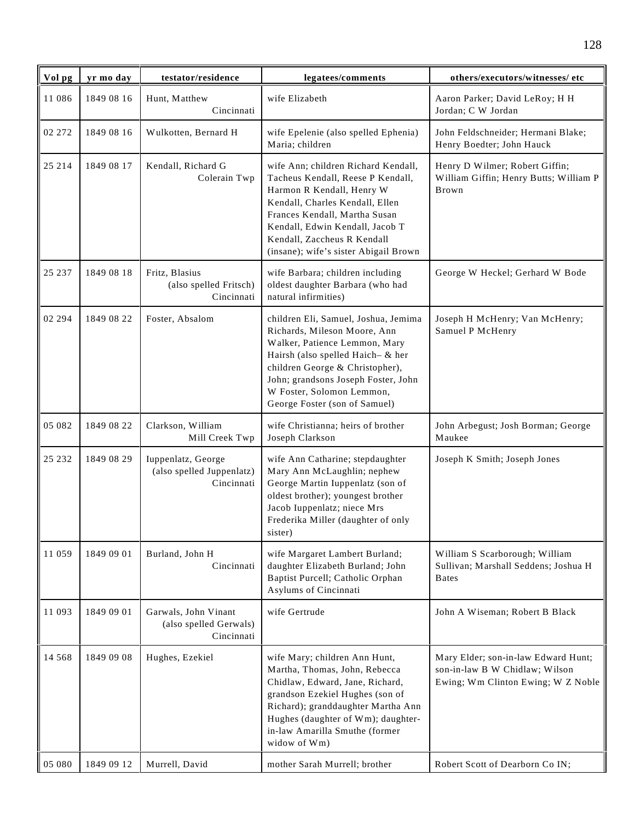| Vol pg   | yr mo day  | testator/residence                                            | legatees/comments                                                                                                                                                                                                                                                                    | others/executors/witnesses/ etc                                                                             |
|----------|------------|---------------------------------------------------------------|--------------------------------------------------------------------------------------------------------------------------------------------------------------------------------------------------------------------------------------------------------------------------------------|-------------------------------------------------------------------------------------------------------------|
| 11 086   | 1849 08 16 | Hunt, Matthew<br>Cincinnati                                   | wife Elizabeth                                                                                                                                                                                                                                                                       | Aaron Parker; David LeRoy; H H<br>Jordan; C W Jordan                                                        |
| 02 272   | 1849 08 16 | Wulkotten, Bernard H                                          | wife Epelenie (also spelled Ephenia)<br>Maria; children                                                                                                                                                                                                                              | John Feldschneider; Hermani Blake;<br>Henry Boedter; John Hauck                                             |
| 25 214   | 1849 08 17 | Kendall, Richard G<br>Colerain Twp                            | wife Ann; children Richard Kendall,<br>Tacheus Kendall, Reese P Kendall,<br>Harmon R Kendall, Henry W<br>Kendall, Charles Kendall, Ellen<br>Frances Kendall, Martha Susan<br>Kendall, Edwin Kendall, Jacob T<br>Kendall, Zaccheus R Kendall<br>(insane); wife's sister Abigail Brown | Henry D Wilmer; Robert Giffin;<br>William Giffin; Henry Butts; William P<br>Brown                           |
| 25 237   | 1849 08 18 | Fritz, Blasius<br>(also spelled Fritsch)<br>Cincinnati        | wife Barbara; children including<br>oldest daughter Barbara (who had<br>natural infirmities)                                                                                                                                                                                         | George W Heckel; Gerhard W Bode                                                                             |
| 02 294   | 1849 08 22 | Foster, Absalom                                               | children Eli, Samuel, Joshua, Jemima<br>Richards, Mileson Moore, Ann<br>Walker, Patience Lemmon, Mary<br>Hairsh (also spelled Haich- & her<br>children George & Christopher),<br>John; grandsons Joseph Foster, John<br>W Foster, Solomon Lemmon,<br>George Foster (son of Samuel)   | Joseph H McHenry; Van McHenry;<br>Samuel P McHenry                                                          |
| 05 082   | 1849 08 22 | Clarkson, William<br>Mill Creek Twp                           | wife Christianna; heirs of brother<br>Joseph Clarkson                                                                                                                                                                                                                                | John Arbegust; Josh Borman; George<br>Maukee                                                                |
| 25 23 2  | 1849 08 29 | Iuppenlatz, George<br>(also spelled Juppenlatz)<br>Cincinnati | wife Ann Catharine; stepdaughter<br>Mary Ann McLaughlin; nephew<br>George Martin Iuppenlatz (son of<br>oldest brother); youngest brother<br>Jacob Iuppenlatz; niece Mrs<br>Frederika Miller (daughter of only<br>sister)                                                             | Joseph K Smith; Joseph Jones                                                                                |
| 11 059   | 1849 09 01 | Burland, John H<br>Cincinnati                                 | wife Margaret Lambert Burland;<br>daughter Elizabeth Burland; John<br>Baptist Purcell; Catholic Orphan<br>Asylums of Cincinnati                                                                                                                                                      | William S Scarborough; William<br>Sullivan; Marshall Seddens; Joshua H<br><b>Bates</b>                      |
| 11 093   | 1849 09 01 | Garwals, John Vinant<br>(also spelled Gerwals)<br>Cincinnati  | wife Gertrude                                                                                                                                                                                                                                                                        | John A Wiseman; Robert B Black                                                                              |
| 14 5 6 8 | 1849 09 08 | Hughes, Ezekiel                                               | wife Mary; children Ann Hunt,<br>Martha, Thomas, John, Rebecca<br>Chidlaw, Edward, Jane, Richard,<br>grandson Ezekiel Hughes (son of<br>Richard); granddaughter Martha Ann<br>Hughes (daughter of Wm); daughter-<br>in-law Amarilla Smuthe (former<br>widow of Wm)                   | Mary Elder; son-in-law Edward Hunt;<br>son-in-law B W Chidlaw; Wilson<br>Ewing; Wm Clinton Ewing; W Z Noble |
| 05 080   | 1849 09 12 | Murrell, David                                                | mother Sarah Murrell; brother                                                                                                                                                                                                                                                        | Robert Scott of Dearborn Co IN;                                                                             |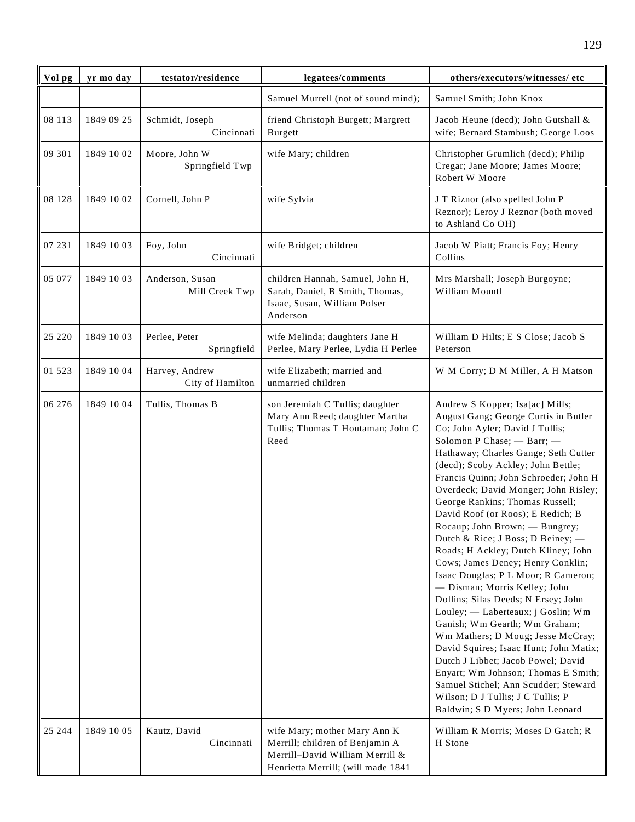| Vol pg   | yr mo day  | testator/residence                 | legatees/comments                                                                                                                        | others/executors/witnesses/ etc                                                                                                                                                                                                                                                                                                                                                                                                                                                                                                                                                                                                                                                                                                                                                                                                                                                                                                                                                                       |
|----------|------------|------------------------------------|------------------------------------------------------------------------------------------------------------------------------------------|-------------------------------------------------------------------------------------------------------------------------------------------------------------------------------------------------------------------------------------------------------------------------------------------------------------------------------------------------------------------------------------------------------------------------------------------------------------------------------------------------------------------------------------------------------------------------------------------------------------------------------------------------------------------------------------------------------------------------------------------------------------------------------------------------------------------------------------------------------------------------------------------------------------------------------------------------------------------------------------------------------|
|          |            |                                    | Samuel Murrell (not of sound mind);                                                                                                      | Samuel Smith; John Knox                                                                                                                                                                                                                                                                                                                                                                                                                                                                                                                                                                                                                                                                                                                                                                                                                                                                                                                                                                               |
| 08 113   | 1849 09 25 | Schmidt, Joseph<br>Cincinnati      | friend Christoph Burgett; Margrett<br>Burgett                                                                                            | Jacob Heune (decd); John Gutshall &<br>wife; Bernard Stambush; George Loos                                                                                                                                                                                                                                                                                                                                                                                                                                                                                                                                                                                                                                                                                                                                                                                                                                                                                                                            |
| 09 301   | 1849 10 02 | Moore, John W<br>Springfield Twp   | wife Mary; children                                                                                                                      | Christopher Grumlich (decd); Philip<br>Cregar; Jane Moore; James Moore;<br>Robert W Moore                                                                                                                                                                                                                                                                                                                                                                                                                                                                                                                                                                                                                                                                                                                                                                                                                                                                                                             |
| 08 128   | 1849 10 02 | Cornell, John P                    | wife Sylvia                                                                                                                              | J T Riznor (also spelled John P<br>Reznor); Leroy J Reznor (both moved<br>to Ashland Co OH)                                                                                                                                                                                                                                                                                                                                                                                                                                                                                                                                                                                                                                                                                                                                                                                                                                                                                                           |
| 07 231   | 1849 10 03 | Foy, John<br>Cincinnati            | wife Bridget; children                                                                                                                   | Jacob W Piatt; Francis Foy; Henry<br>Collins                                                                                                                                                                                                                                                                                                                                                                                                                                                                                                                                                                                                                                                                                                                                                                                                                                                                                                                                                          |
| 05 077   | 1849 10 03 | Anderson, Susan<br>Mill Creek Twp  | children Hannah, Samuel, John H,<br>Sarah, Daniel, B Smith, Thomas,<br>Isaac, Susan, William Polser<br>Anderson                          | Mrs Marshall; Joseph Burgoyne;<br>William Mountl                                                                                                                                                                                                                                                                                                                                                                                                                                                                                                                                                                                                                                                                                                                                                                                                                                                                                                                                                      |
| 25 220   | 1849 10 03 | Perlee, Peter<br>Springfield       | wife Melinda; daughters Jane H<br>Perlee, Mary Perlee, Lydia H Perlee                                                                    | William D Hilts; E S Close; Jacob S<br>Peterson                                                                                                                                                                                                                                                                                                                                                                                                                                                                                                                                                                                                                                                                                                                                                                                                                                                                                                                                                       |
| 01 5 2 3 | 1849 10 04 | Harvey, Andrew<br>City of Hamilton | wife Elizabeth; married and<br>unmarried children                                                                                        | W M Corry; D M Miller, A H Matson                                                                                                                                                                                                                                                                                                                                                                                                                                                                                                                                                                                                                                                                                                                                                                                                                                                                                                                                                                     |
| 06 276   | 1849 10 04 | Tullis, Thomas B                   | son Jeremiah C Tullis; daughter<br>Mary Ann Reed; daughter Martha<br>Tullis; Thomas T Houtaman; John C<br>Reed                           | Andrew S Kopper; Isa[ac] Mills;<br>August Gang; George Curtis in Butler<br>Co; John Ayler; David J Tullis;<br>Solomon P Chase; - Barr; -<br>Hathaway; Charles Gange; Seth Cutter<br>(decd); Scoby Ackley; John Bettle;<br>Francis Quinn; John Schroeder; John H<br>Overdeck; David Monger; John Risley;<br>George Rankins; Thomas Russell;<br>David Roof (or Roos); E Redich; B<br>Rocaup; John Brown; - Bungrey;<br>Dutch & Rice; J Boss; D Beiney; -<br>Roads; H Ackley; Dutch Kliney; John<br>Cows; James Deney; Henry Conklin;<br>Isaac Douglas; P L Moor; R Cameron;<br>- Disman; Morris Kelley; John<br>Dollins; Silas Deeds; N Ersey; John<br>Louley; — Laberteaux; j Goslin; Wm<br>Ganish; Wm Gearth; Wm Graham;<br>Wm Mathers; D Moug; Jesse McCray;<br>David Squires; Isaac Hunt; John Matix;<br>Dutch J Libbet; Jacob Powel; David<br>Enyart; Wm Johnson; Thomas E Smith;<br>Samuel Stichel; Ann Scudder; Steward<br>Wilson; D J Tullis; J C Tullis; P<br>Baldwin; S D Myers; John Leonard |
| 25 244   | 1849 10 05 | Kautz, David<br>Cincinnati         | wife Mary; mother Mary Ann K<br>Merrill; children of Benjamin A<br>Merrill-David William Merrill &<br>Henrietta Merrill; (will made 1841 | William R Morris; Moses D Gatch; R<br>H Stone                                                                                                                                                                                                                                                                                                                                                                                                                                                                                                                                                                                                                                                                                                                                                                                                                                                                                                                                                         |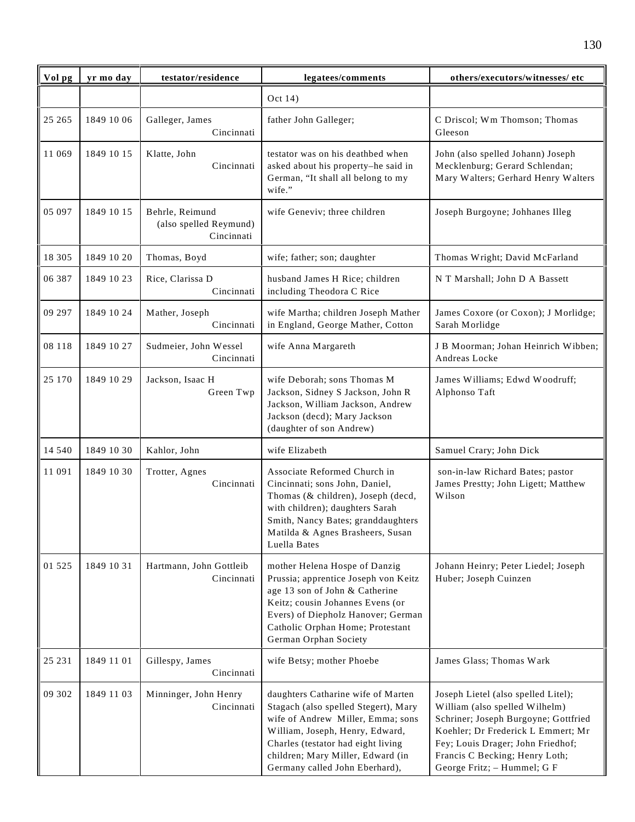| Vol pg   | yr mo day  | testator/residence                                      | legatees/comments                                                                                                                                                                                                                                               | others/executors/witnesses/ etc                                                                                                                                                                                                                           |
|----------|------------|---------------------------------------------------------|-----------------------------------------------------------------------------------------------------------------------------------------------------------------------------------------------------------------------------------------------------------------|-----------------------------------------------------------------------------------------------------------------------------------------------------------------------------------------------------------------------------------------------------------|
|          |            |                                                         | Oct 14)                                                                                                                                                                                                                                                         |                                                                                                                                                                                                                                                           |
| 25 265   | 1849 10 06 | Galleger, James<br>Cincinnati                           | father John Galleger;                                                                                                                                                                                                                                           | C Driscol; Wm Thomson; Thomas<br>Gleeson                                                                                                                                                                                                                  |
| 11 069   | 1849 10 15 | Klatte, John<br>Cincinnati                              | testator was on his deathbed when<br>asked about his property-he said in<br>German, "It shall all belong to my<br>wife."                                                                                                                                        | John (also spelled Johann) Joseph<br>Mecklenburg; Gerard Schlendan;<br>Mary Walters; Gerhard Henry Walters                                                                                                                                                |
| 05 097   | 1849 10 15 | Behrle, Reimund<br>(also spelled Reymund)<br>Cincinnati | wife Geneviv; three children                                                                                                                                                                                                                                    | Joseph Burgoyne; Johhanes Illeg                                                                                                                                                                                                                           |
| 18 305   | 1849 10 20 | Thomas, Boyd                                            | wife; father; son; daughter                                                                                                                                                                                                                                     | Thomas Wright; David McFarland                                                                                                                                                                                                                            |
| 06 387   | 1849 10 23 | Rice, Clarissa D<br>Cincinnati                          | husband James H Rice; children<br>including Theodora C Rice                                                                                                                                                                                                     | N T Marshall; John D A Bassett                                                                                                                                                                                                                            |
| 09 297   | 1849 10 24 | Mather, Joseph<br>Cincinnati                            | wife Martha; children Joseph Mather<br>in England, George Mather, Cotton                                                                                                                                                                                        | James Coxore (or Coxon); J Morlidge;<br>Sarah Morlidge                                                                                                                                                                                                    |
| 08 118   | 1849 10 27 | Sudmeier, John Wessel<br>Cincinnati                     | wife Anna Margareth                                                                                                                                                                                                                                             | J B Moorman; Johan Heinrich Wibben;<br>Andreas Locke                                                                                                                                                                                                      |
| 25 170   | 1849 10 29 | Jackson, Isaac H<br>Green Twp                           | wife Deborah; sons Thomas M<br>Jackson, Sidney S Jackson, John R<br>Jackson, William Jackson, Andrew<br>Jackson (decd); Mary Jackson<br>(daughter of son Andrew)                                                                                                | James Williams; Edwd Woodruff;<br>Alphonso Taft                                                                                                                                                                                                           |
| 14 540   | 1849 10 30 | Kahlor, John                                            | wife Elizabeth                                                                                                                                                                                                                                                  | Samuel Crary; John Dick                                                                                                                                                                                                                                   |
| 11 091   | 1849 10 30 | Trotter, Agnes<br>Cincinnati                            | Associate Reformed Church in<br>Cincinnati; sons John, Daniel,<br>Thomas (& children), Joseph (decd,<br>with children); daughters Sarah<br>Smith, Nancy Bates; granddaughters<br>Matilda & Agnes Brasheers, Susan<br>Luella Bates                               | son-in-law Richard Bates; pastor<br>James Prestty; John Ligett; Matthew<br>Wilson                                                                                                                                                                         |
| 01 5 2 5 | 1849 10 31 | Hartmann, John Gottleib<br>Cincinnati                   | mother Helena Hospe of Danzig<br>Prussia; apprentice Joseph von Keitz<br>age 13 son of John & Catherine<br>Keitz; cousin Johannes Evens (or<br>Evers) of Diepholz Hanover; German<br>Catholic Orphan Home; Protestant<br>German Orphan Society                  | Johann Heinry; Peter Liedel; Joseph<br>Huber; Joseph Cuinzen                                                                                                                                                                                              |
| 25 231   | 1849 11 01 | Gillespy, James<br>Cincinnati                           | wife Betsy; mother Phoebe                                                                                                                                                                                                                                       | James Glass; Thomas Wark                                                                                                                                                                                                                                  |
| 09 302   | 1849 11 03 | Minninger, John Henry<br>Cincinnati                     | daughters Catharine wife of Marten<br>Stagach (also spelled Stegert), Mary<br>wife of Andrew Miller, Emma; sons<br>William, Joseph, Henry, Edward,<br>Charles (testator had eight living<br>children; Mary Miller, Edward (in<br>Germany called John Eberhard), | Joseph Lietel (also spelled Litel);<br>William (also spelled Wilhelm)<br>Schriner; Joseph Burgoyne; Gottfried<br>Koehler; Dr Frederick L Emmert; Mr<br>Fey; Louis Drager; John Friedhof;<br>Francis C Becking; Henry Loth;<br>George Fritz; - Hummel; G F |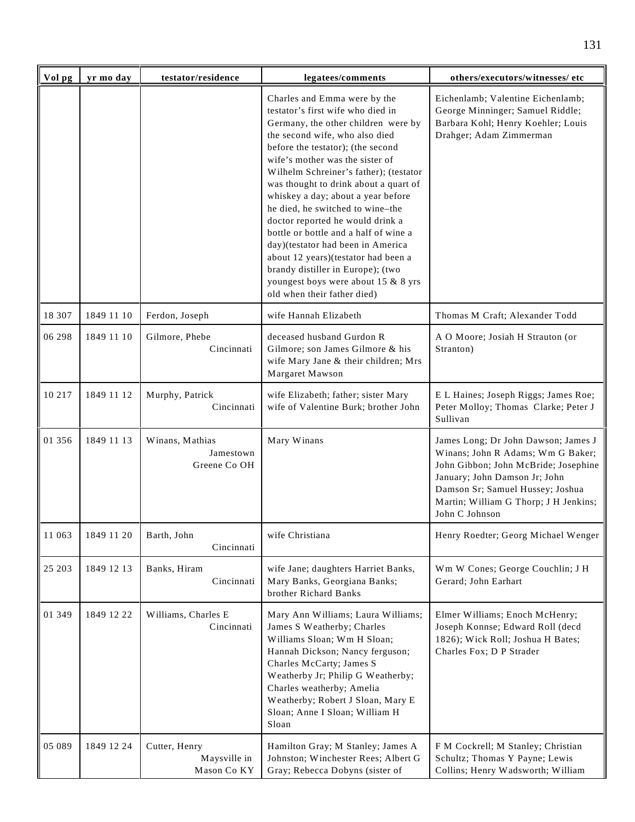| Vol pg | yr mo day  | testator/residence                           | legatees/comments                                                                                                                                                                                                                                                                                                                                                                                                                                                                                                                                                                                                                                   | others/executors/witnesses/ etc                                                                                                                                                                                                                  |
|--------|------------|----------------------------------------------|-----------------------------------------------------------------------------------------------------------------------------------------------------------------------------------------------------------------------------------------------------------------------------------------------------------------------------------------------------------------------------------------------------------------------------------------------------------------------------------------------------------------------------------------------------------------------------------------------------------------------------------------------------|--------------------------------------------------------------------------------------------------------------------------------------------------------------------------------------------------------------------------------------------------|
|        |            |                                              | Charles and Emma were by the<br>testator's first wife who died in<br>Germany, the other children were by<br>the second wife, who also died<br>before the testator); (the second<br>wife's mother was the sister of<br>Wilhelm Schreiner's father); (testator<br>was thought to drink about a quart of<br>whiskey a day; about a year before<br>he died, he switched to wine-the<br>doctor reported he would drink a<br>bottle or bottle and a half of wine a<br>day)(testator had been in America<br>about 12 years)(testator had been a<br>brandy distiller in Europe); (two<br>youngest boys were about 15 & 8 yrs<br>old when their father died) | Eichenlamb; Valentine Eichenlamb;<br>George Minninger; Samuel Riddle;<br>Barbara Kohl; Henry Koehler; Louis<br>Drahger; Adam Zimmerman                                                                                                           |
| 18 307 | 1849 11 10 | Ferdon, Joseph                               | wife Hannah Elizabeth                                                                                                                                                                                                                                                                                                                                                                                                                                                                                                                                                                                                                               | Thomas M Craft; Alexander Todd                                                                                                                                                                                                                   |
| 06 298 | 1849 11 10 | Gilmore, Phebe<br>Cincinnati                 | deceased husband Gurdon R<br>Gilmore; son James Gilmore & his<br>wife Mary Jane & their children; Mrs<br>Margaret Mawson                                                                                                                                                                                                                                                                                                                                                                                                                                                                                                                            | A O Moore; Josiah H Strauton (or<br>Stranton)                                                                                                                                                                                                    |
| 10 217 | 1849 11 12 | Murphy, Patrick<br>Cincinnati                | wife Elizabeth; father; sister Mary<br>wife of Valentine Burk; brother John                                                                                                                                                                                                                                                                                                                                                                                                                                                                                                                                                                         | E L Haines; Joseph Riggs; James Roe;<br>Peter Molloy; Thomas Clarke; Peter J<br>Sullivan                                                                                                                                                         |
| 01 356 | 1849 11 13 | Winans, Mathias<br>Jamestown<br>Greene Co OH | Mary Winans                                                                                                                                                                                                                                                                                                                                                                                                                                                                                                                                                                                                                                         | James Long; Dr John Dawson; James J<br>Winans; John R Adams; Wm G Baker;<br>John Gibbon; John McBride; Josephine<br>January; John Damson Jr; John<br>Damson Sr; Samuel Hussey; Joshua<br>Martin; William G Thorp; J H Jenkins;<br>John C Johnson |
| 11 063 | 1849 11 20 | Barth, John<br>Cincinnati                    | wife Christiana                                                                                                                                                                                                                                                                                                                                                                                                                                                                                                                                                                                                                                     | Henry Roedter; Georg Michael Wenger                                                                                                                                                                                                              |
| 25 203 | 1849 12 13 | Banks, Hiram<br>Cincinnati                   | wife Jane; daughters Harriet Banks,<br>Mary Banks, Georgiana Banks;<br>brother Richard Banks                                                                                                                                                                                                                                                                                                                                                                                                                                                                                                                                                        | Wm W Cones; George Couchlin; J H<br>Gerard; John Earhart                                                                                                                                                                                         |
| 01 349 | 1849 12 22 | Williams, Charles E<br>Cincinnati            | Mary Ann Williams; Laura Williams;<br>James S Weatherby; Charles<br>Williams Sloan; Wm H Sloan;<br>Hannah Dickson; Nancy ferguson;<br>Charles McCarty; James S<br>Weatherby Jr; Philip G Weatherby;<br>Charles weatherby; Amelia<br>Weatherby; Robert J Sloan, Mary E<br>Sloan; Anne I Sloan; William H<br>Sloan                                                                                                                                                                                                                                                                                                                                    | Elmer Williams; Enoch McHenry;<br>Joseph Konnse; Edward Roll (decd<br>1826); Wick Roll; Joshua H Bates;<br>Charles Fox; D P Strader                                                                                                              |
| 05 089 | 1849 12 24 | Cutter, Henry<br>Maysville in<br>Mason Co KY | Hamilton Gray; M Stanley; James A<br>Johnston; Winchester Rees; Albert G<br>Gray; Rebecca Dobyns (sister of                                                                                                                                                                                                                                                                                                                                                                                                                                                                                                                                         | F M Cockrell; M Stanley; Christian<br>Schultz; Thomas Y Payne; Lewis<br>Collins; Henry Wadsworth; William                                                                                                                                        |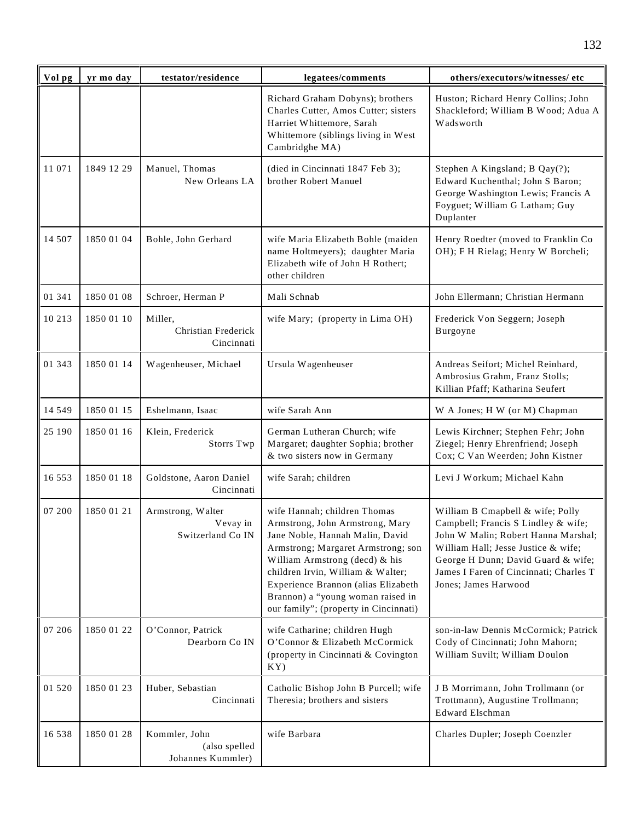| Vol pg   | yr mo day  | testator/residence                                  | legatees/comments                                                                                                                                                                                                                                                                                                                    | others/executors/witnesses/ etc                                                                                                                                                                                                                               |
|----------|------------|-----------------------------------------------------|--------------------------------------------------------------------------------------------------------------------------------------------------------------------------------------------------------------------------------------------------------------------------------------------------------------------------------------|---------------------------------------------------------------------------------------------------------------------------------------------------------------------------------------------------------------------------------------------------------------|
|          |            |                                                     | Richard Graham Dobyns); brothers<br>Charles Cutter, Amos Cutter; sisters<br>Harriet Whittemore, Sarah<br>Whittemore (siblings living in West<br>Cambridghe MA)                                                                                                                                                                       | Huston; Richard Henry Collins; John<br>Shackleford; William B Wood; Adua A<br>Wadsworth                                                                                                                                                                       |
| 11 071   | 1849 12 29 | Manuel, Thomas<br>New Orleans LA                    | (died in Cincinnati 1847 Feb 3);<br>brother Robert Manuel                                                                                                                                                                                                                                                                            | Stephen A Kingsland; B Qay(?);<br>Edward Kuchenthal; John S Baron;<br>George Washington Lewis; Francis A<br>Foyguet; William G Latham; Guy<br>Duplanter                                                                                                       |
| 14 507   | 1850 01 04 | Bohle, John Gerhard                                 | wife Maria Elizabeth Bohle (maiden<br>name Holtmeyers); daughter Maria<br>Elizabeth wife of John H Rothert;<br>other children                                                                                                                                                                                                        | Henry Roedter (moved to Franklin Co<br>OH); F H Rielag; Henry W Borcheli;                                                                                                                                                                                     |
| 01 341   | 1850 01 08 | Schroer, Herman P                                   | Mali Schnab                                                                                                                                                                                                                                                                                                                          | John Ellermann; Christian Hermann                                                                                                                                                                                                                             |
| 10 213   | 1850 01 10 | Miller,<br>Christian Frederick<br>Cincinnati        | wife Mary; (property in Lima OH)                                                                                                                                                                                                                                                                                                     | Frederick Von Seggern; Joseph<br>Burgoyne                                                                                                                                                                                                                     |
| 01 343   | 1850 01 14 | Wagenheuser, Michael                                | Ursula Wagenheuser                                                                                                                                                                                                                                                                                                                   | Andreas Seifort; Michel Reinhard,<br>Ambrosius Grahm, Franz Stolls;<br>Killian Pfaff; Katharina Seufert                                                                                                                                                       |
| 14 5 4 9 | 1850 01 15 | Eshelmann, Isaac                                    | wife Sarah Ann                                                                                                                                                                                                                                                                                                                       | W A Jones; H W (or M) Chapman                                                                                                                                                                                                                                 |
| 25 190   | 1850 01 16 | Klein, Frederick<br>Storrs Twp                      | German Lutheran Church; wife<br>Margaret; daughter Sophia; brother<br>& two sisters now in Germany                                                                                                                                                                                                                                   | Lewis Kirchner; Stephen Fehr; John<br>Ziegel; Henry Ehrenfriend; Joseph<br>Cox; C Van Weerden; John Kistner                                                                                                                                                   |
| 16 5 5 3 | 1850 01 18 | Goldstone, Aaron Daniel<br>Cincinnati               | wife Sarah; children                                                                                                                                                                                                                                                                                                                 | Levi J Workum; Michael Kahn                                                                                                                                                                                                                                   |
| 07 200   | 1850 01 21 | Armstrong, Walter<br>Vevay in<br>Switzerland Co IN  | wife Hannah; children Thomas<br>Armstrong, John Armstrong, Mary<br>Jane Noble, Hannah Malin, David<br>Armstrong; Margaret Armstrong; son<br>William Armstrong (decd) & his<br>children Irvin, William & Walter;<br>Experience Brannon (alias Elizabeth<br>Brannon) a "young woman raised in<br>our family"; (property in Cincinnati) | William B Cmapbell & wife; Polly<br>Campbell; Francis S Lindley & wife;<br>John W Malin; Robert Hanna Marshal;<br>William Hall; Jesse Justice & wife;<br>George H Dunn; David Guard & wife;<br>James I Faren of Cincinnati; Charles T<br>Jones; James Harwood |
| 07 206   | 1850 01 22 | O'Connor, Patrick<br>Dearborn Co IN                 | wife Catharine; children Hugh<br>O'Connor & Elizabeth McCormick<br>(property in Cincinnati & Covington<br>KY)                                                                                                                                                                                                                        | son-in-law Dennis McCormick; Patrick<br>Cody of Cincinnati; John Mahorn;<br>William Suvilt; William Doulon                                                                                                                                                    |
| 01 5 20  | 1850 01 23 | Huber, Sebastian<br>Cincinnati                      | Catholic Bishop John B Purcell; wife<br>Theresia; brothers and sisters                                                                                                                                                                                                                                                               | J B Morrimann, John Trollmann (or<br>Trottmann), Augustine Trollmann;<br><b>Edward Elschman</b>                                                                                                                                                               |
| 16 538   | 1850 01 28 | Kommler, John<br>(also spelled<br>Johannes Kummler) | wife Barbara                                                                                                                                                                                                                                                                                                                         | Charles Dupler; Joseph Coenzler                                                                                                                                                                                                                               |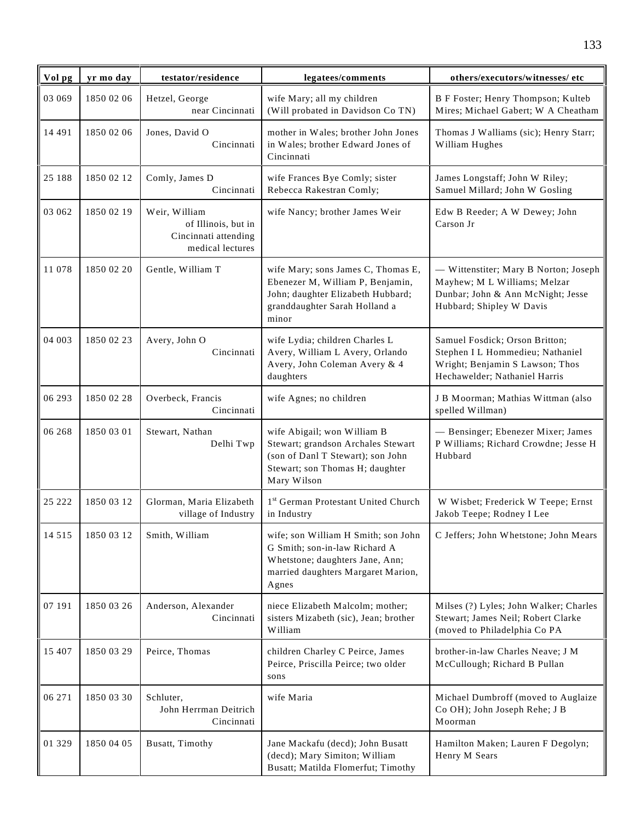| Vol pg  | yr mo day  | testator/residence                                                               | legatees/comments                                                                                                                                        | others/executors/witnesses/ etc                                                                                                        |
|---------|------------|----------------------------------------------------------------------------------|----------------------------------------------------------------------------------------------------------------------------------------------------------|----------------------------------------------------------------------------------------------------------------------------------------|
| 03 069  | 1850 02 06 | Hetzel, George<br>near Cincinnati                                                | wife Mary; all my children<br>(Will probated in Davidson Co TN)                                                                                          | B F Foster; Henry Thompson; Kulteb<br>Mires; Michael Gabert; W A Cheatham                                                              |
| 14 491  | 1850 02 06 | Jones, David O<br>Cincinnati                                                     | mother in Wales; brother John Jones<br>in Wales; brother Edward Jones of<br>Cincinnati                                                                   | Thomas J Walliams (sic); Henry Starr;<br>William Hughes                                                                                |
| 25 188  | 1850 02 12 | Comly, James D<br>Cincinnati                                                     | wife Frances Bye Comly; sister<br>Rebecca Rakestran Comly;                                                                                               | James Longstaff; John W Riley;<br>Samuel Millard; John W Gosling                                                                       |
| 03 062  | 1850 02 19 | Weir, William<br>of Illinois, but in<br>Cincinnati attending<br>medical lectures | wife Nancy; brother James Weir                                                                                                                           | Edw B Reeder; A W Dewey; John<br>Carson Jr                                                                                             |
| 11 078  | 1850 02 20 | Gentle, William T                                                                | wife Mary; sons James C, Thomas E,<br>Ebenezer M, William P, Benjamin,<br>John; daughter Elizabeth Hubbard;<br>granddaughter Sarah Holland a<br>minor    | - Wittenstiter; Mary B Norton; Joseph<br>Mayhew; M L Williams; Melzar<br>Dunbar; John & Ann McNight; Jesse<br>Hubbard; Shipley W Davis |
| 04 003  | 1850 02 23 | Avery, John O<br>Cincinnati                                                      | wife Lydia; children Charles L<br>Avery, William L Avery, Orlando<br>Avery, John Coleman Avery & 4<br>daughters                                          | Samuel Fosdick; Orson Britton;<br>Stephen I L Hommedieu; Nathaniel<br>Wright; Benjamin S Lawson; Thos<br>Hechawelder; Nathaniel Harris |
| 06 293  | 1850 02 28 | Overbeck, Francis<br>Cincinnati                                                  | wife Agnes; no children                                                                                                                                  | J B Moorman; Mathias Wittman (also<br>spelled Willman)                                                                                 |
| 06 268  | 1850 03 01 | Stewart, Nathan<br>Delhi Twp                                                     | wife Abigail; won William B<br>Stewart; grandson Archales Stewart<br>(son of Danl T Stewart); son John<br>Stewart; son Thomas H; daughter<br>Mary Wilson | - Bensinger; Ebenezer Mixer; James<br>P Williams; Richard Crowdne; Jesse H<br>Hubbard                                                  |
| 25 222  | 1850 03 12 | Glorman, Maria Elizabeth<br>village of Industry                                  | 1st German Protestant United Church<br>in Industry                                                                                                       | W Wisbet; Frederick W Teepe; Ernst<br>Jakob Teepe; Rodney I Lee                                                                        |
| 14 5 15 | 1850 03 12 | Smith, William                                                                   | wife; son William H Smith; son John<br>G Smith; son-in-law Richard A<br>Whetstone; daughters Jane, Ann;<br>married daughters Margaret Marion,<br>Agnes   | C Jeffers; John Whetstone; John Mears                                                                                                  |
| 07 191  | 1850 03 26 | Anderson, Alexander<br>Cincinnati                                                | niece Elizabeth Malcolm; mother;<br>sisters Mizabeth (sic), Jean; brother<br>William                                                                     | Milses (?) Lyles; John Walker; Charles<br>Stewart; James Neil; Robert Clarke<br>(moved to Philadelphia Co PA                           |
| 15 407  | 1850 03 29 | Peirce, Thomas                                                                   | children Charley C Peirce, James<br>Peirce, Priscilla Peirce; two older<br>sons                                                                          | brother-in-law Charles Neave; J M<br>McCullough; Richard B Pullan                                                                      |
| 06 271  | 1850 03 30 | Schluter,<br>John Herrman Deitrich<br>Cincinnati                                 | wife Maria                                                                                                                                               | Michael Dumbroff (moved to Auglaize<br>Co OH); John Joseph Rehe; J B<br>Moorman                                                        |
| 01 329  | 1850 04 05 | Busatt, Timothy                                                                  | Jane Mackafu (decd); John Busatt<br>(decd); Mary Simiton; William<br>Busatt; Matilda Flomerfut; Timothy                                                  | Hamilton Maken; Lauren F Degolyn;<br>Henry M Sears                                                                                     |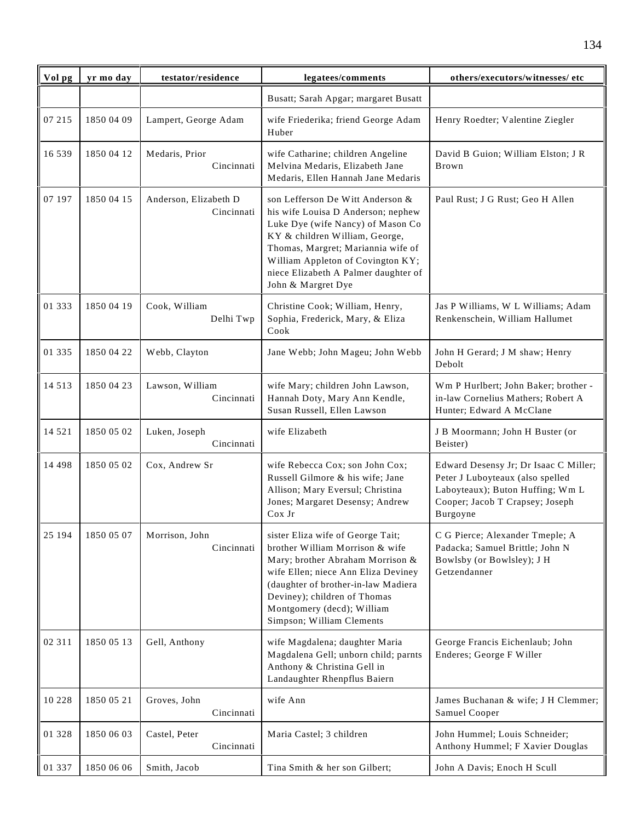| Vol pg   | yr mo day  | testator/residence                  | legatees/comments                                                                                                                                                                                                                                                                      | others/executors/witnesses/ etc                                                                                                                              |
|----------|------------|-------------------------------------|----------------------------------------------------------------------------------------------------------------------------------------------------------------------------------------------------------------------------------------------------------------------------------------|--------------------------------------------------------------------------------------------------------------------------------------------------------------|
|          |            |                                     | Busatt; Sarah Apgar; margaret Busatt                                                                                                                                                                                                                                                   |                                                                                                                                                              |
| 07 215   | 1850 04 09 | Lampert, George Adam                | wife Friederika; friend George Adam<br>Huber                                                                                                                                                                                                                                           | Henry Roedter; Valentine Ziegler                                                                                                                             |
| 16 539   | 1850 04 12 | Medaris, Prior<br>Cincinnati        | wife Catharine; children Angeline<br>Melvina Medaris, Elizabeth Jane<br>Medaris, Ellen Hannah Jane Medaris                                                                                                                                                                             | David B Guion; William Elston; J R<br>Brown                                                                                                                  |
| 07 197   | 1850 04 15 | Anderson, Elizabeth D<br>Cincinnati | son Lefferson De Witt Anderson &<br>his wife Louisa D Anderson; nephew<br>Luke Dye (wife Nancy) of Mason Co<br>KY & children William, George,<br>Thomas, Margret; Mariannia wife of<br>William Appleton of Covington KY;<br>niece Elizabeth A Palmer daughter of<br>John & Margret Dye | Paul Rust; J G Rust; Geo H Allen                                                                                                                             |
| 01 333   | 1850 04 19 | Cook, William<br>Delhi Twp          | Christine Cook; William, Henry,<br>Sophia, Frederick, Mary, & Eliza<br>Cook                                                                                                                                                                                                            | Jas P Williams, W L Williams; Adam<br>Renkenschein, William Hallumet                                                                                         |
| 01 335   | 1850 04 22 | Webb, Clayton                       | Jane Webb; John Mageu; John Webb                                                                                                                                                                                                                                                       | John H Gerard; J M shaw; Henry<br>Debolt                                                                                                                     |
| 14 5 13  | 1850 04 23 | Lawson, William<br>Cincinnati       | wife Mary; children John Lawson,<br>Hannah Doty, Mary Ann Kendle,<br>Susan Russell, Ellen Lawson                                                                                                                                                                                       | Wm P Hurlbert; John Baker; brother -<br>in-law Cornelius Mathers; Robert A<br>Hunter; Edward A McClane                                                       |
| 14 5 21  | 1850 05 02 | Luken, Joseph<br>Cincinnati         | wife Elizabeth                                                                                                                                                                                                                                                                         | J B Moormann; John H Buster (or<br>Beister)                                                                                                                  |
| 14 4 9 8 | 1850 05 02 | Cox, Andrew Sr                      | wife Rebecca Cox; son John Cox;<br>Russell Gilmore & his wife; Jane<br>Allison; Mary Eversul; Christina<br>Jones; Margaret Desensy; Andrew<br>Cox Jr                                                                                                                                   | Edward Desensy Jr; Dr Isaac C Miller;<br>Peter J Luboyteaux (also spelled<br>Laboyteaux); Buton Huffing; Wm L<br>Cooper; Jacob T Crapsey; Joseph<br>Burgoyne |
| 25 194   | 1850 05 07 | Morrison, John<br>Cincinnati        | sister Eliza wife of George Tait;<br>brother William Morrison & wife<br>Mary; brother Abraham Morrison &<br>wife Ellen; niece Ann Eliza Deviney<br>(daughter of brother-in-law Madiera<br>Deviney); children of Thomas<br>Montgomery (decd); William<br>Simpson; William Clements      | C G Pierce; Alexander Tmeple; A<br>Padacka; Samuel Brittle; John N<br>Bowlsby (or Bowlsley); J H<br>Getzendanner                                             |
| 02 311   | 1850 05 13 | Gell, Anthony                       | wife Magdalena; daughter Maria<br>Magdalena Gell; unborn child; parnts<br>Anthony & Christina Gell in<br>Landaughter Rhenpflus Baiern                                                                                                                                                  | George Francis Eichenlaub; John<br>Enderes; George F Willer                                                                                                  |
| 10 228   | 1850 05 21 | Groves, John<br>Cincinnati          | wife Ann                                                                                                                                                                                                                                                                               | James Buchanan & wife; J H Clemmer;<br>Samuel Cooper                                                                                                         |
| 01 328   | 1850 06 03 | Castel, Peter<br>Cincinnati         | Maria Castel; 3 children                                                                                                                                                                                                                                                               | John Hummel; Louis Schneider;<br>Anthony Hummel; F Xavier Douglas                                                                                            |
| 01 337   | 1850 06 06 | Smith, Jacob                        | Tina Smith & her son Gilbert;                                                                                                                                                                                                                                                          | John A Davis; Enoch H Scull                                                                                                                                  |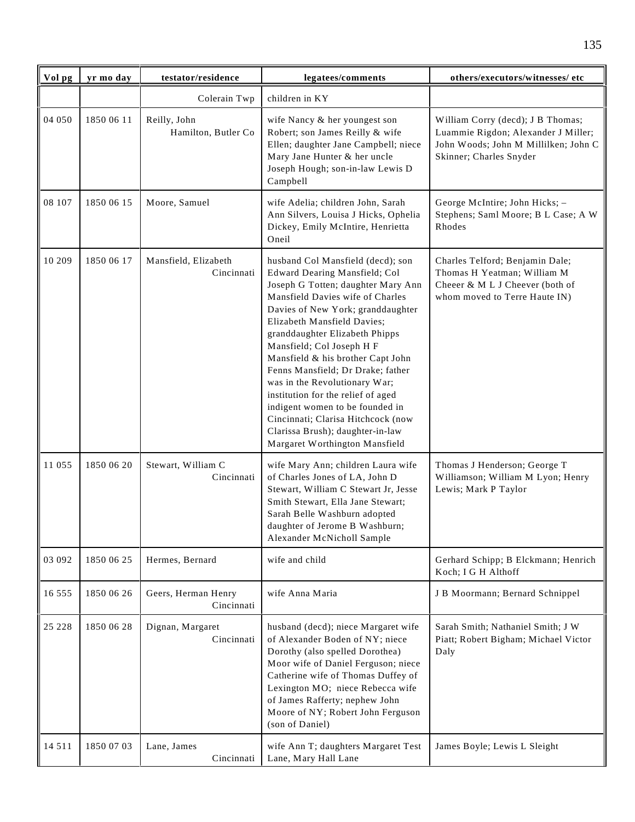| Vol pg  | yr mo day  | testator/residence                  | legatees/comments                                                                                                                                                                                                                                                                                                                                                                                                                                                                                                                                                               | others/executors/witnesses/ etc                                                                                                             |
|---------|------------|-------------------------------------|---------------------------------------------------------------------------------------------------------------------------------------------------------------------------------------------------------------------------------------------------------------------------------------------------------------------------------------------------------------------------------------------------------------------------------------------------------------------------------------------------------------------------------------------------------------------------------|---------------------------------------------------------------------------------------------------------------------------------------------|
|         |            | Colerain Twp                        | children in KY                                                                                                                                                                                                                                                                                                                                                                                                                                                                                                                                                                  |                                                                                                                                             |
| 04 050  | 1850 06 11 | Reilly, John<br>Hamilton, Butler Co | wife Nancy & her youngest son<br>Robert; son James Reilly & wife<br>Ellen; daughter Jane Campbell; niece<br>Mary Jane Hunter & her uncle<br>Joseph Hough; son-in-law Lewis D<br>Campbell                                                                                                                                                                                                                                                                                                                                                                                        | William Corry (decd); J B Thomas;<br>Luammie Rigdon; Alexander J Miller;<br>John Woods; John M Millilken; John C<br>Skinner; Charles Snyder |
| 08 107  | 1850 06 15 | Moore, Samuel                       | wife Adelia; children John, Sarah<br>Ann Silvers, Louisa J Hicks, Ophelia<br>Dickey, Emily McIntire, Henrietta<br>Oneil                                                                                                                                                                                                                                                                                                                                                                                                                                                         | George McIntire; John Hicks; -<br>Stephens; Saml Moore; B L Case; A W<br>Rhodes                                                             |
| 10 209  | 1850 06 17 | Mansfield, Elizabeth<br>Cincinnati  | husband Col Mansfield (decd); son<br>Edward Dearing Mansfield; Col<br>Joseph G Totten; daughter Mary Ann<br>Mansfield Davies wife of Charles<br>Davies of New York; granddaughter<br>Elizabeth Mansfield Davies;<br>granddaughter Elizabeth Phipps<br>Mansfield; Col Joseph H F<br>Mansfield & his brother Capt John<br>Fenns Mansfield; Dr Drake; father<br>was in the Revolutionary War;<br>institution for the relief of aged<br>indigent women to be founded in<br>Cincinnati; Clarisa Hitchcock (now<br>Clarissa Brush); daughter-in-law<br>Margaret Worthington Mansfield | Charles Telford; Benjamin Dale;<br>Thomas H Yeatman; William M<br>Cheeer & M L J Cheever (both of<br>whom moved to Terre Haute IN)          |
| 11 055  | 1850 06 20 | Stewart, William C<br>Cincinnati    | wife Mary Ann; children Laura wife<br>of Charles Jones of LA, John D<br>Stewart, William C Stewart Jr, Jesse<br>Smith Stewart, Ella Jane Stewart;<br>Sarah Belle Washburn adopted<br>daughter of Jerome B Washburn;<br>Alexander McNicholl Sample                                                                                                                                                                                                                                                                                                                               | Thomas J Henderson; George T<br>Williamson; William M Lyon; Henry<br>Lewis; Mark P Taylor                                                   |
| 03 092  | 1850 06 25 | Hermes, Bernard                     | wife and child                                                                                                                                                                                                                                                                                                                                                                                                                                                                                                                                                                  | Gerhard Schipp; B Elckmann; Henrich<br>Koch; I G H Althoff                                                                                  |
| 16 555  | 1850 06 26 | Geers, Herman Henry<br>Cincinnati   | wife Anna Maria                                                                                                                                                                                                                                                                                                                                                                                                                                                                                                                                                                 | J B Moormann; Bernard Schnippel                                                                                                             |
| 25 228  | 1850 06 28 | Dignan, Margaret<br>Cincinnati      | husband (decd); niece Margaret wife<br>of Alexander Boden of NY; niece<br>Dorothy (also spelled Dorothea)<br>Moor wife of Daniel Ferguson; niece<br>Catherine wife of Thomas Duffey of<br>Lexington MO; niece Rebecca wife<br>of James Rafferty; nephew John<br>Moore of NY; Robert John Ferguson<br>(son of Daniel)                                                                                                                                                                                                                                                            | Sarah Smith; Nathaniel Smith; J W<br>Piatt; Robert Bigham; Michael Victor<br>Daly                                                           |
| 14 5 11 | 1850 07 03 | Lane, James<br>Cincinnati           | wife Ann T; daughters Margaret Test<br>Lane, Mary Hall Lane                                                                                                                                                                                                                                                                                                                                                                                                                                                                                                                     | James Boyle; Lewis L Sleight                                                                                                                |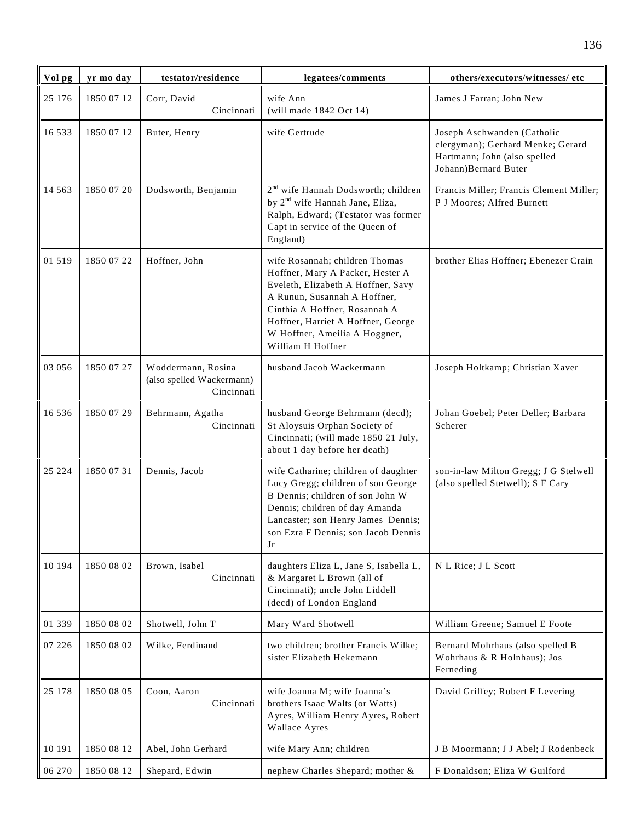| Vol pg   | yr mo day  | testator/residence                                            | legatees/comments                                                                                                                                                                                                                                                     | others/executors/witnesses/ etc                                                                                          |
|----------|------------|---------------------------------------------------------------|-----------------------------------------------------------------------------------------------------------------------------------------------------------------------------------------------------------------------------------------------------------------------|--------------------------------------------------------------------------------------------------------------------------|
| 25 176   | 1850 07 12 | Corr, David<br>Cincinnati                                     | wife Ann<br>(will made 1842 Oct 14)                                                                                                                                                                                                                                   | James J Farran; John New                                                                                                 |
| 16 533   | 1850 07 12 | Buter, Henry                                                  | wife Gertrude                                                                                                                                                                                                                                                         | Joseph Aschwanden (Catholic<br>clergyman); Gerhard Menke; Gerard<br>Hartmann; John (also spelled<br>Johann)Bernard Buter |
| 14 5 6 3 | 1850 07 20 | Dodsworth, Benjamin                                           | 2 <sup>nd</sup> wife Hannah Dodsworth; children<br>by 2 <sup>nd</sup> wife Hannah Jane, Eliza,<br>Ralph, Edward; (Testator was former<br>Capt in service of the Queen of<br>England)                                                                                  | Francis Miller; Francis Clement Miller;<br>P J Moores; Alfred Burnett                                                    |
| 01 519   | 1850 07 22 | Hoffner, John                                                 | wife Rosannah; children Thomas<br>Hoffner, Mary A Packer, Hester A<br>Eveleth, Elizabeth A Hoffner, Savy<br>A Runun, Susannah A Hoffner,<br>Cinthia A Hoffner, Rosannah A<br>Hoffner, Harriet A Hoffner, George<br>W Hoffner, Ameilia A Hoggner,<br>William H Hoffner | brother Elias Hoffner; Ebenezer Crain                                                                                    |
| 03 056   | 1850 07 27 | Woddermann, Rosina<br>(also spelled Wackermann)<br>Cincinnati | husband Jacob Wackermann                                                                                                                                                                                                                                              | Joseph Holtkamp; Christian Xaver                                                                                         |
| 16 5 3 6 | 1850 07 29 | Behrmann, Agatha<br>Cincinnati                                | husband George Behrmann (decd);<br>St Aloysuis Orphan Society of<br>Cincinnati; (will made 1850 21 July,<br>about 1 day before her death)                                                                                                                             | Johan Goebel; Peter Deller; Barbara<br>Scherer                                                                           |
| 25 224   | 1850 07 31 | Dennis, Jacob                                                 | wife Catharine; children of daughter<br>Lucy Gregg; children of son George<br>B Dennis; children of son John W<br>Dennis; children of day Amanda<br>Lancaster; son Henry James Dennis;<br>son Ezra F Dennis; son Jacob Dennis<br>Jr                                   | son-in-law Milton Gregg; J G Stelwell<br>(also spelled Stetwell); S F Cary                                               |
| 10 194   | 1850 08 02 | Brown, Isabel<br>Cincinnati                                   | daughters Eliza L, Jane S, Isabella L,<br>& Margaret L Brown (all of<br>Cincinnati); uncle John Liddell<br>(decd) of London England                                                                                                                                   | N L Rice; J L Scott                                                                                                      |
| 01 339   | 1850 08 02 | Shotwell, John T                                              | Mary Ward Shotwell                                                                                                                                                                                                                                                    | William Greene; Samuel E Foote                                                                                           |
| 07 226   | 1850 08 02 | Wilke, Ferdinand                                              | two children; brother Francis Wilke;<br>sister Elizabeth Hekemann                                                                                                                                                                                                     | Bernard Mohrhaus (also spelled B<br>Wohrhaus & R Holnhaus); Jos<br>Ferneding                                             |
| 25 178   | 1850 08 05 | Coon, Aaron<br>Cincinnati                                     | wife Joanna M; wife Joanna's<br>brothers Isaac Walts (or Watts)<br>Ayres, William Henry Ayres, Robert<br>Wallace Ayres                                                                                                                                                | David Griffey; Robert F Levering                                                                                         |
| 10 191   | 1850 08 12 | Abel, John Gerhard                                            | wife Mary Ann; children                                                                                                                                                                                                                                               | J B Moormann; J J Abel; J Rodenbeck                                                                                      |
| 06 270   | 1850 08 12 | Shepard, Edwin                                                | nephew Charles Shepard; mother &                                                                                                                                                                                                                                      | F Donaldson; Eliza W Guilford                                                                                            |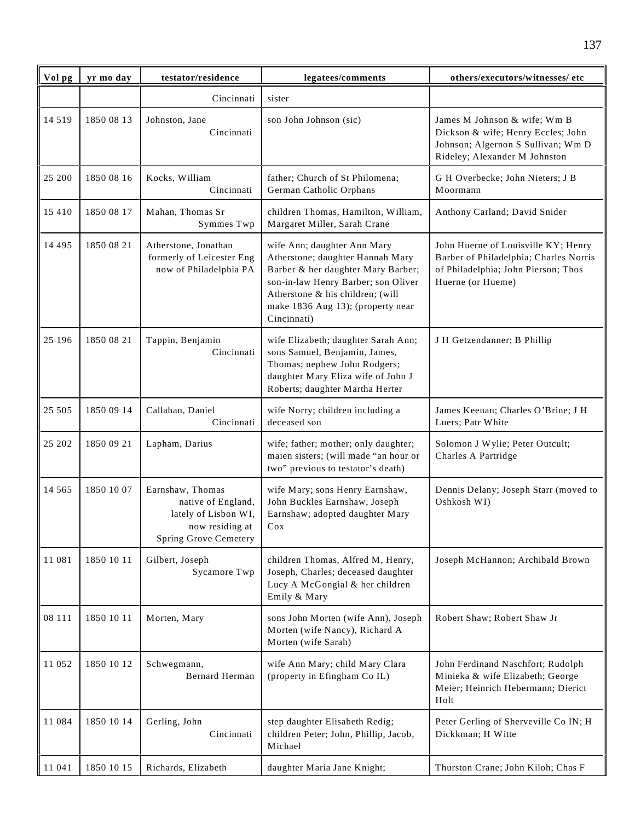| Vol pg   | yr mo day  | testator/residence                                                                                                | legatees/comments                                                                                                                                                                                                                    | others/executors/witnesses/ etc                                                                                                           |
|----------|------------|-------------------------------------------------------------------------------------------------------------------|--------------------------------------------------------------------------------------------------------------------------------------------------------------------------------------------------------------------------------------|-------------------------------------------------------------------------------------------------------------------------------------------|
|          |            | Cincinnati                                                                                                        | sister                                                                                                                                                                                                                               |                                                                                                                                           |
| 14 5 19  | 1850 08 13 | Johnston, Jane<br>Cincinnati                                                                                      | son John Johnson (sic)                                                                                                                                                                                                               | James M Johnson & wife; Wm B<br>Dickson & wife; Henry Eccles; John<br>Johnson; Algernon S Sullivan; Wm D<br>Rideley; Alexander M Johnston |
| 25 200   | 1850 08 16 | Kocks, William<br>Cincinnati                                                                                      | father; Church of St Philomena;<br>German Catholic Orphans                                                                                                                                                                           | G H Overbecke; John Nieters; J B<br>Moormann                                                                                              |
| 15 4 10  | 1850 08 17 | Mahan, Thomas Sr<br>Symmes Twp                                                                                    | children Thomas, Hamilton, William,<br>Margaret Miller, Sarah Crane                                                                                                                                                                  | Anthony Carland; David Snider                                                                                                             |
| 14 4 9 5 | 1850 08 21 | Atherstone, Jonathan<br>formerly of Leicester Eng<br>now of Philadelphia PA                                       | wife Ann; daughter Ann Mary<br>Atherstone; daughter Hannah Mary<br>Barber & her daughter Mary Barber;<br>son-in-law Henry Barber; son Oliver<br>Atherstone & his children; (will<br>make 1836 Aug 13); (property near<br>Cincinnati) | John Huerne of Louisville KY; Henry<br>Barber of Philadelphia; Charles Norris<br>of Philadelphia; John Pierson; Thos<br>Huerne (or Hueme) |
| 25 196   | 1850 08 21 | Tappin, Benjamin<br>Cincinnati                                                                                    | wife Elizabeth; daughter Sarah Ann;<br>sons Samuel, Benjamin, James,<br>Thomas; nephew John Rodgers;<br>daughter Mary Eliza wife of John J<br>Roberts; daughter Martha Herter                                                        | J H Getzendanner; B Phillip                                                                                                               |
| 25 505   | 1850 09 14 | Callahan, Daniel<br>Cincinnati                                                                                    | wife Norry; children including a<br>deceased son                                                                                                                                                                                     | James Keenan; Charles O'Brine; J H<br>Luers; Patr White                                                                                   |
| 25 202   | 1850 09 21 | Lapham, Darius                                                                                                    | wife; father; mother; only daughter;<br>maien sisters; (will made "an hour or<br>two" previous to testator's death)                                                                                                                  | Solomon J Wylie; Peter Outcult;<br>Charles A Partridge                                                                                    |
| 14 5 6 5 | 1850 10 07 | Earnshaw, Thomas<br>native of England,<br>lately of Lisbon WI,<br>now residing at<br><b>Spring Grove Cemetery</b> | wife Mary; sons Henry Earnshaw,<br>John Buckles Earnshaw, Joseph<br>Earnshaw; adopted daughter Mary<br>Cox                                                                                                                           | Dennis Delany; Joseph Starr (moved to<br>Oshkosh WI)                                                                                      |
| 11 081   | 1850 10 11 | Gilbert, Joseph<br>Sycamore Twp                                                                                   | children Thomas, Alfred M, Henry,<br>Joseph, Charles; deceased daughter<br>Lucy A McGongial & her children<br>Emily & Mary                                                                                                           | Joseph McHannon; Archibald Brown                                                                                                          |
| 08 111   | 1850 10 11 | Morten, Mary                                                                                                      | sons John Morten (wife Ann), Joseph<br>Morten (wife Nancy), Richard A<br>Morten (wife Sarah)                                                                                                                                         | Robert Shaw; Robert Shaw Jr                                                                                                               |
| 11 052   | 1850 10 12 | Schwegmann,<br><b>Bernard Herman</b>                                                                              | wife Ann Mary; child Mary Clara<br>(property in Efingham Co IL)                                                                                                                                                                      | John Ferdinand Naschfort; Rudolph<br>Minieka & wife Elizabeth; George<br>Meier; Heinrich Hebermann; Dierict<br>Holt                       |
| 11 084   | 1850 10 14 | Gerling, John<br>Cincinnati                                                                                       | step daughter Elisabeth Redig;<br>children Peter; John, Phillip, Jacob,<br>Michael                                                                                                                                                   | Peter Gerling of Sherveville Co IN; H<br>Dickkman; H Witte                                                                                |
| 11 041   | 1850 10 15 | Richards, Elizabeth                                                                                               | daughter Maria Jane Knight;                                                                                                                                                                                                          | Thurston Crane; John Kiloh; Chas F                                                                                                        |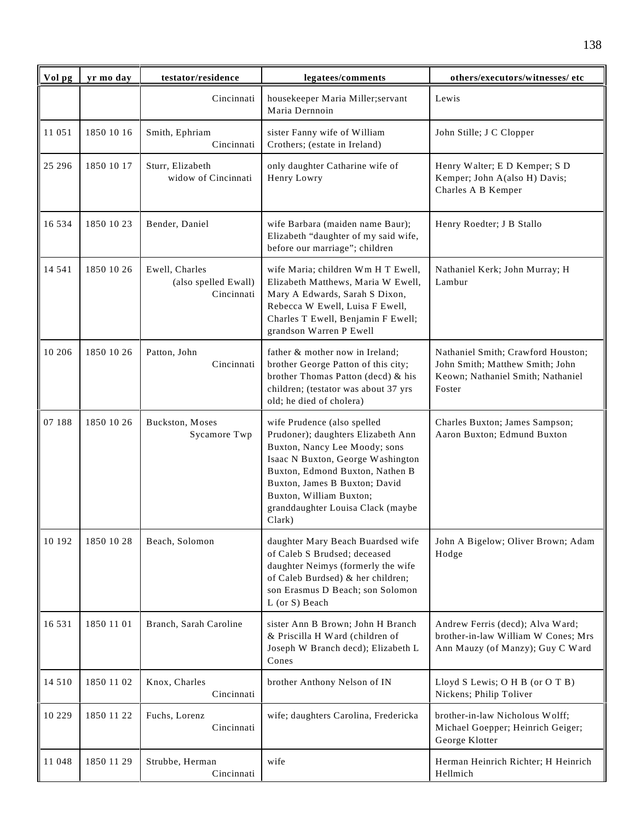| Vol pg   | yr mo day  | testator/residence                                   | legatees/comments                                                                                                                                                                                                                                                                     | others/executors/witnesses/ etc                                                                                      |
|----------|------------|------------------------------------------------------|---------------------------------------------------------------------------------------------------------------------------------------------------------------------------------------------------------------------------------------------------------------------------------------|----------------------------------------------------------------------------------------------------------------------|
|          |            | Cincinnati                                           | housekeeper Maria Miller;servant<br>Maria Dernnoin                                                                                                                                                                                                                                    | Lewis                                                                                                                |
| 11 051   | 1850 10 16 | Smith, Ephriam<br>Cincinnati                         | sister Fanny wife of William<br>Crothers; (estate in Ireland)                                                                                                                                                                                                                         | John Stille; J C Clopper                                                                                             |
| 25 29 6  | 1850 10 17 | Sturr, Elizabeth<br>widow of Cincinnati              | only daughter Catharine wife of<br>Henry Lowry                                                                                                                                                                                                                                        | Henry Walter; E D Kemper; S D<br>Kemper; John A(also H) Davis;<br>Charles A B Kemper                                 |
| 16 5 3 4 | 1850 10 23 | Bender, Daniel                                       | wife Barbara (maiden name Baur);<br>Elizabeth "daughter of my said wife,<br>before our marriage"; children                                                                                                                                                                            | Henry Roedter; J B Stallo                                                                                            |
| 14 541   | 1850 10 26 | Ewell, Charles<br>(also spelled Ewall)<br>Cincinnati | wife Maria; children Wm H T Ewell,<br>Elizabeth Matthews, Maria W Ewell,<br>Mary A Edwards, Sarah S Dixon,<br>Rebecca W Ewell, Luisa F Ewell,<br>Charles T Ewell, Benjamin F Ewell;<br>grandson Warren P Ewell                                                                        | Nathaniel Kerk; John Murray; H<br>Lambur                                                                             |
| 10 20 6  | 1850 10 26 | Patton, John<br>Cincinnati                           | father & mother now in Ireland;<br>brother George Patton of this city;<br>brother Thomas Patton (decd) & his<br>children; (testator was about 37 yrs<br>old; he died of cholera)                                                                                                      | Nathaniel Smith; Crawford Houston;<br>John Smith; Matthew Smith; John<br>Keown; Nathaniel Smith; Nathaniel<br>Foster |
| 07 188   | 1850 10 26 | Buckston, Moses<br>Sycamore Twp                      | wife Prudence (also spelled<br>Prudoner); daughters Elizabeth Ann<br>Buxton, Nancy Lee Moody; sons<br>Isaac N Buxton, George Washington<br>Buxton, Edmond Buxton, Nathen B<br>Buxton, James B Buxton; David<br>Buxton, William Buxton;<br>granddaughter Louisa Clack (maybe<br>Clark) | Charles Buxton; James Sampson;<br>Aaron Buxton; Edmund Buxton                                                        |
| 10 192   | 1850 10 28 | Beach, Solomon                                       | daughter Mary Beach Buardsed wife<br>of Caleb S Brudsed; deceased<br>daughter Neimys (formerly the wife<br>of Caleb Burdsed) & her children;<br>son Erasmus D Beach; son Solomon<br>$L$ (or S) Beach                                                                                  | John A Bigelow; Oliver Brown; Adam<br>Hodge                                                                          |
| 16 5 3 1 | 1850 11 01 | Branch, Sarah Caroline                               | sister Ann B Brown; John H Branch<br>& Priscilla H Ward (children of<br>Joseph W Branch decd); Elizabeth L<br>Cones                                                                                                                                                                   | Andrew Ferris (decd); Alva Ward;<br>brother-in-law William W Cones; Mrs<br>Ann Mauzy (of Manzy); Guy C Ward          |
| 14 5 10  | 1850 11 02 | Knox, Charles<br>Cincinnati                          | brother Anthony Nelson of IN                                                                                                                                                                                                                                                          | Lloyd S Lewis; O H B (or O T B)<br>Nickens; Philip Toliver                                                           |
| 10 229   | 1850 11 22 | Fuchs, Lorenz<br>Cincinnati                          | wife; daughters Carolina, Fredericka                                                                                                                                                                                                                                                  | brother-in-law Nicholous Wolff;<br>Michael Goepper; Heinrich Geiger;<br>George Klotter                               |
| 11 048   | 1850 11 29 | Strubbe, Herman<br>Cincinnati                        | wife                                                                                                                                                                                                                                                                                  | Herman Heinrich Richter; H Heinrich<br>Hellmich                                                                      |